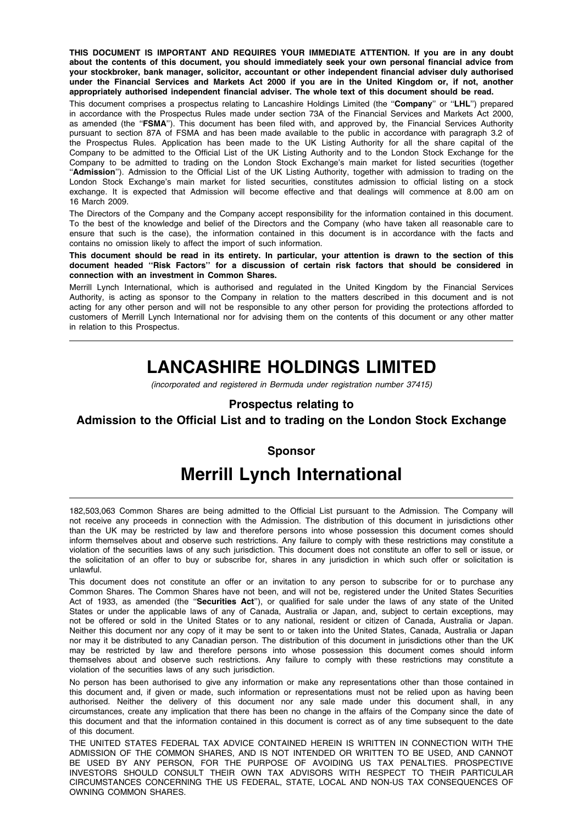THIS DOCUMENT IS IMPORTANT AND REQUIRES YOUR IMMEDIATE ATTENTION. If you are in any doubt about the contents of this document, you should immediately seek your own personal financial advice from your stockbroker, bank manager, solicitor, accountant or other independent financial adviser duly authorised under the Financial Services and Markets Act 2000 if you are in the United Kingdom or, if not, another appropriately authorised independent financial adviser. The whole text of this document should be read.

This document comprises a prospectus relating to Lancashire Holdings Limited (the "Company" or "LHL") prepared in accordance with the Prospectus Rules made under section 73A of the Financial Services and Markets Act 2000, as amended (the "FSMA"). This document has been filed with, and approved by, the Financial Services Authority pursuant to section 87A of FSMA and has been made available to the public in accordance with paragraph 3.2 of the Prospectus Rules. Application has been made to the UK Listing Authority for all the share capital of the Company to be admitted to the Official List of the UK Listing Authority and to the London Stock Exchange for the Company to be admitted to trading on the London Stock Exchange's main market for listed securities (together "Admission"). Admission to the Official List of the UK Listing Authority, together with admission to trading on the London Stock Exchange's main market for listed securities, constitutes admission to official listing on a stock exchange. It is expected that Admission will become effective and that dealings will commence at 8.00 am on 16 March 2009.

The Directors of the Company and the Company accept responsibility for the information contained in this document. To the best of the knowledge and belief of the Directors and the Company (who have taken all reasonable care to ensure that such is the case), the information contained in this document is in accordance with the facts and contains no omission likely to affect the import of such information.

This document should be read in its entirety. In particular, your attention is drawn to the section of this document headed ''Risk Factors'' for a discussion of certain risk factors that should be considered in connection with an investment in Common Shares.

Merrill Lynch International, which is authorised and regulated in the United Kingdom by the Financial Services Authority, is acting as sponsor to the Company in relation to the matters described in this document and is not acting for any other person and will not be responsible to any other person for providing the protections afforded to customers of Merrill Lynch International nor for advising them on the contents of this document or any other matter in relation to this Prospectus.

# LANCASHIRE HOLDINGS LIMITED

(incorporated and registered in Bermuda under registration number 37415)

# Prospectus relating to

# Admission to the Official List and to trading on the London Stock Exchange

# Sponsor

# Merrill Lynch International

182,503,063 Common Shares are being admitted to the Official List pursuant to the Admission. The Company will not receive any proceeds in connection with the Admission. The distribution of this document in jurisdictions other than the UK may be restricted by law and therefore persons into whose possession this document comes should inform themselves about and observe such restrictions. Any failure to comply with these restrictions may constitute a violation of the securities laws of any such jurisdiction. This document does not constitute an offer to sell or issue, or the solicitation of an offer to buy or subscribe for, shares in any jurisdiction in which such offer or solicitation is unlawful.

This document does not constitute an offer or an invitation to any person to subscribe for or to purchase any Common Shares. The Common Shares have not been, and will not be, registered under the United States Securities Act of 1933, as amended (the "Securities Act"), or qualified for sale under the laws of any state of the United States or under the applicable laws of any of Canada, Australia or Japan, and, subject to certain exceptions, may not be offered or sold in the United States or to any national, resident or citizen of Canada, Australia or Japan. Neither this document nor any copy of it may be sent to or taken into the United States, Canada, Australia or Japan nor may it be distributed to any Canadian person. The distribution of this document in jurisdictions other than the UK may be restricted by law and therefore persons into whose possession this document comes should inform themselves about and observe such restrictions. Any failure to comply with these restrictions may constitute a violation of the securities laws of any such jurisdiction.

No person has been authorised to give any information or make any representations other than those contained in this document and, if given or made, such information or representations must not be relied upon as having been authorised. Neither the delivery of this document nor any sale made under this document shall, in any circumstances, create any implication that there has been no change in the affairs of the Company since the date of this document and that the information contained in this document is correct as of any time subsequent to the date of this document.

THE UNITED STATES FEDERAL TAX ADVICE CONTAINED HEREIN IS WRITTEN IN CONNECTION WITH THE ADMISSION OF THE COMMON SHARES, AND IS NOT INTENDED OR WRITTEN TO BE USED, AND CANNOT BE USED BY ANY PERSON, FOR THE PURPOSE OF AVOIDING US TAX PENALTIES. PROSPECTIVE INVESTORS SHOULD CONSULT THEIR OWN TAX ADVISORS WITH RESPECT TO THEIR PARTICULAR CIRCUMSTANCES CONCERNING THE US FEDERAL, STATE, LOCAL AND NON-US TAX CONSEQUENCES OF OWNING COMMON SHARES.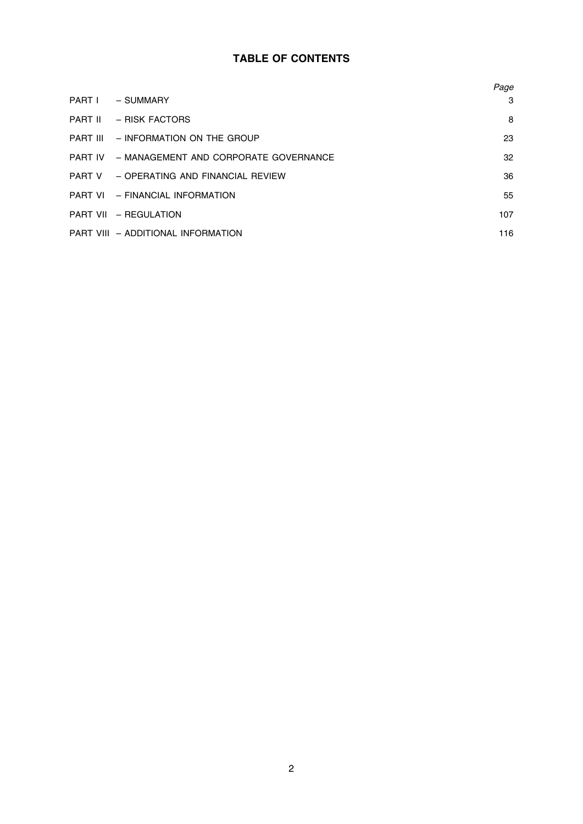# TABLE OF CONTENTS

|                                               | Page |
|-----------------------------------------------|------|
| PART I - SUMMARY                              | 3    |
| PART II - RISK FACTORS                        | 8    |
| PART III - INFORMATION ON THE GROUP           | 23   |
| PART IV - MANAGEMENT AND CORPORATE GOVERNANCE | 32   |
| PART V - OPERATING AND FINANCIAL REVIEW       | 36   |
| PART VI - FINANCIAL INFORMATION               | 55   |
| PART VII - REGULATION                         | 107  |
| PART VIII - ADDITIONAL INFORMATION            | 116  |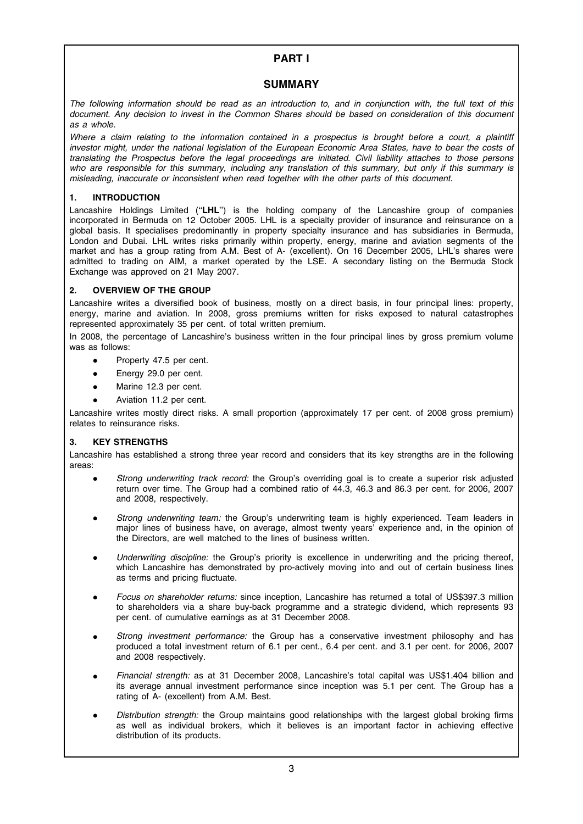# PART I

# **SUMMARY**

The following information should be read as an introduction to, and in conjunction with, the full text of this document. Any decision to invest in the Common Shares should be based on consideration of this document as a whole.

Where a claim relating to the information contained in a prospectus is brought before a court, a plaintiff investor might, under the national legislation of the European Economic Area States, have to bear the costs of translating the Prospectus before the legal proceedings are initiated. Civil liability attaches to those persons who are responsible for this summary, including any translation of this summary, but only if this summary is misleading, inaccurate or inconsistent when read together with the other parts of this document.

# 1. INTRODUCTION

Lancashire Holdings Limited ("LHL") is the holding company of the Lancashire group of companies incorporated in Bermuda on 12 October 2005. LHL is a specialty provider of insurance and reinsurance on a global basis. It specialises predominantly in property specialty insurance and has subsidiaries in Bermuda, London and Dubai. LHL writes risks primarily within property, energy, marine and aviation segments of the market and has a group rating from A.M. Best of A- (excellent). On 16 December 2005, LHL's shares were admitted to trading on AIM, a market operated by the LSE. A secondary listing on the Bermuda Stock Exchange was approved on 21 May 2007.

# 2. OVERVIEW OF THE GROUP

Lancashire writes a diversified book of business, mostly on a direct basis, in four principal lines: property, energy, marine and aviation. In 2008, gross premiums written for risks exposed to natural catastrophes represented approximately 35 per cent. of total written premium.

In 2008, the percentage of Lancashire's business written in the four principal lines by gross premium volume was as follows:

- Property 47.5 per cent.
- Energy 29.0 per cent.
- Marine 12.3 per cent.
- Aviation 11.2 per cent.

Lancashire writes mostly direct risks. A small proportion (approximately 17 per cent. of 2008 gross premium) relates to reinsurance risks.

# 3. KEY STRENGTHS

Lancashire has established a strong three year record and considers that its key strengths are in the following areas:

- Strong underwriting track record: the Group's overriding goal is to create a superior risk adjusted return over time. The Group had a combined ratio of 44.3, 46.3 and 86.3 per cent. for 2006, 2007 and 2008, respectively.
- Strong underwriting team: the Group's underwriting team is highly experienced. Team leaders in major lines of business have, on average, almost twenty years' experience and, in the opinion of the Directors, are well matched to the lines of business written.
- Underwriting discipline: the Group's priority is excellence in underwriting and the pricing thereof, which Lancashire has demonstrated by pro-actively moving into and out of certain business lines as terms and pricing fluctuate.
- Focus on shareholder returns: since inception, Lancashire has returned a total of US\$397.3 million to shareholders via a share buy-back programme and a strategic dividend, which represents 93 per cent. of cumulative earnings as at 31 December 2008.
- Strong investment performance: the Group has a conservative investment philosophy and has produced a total investment return of 6.1 per cent., 6.4 per cent. and 3.1 per cent. for 2006, 2007 and 2008 respectively.
- Financial strength: as at 31 December 2008, Lancashire's total capital was US\$1.404 billion and its average annual investment performance since inception was 5.1 per cent. The Group has a rating of A- (excellent) from A.M. Best.
- Distribution strength: the Group maintains good relationships with the largest global broking firms as well as individual brokers, which it believes is an important factor in achieving effective distribution of its products.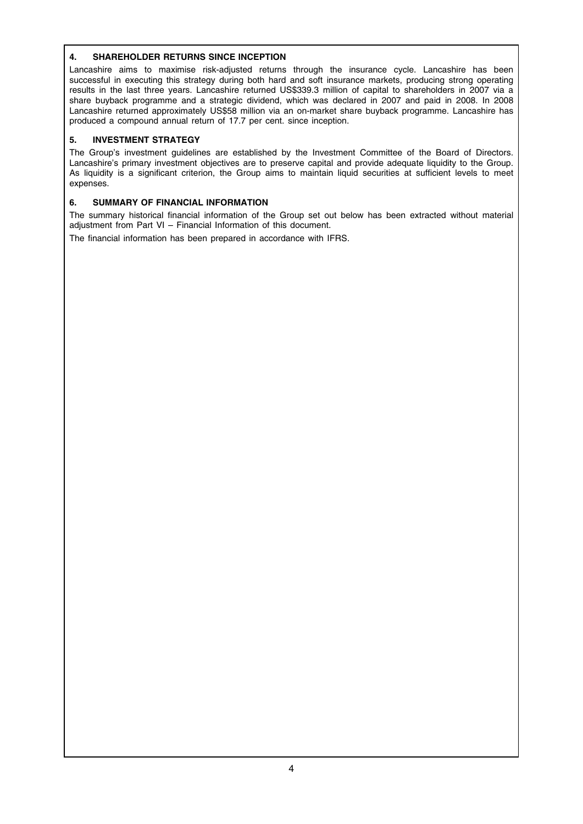# 4. SHAREHOLDER RETURNS SINCE INCEPTION

Lancashire aims to maximise risk-adjusted returns through the insurance cycle. Lancashire has been successful in executing this strategy during both hard and soft insurance markets, producing strong operating results in the last three years. Lancashire returned US\$339.3 million of capital to shareholders in 2007 via a share buyback programme and a strategic dividend, which was declared in 2007 and paid in 2008. In 2008 Lancashire returned approximately US\$58 million via an on-market share buyback programme. Lancashire has produced a compound annual return of 17.7 per cent. since inception.

# 5. INVESTMENT STRATEGY

The Group's investment guidelines are established by the Investment Committee of the Board of Directors. Lancashire's primary investment objectives are to preserve capital and provide adequate liquidity to the Group. As liquidity is a significant criterion, the Group aims to maintain liquid securities at sufficient levels to meet expenses.

# 6. SUMMARY OF FINANCIAL INFORMATION

The summary historical financial information of the Group set out below has been extracted without material adjustment from Part VI – Financial Information of this document.

The financial information has been prepared in accordance with IFRS.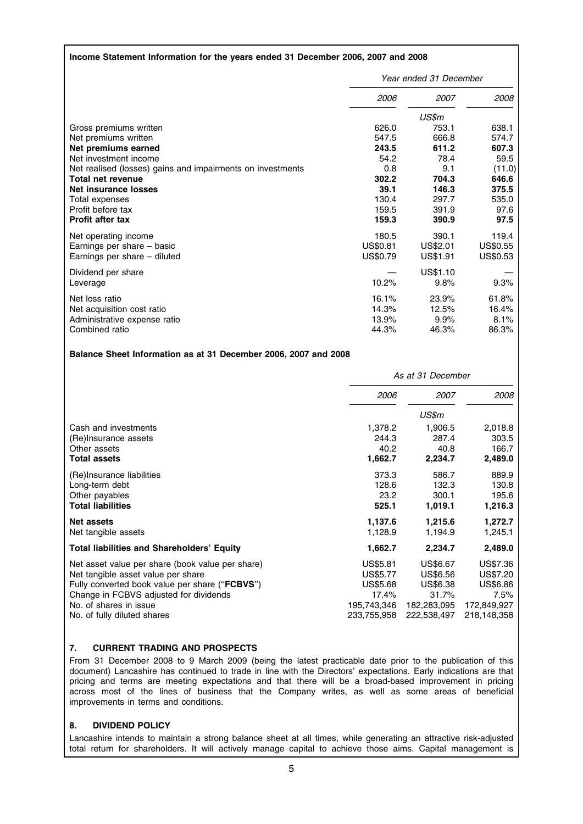# Income Statement Information for the years ended 31 December 2006, 2007 and 2008

|                                                            | Year ended 31 December |          |          |
|------------------------------------------------------------|------------------------|----------|----------|
|                                                            | 2006                   | 2007     | 2008     |
|                                                            |                        | US\$m    |          |
| Gross premiums written                                     | 626.0                  | 753.1    | 638.1    |
| Net premiums written                                       | 547.5                  | 666.8    | 574.7    |
| Net premiums earned                                        | 243.5                  | 611.2    | 607.3    |
| Net investment income                                      | 54.2                   | 78.4     | 59.5     |
| Net realised (losses) gains and impairments on investments | 0.8                    | 9.1      | (11.0)   |
| Total net revenue                                          | 302.2                  | 704.3    | 646.6    |
| <b>Net insurance losses</b>                                | 39.1                   | 146.3    | 375.5    |
| Total expenses                                             | 130.4                  | 297.7    | 535.0    |
| Profit before tax                                          | 159.5                  | 391.9    | 97.6     |
| <b>Profit after tax</b>                                    | 159.3                  | 390.9    | 97.5     |
| Net operating income                                       | 180.5                  | 390.1    | 119.4    |
| Earnings per share – basic                                 | US\$0.81               | US\$2.01 | US\$0.55 |
| Earnings per share – diluted                               | US\$0.79               | US\$1.91 | US\$0.53 |
| Dividend per share                                         |                        | US\$1.10 |          |
| Leverage                                                   | 10.2%                  | 9.8%     | 9.3%     |
| Net loss ratio                                             | 16.1%                  | 23.9%    | 61.8%    |
| Net acquisition cost ratio                                 | 14.3%                  | 12.5%    | 16.4%    |
| Administrative expense ratio                               | 13.9%                  | 9.9%     | 8.1%     |
| Combined ratio                                             | 44.3%                  | 46.3%    | 86.3%    |

#### Balance Sheet Information as at 31 December 2006, 2007 and 2008

|                                                   | As at 31 December |                 |                 |
|---------------------------------------------------|-------------------|-----------------|-----------------|
|                                                   | <i>2006</i>       | 2007            | 2008            |
|                                                   |                   | US\$m           |                 |
| Cash and investments                              | 1,378.2           | 1,906.5         | 2,018.8         |
| (Re)Insurance assets                              | 244.3             | 287.4           | 303.5           |
| Other assets                                      | 40.2              | 40.8            | 166.7           |
| <b>Total assets</b>                               | 1,662.7           | 2,234.7         | 2,489.0         |
| (Re)Insurance liabilities                         | 373.3             | 586.7           | 889.9           |
| Long-term debt                                    | 128.6             | 132.3           | 130.8           |
| Other payables                                    | 23.2              | 300.1           | 195.6           |
| <b>Total liabilities</b>                          | 525.1             | 1,019.1         | 1,216.3         |
| <b>Net assets</b>                                 | 1,137.6           | 1,215.6         | 1,272.7         |
| Net tangible assets                               | 1,128.9           | 1,194.9         | 1,245.1         |
| <b>Total liabilities and Shareholders' Equity</b> | 1,662.7           | 2,234.7         | 2,489.0         |
| Net asset value per share (book value per share)  | US\$5.81          | US\$6.67        | US\$7.36        |
| Net tangible asset value per share                | <b>US\$5.77</b>   | US\$6.56        | US\$7.20        |
| Fully converted book value per share ("FCBVS")    | <b>US\$5.68</b>   | <b>US\$6.38</b> | <b>US\$6.86</b> |
| Change in FCBVS adjusted for dividends            | 17.4%             | 31.7%           | 7.5%            |
| No. of shares in issue                            | 195,743,346       | 182,283,095     | 172,849,927     |
| No. of fully diluted shares                       | 233,755,958       | 222,538,497     | 218,148,358     |

# 7. CURRENT TRADING AND PROSPECTS

From 31 December 2008 to 9 March 2009 (being the latest practicable date prior to the publication of this document) Lancashire has continued to trade in line with the Directors' expectations. Early indications are that pricing and terms are meeting expectations and that there will be a broad-based improvement in pricing across most of the lines of business that the Company writes, as well as some areas of beneficial improvements in terms and conditions.

# 8. DIVIDEND POLICY

Lancashire intends to maintain a strong balance sheet at all times, while generating an attractive risk-adjusted total return for shareholders. It will actively manage capital to achieve those aims. Capital management is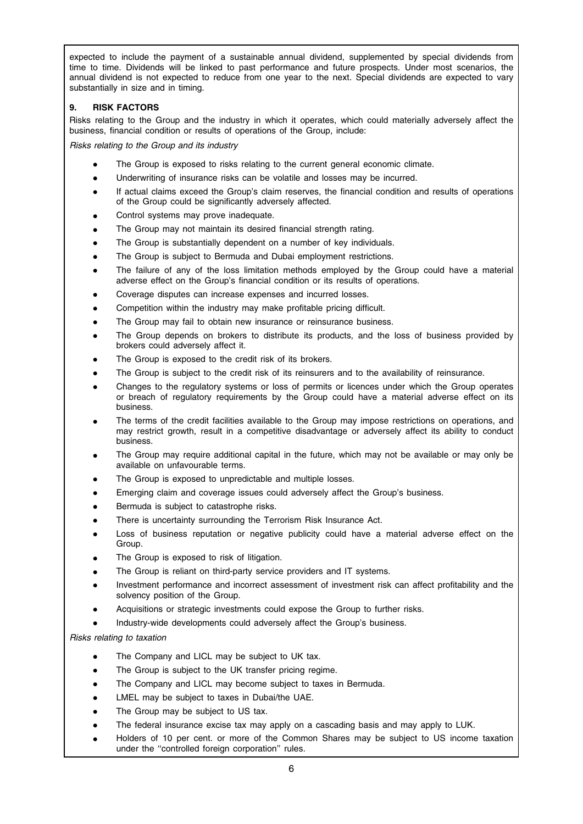expected to include the payment of a sustainable annual dividend, supplemented by special dividends from time to time. Dividends will be linked to past performance and future prospects. Under most scenarios, the annual dividend is not expected to reduce from one year to the next. Special dividends are expected to vary substantially in size and in timing.

# 9. RISK FACTORS

Risks relating to the Group and the industry in which it operates, which could materially adversely affect the business, financial condition or results of operations of the Group, include:

Risks relating to the Group and its industry

- The Group is exposed to risks relating to the current general economic climate.
- Underwriting of insurance risks can be volatile and losses may be incurred.
- If actual claims exceed the Group's claim reserves, the financial condition and results of operations of the Group could be significantly adversely affected.
- Control systems may prove inadequate.
- The Group may not maintain its desired financial strength rating.
- The Group is substantially dependent on a number of key individuals.
- The Group is subject to Bermuda and Dubai employment restrictions.
- The failure of any of the loss limitation methods employed by the Group could have a material adverse effect on the Group's financial condition or its results of operations.
- Coverage disputes can increase expenses and incurred losses.
- Competition within the industry may make profitable pricing difficult.
- The Group may fail to obtain new insurance or reinsurance business.
- The Group depends on brokers to distribute its products, and the loss of business provided by brokers could adversely affect it.
- The Group is exposed to the credit risk of its brokers.
- The Group is subject to the credit risk of its reinsurers and to the availability of reinsurance.
- Changes to the regulatory systems or loss of permits or licences under which the Group operates or breach of regulatory requirements by the Group could have a material adverse effect on its business.
- The terms of the credit facilities available to the Group may impose restrictions on operations, and may restrict growth, result in a competitive disadvantage or adversely affect its ability to conduct business.
- The Group may require additional capital in the future, which may not be available or may only be available on unfavourable terms.
- The Group is exposed to unpredictable and multiple losses.
- Emerging claim and coverage issues could adversely affect the Group's business.
- Bermuda is subject to catastrophe risks.
- There is uncertainty surrounding the Terrorism Risk Insurance Act.
- Loss of business reputation or negative publicity could have a material adverse effect on the Group.
- The Group is exposed to risk of litigation.
- The Group is reliant on third-party service providers and IT systems.
- Investment performance and incorrect assessment of investment risk can affect profitability and the solvency position of the Group.
- Acquisitions or strategic investments could expose the Group to further risks.
- Industry-wide developments could adversely affect the Group's business.

Risks relating to taxation

- The Company and LICL may be subject to UK tax.
- The Group is subject to the UK transfer pricing regime.
- The Company and LICL may become subject to taxes in Bermuda.
- LMEL may be subject to taxes in Dubai/the UAE.
- The Group may be subject to US tax.
- The federal insurance excise tax may apply on a cascading basis and may apply to LUK.
- Holders of 10 per cent. or more of the Common Shares may be subject to US income taxation under the ''controlled foreign corporation'' rules.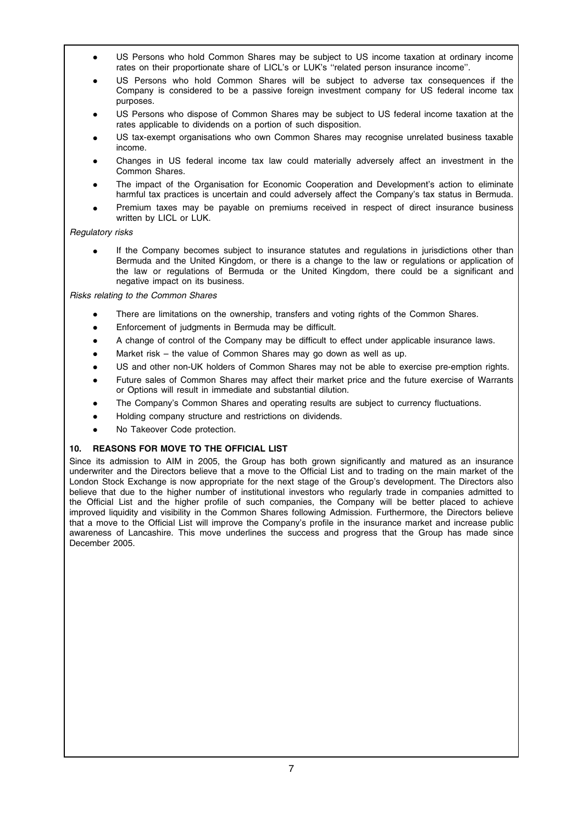- US Persons who hold Common Shares may be subject to US income taxation at ordinary income rates on their proportionate share of LICL's or LUK's ''related person insurance income''.
- US Persons who hold Common Shares will be subject to adverse tax consequences if the Company is considered to be a passive foreign investment company for US federal income tax purposes.
- US Persons who dispose of Common Shares may be subject to US federal income taxation at the rates applicable to dividends on a portion of such disposition.
- US tax-exempt organisations who own Common Shares may recognise unrelated business taxable income.
- Changes in US federal income tax law could materially adversely affect an investment in the Common Shares.
- The impact of the Organisation for Economic Cooperation and Development's action to eliminate harmful tax practices is uncertain and could adversely affect the Company's tax status in Bermuda.
- Premium taxes may be payable on premiums received in respect of direct insurance business written by LICL or LUK.

# Regulatory risks

If the Company becomes subject to insurance statutes and regulations in jurisdictions other than Bermuda and the United Kingdom, or there is a change to the law or regulations or application of the law or regulations of Bermuda or the United Kingdom, there could be a significant and negative impact on its business.

Risks relating to the Common Shares

- There are limitations on the ownership, transfers and voting rights of the Common Shares.
- Enforcement of judgments in Bermuda may be difficult.
- A change of control of the Company may be difficult to effect under applicable insurance laws.
- Market risk the value of Common Shares may go down as well as up.
- US and other non-UK holders of Common Shares may not be able to exercise pre-emption rights.
- Future sales of Common Shares may affect their market price and the future exercise of Warrants or Options will result in immediate and substantial dilution.
- The Company's Common Shares and operating results are subject to currency fluctuations.
- Holding company structure and restrictions on dividends.
- No Takeover Code protection.

# 10. REASONS FOR MOVE TO THE OFFICIAL LIST

Since its admission to AIM in 2005, the Group has both grown significantly and matured as an insurance underwriter and the Directors believe that a move to the Official List and to trading on the main market of the London Stock Exchange is now appropriate for the next stage of the Group's development. The Directors also believe that due to the higher number of institutional investors who regularly trade in companies admitted to the Official List and the higher profile of such companies, the Company will be better placed to achieve improved liquidity and visibility in the Common Shares following Admission. Furthermore, the Directors believe that a move to the Official List will improve the Company's profile in the insurance market and increase public awareness of Lancashire. This move underlines the success and progress that the Group has made since December 2005.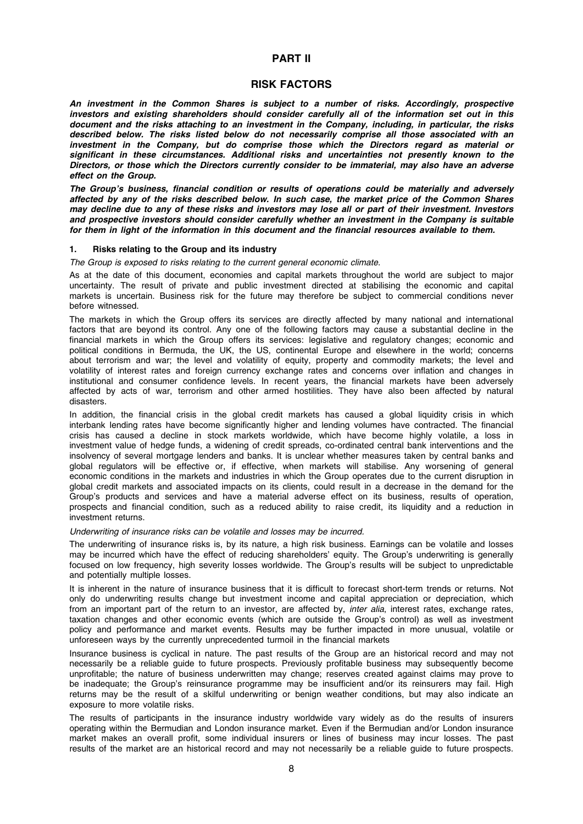# PART II

# RISK FACTORS

An investment in the Common Shares is subject to a number of risks. Accordingly, prospective investors and existing shareholders should consider carefully all of the information set out in this document and the risks attaching to an investment in the Company, including, in particular, the risks described below. The risks listed below do not necessarily comprise all those associated with an investment in the Company, but do comprise those which the Directors regard as material or significant in these circumstances. Additional risks and uncertainties not presently known to the Directors, or those which the Directors currently consider to be immaterial, may also have an adverse effect on the Group.

The Group's business, financial condition or results of operations could be materially and adversely affected by any of the risks described below. In such case, the market price of the Common Shares may decline due to any of these risks and investors may lose all or part of their investment. Investors and prospective investors should consider carefully whether an investment in the Company is suitable for them in light of the information in this document and the financial resources available to them.

#### 1. Risks relating to the Group and its industry

The Group is exposed to risks relating to the current general economic climate.

As at the date of this document, economies and capital markets throughout the world are subject to major uncertainty. The result of private and public investment directed at stabilising the economic and capital markets is uncertain. Business risk for the future may therefore be subject to commercial conditions never before witnessed.

The markets in which the Group offers its services are directly affected by many national and international factors that are beyond its control. Any one of the following factors may cause a substantial decline in the financial markets in which the Group offers its services: legislative and regulatory changes; economic and political conditions in Bermuda, the UK, the US, continental Europe and elsewhere in the world; concerns about terrorism and war; the level and volatility of equity, property and commodity markets; the level and volatility of interest rates and foreign currency exchange rates and concerns over inflation and changes in institutional and consumer confidence levels. In recent years, the financial markets have been adversely affected by acts of war, terrorism and other armed hostilities. They have also been affected by natural disasters.

In addition, the financial crisis in the global credit markets has caused a global liquidity crisis in which interbank lending rates have become significantly higher and lending volumes have contracted. The financial crisis has caused a decline in stock markets worldwide, which have become highly volatile, a loss in investment value of hedge funds, a widening of credit spreads, co-ordinated central bank interventions and the insolvency of several mortgage lenders and banks. It is unclear whether measures taken by central banks and global regulators will be effective or, if effective, when markets will stabilise. Any worsening of general economic conditions in the markets and industries in which the Group operates due to the current disruption in global credit markets and associated impacts on its clients, could result in a decrease in the demand for the Group's products and services and have a material adverse effect on its business, results of operation, prospects and financial condition, such as a reduced ability to raise credit, its liquidity and a reduction in investment returns.

#### Underwriting of insurance risks can be volatile and losses may be incurred.

The underwriting of insurance risks is, by its nature, a high risk business. Earnings can be volatile and losses may be incurred which have the effect of reducing shareholders' equity. The Group's underwriting is generally focused on low frequency, high severity losses worldwide. The Group's results will be subject to unpredictable and potentially multiple losses.

It is inherent in the nature of insurance business that it is difficult to forecast short-term trends or returns. Not only do underwriting results change but investment income and capital appreciation or depreciation, which from an important part of the return to an investor, are affected by, *inter alia*, interest rates, exchange rates, taxation changes and other economic events (which are outside the Group's control) as well as investment policy and performance and market events. Results may be further impacted in more unusual, volatile or unforeseen ways by the currently unprecedented turmoil in the financial markets

Insurance business is cyclical in nature. The past results of the Group are an historical record and may not necessarily be a reliable guide to future prospects. Previously profitable business may subsequently become unprofitable; the nature of business underwritten may change; reserves created against claims may prove to be inadequate; the Group's reinsurance programme may be insufficient and/or its reinsurers may fail. High returns may be the result of a skilful underwriting or benign weather conditions, but may also indicate an exposure to more volatile risks.

The results of participants in the insurance industry worldwide vary widely as do the results of insurers operating within the Bermudian and London insurance market. Even if the Bermudian and/or London insurance market makes an overall profit, some individual insurers or lines of business may incur losses. The past results of the market are an historical record and may not necessarily be a reliable guide to future prospects.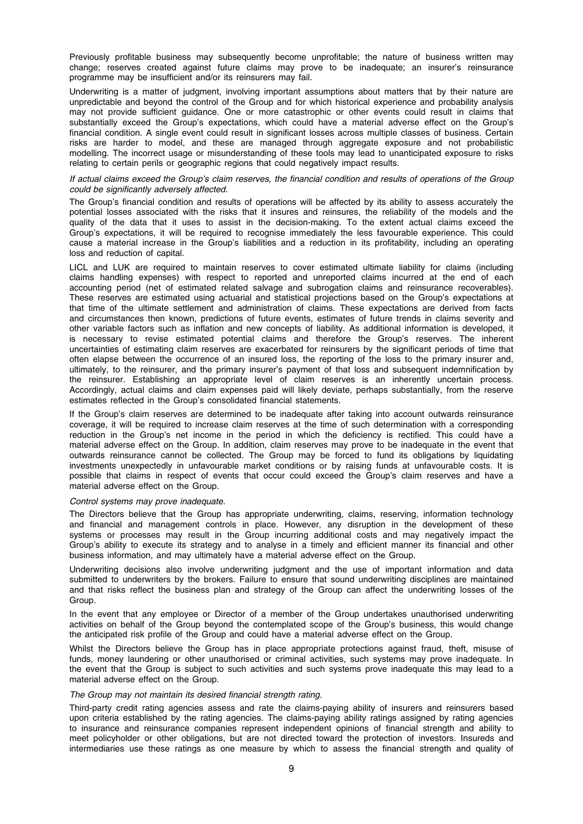Previously profitable business may subsequently become unprofitable; the nature of business written may change; reserves created against future claims may prove to be inadequate; an insurer's reinsurance programme may be insufficient and/or its reinsurers may fail.

Underwriting is a matter of judgment, involving important assumptions about matters that by their nature are unpredictable and beyond the control of the Group and for which historical experience and probability analysis may not provide sufficient guidance. One or more catastrophic or other events could result in claims that substantially exceed the Group's expectations, which could have a material adverse effect on the Group's financial condition. A single event could result in significant losses across multiple classes of business. Certain risks are harder to model, and these are managed through aggregate exposure and not probabilistic modelling. The incorrect usage or misunderstanding of these tools may lead to unanticipated exposure to risks relating to certain perils or geographic regions that could negatively impact results.

## If actual claims exceed the Group's claim reserves, the financial condition and results of operations of the Group could be significantly adversely affected.

The Group's financial condition and results of operations will be affected by its ability to assess accurately the potential losses associated with the risks that it insures and reinsures, the reliability of the models and the quality of the data that it uses to assist in the decision-making. To the extent actual claims exceed the Group's expectations, it will be required to recognise immediately the less favourable experience. This could cause a material increase in the Group's liabilities and a reduction in its profitability, including an operating loss and reduction of capital.

LICL and LUK are required to maintain reserves to cover estimated ultimate liability for claims (including claims handling expenses) with respect to reported and unreported claims incurred at the end of each accounting period (net of estimated related salvage and subrogation claims and reinsurance recoverables). These reserves are estimated using actuarial and statistical projections based on the Group's expectations at that time of the ultimate settlement and administration of claims. These expectations are derived from facts and circumstances then known, predictions of future events, estimates of future trends in claims severity and other variable factors such as inflation and new concepts of liability. As additional information is developed, it is necessary to revise estimated potential claims and therefore the Group's reserves. The inherent uncertainties of estimating claim reserves are exacerbated for reinsurers by the significant periods of time that often elapse between the occurrence of an insured loss, the reporting of the loss to the primary insurer and, ultimately, to the reinsurer, and the primary insurer's payment of that loss and subsequent indemnification by the reinsurer. Establishing an appropriate level of claim reserves is an inherently uncertain process. Accordingly, actual claims and claim expenses paid will likely deviate, perhaps substantially, from the reserve estimates reflected in the Group's consolidated financial statements.

If the Group's claim reserves are determined to be inadequate after taking into account outwards reinsurance coverage, it will be required to increase claim reserves at the time of such determination with a corresponding reduction in the Group's net income in the period in which the deficiency is rectified. This could have a material adverse effect on the Group. In addition, claim reserves may prove to be inadequate in the event that outwards reinsurance cannot be collected. The Group may be forced to fund its obligations by liquidating investments unexpectedly in unfavourable market conditions or by raising funds at unfavourable costs. It is possible that claims in respect of events that occur could exceed the Group's claim reserves and have a material adverse effect on the Group.

#### Control systems may prove inadequate.

The Directors believe that the Group has appropriate underwriting, claims, reserving, information technology and financial and management controls in place. However, any disruption in the development of these systems or processes may result in the Group incurring additional costs and may negatively impact the Group's ability to execute its strategy and to analyse in a timely and efficient manner its financial and other business information, and may ultimately have a material adverse effect on the Group.

Underwriting decisions also involve underwriting judgment and the use of important information and data submitted to underwriters by the brokers. Failure to ensure that sound underwriting disciplines are maintained and that risks reflect the business plan and strategy of the Group can affect the underwriting losses of the Group.

In the event that any employee or Director of a member of the Group undertakes unauthorised underwriting activities on behalf of the Group beyond the contemplated scope of the Group's business, this would change the anticipated risk profile of the Group and could have a material adverse effect on the Group.

Whilst the Directors believe the Group has in place appropriate protections against fraud, theft, misuse of funds, money laundering or other unauthorised or criminal activities, such systems may prove inadequate. In the event that the Group is subject to such activities and such systems prove inadequate this may lead to a material adverse effect on the Group.

# The Group may not maintain its desired financial strength rating.

Third-party credit rating agencies assess and rate the claims-paying ability of insurers and reinsurers based upon criteria established by the rating agencies. The claims-paying ability ratings assigned by rating agencies to insurance and reinsurance companies represent independent opinions of financial strength and ability to meet policyholder or other obligations, but are not directed toward the protection of investors. Insureds and intermediaries use these ratings as one measure by which to assess the financial strength and quality of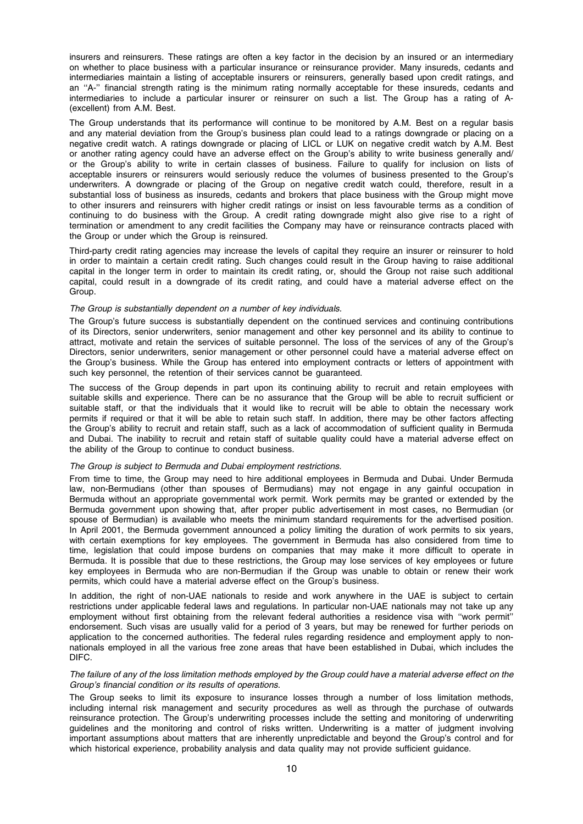insurers and reinsurers. These ratings are often a key factor in the decision by an insured or an intermediary on whether to place business with a particular insurance or reinsurance provider. Many insureds, cedants and intermediaries maintain a listing of acceptable insurers or reinsurers, generally based upon credit ratings, and an ''A-'' financial strength rating is the minimum rating normally acceptable for these insureds, cedants and intermediaries to include a particular insurer or reinsurer on such a list. The Group has a rating of A- (excellent) from A.M. Best.

The Group understands that its performance will continue to be monitored by A.M. Best on a regular basis and any material deviation from the Group's business plan could lead to a ratings downgrade or placing on a negative credit watch. A ratings downgrade or placing of LICL or LUK on negative credit watch by A.M. Best or another rating agency could have an adverse effect on the Group's ability to write business generally and/ or the Group's ability to write in certain classes of business. Failure to qualify for inclusion on lists of acceptable insurers or reinsurers would seriously reduce the volumes of business presented to the Group's underwriters. A downgrade or placing of the Group on negative credit watch could, therefore, result in a substantial loss of business as insureds, cedants and brokers that place business with the Group might move to other insurers and reinsurers with higher credit ratings or insist on less favourable terms as a condition of continuing to do business with the Group. A credit rating downgrade might also give rise to a right of termination or amendment to any credit facilities the Company may have or reinsurance contracts placed with the Group or under which the Group is reinsured.

Third-party credit rating agencies may increase the levels of capital they require an insurer or reinsurer to hold in order to maintain a certain credit rating. Such changes could result in the Group having to raise additional capital in the longer term in order to maintain its credit rating, or, should the Group not raise such additional capital, could result in a downgrade of its credit rating, and could have a material adverse effect on the Group.

#### The Group is substantially dependent on a number of key individuals.

The Group's future success is substantially dependent on the continued services and continuing contributions of its Directors, senior underwriters, senior management and other key personnel and its ability to continue to attract, motivate and retain the services of suitable personnel. The loss of the services of any of the Group's Directors, senior underwriters, senior management or other personnel could have a material adverse effect on the Group's business. While the Group has entered into employment contracts or letters of appointment with such key personnel, the retention of their services cannot be guaranteed.

The success of the Group depends in part upon its continuing ability to recruit and retain employees with suitable skills and experience. There can be no assurance that the Group will be able to recruit sufficient or suitable staff, or that the individuals that it would like to recruit will be able to obtain the necessary work permits if required or that it will be able to retain such staff. In addition, there may be other factors affecting the Group's ability to recruit and retain staff, such as a lack of accommodation of sufficient quality in Bermuda and Dubai. The inability to recruit and retain staff of suitable quality could have a material adverse effect on the ability of the Group to continue to conduct business.

## The Group is subject to Bermuda and Dubai employment restrictions.

From time to time, the Group may need to hire additional employees in Bermuda and Dubai. Under Bermuda law, non-Bermudians (other than spouses of Bermudians) may not engage in any gainful occupation in Bermuda without an appropriate governmental work permit. Work permits may be granted or extended by the Bermuda government upon showing that, after proper public advertisement in most cases, no Bermudian (or spouse of Bermudian) is available who meets the minimum standard requirements for the advertised position. In April 2001, the Bermuda government announced a policy limiting the duration of work permits to six years, with certain exemptions for key employees. The government in Bermuda has also considered from time to time, legislation that could impose burdens on companies that may make it more difficult to operate in Bermuda. It is possible that due to these restrictions, the Group may lose services of key employees or future key employees in Bermuda who are non-Bermudian if the Group was unable to obtain or renew their work permits, which could have a material adverse effect on the Group's business.

In addition, the right of non-UAE nationals to reside and work anywhere in the UAE is subject to certain restrictions under applicable federal laws and regulations. In particular non-UAE nationals may not take up any employment without first obtaining from the relevant federal authorities a residence visa with ''work permit'' endorsement. Such visas are usually valid for a period of 3 years, but may be renewed for further periods on application to the concerned authorities. The federal rules regarding residence and employment apply to nonnationals employed in all the various free zone areas that have been established in Dubai, which includes the DIFC.

#### The failure of any of the loss limitation methods employed by the Group could have a material adverse effect on the Group's financial condition or its results of operations.

The Group seeks to limit its exposure to insurance losses through a number of loss limitation methods, including internal risk management and security procedures as well as through the purchase of outwards reinsurance protection. The Group's underwriting processes include the setting and monitoring of underwriting guidelines and the monitoring and control of risks written. Underwriting is a matter of judgment involving important assumptions about matters that are inherently unpredictable and beyond the Group's control and for which historical experience, probability analysis and data quality may not provide sufficient guidance.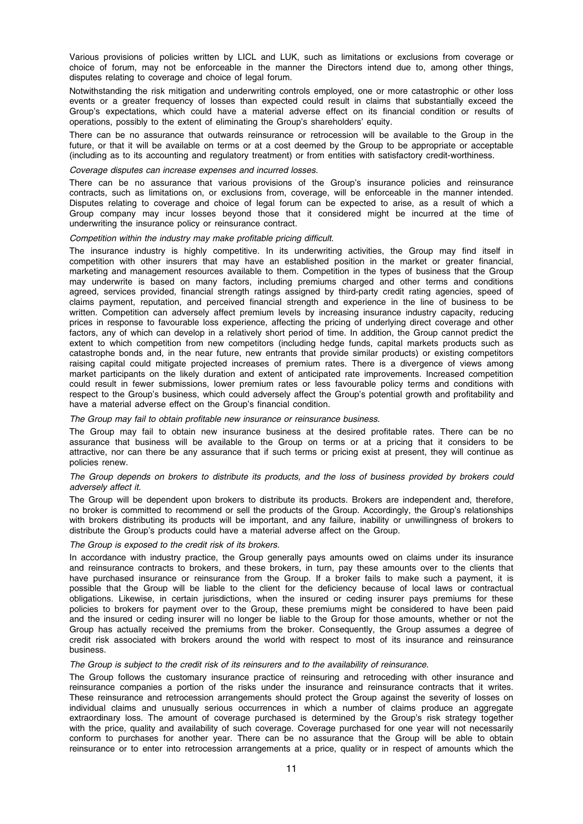Various provisions of policies written by LICL and LUK, such as limitations or exclusions from coverage or choice of forum, may not be enforceable in the manner the Directors intend due to, among other things, disputes relating to coverage and choice of legal forum.

Notwithstanding the risk mitigation and underwriting controls employed, one or more catastrophic or other loss events or a greater frequency of losses than expected could result in claims that substantially exceed the Group's expectations, which could have a material adverse effect on its financial condition or results of operations, possibly to the extent of eliminating the Group's shareholders' equity.

There can be no assurance that outwards reinsurance or retrocession will be available to the Group in the future, or that it will be available on terms or at a cost deemed by the Group to be appropriate or acceptable (including as to its accounting and regulatory treatment) or from entities with satisfactory credit-worthiness.

#### Coverage disputes can increase expenses and incurred losses.

There can be no assurance that various provisions of the Group's insurance policies and reinsurance contracts, such as limitations on, or exclusions from, coverage, will be enforceable in the manner intended. Disputes relating to coverage and choice of legal forum can be expected to arise, as a result of which a Group company may incur losses beyond those that it considered might be incurred at the time of underwriting the insurance policy or reinsurance contract.

#### Competition within the industry may make profitable pricing difficult.

The insurance industry is highly competitive. In its underwriting activities, the Group may find itself in competition with other insurers that may have an established position in the market or greater financial, marketing and management resources available to them. Competition in the types of business that the Group may underwrite is based on many factors, including premiums charged and other terms and conditions agreed, services provided, financial strength ratings assigned by third-party credit rating agencies, speed of claims payment, reputation, and perceived financial strength and experience in the line of business to be written. Competition can adversely affect premium levels by increasing insurance industry capacity, reducing prices in response to favourable loss experience, affecting the pricing of underlying direct coverage and other factors, any of which can develop in a relatively short period of time. In addition, the Group cannot predict the extent to which competition from new competitors (including hedge funds, capital markets products such as catastrophe bonds and, in the near future, new entrants that provide similar products) or existing competitors raising capital could mitigate projected increases of premium rates. There is a divergence of views among market participants on the likely duration and extent of anticipated rate improvements. Increased competition could result in fewer submissions, lower premium rates or less favourable policy terms and conditions with respect to the Group's business, which could adversely affect the Group's potential growth and profitability and have a material adverse effect on the Group's financial condition.

#### The Group may fail to obtain profitable new insurance or reinsurance business.

The Group may fail to obtain new insurance business at the desired profitable rates. There can be no assurance that business will be available to the Group on terms or at a pricing that it considers to be attractive, nor can there be any assurance that if such terms or pricing exist at present, they will continue as policies renew.

#### The Group depends on brokers to distribute its products, and the loss of business provided by brokers could adversely affect it.

The Group will be dependent upon brokers to distribute its products. Brokers are independent and, therefore, no broker is committed to recommend or sell the products of the Group. Accordingly, the Group's relationships with brokers distributing its products will be important, and any failure, inability or unwillingness of brokers to distribute the Group's products could have a material adverse affect on the Group.

#### The Group is exposed to the credit risk of its brokers.

In accordance with industry practice, the Group generally pays amounts owed on claims under its insurance and reinsurance contracts to brokers, and these brokers, in turn, pay these amounts over to the clients that have purchased insurance or reinsurance from the Group. If a broker fails to make such a payment, it is possible that the Group will be liable to the client for the deficiency because of local laws or contractual obligations. Likewise, in certain jurisdictions, when the insured or ceding insurer pays premiums for these policies to brokers for payment over to the Group, these premiums might be considered to have been paid and the insured or ceding insurer will no longer be liable to the Group for those amounts, whether or not the Group has actually received the premiums from the broker. Consequently, the Group assumes a degree of credit risk associated with brokers around the world with respect to most of its insurance and reinsurance business.

#### The Group is subject to the credit risk of its reinsurers and to the availability of reinsurance.

The Group follows the customary insurance practice of reinsuring and retroceding with other insurance and reinsurance companies a portion of the risks under the insurance and reinsurance contracts that it writes. These reinsurance and retrocession arrangements should protect the Group against the severity of losses on individual claims and unusually serious occurrences in which a number of claims produce an aggregate extraordinary loss. The amount of coverage purchased is determined by the Group's risk strategy together with the price, quality and availability of such coverage. Coverage purchased for one year will not necessarily conform to purchases for another year. There can be no assurance that the Group will be able to obtain reinsurance or to enter into retrocession arrangements at a price, quality or in respect of amounts which the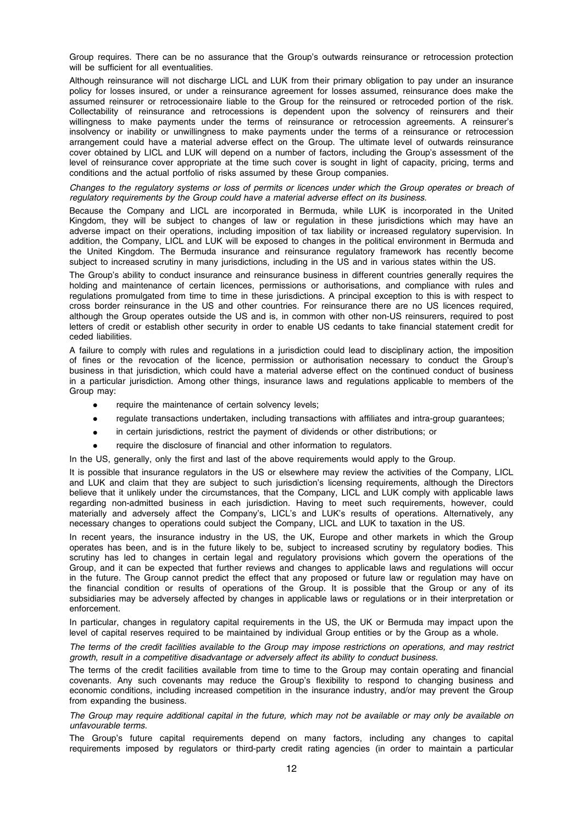Group requires. There can be no assurance that the Group's outwards reinsurance or retrocession protection will be sufficient for all eventualities.

Although reinsurance will not discharge LICL and LUK from their primary obligation to pay under an insurance policy for losses insured, or under a reinsurance agreement for losses assumed, reinsurance does make the assumed reinsurer or retrocessionaire liable to the Group for the reinsured or retroceded portion of the risk. Collectability of reinsurance and retrocessions is dependent upon the solvency of reinsurers and their willingness to make payments under the terms of reinsurance or retrocession agreements. A reinsurer's insolvency or inability or unwillingness to make payments under the terms of a reinsurance or retrocession arrangement could have a material adverse effect on the Group. The ultimate level of outwards reinsurance cover obtained by LICL and LUK will depend on a number of factors, including the Group's assessment of the level of reinsurance cover appropriate at the time such cover is sought in light of capacity, pricing, terms and conditions and the actual portfolio of risks assumed by these Group companies.

Changes to the regulatory systems or loss of permits or licences under which the Group operates or breach of regulatory requirements by the Group could have a material adverse effect on its business.

Because the Company and LICL are incorporated in Bermuda, while LUK is incorporated in the United Kingdom, they will be subject to changes of law or regulation in these jurisdictions which may have an adverse impact on their operations, including imposition of tax liability or increased regulatory supervision. In addition, the Company, LICL and LUK will be exposed to changes in the political environment in Bermuda and the United Kingdom. The Bermuda insurance and reinsurance regulatory framework has recently become subject to increased scrutiny in many jurisdictions, including in the US and in various states within the US.

The Group's ability to conduct insurance and reinsurance business in different countries generally requires the holding and maintenance of certain licences, permissions or authorisations, and compliance with rules and regulations promulgated from time to time in these jurisdictions. A principal exception to this is with respect to cross border reinsurance in the US and other countries. For reinsurance there are no US licences required, although the Group operates outside the US and is, in common with other non-US reinsurers, required to post letters of credit or establish other security in order to enable US cedants to take financial statement credit for ceded liabilities.

A failure to comply with rules and regulations in a jurisdiction could lead to disciplinary action, the imposition of fines or the revocation of the licence, permission or authorisation necessary to conduct the Group's business in that jurisdiction, which could have a material adverse effect on the continued conduct of business in a particular jurisdiction. Among other things, insurance laws and regulations applicable to members of the Group may:

- require the maintenance of certain solvency levels;
- regulate transactions undertaken, including transactions with affiliates and intra-group guarantees;
- in certain jurisdictions, restrict the payment of dividends or other distributions; or
- require the disclosure of financial and other information to regulators.
- In the US, generally, only the first and last of the above requirements would apply to the Group.

It is possible that insurance regulators in the US or elsewhere may review the activities of the Company, LICL and LUK and claim that they are subject to such jurisdiction's licensing requirements, although the Directors believe that it unlikely under the circumstances, that the Company, LICL and LUK comply with applicable laws regarding non-admitted business in each jurisdiction. Having to meet such requirements, however, could materially and adversely affect the Company's, LICL's and LUK's results of operations. Alternatively, any necessary changes to operations could subject the Company, LICL and LUK to taxation in the US.

In recent years, the insurance industry in the US, the UK, Europe and other markets in which the Group operates has been, and is in the future likely to be, subject to increased scrutiny by regulatory bodies. This scrutiny has led to changes in certain legal and regulatory provisions which govern the operations of the Group, and it can be expected that further reviews and changes to applicable laws and regulations will occur in the future. The Group cannot predict the effect that any proposed or future law or regulation may have on the financial condition or results of operations of the Group. It is possible that the Group or any of its subsidiaries may be adversely affected by changes in applicable laws or regulations or in their interpretation or enforcement.

In particular, changes in regulatory capital requirements in the US, the UK or Bermuda may impact upon the level of capital reserves required to be maintained by individual Group entities or by the Group as a whole.

The terms of the credit facilities available to the Group may impose restrictions on operations, and may restrict growth, result in a competitive disadvantage or adversely affect its ability to conduct business.

The terms of the credit facilities available from time to time to the Group may contain operating and financial covenants. Any such covenants may reduce the Group's flexibility to respond to changing business and economic conditions, including increased competition in the insurance industry, and/or may prevent the Group from expanding the business.

The Group may require additional capital in the future, which may not be available or may only be available on unfavourable terms.

The Group's future capital requirements depend on many factors, including any changes to capital requirements imposed by regulators or third-party credit rating agencies (in order to maintain a particular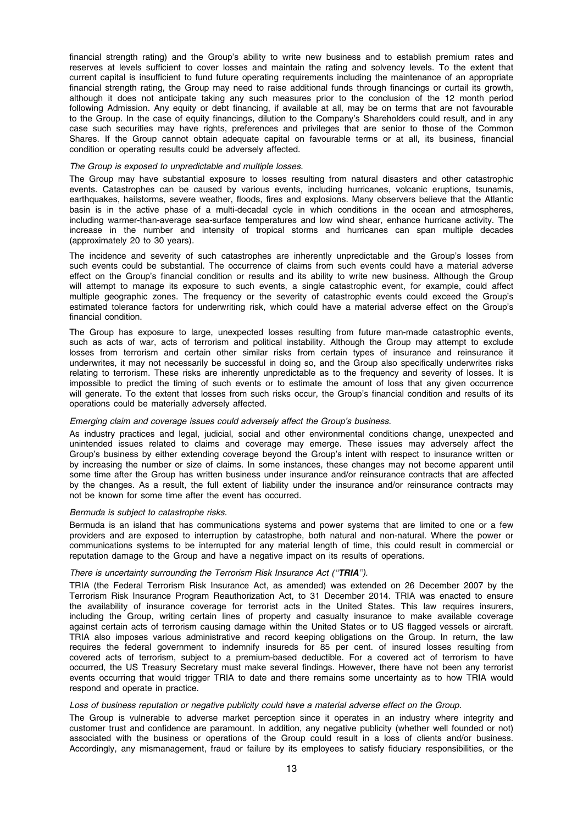financial strength rating) and the Group's ability to write new business and to establish premium rates and reserves at levels sufficient to cover losses and maintain the rating and solvency levels. To the extent that current capital is insufficient to fund future operating requirements including the maintenance of an appropriate financial strength rating, the Group may need to raise additional funds through financings or curtail its growth, although it does not anticipate taking any such measures prior to the conclusion of the 12 month period following Admission. Any equity or debt financing, if available at all, may be on terms that are not favourable to the Group. In the case of equity financings, dilution to the Company's Shareholders could result, and in any case such securities may have rights, preferences and privileges that are senior to those of the Common Shares. If the Group cannot obtain adequate capital on favourable terms or at all, its business, financial condition or operating results could be adversely affected.

#### The Group is exposed to unpredictable and multiple losses.

The Group may have substantial exposure to losses resulting from natural disasters and other catastrophic events. Catastrophes can be caused by various events, including hurricanes, volcanic eruptions, tsunamis, earthquakes, hailstorms, severe weather, floods, fires and explosions. Many observers believe that the Atlantic basin is in the active phase of a multi-decadal cycle in which conditions in the ocean and atmospheres, including warmer-than-average sea-surface temperatures and low wind shear, enhance hurricane activity. The increase in the number and intensity of tropical storms and hurricanes can span multiple decades (approximately 20 to 30 years).

The incidence and severity of such catastrophes are inherently unpredictable and the Group's losses from such events could be substantial. The occurrence of claims from such events could have a material adverse effect on the Group's financial condition or results and its ability to write new business. Although the Group will attempt to manage its exposure to such events, a single catastrophic event, for example, could affect multiple geographic zones. The frequency or the severity of catastrophic events could exceed the Group's estimated tolerance factors for underwriting risk, which could have a material adverse effect on the Group's financial condition.

The Group has exposure to large, unexpected losses resulting from future man-made catastrophic events, such as acts of war, acts of terrorism and political instability. Although the Group may attempt to exclude losses from terrorism and certain other similar risks from certain types of insurance and reinsurance it underwrites, it may not necessarily be successful in doing so, and the Group also specifically underwrites risks relating to terrorism. These risks are inherently unpredictable as to the frequency and severity of losses. It is impossible to predict the timing of such events or to estimate the amount of loss that any given occurrence will generate. To the extent that losses from such risks occur, the Group's financial condition and results of its operations could be materially adversely affected.

#### Emerging claim and coverage issues could adversely affect the Group's business.

As industry practices and legal, judicial, social and other environmental conditions change, unexpected and unintended issues related to claims and coverage may emerge. These issues may adversely affect the Group's business by either extending coverage beyond the Group's intent with respect to insurance written or by increasing the number or size of claims. In some instances, these changes may not become apparent until some time after the Group has written business under insurance and/or reinsurance contracts that are affected by the changes. As a result, the full extent of liability under the insurance and/or reinsurance contracts may not be known for some time after the event has occurred.

#### Bermuda is subject to catastrophe risks.

Bermuda is an island that has communications systems and power systems that are limited to one or a few providers and are exposed to interruption by catastrophe, both natural and non-natural. Where the power or communications systems to be interrupted for any material length of time, this could result in commercial or reputation damage to the Group and have a negative impact on its results of operations.

#### There is uncertainty surrounding the Terrorism Risk Insurance Act ("TRIA").

TRIA (the Federal Terrorism Risk Insurance Act, as amended) was extended on 26 December 2007 by the Terrorism Risk Insurance Program Reauthorization Act, to 31 December 2014. TRIA was enacted to ensure the availability of insurance coverage for terrorist acts in the United States. This law requires insurers, including the Group, writing certain lines of property and casualty insurance to make available coverage against certain acts of terrorism causing damage within the United States or to US flagged vessels or aircraft. TRIA also imposes various administrative and record keeping obligations on the Group. In return, the law requires the federal government to indemnify insureds for 85 per cent. of insured losses resulting from covered acts of terrorism, subject to a premium-based deductible. For a covered act of terrorism to have occurred, the US Treasury Secretary must make several findings. However, there have not been any terrorist events occurring that would trigger TRIA to date and there remains some uncertainty as to how TRIA would respond and operate in practice.

#### Loss of business reputation or negative publicity could have a material adverse effect on the Group.

The Group is vulnerable to adverse market perception since it operates in an industry where integrity and customer trust and confidence are paramount. In addition, any negative publicity (whether well founded or not) associated with the business or operations of the Group could result in a loss of clients and/or business. Accordingly, any mismanagement, fraud or failure by its employees to satisfy fiduciary responsibilities, or the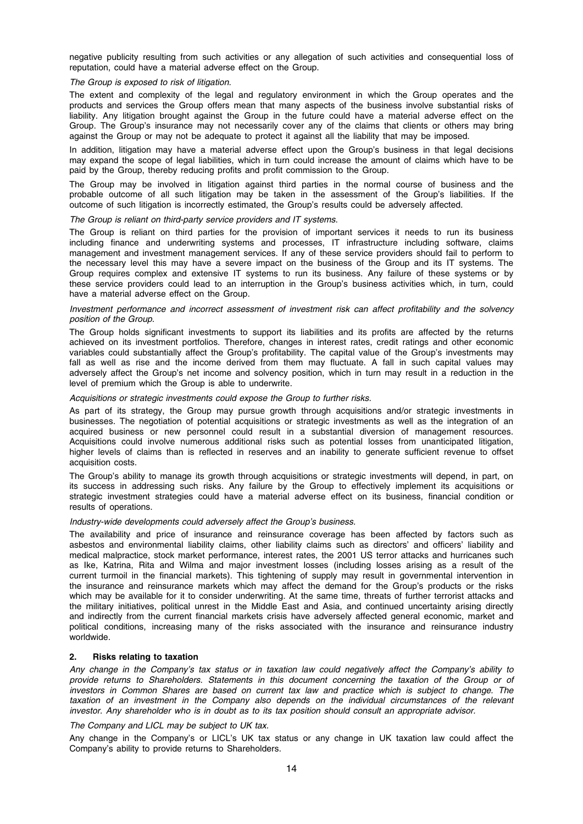negative publicity resulting from such activities or any allegation of such activities and consequential loss of reputation, could have a material adverse effect on the Group.

#### The Group is exposed to risk of litigation.

The extent and complexity of the legal and regulatory environment in which the Group operates and the products and services the Group offers mean that many aspects of the business involve substantial risks of liability. Any litigation brought against the Group in the future could have a material adverse effect on the Group. The Group's insurance may not necessarily cover any of the claims that clients or others may bring against the Group or may not be adequate to protect it against all the liability that may be imposed.

In addition, litigation may have a material adverse effect upon the Group's business in that legal decisions may expand the scope of legal liabilities, which in turn could increase the amount of claims which have to be paid by the Group, thereby reducing profits and profit commission to the Group.

The Group may be involved in litigation against third parties in the normal course of business and the probable outcome of all such litigation may be taken in the assessment of the Group's liabilities. If the outcome of such litigation is incorrectly estimated, the Group's results could be adversely affected.

#### The Group is reliant on third-party service providers and IT systems.

The Group is reliant on third parties for the provision of important services it needs to run its business including finance and underwriting systems and processes, IT infrastructure including software, claims management and investment management services. If any of these service providers should fail to perform to the necessary level this may have a severe impact on the business of the Group and its IT systems. The Group requires complex and extensive IT systems to run its business. Any failure of these systems or by these service providers could lead to an interruption in the Group's business activities which, in turn, could have a material adverse effect on the Group.

#### Investment performance and incorrect assessment of investment risk can affect profitability and the solvency position of the Group.

The Group holds significant investments to support its liabilities and its profits are affected by the returns achieved on its investment portfolios. Therefore, changes in interest rates, credit ratings and other economic variables could substantially affect the Group's profitability. The capital value of the Group's investments may fall as well as rise and the income derived from them may fluctuate. A fall in such capital values may adversely affect the Group's net income and solvency position, which in turn may result in a reduction in the level of premium which the Group is able to underwrite.

#### Acquisitions or strategic investments could expose the Group to further risks.

As part of its strategy, the Group may pursue growth through acquisitions and/or strategic investments in businesses. The negotiation of potential acquisitions or strategic investments as well as the integration of an acquired business or new personnel could result in a substantial diversion of management resources. Acquisitions could involve numerous additional risks such as potential losses from unanticipated litigation, higher levels of claims than is reflected in reserves and an inability to generate sufficient revenue to offset acquisition costs.

The Group's ability to manage its growth through acquisitions or strategic investments will depend, in part, on its success in addressing such risks. Any failure by the Group to effectively implement its acquisitions or strategic investment strategies could have a material adverse effect on its business, financial condition or results of operations.

#### Industry-wide developments could adversely affect the Group's business.

The availability and price of insurance and reinsurance coverage has been affected by factors such as asbestos and environmental liability claims, other liability claims such as directors' and officers' liability and medical malpractice, stock market performance, interest rates, the 2001 US terror attacks and hurricanes such as Ike, Katrina, Rita and Wilma and major investment losses (including losses arising as a result of the current turmoil in the financial markets). This tightening of supply may result in governmental intervention in the insurance and reinsurance markets which may affect the demand for the Group's products or the risks which may be available for it to consider underwriting. At the same time, threats of further terrorist attacks and the military initiatives, political unrest in the Middle East and Asia, and continued uncertainty arising directly and indirectly from the current financial markets crisis have adversely affected general economic, market and political conditions, increasing many of the risks associated with the insurance and reinsurance industry worldwide.

# 2. Risks relating to taxation

Any change in the Company's tax status or in taxation law could negatively affect the Company's ability to provide returns to Shareholders. Statements in this document concerning the taxation of the Group or of investors in Common Shares are based on current tax law and practice which is subject to change. The taxation of an investment in the Company also depends on the individual circumstances of the relevant investor. Any shareholder who is in doubt as to its tax position should consult an appropriate advisor.

The Company and LICL may be subject to UK tax.

Any change in the Company's or LICL's UK tax status or any change in UK taxation law could affect the Company's ability to provide returns to Shareholders.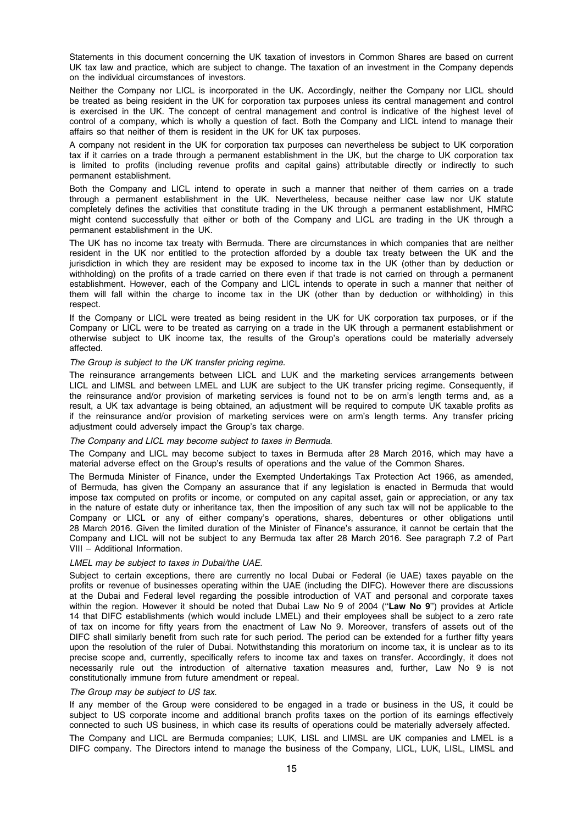Statements in this document concerning the UK taxation of investors in Common Shares are based on current UK tax law and practice, which are subject to change. The taxation of an investment in the Company depends on the individual circumstances of investors.

Neither the Company nor LICL is incorporated in the UK. Accordingly, neither the Company nor LICL should be treated as being resident in the UK for corporation tax purposes unless its central management and control is exercised in the UK. The concept of central management and control is indicative of the highest level of control of a company, which is wholly a question of fact. Both the Company and LICL intend to manage their affairs so that neither of them is resident in the UK for UK tax purposes.

A company not resident in the UK for corporation tax purposes can nevertheless be subject to UK corporation tax if it carries on a trade through a permanent establishment in the UK, but the charge to UK corporation tax is limited to profits (including revenue profits and capital gains) attributable directly or indirectly to such permanent establishment.

Both the Company and LICL intend to operate in such a manner that neither of them carries on a trade through a permanent establishment in the UK. Nevertheless, because neither case law nor UK statute completely defines the activities that constitute trading in the UK through a permanent establishment, HMRC might contend successfully that either or both of the Company and LICL are trading in the UK through a permanent establishment in the UK.

The UK has no income tax treaty with Bermuda. There are circumstances in which companies that are neither resident in the UK nor entitled to the protection afforded by a double tax treaty between the UK and the jurisdiction in which they are resident may be exposed to income tax in the UK (other than by deduction or withholding) on the profits of a trade carried on there even if that trade is not carried on through a permanent establishment. However, each of the Company and LICL intends to operate in such a manner that neither of them will fall within the charge to income tax in the UK (other than by deduction or withholding) in this respect.

If the Company or LICL were treated as being resident in the UK for UK corporation tax purposes, or if the Company or LICL were to be treated as carrying on a trade in the UK through a permanent establishment or otherwise subject to UK income tax, the results of the Group's operations could be materially adversely affected.

# The Group is subject to the UK transfer pricing regime.

The reinsurance arrangements between LICL and LUK and the marketing services arrangements between LICL and LIMSL and between LMEL and LUK are subject to the UK transfer pricing regime. Consequently, if the reinsurance and/or provision of marketing services is found not to be on arm's length terms and, as a result, a UK tax advantage is being obtained, an adjustment will be required to compute UK taxable profits as if the reinsurance and/or provision of marketing services were on arm's length terms. Any transfer pricing adjustment could adversely impact the Group's tax charge.

#### The Company and LICL may become subject to taxes in Bermuda.

The Company and LICL may become subject to taxes in Bermuda after 28 March 2016, which may have a material adverse effect on the Group's results of operations and the value of the Common Shares.

The Bermuda Minister of Finance, under the Exempted Undertakings Tax Protection Act 1966, as amended, of Bermuda, has given the Company an assurance that if any legislation is enacted in Bermuda that would impose tax computed on profits or income, or computed on any capital asset, gain or appreciation, or any tax in the nature of estate duty or inheritance tax, then the imposition of any such tax will not be applicable to the Company or LICL or any of either company's operations, shares, debentures or other obligations until 28 March 2016. Given the limited duration of the Minister of Finance's assurance, it cannot be certain that the Company and LICL will not be subject to any Bermuda tax after 28 March 2016. See paragraph 7.2 of Part VIII – Additional Information.

## LMEL may be subject to taxes in Dubai/the UAE.

Subject to certain exceptions, there are currently no local Dubai or Federal (ie UAE) taxes payable on the profits or revenue of businesses operating within the UAE (including the DIFC). However there are discussions at the Dubai and Federal level regarding the possible introduction of VAT and personal and corporate taxes within the region. However it should be noted that Dubai Law No 9 of 2004 ("Law No 9") provides at Article 14 that DIFC establishments (which would include LMEL) and their employees shall be subject to a zero rate of tax on income for fifty years from the enactment of Law No 9. Moreover, transfers of assets out of the DIFC shall similarly benefit from such rate for such period. The period can be extended for a further fifty years upon the resolution of the ruler of Dubai. Notwithstanding this moratorium on income tax, it is unclear as to its precise scope and, currently, specifically refers to income tax and taxes on transfer. Accordingly, it does not necessarily rule out the introduction of alternative taxation measures and, further, Law No 9 is not constitutionally immune from future amendment or repeal.

#### The Group may be subject to US tax.

If any member of the Group were considered to be engaged in a trade or business in the US, it could be subject to US corporate income and additional branch profits taxes on the portion of its earnings effectively connected to such US business, in which case its results of operations could be materially adversely affected.

The Company and LICL are Bermuda companies; LUK, LISL and LIMSL are UK companies and LMEL is a DIFC company. The Directors intend to manage the business of the Company, LICL, LUK, LISL, LIMSL and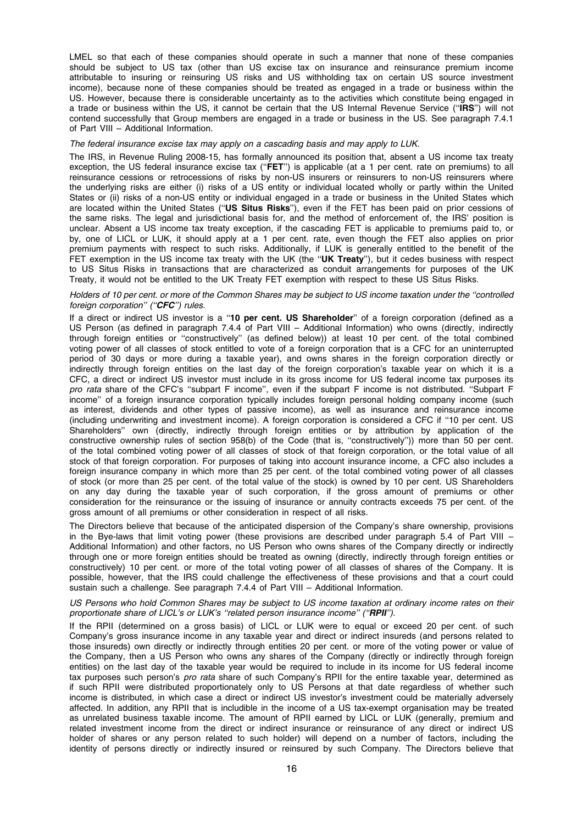LMEL so that each of these companies should operate in such a manner that none of these companies should be subject to US tax (other than US excise tax on insurance and reinsurance premium income attributable to insuring or reinsuring US risks and US withholding tax on certain US source investment income), because none of these companies should be treated as engaged in a trade or business within the US. However, because there is considerable uncertainty as to the activities which constitute being engaged in a trade or business within the US, it cannot be certain that the US Internal Revenue Service (''IRS'') will not contend successfully that Group members are engaged in a trade or business in the US. See paragraph 7.4.1 of Part VIII – Additional Information.

#### The federal insurance excise tax may apply on a cascading basis and may apply to LUK.

The IRS, in Revenue Ruling 2008-15, has formally announced its position that, absent a US income tax treaty exception, the US federal insurance excise tax ("FET") is applicable (at a 1 per cent. rate on premiums) to all reinsurance cessions or retrocessions of risks by non-US insurers or reinsurers to non-US reinsurers where the underlying risks are either (i) risks of a US entity or individual located wholly or partly within the United States or (ii) risks of a non-US entity or individual engaged in a trade or business in the United States which are located within the United States ("US Situs Risks"), even if the FET has been paid on prior cessions of the same risks. The legal and jurisdictional basis for, and the method of enforcement of, the IRS' position is unclear. Absent a US income tax treaty exception, if the cascading FET is applicable to premiums paid to, or by, one of LICL or LUK, it should apply at a 1 per cent. rate, even though the FET also applies on prior premium payments with respect to such risks. Additionally, if LUK is generally entitled to the benefit of the FET exemption in the US income tax treaty with the UK (the "UK Treaty"), but it cedes business with respect to US Situs Risks in transactions that are characterized as conduit arrangements for purposes of the UK Treaty, it would not be entitled to the UK Treaty FET exemption with respect to these US Situs Risks.

## Holders of 10 per cent. or more of the Common Shares may be subject to US income taxation under the ''controlled foreign corporation" ("CFC") rules.

If a direct or indirect US investor is a "10 per cent. US Shareholder" of a foreign corporation (defined as a US Person (as defined in paragraph 7.4.4 of Part VIII – Additional Information) who owns (directly, indirectly through foreign entities or ''constructively'' (as defined below)) at least 10 per cent. of the total combined voting power of all classes of stock entitled to vote of a foreign corporation that is a CFC for an uninterrupted period of 30 days or more during a taxable year), and owns shares in the foreign corporation directly or indirectly through foreign entities on the last day of the foreign corporation's taxable year on which it is a CFC, a direct or indirect US investor must include in its gross income for US federal income tax purposes its pro rata share of the CFC's "subpart F income", even if the subpart F income is not distributed. "Subpart F income'' of a foreign insurance corporation typically includes foreign personal holding company income (such as interest, dividends and other types of passive income), as well as insurance and reinsurance income (including underwriting and investment income). A foreign corporation is considered a CFC if ''10 per cent. US Shareholders'' own (directly, indirectly through foreign entities or by attribution by application of the constructive ownership rules of section 958(b) of the Code (that is, ''constructively'')) more than 50 per cent. of the total combined voting power of all classes of stock of that foreign corporation, or the total value of all stock of that foreign corporation. For purposes of taking into account insurance income, a CFC also includes a foreign insurance company in which more than 25 per cent. of the total combined voting power of all classes of stock (or more than 25 per cent. of the total value of the stock) is owned by 10 per cent. US Shareholders on any day during the taxable year of such corporation, if the gross amount of premiums or other consideration for the reinsurance or the issuing of insurance or annuity contracts exceeds 75 per cent. of the gross amount of all premiums or other consideration in respect of all risks.

The Directors believe that because of the anticipated dispersion of the Company's share ownership, provisions in the Bye-laws that limit voting power (these provisions are described under paragraph 5.4 of Part VIII – Additional Information) and other factors, no US Person who owns shares of the Company directly or indirectly through one or more foreign entities should be treated as owning (directly, indirectly through foreign entities or constructively) 10 per cent. or more of the total voting power of all classes of shares of the Company. It is possible, however, that the IRS could challenge the effectiveness of these provisions and that a court could sustain such a challenge. See paragraph 7.4.4 of Part VIII – Additional Information.

#### US Persons who hold Common Shares may be subject to US income taxation at ordinary income rates on their proportionate share of LICL's or LUK's "related person insurance income" ("RPII").

If the RPII (determined on a gross basis) of LICL or LUK were to equal or exceed 20 per cent. of such Company's gross insurance income in any taxable year and direct or indirect insureds (and persons related to those insureds) own directly or indirectly through entities 20 per cent. or more of the voting power or value of the Company, then a US Person who owns any shares of the Company (directly or indirectly through foreign entities) on the last day of the taxable year would be required to include in its income for US federal income tax purposes such person's pro rata share of such Company's RPII for the entire taxable year, determined as if such RPII were distributed proportionately only to US Persons at that date regardless of whether such income is distributed, in which case a direct or indirect US investor's investment could be materially adversely affected. In addition, any RPII that is includible in the income of a US tax-exempt organisation may be treated as unrelated business taxable income. The amount of RPII earned by LICL or LUK (generally, premium and related investment income from the direct or indirect insurance or reinsurance of any direct or indirect US holder of shares or any person related to such holder) will depend on a number of factors, including the identity of persons directly or indirectly insured or reinsured by such Company. The Directors believe that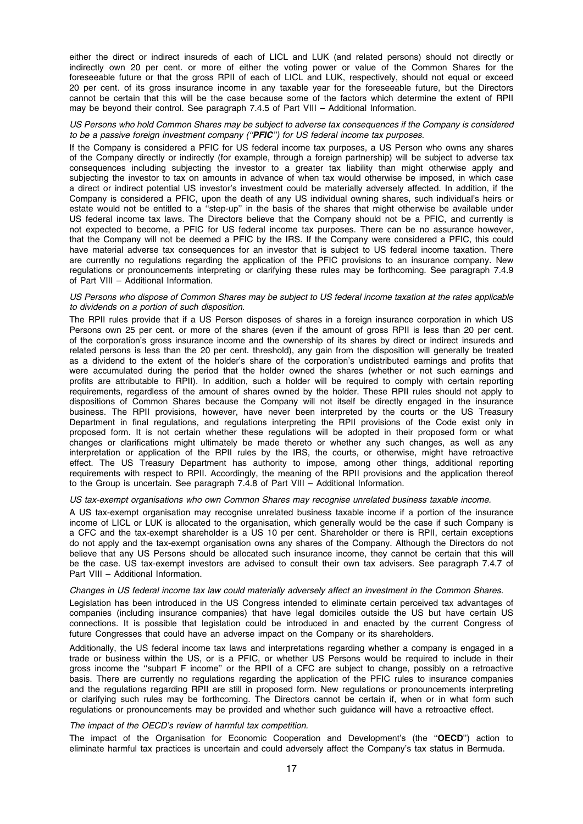either the direct or indirect insureds of each of LICL and LUK (and related persons) should not directly or indirectly own 20 per cent. or more of either the voting power or value of the Common Shares for the foreseeable future or that the gross RPII of each of LICL and LUK, respectively, should not equal or exceed 20 per cent. of its gross insurance income in any taxable year for the foreseeable future, but the Directors cannot be certain that this will be the case because some of the factors which determine the extent of RPII may be beyond their control. See paragraph 7.4.5 of Part VIII – Additional Information.

# US Persons who hold Common Shares may be subject to adverse tax consequences if the Company is considered to be a passive foreign investment company ("PFIC") for US federal income tax purposes.

If the Company is considered a PFIC for US federal income tax purposes, a US Person who owns any shares of the Company directly or indirectly (for example, through a foreign partnership) will be subject to adverse tax consequences including subjecting the investor to a greater tax liability than might otherwise apply and subjecting the investor to tax on amounts in advance of when tax would otherwise be imposed, in which case a direct or indirect potential US investor's investment could be materially adversely affected. In addition, if the Company is considered a PFIC, upon the death of any US individual owning shares, such individual's heirs or estate would not be entitled to a ''step-up'' in the basis of the shares that might otherwise be available under US federal income tax laws. The Directors believe that the Company should not be a PFIC, and currently is not expected to become, a PFIC for US federal income tax purposes. There can be no assurance however, that the Company will not be deemed a PFIC by the IRS. If the Company were considered a PFIC, this could have material adverse tax consequences for an investor that is subject to US federal income taxation. There are currently no regulations regarding the application of the PFIC provisions to an insurance company. New regulations or pronouncements interpreting or clarifying these rules may be forthcoming. See paragraph 7.4.9 of Part VIII – Additional Information.

## US Persons who dispose of Common Shares may be subject to US federal income taxation at the rates applicable to dividends on a portion of such disposition.

The RPII rules provide that if a US Person disposes of shares in a foreign insurance corporation in which US Persons own 25 per cent. or more of the shares (even if the amount of gross RPII is less than 20 per cent. of the corporation's gross insurance income and the ownership of its shares by direct or indirect insureds and related persons is less than the 20 per cent. threshold), any gain from the disposition will generally be treated as a dividend to the extent of the holder's share of the corporation's undistributed earnings and profits that were accumulated during the period that the holder owned the shares (whether or not such earnings and profits are attributable to RPII). In addition, such a holder will be required to comply with certain reporting requirements, regardless of the amount of shares owned by the holder. These RPII rules should not apply to dispositions of Common Shares because the Company will not itself be directly engaged in the insurance business. The RPII provisions, however, have never been interpreted by the courts or the US Treasury Department in final regulations, and regulations interpreting the RPII provisions of the Code exist only in proposed form. It is not certain whether these regulations will be adopted in their proposed form or what changes or clarifications might ultimately be made thereto or whether any such changes, as well as any interpretation or application of the RPII rules by the IRS, the courts, or otherwise, might have retroactive effect. The US Treasury Department has authority to impose, among other things, additional reporting requirements with respect to RPII. Accordingly, the meaning of the RPII provisions and the application thereof to the Group is uncertain. See paragraph 7.4.8 of Part VIII – Additional Information.

#### US tax-exempt organisations who own Common Shares may recognise unrelated business taxable income.

A US tax-exempt organisation may recognise unrelated business taxable income if a portion of the insurance income of LICL or LUK is allocated to the organisation, which generally would be the case if such Company is a CFC and the tax-exempt shareholder is a US 10 per cent. Shareholder or there is RPII, certain exceptions do not apply and the tax-exempt organisation owns any shares of the Company. Although the Directors do not believe that any US Persons should be allocated such insurance income, they cannot be certain that this will be the case. US tax-exempt investors are advised to consult their own tax advisers. See paragraph 7.4.7 of Part VIII – Additional Information.

#### Changes in US federal income tax law could materially adversely affect an investment in the Common Shares.

Legislation has been introduced in the US Congress intended to eliminate certain perceived tax advantages of companies (including insurance companies) that have legal domiciles outside the US but have certain US connections. It is possible that legislation could be introduced in and enacted by the current Congress of future Congresses that could have an adverse impact on the Company or its shareholders.

Additionally, the US federal income tax laws and interpretations regarding whether a company is engaged in a trade or business within the US, or is a PFIC, or whether US Persons would be required to include in their gross income the ''subpart F income'' or the RPII of a CFC are subject to change, possibly on a retroactive basis. There are currently no regulations regarding the application of the PFIC rules to insurance companies and the regulations regarding RPII are still in proposed form. New regulations or pronouncements interpreting or clarifying such rules may be forthcoming. The Directors cannot be certain if, when or in what form such regulations or pronouncements may be provided and whether such guidance will have a retroactive effect.

## The impact of the OECD's review of harmful tax competition.

The impact of the Organisation for Economic Cooperation and Development's (the "OECD") action to eliminate harmful tax practices is uncertain and could adversely affect the Company's tax status in Bermuda.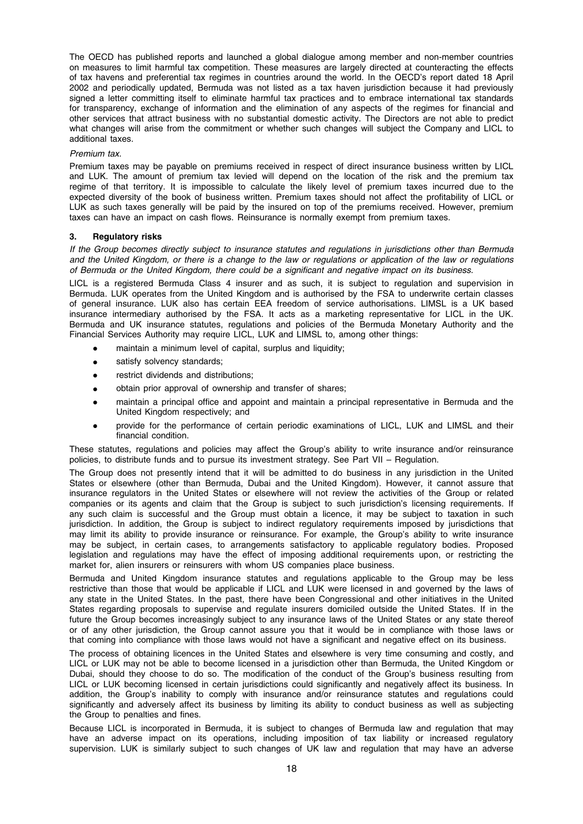The OECD has published reports and launched a global dialogue among member and non-member countries on measures to limit harmful tax competition. These measures are largely directed at counteracting the effects of tax havens and preferential tax regimes in countries around the world. In the OECD's report dated 18 April 2002 and periodically updated, Bermuda was not listed as a tax haven jurisdiction because it had previously signed a letter committing itself to eliminate harmful tax practices and to embrace international tax standards for transparency, exchange of information and the elimination of any aspects of the regimes for financial and other services that attract business with no substantial domestic activity. The Directors are not able to predict what changes will arise from the commitment or whether such changes will subject the Company and LICL to additional taxes.

#### Premium tax.

Premium taxes may be payable on premiums received in respect of direct insurance business written by LICL and LUK. The amount of premium tax levied will depend on the location of the risk and the premium tax regime of that territory. It is impossible to calculate the likely level of premium taxes incurred due to the expected diversity of the book of business written. Premium taxes should not affect the profitability of LICL or LUK as such taxes generally will be paid by the insured on top of the premiums received. However, premium taxes can have an impact on cash flows. Reinsurance is normally exempt from premium taxes.

#### 3. Regulatory risks

If the Group becomes directly subject to insurance statutes and regulations in jurisdictions other than Bermuda and the United Kingdom, or there is a change to the law or regulations or application of the law or regulations of Bermuda or the United Kingdom, there could be a significant and negative impact on its business.

LICL is a registered Bermuda Class 4 insurer and as such, it is subject to regulation and supervision in Bermuda. LUK operates from the United Kingdom and is authorised by the FSA to underwrite certain classes of general insurance. LUK also has certain EEA freedom of service authorisations. LIMSL is a UK based insurance intermediary authorised by the FSA. It acts as a marketing representative for LICL in the UK. Bermuda and UK insurance statutes, regulations and policies of the Bermuda Monetary Authority and the Financial Services Authority may require LICL, LUK and LIMSL to, among other things:

- maintain a minimum level of capital, surplus and liquidity;
- satisfy solvency standards;
- restrict dividends and distributions:
- obtain prior approval of ownership and transfer of shares;
- maintain a principal office and appoint and maintain a principal representative in Bermuda and the United Kingdom respectively; and
- provide for the performance of certain periodic examinations of LICL, LUK and LIMSL and their financial condition.

These statutes, regulations and policies may affect the Group's ability to write insurance and/or reinsurance policies, to distribute funds and to pursue its investment strategy. See Part VII – Regulation.

The Group does not presently intend that it will be admitted to do business in any jurisdiction in the United States or elsewhere (other than Bermuda, Dubai and the United Kingdom). However, it cannot assure that insurance regulators in the United States or elsewhere will not review the activities of the Group or related companies or its agents and claim that the Group is subject to such jurisdiction's licensing requirements. If any such claim is successful and the Group must obtain a licence, it may be subject to taxation in such jurisdiction. In addition, the Group is subject to indirect regulatory requirements imposed by jurisdictions that may limit its ability to provide insurance or reinsurance. For example, the Group's ability to write insurance may be subject, in certain cases, to arrangements satisfactory to applicable regulatory bodies. Proposed legislation and regulations may have the effect of imposing additional requirements upon, or restricting the market for, alien insurers or reinsurers with whom US companies place business.

Bermuda and United Kingdom insurance statutes and regulations applicable to the Group may be less restrictive than those that would be applicable if LICL and LUK were licensed in and governed by the laws of any state in the United States. In the past, there have been Congressional and other initiatives in the United States regarding proposals to supervise and regulate insurers domiciled outside the United States. If in the future the Group becomes increasingly subject to any insurance laws of the United States or any state thereof or of any other jurisdiction, the Group cannot assure you that it would be in compliance with those laws or that coming into compliance with those laws would not have a significant and negative effect on its business.

The process of obtaining licences in the United States and elsewhere is very time consuming and costly, and LICL or LUK may not be able to become licensed in a jurisdiction other than Bermuda, the United Kingdom or Dubai, should they choose to do so. The modification of the conduct of the Group's business resulting from LICL or LUK becoming licensed in certain jurisdictions could significantly and negatively affect its business. In addition, the Group's inability to comply with insurance and/or reinsurance statutes and regulations could significantly and adversely affect its business by limiting its ability to conduct business as well as subjecting the Group to penalties and fines.

Because LICL is incorporated in Bermuda, it is subject to changes of Bermuda law and regulation that may have an adverse impact on its operations, including imposition of tax liability or increased regulatory supervision. LUK is similarly subject to such changes of UK law and regulation that may have an adverse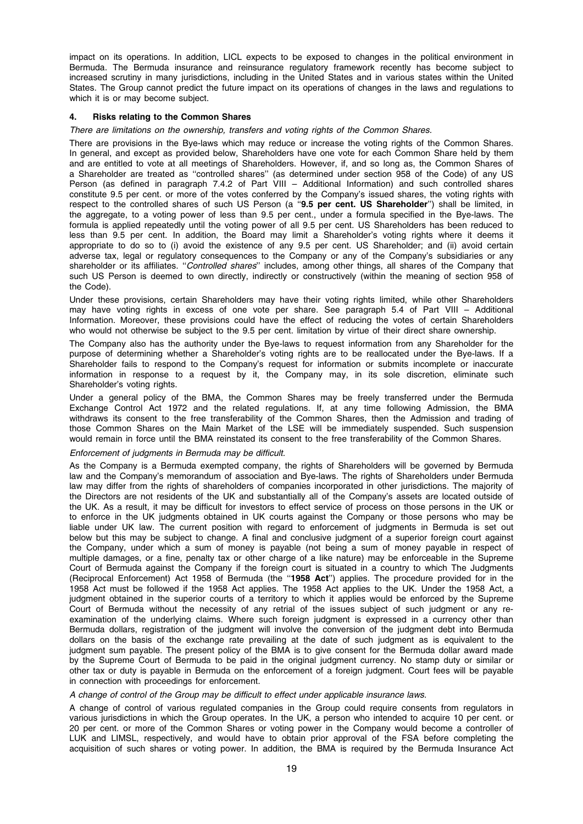impact on its operations. In addition, LICL expects to be exposed to changes in the political environment in Bermuda. The Bermuda insurance and reinsurance regulatory framework recently has become subject to increased scrutiny in many jurisdictions, including in the United States and in various states within the United States. The Group cannot predict the future impact on its operations of changes in the laws and regulations to which it is or may become subject.

## 4. Risks relating to the Common Shares

#### There are limitations on the ownership, transfers and voting rights of the Common Shares.

There are provisions in the Bye-laws which may reduce or increase the voting rights of the Common Shares. In general, and except as provided below, Shareholders have one vote for each Common Share held by them and are entitled to vote at all meetings of Shareholders. However, if, and so long as, the Common Shares of a Shareholder are treated as ''controlled shares'' (as determined under section 958 of the Code) of any US Person (as defined in paragraph 7.4.2 of Part VIII – Additional Information) and such controlled shares constitute 9.5 per cent. or more of the votes conferred by the Company's issued shares, the voting rights with respect to the controlled shares of such US Person (a "9.5 per cent. US Shareholder") shall be limited, in the aggregate, to a voting power of less than 9.5 per cent., under a formula specified in the Bye-laws. The formula is applied repeatedly until the voting power of all 9.5 per cent. US Shareholders has been reduced to less than 9.5 per cent. In addition, the Board may limit a Shareholder's voting rights where it deems it appropriate to do so to (i) avoid the existence of any 9.5 per cent. US Shareholder; and (ii) avoid certain adverse tax, legal or regulatory consequences to the Company or any of the Company's subsidiaries or any shareholder or its affiliates. "Controlled shares" includes, among other things, all shares of the Company that such US Person is deemed to own directly, indirectly or constructively (within the meaning of section 958 of the Code).

Under these provisions, certain Shareholders may have their voting rights limited, while other Shareholders may have voting rights in excess of one vote per share. See paragraph 5.4 of Part VIII – Additional Information. Moreover, these provisions could have the effect of reducing the votes of certain Shareholders who would not otherwise be subject to the 9.5 per cent. limitation by virtue of their direct share ownership.

The Company also has the authority under the Bye-laws to request information from any Shareholder for the purpose of determining whether a Shareholder's voting rights are to be reallocated under the Bye-laws. If a Shareholder fails to respond to the Company's request for information or submits incomplete or inaccurate information in response to a request by it, the Company may, in its sole discretion, eliminate such Shareholder's voting rights.

Under a general policy of the BMA, the Common Shares may be freely transferred under the Bermuda Exchange Control Act 1972 and the related regulations. If, at any time following Admission, the BMA withdraws its consent to the free transferability of the Common Shares, then the Admission and trading of those Common Shares on the Main Market of the LSE will be immediately suspended. Such suspension would remain in force until the BMA reinstated its consent to the free transferability of the Common Shares.

## Enforcement of judgments in Bermuda may be difficult.

As the Company is a Bermuda exempted company, the rights of Shareholders will be governed by Bermuda law and the Company's memorandum of association and Bye-laws. The rights of Shareholders under Bermuda law may differ from the rights of shareholders of companies incorporated in other jurisdictions. The majority of the Directors are not residents of the UK and substantially all of the Company's assets are located outside of the UK. As a result, it may be difficult for investors to effect service of process on those persons in the UK or to enforce in the UK judgments obtained in UK courts against the Company or those persons who may be liable under UK law. The current position with regard to enforcement of judgments in Bermuda is set out below but this may be subject to change. A final and conclusive judgment of a superior foreign court against the Company, under which a sum of money is payable (not being a sum of money payable in respect of multiple damages, or a fine, penalty tax or other charge of a like nature) may be enforceable in the Supreme Court of Bermuda against the Company if the foreign court is situated in a country to which The Judgments (Reciprocal Enforcement) Act 1958 of Bermuda (the ''1958 Act'') applies. The procedure provided for in the 1958 Act must be followed if the 1958 Act applies. The 1958 Act applies to the UK. Under the 1958 Act, a judgment obtained in the superior courts of a territory to which it applies would be enforced by the Supreme Court of Bermuda without the necessity of any retrial of the issues subject of such judgment or any reexamination of the underlying claims. Where such foreign judgment is expressed in a currency other than Bermuda dollars, registration of the judgment will involve the conversion of the judgment debt into Bermuda dollars on the basis of the exchange rate prevailing at the date of such judgment as is equivalent to the judgment sum payable. The present policy of the BMA is to give consent for the Bermuda dollar award made by the Supreme Court of Bermuda to be paid in the original judgment currency. No stamp duty or similar or other tax or duty is payable in Bermuda on the enforcement of a foreign judgment. Court fees will be payable in connection with proceedings for enforcement.

## A change of control of the Group may be difficult to effect under applicable insurance laws.

A change of control of various regulated companies in the Group could require consents from regulators in various jurisdictions in which the Group operates. In the UK, a person who intended to acquire 10 per cent. or 20 per cent. or more of the Common Shares or voting power in the Company would become a controller of LUK and LIMSL, respectively, and would have to obtain prior approval of the FSA before completing the acquisition of such shares or voting power. In addition, the BMA is required by the Bermuda Insurance Act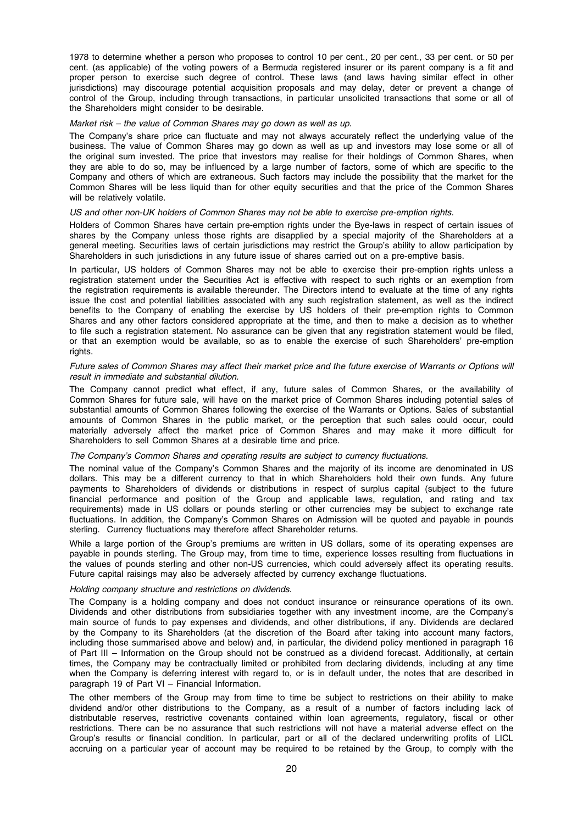1978 to determine whether a person who proposes to control 10 per cent., 20 per cent., 33 per cent. or 50 per cent. (as applicable) of the voting powers of a Bermuda registered insurer or its parent company is a fit and proper person to exercise such degree of control. These laws (and laws having similar effect in other jurisdictions) may discourage potential acquisition proposals and may delay, deter or prevent a change of control of the Group, including through transactions, in particular unsolicited transactions that some or all of the Shareholders might consider to be desirable.

#### Market risk – the value of Common Shares may go down as well as up.

The Company's share price can fluctuate and may not always accurately reflect the underlying value of the business. The value of Common Shares may go down as well as up and investors may lose some or all of the original sum invested. The price that investors may realise for their holdings of Common Shares, when they are able to do so, may be influenced by a large number of factors, some of which are specific to the Company and others of which are extraneous. Such factors may include the possibility that the market for the Common Shares will be less liquid than for other equity securities and that the price of the Common Shares will be relatively volatile.

#### US and other non-UK holders of Common Shares may not be able to exercise pre-emption rights.

Holders of Common Shares have certain pre-emption rights under the Bye-laws in respect of certain issues of shares by the Company unless those rights are disapplied by a special majority of the Shareholders at a general meeting. Securities laws of certain jurisdictions may restrict the Group's ability to allow participation by Shareholders in such jurisdictions in any future issue of shares carried out on a pre-emptive basis.

In particular, US holders of Common Shares may not be able to exercise their pre-emption rights unless a registration statement under the Securities Act is effective with respect to such rights or an exemption from the registration requirements is available thereunder. The Directors intend to evaluate at the time of any rights issue the cost and potential liabilities associated with any such registration statement, as well as the indirect benefits to the Company of enabling the exercise by US holders of their pre-emption rights to Common Shares and any other factors considered appropriate at the time, and then to make a decision as to whether to file such a registration statement. No assurance can be given that any registration statement would be filed, or that an exemption would be available, so as to enable the exercise of such Shareholders' pre-emption rights.

#### Future sales of Common Shares may affect their market price and the future exercise of Warrants or Options will result in immediate and substantial dilution.

The Company cannot predict what effect, if any, future sales of Common Shares, or the availability of Common Shares for future sale, will have on the market price of Common Shares including potential sales of substantial amounts of Common Shares following the exercise of the Warrants or Options. Sales of substantial amounts of Common Shares in the public market, or the perception that such sales could occur, could materially adversely affect the market price of Common Shares and may make it more difficult for Shareholders to sell Common Shares at a desirable time and price.

## The Company's Common Shares and operating results are subject to currency fluctuations.

The nominal value of the Company's Common Shares and the majority of its income are denominated in US dollars. This may be a different currency to that in which Shareholders hold their own funds. Any future payments to Shareholders of dividends or distributions in respect of surplus capital (subject to the future financial performance and position of the Group and applicable laws, regulation, and rating and tax requirements) made in US dollars or pounds sterling or other currencies may be subject to exchange rate fluctuations. In addition, the Company's Common Shares on Admission will be quoted and payable in pounds sterling. Currency fluctuations may therefore affect Shareholder returns.

While a large portion of the Group's premiums are written in US dollars, some of its operating expenses are payable in pounds sterling. The Group may, from time to time, experience losses resulting from fluctuations in the values of pounds sterling and other non-US currencies, which could adversely affect its operating results. Future capital raisings may also be adversely affected by currency exchange fluctuations.

## Holding company structure and restrictions on dividends.

The Company is a holding company and does not conduct insurance or reinsurance operations of its own. Dividends and other distributions from subsidiaries together with any investment income, are the Company's main source of funds to pay expenses and dividends, and other distributions, if any. Dividends are declared by the Company to its Shareholders (at the discretion of the Board after taking into account many factors, including those summarised above and below) and, in particular, the dividend policy mentioned in paragraph 16 of Part III – Information on the Group should not be construed as a dividend forecast. Additionally, at certain times, the Company may be contractually limited or prohibited from declaring dividends, including at any time when the Company is deferring interest with regard to, or is in default under, the notes that are described in paragraph 19 of Part VI – Financial Information.

The other members of the Group may from time to time be subject to restrictions on their ability to make dividend and/or other distributions to the Company, as a result of a number of factors including lack of distributable reserves, restrictive covenants contained within loan agreements, regulatory, fiscal or other restrictions. There can be no assurance that such restrictions will not have a material adverse effect on the Group's results or financial condition. In particular, part or all of the declared underwriting profits of LICL accruing on a particular year of account may be required to be retained by the Group, to comply with the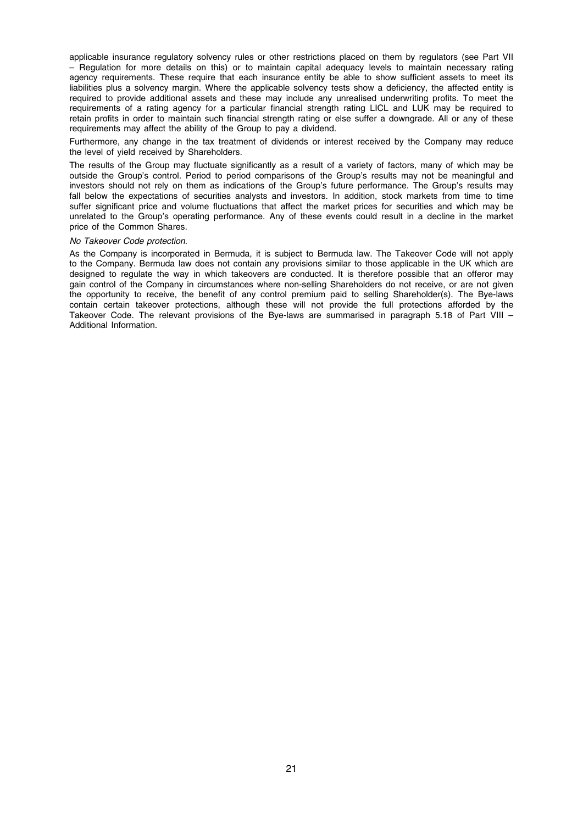applicable insurance regulatory solvency rules or other restrictions placed on them by regulators (see Part VII – Regulation for more details on this) or to maintain capital adequacy levels to maintain necessary rating agency requirements. These require that each insurance entity be able to show sufficient assets to meet its liabilities plus a solvency margin. Where the applicable solvency tests show a deficiency, the affected entity is required to provide additional assets and these may include any unrealised underwriting profits. To meet the requirements of a rating agency for a particular financial strength rating LICL and LUK may be required to retain profits in order to maintain such financial strength rating or else suffer a downgrade. All or any of these requirements may affect the ability of the Group to pay a dividend.

Furthermore, any change in the tax treatment of dividends or interest received by the Company may reduce the level of yield received by Shareholders.

The results of the Group may fluctuate significantly as a result of a variety of factors, many of which may be outside the Group's control. Period to period comparisons of the Group's results may not be meaningful and investors should not rely on them as indications of the Group's future performance. The Group's results may fall below the expectations of securities analysts and investors. In addition, stock markets from time to time suffer significant price and volume fluctuations that affect the market prices for securities and which may be unrelated to the Group's operating performance. Any of these events could result in a decline in the market price of the Common Shares.

#### No Takeover Code protection.

As the Company is incorporated in Bermuda, it is subject to Bermuda law. The Takeover Code will not apply to the Company. Bermuda law does not contain any provisions similar to those applicable in the UK which are designed to regulate the way in which takeovers are conducted. It is therefore possible that an offeror may gain control of the Company in circumstances where non-selling Shareholders do not receive, or are not given the opportunity to receive, the benefit of any control premium paid to selling Shareholder(s). The Bye-laws contain certain takeover protections, although these will not provide the full protections afforded by the Takeover Code. The relevant provisions of the Bye-laws are summarised in paragraph 5.18 of Part VIII – Additional Information.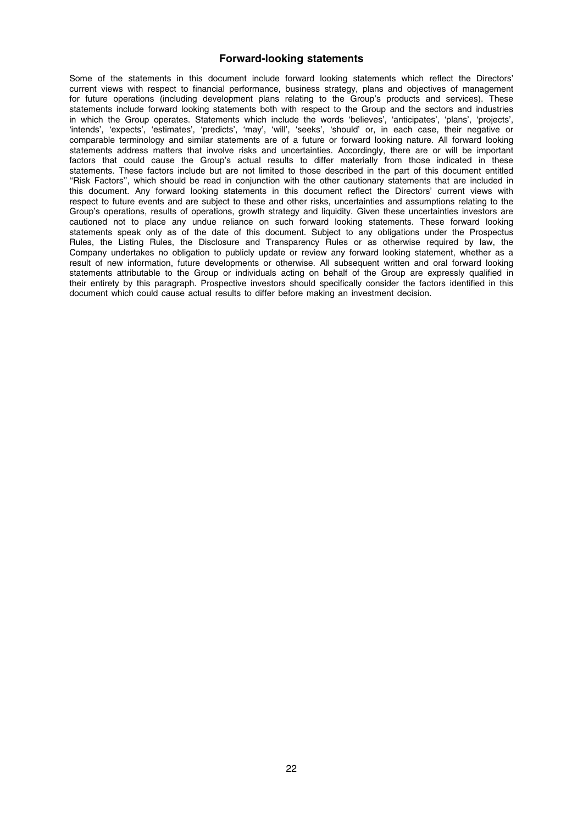# Forward-looking statements

Some of the statements in this document include forward looking statements which reflect the Directors' current views with respect to financial performance, business strategy, plans and objectives of management for future operations (including development plans relating to the Group's products and services). These statements include forward looking statements both with respect to the Group and the sectors and industries in which the Group operates. Statements which include the words 'believes', 'anticipates', 'plans', 'projects', 'intends', 'expects', 'estimates', 'predicts', 'may', 'will', 'seeks', 'should' or, in each case, their negative or comparable terminology and similar statements are of a future or forward looking nature. All forward looking statements address matters that involve risks and uncertainties. Accordingly, there are or will be important factors that could cause the Group's actual results to differ materially from those indicated in these statements. These factors include but are not limited to those described in the part of this document entitled ''Risk Factors'', which should be read in conjunction with the other cautionary statements that are included in this document. Any forward looking statements in this document reflect the Directors' current views with respect to future events and are subject to these and other risks, uncertainties and assumptions relating to the Group's operations, results of operations, growth strategy and liquidity. Given these uncertainties investors are cautioned not to place any undue reliance on such forward looking statements. These forward looking statements speak only as of the date of this document. Subject to any obligations under the Prospectus Rules, the Listing Rules, the Disclosure and Transparency Rules or as otherwise required by law, the Company undertakes no obligation to publicly update or review any forward looking statement, whether as a result of new information, future developments or otherwise. All subsequent written and oral forward looking statements attributable to the Group or individuals acting on behalf of the Group are expressly qualified in their entirety by this paragraph. Prospective investors should specifically consider the factors identified in this document which could cause actual results to differ before making an investment decision.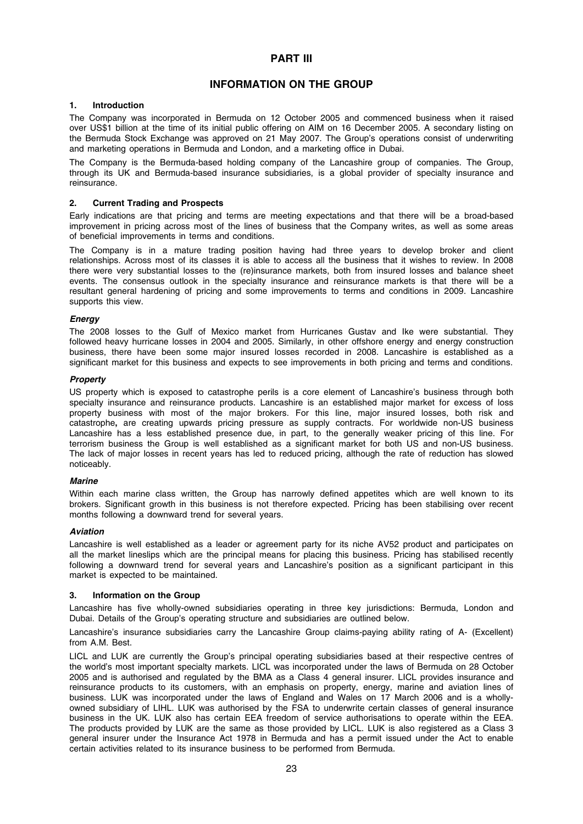# PART III

# INFORMATION ON THE GROUP

# 1. Introduction

The Company was incorporated in Bermuda on 12 October 2005 and commenced business when it raised over US\$1 billion at the time of its initial public offering on AIM on 16 December 2005. A secondary listing on the Bermuda Stock Exchange was approved on 21 May 2007. The Group's operations consist of underwriting and marketing operations in Bermuda and London, and a marketing office in Dubai.

The Company is the Bermuda-based holding company of the Lancashire group of companies. The Group, through its UK and Bermuda-based insurance subsidiaries, is a global provider of specialty insurance and reinsurance.

# 2. Current Trading and Prospects

Early indications are that pricing and terms are meeting expectations and that there will be a broad-based improvement in pricing across most of the lines of business that the Company writes, as well as some areas of beneficial improvements in terms and conditions.

The Company is in a mature trading position having had three years to develop broker and client relationships. Across most of its classes it is able to access all the business that it wishes to review. In 2008 there were very substantial losses to the (re)insurance markets, both from insured losses and balance sheet events. The consensus outlook in the specialty insurance and reinsurance markets is that there will be a resultant general hardening of pricing and some improvements to terms and conditions in 2009. Lancashire supports this view.

## **Energy**

The 2008 losses to the Gulf of Mexico market from Hurricanes Gustav and Ike were substantial. They followed heavy hurricane losses in 2004 and 2005. Similarly, in other offshore energy and energy construction business, there have been some major insured losses recorded in 2008. Lancashire is established as a significant market for this business and expects to see improvements in both pricing and terms and conditions.

## **Property**

US property which is exposed to catastrophe perils is a core element of Lancashire's business through both specialty insurance and reinsurance products. Lancashire is an established major market for excess of loss property business with most of the major brokers. For this line, major insured losses, both risk and catastrophe, are creating upwards pricing pressure as supply contracts. For worldwide non-US business Lancashire has a less established presence due, in part, to the generally weaker pricing of this line. For terrorism business the Group is well established as a significant market for both US and non-US business. The lack of major losses in recent years has led to reduced pricing, although the rate of reduction has slowed noticeably.

## **Marine**

Within each marine class written, the Group has narrowly defined appetites which are well known to its brokers. Significant growth in this business is not therefore expected. Pricing has been stabilising over recent months following a downward trend for several years.

# Aviation

Lancashire is well established as a leader or agreement party for its niche AV52 product and participates on all the market lineslips which are the principal means for placing this business. Pricing has stabilised recently following a downward trend for several years and Lancashire's position as a significant participant in this market is expected to be maintained.

## 3. Information on the Group

Lancashire has five wholly-owned subsidiaries operating in three key jurisdictions: Bermuda, London and Dubai. Details of the Group's operating structure and subsidiaries are outlined below.

Lancashire's insurance subsidiaries carry the Lancashire Group claims-paying ability rating of A- (Excellent) from A.M. Best.

LICL and LUK are currently the Group's principal operating subsidiaries based at their respective centres of the world's most important specialty markets. LICL was incorporated under the laws of Bermuda on 28 October 2005 and is authorised and regulated by the BMA as a Class 4 general insurer. LICL provides insurance and reinsurance products to its customers, with an emphasis on property, energy, marine and aviation lines of business. LUK was incorporated under the laws of England and Wales on 17 March 2006 and is a whollyowned subsidiary of LIHL. LUK was authorised by the FSA to underwrite certain classes of general insurance business in the UK. LUK also has certain EEA freedom of service authorisations to operate within the EEA. The products provided by LUK are the same as those provided by LICL. LUK is also registered as a Class 3 general insurer under the Insurance Act 1978 in Bermuda and has a permit issued under the Act to enable certain activities related to its insurance business to be performed from Bermuda.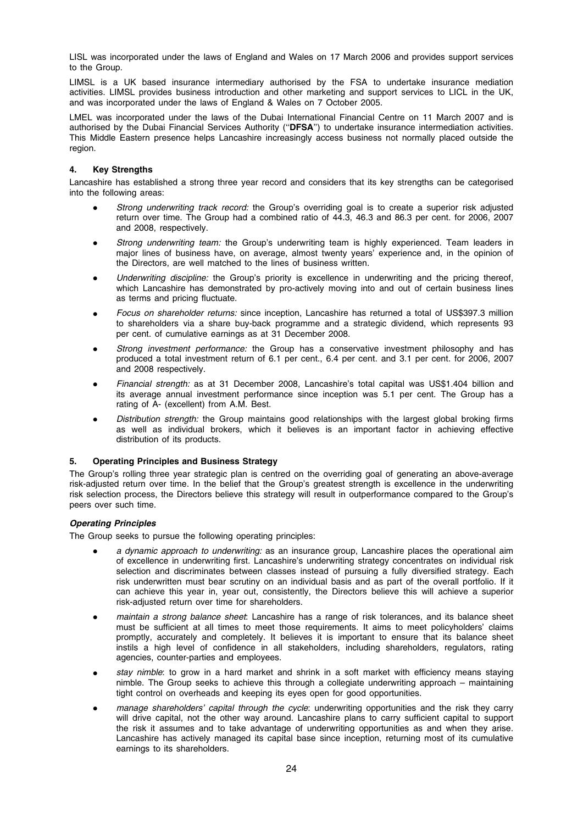LISL was incorporated under the laws of England and Wales on 17 March 2006 and provides support services to the Group.

LIMSL is a UK based insurance intermediary authorised by the FSA to undertake insurance mediation activities. LIMSL provides business introduction and other marketing and support services to LICL in the UK, and was incorporated under the laws of England & Wales on 7 October 2005.

LMEL was incorporated under the laws of the Dubai International Financial Centre on 11 March 2007 and is authorised by the Dubai Financial Services Authority ("DFSA") to undertake insurance intermediation activities. This Middle Eastern presence helps Lancashire increasingly access business not normally placed outside the region.

# 4. Key Strengths

Lancashire has established a strong three year record and considers that its key strengths can be categorised into the following areas:

- Strong underwriting track record: the Group's overriding goal is to create a superior risk adjusted return over time. The Group had a combined ratio of 44.3, 46.3 and 86.3 per cent. for 2006, 2007 and 2008, respectively.
- Strong underwriting team: the Group's underwriting team is highly experienced. Team leaders in major lines of business have, on average, almost twenty years' experience and, in the opinion of the Directors, are well matched to the lines of business written.
- Underwriting discipline: the Group's priority is excellence in underwriting and the pricing thereof, which Lancashire has demonstrated by pro-actively moving into and out of certain business lines as terms and pricing fluctuate.
- Focus on shareholder returns: since inception, Lancashire has returned a total of US\$397.3 million to shareholders via a share buy-back programme and a strategic dividend, which represents 93 per cent. of cumulative earnings as at 31 December 2008.
- Strong investment performance: the Group has a conservative investment philosophy and has produced a total investment return of 6.1 per cent., 6.4 per cent. and 3.1 per cent. for 2006, 2007 and 2008 respectively.
- Financial strength: as at 31 December 2008, Lancashire's total capital was US\$1.404 billion and its average annual investment performance since inception was 5.1 per cent. The Group has a rating of A- (excellent) from A.M. Best.
- Distribution strength: the Group maintains good relationships with the largest global broking firms as well as individual brokers, which it believes is an important factor in achieving effective distribution of its products.

## 5. Operating Principles and Business Strategy

The Group's rolling three year strategic plan is centred on the overriding goal of generating an above-average risk-adjusted return over time. In the belief that the Group's greatest strength is excellence in the underwriting risk selection process, the Directors believe this strategy will result in outperformance compared to the Group's peers over such time.

# Operating Principles

The Group seeks to pursue the following operating principles:

- a dynamic approach to underwriting: as an insurance group, Lancashire places the operational aim of excellence in underwriting first. Lancashire's underwriting strategy concentrates on individual risk selection and discriminates between classes instead of pursuing a fully diversified strategy. Each risk underwritten must bear scrutiny on an individual basis and as part of the overall portfolio. If it can achieve this year in, year out, consistently, the Directors believe this will achieve a superior risk-adjusted return over time for shareholders.
- maintain a strong balance sheet: Lancashire has a range of risk tolerances, and its balance sheet must be sufficient at all times to meet those requirements. It aims to meet policyholders' claims promptly, accurately and completely. It believes it is important to ensure that its balance sheet instils a high level of confidence in all stakeholders, including shareholders, regulators, rating agencies, counter-parties and employees.
- stay nimble: to grow in a hard market and shrink in a soft market with efficiency means staying nimble. The Group seeks to achieve this through a collegiate underwriting approach – maintaining tight control on overheads and keeping its eyes open for good opportunities.
- manage shareholders' capital through the cycle: underwriting opportunities and the risk they carry will drive capital, not the other way around. Lancashire plans to carry sufficient capital to support the risk it assumes and to take advantage of underwriting opportunities as and when they arise. Lancashire has actively managed its capital base since inception, returning most of its cumulative earnings to its shareholders.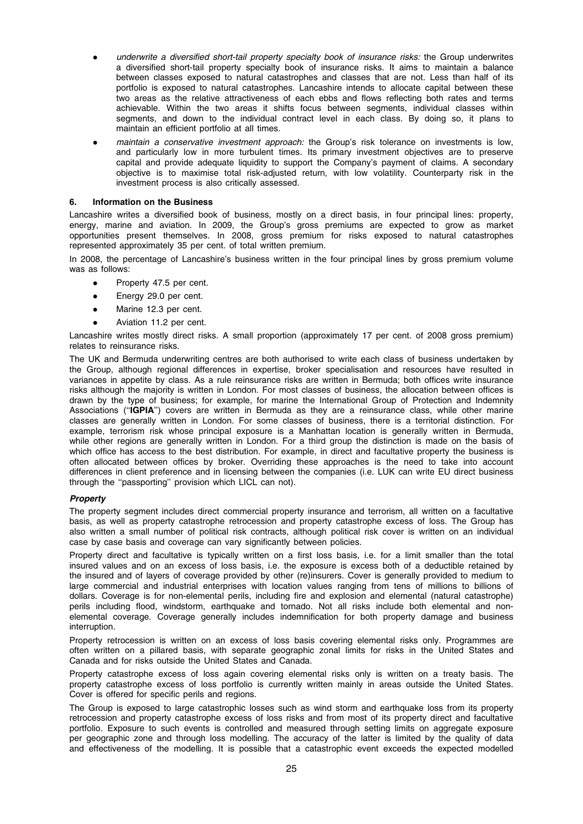- underwrite a diversified short-tail property specialty book of insurance risks: the Group underwrites a diversified short-tail property specialty book of insurance risks. It aims to maintain a balance between classes exposed to natural catastrophes and classes that are not. Less than half of its portfolio is exposed to natural catastrophes. Lancashire intends to allocate capital between these two areas as the relative attractiveness of each ebbs and flows reflecting both rates and terms achievable. Within the two areas it shifts focus between segments, individual classes within segments, and down to the individual contract level in each class. By doing so, it plans to maintain an efficient portfolio at all times.
- maintain a conservative investment approach: the Group's risk tolerance on investments is low, and particularly low in more turbulent times. Its primary investment objectives are to preserve capital and provide adequate liquidity to support the Company's payment of claims. A secondary objective is to maximise total risk-adjusted return, with low volatility. Counterparty risk in the investment process is also critically assessed.

#### 6. Information on the Business

Lancashire writes a diversified book of business, mostly on a direct basis, in four principal lines: property, energy, marine and aviation. In 2009, the Group's gross premiums are expected to grow as market opportunities present themselves. In 2008, gross premium for risks exposed to natural catastrophes represented approximately 35 per cent. of total written premium.

In 2008, the percentage of Lancashire's business written in the four principal lines by gross premium volume was as follows:

- Property 47.5 per cent.
- Energy 29.0 per cent.
- Marine 12.3 per cent.
- Aviation 11.2 per cent.

Lancashire writes mostly direct risks. A small proportion (approximately 17 per cent. of 2008 gross premium) relates to reinsurance risks.

The UK and Bermuda underwriting centres are both authorised to write each class of business undertaken by the Group, although regional differences in expertise, broker specialisation and resources have resulted in variances in appetite by class. As a rule reinsurance risks are written in Bermuda; both offices write insurance risks although the majority is written in London. For most classes of business, the allocation between offices is drawn by the type of business; for example, for marine the International Group of Protection and Indemnity Associations ("IGPIA") covers are written in Bermuda as they are a reinsurance class, while other marine classes are generally written in London. For some classes of business, there is a territorial distinction. For example, terrorism risk whose principal exposure is a Manhattan location is generally written in Bermuda, while other regions are generally written in London. For a third group the distinction is made on the basis of which office has access to the best distribution. For example, in direct and facultative property the business is often allocated between offices by broker. Overriding these approaches is the need to take into account differences in client preference and in licensing between the companies (i.e. LUK can write EU direct business through the ''passporting'' provision which LICL can not).

#### Property

The property segment includes direct commercial property insurance and terrorism, all written on a facultative basis, as well as property catastrophe retrocession and property catastrophe excess of loss. The Group has also written a small number of political risk contracts, although political risk cover is written on an individual case by case basis and coverage can vary significantly between policies.

Property direct and facultative is typically written on a first loss basis, i.e. for a limit smaller than the total insured values and on an excess of loss basis, i.e. the exposure is excess both of a deductible retained by the insured and of layers of coverage provided by other (re)insurers. Cover is generally provided to medium to large commercial and industrial enterprises with location values ranging from tens of millions to billions of dollars. Coverage is for non-elemental perils, including fire and explosion and elemental (natural catastrophe) perils including flood, windstorm, earthquake and tornado. Not all risks include both elemental and nonelemental coverage. Coverage generally includes indemnification for both property damage and business interruption.

Property retrocession is written on an excess of loss basis covering elemental risks only. Programmes are often written on a pillared basis, with separate geographic zonal limits for risks in the United States and Canada and for risks outside the United States and Canada.

Property catastrophe excess of loss again covering elemental risks only is written on a treaty basis. The property catastrophe excess of loss portfolio is currently written mainly in areas outside the United States. Cover is offered for specific perils and regions.

The Group is exposed to large catastrophic losses such as wind storm and earthquake loss from its property retrocession and property catastrophe excess of loss risks and from most of its property direct and facultative portfolio. Exposure to such events is controlled and measured through setting limits on aggregate exposure per geographic zone and through loss modelling. The accuracy of the latter is limited by the quality of data and effectiveness of the modelling. It is possible that a catastrophic event exceeds the expected modelled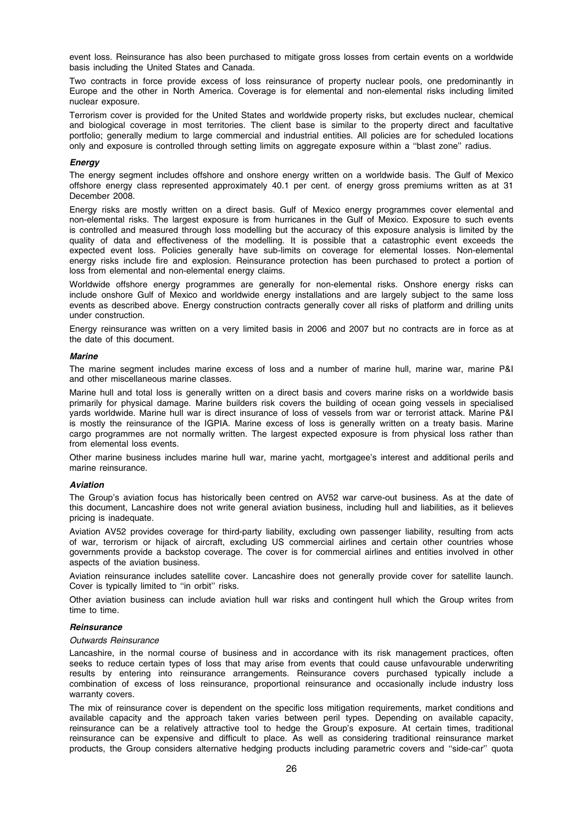event loss. Reinsurance has also been purchased to mitigate gross losses from certain events on a worldwide basis including the United States and Canada.

Two contracts in force provide excess of loss reinsurance of property nuclear pools, one predominantly in Europe and the other in North America. Coverage is for elemental and non-elemental risks including limited nuclear exposure.

Terrorism cover is provided for the United States and worldwide property risks, but excludes nuclear, chemical and biological coverage in most territories. The client base is similar to the property direct and facultative portfolio; generally medium to large commercial and industrial entities. All policies are for scheduled locations only and exposure is controlled through setting limits on aggregate exposure within a ''blast zone'' radius.

## **Energy**

The energy segment includes offshore and onshore energy written on a worldwide basis. The Gulf of Mexico offshore energy class represented approximately 40.1 per cent. of energy gross premiums written as at 31 December 2008.

Energy risks are mostly written on a direct basis. Gulf of Mexico energy programmes cover elemental and non-elemental risks. The largest exposure is from hurricanes in the Gulf of Mexico. Exposure to such events is controlled and measured through loss modelling but the accuracy of this exposure analysis is limited by the quality of data and effectiveness of the modelling. It is possible that a catastrophic event exceeds the expected event loss. Policies generally have sub-limits on coverage for elemental losses. Non-elemental energy risks include fire and explosion. Reinsurance protection has been purchased to protect a portion of loss from elemental and non-elemental energy claims.

Worldwide offshore energy programmes are generally for non-elemental risks. Onshore energy risks can include onshore Gulf of Mexico and worldwide energy installations and are largely subject to the same loss events as described above. Energy construction contracts generally cover all risks of platform and drilling units under construction.

Energy reinsurance was written on a very limited basis in 2006 and 2007 but no contracts are in force as at the date of this document.

#### Marine

The marine segment includes marine excess of loss and a number of marine hull, marine war, marine P&I and other miscellaneous marine classes.

Marine hull and total loss is generally written on a direct basis and covers marine risks on a worldwide basis primarily for physical damage. Marine builders risk covers the building of ocean going vessels in specialised yards worldwide. Marine hull war is direct insurance of loss of vessels from war or terrorist attack. Marine P&I is mostly the reinsurance of the IGPIA. Marine excess of loss is generally written on a treaty basis. Marine cargo programmes are not normally written. The largest expected exposure is from physical loss rather than from elemental loss events.

Other marine business includes marine hull war, marine yacht, mortgagee's interest and additional perils and marine reinsurance.

#### Aviation

The Group's aviation focus has historically been centred on AV52 war carve-out business. As at the date of this document, Lancashire does not write general aviation business, including hull and liabilities, as it believes pricing is inadequate.

Aviation AV52 provides coverage for third-party liability, excluding own passenger liability, resulting from acts of war, terrorism or hijack of aircraft, excluding US commercial airlines and certain other countries whose governments provide a backstop coverage. The cover is for commercial airlines and entities involved in other aspects of the aviation business.

Aviation reinsurance includes satellite cover. Lancashire does not generally provide cover for satellite launch. Cover is typically limited to "in orbit" risks.

Other aviation business can include aviation hull war risks and contingent hull which the Group writes from time to time.

# **Reinsurance**

#### Outwards Reinsurance

Lancashire, in the normal course of business and in accordance with its risk management practices, often seeks to reduce certain types of loss that may arise from events that could cause unfavourable underwriting results by entering into reinsurance arrangements. Reinsurance covers purchased typically include a combination of excess of loss reinsurance, proportional reinsurance and occasionally include industry loss warranty covers.

The mix of reinsurance cover is dependent on the specific loss mitigation requirements, market conditions and available capacity and the approach taken varies between peril types. Depending on available capacity, reinsurance can be a relatively attractive tool to hedge the Group's exposure. At certain times, traditional reinsurance can be expensive and difficult to place. As well as considering traditional reinsurance market products, the Group considers alternative hedging products including parametric covers and ''side-car'' quota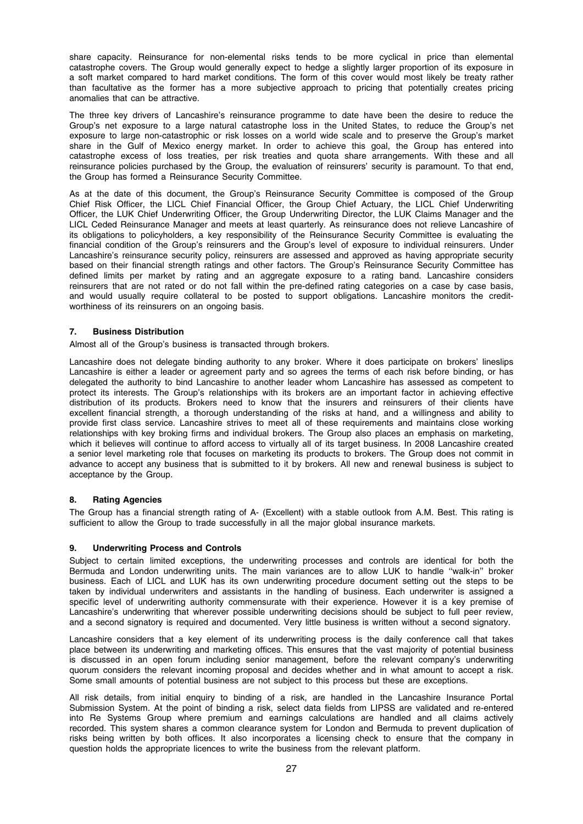share capacity. Reinsurance for non-elemental risks tends to be more cyclical in price than elemental catastrophe covers. The Group would generally expect to hedge a slightly larger proportion of its exposure in a soft market compared to hard market conditions. The form of this cover would most likely be treaty rather than facultative as the former has a more subjective approach to pricing that potentially creates pricing anomalies that can be attractive.

The three key drivers of Lancashire's reinsurance programme to date have been the desire to reduce the Group's net exposure to a large natural catastrophe loss in the United States, to reduce the Group's net exposure to large non-catastrophic or risk losses on a world wide scale and to preserve the Group's market share in the Gulf of Mexico energy market. In order to achieve this goal, the Group has entered into catastrophe excess of loss treaties, per risk treaties and quota share arrangements. With these and all reinsurance policies purchased by the Group, the evaluation of reinsurers' security is paramount. To that end, the Group has formed a Reinsurance Security Committee.

As at the date of this document, the Group's Reinsurance Security Committee is composed of the Group Chief Risk Officer, the LICL Chief Financial Officer, the Group Chief Actuary, the LICL Chief Underwriting Officer, the LUK Chief Underwriting Officer, the Group Underwriting Director, the LUK Claims Manager and the LICL Ceded Reinsurance Manager and meets at least quarterly. As reinsurance does not relieve Lancashire of its obligations to policyholders, a key responsibility of the Reinsurance Security Committee is evaluating the financial condition of the Group's reinsurers and the Group's level of exposure to individual reinsurers. Under Lancashire's reinsurance security policy, reinsurers are assessed and approved as having appropriate security based on their financial strength ratings and other factors. The Group's Reinsurance Security Committee has defined limits per market by rating and an aggregate exposure to a rating band. Lancashire considers reinsurers that are not rated or do not fall within the pre-defined rating categories on a case by case basis, and would usually require collateral to be posted to support obligations. Lancashire monitors the creditworthiness of its reinsurers on an ongoing basis.

# 7. Business Distribution

Almost all of the Group's business is transacted through brokers.

Lancashire does not delegate binding authority to any broker. Where it does participate on brokers' lineslips Lancashire is either a leader or agreement party and so agrees the terms of each risk before binding, or has delegated the authority to bind Lancashire to another leader whom Lancashire has assessed as competent to protect its interests. The Group's relationships with its brokers are an important factor in achieving effective distribution of its products. Brokers need to know that the insurers and reinsurers of their clients have excellent financial strength, a thorough understanding of the risks at hand, and a willingness and ability to provide first class service. Lancashire strives to meet all of these requirements and maintains close working relationships with key broking firms and individual brokers. The Group also places an emphasis on marketing, which it believes will continue to afford access to virtually all of its target business. In 2008 Lancashire created a senior level marketing role that focuses on marketing its products to brokers. The Group does not commit in advance to accept any business that is submitted to it by brokers. All new and renewal business is subject to acceptance by the Group.

## 8. Rating Agencies

The Group has a financial strength rating of A- (Excellent) with a stable outlook from A.M. Best. This rating is sufficient to allow the Group to trade successfully in all the major global insurance markets.

## 9. Underwriting Process and Controls

Subject to certain limited exceptions, the underwriting processes and controls are identical for both the Bermuda and London underwriting units. The main variances are to allow LUK to handle ''walk-in'' broker business. Each of LICL and LUK has its own underwriting procedure document setting out the steps to be taken by individual underwriters and assistants in the handling of business. Each underwriter is assigned a specific level of underwriting authority commensurate with their experience. However it is a key premise of Lancashire's underwriting that wherever possible underwriting decisions should be subject to full peer review, and a second signatory is required and documented. Very little business is written without a second signatory.

Lancashire considers that a key element of its underwriting process is the daily conference call that takes place between its underwriting and marketing offices. This ensures that the vast majority of potential business is discussed in an open forum including senior management, before the relevant company's underwriting quorum considers the relevant incoming proposal and decides whether and in what amount to accept a risk. Some small amounts of potential business are not subject to this process but these are exceptions.

All risk details, from initial enquiry to binding of a risk, are handled in the Lancashire Insurance Portal Submission System. At the point of binding a risk, select data fields from LIPSS are validated and re-entered into Re Systems Group where premium and earnings calculations are handled and all claims actively recorded. This system shares a common clearance system for London and Bermuda to prevent duplication of risks being written by both offices. It also incorporates a licensing check to ensure that the company in question holds the appropriate licences to write the business from the relevant platform.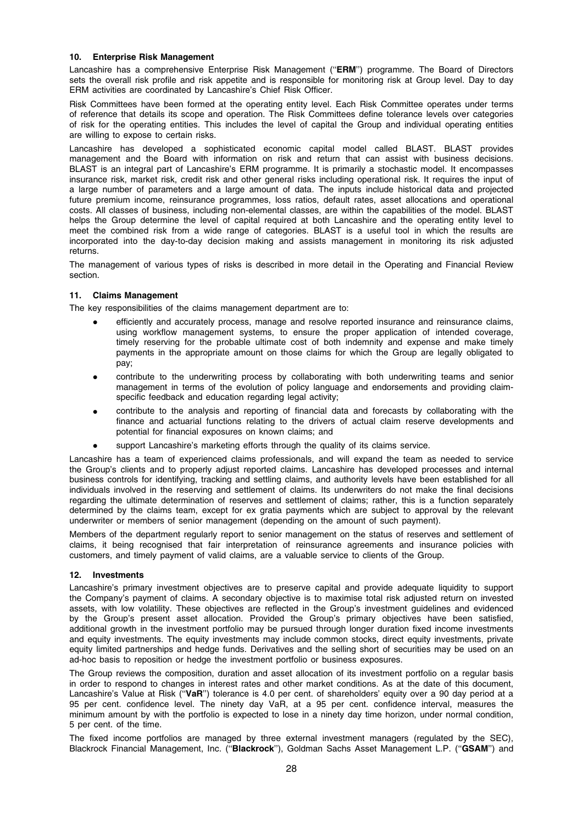## 10. Enterprise Risk Management

Lancashire has a comprehensive Enterprise Risk Management ("ERM") programme. The Board of Directors sets the overall risk profile and risk appetite and is responsible for monitoring risk at Group level. Day to day ERM activities are coordinated by Lancashire's Chief Risk Officer.

Risk Committees have been formed at the operating entity level. Each Risk Committee operates under terms of reference that details its scope and operation. The Risk Committees define tolerance levels over categories of risk for the operating entities. This includes the level of capital the Group and individual operating entities are willing to expose to certain risks.

Lancashire has developed a sophisticated economic capital model called BLAST. BLAST provides management and the Board with information on risk and return that can assist with business decisions. BLAST is an integral part of Lancashire's ERM programme. It is primarily a stochastic model. It encompasses insurance risk, market risk, credit risk and other general risks including operational risk. It requires the input of a large number of parameters and a large amount of data. The inputs include historical data and projected future premium income, reinsurance programmes, loss ratios, default rates, asset allocations and operational costs. All classes of business, including non-elemental classes, are within the capabilities of the model. BLAST helps the Group determine the level of capital required at both Lancashire and the operating entity level to meet the combined risk from a wide range of categories. BLAST is a useful tool in which the results are incorporated into the day-to-day decision making and assists management in monitoring its risk adjusted returns.

The management of various types of risks is described in more detail in the Operating and Financial Review section.

# 11. Claims Management

The key responsibilities of the claims management department are to:

- efficiently and accurately process, manage and resolve reported insurance and reinsurance claims, using workflow management systems, to ensure the proper application of intended coverage, timely reserving for the probable ultimate cost of both indemnity and expense and make timely payments in the appropriate amount on those claims for which the Group are legally obligated to pay;
- contribute to the underwriting process by collaborating with both underwriting teams and senior management in terms of the evolution of policy language and endorsements and providing claimspecific feedback and education regarding legal activity;
- contribute to the analysis and reporting of financial data and forecasts by collaborating with the finance and actuarial functions relating to the drivers of actual claim reserve developments and potential for financial exposures on known claims; and
- support Lancashire's marketing efforts through the quality of its claims service.

Lancashire has a team of experienced claims professionals, and will expand the team as needed to service the Group's clients and to properly adjust reported claims. Lancashire has developed processes and internal business controls for identifying, tracking and settling claims, and authority levels have been established for all individuals involved in the reserving and settlement of claims. Its underwriters do not make the final decisions regarding the ultimate determination of reserves and settlement of claims; rather, this is a function separately determined by the claims team, except for ex gratia payments which are subject to approval by the relevant underwriter or members of senior management (depending on the amount of such payment).

Members of the department regularly report to senior management on the status of reserves and settlement of claims, it being recognised that fair interpretation of reinsurance agreements and insurance policies with customers, and timely payment of valid claims, are a valuable service to clients of the Group.

# 12. Investments

Lancashire's primary investment objectives are to preserve capital and provide adequate liquidity to support the Company's payment of claims. A secondary objective is to maximise total risk adjusted return on invested assets, with low volatility. These objectives are reflected in the Group's investment guidelines and evidenced by the Group's present asset allocation. Provided the Group's primary objectives have been satisfied, additional growth in the investment portfolio may be pursued through longer duration fixed income investments and equity investments. The equity investments may include common stocks, direct equity investments, private equity limited partnerships and hedge funds. Derivatives and the selling short of securities may be used on an ad-hoc basis to reposition or hedge the investment portfolio or business exposures.

The Group reviews the composition, duration and asset allocation of its investment portfolio on a regular basis in order to respond to changes in interest rates and other market conditions. As at the date of this document, Lancashire's Value at Risk ("VaR") tolerance is 4.0 per cent. of shareholders' equity over a 90 day period at a 95 per cent. confidence level. The ninety day VaR, at a 95 per cent. confidence interval, measures the minimum amount by with the portfolio is expected to lose in a ninety day time horizon, under normal condition, 5 per cent. of the time.

The fixed income portfolios are managed by three external investment managers (regulated by the SEC), Blackrock Financial Management, Inc. ("Blackrock"), Goldman Sachs Asset Management L.P. ("GSAM") and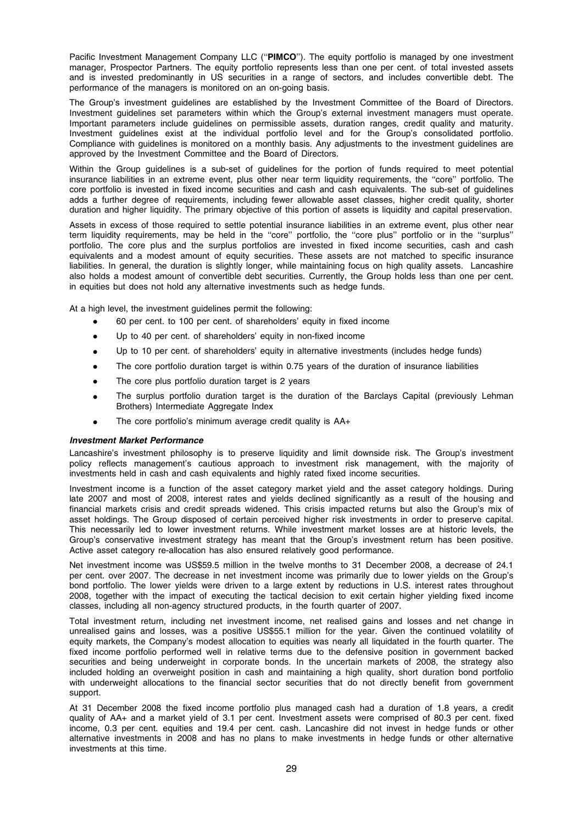Pacific Investment Management Company LLC ("PIMCO"). The equity portfolio is managed by one investment manager, Prospector Partners. The equity portfolio represents less than one per cent. of total invested assets and is invested predominantly in US securities in a range of sectors, and includes convertible debt. The performance of the managers is monitored on an on-going basis.

The Group's investment guidelines are established by the Investment Committee of the Board of Directors. Investment guidelines set parameters within which the Group's external investment managers must operate. Important parameters include guidelines on permissible assets, duration ranges, credit quality and maturity. Investment guidelines exist at the individual portfolio level and for the Group's consolidated portfolio. Compliance with guidelines is monitored on a monthly basis. Any adjustments to the investment guidelines are approved by the Investment Committee and the Board of Directors.

Within the Group guidelines is a sub-set of guidelines for the portion of funds required to meet potential insurance liabilities in an extreme event, plus other near term liquidity requirements, the ''core'' portfolio. The core portfolio is invested in fixed income securities and cash and cash equivalents. The sub-set of guidelines adds a further degree of requirements, including fewer allowable asset classes, higher credit quality, shorter duration and higher liquidity. The primary objective of this portion of assets is liquidity and capital preservation.

Assets in excess of those required to settle potential insurance liabilities in an extreme event, plus other near term liquidity requirements, may be held in the ''core'' portfolio, the ''core plus'' portfolio or in the ''surplus'' portfolio. The core plus and the surplus portfolios are invested in fixed income securities, cash and cash equivalents and a modest amount of equity securities. These assets are not matched to specific insurance liabilities. In general, the duration is slightly longer, while maintaining focus on high quality assets. Lancashire also holds a modest amount of convertible debt securities. Currently, the Group holds less than one per cent. in equities but does not hold any alternative investments such as hedge funds.

At a high level, the investment guidelines permit the following:

- 60 per cent. to 100 per cent. of shareholders' equity in fixed income
- Up to 40 per cent. of shareholders' equity in non-fixed income
- Up to 10 per cent. of shareholders' equity in alternative investments (includes hedge funds)
- The core portfolio duration target is within 0.75 years of the duration of insurance liabilities
- The core plus portfolio duration target is 2 years
- The surplus portfolio duration target is the duration of the Barclays Capital (previously Lehman Brothers) Intermediate Aggregate Index
- The core portfolio's minimum average credit quality is AA+

## Investment Market Performance

Lancashire's investment philosophy is to preserve liquidity and limit downside risk. The Group's investment policy reflects management's cautious approach to investment risk management, with the majority of investments held in cash and cash equivalents and highly rated fixed income securities.

Investment income is a function of the asset category market yield and the asset category holdings. During late 2007 and most of 2008, interest rates and yields declined significantly as a result of the housing and financial markets crisis and credit spreads widened. This crisis impacted returns but also the Group's mix of asset holdings. The Group disposed of certain perceived higher risk investments in order to preserve capital. This necessarily led to lower investment returns. While investment market losses are at historic levels, the Group's conservative investment strategy has meant that the Group's investment return has been positive. Active asset category re-allocation has also ensured relatively good performance.

Net investment income was US\$59.5 million in the twelve months to 31 December 2008, a decrease of 24.1 per cent. over 2007. The decrease in net investment income was primarily due to lower yields on the Group's bond portfolio. The lower yields were driven to a large extent by reductions in U.S. interest rates throughout 2008, together with the impact of executing the tactical decision to exit certain higher yielding fixed income classes, including all non-agency structured products, in the fourth quarter of 2007.

Total investment return, including net investment income, net realised gains and losses and net change in unrealised gains and losses, was a positive US\$55.1 million for the year. Given the continued volatility of equity markets, the Company's modest allocation to equities was nearly all liquidated in the fourth quarter. The fixed income portfolio performed well in relative terms due to the defensive position in government backed securities and being underweight in corporate bonds. In the uncertain markets of 2008, the strategy also included holding an overweight position in cash and maintaining a high quality, short duration bond portfolio with underweight allocations to the financial sector securities that do not directly benefit from government support.

At 31 December 2008 the fixed income portfolio plus managed cash had a duration of 1.8 years, a credit quality of AA+ and a market yield of 3.1 per cent. Investment assets were comprised of 80.3 per cent. fixed income, 0.3 per cent. equities and 19.4 per cent. cash. Lancashire did not invest in hedge funds or other alternative investments in 2008 and has no plans to make investments in hedge funds or other alternative investments at this time.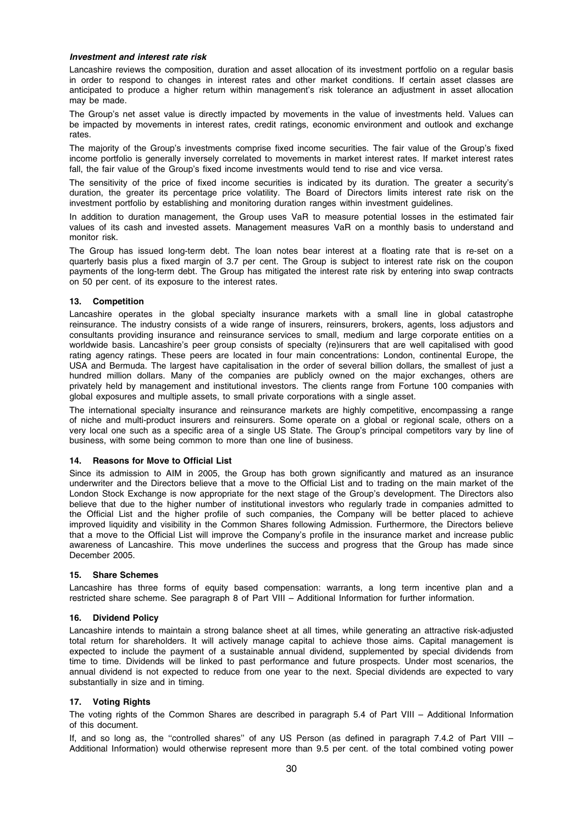#### Investment and interest rate risk

Lancashire reviews the composition, duration and asset allocation of its investment portfolio on a regular basis in order to respond to changes in interest rates and other market conditions. If certain asset classes are anticipated to produce a higher return within management's risk tolerance an adjustment in asset allocation may be made.

The Group's net asset value is directly impacted by movements in the value of investments held. Values can be impacted by movements in interest rates, credit ratings, economic environment and outlook and exchange rates.

The majority of the Group's investments comprise fixed income securities. The fair value of the Group's fixed income portfolio is generally inversely correlated to movements in market interest rates. If market interest rates fall, the fair value of the Group's fixed income investments would tend to rise and vice versa.

The sensitivity of the price of fixed income securities is indicated by its duration. The greater a security's duration, the greater its percentage price volatility. The Board of Directors limits interest rate risk on the investment portfolio by establishing and monitoring duration ranges within investment guidelines.

In addition to duration management, the Group uses VaR to measure potential losses in the estimated fair values of its cash and invested assets. Management measures VaR on a monthly basis to understand and monitor risk.

The Group has issued long-term debt. The loan notes bear interest at a floating rate that is re-set on a quarterly basis plus a fixed margin of 3.7 per cent. The Group is subject to interest rate risk on the coupon payments of the long-term debt. The Group has mitigated the interest rate risk by entering into swap contracts on 50 per cent. of its exposure to the interest rates.

## 13. Competition

Lancashire operates in the global specialty insurance markets with a small line in global catastrophe reinsurance. The industry consists of a wide range of insurers, reinsurers, brokers, agents, loss adjustors and consultants providing insurance and reinsurance services to small, medium and large corporate entities on a worldwide basis. Lancashire's peer group consists of specialty (re)insurers that are well capitalised with good rating agency ratings. These peers are located in four main concentrations: London, continental Europe, the USA and Bermuda. The largest have capitalisation in the order of several billion dollars, the smallest of just a hundred million dollars. Many of the companies are publicly owned on the major exchanges, others are privately held by management and institutional investors. The clients range from Fortune 100 companies with global exposures and multiple assets, to small private corporations with a single asset.

The international specialty insurance and reinsurance markets are highly competitive, encompassing a range of niche and multi-product insurers and reinsurers. Some operate on a global or regional scale, others on a very local one such as a specific area of a single US State. The Group's principal competitors vary by line of business, with some being common to more than one line of business.

## 14. Reasons for Move to Official List

Since its admission to AIM in 2005, the Group has both grown significantly and matured as an insurance underwriter and the Directors believe that a move to the Official List and to trading on the main market of the London Stock Exchange is now appropriate for the next stage of the Group's development. The Directors also believe that due to the higher number of institutional investors who regularly trade in companies admitted to the Official List and the higher profile of such companies, the Company will be better placed to achieve improved liquidity and visibility in the Common Shares following Admission. Furthermore, the Directors believe that a move to the Official List will improve the Company's profile in the insurance market and increase public awareness of Lancashire. This move underlines the success and progress that the Group has made since December 2005.

# 15. Share Schemes

Lancashire has three forms of equity based compensation: warrants, a long term incentive plan and a restricted share scheme. See paragraph 8 of Part VIII – Additional Information for further information.

## 16. Dividend Policy

Lancashire intends to maintain a strong balance sheet at all times, while generating an attractive risk-adjusted total return for shareholders. It will actively manage capital to achieve those aims. Capital management is expected to include the payment of a sustainable annual dividend, supplemented by special dividends from time to time. Dividends will be linked to past performance and future prospects. Under most scenarios, the annual dividend is not expected to reduce from one year to the next. Special dividends are expected to vary substantially in size and in timing.

## 17. Voting Rights

The voting rights of the Common Shares are described in paragraph 5.4 of Part VIII – Additional Information of this document.

If, and so long as, the "controlled shares" of any US Person (as defined in paragraph 7.4.2 of Part VIII – Additional Information) would otherwise represent more than 9.5 per cent. of the total combined voting power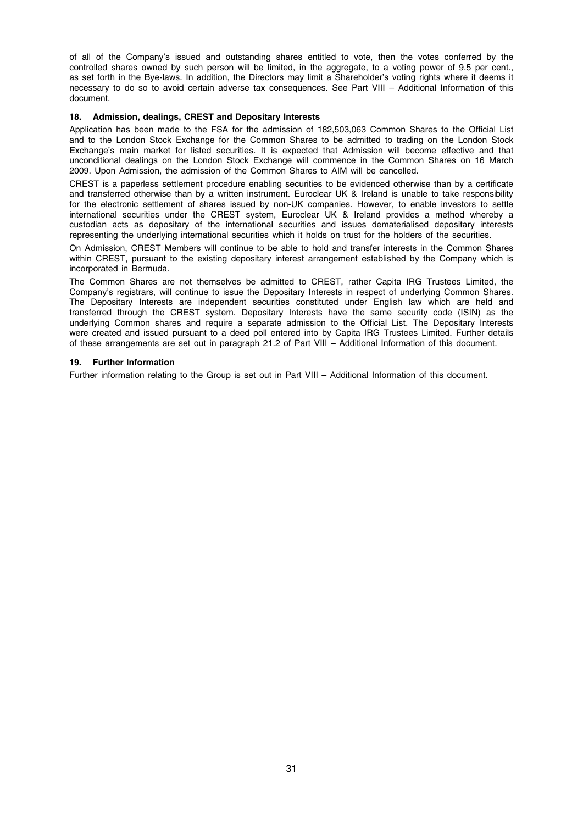of all of the Company's issued and outstanding shares entitled to vote, then the votes conferred by the controlled shares owned by such person will be limited, in the aggregate, to a voting power of 9.5 per cent., as set forth in the Bye-laws. In addition, the Directors may limit a Shareholder's voting rights where it deems it necessary to do so to avoid certain adverse tax consequences. See Part VIII – Additional Information of this document.

# 18. Admission, dealings, CREST and Depositary Interests

Application has been made to the FSA for the admission of 182,503,063 Common Shares to the Official List and to the London Stock Exchange for the Common Shares to be admitted to trading on the London Stock Exchange's main market for listed securities. It is expected that Admission will become effective and that unconditional dealings on the London Stock Exchange will commence in the Common Shares on 16 March 2009. Upon Admission, the admission of the Common Shares to AIM will be cancelled.

CREST is a paperless settlement procedure enabling securities to be evidenced otherwise than by a certificate and transferred otherwise than by a written instrument. Euroclear UK & Ireland is unable to take responsibility for the electronic settlement of shares issued by non-UK companies. However, to enable investors to settle international securities under the CREST system, Euroclear UK & Ireland provides a method whereby a custodian acts as depositary of the international securities and issues dematerialised depositary interests representing the underlying international securities which it holds on trust for the holders of the securities.

On Admission, CREST Members will continue to be able to hold and transfer interests in the Common Shares within CREST, pursuant to the existing depositary interest arrangement established by the Company which is incorporated in Bermuda.

The Common Shares are not themselves be admitted to CREST, rather Capita IRG Trustees Limited, the Company's registrars, will continue to issue the Depositary Interests in respect of underlying Common Shares. The Depositary Interests are independent securities constituted under English law which are held and transferred through the CREST system. Depositary Interests have the same security code (ISIN) as the underlying Common shares and require a separate admission to the Official List. The Depositary Interests were created and issued pursuant to a deed poll entered into by Capita IRG Trustees Limited. Further details of these arrangements are set out in paragraph 21.2 of Part VIII – Additional Information of this document.

## 19. Further Information

Further information relating to the Group is set out in Part VIII – Additional Information of this document.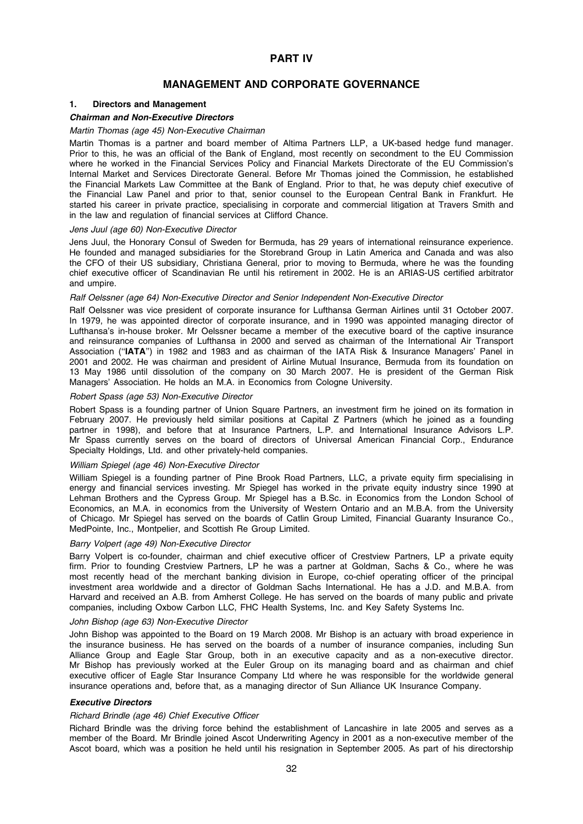# PART IV

# MANAGEMENT AND CORPORATE GOVERNANCE

# 1. Directors and Management

# Chairman and Non-Executive Directors

#### Martin Thomas (age 45) Non-Executive Chairman

Martin Thomas is a partner and board member of Altima Partners LLP, a UK-based hedge fund manager. Prior to this, he was an official of the Bank of England, most recently on secondment to the EU Commission where he worked in the Financial Services Policy and Financial Markets Directorate of the EU Commission's Internal Market and Services Directorate General. Before Mr Thomas joined the Commission, he established the Financial Markets Law Committee at the Bank of England. Prior to that, he was deputy chief executive of the Financial Law Panel and prior to that, senior counsel to the European Central Bank in Frankfurt. He started his career in private practice, specialising in corporate and commercial litigation at Travers Smith and in the law and regulation of financial services at Clifford Chance.

#### Jens Juul (age 60) Non-Executive Director

Jens Juul, the Honorary Consul of Sweden for Bermuda, has 29 years of international reinsurance experience. He founded and managed subsidiaries for the Storebrand Group in Latin America and Canada and was also the CFO of their US subsidiary, Christiana General, prior to moving to Bermuda, where he was the founding chief executive officer of Scandinavian Re until his retirement in 2002. He is an ARIAS-US certified arbitrator and umpire.

#### Ralf Oelssner (age 64) Non-Executive Director and Senior Independent Non-Executive Director

Ralf Oelssner was vice president of corporate insurance for Lufthansa German Airlines until 31 October 2007. In 1979, he was appointed director of corporate insurance, and in 1990 was appointed managing director of Lufthansa's in-house broker. Mr Oelssner became a member of the executive board of the captive insurance and reinsurance companies of Lufthansa in 2000 and served as chairman of the International Air Transport Association (''IATA'') in 1982 and 1983 and as chairman of the IATA Risk & Insurance Managers' Panel in 2001 and 2002. He was chairman and president of Airline Mutual Insurance, Bermuda from its foundation on 13 May 1986 until dissolution of the company on 30 March 2007. He is president of the German Risk Managers' Association. He holds an M.A. in Economics from Cologne University.

## Robert Spass (age 53) Non-Executive Director

Robert Spass is a founding partner of Union Square Partners, an investment firm he joined on its formation in February 2007. He previously held similar positions at Capital Z Partners (which he joined as a founding partner in 1998), and before that at Insurance Partners, L.P. and International Insurance Advisors L.P. Mr Spass currently serves on the board of directors of Universal American Financial Corp., Endurance Specialty Holdings, Ltd. and other privately-held companies.

#### William Spiegel (age 46) Non-Executive Director

William Spiegel is a founding partner of Pine Brook Road Partners, LLC, a private equity firm specialising in energy and financial services investing. Mr Spiegel has worked in the private equity industry since 1990 at Lehman Brothers and the Cypress Group. Mr Spiegel has a B.Sc. in Economics from the London School of Economics, an M.A. in economics from the University of Western Ontario and an M.B.A. from the University of Chicago. Mr Spiegel has served on the boards of Catlin Group Limited, Financial Guaranty Insurance Co., MedPointe, Inc., Montpelier, and Scottish Re Group Limited.

#### Barry Volpert (age 49) Non-Executive Director

Barry Volpert is co-founder, chairman and chief executive officer of Crestview Partners, LP a private equity firm. Prior to founding Crestview Partners, LP he was a partner at Goldman, Sachs & Co., where he was most recently head of the merchant banking division in Europe, co-chief operating officer of the principal investment area worldwide and a director of Goldman Sachs International. He has a J.D. and M.B.A. from Harvard and received an A.B. from Amherst College. He has served on the boards of many public and private companies, including Oxbow Carbon LLC, FHC Health Systems, Inc. and Key Safety Systems Inc.

#### John Bishop (age 63) Non-Executive Director

John Bishop was appointed to the Board on 19 March 2008. Mr Bishop is an actuary with broad experience in the insurance business. He has served on the boards of a number of insurance companies, including Sun Alliance Group and Eagle Star Group, both in an executive capacity and as a non-executive director. Mr Bishop has previously worked at the Euler Group on its managing board and as chairman and chief executive officer of Eagle Star Insurance Company Ltd where he was responsible for the worldwide general insurance operations and, before that, as a managing director of Sun Alliance UK Insurance Company.

#### Executive Directors

#### Richard Brindle (age 46) Chief Executive Officer

Richard Brindle was the driving force behind the establishment of Lancashire in late 2005 and serves as a member of the Board. Mr Brindle joined Ascot Underwriting Agency in 2001 as a non-executive member of the Ascot board, which was a position he held until his resignation in September 2005. As part of his directorship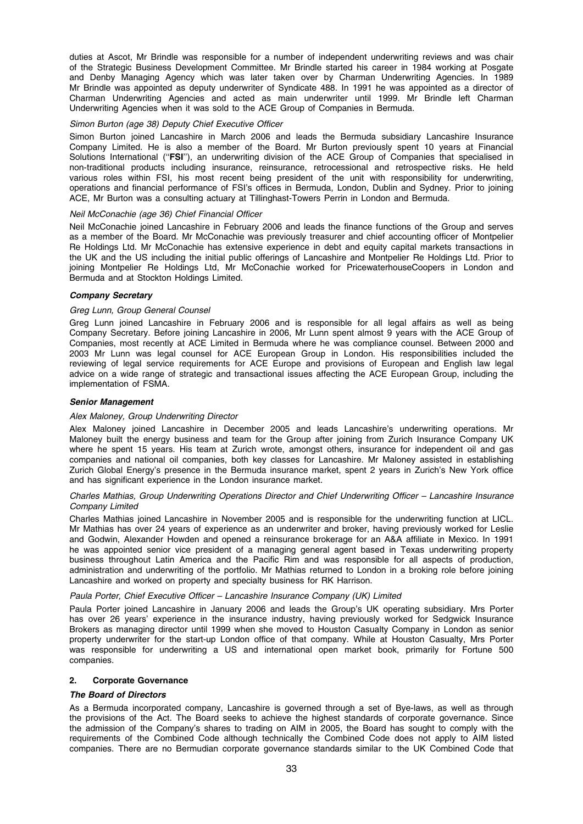duties at Ascot, Mr Brindle was responsible for a number of independent underwriting reviews and was chair of the Strategic Business Development Committee. Mr Brindle started his career in 1984 working at Posgate and Denby Managing Agency which was later taken over by Charman Underwriting Agencies. In 1989 Mr Brindle was appointed as deputy underwriter of Syndicate 488. In 1991 he was appointed as a director of Charman Underwriting Agencies and acted as main underwriter until 1999. Mr Brindle left Charman Underwriting Agencies when it was sold to the ACE Group of Companies in Bermuda.

#### Simon Burton (age 38) Deputy Chief Executive Officer

Simon Burton joined Lancashire in March 2006 and leads the Bermuda subsidiary Lancashire Insurance Company Limited. He is also a member of the Board. Mr Burton previously spent 10 years at Financial Solutions International ("FSI"), an underwriting division of the ACE Group of Companies that specialised in non-traditional products including insurance, reinsurance, retrocessional and retrospective risks. He held various roles within FSI, his most recent being president of the unit with responsibility for underwriting, operations and financial performance of FSI's offices in Bermuda, London, Dublin and Sydney. Prior to joining ACE, Mr Burton was a consulting actuary at Tillinghast-Towers Perrin in London and Bermuda.

#### Neil McConachie (age 36) Chief Financial Officer

Neil McConachie joined Lancashire in February 2006 and leads the finance functions of the Group and serves as a member of the Board. Mr McConachie was previously treasurer and chief accounting officer of Montpelier Re Holdings Ltd. Mr McConachie has extensive experience in debt and equity capital markets transactions in the UK and the US including the initial public offerings of Lancashire and Montpelier Re Holdings Ltd. Prior to joining Montpelier Re Holdings Ltd, Mr McConachie worked for PricewaterhouseCoopers in London and Bermuda and at Stockton Holdings Limited.

#### Company Secretary

## Greg Lunn, Group General Counsel

Greg Lunn joined Lancashire in February 2006 and is responsible for all legal affairs as well as being Company Secretary. Before joining Lancashire in 2006, Mr Lunn spent almost 9 years with the ACE Group of Companies, most recently at ACE Limited in Bermuda where he was compliance counsel. Between 2000 and 2003 Mr Lunn was legal counsel for ACE European Group in London. His responsibilities included the reviewing of legal service requirements for ACE Europe and provisions of European and English law legal advice on a wide range of strategic and transactional issues affecting the ACE European Group, including the implementation of FSMA.

#### Senior Management

#### Alex Maloney, Group Underwriting Director

Alex Maloney joined Lancashire in December 2005 and leads Lancashire's underwriting operations. Mr Maloney built the energy business and team for the Group after joining from Zurich Insurance Company UK where he spent 15 years. His team at Zurich wrote, amongst others, insurance for independent oil and gas companies and national oil companies, both key classes for Lancashire. Mr Maloney assisted in establishing Zurich Global Energy's presence in the Bermuda insurance market, spent 2 years in Zurich's New York office and has significant experience in the London insurance market.

#### Charles Mathias, Group Underwriting Operations Director and Chief Underwriting Officer – Lancashire Insurance Company Limited

Charles Mathias joined Lancashire in November 2005 and is responsible for the underwriting function at LICL. Mr Mathias has over 24 years of experience as an underwriter and broker, having previously worked for Leslie and Godwin, Alexander Howden and opened a reinsurance brokerage for an A&A affiliate in Mexico. In 1991 he was appointed senior vice president of a managing general agent based in Texas underwriting property business throughout Latin America and the Pacific Rim and was responsible for all aspects of production, administration and underwriting of the portfolio. Mr Mathias returned to London in a broking role before joining Lancashire and worked on property and specialty business for RK Harrison.

#### Paula Porter, Chief Executive Officer – Lancashire Insurance Company (UK) Limited

Paula Porter joined Lancashire in January 2006 and leads the Group's UK operating subsidiary. Mrs Porter has over 26 years' experience in the insurance industry, having previously worked for Sedgwick Insurance Brokers as managing director until 1999 when she moved to Houston Casualty Company in London as senior property underwriter for the start-up London office of that company. While at Houston Casualty, Mrs Porter was responsible for underwriting a US and international open market book, primarily for Fortune 500 companies.

#### 2. Corporate Governance

## The Board of Directors

As a Bermuda incorporated company, Lancashire is governed through a set of Bye-laws, as well as through the provisions of the Act. The Board seeks to achieve the highest standards of corporate governance. Since the admission of the Company's shares to trading on AIM in 2005, the Board has sought to comply with the requirements of the Combined Code although technically the Combined Code does not apply to AIM listed companies. There are no Bermudian corporate governance standards similar to the UK Combined Code that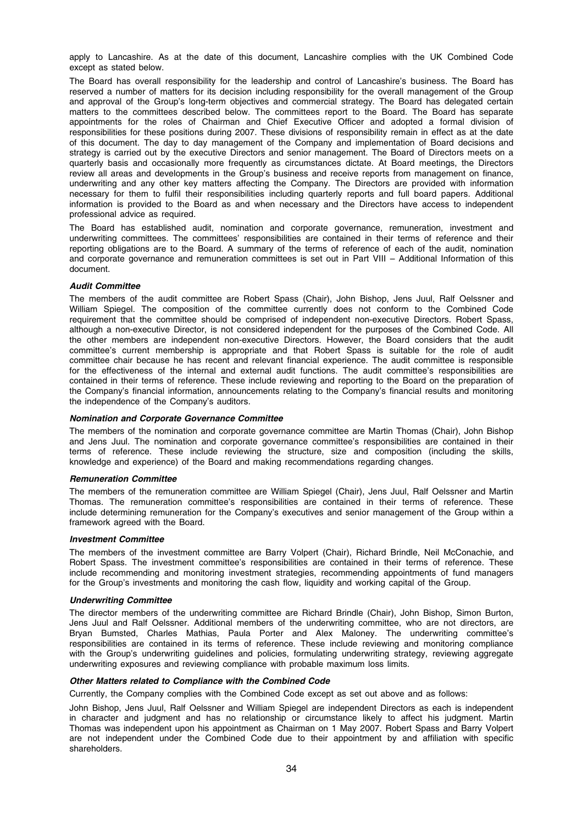apply to Lancashire. As at the date of this document, Lancashire complies with the UK Combined Code except as stated below.

The Board has overall responsibility for the leadership and control of Lancashire's business. The Board has reserved a number of matters for its decision including responsibility for the overall management of the Group and approval of the Group's long-term objectives and commercial strategy. The Board has delegated certain matters to the committees described below. The committees report to the Board. The Board has separate appointments for the roles of Chairman and Chief Executive Officer and adopted a formal division of responsibilities for these positions during 2007. These divisions of responsibility remain in effect as at the date of this document. The day to day management of the Company and implementation of Board decisions and strategy is carried out by the executive Directors and senior management. The Board of Directors meets on a quarterly basis and occasionally more frequently as circumstances dictate. At Board meetings, the Directors review all areas and developments in the Group's business and receive reports from management on finance, underwriting and any other key matters affecting the Company. The Directors are provided with information necessary for them to fulfil their responsibilities including quarterly reports and full board papers. Additional information is provided to the Board as and when necessary and the Directors have access to independent professional advice as required.

The Board has established audit, nomination and corporate governance, remuneration, investment and underwriting committees. The committees' responsibilities are contained in their terms of reference and their reporting obligations are to the Board. A summary of the terms of reference of each of the audit, nomination and corporate governance and remuneration committees is set out in Part VIII – Additional Information of this document.

# Audit Committee

The members of the audit committee are Robert Spass (Chair), John Bishop, Jens Juul, Ralf Oelssner and William Spiegel. The composition of the committee currently does not conform to the Combined Code requirement that the committee should be comprised of independent non-executive Directors. Robert Spass, although a non-executive Director, is not considered independent for the purposes of the Combined Code. All the other members are independent non-executive Directors. However, the Board considers that the audit committee's current membership is appropriate and that Robert Spass is suitable for the role of audit committee chair because he has recent and relevant financial experience. The audit committee is responsible for the effectiveness of the internal and external audit functions. The audit committee's responsibilities are contained in their terms of reference. These include reviewing and reporting to the Board on the preparation of the Company's financial information, announcements relating to the Company's financial results and monitoring the independence of the Company's auditors.

## Nomination and Corporate Governance Committee

The members of the nomination and corporate governance committee are Martin Thomas (Chair), John Bishop and Jens Juul. The nomination and corporate governance committee's responsibilities are contained in their terms of reference. These include reviewing the structure, size and composition (including the skills, knowledge and experience) of the Board and making recommendations regarding changes.

## Remuneration Committee

The members of the remuneration committee are William Spiegel (Chair), Jens Juul, Ralf Oelssner and Martin Thomas. The remuneration committee's responsibilities are contained in their terms of reference. These include determining remuneration for the Company's executives and senior management of the Group within a framework agreed with the Board.

## Investment Committee

The members of the investment committee are Barry Volpert (Chair), Richard Brindle, Neil McConachie, and Robert Spass. The investment committee's responsibilities are contained in their terms of reference. These include recommending and monitoring investment strategies, recommending appointments of fund managers for the Group's investments and monitoring the cash flow, liquidity and working capital of the Group.

## Underwriting Committee

The director members of the underwriting committee are Richard Brindle (Chair), John Bishop, Simon Burton, Jens Juul and Ralf Oelssner. Additional members of the underwriting committee, who are not directors, are Bryan Bumsted, Charles Mathias, Paula Porter and Alex Maloney. The underwriting committee's responsibilities are contained in its terms of reference. These include reviewing and monitoring compliance with the Group's underwriting guidelines and policies, formulating underwriting strategy, reviewing aggregate underwriting exposures and reviewing compliance with probable maximum loss limits.

# Other Matters related to Compliance with the Combined Code

Currently, the Company complies with the Combined Code except as set out above and as follows:

John Bishop, Jens Juul, Ralf Oelssner and William Spiegel are independent Directors as each is independent in character and judgment and has no relationship or circumstance likely to affect his judgment. Martin Thomas was independent upon his appointment as Chairman on 1 May 2007. Robert Spass and Barry Volpert are not independent under the Combined Code due to their appointment by and affiliation with specific shareholders.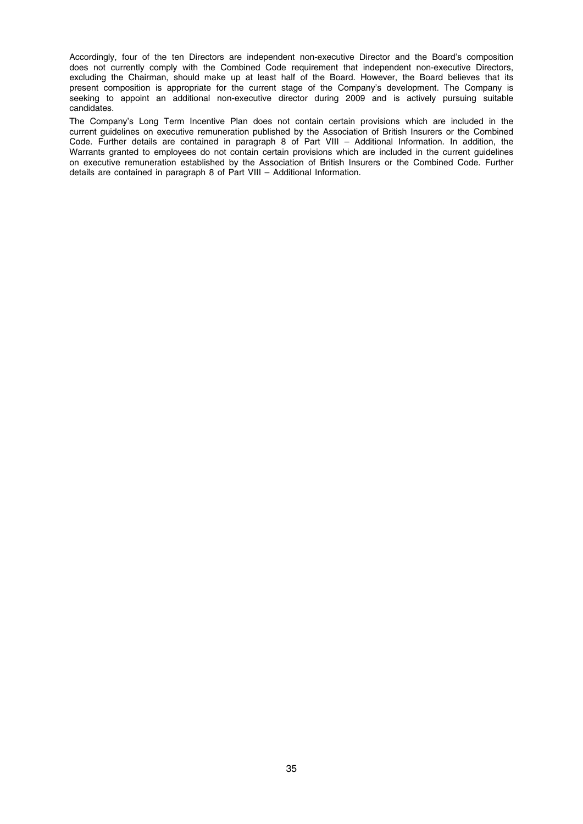Accordingly, four of the ten Directors are independent non-executive Director and the Board's composition does not currently comply with the Combined Code requirement that independent non-executive Directors, excluding the Chairman, should make up at least half of the Board. However, the Board believes that its present composition is appropriate for the current stage of the Company's development. The Company is seeking to appoint an additional non-executive director during 2009 and is actively pursuing suitable candidates.

The Company's Long Term Incentive Plan does not contain certain provisions which are included in the current guidelines on executive remuneration published by the Association of British Insurers or the Combined Code. Further details are contained in paragraph 8 of Part VIII – Additional Information. In addition, the Warrants granted to employees do not contain certain provisions which are included in the current guidelines on executive remuneration established by the Association of British Insurers or the Combined Code. Further details are contained in paragraph 8 of Part VIII – Additional Information.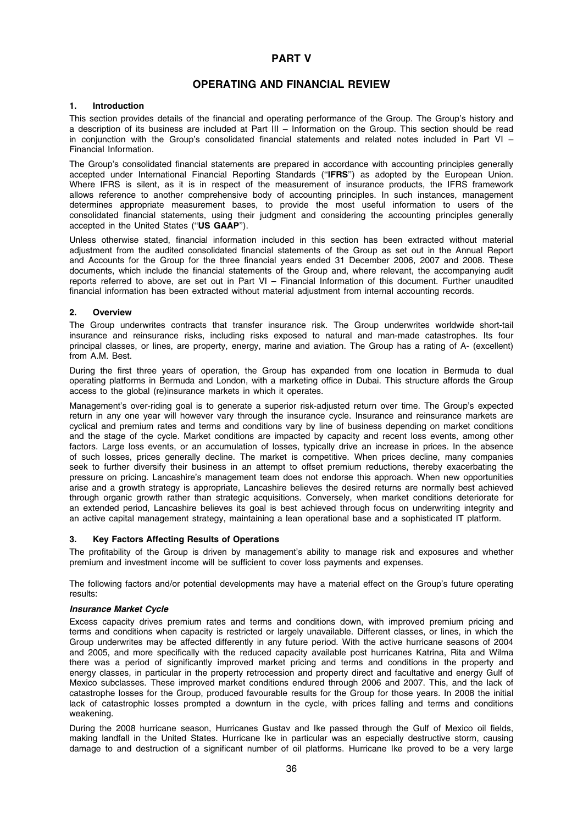# PART V

# OPERATING AND FINANCIAL REVIEW

# 1. Introduction

This section provides details of the financial and operating performance of the Group. The Group's history and a description of its business are included at Part III – Information on the Group. This section should be read in conjunction with the Group's consolidated financial statements and related notes included in Part VI – Financial Information.

The Group's consolidated financial statements are prepared in accordance with accounting principles generally accepted under International Financial Reporting Standards (''IFRS'') as adopted by the European Union. Where IFRS is silent, as it is in respect of the measurement of insurance products, the IFRS framework allows reference to another comprehensive body of accounting principles. In such instances, management determines appropriate measurement bases, to provide the most useful information to users of the consolidated financial statements, using their judgment and considering the accounting principles generally accepted in the United States (''US GAAP'').

Unless otherwise stated, financial information included in this section has been extracted without material adjustment from the audited consolidated financial statements of the Group as set out in the Annual Report and Accounts for the Group for the three financial years ended 31 December 2006, 2007 and 2008. These documents, which include the financial statements of the Group and, where relevant, the accompanying audit reports referred to above, are set out in Part VI – Financial Information of this document. Further unaudited financial information has been extracted without material adjustment from internal accounting records.

# 2. Overview

The Group underwrites contracts that transfer insurance risk. The Group underwrites worldwide short-tail insurance and reinsurance risks, including risks exposed to natural and man-made catastrophes. Its four principal classes, or lines, are property, energy, marine and aviation. The Group has a rating of A- (excellent) from A.M. Best.

During the first three years of operation, the Group has expanded from one location in Bermuda to dual operating platforms in Bermuda and London, with a marketing office in Dubai. This structure affords the Group access to the global (re)insurance markets in which it operates.

Management's over-riding goal is to generate a superior risk-adjusted return over time. The Group's expected return in any one year will however vary through the insurance cycle. Insurance and reinsurance markets are cyclical and premium rates and terms and conditions vary by line of business depending on market conditions and the stage of the cycle. Market conditions are impacted by capacity and recent loss events, among other factors. Large loss events, or an accumulation of losses, typically drive an increase in prices. In the absence of such losses, prices generally decline. The market is competitive. When prices decline, many companies seek to further diversify their business in an attempt to offset premium reductions, thereby exacerbating the pressure on pricing. Lancashire's management team does not endorse this approach. When new opportunities arise and a growth strategy is appropriate, Lancashire believes the desired returns are normally best achieved through organic growth rather than strategic acquisitions. Conversely, when market conditions deteriorate for an extended period, Lancashire believes its goal is best achieved through focus on underwriting integrity and an active capital management strategy, maintaining a lean operational base and a sophisticated IT platform.

## 3. Key Factors Affecting Results of Operations

The profitability of the Group is driven by management's ability to manage risk and exposures and whether premium and investment income will be sufficient to cover loss payments and expenses.

The following factors and/or potential developments may have a material effect on the Group's future operating results:

## Insurance Market Cycle

Excess capacity drives premium rates and terms and conditions down, with improved premium pricing and terms and conditions when capacity is restricted or largely unavailable. Different classes, or lines, in which the Group underwrites may be affected differently in any future period. With the active hurricane seasons of 2004 and 2005, and more specifically with the reduced capacity available post hurricanes Katrina, Rita and Wilma there was a period of significantly improved market pricing and terms and conditions in the property and energy classes, in particular in the property retrocession and property direct and facultative and energy Gulf of Mexico subclasses. These improved market conditions endured through 2006 and 2007. This, and the lack of catastrophe losses for the Group, produced favourable results for the Group for those years. In 2008 the initial lack of catastrophic losses prompted a downturn in the cycle, with prices falling and terms and conditions weakening.

During the 2008 hurricane season, Hurricanes Gustav and Ike passed through the Gulf of Mexico oil fields, making landfall in the United States. Hurricane Ike in particular was an especially destructive storm, causing damage to and destruction of a significant number of oil platforms. Hurricane Ike proved to be a very large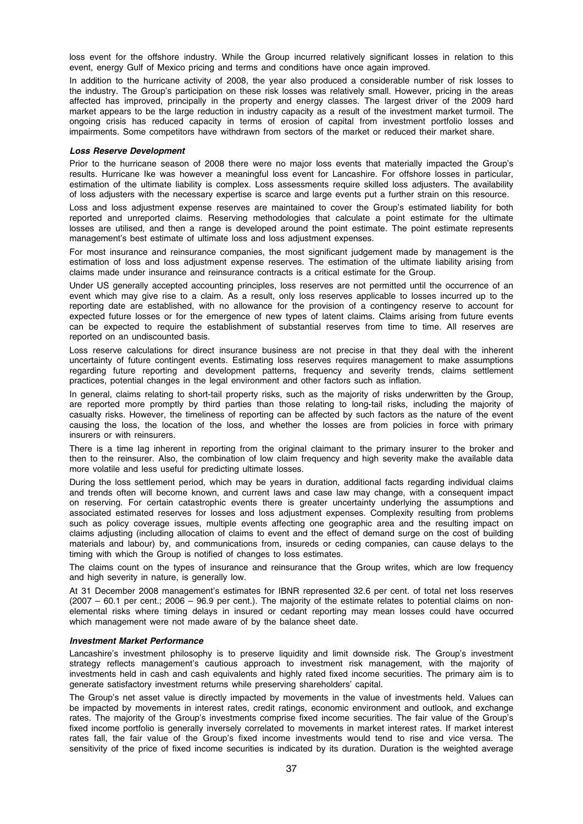loss event for the offshore industry. While the Group incurred relatively significant losses in relation to this event, energy Gulf of Mexico pricing and terms and conditions have once again improved.

In addition to the hurricane activity of 2008, the year also produced a considerable number of risk losses to the industry. The Group's participation on these risk losses was relatively small. However, pricing in the areas affected has improved, principally in the property and energy classes. The largest driver of the 2009 hard market appears to be the large reduction in industry capacity as a result of the investment market turmoil. The ongoing crisis has reduced capacity in terms of erosion of capital from investment portfolio losses and impairments. Some competitors have withdrawn from sectors of the market or reduced their market share.

### Loss Reserve Development

Prior to the hurricane season of 2008 there were no major loss events that materially impacted the Group's results. Hurricane Ike was however a meaningful loss event for Lancashire. For offshore losses in particular, estimation of the ultimate liability is complex. Loss assessments require skilled loss adjusters. The availability of loss adjusters with the necessary expertise is scarce and large events put a further strain on this resource.

Loss and loss adjustment expense reserves are maintained to cover the Group's estimated liability for both reported and unreported claims. Reserving methodologies that calculate a point estimate for the ultimate losses are utilised, and then a range is developed around the point estimate. The point estimate represents management's best estimate of ultimate loss and loss adjustment expenses.

For most insurance and reinsurance companies, the most significant judgement made by management is the estimation of loss and loss adjustment expense reserves. The estimation of the ultimate liability arising from claims made under insurance and reinsurance contracts is a critical estimate for the Group.

Under US generally accepted accounting principles, loss reserves are not permitted until the occurrence of an event which may give rise to a claim. As a result, only loss reserves applicable to losses incurred up to the reporting date are established, with no allowance for the provision of a contingency reserve to account for expected future losses or for the emergence of new types of latent claims. Claims arising from future events can be expected to require the establishment of substantial reserves from time to time. All reserves are reported on an undiscounted basis.

Loss reserve calculations for direct insurance business are not precise in that they deal with the inherent uncertainty of future contingent events. Estimating loss reserves requires management to make assumptions regarding future reporting and development patterns, frequency and severity trends, claims settlement practices, potential changes in the legal environment and other factors such as inflation.

In general, claims relating to short-tail property risks, such as the majority of risks underwritten by the Group, are reported more promptly by third parties than those relating to long-tail risks, including the majority of casualty risks. However, the timeliness of reporting can be affected by such factors as the nature of the event causing the loss, the location of the loss, and whether the losses are from policies in force with primary insurers or with reinsurers.

There is a time lag inherent in reporting from the original claimant to the primary insurer to the broker and then to the reinsurer. Also, the combination of low claim frequency and high severity make the available data more volatile and less useful for predicting ultimate losses.

During the loss settlement period, which may be years in duration, additional facts regarding individual claims and trends often will become known, and current laws and case law may change, with a consequent impact on reserving. For certain catastrophic events there is greater uncertainty underlying the assumptions and associated estimated reserves for losses and loss adjustment expenses. Complexity resulting from problems such as policy coverage issues, multiple events affecting one geographic area and the resulting impact on claims adjusting (including allocation of claims to event and the effect of demand surge on the cost of building materials and labour) by, and communications from, insureds or ceding companies, can cause delays to the timing with which the Group is notified of changes to loss estimates.

The claims count on the types of insurance and reinsurance that the Group writes, which are low frequency and high severity in nature, is generally low.

At 31 December 2008 management's estimates for IBNR represented 32.6 per cent. of total net loss reserves (2007 – 60.1 per cent.; 2006 – 96.9 per cent.). The majority of the estimate relates to potential claims on nonelemental risks where timing delays in insured or cedant reporting may mean losses could have occurred which management were not made aware of by the balance sheet date.

# Investment Market Performance

Lancashire's investment philosophy is to preserve liquidity and limit downside risk. The Group's investment strategy reflects management's cautious approach to investment risk management, with the majority of investments held in cash and cash equivalents and highly rated fixed income securities. The primary aim is to generate satisfactory investment returns while preserving shareholders' capital.

The Group's net asset value is directly impacted by movements in the value of investments held. Values can be impacted by movements in interest rates, credit ratings, economic environment and outlook, and exchange rates. The majority of the Group's investments comprise fixed income securities. The fair value of the Group's fixed income portfolio is generally inversely correlated to movements in market interest rates. If market interest rates fall, the fair value of the Group's fixed income investments would tend to rise and vice versa. The sensitivity of the price of fixed income securities is indicated by its duration. Duration is the weighted average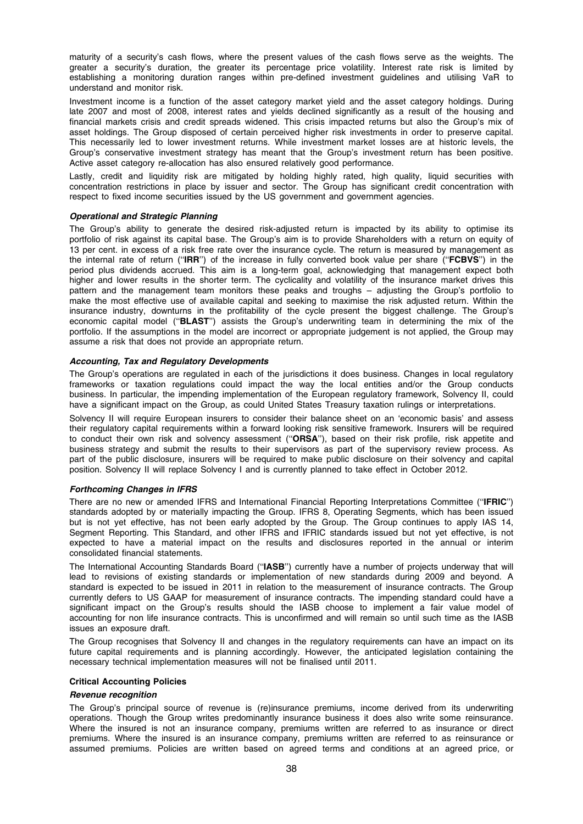maturity of a security's cash flows, where the present values of the cash flows serve as the weights. The greater a security's duration, the greater its percentage price volatility. Interest rate risk is limited by establishing a monitoring duration ranges within pre-defined investment guidelines and utilising VaR to understand and monitor risk.

Investment income is a function of the asset category market yield and the asset category holdings. During late 2007 and most of 2008, interest rates and yields declined significantly as a result of the housing and financial markets crisis and credit spreads widened. This crisis impacted returns but also the Group's mix of asset holdings. The Group disposed of certain perceived higher risk investments in order to preserve capital. This necessarily led to lower investment returns. While investment market losses are at historic levels, the Group's conservative investment strategy has meant that the Group's investment return has been positive. Active asset category re-allocation has also ensured relatively good performance.

Lastly, credit and liquidity risk are mitigated by holding highly rated, high quality, liquid securities with concentration restrictions in place by issuer and sector. The Group has significant credit concentration with respect to fixed income securities issued by the US government and government agencies.

# Operational and Strategic Planning

The Group's ability to generate the desired risk-adjusted return is impacted by its ability to optimise its portfolio of risk against its capital base. The Group's aim is to provide Shareholders with a return on equity of 13 per cent. in excess of a risk free rate over the insurance cycle. The return is measured by management as the internal rate of return ("IRR") of the increase in fully converted book value per share ("FCBVS") in the period plus dividends accrued. This aim is a long-term goal, acknowledging that management expect both higher and lower results in the shorter term. The cyclicality and volatility of the insurance market drives this pattern and the management team monitors these peaks and troughs – adjusting the Group's portfolio to make the most effective use of available capital and seeking to maximise the risk adjusted return. Within the insurance industry, downturns in the profitability of the cycle present the biggest challenge. The Group's economic capital model ("BLAST") assists the Group's underwriting team in determining the mix of the portfolio. If the assumptions in the model are incorrect or appropriate judgement is not applied, the Group may assume a risk that does not provide an appropriate return.

# Accounting, Tax and Regulatory Developments

The Group's operations are regulated in each of the jurisdictions it does business. Changes in local regulatory frameworks or taxation regulations could impact the way the local entities and/or the Group conducts business. In particular, the impending implementation of the European regulatory framework, Solvency II, could have a significant impact on the Group, as could United States Treasury taxation rulings or interpretations.

Solvency II will require European insurers to consider their balance sheet on an 'economic basis' and assess their regulatory capital requirements within a forward looking risk sensitive framework. Insurers will be required to conduct their own risk and solvency assessment ("ORSA"), based on their risk profile, risk appetite and business strategy and submit the results to their supervisors as part of the supervisory review process. As part of the public disclosure, insurers will be required to make public disclosure on their solvency and capital position. Solvency II will replace Solvency I and is currently planned to take effect in October 2012.

# Forthcoming Changes in IFRS

There are no new or amended IFRS and International Financial Reporting Interpretations Committee (''IFRIC'') standards adopted by or materially impacting the Group. IFRS 8, Operating Segments, which has been issued but is not yet effective, has not been early adopted by the Group. The Group continues to apply IAS 14, Segment Reporting. This Standard, and other IFRS and IFRIC standards issued but not yet effective, is not expected to have a material impact on the results and disclosures reported in the annual or interim consolidated financial statements.

The International Accounting Standards Board ("IASB") currently have a number of projects underway that will lead to revisions of existing standards or implementation of new standards during 2009 and beyond. A standard is expected to be issued in 2011 in relation to the measurement of insurance contracts. The Group currently defers to US GAAP for measurement of insurance contracts. The impending standard could have a significant impact on the Group's results should the IASB choose to implement a fair value model of accounting for non life insurance contracts. This is unconfirmed and will remain so until such time as the IASB issues an exposure draft.

The Group recognises that Solvency II and changes in the regulatory requirements can have an impact on its future capital requirements and is planning accordingly. However, the anticipated legislation containing the necessary technical implementation measures will not be finalised until 2011.

# Critical Accounting Policies

### Revenue recognition

The Group's principal source of revenue is (re)insurance premiums, income derived from its underwriting operations. Though the Group writes predominantly insurance business it does also write some reinsurance. Where the insured is not an insurance company, premiums written are referred to as insurance or direct premiums. Where the insured is an insurance company, premiums written are referred to as reinsurance or assumed premiums. Policies are written based on agreed terms and conditions at an agreed price, or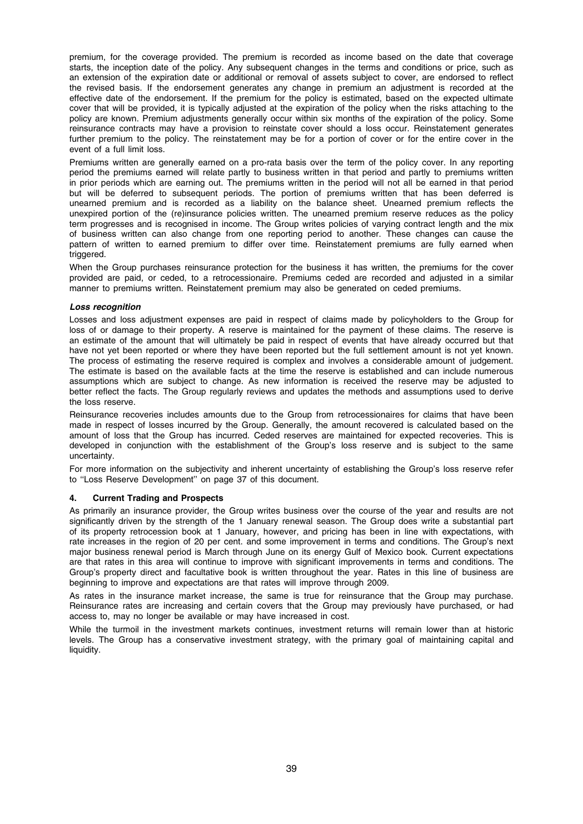premium, for the coverage provided. The premium is recorded as income based on the date that coverage starts, the inception date of the policy. Any subsequent changes in the terms and conditions or price, such as an extension of the expiration date or additional or removal of assets subject to cover, are endorsed to reflect the revised basis. If the endorsement generates any change in premium an adjustment is recorded at the effective date of the endorsement. If the premium for the policy is estimated, based on the expected ultimate cover that will be provided, it is typically adjusted at the expiration of the policy when the risks attaching to the policy are known. Premium adjustments generally occur within six months of the expiration of the policy. Some reinsurance contracts may have a provision to reinstate cover should a loss occur. Reinstatement generates further premium to the policy. The reinstatement may be for a portion of cover or for the entire cover in the event of a full limit loss.

Premiums written are generally earned on a pro-rata basis over the term of the policy cover. In any reporting period the premiums earned will relate partly to business written in that period and partly to premiums written in prior periods which are earning out. The premiums written in the period will not all be earned in that period but will be deferred to subsequent periods. The portion of premiums written that has been deferred is unearned premium and is recorded as a liability on the balance sheet. Unearned premium reflects the unexpired portion of the (re)insurance policies written. The unearned premium reserve reduces as the policy term progresses and is recognised in income. The Group writes policies of varying contract length and the mix of business written can also change from one reporting period to another. These changes can cause the pattern of written to earned premium to differ over time. Reinstatement premiums are fully earned when triggered.

When the Group purchases reinsurance protection for the business it has written, the premiums for the cover provided are paid, or ceded, to a retrocessionaire. Premiums ceded are recorded and adjusted in a similar manner to premiums written. Reinstatement premium may also be generated on ceded premiums.

# Loss recognition

Losses and loss adjustment expenses are paid in respect of claims made by policyholders to the Group for loss of or damage to their property. A reserve is maintained for the payment of these claims. The reserve is an estimate of the amount that will ultimately be paid in respect of events that have already occurred but that have not yet been reported or where they have been reported but the full settlement amount is not yet known. The process of estimating the reserve required is complex and involves a considerable amount of judgement. The estimate is based on the available facts at the time the reserve is established and can include numerous assumptions which are subject to change. As new information is received the reserve may be adjusted to better reflect the facts. The Group regularly reviews and updates the methods and assumptions used to derive the loss reserve.

Reinsurance recoveries includes amounts due to the Group from retrocessionaires for claims that have been made in respect of losses incurred by the Group. Generally, the amount recovered is calculated based on the amount of loss that the Group has incurred. Ceded reserves are maintained for expected recoveries. This is developed in conjunction with the establishment of the Group's loss reserve and is subject to the same uncertainty.

For more information on the subjectivity and inherent uncertainty of establishing the Group's loss reserve refer to ''Loss Reserve Development'' on page 37 of this document.

# 4. Current Trading and Prospects

As primarily an insurance provider, the Group writes business over the course of the year and results are not significantly driven by the strength of the 1 January renewal season. The Group does write a substantial part of its property retrocession book at 1 January, however, and pricing has been in line with expectations, with rate increases in the region of 20 per cent. and some improvement in terms and conditions. The Group's next major business renewal period is March through June on its energy Gulf of Mexico book. Current expectations are that rates in this area will continue to improve with significant improvements in terms and conditions. The Group's property direct and facultative book is written throughout the year. Rates in this line of business are beginning to improve and expectations are that rates will improve through 2009.

As rates in the insurance market increase, the same is true for reinsurance that the Group may purchase. Reinsurance rates are increasing and certain covers that the Group may previously have purchased, or had access to, may no longer be available or may have increased in cost.

While the turmoil in the investment markets continues, investment returns will remain lower than at historic levels. The Group has a conservative investment strategy, with the primary goal of maintaining capital and liquidity.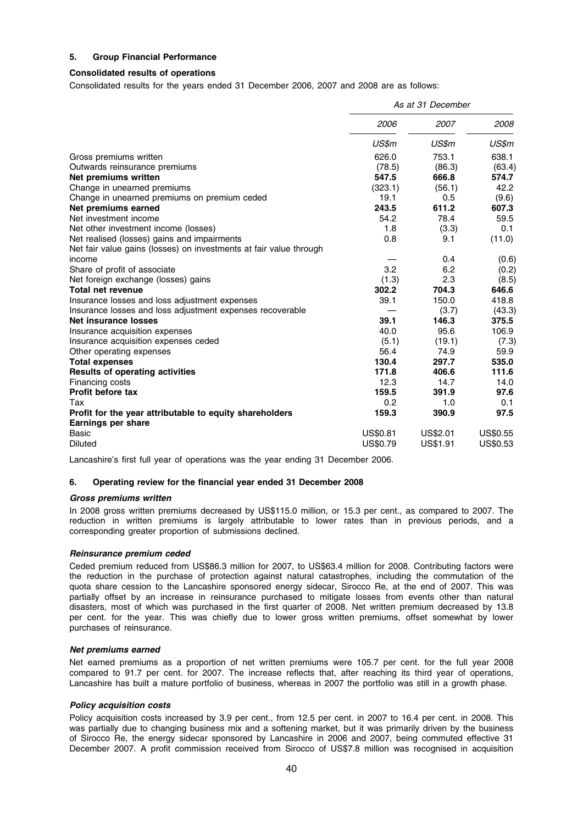# 5. Group Financial Performance

# Consolidated results of operations

Consolidated results for the years ended 31 December 2006, 2007 and 2008 are as follows:

|                                                                    | As at 31 December |          |          |
|--------------------------------------------------------------------|-------------------|----------|----------|
|                                                                    | 2006              | 2007     | 2008     |
|                                                                    | US\$m             | US\$m    | US\$m    |
| Gross premiums written                                             | 626.0             | 753.1    | 638.1    |
| Outwards reinsurance premiums                                      | (78.5)            | (86.3)   | (63.4)   |
| Net premiums written                                               | 547.5             | 666.8    | 574.7    |
| Change in unearned premiums                                        | (323.1)           | (56.1)   | 42.2     |
| Change in unearned premiums on premium ceded                       | 19.1              | 0.5      | (9.6)    |
| Net premiums earned                                                | 243.5             | 611.2    | 607.3    |
| Net investment income                                              | 54.2              | 78.4     | 59.5     |
| Net other investment income (losses)                               | 1.8               | (3.3)    | 0.1      |
| Net realised (losses) gains and impairments                        | 0.8               | 9.1      | (11.0)   |
| Net fair value gains (losses) on investments at fair value through |                   |          |          |
| income                                                             |                   | 0.4      | (0.6)    |
| Share of profit of associate                                       | 3.2               | 6.2      | (0.2)    |
| Net foreign exchange (losses) gains                                | (1.3)             | 2.3      | (8.5)    |
| <b>Total net revenue</b>                                           | 302.2             | 704.3    | 646.6    |
| Insurance losses and loss adjustment expenses                      | 39.1              | 150.0    | 418.8    |
| Insurance losses and loss adjustment expenses recoverable          |                   | (3.7)    | (43.3)   |
| Net insurance losses                                               | 39.1              | 146.3    | 375.5    |
| Insurance acquisition expenses                                     | 40.0              | 95.6     | 106.9    |
| Insurance acquisition expenses ceded                               | (5.1)             | (19.1)   | (7.3)    |
| Other operating expenses                                           | 56.4              | 74.9     | 59.9     |
| <b>Total expenses</b>                                              | 130.4             | 297.7    | 535.0    |
| <b>Results of operating activities</b>                             | 171.8             | 406.6    | 111.6    |
| Financing costs                                                    | 12.3              | 14.7     | 14.0     |
| <b>Profit before tax</b>                                           | 159.5             | 391.9    | 97.6     |
| Tax                                                                | 0.2               | 1.0      | 0.1      |
| Profit for the year attributable to equity shareholders            | 159.3             | 390.9    | 97.5     |
| <b>Earnings per share</b>                                          |                   |          |          |
| Basic                                                              | US\$0.81          | US\$2.01 | US\$0.55 |
| <b>Diluted</b>                                                     | <b>US\$0.79</b>   | US\$1.91 | US\$0.53 |

Lancashire's first full year of operations was the year ending 31 December 2006.

# 6. Operating review for the financial year ended 31 December 2008

# Gross premiums written

In 2008 gross written premiums decreased by US\$115.0 million, or 15.3 per cent., as compared to 2007. The reduction in written premiums is largely attributable to lower rates than in previous periods, and a corresponding greater proportion of submissions declined.

# Reinsurance premium ceded

Ceded premium reduced from US\$86.3 million for 2007, to US\$63.4 million for 2008. Contributing factors were the reduction in the purchase of protection against natural catastrophes, including the commutation of the quota share cession to the Lancashire sponsored energy sidecar, Sirocco Re, at the end of 2007. This was partially offset by an increase in reinsurance purchased to mitigate losses from events other than natural disasters, most of which was purchased in the first quarter of 2008. Net written premium decreased by 13.8 per cent. for the year. This was chiefly due to lower gross written premiums, offset somewhat by lower purchases of reinsurance.

# Net premiums earned

Net earned premiums as a proportion of net written premiums were 105.7 per cent. for the full year 2008 compared to 91.7 per cent. for 2007. The increase reflects that, after reaching its third year of operations, Lancashire has built a mature portfolio of business, whereas in 2007 the portfolio was still in a growth phase.

# Policy acquisition costs

Policy acquisition costs increased by 3.9 per cent., from 12.5 per cent. in 2007 to 16.4 per cent. in 2008. This was partially due to changing business mix and a softening market, but it was primarily driven by the business of Sirocco Re, the energy sidecar sponsored by Lancashire in 2006 and 2007, being commuted effective 31 December 2007. A profit commission received from Sirocco of US\$7.8 million was recognised in acquisition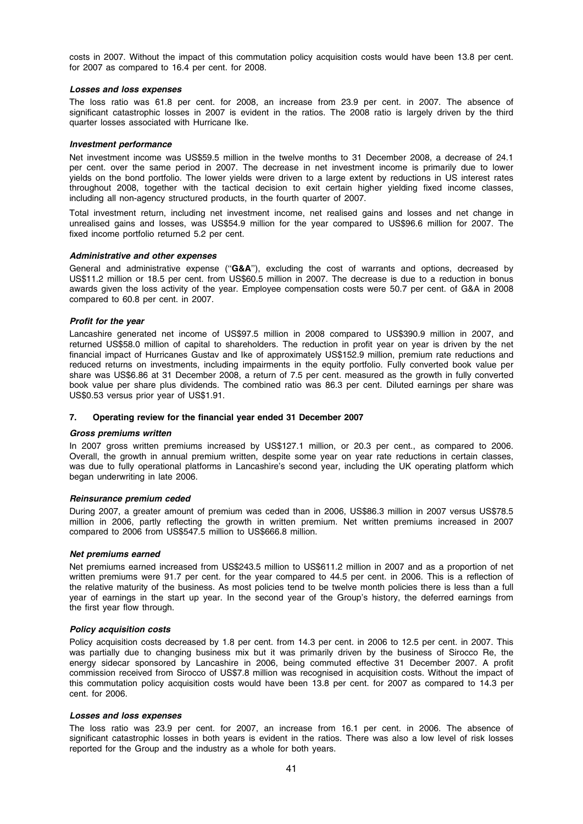costs in 2007. Without the impact of this commutation policy acquisition costs would have been 13.8 per cent. for 2007 as compared to 16.4 per cent. for 2008.

### Losses and loss expenses

The loss ratio was 61.8 per cent. for 2008, an increase from 23.9 per cent. in 2007. The absence of significant catastrophic losses in 2007 is evident in the ratios. The 2008 ratio is largely driven by the third quarter losses associated with Hurricane Ike.

# Investment performance

Net investment income was US\$59.5 million in the twelve months to 31 December 2008, a decrease of 24.1 per cent. over the same period in 2007. The decrease in net investment income is primarily due to lower yields on the bond portfolio. The lower yields were driven to a large extent by reductions in US interest rates throughout 2008, together with the tactical decision to exit certain higher yielding fixed income classes, including all non-agency structured products, in the fourth quarter of 2007.

Total investment return, including net investment income, net realised gains and losses and net change in unrealised gains and losses, was US\$54.9 million for the year compared to US\$96.6 million for 2007. The fixed income portfolio returned 5.2 per cent.

### Administrative and other expenses

General and administrative expense ("G&A"), excluding the cost of warrants and options, decreased by US\$11.2 million or 18.5 per cent. from US\$60.5 million in 2007. The decrease is due to a reduction in bonus awards given the loss activity of the year. Employee compensation costs were 50.7 per cent. of G&A in 2008 compared to 60.8 per cent. in 2007.

### Profit for the year

Lancashire generated net income of US\$97.5 million in 2008 compared to US\$390.9 million in 2007, and returned US\$58.0 million of capital to shareholders. The reduction in profit year on year is driven by the net financial impact of Hurricanes Gustav and Ike of approximately US\$152.9 million, premium rate reductions and reduced returns on investments, including impairments in the equity portfolio. Fully converted book value per share was US\$6.86 at 31 December 2008, a return of 7.5 per cent. measured as the growth in fully converted book value per share plus dividends. The combined ratio was 86.3 per cent. Diluted earnings per share was US\$0.53 versus prior year of US\$1.91.

# 7. Operating review for the financial year ended 31 December 2007

### Gross premiums written

In 2007 gross written premiums increased by US\$127.1 million, or 20.3 per cent., as compared to 2006. Overall, the growth in annual premium written, despite some year on year rate reductions in certain classes, was due to fully operational platforms in Lancashire's second year, including the UK operating platform which began underwriting in late 2006.

# Reinsurance premium ceded

During 2007, a greater amount of premium was ceded than in 2006, US\$86.3 million in 2007 versus US\$78.5 million in 2006, partly reflecting the growth in written premium. Net written premiums increased in 2007 compared to 2006 from US\$547.5 million to US\$666.8 million.

# Net premiums earned

Net premiums earned increased from US\$243.5 million to US\$611.2 million in 2007 and as a proportion of net written premiums were 91.7 per cent. for the year compared to 44.5 per cent. in 2006. This is a reflection of the relative maturity of the business. As most policies tend to be twelve month policies there is less than a full year of earnings in the start up year. In the second year of the Group's history, the deferred earnings from the first year flow through.

# Policy acquisition costs

Policy acquisition costs decreased by 1.8 per cent. from 14.3 per cent. in 2006 to 12.5 per cent. in 2007. This was partially due to changing business mix but it was primarily driven by the business of Sirocco Re, the energy sidecar sponsored by Lancashire in 2006, being commuted effective 31 December 2007. A profit commission received from Sirocco of US\$7.8 million was recognised in acquisition costs. Without the impact of this commutation policy acquisition costs would have been 13.8 per cent. for 2007 as compared to 14.3 per cent. for 2006.

### Losses and loss expenses

The loss ratio was 23.9 per cent. for 2007, an increase from 16.1 per cent. in 2006. The absence of significant catastrophic losses in both years is evident in the ratios. There was also a low level of risk losses reported for the Group and the industry as a whole for both years.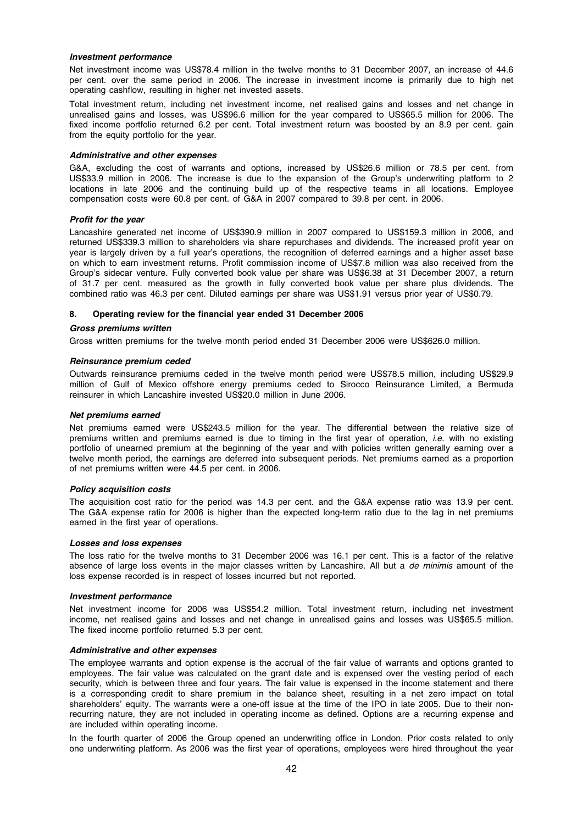### Investment performance

Net investment income was US\$78.4 million in the twelve months to 31 December 2007, an increase of 44.6 per cent. over the same period in 2006. The increase in investment income is primarily due to high net operating cashflow, resulting in higher net invested assets.

Total investment return, including net investment income, net realised gains and losses and net change in unrealised gains and losses, was US\$96.6 million for the year compared to US\$65.5 million for 2006. The fixed income portfolio returned 6.2 per cent. Total investment return was boosted by an 8.9 per cent. gain from the equity portfolio for the year.

### Administrative and other expenses

G&A, excluding the cost of warrants and options, increased by US\$26.6 million or 78.5 per cent. from US\$33.9 million in 2006. The increase is due to the expansion of the Group's underwriting platform to 2 locations in late 2006 and the continuing build up of the respective teams in all locations. Employee compensation costs were 60.8 per cent. of G&A in 2007 compared to 39.8 per cent. in 2006.

### Profit for the year

Lancashire generated net income of US\$390.9 million in 2007 compared to US\$159.3 million in 2006, and returned US\$339.3 million to shareholders via share repurchases and dividends. The increased profit year on year is largely driven by a full year's operations, the recognition of deferred earnings and a higher asset base on which to earn investment returns. Profit commission income of US\$7.8 million was also received from the Group's sidecar venture. Fully converted book value per share was US\$6.38 at 31 December 2007, a return of 31.7 per cent. measured as the growth in fully converted book value per share plus dividends. The combined ratio was 46.3 per cent. Diluted earnings per share was US\$1.91 versus prior year of US\$0.79.

## 8. Operating review for the financial year ended 31 December 2006

### Gross premiums written

Gross written premiums for the twelve month period ended 31 December 2006 were US\$626.0 million.

### Reinsurance premium ceded

Outwards reinsurance premiums ceded in the twelve month period were US\$78.5 million, including US\$29.9 million of Gulf of Mexico offshore energy premiums ceded to Sirocco Reinsurance Limited, a Bermuda reinsurer in which Lancashire invested US\$20.0 million in June 2006.

### Net premiums earned

Net premiums earned were US\$243.5 million for the year. The differential between the relative size of premiums written and premiums earned is due to timing in the first year of operation, *i.e.* with no existing portfolio of unearned premium at the beginning of the year and with policies written generally earning over a twelve month period, the earnings are deferred into subsequent periods. Net premiums earned as a proportion of net premiums written were 44.5 per cent. in 2006.

### Policy acquisition costs

The acquisition cost ratio for the period was 14.3 per cent. and the G&A expense ratio was 13.9 per cent. The G&A expense ratio for 2006 is higher than the expected long-term ratio due to the lag in net premiums earned in the first year of operations.

### Losses and loss expenses

The loss ratio for the twelve months to 31 December 2006 was 16.1 per cent. This is a factor of the relative absence of large loss events in the major classes written by Lancashire. All but a de minimis amount of the loss expense recorded is in respect of losses incurred but not reported.

# Investment performance

Net investment income for 2006 was US\$54.2 million. Total investment return, including net investment income, net realised gains and losses and net change in unrealised gains and losses was US\$65.5 million. The fixed income portfolio returned 5.3 per cent.

### Administrative and other expenses

The employee warrants and option expense is the accrual of the fair value of warrants and options granted to employees. The fair value was calculated on the grant date and is expensed over the vesting period of each security, which is between three and four years. The fair value is expensed in the income statement and there is a corresponding credit to share premium in the balance sheet, resulting in a net zero impact on total shareholders' equity. The warrants were a one-off issue at the time of the IPO in late 2005. Due to their nonrecurring nature, they are not included in operating income as defined. Options are a recurring expense and are included within operating income.

In the fourth quarter of 2006 the Group opened an underwriting office in London. Prior costs related to only one underwriting platform. As 2006 was the first year of operations, employees were hired throughout the year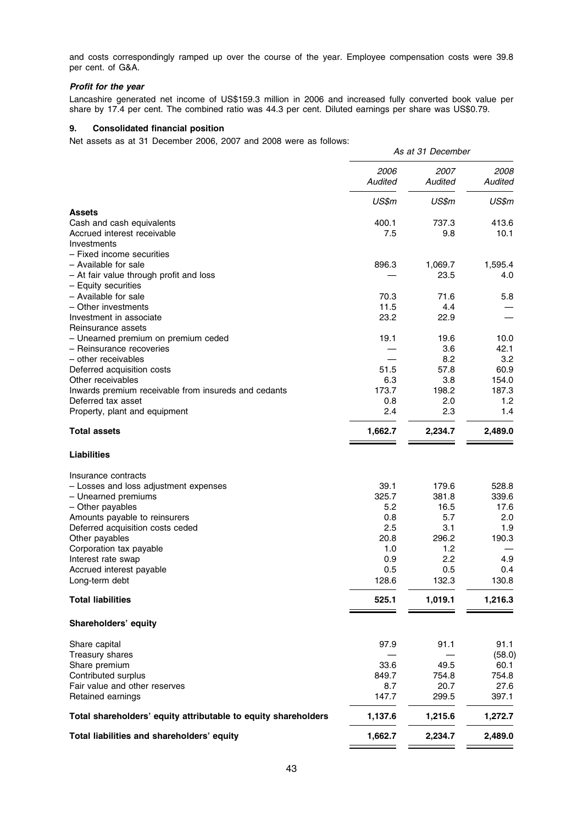and costs correspondingly ramped up over the course of the year. Employee compensation costs were 39.8 per cent. of G&A.

# Profit for the year

Lancashire generated net income of US\$159.3 million in 2006 and increased fully converted book value per share by 17.4 per cent. The combined ratio was 44.3 per cent. Diluted earnings per share was US\$0.79.

# 9. Consolidated financial position

Net assets as at 31 December 2006, 2007 and 2008 were as follows:

|                                                                 |                 | As at 31 December |                 |
|-----------------------------------------------------------------|-----------------|-------------------|-----------------|
|                                                                 | 2006<br>Audited | 2007<br>Audited   | 2008<br>Audited |
|                                                                 | US\$m           | US\$m             | US\$m           |
| <b>Assets</b>                                                   |                 |                   |                 |
| Cash and cash equivalents                                       | 400.1           | 737.3             | 413.6           |
| Accrued interest receivable<br>Investments                      | 7.5             | 9.8               | 10.1            |
| - Fixed income securities                                       |                 |                   |                 |
| - Available for sale                                            | 896.3           | 1,069.7           | 1,595.4         |
| - At fair value through profit and loss                         |                 | 23.5              | 4.0             |
| - Equity securities                                             |                 |                   |                 |
| - Available for sale                                            | 70.3            | 71.6              | 5.8             |
| - Other investments                                             | 11.5            | 4.4               |                 |
| Investment in associate                                         | 23.2            | 22.9              |                 |
| Reinsurance assets                                              |                 |                   |                 |
| - Unearned premium on premium ceded<br>- Reinsurance recoveries | 19.1            | 19.6<br>3.6       | 10.0<br>42.1    |
| - other receivables                                             |                 | 8.2               | 3.2             |
| Deferred acquisition costs                                      | 51.5            | 57.8              | 60.9            |
| Other receivables                                               | 6.3             | 3.8               | 154.0           |
| Inwards premium receivable from insureds and cedants            | 173.7           | 198.2             | 187.3           |
| Deferred tax asset                                              | 0.8             | 2.0               | 1.2             |
| Property, plant and equipment                                   | 2.4             | 2.3               | 1.4             |
| <b>Total assets</b>                                             | 1,662.7         | 2,234.7           | 2,489.0         |
| <b>Liabilities</b>                                              |                 |                   |                 |
| Insurance contracts                                             |                 |                   |                 |
| - Losses and loss adjustment expenses                           | 39.1            | 179.6             | 528.8           |
| - Unearned premiums                                             | 325.7           | 381.8             | 339.6           |
| - Other payables                                                | 5.2             | 16.5              | 17.6            |
| Amounts payable to reinsurers                                   | 0.8             | 5.7               | 2.0             |
| Deferred acquisition costs ceded                                | 2.5             | 3.1               | 1.9             |
| Other payables                                                  | 20.8            | 296.2             | 190.3           |
| Corporation tax payable                                         | 1.0             | 1.2               |                 |
| Interest rate swap                                              | 0.9             | 2.2               | 4.9             |
| Accrued interest payable<br>Long-term debt                      | 0.5<br>128.6    | 0.5<br>132.3      | 0.4<br>130.8    |
|                                                                 |                 |                   |                 |
| <b>Total liabilities</b>                                        | 525.1           | 1,019.1           | 1,216.3         |
| Shareholders' equity                                            |                 |                   |                 |
| Share capital                                                   | 97.9            | 91.1              | 91.1            |
| Treasury shares                                                 |                 |                   | (58.0)          |
| Share premium                                                   | 33.6            | 49.5              | 60.1            |
| Contributed surplus                                             | 849.7           | 754.8             | 754.8           |
| Fair value and other reserves                                   | 8.7             | 20.7              | 27.6            |
| Retained earnings                                               | 147.7           | 299.5             | 397.1           |
| Total shareholders' equity attributable to equity shareholders  | 1,137.6         | 1,215.6           | 1,272.7         |
| Total liabilities and shareholders' equity                      | 1,662.7         | 2,234.7           | 2,489.0         |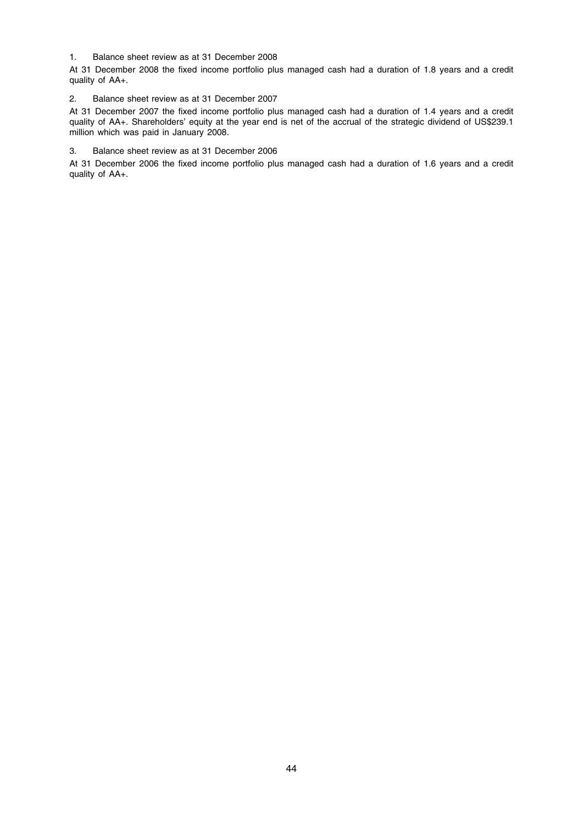# 1. Balance sheet review as at 31 December 2008

At 31 December 2008 the fixed income portfolio plus managed cash had a duration of 1.8 years and a credit quality of AA+.

# 2. Balance sheet review as at 31 December 2007

At 31 December 2007 the fixed income portfolio plus managed cash had a duration of 1.4 years and a credit quality of AA+. Shareholders' equity at the year end is net of the accrual of the strategic dividend of US\$239.1 million which was paid in January 2008.

# 3. Balance sheet review as at 31 December 2006

At 31 December 2006 the fixed income portfolio plus managed cash had a duration of 1.6 years and a credit quality of AA+.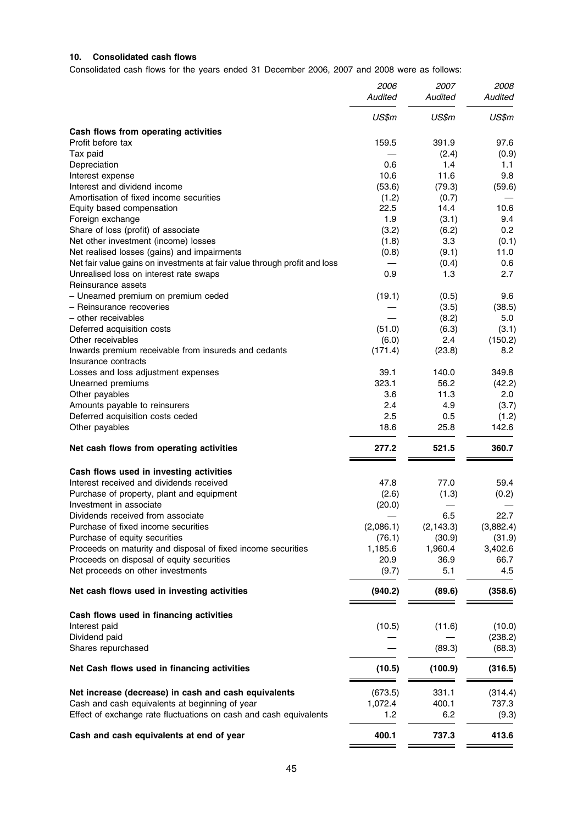# 10. Consolidated cash flows

Consolidated cash flows for the years ended 31 December 2006, 2007 and 2008 were as follows:

|                                                                           | 2006<br>Audited | 2007<br>Audited | 2008<br>Audited |
|---------------------------------------------------------------------------|-----------------|-----------------|-----------------|
|                                                                           | US\$m           | US\$m           | US\$m           |
| Cash flows from operating activities                                      |                 |                 |                 |
| Profit before tax                                                         | 159.5           | 391.9           | 97.6            |
| Tax paid                                                                  |                 | (2.4)           | (0.9)           |
| Depreciation                                                              | 0.6             | 1.4             | 1.1             |
| Interest expense                                                          | 10.6            | 11.6            | 9.8             |
| Interest and dividend income                                              | (53.6)          | (79.3)          | (59.6)          |
| Amortisation of fixed income securities                                   | (1.2)           | (0.7)           |                 |
| Equity based compensation                                                 | 22.5            | 14.4            | 10.6            |
| Foreign exchange                                                          | 1.9             | (3.1)           | 9.4             |
| Share of loss (profit) of associate                                       | (3.2)           | (6.2)           | 0.2             |
| Net other investment (income) losses                                      | (1.8)           | 3.3             | (0.1)           |
| Net realised losses (gains) and impairments                               | (0.8)           | (9.1)           | 11.0            |
| Net fair value gains on investments at fair value through profit and loss |                 | (0.4)           | 0.6             |
| Unrealised loss on interest rate swaps                                    | 0.9             | 1.3             | 2.7             |
| Reinsurance assets                                                        |                 |                 |                 |
| - Unearned premium on premium ceded                                       | (19.1)          | (0.5)           | 9.6             |
| - Reinsurance recoveries                                                  |                 | (3.5)           | (38.5)          |
| - other receivables                                                       |                 | (8.2)           | 5.0             |
| Deferred acquisition costs                                                | (51.0)          | (6.3)           | (3.1)           |
| Other receivables                                                         | (6.0)           | 2.4             | (150.2)         |
| Inwards premium receivable from insureds and cedants                      | (171.4)         | (23.8)          | 8.2             |
| Insurance contracts                                                       |                 |                 |                 |
| Losses and loss adjustment expenses                                       | 39.1            | 140.0           | 349.8           |
| Unearned premiums                                                         | 323.1           | 56.2            | (42.2)          |
| Other payables                                                            | 3.6             | 11.3            | 2.0             |
| Amounts payable to reinsurers                                             | 2.4             | 4.9             | (3.7)           |
| Deferred acquisition costs ceded                                          | 2.5             | 0.5             | (1.2)           |
| Other payables                                                            | 18.6            | 25.8            | 142.6           |
| Net cash flows from operating activities                                  | 277.2           | 521.5           | 360.7           |
| Cash flows used in investing activities                                   |                 |                 |                 |
| Interest received and dividends received                                  | 47.8            | 77.0            | 59.4            |
| Purchase of property, plant and equipment                                 | (2.6)           | (1.3)           | (0.2)           |
| Investment in associate                                                   | (20.0)          |                 |                 |
| Dividends received from associate                                         |                 | 6.5             | 22.7            |
| Purchase of fixed income securities                                       | (2,086.1)       | (2, 143.3)      | (3,882.4)       |
| Purchase of equity securities                                             | (76.1)          | (30.9)          | (31.9)          |
| Proceeds on maturity and disposal of fixed income securities              | 1,185.6         | 1,960.4         | 3,402.6         |
| Proceeds on disposal of equity securities                                 | 20.9            | 36.9            | 66.7            |
| Net proceeds on other investments                                         | (9.7)           | 5.1             | 4.5             |
| Net cash flows used in investing activities                               | (940.2)         | (89.6)          | (358.6)         |
| Cash flows used in financing activities                                   |                 |                 |                 |
| Interest paid                                                             | (10.5)          | (11.6)          | (10.0)          |
| Dividend paid                                                             |                 |                 | (238.2)         |
| Shares repurchased                                                        |                 | (89.3)          | (68.3)          |
| Net Cash flows used in financing activities                               | (10.5)          | (100.9)         | (316.5)         |
| Net increase (decrease) in cash and cash equivalents                      | (673.5)         | 331.1           | (314.4)         |
| Cash and cash equivalents at beginning of year                            | 1,072.4         | 400.1           | 737.3           |
| Effect of exchange rate fluctuations on cash and cash equivalents         | 1.2             | 6.2             | (9.3)           |
| Cash and cash equivalents at end of year                                  | 400.1           | 737.3           | 413.6           |
|                                                                           |                 |                 |                 |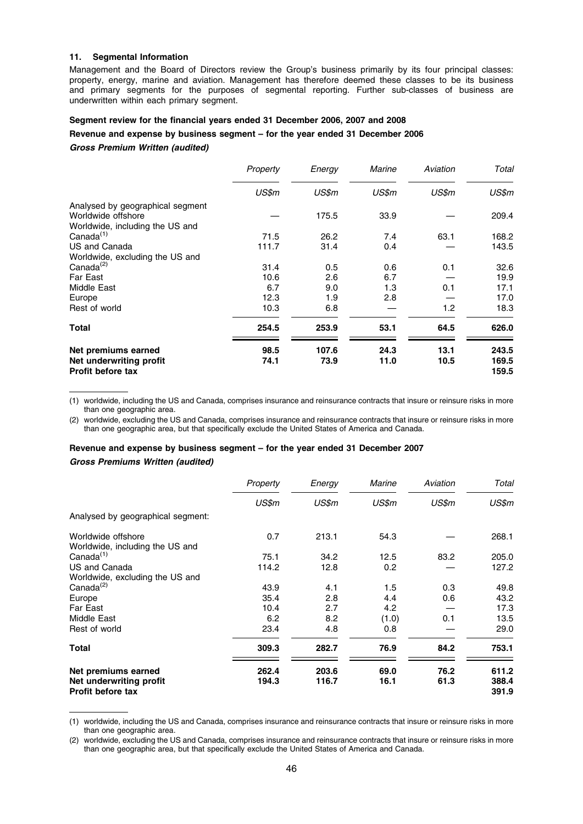### 11. Segmental Information

Management and the Board of Directors review the Group's business primarily by its four principal classes: property, energy, marine and aviation. Management has therefore deemed these classes to be its business and primary segments for the purposes of segmental reporting. Further sub-classes of business are underwritten within each primary segment.

# Segment review for the financial years ended 31 December 2006, 2007 and 2008

# Revenue and expense by business segment – for the year ended 31 December 2006

### Gross Premium Written (audited)

|                                              | Property | Energy | Marine | Aviation | Total          |
|----------------------------------------------|----------|--------|--------|----------|----------------|
|                                              | US\$m    | US\$m  | US\$m  | US\$m    | US\$m          |
| Analysed by geographical segment             |          |        |        |          |                |
| Worldwide offshore                           |          | 175.5  | 33.9   |          | 209.4          |
| Worldwide, including the US and              |          |        |        |          |                |
| Canada $(1)$                                 | 71.5     | 26.2   | 7.4    | 63.1     | 168.2          |
| US and Canada                                | 111.7    | 31.4   | 0.4    |          | 143.5          |
| Worldwide, excluding the US and              |          |        |        |          |                |
| Canada <sup>(2)</sup>                        | 31.4     | 0.5    | 0.6    | 0.1      | 32.6           |
| <b>Far East</b>                              | 10.6     | 2.6    | 6.7    |          | 19.9           |
| Middle East                                  | 6.7      | 9.0    | 1.3    | 0.1      | 17.1           |
| Europe                                       | 12.3     | 1.9    | 2.8    |          | 17.0           |
| Rest of world                                | 10.3     | 6.8    |        | 1.2      | 18.3           |
| <b>Total</b>                                 | 254.5    | 253.9  | 53.1   | 64.5     | 626.0          |
| Net premiums earned                          | 98.5     | 107.6  | 24.3   | 13.1     | 243.5          |
| Net underwriting profit<br>Profit before tax | 74.1     | 73.9   | 11.0   | 10.5     | 169.5<br>159.5 |

(1) worldwide, including the US and Canada, comprises insurance and reinsurance contracts that insure or reinsure risks in more than one geographic area.

(2) worldwide, excluding the US and Canada, comprises insurance and reinsurance contracts that insure or reinsure risks in more than one geographic area, but that specifically exclude the United States of America and Canada.

# Revenue and expense by business segment – for the year ended 31 December 2007

# Gross Premiums Written (audited)

|                                                     | Property | Energy | <b>Marine</b> | Aviation | Total          |
|-----------------------------------------------------|----------|--------|---------------|----------|----------------|
|                                                     | US\$m    | US\$m  | US\$m         | US\$m    | US\$m          |
| Analysed by geographical segment:                   |          |        |               |          |                |
| Worldwide offshore                                  | 0.7      | 213.1  | 54.3          |          | 268.1          |
| Worldwide, including the US and                     |          |        |               |          |                |
| Canada <sup>(1)</sup>                               | 75.1     | 34.2   | 12.5          | 83.2     | 205.0          |
| US and Canada                                       | 114.2    | 12.8   | 0.2           |          | 127.2          |
| Worldwide, excluding the US and                     |          |        |               |          |                |
| Canada <sup>(2)</sup>                               | 43.9     | 4.1    | 1.5           | 0.3      | 49.8           |
| Europe                                              | 35.4     | 2.8    | 4.4           | 0.6      | 43.2           |
| Far East                                            | 10.4     | 2.7    | 4.2           |          | 17.3           |
| Middle East                                         | 6.2      | 8.2    | (1.0)         | 0.1      | 13.5           |
| Rest of world                                       | 23.4     | 4.8    | 0.8           |          | 29.0           |
| Total                                               | 309.3    | 282.7  | 76.9          | 84.2     | 753.1          |
| Net premiums earned                                 | 262.4    | 203.6  | 69.0          | 76.2     | 611.2          |
| Net underwriting profit<br><b>Profit before tax</b> | 194.3    | 116.7  | 16.1          | 61.3     | 388.4<br>391.9 |

(1) worldwide, including the US and Canada, comprises insurance and reinsurance contracts that insure or reinsure risks in more than one geographic area.

(2) worldwide, excluding the US and Canada, comprises insurance and reinsurance contracts that insure or reinsure risks in more than one geographic area, but that specifically exclude the United States of America and Canada.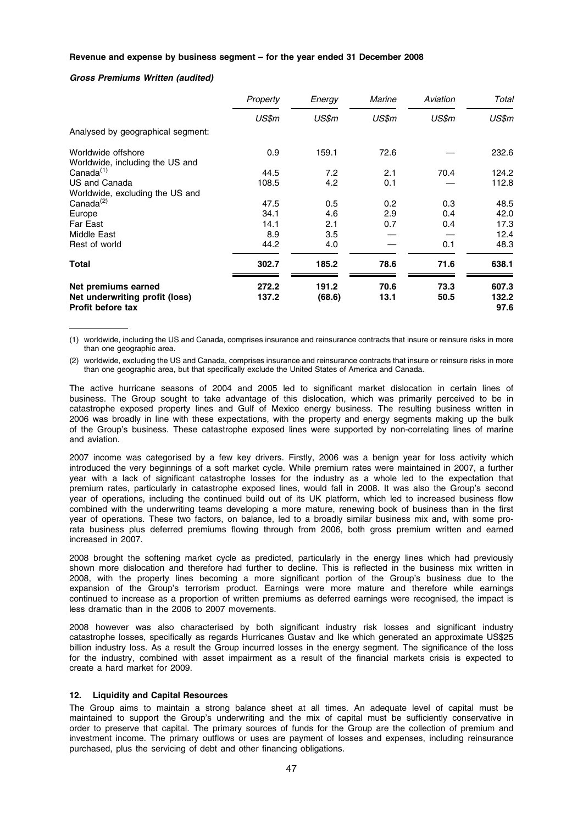### Revenue and expense by business segment – for the year ended 31 December 2008

### Gross Premiums Written (audited)

|                                                            | Property | Energy | Marine | Aviation | Total         |
|------------------------------------------------------------|----------|--------|--------|----------|---------------|
|                                                            | US\$m    | US\$m  | US\$m  | US\$m    | US\$m         |
| Analysed by geographical segment:                          |          |        |        |          |               |
| Worldwide offshore                                         | 0.9      | 159.1  | 72.6   |          | 232.6         |
| Worldwide, including the US and                            |          |        |        |          |               |
| Canada <sup>(1)</sup>                                      | 44.5     | 7.2    | 2.1    | 70.4     | 124.2         |
| US and Canada                                              | 108.5    | 4.2    | 0.1    |          | 112.8         |
| Worldwide, excluding the US and                            |          |        |        |          |               |
| Canada <sup>(2)</sup>                                      | 47.5     | 0.5    | 0.2    | 0.3      | 48.5          |
| Europe                                                     | 34.1     | 4.6    | 2.9    | 0.4      | 42.0          |
| Far East                                                   | 14.1     | 2.1    | 0.7    | 0.4      | 17.3          |
| Middle East                                                | 8.9      | 3.5    |        |          | 12.4          |
| Rest of world                                              | 44.2     | 4.0    |        | 0.1      | 48.3          |
| Total                                                      | 302.7    | 185.2  | 78.6   | 71.6     | 638.1         |
| Net premiums earned                                        | 272.2    | 191.2  | 70.6   | 73.3     | 607.3         |
| Net underwriting profit (loss)<br><b>Profit before tax</b> | 137.2    | (68.6) | 13.1   | 50.5     | 132.2<br>97.6 |

(1) worldwide, including the US and Canada, comprises insurance and reinsurance contracts that insure or reinsure risks in more than one geographic area.

(2) worldwide, excluding the US and Canada, comprises insurance and reinsurance contracts that insure or reinsure risks in more than one geographic area, but that specifically exclude the United States of America and Canada.

The active hurricane seasons of 2004 and 2005 led to significant market dislocation in certain lines of business. The Group sought to take advantage of this dislocation, which was primarily perceived to be in catastrophe exposed property lines and Gulf of Mexico energy business. The resulting business written in 2006 was broadly in line with these expectations, with the property and energy segments making up the bulk of the Group's business. These catastrophe exposed lines were supported by non-correlating lines of marine and aviation.

2007 income was categorised by a few key drivers. Firstly, 2006 was a benign year for loss activity which introduced the very beginnings of a soft market cycle. While premium rates were maintained in 2007, a further year with a lack of significant catastrophe losses for the industry as a whole led to the expectation that premium rates, particularly in catastrophe exposed lines, would fall in 2008. It was also the Group's second year of operations, including the continued build out of its UK platform, which led to increased business flow combined with the underwriting teams developing a more mature, renewing book of business than in the first year of operations. These two factors, on balance, led to a broadly similar business mix and, with some prorata business plus deferred premiums flowing through from 2006, both gross premium written and earned increased in 2007.

2008 brought the softening market cycle as predicted, particularly in the energy lines which had previously shown more dislocation and therefore had further to decline. This is reflected in the business mix written in 2008, with the property lines becoming a more significant portion of the Group's business due to the expansion of the Group's terrorism product. Earnings were more mature and therefore while earnings continued to increase as a proportion of written premiums as deferred earnings were recognised, the impact is less dramatic than in the 2006 to 2007 movements.

2008 however was also characterised by both significant industry risk losses and significant industry catastrophe losses, specifically as regards Hurricanes Gustav and Ike which generated an approximate US\$25 billion industry loss. As a result the Group incurred losses in the energy segment. The significance of the loss for the industry, combined with asset impairment as a result of the financial markets crisis is expected to create a hard market for 2009.

# 12. Liquidity and Capital Resources

The Group aims to maintain a strong balance sheet at all times. An adequate level of capital must be maintained to support the Group's underwriting and the mix of capital must be sufficiently conservative in order to preserve that capital. The primary sources of funds for the Group are the collection of premium and investment income. The primary outflows or uses are payment of losses and expenses, including reinsurance purchased, plus the servicing of debt and other financing obligations.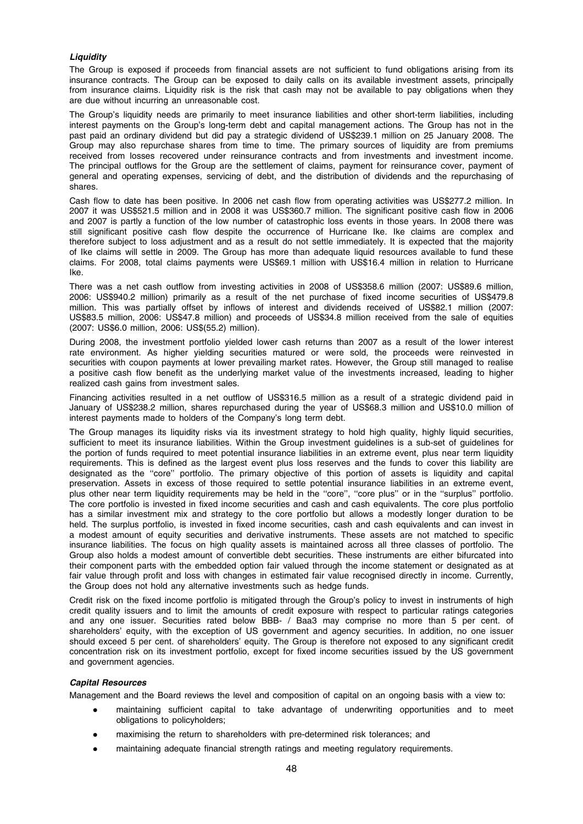# **Liquidity**

The Group is exposed if proceeds from financial assets are not sufficient to fund obligations arising from its insurance contracts. The Group can be exposed to daily calls on its available investment assets, principally from insurance claims. Liquidity risk is the risk that cash may not be available to pay obligations when they are due without incurring an unreasonable cost.

The Group's liquidity needs are primarily to meet insurance liabilities and other short-term liabilities, including interest payments on the Group's long-term debt and capital management actions. The Group has not in the past paid an ordinary dividend but did pay a strategic dividend of US\$239.1 million on 25 January 2008. The Group may also repurchase shares from time to time. The primary sources of liquidity are from premiums received from losses recovered under reinsurance contracts and from investments and investment income. The principal outflows for the Group are the settlement of claims, payment for reinsurance cover, payment of general and operating expenses, servicing of debt, and the distribution of dividends and the repurchasing of shares.

Cash flow to date has been positive. In 2006 net cash flow from operating activities was US\$277.2 million. In 2007 it was US\$521.5 million and in 2008 it was US\$360.7 million. The significant positive cash flow in 2006 and 2007 is partly a function of the low number of catastrophic loss events in those years. In 2008 there was still significant positive cash flow despite the occurrence of Hurricane Ike. Ike claims are complex and therefore subject to loss adjustment and as a result do not settle immediately. It is expected that the majority of Ike claims will settle in 2009. The Group has more than adequate liquid resources available to fund these claims. For 2008, total claims payments were US\$69.1 million with US\$16.4 million in relation to Hurricane Ike.

There was a net cash outflow from investing activities in 2008 of US\$358.6 million (2007: US\$89.6 million, 2006: US\$940.2 million) primarily as a result of the net purchase of fixed income securities of US\$479.8 million. This was partially offset by inflows of interest and dividends received of US\$82.1 million (2007: US\$83.5 million, 2006: US\$47.8 million) and proceeds of US\$34.8 million received from the sale of equities (2007: US\$6.0 million, 2006: US\$(55.2) million).

During 2008, the investment portfolio yielded lower cash returns than 2007 as a result of the lower interest rate environment. As higher yielding securities matured or were sold, the proceeds were reinvested in securities with coupon payments at lower prevailing market rates. However, the Group still managed to realise a positive cash flow benefit as the underlying market value of the investments increased, leading to higher realized cash gains from investment sales.

Financing activities resulted in a net outflow of US\$316.5 million as a result of a strategic dividend paid in January of US\$238.2 million, shares repurchased during the year of US\$68.3 million and US\$10.0 million of interest payments made to holders of the Company's long term debt.

The Group manages its liquidity risks via its investment strategy to hold high quality, highly liquid securities, sufficient to meet its insurance liabilities. Within the Group investment guidelines is a sub-set of guidelines for the portion of funds required to meet potential insurance liabilities in an extreme event, plus near term liquidity requirements. This is defined as the largest event plus loss reserves and the funds to cover this liability are designated as the ''core'' portfolio. The primary objective of this portion of assets is liquidity and capital preservation. Assets in excess of those required to settle potential insurance liabilities in an extreme event, plus other near term liquidity requirements may be held in the ''core'', ''core plus'' or in the ''surplus'' portfolio. The core portfolio is invested in fixed income securities and cash and cash equivalents. The core plus portfolio has a similar investment mix and strategy to the core portfolio but allows a modestly longer duration to be held. The surplus portfolio, is invested in fixed income securities, cash and cash equivalents and can invest in a modest amount of equity securities and derivative instruments. These assets are not matched to specific insurance liabilities. The focus on high quality assets is maintained across all three classes of portfolio. The Group also holds a modest amount of convertible debt securities. These instruments are either bifurcated into their component parts with the embedded option fair valued through the income statement or designated as at fair value through profit and loss with changes in estimated fair value recognised directly in income. Currently, the Group does not hold any alternative investments such as hedge funds.

Credit risk on the fixed income portfolio is mitigated through the Group's policy to invest in instruments of high credit quality issuers and to limit the amounts of credit exposure with respect to particular ratings categories and any one issuer. Securities rated below BBB- / Baa3 may comprise no more than 5 per cent. of shareholders' equity, with the exception of US government and agency securities. In addition, no one issuer should exceed 5 per cent. of shareholders' equity. The Group is therefore not exposed to any significant credit concentration risk on its investment portfolio, except for fixed income securities issued by the US government and government agencies.

# Capital Resources

Management and the Board reviews the level and composition of capital on an ongoing basis with a view to:

- maintaining sufficient capital to take advantage of underwriting opportunities and to meet obligations to policyholders;
- maximising the return to shareholders with pre-determined risk tolerances; and
- maintaining adequate financial strength ratings and meeting regulatory requirements.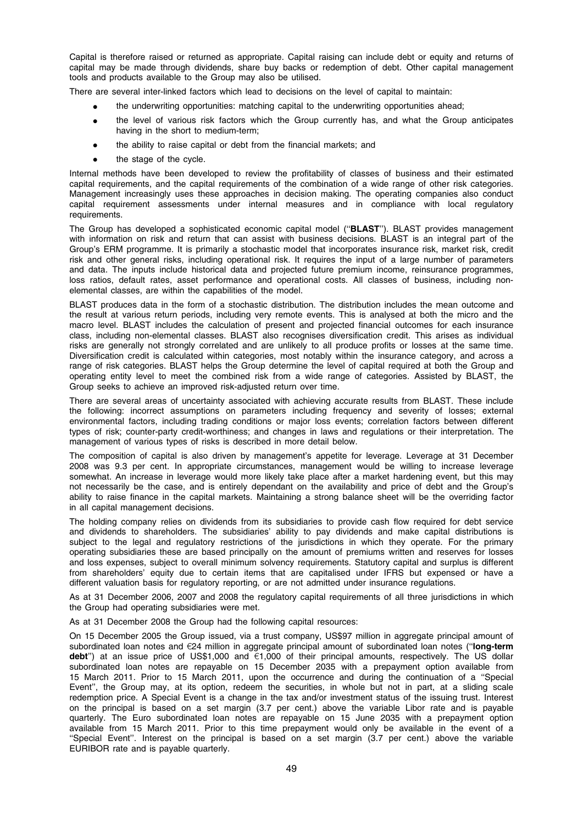Capital is therefore raised or returned as appropriate. Capital raising can include debt or equity and returns of capital may be made through dividends, share buy backs or redemption of debt. Other capital management tools and products available to the Group may also be utilised.

There are several inter-linked factors which lead to decisions on the level of capital to maintain:

- the underwriting opportunities: matching capital to the underwriting opportunities ahead;
- the level of various risk factors which the Group currently has, and what the Group anticipates having in the short to medium-term;
- the ability to raise capital or debt from the financial markets; and
- the stage of the cycle.

Internal methods have been developed to review the profitability of classes of business and their estimated capital requirements, and the capital requirements of the combination of a wide range of other risk categories. Management increasingly uses these approaches in decision making. The operating companies also conduct capital requirement assessments under internal measures and in compliance with local regulatory requirements.

The Group has developed a sophisticated economic capital model ("BLAST"). BLAST provides management with information on risk and return that can assist with business decisions. BLAST is an integral part of the Group's ERM programme. It is primarily a stochastic model that incorporates insurance risk, market risk, credit risk and other general risks, including operational risk. It requires the input of a large number of parameters and data. The inputs include historical data and projected future premium income, reinsurance programmes, loss ratios, default rates, asset performance and operational costs. All classes of business, including nonelemental classes, are within the capabilities of the model.

BLAST produces data in the form of a stochastic distribution. The distribution includes the mean outcome and the result at various return periods, including very remote events. This is analysed at both the micro and the macro level. BLAST includes the calculation of present and projected financial outcomes for each insurance class, including non-elemental classes. BLAST also recognises diversification credit. This arises as individual risks are generally not strongly correlated and are unlikely to all produce profits or losses at the same time. Diversification credit is calculated within categories, most notably within the insurance category, and across a range of risk categories. BLAST helps the Group determine the level of capital required at both the Group and operating entity level to meet the combined risk from a wide range of categories. Assisted by BLAST, the Group seeks to achieve an improved risk-adjusted return over time.

There are several areas of uncertainty associated with achieving accurate results from BLAST. These include the following: incorrect assumptions on parameters including frequency and severity of losses; external environmental factors, including trading conditions or major loss events; correlation factors between different types of risk; counter-party credit-worthiness; and changes in laws and regulations or their interpretation. The management of various types of risks is described in more detail below.

The composition of capital is also driven by management's appetite for leverage. Leverage at 31 December 2008 was 9.3 per cent. In appropriate circumstances, management would be willing to increase leverage somewhat. An increase in leverage would more likely take place after a market hardening event, but this may not necessarily be the case, and is entirely dependant on the availability and price of debt and the Group's ability to raise finance in the capital markets. Maintaining a strong balance sheet will be the overriding factor in all capital management decisions.

The holding company relies on dividends from its subsidiaries to provide cash flow required for debt service and dividends to shareholders. The subsidiaries' ability to pay dividends and make capital distributions is subject to the legal and regulatory restrictions of the jurisdictions in which they operate. For the primary operating subsidiaries these are based principally on the amount of premiums written and reserves for losses and loss expenses, subject to overall minimum solvency requirements. Statutory capital and surplus is different from shareholders' equity due to certain items that are capitalised under IFRS but expensed or have a different valuation basis for regulatory reporting, or are not admitted under insurance regulations.

As at 31 December 2006, 2007 and 2008 the regulatory capital requirements of all three jurisdictions in which the Group had operating subsidiaries were met.

As at 31 December 2008 the Group had the following capital resources:

On 15 December 2005 the Group issued, via a trust company, US\$97 million in aggregate principal amount of subordinated loan notes and  $\epsilon$ 24 million in aggregate principal amount of subordinated loan notes ("long-term debt") at an issue price of US\$1,000 and  $61,000$  of their principal amounts, respectively. The US dollar subordinated loan notes are repayable on 15 December 2035 with a prepayment option available from 15 March 2011. Prior to 15 March 2011, upon the occurrence and during the continuation of a ''Special Event'', the Group may, at its option, redeem the securities, in whole but not in part, at a sliding scale redemption price. A Special Event is a change in the tax and/or investment status of the issuing trust. Interest on the principal is based on a set margin (3.7 per cent.) above the variable Libor rate and is payable quarterly. The Euro subordinated loan notes are repayable on 15 June 2035 with a prepayment option available from 15 March 2011. Prior to this time prepayment would only be available in the event of a ''Special Event''. Interest on the principal is based on a set margin (3.7 per cent.) above the variable EURIBOR rate and is payable quarterly.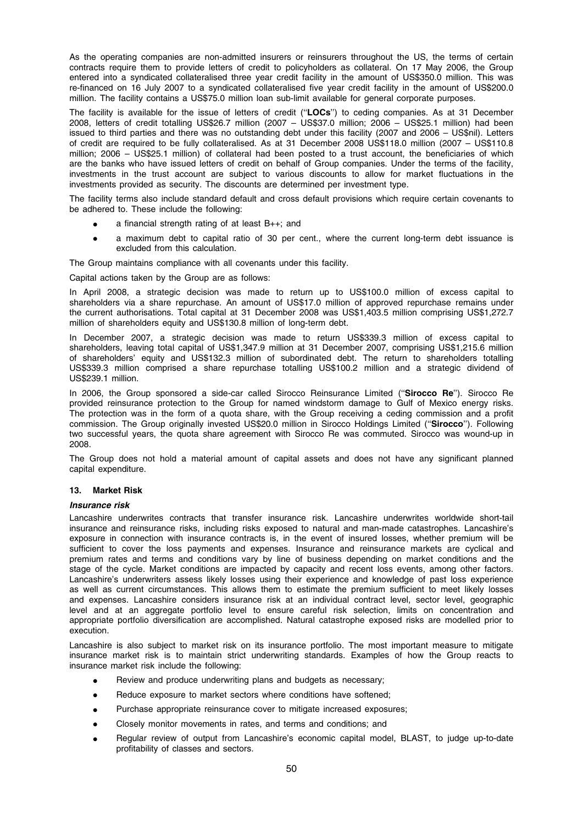As the operating companies are non-admitted insurers or reinsurers throughout the US, the terms of certain contracts require them to provide letters of credit to policyholders as collateral. On 17 May 2006, the Group entered into a syndicated collateralised three year credit facility in the amount of US\$350.0 million. This was re-financed on 16 July 2007 to a syndicated collateralised five year credit facility in the amount of US\$200.0 million. The facility contains a US\$75.0 million loan sub-limit available for general corporate purposes.

The facility is available for the issue of letters of credit ("LOCs") to ceding companies. As at 31 December 2008, letters of credit totalling US\$26.7 million (2007 – US\$37.0 million; 2006 – US\$25.1 million) had been issued to third parties and there was no outstanding debt under this facility (2007 and 2006 – US\$nil). Letters of credit are required to be fully collateralised. As at 31 December 2008 US\$118.0 million (2007 – US\$110.8 million; 2006 – US\$25.1 million) of collateral had been posted to a trust account, the beneficiaries of which are the banks who have issued letters of credit on behalf of Group companies. Under the terms of the facility, investments in the trust account are subject to various discounts to allow for market fluctuations in the investments provided as security. The discounts are determined per investment type.

The facility terms also include standard default and cross default provisions which require certain covenants to be adhered to. These include the following:

- a financial strength rating of at least  $B++$ ; and
- a maximum debt to capital ratio of 30 per cent., where the current long-term debt issuance is excluded from this calculation.

The Group maintains compliance with all covenants under this facility.

Capital actions taken by the Group are as follows:

In April 2008, a strategic decision was made to return up to US\$100.0 million of excess capital to shareholders via a share repurchase. An amount of US\$17.0 million of approved repurchase remains under the current authorisations. Total capital at 31 December 2008 was US\$1,403.5 million comprising US\$1,272.7 million of shareholders equity and US\$130.8 million of long-term debt.

In December 2007, a strategic decision was made to return US\$339.3 million of excess capital to shareholders, leaving total capital of US\$1,347.9 million at 31 December 2007, comprising US\$1,215.6 million of shareholders' equity and US\$132.3 million of subordinated debt. The return to shareholders totalling US\$339.3 million comprised a share repurchase totalling US\$100.2 million and a strategic dividend of US\$239.1 million.

In 2006, the Group sponsored a side-car called Sirocco Reinsurance Limited ("Sirocco Re"). Sirocco Re provided reinsurance protection to the Group for named windstorm damage to Gulf of Mexico energy risks. The protection was in the form of a quota share, with the Group receiving a ceding commission and a profit commission. The Group originally invested US\$20.0 million in Sirocco Holdings Limited (''Sirocco''). Following two successful years, the quota share agreement with Sirocco Re was commuted. Sirocco was wound-up in 2008.

The Group does not hold a material amount of capital assets and does not have any significant planned capital expenditure.

# 13. Market Risk

### Insurance risk

Lancashire underwrites contracts that transfer insurance risk. Lancashire underwrites worldwide short-tail insurance and reinsurance risks, including risks exposed to natural and man-made catastrophes. Lancashire's exposure in connection with insurance contracts is, in the event of insured losses, whether premium will be sufficient to cover the loss payments and expenses. Insurance and reinsurance markets are cyclical and premium rates and terms and conditions vary by line of business depending on market conditions and the stage of the cycle. Market conditions are impacted by capacity and recent loss events, among other factors. Lancashire's underwriters assess likely losses using their experience and knowledge of past loss experience as well as current circumstances. This allows them to estimate the premium sufficient to meet likely losses and expenses. Lancashire considers insurance risk at an individual contract level, sector level, geographic level and at an aggregate portfolio level to ensure careful risk selection, limits on concentration and appropriate portfolio diversification are accomplished. Natural catastrophe exposed risks are modelled prior to execution.

Lancashire is also subject to market risk on its insurance portfolio. The most important measure to mitigate insurance market risk is to maintain strict underwriting standards. Examples of how the Group reacts to insurance market risk include the following:

- Review and produce underwriting plans and budgets as necessary;
- Reduce exposure to market sectors where conditions have softened;
- Purchase appropriate reinsurance cover to mitigate increased exposures;
- Closely monitor movements in rates, and terms and conditions; and
- Regular review of output from Lancashire's economic capital model, BLAST, to judge up-to-date profitability of classes and sectors.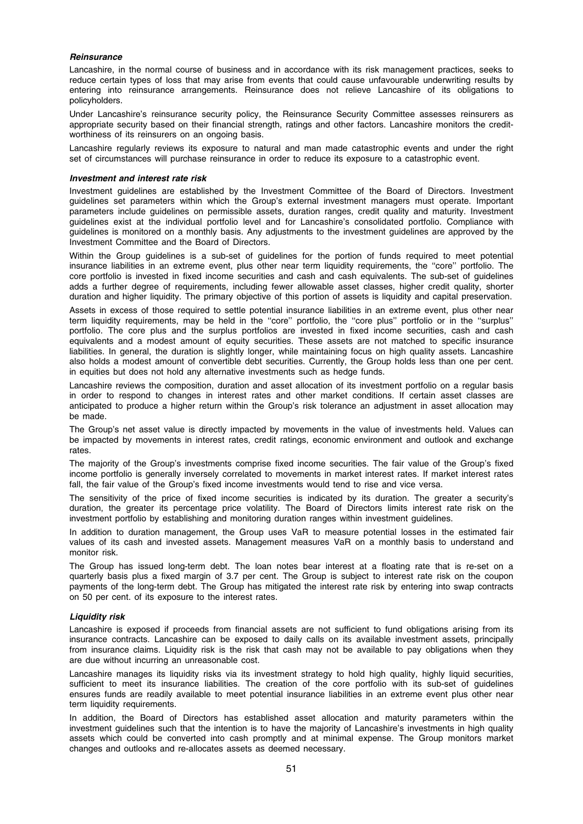### **Reinsurance**

Lancashire, in the normal course of business and in accordance with its risk management practices, seeks to reduce certain types of loss that may arise from events that could cause unfavourable underwriting results by entering into reinsurance arrangements. Reinsurance does not relieve Lancashire of its obligations to policyholders.

Under Lancashire's reinsurance security policy, the Reinsurance Security Committee assesses reinsurers as appropriate security based on their financial strength, ratings and other factors. Lancashire monitors the creditworthiness of its reinsurers on an ongoing basis.

Lancashire regularly reviews its exposure to natural and man made catastrophic events and under the right set of circumstances will purchase reinsurance in order to reduce its exposure to a catastrophic event.

### Investment and interest rate risk

Investment guidelines are established by the Investment Committee of the Board of Directors. Investment guidelines set parameters within which the Group's external investment managers must operate. Important parameters include guidelines on permissible assets, duration ranges, credit quality and maturity. Investment guidelines exist at the individual portfolio level and for Lancashire's consolidated portfolio. Compliance with guidelines is monitored on a monthly basis. Any adjustments to the investment guidelines are approved by the Investment Committee and the Board of Directors.

Within the Group guidelines is a sub-set of guidelines for the portion of funds required to meet potential insurance liabilities in an extreme event, plus other near term liquidity requirements, the ''core'' portfolio. The core portfolio is invested in fixed income securities and cash and cash equivalents. The sub-set of guidelines adds a further degree of requirements, including fewer allowable asset classes, higher credit quality, shorter duration and higher liquidity. The primary objective of this portion of assets is liquidity and capital preservation.

Assets in excess of those required to settle potential insurance liabilities in an extreme event, plus other near term liquidity requirements, may be held in the ''core'' portfolio, the ''core plus'' portfolio or in the ''surplus'' portfolio. The core plus and the surplus portfolios are invested in fixed income securities, cash and cash equivalents and a modest amount of equity securities. These assets are not matched to specific insurance liabilities. In general, the duration is slightly longer, while maintaining focus on high quality assets. Lancashire also holds a modest amount of convertible debt securities. Currently, the Group holds less than one per cent. in equities but does not hold any alternative investments such as hedge funds.

Lancashire reviews the composition, duration and asset allocation of its investment portfolio on a regular basis in order to respond to changes in interest rates and other market conditions. If certain asset classes are anticipated to produce a higher return within the Group's risk tolerance an adjustment in asset allocation may be made.

The Group's net asset value is directly impacted by movements in the value of investments held. Values can be impacted by movements in interest rates, credit ratings, economic environment and outlook and exchange rates.

The majority of the Group's investments comprise fixed income securities. The fair value of the Group's fixed income portfolio is generally inversely correlated to movements in market interest rates. If market interest rates fall, the fair value of the Group's fixed income investments would tend to rise and vice versa.

The sensitivity of the price of fixed income securities is indicated by its duration. The greater a security's duration, the greater its percentage price volatility. The Board of Directors limits interest rate risk on the investment portfolio by establishing and monitoring duration ranges within investment guidelines.

In addition to duration management, the Group uses VaR to measure potential losses in the estimated fair values of its cash and invested assets. Management measures VaR on a monthly basis to understand and monitor risk.

The Group has issued long-term debt. The loan notes bear interest at a floating rate that is re-set on a quarterly basis plus a fixed margin of 3.7 per cent. The Group is subject to interest rate risk on the coupon payments of the long-term debt. The Group has mitigated the interest rate risk by entering into swap contracts on 50 per cent. of its exposure to the interest rates.

# Liquidity risk

Lancashire is exposed if proceeds from financial assets are not sufficient to fund obligations arising from its insurance contracts. Lancashire can be exposed to daily calls on its available investment assets, principally from insurance claims. Liquidity risk is the risk that cash may not be available to pay obligations when they are due without incurring an unreasonable cost.

Lancashire manages its liquidity risks via its investment strategy to hold high quality, highly liquid securities, sufficient to meet its insurance liabilities. The creation of the core portfolio with its sub-set of guidelines ensures funds are readily available to meet potential insurance liabilities in an extreme event plus other near term liquidity requirements.

In addition, the Board of Directors has established asset allocation and maturity parameters within the investment guidelines such that the intention is to have the majority of Lancashire's investments in high quality assets which could be converted into cash promptly and at minimal expense. The Group monitors market changes and outlooks and re-allocates assets as deemed necessary.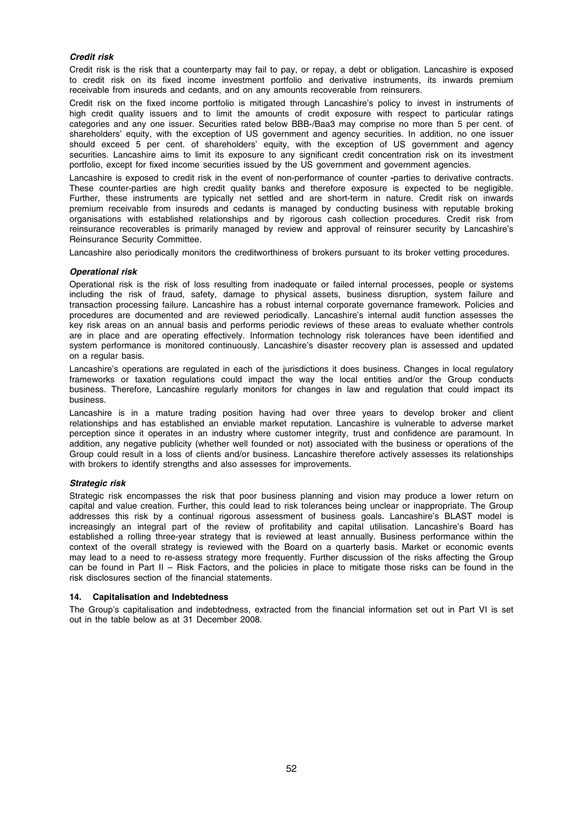# Credit risk

Credit risk is the risk that a counterparty may fail to pay, or repay, a debt or obligation. Lancashire is exposed to credit risk on its fixed income investment portfolio and derivative instruments, its inwards premium receivable from insureds and cedants, and on any amounts recoverable from reinsurers.

Credit risk on the fixed income portfolio is mitigated through Lancashire's policy to invest in instruments of high credit quality issuers and to limit the amounts of credit exposure with respect to particular ratings categories and any one issuer. Securities rated below BBB-/Baa3 may comprise no more than 5 per cent. of shareholders' equity, with the exception of US government and agency securities. In addition, no one issuer should exceed 5 per cent. of shareholders' equity, with the exception of US government and agency securities. Lancashire aims to limit its exposure to any significant credit concentration risk on its investment portfolio, except for fixed income securities issued by the US government and government agencies.

Lancashire is exposed to credit risk in the event of non-performance of counter -parties to derivative contracts. These counter-parties are high credit quality banks and therefore exposure is expected to be negligible. Further, these instruments are typically net settled and are short-term in nature. Credit risk on inwards premium receivable from insureds and cedants is managed by conducting business with reputable broking organisations with established relationships and by rigorous cash collection procedures. Credit risk from reinsurance recoverables is primarily managed by review and approval of reinsurer security by Lancashire's Reinsurance Security Committee.

Lancashire also periodically monitors the creditworthiness of brokers pursuant to its broker vetting procedures.

# Operational risk

Operational risk is the risk of loss resulting from inadequate or failed internal processes, people or systems including the risk of fraud, safety, damage to physical assets, business disruption, system failure and transaction processing failure. Lancashire has a robust internal corporate governance framework. Policies and procedures are documented and are reviewed periodically. Lancashire's internal audit function assesses the key risk areas on an annual basis and performs periodic reviews of these areas to evaluate whether controls are in place and are operating effectively. Information technology risk tolerances have been identified and system performance is monitored continuously. Lancashire's disaster recovery plan is assessed and updated on a regular basis.

Lancashire's operations are regulated in each of the jurisdictions it does business. Changes in local regulatory frameworks or taxation regulations could impact the way the local entities and/or the Group conducts business. Therefore, Lancashire regularly monitors for changes in law and regulation that could impact its business.

Lancashire is in a mature trading position having had over three years to develop broker and client relationships and has established an enviable market reputation. Lancashire is vulnerable to adverse market perception since it operates in an industry where customer integrity, trust and confidence are paramount. In addition, any negative publicity (whether well founded or not) associated with the business or operations of the Group could result in a loss of clients and/or business. Lancashire therefore actively assesses its relationships with brokers to identify strengths and also assesses for improvements.

# Strategic risk

Strategic risk encompasses the risk that poor business planning and vision may produce a lower return on capital and value creation. Further, this could lead to risk tolerances being unclear or inappropriate. The Group addresses this risk by a continual rigorous assessment of business goals. Lancashire's BLAST model is increasingly an integral part of the review of profitability and capital utilisation. Lancashire's Board has established a rolling three-year strategy that is reviewed at least annually. Business performance within the context of the overall strategy is reviewed with the Board on a quarterly basis. Market or economic events may lead to a need to re-assess strategy more frequently. Further discussion of the risks affecting the Group can be found in Part II – Risk Factors, and the policies in place to mitigate those risks can be found in the risk disclosures section of the financial statements.

# 14. Capitalisation and Indebtedness

The Group's capitalisation and indebtedness, extracted from the financial information set out in Part VI is set out in the table below as at 31 December 2008.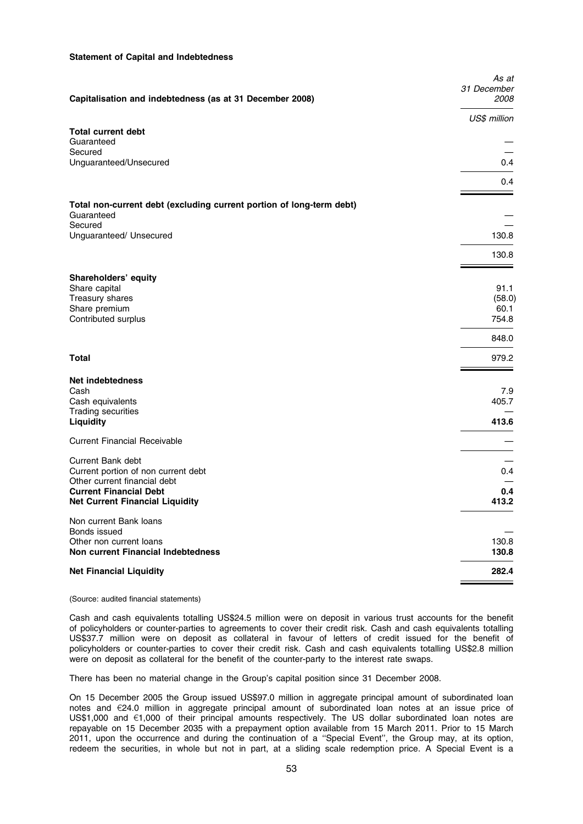### Statement of Capital and Indebtedness

| Capitalisation and indebtedness (as at 31 December 2008)                           | As at<br>31 December<br>2008 |
|------------------------------------------------------------------------------------|------------------------------|
|                                                                                    | US\$ million                 |
| <b>Total current debt</b><br>Guaranteed<br>Secured                                 |                              |
| Unguaranteed/Unsecured                                                             | 0.4                          |
|                                                                                    | 0.4                          |
| Total non-current debt (excluding current portion of long-term debt)<br>Guaranteed |                              |
| Secured<br>Unguaranteed/ Unsecured                                                 | 130.8                        |
|                                                                                    | 130.8                        |
| Shareholders' equity                                                               | 91.1                         |
| Share capital<br>Treasury shares                                                   | (58.0)                       |
| Share premium                                                                      | 60.1                         |
| Contributed surplus                                                                | 754.8                        |
|                                                                                    | 848.0                        |
| <b>Total</b>                                                                       | 979.2                        |
| <b>Net indebtedness</b>                                                            |                              |
| Cash<br>Cash equivalents                                                           | 7.9<br>405.7                 |
| <b>Trading securities</b>                                                          |                              |
| <b>Liquidity</b>                                                                   | 413.6                        |
| <b>Current Financial Receivable</b>                                                |                              |
| Current Bank debt                                                                  |                              |
| Current portion of non current debt                                                | 0.4                          |
| Other current financial debt<br><b>Current Financial Debt</b>                      | 0.4                          |
| <b>Net Current Financial Liquidity</b>                                             | 413.2                        |
| Non current Bank loans<br>Bonds issued                                             |                              |
| Other non current loans                                                            | 130.8                        |
| Non current Financial Indebtedness                                                 | 130.8                        |
| <b>Net Financial Liquidity</b>                                                     | 282.4                        |
|                                                                                    |                              |

(Source: audited financial statements)

Cash and cash equivalents totalling US\$24.5 million were on deposit in various trust accounts for the benefit of policyholders or counter-parties to agreements to cover their credit risk. Cash and cash equivalents totalling US\$37.7 million were on deposit as collateral in favour of letters of credit issued for the benefit of policyholders or counter-parties to cover their credit risk. Cash and cash equivalents totalling US\$2.8 million were on deposit as collateral for the benefit of the counter-party to the interest rate swaps.

There has been no material change in the Group's capital position since 31 December 2008.

On 15 December 2005 the Group issued US\$97.0 million in aggregate principal amount of subordinated loan notes and  $E24.0$  million in aggregate principal amount of subordinated loan notes at an issue price of US\$1,000 and €1,000 of their principal amounts respectively. The US dollar subordinated loan notes are repayable on 15 December 2035 with a prepayment option available from 15 March 2011. Prior to 15 March 2011, upon the occurrence and during the continuation of a ''Special Event'', the Group may, at its option, redeem the securities, in whole but not in part, at a sliding scale redemption price. A Special Event is a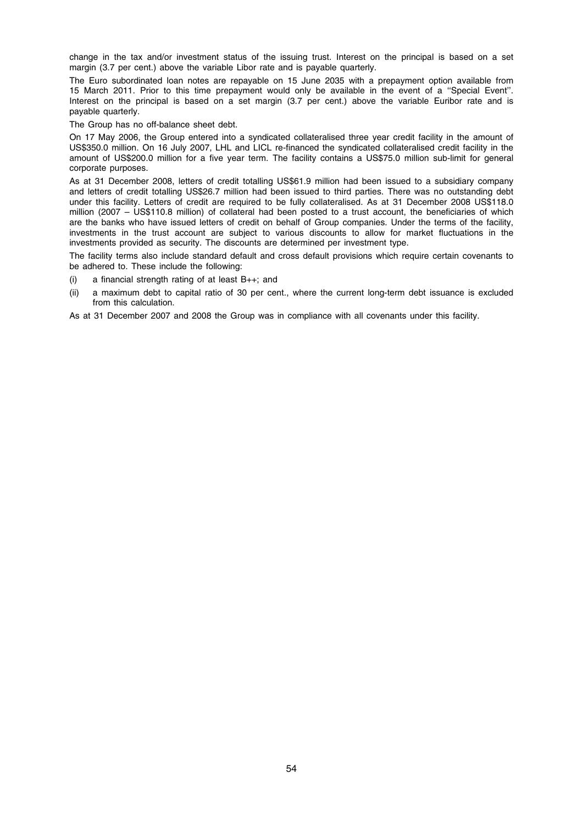change in the tax and/or investment status of the issuing trust. Interest on the principal is based on a set margin (3.7 per cent.) above the variable Libor rate and is payable quarterly.

The Euro subordinated loan notes are repayable on 15 June 2035 with a prepayment option available from 15 March 2011. Prior to this time prepayment would only be available in the event of a ''Special Event''. Interest on the principal is based on a set margin (3.7 per cent.) above the variable Euribor rate and is payable quarterly.

The Group has no off-balance sheet debt.

On 17 May 2006, the Group entered into a syndicated collateralised three year credit facility in the amount of US\$350.0 million. On 16 July 2007, LHL and LICL re-financed the syndicated collateralised credit facility in the amount of US\$200.0 million for a five year term. The facility contains a US\$75.0 million sub-limit for general corporate purposes.

As at 31 December 2008, letters of credit totalling US\$61.9 million had been issued to a subsidiary company and letters of credit totalling US\$26.7 million had been issued to third parties. There was no outstanding debt under this facility. Letters of credit are required to be fully collateralised. As at 31 December 2008 US\$118.0 million (2007 – US\$110.8 million) of collateral had been posted to a trust account, the beneficiaries of which are the banks who have issued letters of credit on behalf of Group companies. Under the terms of the facility, investments in the trust account are subject to various discounts to allow for market fluctuations in the investments provided as security. The discounts are determined per investment type.

The facility terms also include standard default and cross default provisions which require certain covenants to be adhered to. These include the following:

- (i) a financial strength rating of at least  $B_{++}$ ; and
- (ii) a maximum debt to capital ratio of 30 per cent., where the current long-term debt issuance is excluded from this calculation.

As at 31 December 2007 and 2008 the Group was in compliance with all covenants under this facility.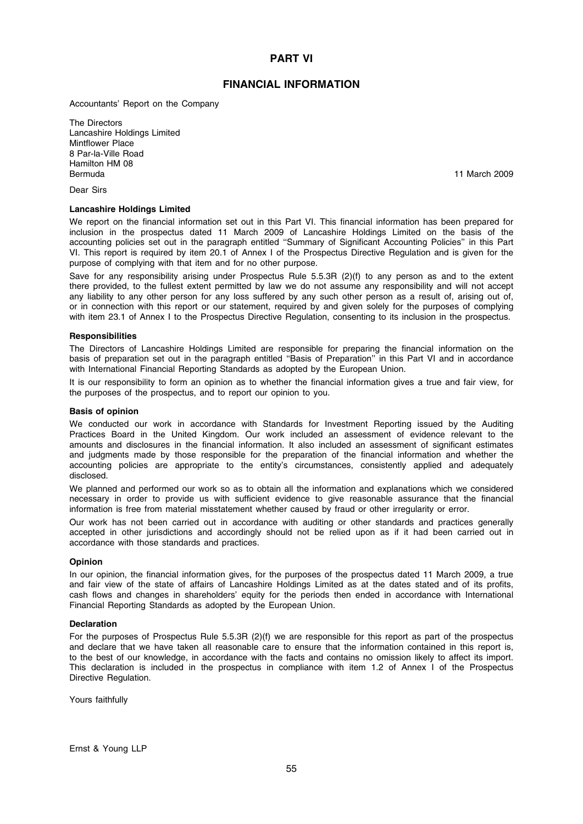# PART VI

# FINANCIAL INFORMATION

Accountants' Report on the Company

The Directors Lancashire Holdings Limited Mintflower Place 8 Par-la-Ville Road Hamilton HM 08 Bermuda 11 March 2009

Dear Sirs

# Lancashire Holdings Limited

We report on the financial information set out in this Part VI. This financial information has been prepared for inclusion in the prospectus dated 11 March 2009 of Lancashire Holdings Limited on the basis of the accounting policies set out in the paragraph entitled ''Summary of Significant Accounting Policies'' in this Part VI. This report is required by item 20.1 of Annex I of the Prospectus Directive Regulation and is given for the purpose of complying with that item and for no other purpose.

Save for any responsibility arising under Prospectus Rule 5.5.3R (2)(f) to any person as and to the extent there provided, to the fullest extent permitted by law we do not assume any responsibility and will not accept any liability to any other person for any loss suffered by any such other person as a result of, arising out of, or in connection with this report or our statement, required by and given solely for the purposes of complying with item 23.1 of Annex I to the Prospectus Directive Regulation, consenting to its inclusion in the prospectus.

### **Responsibilities**

The Directors of Lancashire Holdings Limited are responsible for preparing the financial information on the basis of preparation set out in the paragraph entitled ''Basis of Preparation'' in this Part VI and in accordance with International Financial Reporting Standards as adopted by the European Union.

It is our responsibility to form an opinion as to whether the financial information gives a true and fair view, for the purposes of the prospectus, and to report our opinion to you.

# Basis of opinion

We conducted our work in accordance with Standards for Investment Reporting issued by the Auditing Practices Board in the United Kingdom. Our work included an assessment of evidence relevant to the amounts and disclosures in the financial information. It also included an assessment of significant estimates and judgments made by those responsible for the preparation of the financial information and whether the accounting policies are appropriate to the entity's circumstances, consistently applied and adequately disclosed.

We planned and performed our work so as to obtain all the information and explanations which we considered necessary in order to provide us with sufficient evidence to give reasonable assurance that the financial information is free from material misstatement whether caused by fraud or other irregularity or error.

Our work has not been carried out in accordance with auditing or other standards and practices generally accepted in other jurisdictions and accordingly should not be relied upon as if it had been carried out in accordance with those standards and practices.

### Opinion

In our opinion, the financial information gives, for the purposes of the prospectus dated 11 March 2009, a true and fair view of the state of affairs of Lancashire Holdings Limited as at the dates stated and of its profits, cash flows and changes in shareholders' equity for the periods then ended in accordance with International Financial Reporting Standards as adopted by the European Union.

### Declaration

For the purposes of Prospectus Rule 5.5.3R (2)(f) we are responsible for this report as part of the prospectus and declare that we have taken all reasonable care to ensure that the information contained in this report is, to the best of our knowledge, in accordance with the facts and contains no omission likely to affect its import. This declaration is included in the prospectus in compliance with item 1.2 of Annex I of the Prospectus Directive Regulation.

Yours faithfully

Ernst & Young LLP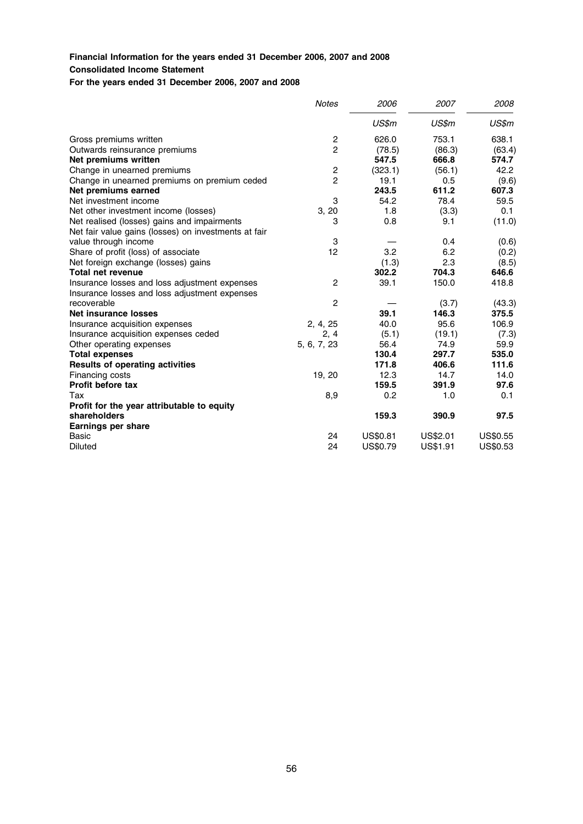# Financial Information for the years ended 31 December 2006, 2007 and 2008 Consolidated Income Statement

For the years ended 31 December 2006, 2007 and 2008

|                                                      | <b>Notes</b>            | 2006            | 2007     | 2008            |
|------------------------------------------------------|-------------------------|-----------------|----------|-----------------|
|                                                      |                         | US\$m           | US\$m    | US\$m           |
| Gross premiums written                               | 2                       | 626.0           | 753.1    | 638.1           |
| Outwards reinsurance premiums                        | $\overline{2}$          | (78.5)          | (86.3)   | (63.4)          |
| Net premiums written                                 |                         | 547.5           | 666.8    | 574.7           |
| Change in unearned premiums                          | $\overline{\mathbf{c}}$ | (323.1)         | (56.1)   | 42.2            |
| Change in unearned premiums on premium ceded         | $\overline{c}$          | 19.1            | 0.5      | (9.6)           |
| Net premiums earned                                  |                         | 243.5           | 611.2    | 607.3           |
| Net investment income                                | 3                       | 54.2            | 78.4     | 59.5            |
| Net other investment income (losses)                 | 3, 20                   | 1.8             | (3.3)    | 0.1             |
| Net realised (losses) gains and impairments          | 3                       | 0.8             | 9.1      | (11.0)          |
| Net fair value gains (losses) on investments at fair |                         |                 |          |                 |
| value through income                                 | 3                       |                 | 0.4      | (0.6)           |
| Share of profit (loss) of associate                  | 12                      | 3.2             | 6.2      | (0.2)           |
| Net foreign exchange (losses) gains                  |                         | (1.3)           | 2.3      | (8.5)           |
| <b>Total net revenue</b>                             |                         | 302.2           | 704.3    | 646.6           |
| Insurance losses and loss adjustment expenses        | 2                       | 39.1            | 150.0    | 418.8           |
| Insurance losses and loss adjustment expenses        |                         |                 |          |                 |
| recoverable                                          | $\overline{c}$          |                 | (3.7)    | (43.3)          |
| <b>Net insurance losses</b>                          |                         | 39.1            | 146.3    | 375.5           |
| Insurance acquisition expenses                       | 2, 4, 25                | 40.0            | 95.6     | 106.9           |
| Insurance acquisition expenses ceded                 | 2, 4                    | (5.1)           | (19.1)   | (7.3)           |
| Other operating expenses                             | 5, 6, 7, 23             | 56.4            | 74.9     | 59.9            |
| <b>Total expenses</b>                                |                         | 130.4           | 297.7    | 535.0           |
| <b>Results of operating activities</b>               |                         | 171.8           | 406.6    | 111.6           |
| Financing costs                                      | 19, 20                  | 12.3            | 14.7     | 14.0            |
| <b>Profit before tax</b>                             |                         | 159.5           | 391.9    | 97.6            |
| Tax                                                  | 8,9                     | 0.2             | 1.0      | 0.1             |
| Profit for the year attributable to equity           |                         |                 |          |                 |
| shareholders                                         |                         | 159.3           | 390.9    | 97.5            |
| Earnings per share                                   |                         |                 |          |                 |
| Basic                                                | 24                      | <b>US\$0.81</b> | US\$2.01 | <b>US\$0.55</b> |
| Diluted                                              | 24                      | US\$0.79        | US\$1.91 | US\$0.53        |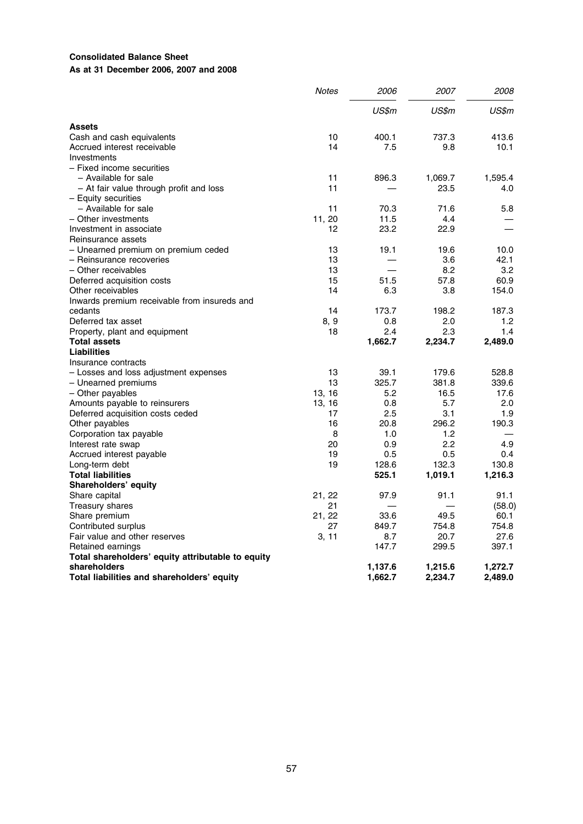# Consolidated Balance Sheet As at 31 December 2006, 2007 and 2008

|                                                   | <b>Notes</b> | 2006    | 2007    | 2008    |
|---------------------------------------------------|--------------|---------|---------|---------|
|                                                   |              | US\$m   | US\$m   | US\$m   |
| <b>Assets</b>                                     |              |         |         |         |
| Cash and cash equivalents                         | 10           | 400.1   | 737.3   | 413.6   |
| Accrued interest receivable                       | 14           | 7.5     | 9.8     | 10.1    |
| Investments                                       |              |         |         |         |
| - Fixed income securities                         |              |         |         |         |
| - Available for sale                              | 11           | 896.3   | 1,069.7 | 1,595.4 |
| - At fair value through profit and loss           | 11           |         | 23.5    | 4.0     |
| - Equity securities                               |              |         |         |         |
| - Available for sale                              | 11           | 70.3    | 71.6    | 5.8     |
| - Other investments                               | 11, 20       | 11.5    | 4.4     |         |
| Investment in associate                           | 12           | 23.2    | 22.9    |         |
| Reinsurance assets                                |              |         |         |         |
| - Unearned premium on premium ceded               | 13           | 19.1    | 19.6    | 10.0    |
| - Reinsurance recoveries                          | 13           |         | 3.6     | 42.1    |
| - Other receivables                               | 13           |         | 8.2     | 3.2     |
| Deferred acquisition costs                        | 15           | 51.5    | 57.8    | 60.9    |
| Other receivables                                 | 14           | 6.3     | 3.8     | 154.0   |
| Inwards premium receivable from insureds and      |              |         |         |         |
| cedants                                           | 14           | 173.7   | 198.2   | 187.3   |
| Deferred tax asset                                | 8, 9         | 0.8     | 2.0     | 1.2     |
| Property, plant and equipment                     | 18           | 2.4     | 2.3     | 1.4     |
| <b>Total assets</b>                               |              | 1,662.7 | 2,234.7 | 2,489.0 |
| Liabilities                                       |              |         |         |         |
| Insurance contracts                               |              |         |         |         |
| - Losses and loss adjustment expenses             | 13           | 39.1    | 179.6   | 528.8   |
| - Unearned premiums                               | 13           | 325.7   | 381.8   | 339.6   |
| - Other payables                                  | 13, 16       | 5.2     | 16.5    | 17.6    |
| Amounts payable to reinsurers                     | 13, 16       | 0.8     | 5.7     | 2.0     |
| Deferred acquisition costs ceded                  | 17           | 2.5     | 3.1     | 1.9     |
| Other payables                                    | 16           | 20.8    | 296.2   | 190.3   |
| Corporation tax payable                           | 8            | 1.0     | 1.2     |         |
| Interest rate swap                                | 20           | 0.9     | 2.2     | 4.9     |
| Accrued interest payable                          | 19           | 0.5     | 0.5     | 0.4     |
| Long-term debt                                    | 19           | 128.6   | 132.3   | 130.8   |
| <b>Total liabilities</b>                          |              | 525.1   | 1,019.1 | 1,216.3 |
| Shareholders' equity                              |              |         |         |         |
| Share capital                                     | 21, 22       | 97.9    | 91.1    | 91.1    |
| Treasury shares                                   | 21           |         |         | (58.0)  |
| Share premium                                     | 21, 22       | 33.6    | 49.5    | 60.1    |
| Contributed surplus                               | 27           | 849.7   | 754.8   | 754.8   |
| Fair value and other reserves                     | 3, 11        | 8.7     | 20.7    | 27.6    |
| Retained earnings                                 |              | 147.7   | 299.5   | 397.1   |
| Total shareholders' equity attributable to equity |              |         |         |         |
| shareholders                                      |              | 1,137.6 | 1,215.6 | 1,272.7 |
| Total liabilities and shareholders' equity        |              | 1,662.7 | 2,234.7 | 2,489.0 |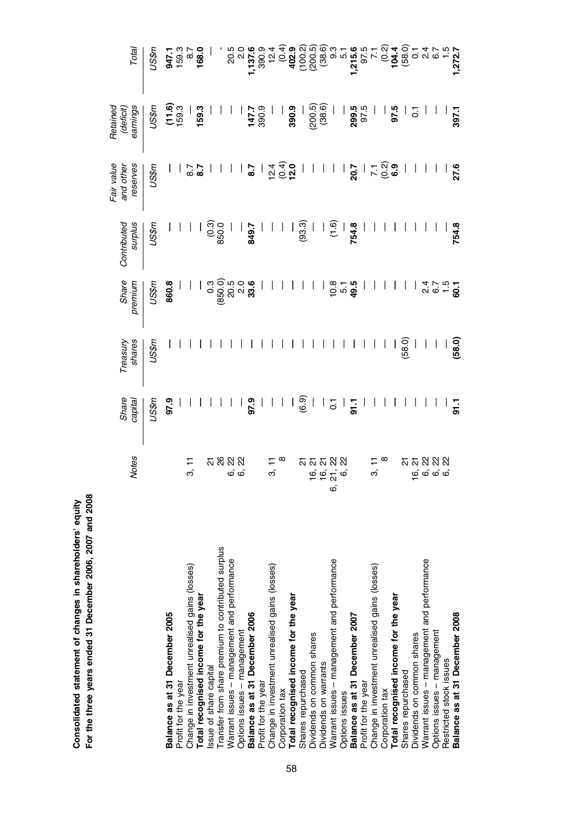|                                                    | <b>Notes</b>              | Share<br>capital | Treasury<br>shares      | Share<br>premium                                                                                                                                                                                                                                                                                                                  | Contributed<br>surplus                                                                                                                                                 | Fair value<br>reserves<br>and othe                                | Retained<br>earnings<br>(deficit)                                                 |                                                                                                                                                                                                                                                                            |
|----------------------------------------------------|---------------------------|------------------|-------------------------|-----------------------------------------------------------------------------------------------------------------------------------------------------------------------------------------------------------------------------------------------------------------------------------------------------------------------------------|------------------------------------------------------------------------------------------------------------------------------------------------------------------------|-------------------------------------------------------------------|-----------------------------------------------------------------------------------|----------------------------------------------------------------------------------------------------------------------------------------------------------------------------------------------------------------------------------------------------------------------------|
|                                                    |                           | US\$m            | US\$m                   | US\$n                                                                                                                                                                                                                                                                                                                             | US\$m                                                                                                                                                                  | US\$m                                                             | US\$m                                                                             | US\$n                                                                                                                                                                                                                                                                      |
| Balance as at 31 December 2005                     |                           | 97.9             |                         | 860.8                                                                                                                                                                                                                                                                                                                             |                                                                                                                                                                        |                                                                   |                                                                                   | 947.1<br>159.3<br>168.0<br>168.0                                                                                                                                                                                                                                           |
| Profit for the year                                |                           |                  |                         |                                                                                                                                                                                                                                                                                                                                   |                                                                                                                                                                        |                                                                   | $(11.6)$<br>$159.3$<br>$159.3$<br>$159.3$                                         |                                                                                                                                                                                                                                                                            |
| Change in investment unrealised gains (losses)     |                           |                  |                         |                                                                                                                                                                                                                                                                                                                                   |                                                                                                                                                                        |                                                                   |                                                                                   |                                                                                                                                                                                                                                                                            |
| Total recognised income for the year               |                           |                  |                         | $1\,$ $\frac{3}{2}\,$ $\frac{3}{2}\,$ $\frac{3}{2}\,$ $\frac{3}{2}\,$ $\frac{3}{2}\,$ $\frac{3}{2}\,$ $\frac{3}{2}\,$ $\frac{3}{2}\,$ $\frac{3}{2}\,$ $\frac{3}{2}\,$ $\frac{3}{2}\,$ $\frac{3}{2}\,$ $\frac{3}{2}\,$ $\frac{3}{2}\,$ $\frac{3}{2}\,$ $\frac{3}{2}\,$ $\frac{3}{2}\,$ $\frac{3}{2}\,$ $\frac{3}{2}\,$ $\frac{3}{$ |                                                                                                                                                                        | $rac{7}{8}$                                                       |                                                                                   |                                                                                                                                                                                                                                                                            |
| Issue of share capital                             |                           |                  |                         |                                                                                                                                                                                                                                                                                                                                   | $\frac{1}{0.3}$<br>850.0                                                                                                                                               |                                                                   |                                                                                   |                                                                                                                                                                                                                                                                            |
| Transfer from share premium to contributed surplus |                           |                  |                         |                                                                                                                                                                                                                                                                                                                                   |                                                                                                                                                                        |                                                                   |                                                                                   |                                                                                                                                                                                                                                                                            |
| Warrant issues - management and performance        | <u> </u> ន ន ន ន          |                  |                         |                                                                                                                                                                                                                                                                                                                                   |                                                                                                                                                                        |                                                                   |                                                                                   |                                                                                                                                                                                                                                                                            |
| Options issues - management                        | <b>ဖ</b> စ်               |                  |                         |                                                                                                                                                                                                                                                                                                                                   |                                                                                                                                                                        |                                                                   |                                                                                   |                                                                                                                                                                                                                                                                            |
| Balance as at 31 December 2006                     |                           | 97.9             |                         |                                                                                                                                                                                                                                                                                                                                   | 849.7                                                                                                                                                                  | 8.7                                                               | $\frac{1}{1}$<br>$\frac{1}{2}$<br>$\frac{1}{2}$<br>$\frac{1}{2}$<br>$\frac{1}{2}$ |                                                                                                                                                                                                                                                                            |
| Profit for the year                                |                           |                  |                         |                                                                                                                                                                                                                                                                                                                                   |                                                                                                                                                                        |                                                                   |                                                                                   |                                                                                                                                                                                                                                                                            |
| Change in investment unrealised gains (losses)     | က                         |                  |                         |                                                                                                                                                                                                                                                                                                                                   |                                                                                                                                                                        | $\frac{1}{5} \odot \frac{1}{5}$                                   |                                                                                   |                                                                                                                                                                                                                                                                            |
| Corporation tax                                    |                           |                  |                         |                                                                                                                                                                                                                                                                                                                                   |                                                                                                                                                                        |                                                                   |                                                                                   |                                                                                                                                                                                                                                                                            |
| Total recognised income for the year               |                           | $\frac{1}{2}$    |                         |                                                                                                                                                                                                                                                                                                                                   |                                                                                                                                                                        |                                                                   | 390.9                                                                             |                                                                                                                                                                                                                                                                            |
| Shares repurchased                                 |                           |                  |                         |                                                                                                                                                                                                                                                                                                                                   |                                                                                                                                                                        |                                                                   |                                                                                   |                                                                                                                                                                                                                                                                            |
| Dividends on common shares                         |                           |                  |                         |                                                                                                                                                                                                                                                                                                                                   |                                                                                                                                                                        |                                                                   | $(200.5)$<br>$(38.6)$                                                             |                                                                                                                                                                                                                                                                            |
| Dividends on warrants                              |                           |                  |                         |                                                                                                                                                                                                                                                                                                                                   |                                                                                                                                                                        |                                                                   |                                                                                   |                                                                                                                                                                                                                                                                            |
| Warrant issues - management and performance        | $6.66$<br>$6.76$<br>$6.6$ | ਨੁ               |                         | $0.8$<br>$0.7$<br>$9.5$                                                                                                                                                                                                                                                                                                           | $\frac{1}{3}$<br>$\frac{1}{3}$<br>$\frac{1}{3}$<br>$\frac{1}{3}$<br>$\frac{1}{3}$<br>$\frac{1}{3}$<br>$\frac{1}{3}$<br>$\frac{1}{3}$<br>$\frac{1}{3}$<br>$\frac{1}{3}$ |                                                                   |                                                                                   | $5.87$<br>$5.87$<br>$5.87$<br>$5.87$<br>$5.87$<br>$5.87$<br>$5.87$<br>$5.87$<br>$5.87$<br>$5.87$<br>$5.87$<br>$5.87$<br>$5.87$<br>$5.87$<br>$5.87$<br>$5.87$<br>$5.87$<br>$5.87$<br>$5.87$<br>$5.87$<br>$5.87$<br>$5.87$<br>$5.87$<br>$5.87$<br>$5.87$<br>$5.87$<br>$5.87$ |
| Options issues                                     |                           |                  |                         |                                                                                                                                                                                                                                                                                                                                   |                                                                                                                                                                        |                                                                   |                                                                                   |                                                                                                                                                                                                                                                                            |
| Balance as at 31 December 2007                     |                           | 91.1             |                         |                                                                                                                                                                                                                                                                                                                                   |                                                                                                                                                                        |                                                                   | $\frac{1}{2}$   ၂ ရက်<br>၂ ရက်<br>၂ ရက်                                           |                                                                                                                                                                                                                                                                            |
| Profit for the year                                |                           |                  |                         |                                                                                                                                                                                                                                                                                                                                   |                                                                                                                                                                        |                                                                   |                                                                                   |                                                                                                                                                                                                                                                                            |
| Change in investment unrealised gains (losses)     | က်                        |                  |                         |                                                                                                                                                                                                                                                                                                                                   |                                                                                                                                                                        | $\frac{1}{20}$ , $\frac{1}{20}$ , $\frac{1}{20}$ , $\frac{1}{20}$ |                                                                                   |                                                                                                                                                                                                                                                                            |
| Corporation tax                                    |                           |                  |                         |                                                                                                                                                                                                                                                                                                                                   |                                                                                                                                                                        |                                                                   |                                                                                   |                                                                                                                                                                                                                                                                            |
| Total recognised income for the year               |                           |                  |                         |                                                                                                                                                                                                                                                                                                                                   |                                                                                                                                                                        |                                                                   | 97.5                                                                              |                                                                                                                                                                                                                                                                            |
| Shares repurchased                                 |                           |                  | (58.0)                  |                                                                                                                                                                                                                                                                                                                                   |                                                                                                                                                                        |                                                                   |                                                                                   |                                                                                                                                                                                                                                                                            |
| Dividends on common shares                         | <u>ភ ភ ន ន ន</u>          |                  |                         |                                                                                                                                                                                                                                                                                                                                   |                                                                                                                                                                        |                                                                   |                                                                                   |                                                                                                                                                                                                                                                                            |
| Warrant issues - management and performance        |                           |                  |                         |                                                                                                                                                                                                                                                                                                                                   |                                                                                                                                                                        |                                                                   |                                                                                   |                                                                                                                                                                                                                                                                            |
| Options issues - management                        | <b>ဖ</b> စ်ဖစ်            |                  | $\frac{}{10}$<br>(58.0) | $\frac{4}{4}$ $\frac{6}{6}$ $\frac{1}{6}$ $\frac{6}{6}$                                                                                                                                                                                                                                                                           |                                                                                                                                                                        |                                                                   |                                                                                   |                                                                                                                                                                                                                                                                            |
| Restricted stock issues                            |                           |                  |                         |                                                                                                                                                                                                                                                                                                                                   |                                                                                                                                                                        |                                                                   |                                                                                   |                                                                                                                                                                                                                                                                            |
| Balance as at 31 December 2008                     |                           | <b>91.1</b>      |                         |                                                                                                                                                                                                                                                                                                                                   | 754.8                                                                                                                                                                  | 27.6                                                              | 397.1                                                                             |                                                                                                                                                                                                                                                                            |

Consolidated statement of changes in shareholders' equity For the three years ended 31 December 2006, 2007 and 2008

Consolidated statement of changes in shareholders' equity<br>For the three years ended 31 December 2006, 2007 and 2008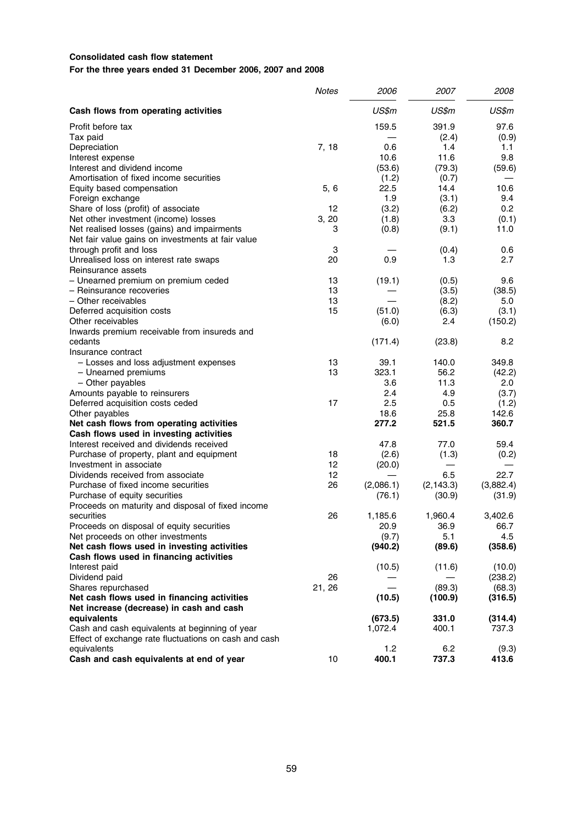# Consolidated cash flow statement

For the three years ended 31 December 2006, 2007 and 2008

|                                                       | <b>Notes</b> | 2006      | 2007       | 2008      |
|-------------------------------------------------------|--------------|-----------|------------|-----------|
| Cash flows from operating activities                  |              | US\$m     | US\$m      | US\$m     |
| Profit before tax                                     |              | 159.5     | 391.9      | 97.6      |
| Tax paid                                              |              |           | (2.4)      | (0.9)     |
| Depreciation                                          | 7, 18        | 0.6       | 1.4        | 1.1       |
| Interest expense                                      |              | 10.6      | 11.6       | 9.8       |
| Interest and dividend income                          |              | (53.6)    | (79.3)     | (59.6)    |
| Amortisation of fixed income securities               |              | (1.2)     | (0.7)      |           |
| Equity based compensation                             | 5, 6         | 22.5      | 14.4       | 10.6      |
| Foreign exchange                                      |              | 1.9       | (3.1)      | 9.4       |
| Share of loss (profit) of associate                   | 12           | (3.2)     | (6.2)      | 0.2       |
| Net other investment (income) losses                  | 3, 20        | (1.8)     | 3.3        | (0.1)     |
| Net realised losses (gains) and impairments           | 3            | (0.8)     | (9.1)      | 11.0      |
| Net fair value gains on investments at fair value     |              |           |            |           |
| through profit and loss                               | 3            |           | (0.4)      | 0.6       |
| Unrealised loss on interest rate swaps                | 20           | 0.9       | 1.3        | 2.7       |
| Reinsurance assets                                    |              |           |            |           |
| - Unearned premium on premium ceded                   | 13           | (19.1)    | (0.5)      | 9.6       |
| - Reinsurance recoveries                              | 13           |           | (3.5)      | (38.5)    |
| - Other receivables                                   | 13           |           | (8.2)      | 5.0       |
| Deferred acquisition costs                            | 15           | (51.0)    | (6.3)      | (3.1)     |
| Other receivables                                     |              | (6.0)     | 2.4        | (150.2)   |
| Inwards premium receivable from insureds and          |              |           |            |           |
| cedants                                               |              | (171.4)   | (23.8)     | 8.2       |
| Insurance contract                                    |              |           |            |           |
| - Losses and loss adjustment expenses                 | 13           | 39.1      | 140.0      | 349.8     |
| - Unearned premiums                                   | 13           | 323.1     | 56.2       | (42.2)    |
| - Other payables                                      |              | 3.6       | 11.3       | 2.0       |
| Amounts payable to reinsurers                         |              | 2.4       | 4.9        | (3.7)     |
| Deferred acquisition costs ceded                      | 17           | 2.5       | 0.5        | (1.2)     |
| Other payables                                        |              | 18.6      | 25.8       | 142.6     |
| Net cash flows from operating activities              |              | 277.2     | 521.5      | 360.7     |
| Cash flows used in investing activities               |              |           |            |           |
| Interest received and dividends received              |              | 47.8      | 77.0       | 59.4      |
| Purchase of property, plant and equipment             | 18           | (2.6)     | (1.3)      | (0.2)     |
| Investment in associate                               | 12           | (20.0)    |            |           |
| Dividends received from associate                     | 12           |           | 6.5        | 22.7      |
| Purchase of fixed income securities                   | 26           | (2,086.1) | (2, 143.3) | (3,882.4) |
| Purchase of equity securities                         |              | (76.1)    | (30.9)     | (31.9)    |
| Proceeds on maturity and disposal of fixed income     |              |           |            |           |
| securities                                            | 26           | 1,185.6   | 1,960.4    | 3,402.6   |
| Proceeds on disposal of equity securities             |              | 20.9      | 36.9       | 66.7      |
| Net proceeds on other investments                     |              | (9.7)     | 5.1        | 4.5       |
| Net cash flows used in investing activities           |              | (940.2)   | (89.6)     | (358.6)   |
| Cash flows used in financing activities               |              |           |            |           |
| Interest paid                                         |              | (10.5)    | (11.6)     | (10.0)    |
| Dividend paid                                         | 26           |           |            | (238.2)   |
| Shares repurchased                                    | 21, 26       |           | (89.3)     | (68.3)    |
| Net cash flows used in financing activities           |              | (10.5)    | (100.9)    | (316.5)   |
| Net increase (decrease) in cash and cash              |              |           |            |           |
| equivalents                                           |              | (673.5)   | 331.0      | (314.4)   |
| Cash and cash equivalents at beginning of year        |              | 1,072.4   | 400.1      | 737.3     |
| Effect of exchange rate fluctuations on cash and cash |              |           |            |           |
| equivalents                                           |              | 1.2       | 6.2        | (9.3)     |
| Cash and cash equivalents at end of year              | 10           | 400.1     | 737.3      | 413.6     |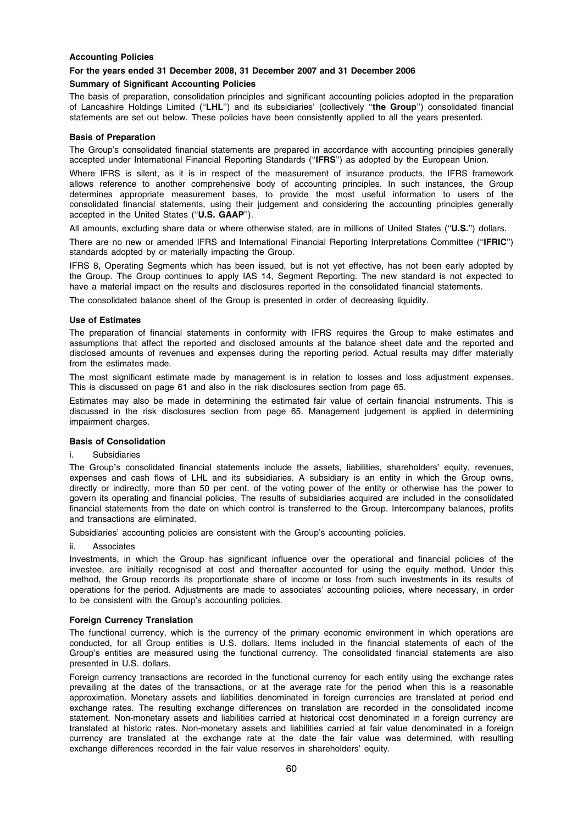# Accounting Policies

# For the years ended 31 December 2008, 31 December 2007 and 31 December 2006

# Summary of Significant Accounting Policies

The basis of preparation, consolidation principles and significant accounting policies adopted in the preparation of Lancashire Holdings Limited (''LHL'') and its subsidiaries' (collectively ''the Group'') consolidated financial statements are set out below. These policies have been consistently applied to all the years presented.

### Basis of Preparation

The Group's consolidated financial statements are prepared in accordance with accounting principles generally accepted under International Financial Reporting Standards (''IFRS'') as adopted by the European Union.

Where IFRS is silent, as it is in respect of the measurement of insurance products, the IFRS framework allows reference to another comprehensive body of accounting principles. In such instances, the Group determines appropriate measurement bases, to provide the most useful information to users of the consolidated financial statements, using their judgement and considering the accounting principles generally accepted in the United States (''U.S. GAAP'').

All amounts, excluding share data or where otherwise stated, are in millions of United States ("U.S.") dollars.

There are no new or amended IFRS and International Financial Reporting Interpretations Committee ("IFRIC") standards adopted by or materially impacting the Group.

IFRS 8, Operating Segments which has been issued, but is not yet effective, has not been early adopted by the Group. The Group continues to apply IAS 14, Segment Reporting. The new standard is not expected to have a material impact on the results and disclosures reported in the consolidated financial statements.

The consolidated balance sheet of the Group is presented in order of decreasing liquidity.

### Use of Estimates

The preparation of financial statements in conformity with IFRS requires the Group to make estimates and assumptions that affect the reported and disclosed amounts at the balance sheet date and the reported and disclosed amounts of revenues and expenses during the reporting period. Actual results may differ materially from the estimates made.

The most significant estimate made by management is in relation to losses and loss adjustment expenses. This is discussed on page 61 and also in the risk disclosures section from page 65.

Estimates may also be made in determining the estimated fair value of certain financial instruments. This is discussed in the risk disclosures section from page 65. Management judgement is applied in determining impairment charges.

# Basis of Consolidation

### i. Subsidiaries

The Group's consolidated financial statements include the assets, liabilities, shareholders' equity, revenues, expenses and cash flows of LHL and its subsidiaries. A subsidiary is an entity in which the Group owns, directly or indirectly, more than 50 per cent. of the voting power of the entity or otherwise has the power to govern its operating and financial policies. The results of subsidiaries acquired are included in the consolidated financial statements from the date on which control is transferred to the Group. Intercompany balances, profits and transactions are eliminated.

Subsidiaries' accounting policies are consistent with the Group's accounting policies.

### ii. Associates

Investments, in which the Group has significant influence over the operational and financial policies of the investee, are initially recognised at cost and thereafter accounted for using the equity method. Under this method, the Group records its proportionate share of income or loss from such investments in its results of operations for the period. Adjustments are made to associates' accounting policies, where necessary, in order to be consistent with the Group's accounting policies.

# Foreign Currency Translation

The functional currency, which is the currency of the primary economic environment in which operations are conducted, for all Group entities is U.S. dollars. Items included in the financial statements of each of the Group's entities are measured using the functional currency. The consolidated financial statements are also presented in U.S. dollars.

Foreign currency transactions are recorded in the functional currency for each entity using the exchange rates prevailing at the dates of the transactions, or at the average rate for the period when this is a reasonable approximation. Monetary assets and liabilities denominated in foreign currencies are translated at period end exchange rates. The resulting exchange differences on translation are recorded in the consolidated income statement. Non-monetary assets and liabilities carried at historical cost denominated in a foreign currency are translated at historic rates. Non-monetary assets and liabilities carried at fair value denominated in a foreign currency are translated at the exchange rate at the date the fair value was determined, with resulting exchange differences recorded in the fair value reserves in shareholders' equity.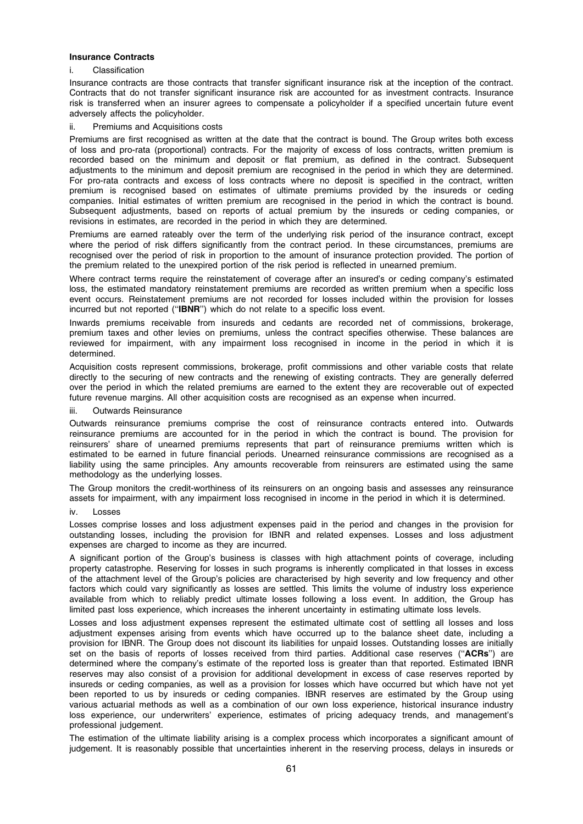### Insurance Contracts

# i. Classification

Insurance contracts are those contracts that transfer significant insurance risk at the inception of the contract. Contracts that do not transfer significant insurance risk are accounted for as investment contracts. Insurance risk is transferred when an insurer agrees to compensate a policyholder if a specified uncertain future event adversely affects the policyholder.

# ii. Premiums and Acquisitions costs

Premiums are first recognised as written at the date that the contract is bound. The Group writes both excess of loss and pro-rata (proportional) contracts. For the majority of excess of loss contracts, written premium is recorded based on the minimum and deposit or flat premium, as defined in the contract. Subsequent adjustments to the minimum and deposit premium are recognised in the period in which they are determined. For pro-rata contracts and excess of loss contracts where no deposit is specified in the contract, written premium is recognised based on estimates of ultimate premiums provided by the insureds or ceding companies. Initial estimates of written premium are recognised in the period in which the contract is bound. Subsequent adjustments, based on reports of actual premium by the insureds or ceding companies, or revisions in estimates, are recorded in the period in which they are determined.

Premiums are earned rateably over the term of the underlying risk period of the insurance contract, except where the period of risk differs significantly from the contract period. In these circumstances, premiums are recognised over the period of risk in proportion to the amount of insurance protection provided. The portion of the premium related to the unexpired portion of the risk period is reflected in unearned premium.

Where contract terms require the reinstatement of coverage after an insured's or ceding company's estimated loss, the estimated mandatory reinstatement premiums are recorded as written premium when a specific loss event occurs. Reinstatement premiums are not recorded for losses included within the provision for losses incurred but not reported (''IBNR'') which do not relate to a specific loss event.

Inwards premiums receivable from insureds and cedants are recorded net of commissions, brokerage, premium taxes and other levies on premiums, unless the contract specifies otherwise. These balances are reviewed for impairment, with any impairment loss recognised in income in the period in which it is determined.

Acquisition costs represent commissions, brokerage, profit commissions and other variable costs that relate directly to the securing of new contracts and the renewing of existing contracts. They are generally deferred over the period in which the related premiums are earned to the extent they are recoverable out of expected future revenue margins. All other acquisition costs are recognised as an expense when incurred.

# iii. Outwards Reinsurance

Outwards reinsurance premiums comprise the cost of reinsurance contracts entered into. Outwards reinsurance premiums are accounted for in the period in which the contract is bound. The provision for reinsurers' share of unearned premiums represents that part of reinsurance premiums written which is estimated to be earned in future financial periods. Unearned reinsurance commissions are recognised as a liability using the same principles. Any amounts recoverable from reinsurers are estimated using the same methodology as the underlying losses.

The Group monitors the credit-worthiness of its reinsurers on an ongoing basis and assesses any reinsurance assets for impairment, with any impairment loss recognised in income in the period in which it is determined.

### iv. Losses

Losses comprise losses and loss adjustment expenses paid in the period and changes in the provision for outstanding losses, including the provision for IBNR and related expenses. Losses and loss adjustment expenses are charged to income as they are incurred.

A significant portion of the Group's business is classes with high attachment points of coverage, including property catastrophe. Reserving for losses in such programs is inherently complicated in that losses in excess of the attachment level of the Group's policies are characterised by high severity and low frequency and other factors which could vary significantly as losses are settled. This limits the volume of industry loss experience available from which to reliably predict ultimate losses following a loss event. In addition, the Group has limited past loss experience, which increases the inherent uncertainty in estimating ultimate loss levels.

Losses and loss adjustment expenses represent the estimated ultimate cost of settling all losses and loss adjustment expenses arising from events which have occurred up to the balance sheet date, including a provision for IBNR. The Group does not discount its liabilities for unpaid losses. Outstanding losses are initially set on the basis of reports of losses received from third parties. Additional case reserves ("ACRs") are determined where the company's estimate of the reported loss is greater than that reported. Estimated IBNR reserves may also consist of a provision for additional development in excess of case reserves reported by insureds or ceding companies, as well as a provision for losses which have occurred but which have not yet been reported to us by insureds or ceding companies. IBNR reserves are estimated by the Group using various actuarial methods as well as a combination of our own loss experience, historical insurance industry loss experience, our underwriters' experience, estimates of pricing adequacy trends, and management's professional judgement.

The estimation of the ultimate liability arising is a complex process which incorporates a significant amount of judgement. It is reasonably possible that uncertainties inherent in the reserving process, delays in insureds or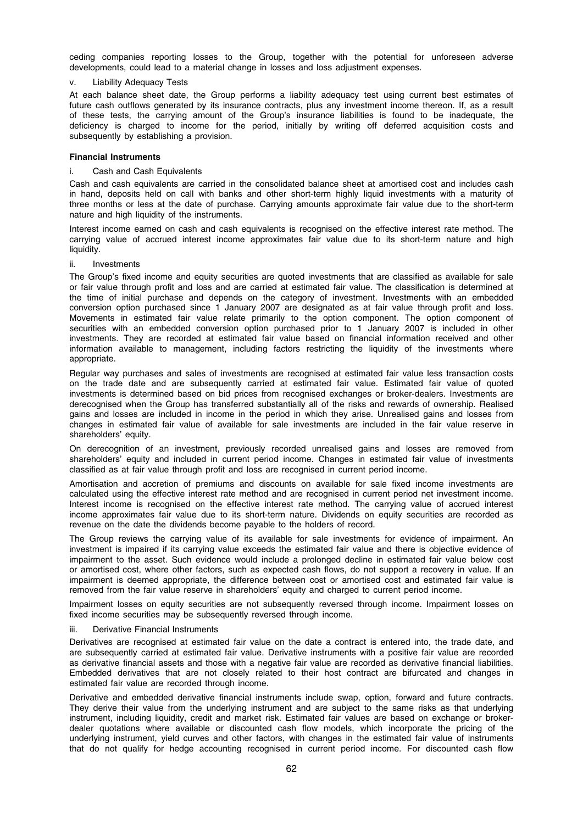ceding companies reporting losses to the Group, together with the potential for unforeseen adverse developments, could lead to a material change in losses and loss adjustment expenses.

### **Liability Adequacy Tests**

At each balance sheet date, the Group performs a liability adequacy test using current best estimates of future cash outflows generated by its insurance contracts, plus any investment income thereon. If, as a result of these tests, the carrying amount of the Group's insurance liabilities is found to be inadequate, the deficiency is charged to income for the period, initially by writing off deferred acquisition costs and subsequently by establishing a provision.

# Financial Instruments

# i. Cash and Cash Equivalents

Cash and cash equivalents are carried in the consolidated balance sheet at amortised cost and includes cash in hand, deposits held on call with banks and other short-term highly liquid investments with a maturity of three months or less at the date of purchase. Carrying amounts approximate fair value due to the short-term nature and high liquidity of the instruments.

Interest income earned on cash and cash equivalents is recognised on the effective interest rate method. The carrying value of accrued interest income approximates fair value due to its short-term nature and high liquidity.

### ii. Investments

The Group's fixed income and equity securities are quoted investments that are classified as available for sale or fair value through profit and loss and are carried at estimated fair value. The classification is determined at the time of initial purchase and depends on the category of investment. Investments with an embedded conversion option purchased since 1 January 2007 are designated as at fair value through profit and loss. Movements in estimated fair value relate primarily to the option component. The option component of securities with an embedded conversion option purchased prior to 1 January 2007 is included in other investments. They are recorded at estimated fair value based on financial information received and other information available to management, including factors restricting the liquidity of the investments where appropriate.

Regular way purchases and sales of investments are recognised at estimated fair value less transaction costs on the trade date and are subsequently carried at estimated fair value. Estimated fair value of quoted investments is determined based on bid prices from recognised exchanges or broker-dealers. Investments are derecognised when the Group has transferred substantially all of the risks and rewards of ownership. Realised gains and losses are included in income in the period in which they arise. Unrealised gains and losses from changes in estimated fair value of available for sale investments are included in the fair value reserve in shareholders' equity.

On derecognition of an investment, previously recorded unrealised gains and losses are removed from shareholders' equity and included in current period income. Changes in estimated fair value of investments classified as at fair value through profit and loss are recognised in current period income.

Amortisation and accretion of premiums and discounts on available for sale fixed income investments are calculated using the effective interest rate method and are recognised in current period net investment income. Interest income is recognised on the effective interest rate method. The carrying value of accrued interest income approximates fair value due to its short-term nature. Dividends on equity securities are recorded as revenue on the date the dividends become payable to the holders of record.

The Group reviews the carrying value of its available for sale investments for evidence of impairment. An investment is impaired if its carrying value exceeds the estimated fair value and there is objective evidence of impairment to the asset. Such evidence would include a prolonged decline in estimated fair value below cost or amortised cost, where other factors, such as expected cash flows, do not support a recovery in value. If an impairment is deemed appropriate, the difference between cost or amortised cost and estimated fair value is removed from the fair value reserve in shareholders' equity and charged to current period income.

Impairment losses on equity securities are not subsequently reversed through income. Impairment losses on fixed income securities may be subsequently reversed through income.

### Derivative Financial Instruments

Derivatives are recognised at estimated fair value on the date a contract is entered into, the trade date, and are subsequently carried at estimated fair value. Derivative instruments with a positive fair value are recorded as derivative financial assets and those with a negative fair value are recorded as derivative financial liabilities. Embedded derivatives that are not closely related to their host contract are bifurcated and changes in estimated fair value are recorded through income.

Derivative and embedded derivative financial instruments include swap, option, forward and future contracts. They derive their value from the underlying instrument and are subject to the same risks as that underlying instrument, including liquidity, credit and market risk. Estimated fair values are based on exchange or brokerdealer quotations where available or discounted cash flow models, which incorporate the pricing of the underlying instrument, yield curves and other factors, with changes in the estimated fair value of instruments that do not qualify for hedge accounting recognised in current period income. For discounted cash flow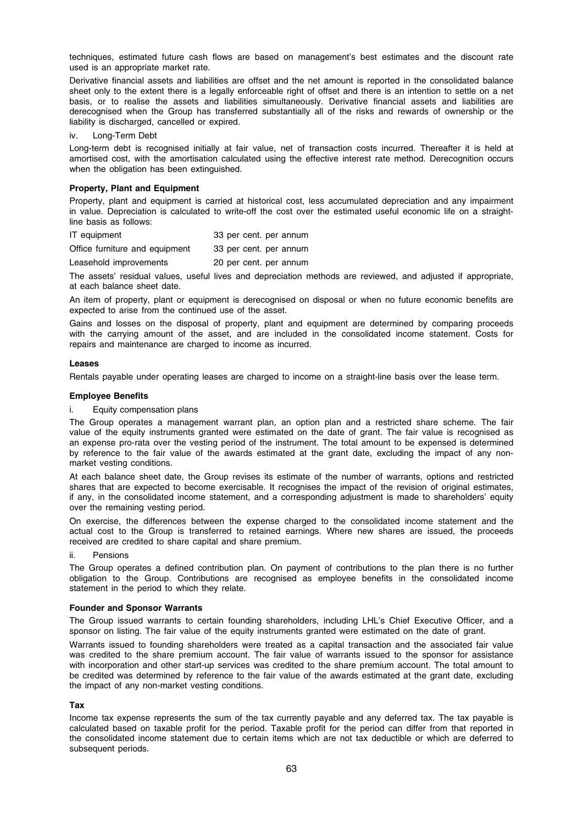techniques, estimated future cash flows are based on management's best estimates and the discount rate used is an appropriate market rate.

Derivative financial assets and liabilities are offset and the net amount is reported in the consolidated balance sheet only to the extent there is a legally enforceable right of offset and there is an intention to settle on a net basis, or to realise the assets and liabilities simultaneously. Derivative financial assets and liabilities are derecognised when the Group has transferred substantially all of the risks and rewards of ownership or the liability is discharged, cancelled or expired.

iv. Long-Term Debt

Long-term debt is recognised initially at fair value, net of transaction costs incurred. Thereafter it is held at amortised cost, with the amortisation calculated using the effective interest rate method. Derecognition occurs when the obligation has been extinguished.

# Property, Plant and Equipment

Property, plant and equipment is carried at historical cost, less accumulated depreciation and any impairment in value. Depreciation is calculated to write-off the cost over the estimated useful economic life on a straightline basis as follows:

| IT equipment                   | 33 per cent. per annum |
|--------------------------------|------------------------|
| Office furniture and equipment | 33 per cent. per annum |

Leasehold improvements 20 per cent. per annum

The assets' residual values, useful lives and depreciation methods are reviewed, and adjusted if appropriate, at each balance sheet date.

An item of property, plant or equipment is derecognised on disposal or when no future economic benefits are expected to arise from the continued use of the asset.

Gains and losses on the disposal of property, plant and equipment are determined by comparing proceeds with the carrying amount of the asset, and are included in the consolidated income statement. Costs for repairs and maintenance are charged to income as incurred.

# Leases

Rentals payable under operating leases are charged to income on a straight-line basis over the lease term.

### Employee Benefits

Equity compensation plans

The Group operates a management warrant plan, an option plan and a restricted share scheme. The fair value of the equity instruments granted were estimated on the date of grant. The fair value is recognised as an expense pro-rata over the vesting period of the instrument. The total amount to be expensed is determined by reference to the fair value of the awards estimated at the grant date, excluding the impact of any nonmarket vesting conditions.

At each balance sheet date, the Group revises its estimate of the number of warrants, options and restricted shares that are expected to become exercisable. It recognises the impact of the revision of original estimates, if any, in the consolidated income statement, and a corresponding adjustment is made to shareholders' equity over the remaining vesting period.

On exercise, the differences between the expense charged to the consolidated income statement and the actual cost to the Group is transferred to retained earnings. Where new shares are issued, the proceeds received are credited to share capital and share premium.

# ii. Pensions

The Group operates a defined contribution plan. On payment of contributions to the plan there is no further obligation to the Group. Contributions are recognised as employee benefits in the consolidated income statement in the period to which they relate.

# Founder and Sponsor Warrants

The Group issued warrants to certain founding shareholders, including LHL's Chief Executive Officer, and a sponsor on listing. The fair value of the equity instruments granted were estimated on the date of grant.

Warrants issued to founding shareholders were treated as a capital transaction and the associated fair value was credited to the share premium account. The fair value of warrants issued to the sponsor for assistance with incorporation and other start-up services was credited to the share premium account. The total amount to be credited was determined by reference to the fair value of the awards estimated at the grant date, excluding the impact of any non-market vesting conditions.

# Tax

Income tax expense represents the sum of the tax currently payable and any deferred tax. The tax payable is calculated based on taxable profit for the period. Taxable profit for the period can differ from that reported in the consolidated income statement due to certain items which are not tax deductible or which are deferred to subsequent periods.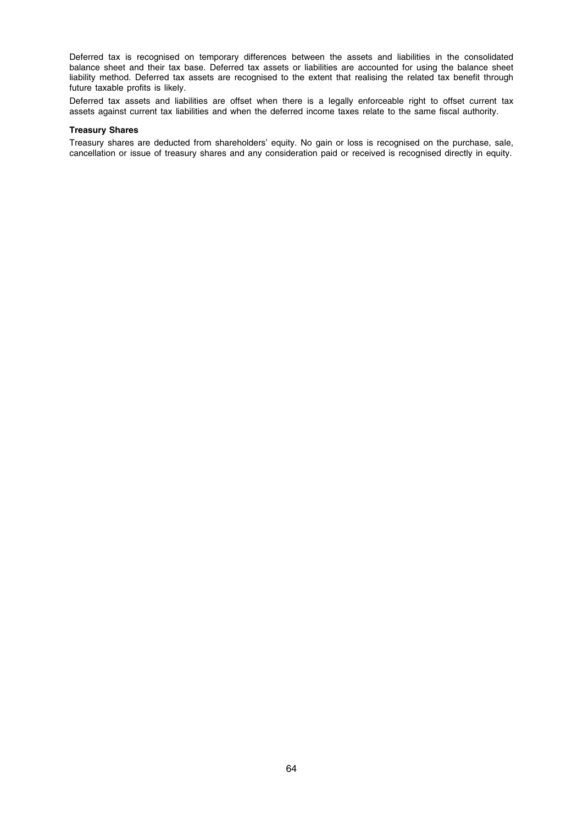Deferred tax is recognised on temporary differences between the assets and liabilities in the consolidated balance sheet and their tax base. Deferred tax assets or liabilities are accounted for using the balance sheet liability method. Deferred tax assets are recognised to the extent that realising the related tax benefit through future taxable profits is likely.

Deferred tax assets and liabilities are offset when there is a legally enforceable right to offset current tax assets against current tax liabilities and when the deferred income taxes relate to the same fiscal authority.

# Treasury Shares

Treasury shares are deducted from shareholders' equity. No gain or loss is recognised on the purchase, sale, cancellation or issue of treasury shares and any consideration paid or received is recognised directly in equity.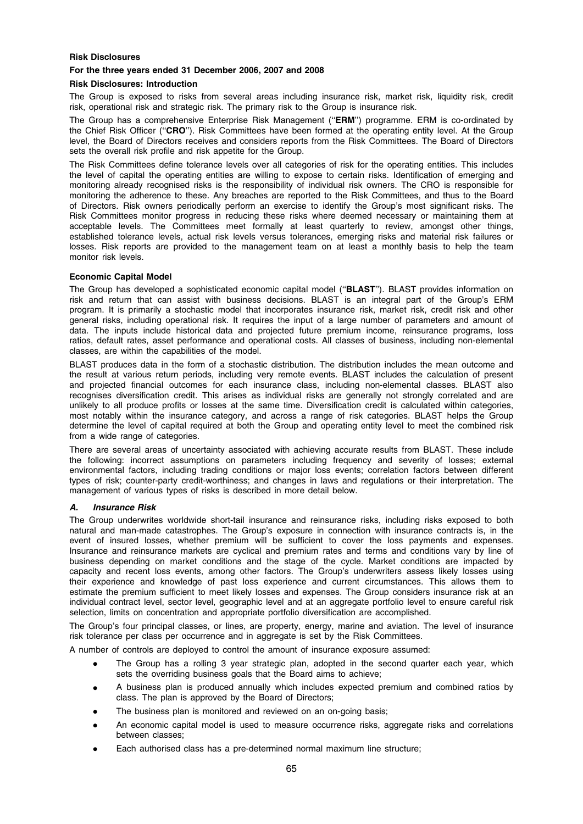# Risk Disclosures

# For the three years ended 31 December 2006, 2007 and 2008

### Risk Disclosures: Introduction

The Group is exposed to risks from several areas including insurance risk, market risk, liquidity risk, credit risk, operational risk and strategic risk. The primary risk to the Group is insurance risk.

The Group has a comprehensive Enterprise Risk Management (''ERM'') programme. ERM is co-ordinated by the Chief Risk Officer (''CRO''). Risk Committees have been formed at the operating entity level. At the Group level, the Board of Directors receives and considers reports from the Risk Committees. The Board of Directors sets the overall risk profile and risk appetite for the Group.

The Risk Committees define tolerance levels over all categories of risk for the operating entities. This includes the level of capital the operating entities are willing to expose to certain risks. Identification of emerging and monitoring already recognised risks is the responsibility of individual risk owners. The CRO is responsible for monitoring the adherence to these. Any breaches are reported to the Risk Committees, and thus to the Board of Directors. Risk owners periodically perform an exercise to identify the Group's most significant risks. The Risk Committees monitor progress in reducing these risks where deemed necessary or maintaining them at acceptable levels. The Committees meet formally at least quarterly to review, amongst other things, established tolerance levels, actual risk levels versus tolerances, emerging risks and material risk failures or losses. Risk reports are provided to the management team on at least a monthly basis to help the team monitor risk levels.

### Economic Capital Model

The Group has developed a sophisticated economic capital model ("BLAST"). BLAST provides information on risk and return that can assist with business decisions. BLAST is an integral part of the Group's ERM program. It is primarily a stochastic model that incorporates insurance risk, market risk, credit risk and other general risks, including operational risk. It requires the input of a large number of parameters and amount of data. The inputs include historical data and projected future premium income, reinsurance programs, loss ratios, default rates, asset performance and operational costs. All classes of business, including non-elemental classes, are within the capabilities of the model.

BLAST produces data in the form of a stochastic distribution. The distribution includes the mean outcome and the result at various return periods, including very remote events. BLAST includes the calculation of present and projected financial outcomes for each insurance class, including non-elemental classes. BLAST also recognises diversification credit. This arises as individual risks are generally not strongly correlated and are unlikely to all produce profits or losses at the same time. Diversification credit is calculated within categories, most notably within the insurance category, and across a range of risk categories. BLAST helps the Group determine the level of capital required at both the Group and operating entity level to meet the combined risk from a wide range of categories.

There are several areas of uncertainty associated with achieving accurate results from BLAST. These include the following: incorrect assumptions on parameters including frequency and severity of losses; external environmental factors, including trading conditions or major loss events; correlation factors between different types of risk; counter-party credit-worthiness; and changes in laws and regulations or their interpretation. The management of various types of risks is described in more detail below.

# A. Insurance Risk

The Group underwrites worldwide short-tail insurance and reinsurance risks, including risks exposed to both natural and man-made catastrophes. The Group's exposure in connection with insurance contracts is, in the event of insured losses, whether premium will be sufficient to cover the loss payments and expenses. Insurance and reinsurance markets are cyclical and premium rates and terms and conditions vary by line of business depending on market conditions and the stage of the cycle. Market conditions are impacted by capacity and recent loss events, among other factors. The Group's underwriters assess likely losses using their experience and knowledge of past loss experience and current circumstances. This allows them to estimate the premium sufficient to meet likely losses and expenses. The Group considers insurance risk at an individual contract level, sector level, geographic level and at an aggregate portfolio level to ensure careful risk selection, limits on concentration and appropriate portfolio diversification are accomplished.

The Group's four principal classes, or lines, are property, energy, marine and aviation. The level of insurance risk tolerance per class per occurrence and in aggregate is set by the Risk Committees.

A number of controls are deployed to control the amount of insurance exposure assumed:

- The Group has a rolling 3 year strategic plan, adopted in the second quarter each year, which sets the overriding business goals that the Board aims to achieve;
- A business plan is produced annually which includes expected premium and combined ratios by class. The plan is approved by the Board of Directors;
- The business plan is monitored and reviewed on an on-going basis;
- An economic capital model is used to measure occurrence risks, aggregate risks and correlations between classes;
- Each authorised class has a pre-determined normal maximum line structure;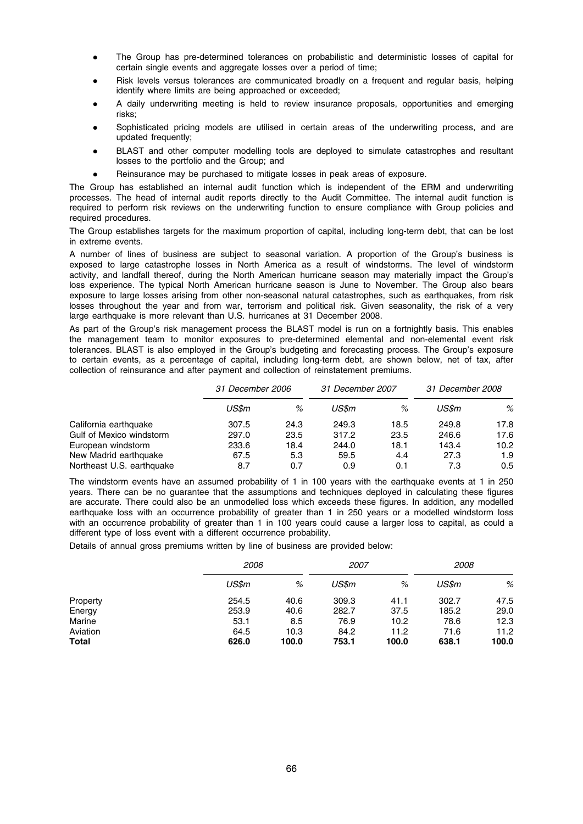- The Group has pre-determined tolerances on probabilistic and deterministic losses of capital for certain single events and aggregate losses over a period of time;
- Risk levels versus tolerances are communicated broadly on a frequent and regular basis, helping identify where limits are being approached or exceeded;
- A daily underwriting meeting is held to review insurance proposals, opportunities and emerging risks;
- Sophisticated pricing models are utilised in certain areas of the underwriting process, and are updated frequently;
- BLAST and other computer modelling tools are deployed to simulate catastrophes and resultant losses to the portfolio and the Group; and
- Reinsurance may be purchased to mitigate losses in peak areas of exposure.

The Group has established an internal audit function which is independent of the ERM and underwriting processes. The head of internal audit reports directly to the Audit Committee. The internal audit function is required to perform risk reviews on the underwriting function to ensure compliance with Group policies and required procedures.

The Group establishes targets for the maximum proportion of capital, including long-term debt, that can be lost in extreme events.

A number of lines of business are subject to seasonal variation. A proportion of the Group's business is exposed to large catastrophe losses in North America as a result of windstorms. The level of windstorm activity, and landfall thereof, during the North American hurricane season may materially impact the Group's loss experience. The typical North American hurricane season is June to November. The Group also bears exposure to large losses arising from other non-seasonal natural catastrophes, such as earthquakes, from risk losses throughout the year and from war, terrorism and political risk. Given seasonality, the risk of a very large earthquake is more relevant than U.S. hurricanes at 31 December 2008.

As part of the Group's risk management process the BLAST model is run on a fortnightly basis. This enables the management team to monitor exposures to pre-determined elemental and non-elemental event risk tolerances. BLAST is also employed in the Group's budgeting and forecasting process. The Group's exposure to certain events, as a percentage of capital, including long-term debt, are shown below, net of tax, after collection of reinsurance and after payment and collection of reinstatement premiums.

|                           |       | 31 December 2006 |       | 31 December 2007 |       | 31 December 2008 |  |
|---------------------------|-------|------------------|-------|------------------|-------|------------------|--|
|                           | US\$m | %                | US\$m | %                | US\$m | %                |  |
| California earthquake     | 307.5 | 24.3             | 249.3 | 18.5             | 249.8 | 17.8             |  |
| Gulf of Mexico windstorm  | 297.0 | 23.5             | 317.2 | 23.5             | 246.6 | 17.6             |  |
| European windstorm        | 233.6 | 18.4             | 244.0 | 18.1             | 143.4 | 10.2             |  |
| New Madrid earthquake     | 67.5  | 5.3              | 59.5  | 4.4              | 27.3  | 1.9              |  |
| Northeast U.S. earthquake | 8.7   | 0.7              | 0.9   | 0.1              | 7.3   | 0.5              |  |

The windstorm events have an assumed probability of 1 in 100 years with the earthquake events at 1 in 250 years. There can be no guarantee that the assumptions and techniques deployed in calculating these figures are accurate. There could also be an unmodelled loss which exceeds these figures. In addition, any modelled earthquake loss with an occurrence probability of greater than 1 in 250 years or a modelled windstorm loss with an occurrence probability of greater than 1 in 100 years could cause a larger loss to capital, as could a different type of loss event with a different occurrence probability.

Details of annual gross premiums written by line of business are provided below:

|              | 2006  |       | 2007  |       | 2008  |       |  |
|--------------|-------|-------|-------|-------|-------|-------|--|
|              | US\$m | %     | US\$m | %     | US\$m | %     |  |
| Property     | 254.5 | 40.6  | 309.3 | 41.1  | 302.7 | 47.5  |  |
| Energy       | 253.9 | 40.6  | 282.7 | 37.5  | 185.2 | 29.0  |  |
| Marine       | 53.1  | 8.5   | 76.9  | 10.2  | 78.6  | 12.3  |  |
| Aviation     | 64.5  | 10.3  | 84.2  | 11.2  | 71.6  | 11.2  |  |
| <b>Total</b> | 626.0 | 100.0 | 753.1 | 100.0 | 638.1 | 100.0 |  |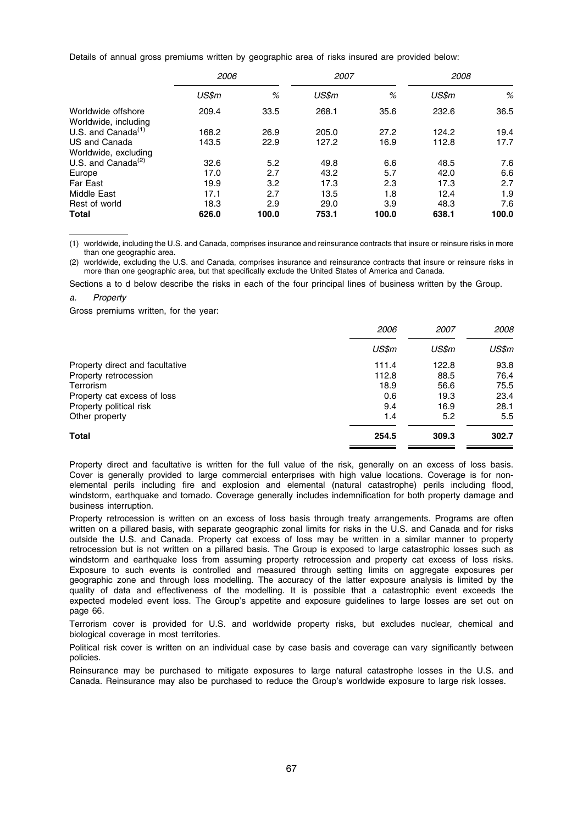Details of annual gross premiums written by geographic area of risks insured are provided below:

|                                            | 2006  |       | 2008<br>2007 |       |       |       |
|--------------------------------------------|-------|-------|--------------|-------|-------|-------|
|                                            | US\$m | %     | US\$m        | %     | US\$m | %     |
| Worldwide offshore<br>Worldwide, including | 209.4 | 33.5  | 268.1        | 35.6  | 232.6 | 36.5  |
| U.S. and Canada $(1)$                      | 168.2 | 26.9  | 205.0        | 27.2  | 124.2 | 19.4  |
| US and Canada                              | 143.5 | 22.9  | 127.2        | 16.9  | 112.8 | 17.7  |
| Worldwide, excluding                       |       |       |              |       |       |       |
| U.S. and Canada $^{(2)}$                   | 32.6  | 5.2   | 49.8         | 6.6   | 48.5  | 7.6   |
| Europe                                     | 17.0  | 2.7   | 43.2         | 5.7   | 42.0  | 6.6   |
| <b>Far East</b>                            | 19.9  | 3.2   | 17.3         | 2.3   | 17.3  | 2.7   |
| Middle East                                | 17.1  | 2.7   | 13.5         | 1.8   | 12.4  | 1.9   |
| Rest of world                              | 18.3  | 2.9   | 29.0         | 3.9   | 48.3  | 7.6   |
| <b>Total</b>                               | 626.0 | 100.0 | 753.1        | 100.0 | 638.1 | 100.0 |

(1) worldwide, including the U.S. and Canada, comprises insurance and reinsurance contracts that insure or reinsure risks in more than one geographic area.

(2) worldwide, excluding the U.S. and Canada, comprises insurance and reinsurance contracts that insure or reinsure risks in more than one geographic area, but that specifically exclude the United States of America and Canada.

Sections a to d below describe the risks in each of the four principal lines of business written by the Group.

### a. Property

Gross premiums written, for the year:

|                                 | 2006  | <i>2007</i> | 2008  |
|---------------------------------|-------|-------------|-------|
|                                 | US\$m | US\$m       | US\$m |
| Property direct and facultative | 111.4 | 122.8       | 93.8  |
| Property retrocession           | 112.8 | 88.5        | 76.4  |
| Terrorism                       | 18.9  | 56.6        | 75.5  |
| Property cat excess of loss     | 0.6   | 19.3        | 23.4  |
| Property political risk         | 9.4   | 16.9        | 28.1  |
| Other property                  | 1.4   | 5.2         | 5.5   |
| <b>Total</b>                    | 254.5 | 309.3       | 302.7 |

Property direct and facultative is written for the full value of the risk, generally on an excess of loss basis. Cover is generally provided to large commercial enterprises with high value locations. Coverage is for nonelemental perils including fire and explosion and elemental (natural catastrophe) perils including flood, windstorm, earthquake and tornado. Coverage generally includes indemnification for both property damage and business interruption.

Property retrocession is written on an excess of loss basis through treaty arrangements. Programs are often written on a pillared basis, with separate geographic zonal limits for risks in the U.S. and Canada and for risks outside the U.S. and Canada. Property cat excess of loss may be written in a similar manner to property retrocession but is not written on a pillared basis. The Group is exposed to large catastrophic losses such as windstorm and earthquake loss from assuming property retrocession and property cat excess of loss risks. Exposure to such events is controlled and measured through setting limits on aggregate exposures per geographic zone and through loss modelling. The accuracy of the latter exposure analysis is limited by the quality of data and effectiveness of the modelling. It is possible that a catastrophic event exceeds the expected modeled event loss. The Group's appetite and exposure guidelines to large losses are set out on page 66.

Terrorism cover is provided for U.S. and worldwide property risks, but excludes nuclear, chemical and biological coverage in most territories.

Political risk cover is written on an individual case by case basis and coverage can vary significantly between policies.

Reinsurance may be purchased to mitigate exposures to large natural catastrophe losses in the U.S. and Canada. Reinsurance may also be purchased to reduce the Group's worldwide exposure to large risk losses.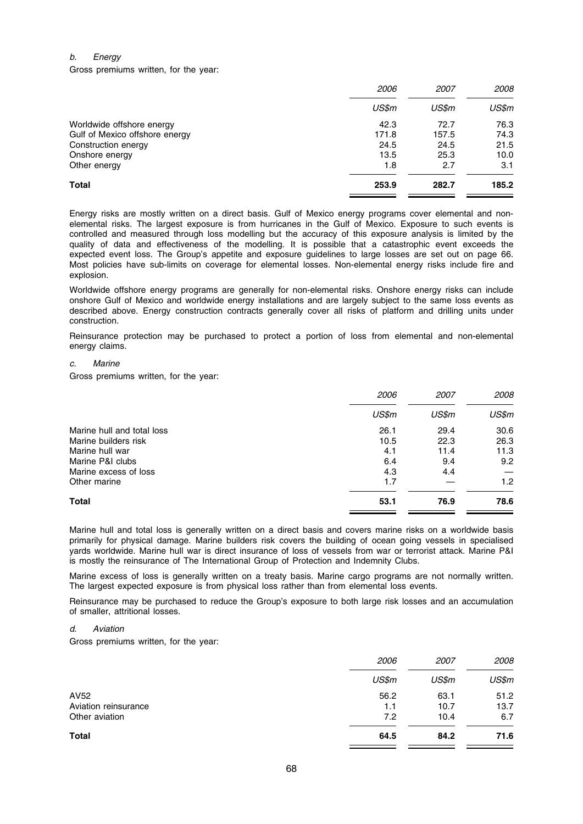# b. Energy

Gross premiums written, for the year:

|                                | 2006  | <i>2007</i> | 2008  |  |
|--------------------------------|-------|-------------|-------|--|
|                                | US\$m | US\$m       | US\$m |  |
| Worldwide offshore energy      | 42.3  | 72.7        | 76.3  |  |
| Gulf of Mexico offshore energy | 171.8 | 157.5       | 74.3  |  |
| Construction energy            | 24.5  | 24.5        | 21.5  |  |
| Onshore energy                 | 13.5  | 25.3        | 10.0  |  |
| Other energy                   | 1.8   | 2.7         | 3.1   |  |
| Total                          | 253.9 | 282.7       | 185.2 |  |

Energy risks are mostly written on a direct basis. Gulf of Mexico energy programs cover elemental and nonelemental risks. The largest exposure is from hurricanes in the Gulf of Mexico. Exposure to such events is controlled and measured through loss modelling but the accuracy of this exposure analysis is limited by the quality of data and effectiveness of the modelling. It is possible that a catastrophic event exceeds the expected event loss. The Group's appetite and exposure guidelines to large losses are set out on page 66. Most policies have sub-limits on coverage for elemental losses. Non-elemental energy risks include fire and explosion.

Worldwide offshore energy programs are generally for non-elemental risks. Onshore energy risks can include onshore Gulf of Mexico and worldwide energy installations and are largely subject to the same loss events as described above. Energy construction contracts generally cover all risks of platform and drilling units under construction.

Reinsurance protection may be purchased to protect a portion of loss from elemental and non-elemental energy claims.

# c. Marine

Gross premiums written, for the year:

|                            | 2006  | <i>2007</i> | 2008             |
|----------------------------|-------|-------------|------------------|
|                            | US\$m | US\$m       | US\$m            |
| Marine hull and total loss | 26.1  | 29.4        | 30.6             |
| Marine builders risk       | 10.5  | 22.3        | 26.3             |
| Marine hull war            | 4.1   | 11.4        | 11.3             |
| Marine P&I clubs           | 6.4   | 9.4         | 9.2              |
| Marine excess of loss      | 4.3   | 4.4         |                  |
| Other marine               | 1.7   |             | 1.2 <sub>2</sub> |
| <b>Total</b>               | 53.1  | 76.9        | 78.6             |

Marine hull and total loss is generally written on a direct basis and covers marine risks on a worldwide basis primarily for physical damage. Marine builders risk covers the building of ocean going vessels in specialised yards worldwide. Marine hull war is direct insurance of loss of vessels from war or terrorist attack. Marine P&I is mostly the reinsurance of The International Group of Protection and Indemnity Clubs.

Marine excess of loss is generally written on a treaty basis. Marine cargo programs are not normally written. The largest expected exposure is from physical loss rather than from elemental loss events.

Reinsurance may be purchased to reduce the Group's exposure to both large risk losses and an accumulation of smaller, attritional losses.

# d. Aviation

Gross premiums written, for the year:

|                      | 2006  | 2007  | 2008  |
|----------------------|-------|-------|-------|
|                      | US\$m | US\$m | US\$m |
| AV52                 | 56.2  | 63.1  | 51.2  |
| Aviation reinsurance | 1.1   | 10.7  | 13.7  |
| Other aviation       | 7.2   | 10.4  | 6.7   |
| <b>Total</b>         | 64.5  | 84.2  | 71.6  |
|                      |       |       |       |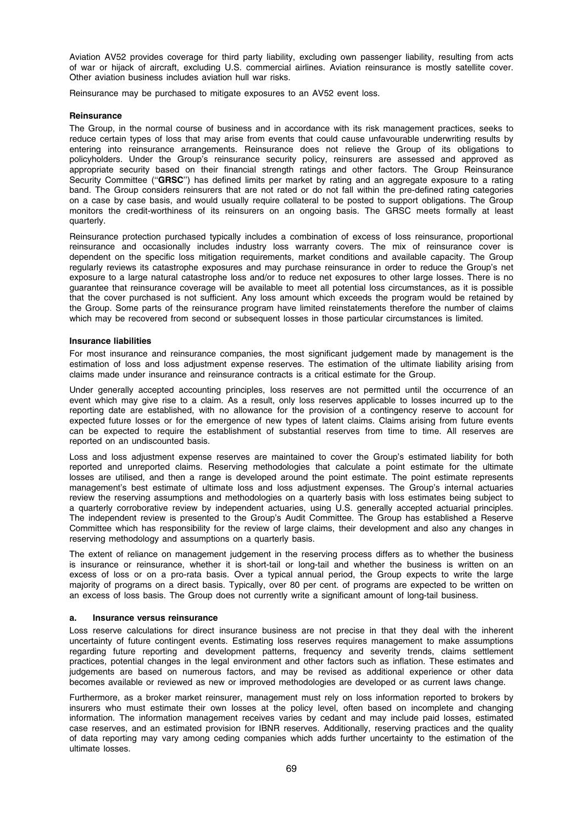Aviation AV52 provides coverage for third party liability, excluding own passenger liability, resulting from acts of war or hijack of aircraft, excluding U.S. commercial airlines. Aviation reinsurance is mostly satellite cover. Other aviation business includes aviation hull war risks.

Reinsurance may be purchased to mitigate exposures to an AV52 event loss.

# **Reinsurance**

The Group, in the normal course of business and in accordance with its risk management practices, seeks to reduce certain types of loss that may arise from events that could cause unfavourable underwriting results by entering into reinsurance arrangements. Reinsurance does not relieve the Group of its obligations to policyholders. Under the Group's reinsurance security policy, reinsurers are assessed and approved as appropriate security based on their financial strength ratings and other factors. The Group Reinsurance Security Committee ("GRSC") has defined limits per market by rating and an aggregate exposure to a rating band. The Group considers reinsurers that are not rated or do not fall within the pre-defined rating categories on a case by case basis, and would usually require collateral to be posted to support obligations. The Group monitors the credit-worthiness of its reinsurers on an ongoing basis. The GRSC meets formally at least quarterly.

Reinsurance protection purchased typically includes a combination of excess of loss reinsurance, proportional reinsurance and occasionally includes industry loss warranty covers. The mix of reinsurance cover is dependent on the specific loss mitigation requirements, market conditions and available capacity. The Group regularly reviews its catastrophe exposures and may purchase reinsurance in order to reduce the Group's net exposure to a large natural catastrophe loss and/or to reduce net exposures to other large losses. There is no guarantee that reinsurance coverage will be available to meet all potential loss circumstances, as it is possible that the cover purchased is not sufficient. Any loss amount which exceeds the program would be retained by the Group. Some parts of the reinsurance program have limited reinstatements therefore the number of claims which may be recovered from second or subsequent losses in those particular circumstances is limited.

### Insurance liabilities

For most insurance and reinsurance companies, the most significant judgement made by management is the estimation of loss and loss adjustment expense reserves. The estimation of the ultimate liability arising from claims made under insurance and reinsurance contracts is a critical estimate for the Group.

Under generally accepted accounting principles, loss reserves are not permitted until the occurrence of an event which may give rise to a claim. As a result, only loss reserves applicable to losses incurred up to the reporting date are established, with no allowance for the provision of a contingency reserve to account for expected future losses or for the emergence of new types of latent claims. Claims arising from future events can be expected to require the establishment of substantial reserves from time to time. All reserves are reported on an undiscounted basis.

Loss and loss adjustment expense reserves are maintained to cover the Group's estimated liability for both reported and unreported claims. Reserving methodologies that calculate a point estimate for the ultimate losses are utilised, and then a range is developed around the point estimate. The point estimate represents management's best estimate of ultimate loss and loss adjustment expenses. The Group's internal actuaries review the reserving assumptions and methodologies on a quarterly basis with loss estimates being subject to a quarterly corroborative review by independent actuaries, using U.S. generally accepted actuarial principles. The independent review is presented to the Group's Audit Committee. The Group has established a Reserve Committee which has responsibility for the review of large claims, their development and also any changes in reserving methodology and assumptions on a quarterly basis.

The extent of reliance on management judgement in the reserving process differs as to whether the business is insurance or reinsurance, whether it is short-tail or long-tail and whether the business is written on an excess of loss or on a pro-rata basis. Over a typical annual period, the Group expects to write the large majority of programs on a direct basis. Typically, over 80 per cent. of programs are expected to be written on an excess of loss basis. The Group does not currently write a significant amount of long-tail business.

### a. Insurance versus reinsurance

Loss reserve calculations for direct insurance business are not precise in that they deal with the inherent uncertainty of future contingent events. Estimating loss reserves requires management to make assumptions regarding future reporting and development patterns, frequency and severity trends, claims settlement practices, potential changes in the legal environment and other factors such as inflation. These estimates and judgements are based on numerous factors, and may be revised as additional experience or other data becomes available or reviewed as new or improved methodologies are developed or as current laws change.

Furthermore, as a broker market reinsurer, management must rely on loss information reported to brokers by insurers who must estimate their own losses at the policy level, often based on incomplete and changing information. The information management receives varies by cedant and may include paid losses, estimated case reserves, and an estimated provision for IBNR reserves. Additionally, reserving practices and the quality of data reporting may vary among ceding companies which adds further uncertainty to the estimation of the ultimate losses.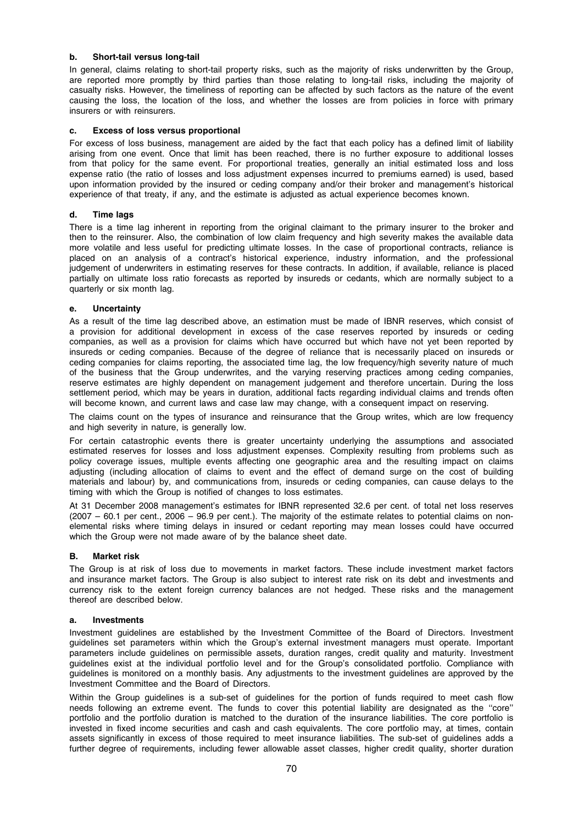# b. Short-tail versus long-tail

In general, claims relating to short-tail property risks, such as the majority of risks underwritten by the Group, are reported more promptly by third parties than those relating to long-tail risks, including the majority of casualty risks. However, the timeliness of reporting can be affected by such factors as the nature of the event causing the loss, the location of the loss, and whether the losses are from policies in force with primary insurers or with reinsurers.

# c. Excess of loss versus proportional

For excess of loss business, management are aided by the fact that each policy has a defined limit of liability arising from one event. Once that limit has been reached, there is no further exposure to additional losses from that policy for the same event. For proportional treaties, generally an initial estimated loss and loss expense ratio (the ratio of losses and loss adjustment expenses incurred to premiums earned) is used, based upon information provided by the insured or ceding company and/or their broker and management's historical experience of that treaty, if any, and the estimate is adjusted as actual experience becomes known.

# d. Time lags

There is a time lag inherent in reporting from the original claimant to the primary insurer to the broker and then to the reinsurer. Also, the combination of low claim frequency and high severity makes the available data more volatile and less useful for predicting ultimate losses. In the case of proportional contracts, reliance is placed on an analysis of a contract's historical experience, industry information, and the professional judgement of underwriters in estimating reserves for these contracts. In addition, if available, reliance is placed partially on ultimate loss ratio forecasts as reported by insureds or cedants, which are normally subject to a quarterly or six month lag.

# e. Uncertainty

As a result of the time lag described above, an estimation must be made of IBNR reserves, which consist of a provision for additional development in excess of the case reserves reported by insureds or ceding companies, as well as a provision for claims which have occurred but which have not yet been reported by insureds or ceding companies. Because of the degree of reliance that is necessarily placed on insureds or ceding companies for claims reporting, the associated time lag, the low frequency/high severity nature of much of the business that the Group underwrites, and the varying reserving practices among ceding companies, reserve estimates are highly dependent on management judgement and therefore uncertain. During the loss settlement period, which may be years in duration, additional facts regarding individual claims and trends often will become known, and current laws and case law may change, with a consequent impact on reserving.

The claims count on the types of insurance and reinsurance that the Group writes, which are low frequency and high severity in nature, is generally low.

For certain catastrophic events there is greater uncertainty underlying the assumptions and associated estimated reserves for losses and loss adjustment expenses. Complexity resulting from problems such as policy coverage issues, multiple events affecting one geographic area and the resulting impact on claims adjusting (including allocation of claims to event and the effect of demand surge on the cost of building materials and labour) by, and communications from, insureds or ceding companies, can cause delays to the timing with which the Group is notified of changes to loss estimates.

At 31 December 2008 management's estimates for IBNR represented 32.6 per cent. of total net loss reserves (2007 – 60.1 per cent., 2006 – 96.9 per cent.). The majority of the estimate relates to potential claims on nonelemental risks where timing delays in insured or cedant reporting may mean losses could have occurred which the Group were not made aware of by the balance sheet date.

# B. Market risk

The Group is at risk of loss due to movements in market factors. These include investment market factors and insurance market factors. The Group is also subject to interest rate risk on its debt and investments and currency risk to the extent foreign currency balances are not hedged. These risks and the management thereof are described below.

# a. Investments

Investment guidelines are established by the Investment Committee of the Board of Directors. Investment guidelines set parameters within which the Group's external investment managers must operate. Important parameters include guidelines on permissible assets, duration ranges, credit quality and maturity. Investment guidelines exist at the individual portfolio level and for the Group's consolidated portfolio. Compliance with guidelines is monitored on a monthly basis. Any adjustments to the investment guidelines are approved by the Investment Committee and the Board of Directors.

Within the Group guidelines is a sub-set of guidelines for the portion of funds required to meet cash flow needs following an extreme event. The funds to cover this potential liability are designated as the ''core'' portfolio and the portfolio duration is matched to the duration of the insurance liabilities. The core portfolio is invested in fixed income securities and cash and cash equivalents. The core portfolio may, at times, contain assets significantly in excess of those required to meet insurance liabilities. The sub-set of guidelines adds a further degree of requirements, including fewer allowable asset classes, higher credit quality, shorter duration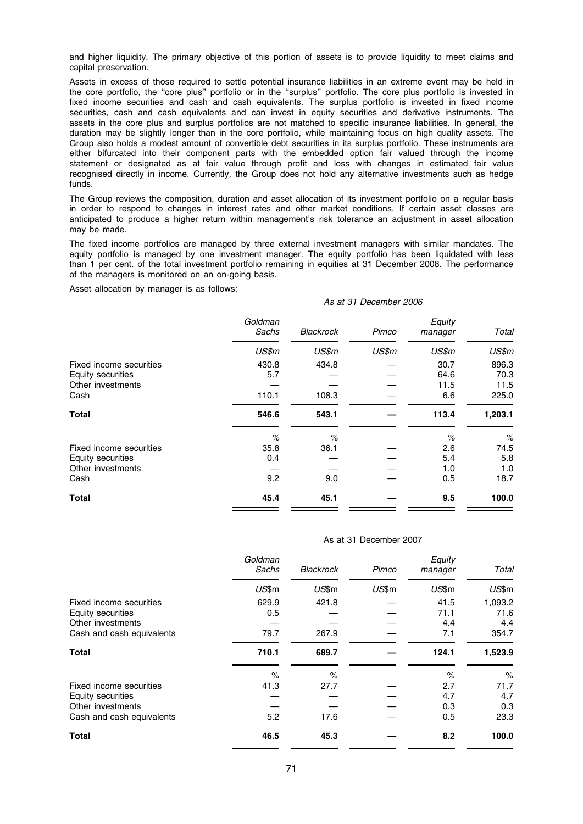and higher liquidity. The primary objective of this portion of assets is to provide liquidity to meet claims and capital preservation.

Assets in excess of those required to settle potential insurance liabilities in an extreme event may be held in the core portfolio, the ''core plus'' portfolio or in the ''surplus'' portfolio. The core plus portfolio is invested in fixed income securities and cash and cash equivalents. The surplus portfolio is invested in fixed income securities, cash and cash equivalents and can invest in equity securities and derivative instruments. The assets in the core plus and surplus portfolios are not matched to specific insurance liabilities. In general, the duration may be slightly longer than in the core portfolio, while maintaining focus on high quality assets. The Group also holds a modest amount of convertible debt securities in its surplus portfolio. These instruments are either bifurcated into their component parts with the embedded option fair valued through the income statement or designated as at fair value through profit and loss with changes in estimated fair value recognised directly in income. Currently, the Group does not hold any alternative investments such as hedge funds.

The Group reviews the composition, duration and asset allocation of its investment portfolio on a regular basis in order to respond to changes in interest rates and other market conditions. If certain asset classes are anticipated to produce a higher return within management's risk tolerance an adjustment in asset allocation may be made.

The fixed income portfolios are managed by three external investment managers with similar mandates. The equity portfolio is managed by one investment manager. The equity portfolio has been liquidated with less than 1 per cent. of the total investment portfolio remaining in equities at 31 December 2008. The performance of the managers is monitored on an on-going basis.

Asset allocation by manager is as follows:

|                         | As at 31 December 2006 |                  |       |                   |         |  |  |
|-------------------------|------------------------|------------------|-------|-------------------|---------|--|--|
|                         | Goldman<br>Sachs       | <b>Blackrock</b> | Pimco | Equity<br>manager | Total   |  |  |
|                         | US\$m                  | US\$m            | US\$m | US\$m             | US\$m   |  |  |
| Fixed income securities | 430.8                  | 434.8            |       | 30.7              | 896.3   |  |  |
| Equity securities       | 5.7                    |                  |       | 64.6              | 70.3    |  |  |
| Other investments       |                        |                  |       | 11.5              | 11.5    |  |  |
| Cash                    | 110.1                  | 108.3            |       | 6.6               | 225.0   |  |  |
| Total                   | 546.6                  | 543.1            |       | 113.4             | 1,203.1 |  |  |
|                         | %                      | %                |       | %                 | %       |  |  |
| Fixed income securities | 35.8                   | 36.1             |       | 2.6               | 74.5    |  |  |
| Equity securities       | 0.4                    |                  |       | 5.4               | 5.8     |  |  |
| Other investments       |                        |                  |       | 1.0               | 1.0     |  |  |
| Cash                    | 9.2                    | 9.0              |       | 0.5               | 18.7    |  |  |
| Total                   | 45.4                   | 45.1             |       | 9.5               | 100.0   |  |  |

| As at 31 December 2007 |                  |       |                   |         |  |  |
|------------------------|------------------|-------|-------------------|---------|--|--|
| Goldman<br>Sachs       | <b>Blackrock</b> | Pimco | Equity<br>manager | Total   |  |  |
| US\$m                  | US\$m            | US\$m | US\$m             | US\$m   |  |  |
| 629.9                  | 421.8            |       | 41.5              | 1,093.2 |  |  |
| 0.5                    |                  |       | 71.1              | 71.6    |  |  |
|                        |                  |       | 4.4               | 4.4     |  |  |
| 79.7                   | 267.9            |       | 7.1               | 354.7   |  |  |
| 710.1                  | 689.7            |       | 124.1             | 1,523.9 |  |  |
| $\%$                   | $\%$             |       | $\%$              | $\%$    |  |  |
| 41.3                   | 27.7             |       | 2.7               | 71.7    |  |  |
|                        |                  |       | 4.7               | 4.7     |  |  |
|                        |                  |       | 0.3               | 0.3     |  |  |
| 5.2                    | 17.6             |       | 0.5               | 23.3    |  |  |
| 46.5                   | 45.3             |       | 8.2               | 100.0   |  |  |
|                        |                  |       |                   |         |  |  |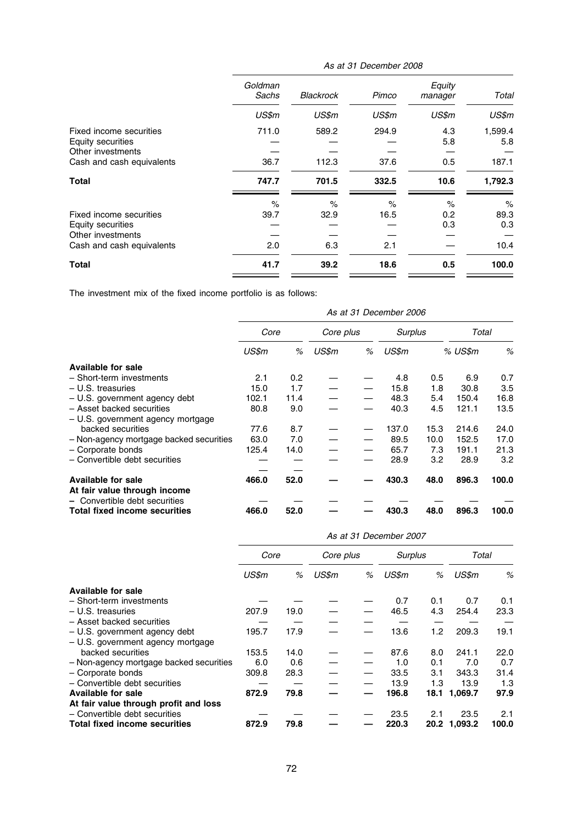|                                                                   | Goldman<br>Sachs | Blackrock | Pimco | Equity<br>manager | Total          |
|-------------------------------------------------------------------|------------------|-----------|-------|-------------------|----------------|
|                                                                   | US\$m            | US\$m     | US\$m | US\$m             | US\$m          |
| Fixed income securities<br>Equity securities<br>Other investments | 711.0            | 589.2     | 294.9 | 4.3<br>5.8        | 1,599.4<br>5.8 |
| Cash and cash equivalents                                         | 36.7             | 112.3     | 37.6  | 0.5               | 187.1          |
| <b>Total</b>                                                      | 747.7            | 701.5     | 332.5 | 10.6              | 1,792.3        |
|                                                                   | $\%$             | $\%$      | $\%$  | $\%$              | $\%$           |
| Fixed income securities<br>Equity securities                      | 39.7             | 32.9      | 16.5  | 0.2<br>0.3        | 89.3<br>0.3    |
| Other investments<br>Cash and cash equivalents                    | 2.0              | 6.3       | 2.1   |                   | 10.4           |
| Total                                                             | 41.7             | 39.2      | 18.6  | 0.5               | 100.0          |

The investment mix of the fixed income portfolio is as follows:

|                                         | As at 31 December 2006 |      |           |   |         |      |         |       |
|-----------------------------------------|------------------------|------|-----------|---|---------|------|---------|-------|
|                                         | Core                   |      | Core plus |   | Surplus |      | Total   |       |
|                                         | US\$m                  | %    | US\$m     | % | US\$m   |      | % US\$m | %     |
| Available for sale                      |                        |      |           |   |         |      |         |       |
| - Short-term investments                | 2.1                    | 0.2  |           |   | 4.8     | 0.5  | 6.9     | 0.7   |
| $-$ U.S. treasuries                     | 15.0                   | 1.7  |           |   | 15.8    | 1.8  | 30.8    | 3.5   |
| - U.S. government agency debt           | 102.1                  | 11.4 |           |   | 48.3    | 5.4  | 150.4   | 16.8  |
| - Asset backed securities               | 80.8                   | 9.0  |           |   | 40.3    | 4.5  | 121.1   | 13.5  |
| - U.S. government agency mortgage       |                        |      |           |   |         |      |         |       |
| backed securities                       | 77.6                   | 8.7  |           |   | 137.0   | 15.3 | 214.6   | 24.0  |
| - Non-agency mortgage backed securities | 63.0                   | 7.0  |           |   | 89.5    | 10.0 | 152.5   | 17.0  |
| - Corporate bonds                       | 125.4                  | 14.0 |           |   | 65.7    | 7.3  | 191.1   | 21.3  |
| - Convertible debt securities           |                        |      |           |   | 28.9    | 3.2  | 28.9    | 3.2   |
|                                         |                        |      |           |   |         |      |         |       |
| <b>Available for sale</b>               | 466.0                  | 52.0 |           |   | 430.3   | 48.0 | 896.3   | 100.0 |
| At fair value through income            |                        |      |           |   |         |      |         |       |
| - Convertible debt securities           |                        |      |           |   |         |      |         |       |
| <b>Total fixed income securities</b>    | 466.0                  | 52.0 |           |   | 430.3   | 48.0 | 896.3   | 100.0 |

|                                         | As at 31 December 2007 |      |           |   |         |     |              |       |
|-----------------------------------------|------------------------|------|-----------|---|---------|-----|--------------|-------|
|                                         | Core                   |      | Core plus |   | Surplus |     | Total        |       |
|                                         | US\$m                  | %    | US\$m     | % | US\$m   | %   | US\$m        | %     |
| Available for sale                      |                        |      |           |   |         |     |              |       |
| - Short-term investments                |                        |      |           |   | 0.7     | 0.1 | 0.7          | 0.1   |
| $-$ U.S. treasuries                     | 207.9                  | 19.0 |           |   | 46.5    | 4.3 | 254.4        | 23.3  |
| - Asset backed securities               |                        |      |           |   |         |     |              |       |
| $-$ U.S. government agency debt         | 195.7                  | 17.9 |           |   | 13.6    | 1.2 | 209.3        | 19.1  |
| - U.S. government agency mortgage       |                        |      |           |   |         |     |              |       |
| backed securities                       | 153.5                  | 14.0 |           |   | 87.6    | 8.0 | 241.1        | 22.0  |
| - Non-agency mortgage backed securities | 6.0                    | 0.6  |           |   | 1.0     | 0.1 | 7.0          | 0.7   |
| - Corporate bonds                       | 309.8                  | 28.3 |           |   | 33.5    | 3.1 | 343.3        | 31.4  |
| - Convertible debt securities           |                        |      |           |   | 13.9    | 1.3 | 13.9         | 1.3   |
| Available for sale                      | 872.9                  | 79.8 |           |   | 196.8   |     | 18.1 1,069.7 | 97.9  |
| At fair value through profit and loss   |                        |      |           |   |         |     |              |       |
| - Convertible debt securities           |                        |      |           |   | 23.5    | 2.1 | 23.5         | 2.1   |
| Total fixed income securities           | 872.9                  | 79.8 |           |   | 220.3   |     | 20.2 1,093.2 | 100.0 |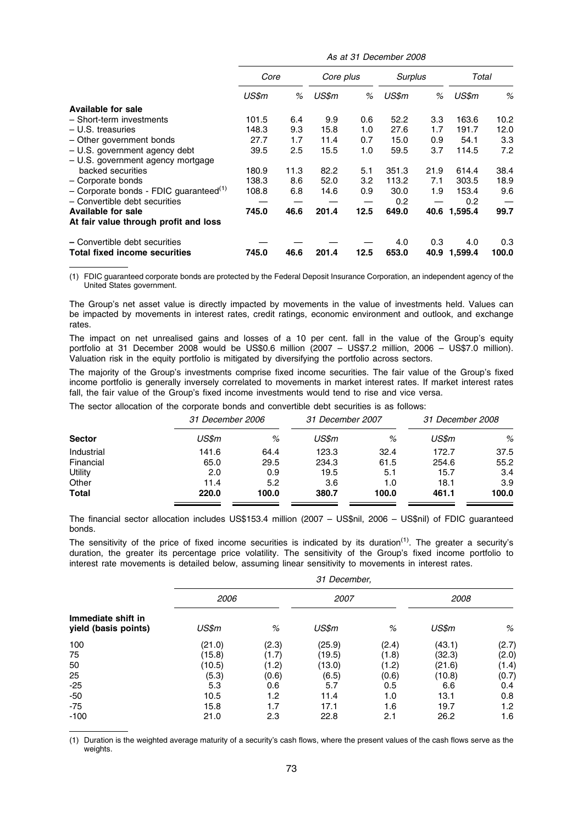As at 31 December 2008

|                                                    | Core  |      | Core plus |      | <b>Surplus</b> |      | Total        |       |
|----------------------------------------------------|-------|------|-----------|------|----------------|------|--------------|-------|
|                                                    | US\$m | %    | US\$m     | %    | US\$m          | %    | US\$m        | %     |
| <b>Available for sale</b>                          |       |      |           |      |                |      |              |       |
| - Short-term investments                           | 101.5 | 6.4  | 9.9       | 0.6  | 52.2           | 3.3  | 163.6        | 10.2  |
| $-$ U.S. treasuries                                | 148.3 | 9.3  | 15.8      | 1.0  | 27.6           | 1.7  | 191.7        | 12.0  |
| - Other government bonds                           | 27.7  | 1.7  | 11.4      | 0.7  | 15.0           | 0.9  | 54.1         | 3.3   |
| $-$ U.S. government agency debt                    | 39.5  | 2.5  | 15.5      | 1.0  | 59.5           | 3.7  | 114.5        | 7.2   |
| - U.S. government agency mortgage                  |       |      |           |      |                |      |              |       |
| backed securities                                  | 180.9 | 11.3 | 82.2      | 5.1  | 351.3          | 21.9 | 614.4        | 38.4  |
| - Corporate bonds                                  | 138.3 | 8.6  | 52.0      | 3.2  | 113.2          | 7.1  | 303.5        | 18.9  |
| - Corporate bonds - FDIC guaranteed <sup>(1)</sup> | 108.8 | 6.8  | 14.6      | 0.9  | 30.0           | 1.9  | 153.4        | 9.6   |
| - Convertible debt securities                      |       |      |           |      | 0.2            |      | 0.2          |       |
| <b>Available for sale</b>                          | 745.0 | 46.6 | 201.4     | 12.5 | 649.0          |      | 40.6 1,595.4 | 99.7  |
| At fair value through profit and loss              |       |      |           |      |                |      |              |       |
| - Convertible debt securities                      |       |      |           |      | 4.0            | 0.3  | 4.0          | 0.3   |
| <b>Total fixed income securities</b>               | 745.0 | 46.6 | 201.4     | 12.5 | 653.0          |      | 40.9 1,599.4 | 100.0 |

(1) FDIC guaranteed corporate bonds are protected by the Federal Deposit Insurance Corporation, an independent agency of the United States government.

The Group's net asset value is directly impacted by movements in the value of investments held. Values can be impacted by movements in interest rates, credit ratings, economic environment and outlook, and exchange rates.

The impact on net unrealised gains and losses of a 10 per cent. fall in the value of the Group's equity portfolio at 31 December 2008 would be US\$0.6 million (2007 – US\$7.2 million, 2006 – US\$7.0 million). Valuation risk in the equity portfolio is mitigated by diversifying the portfolio across sectors.

The majority of the Group's investments comprise fixed income securities. The fair value of the Group's fixed income portfolio is generally inversely correlated to movements in market interest rates. If market interest rates fall, the fair value of the Group's fixed income investments would tend to rise and vice versa.

The sector allocation of the corporate bonds and convertible debt securities is as follows:

|               | 31 December 2006 |       | 31 December 2007 |       | 31 December 2008 |       |
|---------------|------------------|-------|------------------|-------|------------------|-------|
| <b>Sector</b> | US\$m            | %     | US\$m            | %     | US\$m            | %     |
| Industrial    | 141.6            | 64.4  | 123.3            | 32.4  | 172.7            | 37.5  |
| Financial     | 65.0             | 29.5  | 234.3            | 61.5  | 254.6            | 55.2  |
| Utility       | 2.0              | 0.9   | 19.5             | 5.1   | 15.7             | 3.4   |
| Other         | 11.4             | 5.2   | 3.6              | 1.0   | 18.1             | 3.9   |
| <b>Total</b>  | 220.0            | 100.0 | 380.7            | 100.0 | 461.1            | 100.0 |

The financial sector allocation includes US\$153.4 million (2007 – US\$nil, 2006 – US\$nil) of FDIC guaranteed bonds.

The sensitivity of the price of fixed income securities is indicated by its duration<sup>(1)</sup>. The greater a security's duration, the greater its percentage price volatility. The sensitivity of the Group's fixed income portfolio to interest rate movements is detailed below, assuming linear sensitivity to movements in interest rates.

|                                            | 31 December, |       |        |       |        |       |  |
|--------------------------------------------|--------------|-------|--------|-------|--------|-------|--|
|                                            | 2006         |       | 2007   |       | 2008   |       |  |
| Immediate shift in<br>yield (basis points) | US\$m        | %     | US\$m  | %     | US\$m  | %     |  |
| 100                                        | (21.0)       | (2.3) | (25.9) | (2.4) | (43.1) | (2.7) |  |
| 75                                         | (15.8)       | (1.7) | (19.5) | (1.8) | (32.3) | (2.0) |  |
| 50                                         | (10.5)       | (1.2) | (13.0) | (1.2) | (21.6) | (1.4) |  |
| 25                                         | (5.3)        | (0.6) | (6.5)  | (0.6) | (10.8) | (0.7) |  |
| $-25$                                      | 5.3          | 0.6   | 5.7    | 0.5   | 6.6    | 0.4   |  |
| $-50$                                      | 10.5         | 1.2   | 11.4   | 1.0   | 13.1   | 0.8   |  |
| $-75$                                      | 15.8         | 1.7   | 17.1   | 1.6   | 19.7   | 1.2   |  |
| $-100$                                     | 21.0         | 2.3   | 22.8   | 2.1   | 26.2   | 1.6   |  |

(1) Duration is the weighted average maturity of a security's cash flows, where the present values of the cash flows serve as the weights.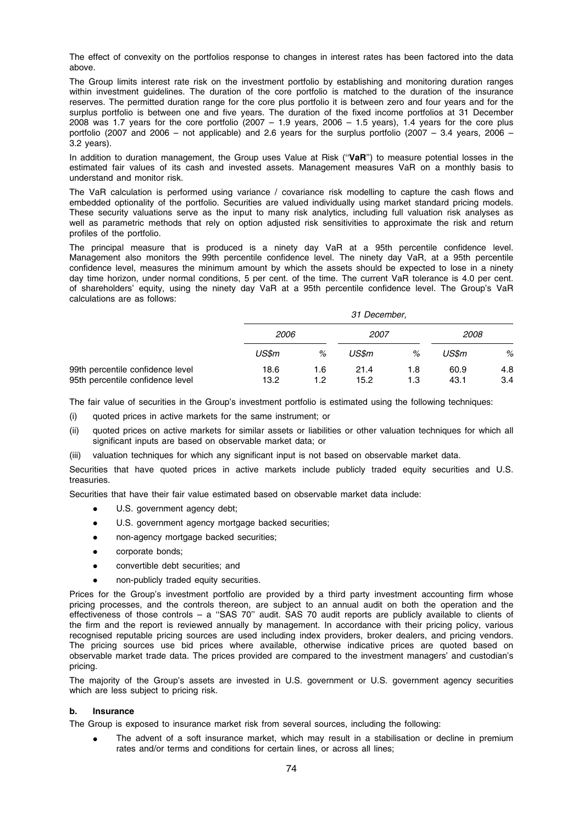The effect of convexity on the portfolios response to changes in interest rates has been factored into the data above.

The Group limits interest rate risk on the investment portfolio by establishing and monitoring duration ranges within investment guidelines. The duration of the core portfolio is matched to the duration of the insurance reserves. The permitted duration range for the core plus portfolio it is between zero and four years and for the surplus portfolio is between one and five years. The duration of the fixed income portfolios at 31 December 2008 was 1.7 years for the core portfolio (2007 – 1.9 years, 2006 – 1.5 years), 1.4 years for the core plus portfolio (2007 and 2006 – not applicable) and 2.6 years for the surplus portfolio (2007 – 3.4 years, 2006 – 3.2 years).

In addition to duration management, the Group uses Value at Risk ("VaR") to measure potential losses in the estimated fair values of its cash and invested assets. Management measures VaR on a monthly basis to understand and monitor risk.

The VaR calculation is performed using variance / covariance risk modelling to capture the cash flows and embedded optionality of the portfolio. Securities are valued individually using market standard pricing models. These security valuations serve as the input to many risk analytics, including full valuation risk analyses as well as parametric methods that rely on option adjusted risk sensitivities to approximate the risk and return profiles of the portfolio.

The principal measure that is produced is a ninety day VaR at a 95th percentile confidence level. Management also monitors the 99th percentile confidence level. The ninety day VaR, at a 95th percentile confidence level, measures the minimum amount by which the assets should be expected to lose in a ninety day time horizon, under normal conditions, 5 per cent. of the time. The current VaR tolerance is 4.0 per cent. of shareholders' equity, using the ninety day VaR at a 95th percentile confidence level. The Group's VaR calculations are as follows:

|                                  |             |      | 31 December, |     |             |     |
|----------------------------------|-------------|------|--------------|-----|-------------|-----|
|                                  | <i>2006</i> |      | <i>2007</i>  |     | <i>2008</i> |     |
|                                  | US\$m       | $\%$ | US\$m        | %   | US\$m       | %   |
| 99th percentile confidence level | 18.6        | 1.6  | 21.4         | 1.8 | 60.9        | 4.8 |
| 95th percentile confidence level | 13.2        | 1.2  | 15.2         | 1.3 | 43.1        | 3.4 |

The fair value of securities in the Group's investment portfolio is estimated using the following techniques:

- (i) quoted prices in active markets for the same instrument; or
- (ii) quoted prices on active markets for similar assets or liabilities or other valuation techniques for which all significant inputs are based on observable market data; or
- (iii) valuation techniques for which any significant input is not based on observable market data.

Securities that have quoted prices in active markets include publicly traded equity securities and U.S. treasuries.

Securities that have their fair value estimated based on observable market data include:

- U.S. government agency debt;
- $\bullet$  U.S. government agency mortgage backed securities;
- non-agency mortgage backed securities;
- corporate bonds;
- convertible debt securities; and
- non-publicly traded equity securities.

Prices for the Group's investment portfolio are provided by a third party investment accounting firm whose pricing processes, and the controls thereon, are subject to an annual audit on both the operation and the effectiveness of those controls – a ''SAS 70'' audit. SAS 70 audit reports are publicly available to clients of the firm and the report is reviewed annually by management. In accordance with their pricing policy, various recognised reputable pricing sources are used including index providers, broker dealers, and pricing vendors. The pricing sources use bid prices where available, otherwise indicative prices are quoted based on observable market trade data. The prices provided are compared to the investment managers' and custodian's pricing.

The majority of the Group's assets are invested in U.S. government or U.S. government agency securities which are less subject to pricing risk.

# b. Insurance

The Group is exposed to insurance market risk from several sources, including the following:

The advent of a soft insurance market, which may result in a stabilisation or decline in premium rates and/or terms and conditions for certain lines, or across all lines;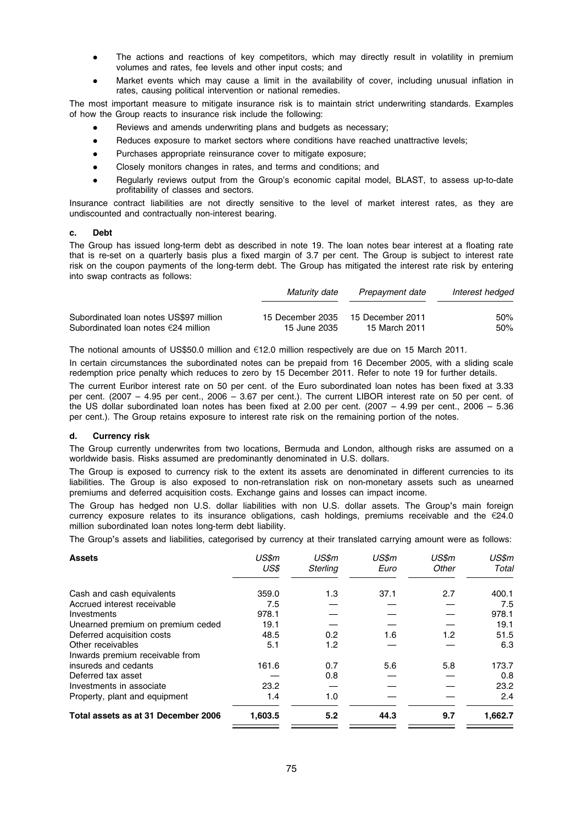- The actions and reactions of key competitors, which may directly result in volatility in premium volumes and rates, fee levels and other input costs; and
- Market events which may cause a limit in the availability of cover, including unusual inflation in rates, causing political intervention or national remedies.

The most important measure to mitigate insurance risk is to maintain strict underwriting standards. Examples of how the Group reacts to insurance risk include the following:

- Reviews and amends underwriting plans and budgets as necessary;
- Reduces exposure to market sectors where conditions have reached unattractive levels;
- Purchases appropriate reinsurance cover to mitigate exposure;
- Closely monitors changes in rates, and terms and conditions; and
- Regularly reviews output from the Group's economic capital model, BLAST, to assess up-to-date profitability of classes and sectors.

Insurance contract liabilities are not directly sensitive to the level of market interest rates, as they are undiscounted and contractually non-interest bearing.

#### c. Debt

The Group has issued long-term debt as described in note 19. The loan notes bear interest at a floating rate that is re-set on a quarterly basis plus a fixed margin of 3.7 per cent. The Group is subject to interest rate risk on the coupon payments of the long-term debt. The Group has mitigated the interest rate risk by entering into swap contracts as follows:

|                                               | Maturity date    | Prepayment date  | Interest hedged |
|-----------------------------------------------|------------------|------------------|-----------------|
| Subordinated Ioan notes US\$97 million        | 15 December 2035 | 15 December 2011 | 50%             |
| Subordinated loan notes $\epsilon$ 24 million | 15 June 2035     | 15 March 2011    | 50%             |

The notional amounts of US\$50.0 million and  $E12.0$  million respectively are due on 15 March 2011.

In certain circumstances the subordinated notes can be prepaid from 16 December 2005, with a sliding scale redemption price penalty which reduces to zero by 15 December 2011. Refer to note 19 for further details.

The current Euribor interest rate on 50 per cent. of the Euro subordinated loan notes has been fixed at 3.33 per cent. (2007 – 4.95 per cent., 2006 – 3.67 per cent.). The current LIBOR interest rate on 50 per cent. of the US dollar subordinated loan notes has been fixed at 2.00 per cent. (2007 – 4.99 per cent., 2006 – 5.36 per cent.). The Group retains exposure to interest rate risk on the remaining portion of the notes.

#### d. Currency risk

The Group currently underwrites from two locations, Bermuda and London, although risks are assumed on a worldwide basis. Risks assumed are predominantly denominated in U.S. dollars.

The Group is exposed to currency risk to the extent its assets are denominated in different currencies to its liabilities. The Group is also exposed to non-retranslation risk on non-monetary assets such as unearned premiums and deferred acquisition costs. Exchange gains and losses can impact income.

The Group has hedged non U.S. dollar liabilities with non U.S. dollar assets. The Group's main foreign currency exposure relates to its insurance obligations, cash holdings, premiums receivable and the  $E24.0$ million subordinated loan notes long-term debt liability.

The Group's assets and liabilities, categorised by currency at their translated carrying amount were as follows:

| <b>Assets</b>                       | US\$m<br>US\$ | US\$m<br>Sterling | US\$m<br>Euro | US\$m<br>Other | US\$m<br>Total |
|-------------------------------------|---------------|-------------------|---------------|----------------|----------------|
| Cash and cash equivalents           | 359.0         | 1.3               | 37.1          | 2.7            | 400.1          |
| Accrued interest receivable         | 7.5           |                   |               |                | 7.5            |
| Investments                         | 978.1         |                   |               |                | 978.1          |
| Unearned premium on premium ceded   | 19.1          |                   |               |                | 19.1           |
| Deferred acquisition costs          | 48.5          | 0.2               | 1.6           | 1.2            | 51.5           |
| Other receivables                   | 5.1           | 1.2               |               |                | 6.3            |
| Inwards premium receivable from     |               |                   |               |                |                |
| insureds and cedants                | 161.6         | 0.7               | 5.6           | 5.8            | 173.7          |
| Deferred tax asset                  |               | 0.8               |               |                | 0.8            |
| Investments in associate            | 23.2          |                   |               |                | 23.2           |
| Property, plant and equipment       | 1.4           | 1.0               |               |                | 2.4            |
| Total assets as at 31 December 2006 | 1,603.5       | 5.2               | 44.3          | 9.7            | 1,662.7        |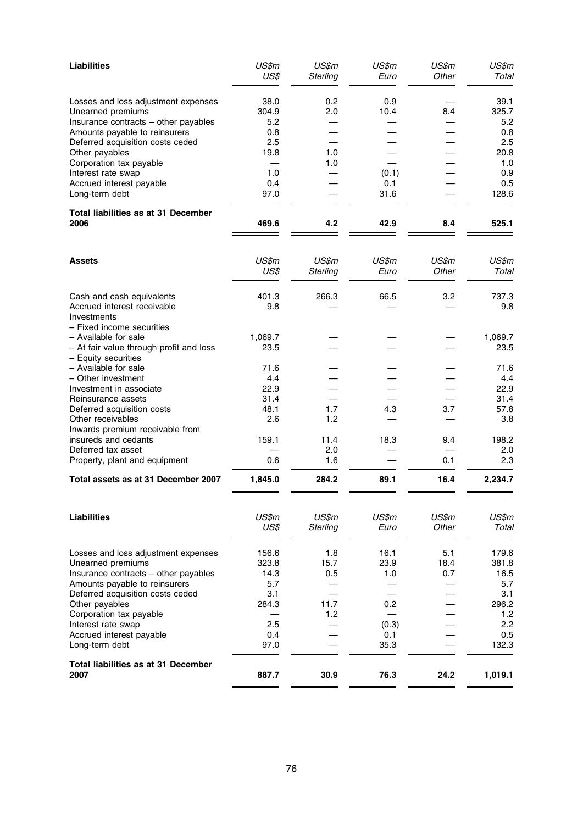| <b>Liabilities</b>                                                                               | US\$m<br>US\$        | US\$m<br>Sterling | US\$m<br>Euro | US\$m<br>Other | US\$m<br>Total       |
|--------------------------------------------------------------------------------------------------|----------------------|-------------------|---------------|----------------|----------------------|
| Losses and loss adjustment expenses<br>Unearned premiums<br>Insurance contracts - other payables | 38.0<br>304.9<br>5.2 | 0.2<br>2.0        | 0.9<br>10.4   | 8.4            | 39.1<br>325.7<br>5.2 |
| Amounts payable to reinsurers                                                                    | 0.8                  |                   |               |                | 0.8                  |
| Deferred acquisition costs ceded                                                                 | 2.5                  |                   |               |                | 2.5                  |
| Other payables<br>Corporation tax payable                                                        | 19.8                 | 1.0<br>1.0        |               |                | 20.8<br>1.0          |
| Interest rate swap                                                                               | 1.0                  |                   | (0.1)         |                | 0.9                  |
| Accrued interest payable                                                                         | 0.4                  |                   | 0.1           |                | 0.5                  |
| Long-term debt                                                                                   | 97.0                 |                   | 31.6          |                | 128.6                |
| <b>Total liabilities as at 31 December</b><br>2006                                               | 469.6                | 4.2               | 42.9          | 8.4            | 525.1                |
| <b>Assets</b>                                                                                    | US\$m<br>US\$        | US\$m<br>Sterling | US\$m<br>Euro | US\$m<br>Other | US\$m<br>Total       |
|                                                                                                  |                      |                   |               |                |                      |
| Cash and cash equivalents<br>Accrued interest receivable<br>Investments                          | 401.3<br>9.8         | 266.3             | 66.5          | 3.2            | 737.3<br>9.8         |
| - Fixed income securities                                                                        |                      |                   |               |                |                      |
| - Available for sale                                                                             | 1,069.7              |                   |               |                | 1,069.7              |
| - At fair value through profit and loss<br>- Equity securities                                   | 23.5                 |                   |               |                | 23.5                 |
| - Available for sale                                                                             | 71.6                 |                   |               |                | 71.6                 |
| - Other investment                                                                               | 4.4                  |                   |               |                | 4.4                  |
| Investment in associate<br>Reinsurance assets                                                    | 22.9<br>31.4         |                   |               |                | 22.9<br>31.4         |
| Deferred acquisition costs                                                                       | 48.1                 | 1.7               | 4.3           | 3.7            | 57.8                 |
| Other receivables                                                                                | 2.6                  | 1.2               |               |                | 3.8                  |
| Inwards premium receivable from                                                                  |                      |                   |               |                |                      |
| insureds and cedants                                                                             | 159.1                | 11.4              | 18.3          | 9.4            | 198.2                |
| Deferred tax asset<br>Property, plant and equipment                                              | 0.6                  | 2.0<br>1.6        |               | 0.1            | 2.0<br>2.3           |
| Total assets as at 31 December 2007                                                              | 1,845.0              | 284.2             | 89.1          | 16.4           | 2,234.7              |
|                                                                                                  |                      |                   |               |                |                      |
| <b>Liabilities</b>                                                                               | US\$m<br>US\$        | US\$m<br>Sterling | US\$m<br>Euro | US\$m<br>Other | US\$m<br>Total       |
| Losses and loss adjustment expenses                                                              | 156.6                | 1.8               | 16.1          | 5.1            | 179.6                |
| Unearned premiums                                                                                | 323.8                | 15.7              | 23.9          | 18.4           | 381.8                |
| Insurance contracts - other payables                                                             | 14.3                 | 0.5               | 1.0           | 0.7            | 16.5                 |
| Amounts payable to reinsurers                                                                    | 5.7                  |                   |               |                | 5.7                  |
| Deferred acquisition costs ceded<br>Other payables                                               | 3.1<br>284.3         | 11.7              | 0.2           |                | 3.1<br>296.2         |
| Corporation tax payable                                                                          |                      | 1.2               |               |                | 1.2                  |
| Interest rate swap                                                                               | 2.5                  |                   | (0.3)         |                | 2.2                  |
| Accrued interest payable                                                                         | 0.4                  |                   | 0.1           |                | 0.5                  |
| Long-term debt                                                                                   | 97.0                 |                   | 35.3          |                | 132.3                |
| Total liabilities as at 31 December<br>2007                                                      | 887.7                | 30.9              | 76.3          | 24.2           | 1,019.1              |
|                                                                                                  |                      |                   |               |                |                      |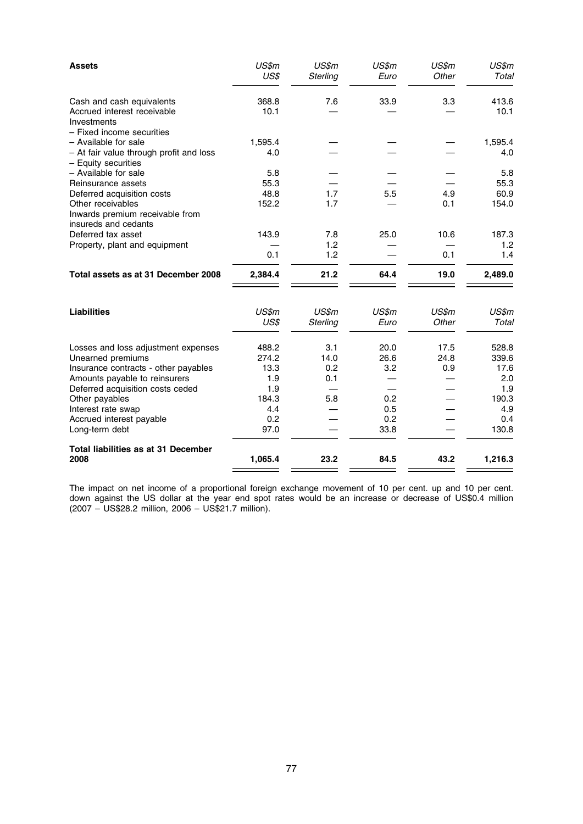| <b>Assets</b>                                                                                                                                                                                                                                               | US\$m<br>US\$                                                       | US\$m<br>Sterling                | US\$m<br>Euro                                    | US\$m<br>Other      | US\$m<br>Total                                                       |
|-------------------------------------------------------------------------------------------------------------------------------------------------------------------------------------------------------------------------------------------------------------|---------------------------------------------------------------------|----------------------------------|--------------------------------------------------|---------------------|----------------------------------------------------------------------|
| Cash and cash equivalents<br>Accrued interest receivable<br>Investments                                                                                                                                                                                     | 368.8<br>10.1                                                       | 7.6                              | 33.9                                             | 3.3                 | 413.6<br>10.1                                                        |
| - Fixed income securities<br>- Available for sale<br>- At fair value through profit and loss<br>- Equity securities                                                                                                                                         | 1,595.4<br>4.0                                                      |                                  |                                                  |                     | 1,595.4<br>4.0                                                       |
| - Available for sale<br>Reinsurance assets<br>Deferred acquisition costs<br>Other receivables                                                                                                                                                               | 5.8<br>55.3<br>48.8<br>152.2                                        | 1.7<br>1.7                       | 5.5                                              | 4.9<br>0.1          | 5.8<br>55.3<br>60.9<br>154.0                                         |
| Inwards premium receivable from<br>insureds and cedants<br>Deferred tax asset<br>Property, plant and equipment                                                                                                                                              | 143.9                                                               | 7.8<br>1.2                       | 25.0                                             | 10.6                | 187.3<br>1.2                                                         |
| Total assets as at 31 December 2008                                                                                                                                                                                                                         | 0.1<br>2,384.4                                                      | 1.2<br>21.2                      | 64.4                                             | 0.1<br>19.0         | 1.4<br>2,489.0                                                       |
| <b>Liabilities</b>                                                                                                                                                                                                                                          | US\$m<br>US\$                                                       | US\$m<br>Sterling                | US\$m<br>Euro                                    | US\$m<br>Other      | US\$m<br>Total                                                       |
| Losses and loss adjustment expenses<br>Unearned premiums<br>Insurance contracts - other payables<br>Amounts payable to reinsurers<br>Deferred acquisition costs ceded<br>Other payables<br>Interest rate swap<br>Accrued interest payable<br>Long-term debt | 488.2<br>274.2<br>13.3<br>1.9<br>1.9<br>184.3<br>4.4<br>0.2<br>97.0 | 3.1<br>14.0<br>0.2<br>0.1<br>5.8 | 20.0<br>26.6<br>3.2<br>0.2<br>0.5<br>0.2<br>33.8 | 17.5<br>24.8<br>0.9 | 528.8<br>339.6<br>17.6<br>2.0<br>1.9<br>190.3<br>4.9<br>0.4<br>130.8 |
| <b>Total liabilities as at 31 December</b><br>2008                                                                                                                                                                                                          | 1,065.4                                                             | 23.2                             | 84.5                                             | 43.2                | 1,216.3                                                              |

The impact on net income of a proportional foreign exchange movement of 10 per cent. up and 10 per cent. down against the US dollar at the year end spot rates would be an increase or decrease of US\$0.4 million (2007 – US\$28.2 million, 2006 – US\$21.7 million).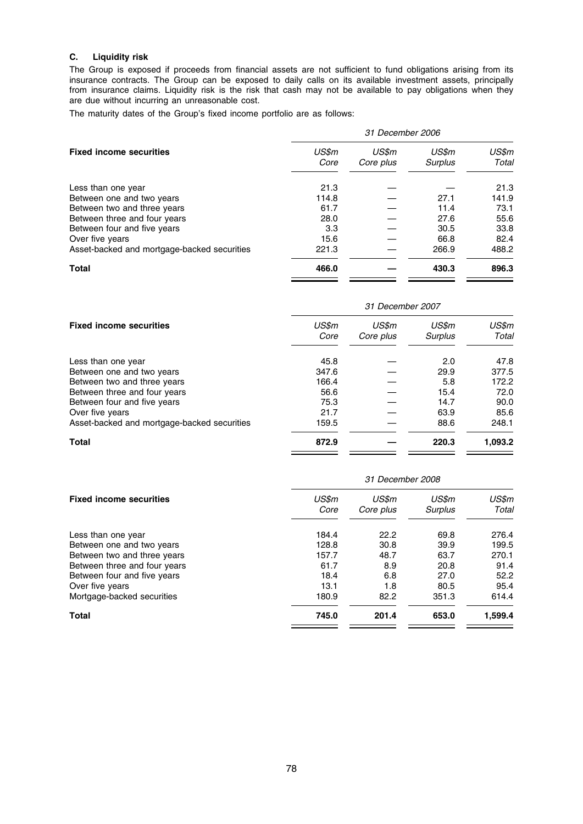# C. Liquidity risk

The Group is exposed if proceeds from financial assets are not sufficient to fund obligations arising from its insurance contracts. The Group can be exposed to daily calls on its available investment assets, principally from insurance claims. Liquidity risk is the risk that cash may not be available to pay obligations when they are due without incurring an unreasonable cost.

The maturity dates of the Group's fixed income portfolio are as follows:

|                                             | 31 December 2006 |                    |                  |                |  |  |  |
|---------------------------------------------|------------------|--------------------|------------------|----------------|--|--|--|
| <b>Fixed income securities</b>              | US\$m<br>Core    | US\$m<br>Core plus | US\$m<br>Surplus | US\$m<br>Total |  |  |  |
| Less than one year                          | 21.3             |                    |                  | 21.3           |  |  |  |
| Between one and two years                   | 114.8            |                    | 27.1             | 141.9          |  |  |  |
| Between two and three years                 | 61.7             |                    | 11.4             | 73.1           |  |  |  |
| Between three and four years                | 28.0             |                    | 27.6             | 55.6           |  |  |  |
| Between four and five years                 | 3.3              |                    | 30.5             | 33.8           |  |  |  |
| Over five years                             | 15.6             |                    | 66.8             | 82.4           |  |  |  |
| Asset-backed and mortgage-backed securities | 221.3            |                    | 266.9            | 488.2          |  |  |  |
| <b>Total</b>                                | 466.0            |                    | 430.3            | 896.3          |  |  |  |

|                                             | 31 December 2007 |                    |                         |                |  |  |  |
|---------------------------------------------|------------------|--------------------|-------------------------|----------------|--|--|--|
| <b>Fixed income securities</b>              | US\$m<br>Core    | US\$m<br>Core plus | US\$m<br><b>Surplus</b> | US\$m<br>Total |  |  |  |
| Less than one year                          | 45.8             |                    | 2.0                     | 47.8           |  |  |  |
| Between one and two years                   | 347.6            |                    | 29.9                    | 377.5          |  |  |  |
| Between two and three years                 | 166.4            |                    | 5.8                     | 172.2          |  |  |  |
| Between three and four years                | 56.6             |                    | 15.4                    | 72.0           |  |  |  |
| Between four and five years                 | 75.3             |                    | 14.7                    | 90.0           |  |  |  |
| Over five years                             | 21.7             |                    | 63.9                    | 85.6           |  |  |  |
| Asset-backed and mortgage-backed securities | 159.5            |                    | 88.6                    | 248.1          |  |  |  |
| <b>Total</b>                                | 872.9            |                    | 220.3                   | 1,093.2        |  |  |  |

|                                | 31 December 2008 |                    |                  |                |  |  |  |
|--------------------------------|------------------|--------------------|------------------|----------------|--|--|--|
| <b>Fixed income securities</b> | US\$m<br>Core    | US\$m<br>Core plus | US\$m<br>Surplus | US\$m<br>Total |  |  |  |
| Less than one year             | 184.4            | 22.2               | 69.8             | 276.4          |  |  |  |
| Between one and two years      | 128.8            | 30.8               | 39.9             | 199.5          |  |  |  |
| Between two and three years    | 157.7            | 48.7               | 63.7             | 270.1          |  |  |  |
| Between three and four years   | 61.7             | 8.9                | 20.8             | 91.4           |  |  |  |
| Between four and five years    | 18.4             | 6.8                | 27.0             | 52.2           |  |  |  |
| Over five years                | 13.1             | 1.8                | 80.5             | 95.4           |  |  |  |
| Mortgage-backed securities     | 180.9            | 82.2               | 351.3            | 614.4          |  |  |  |
| <b>Total</b>                   | 745.0            | 201.4              | 653.0            | 1,599.4        |  |  |  |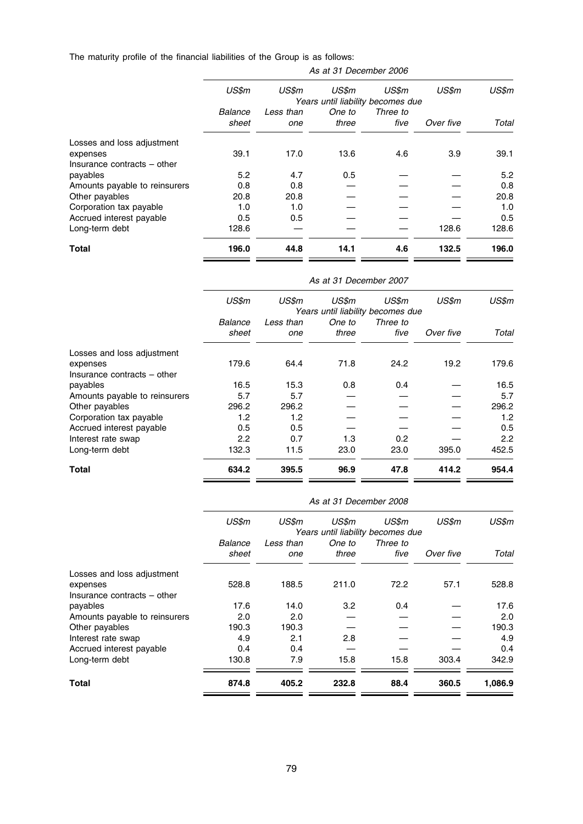The maturity profile of the financial liabilities of the Group is as follows:

|                               | As at 31 December 2006 |           |        |                                            |           |       |  |  |
|-------------------------------|------------------------|-----------|--------|--------------------------------------------|-----------|-------|--|--|
|                               | US\$m                  | US\$m     | US\$m  | US\$m<br>Years until liability becomes due | US\$m     | US\$m |  |  |
|                               | Balance                | Less than | One to | Three to                                   |           |       |  |  |
|                               | sheet                  | one       | three  | five                                       | Over five | Total |  |  |
| Losses and loss adjustment    |                        |           |        |                                            |           |       |  |  |
| expenses                      | 39.1                   | 17.0      | 13.6   | 4.6                                        | 3.9       | 39.1  |  |  |
| Insurance contracts – other   |                        |           |        |                                            |           |       |  |  |
| payables                      | 5.2                    | 4.7       | 0.5    |                                            |           | 5.2   |  |  |
| Amounts payable to reinsurers | 0.8                    | 0.8       |        |                                            |           | 0.8   |  |  |
| Other payables                | 20.8                   | 20.8      |        |                                            |           | 20.8  |  |  |
| Corporation tax payable       | 1.0                    | 1.0       |        |                                            |           | 1.0   |  |  |
| Accrued interest payable      | 0.5                    | 0.5       |        |                                            |           | 0.5   |  |  |
| Long-term debt                | 128.6                  |           |        |                                            | 128.6     | 128.6 |  |  |
| Total                         | 196.0                  | 44.8      | 14.1   | 4.6                                        | 132.5     | 196.0 |  |  |
|                               |                        |           |        |                                            |           |       |  |  |

|                               | As at 31 December 2007 |           |        |                                            |           |       |
|-------------------------------|------------------------|-----------|--------|--------------------------------------------|-----------|-------|
|                               | US\$m                  | US\$m     | US\$m  | US\$m<br>Years until liability becomes due | US\$m     | US\$m |
|                               | Balance                | Less than | One to | Three to                                   |           |       |
|                               | sheet                  | one       | three  | five                                       | Over five | Total |
| Losses and loss adjustment    |                        |           |        |                                            |           |       |
| expenses                      | 179.6                  | 64.4      | 71.8   | 24.2                                       | 19.2      | 179.6 |
| Insurance contracts – other   |                        |           |        |                                            |           |       |
| payables                      | 16.5                   | 15.3      | 0.8    | 0.4                                        |           | 16.5  |
| Amounts payable to reinsurers | 5.7                    | 5.7       |        |                                            |           | 5.7   |
| Other payables                | 296.2                  | 296.2     |        |                                            |           | 296.2 |
| Corporation tax payable       | 1.2                    | 1.2       |        |                                            |           | 1.2   |
| Accrued interest payable      | 0.5                    | 0.5       |        |                                            |           | 0.5   |
| Interest rate swap            | $2.2\phantom{0}$       | 0.7       | 1.3    | 0.2                                        |           | 2.2   |
| Long-term debt                | 132.3                  | 11.5      | 23.0   | 23.0                                       | 395.0     | 452.5 |
| Total                         | 634.2                  | 395.5     | 96.9   | 47.8                                       | 414.2     | 954.4 |

|                                         | As at 31 December 2008 |                  |                 |                                            |           |         |
|-----------------------------------------|------------------------|------------------|-----------------|--------------------------------------------|-----------|---------|
|                                         | US\$m                  | US\$m            | US\$m           | US\$m<br>Years until liability becomes due | US\$m     | US\$m   |
|                                         | Balance<br>sheet       | Less than<br>one | One to<br>three | Three to<br>five                           | Over five | Total   |
| Losses and loss adjustment              |                        |                  |                 |                                            |           |         |
| expenses<br>Insurance contracts – other | 528.8                  | 188.5            | 211.0           | 72.2                                       | 57.1      | 528.8   |
| payables                                | 17.6                   | 14.0             | 3.2             | 0.4                                        |           | 17.6    |
| Amounts payable to reinsurers           | 2.0                    | 2.0              |                 |                                            |           | 2.0     |
| Other payables                          | 190.3                  | 190.3            |                 |                                            |           | 190.3   |
| Interest rate swap                      | 4.9                    | 2.1              | 2.8             |                                            |           | 4.9     |
| Accrued interest payable                | 0.4                    | 0.4              |                 |                                            |           | 0.4     |
| Long-term debt                          | 130.8                  | 7.9              | 15.8            | 15.8                                       | 303.4     | 342.9   |
| Total                                   | 874.8                  | 405.2            | 232.8           | 88.4                                       | 360.5     | 1,086.9 |

79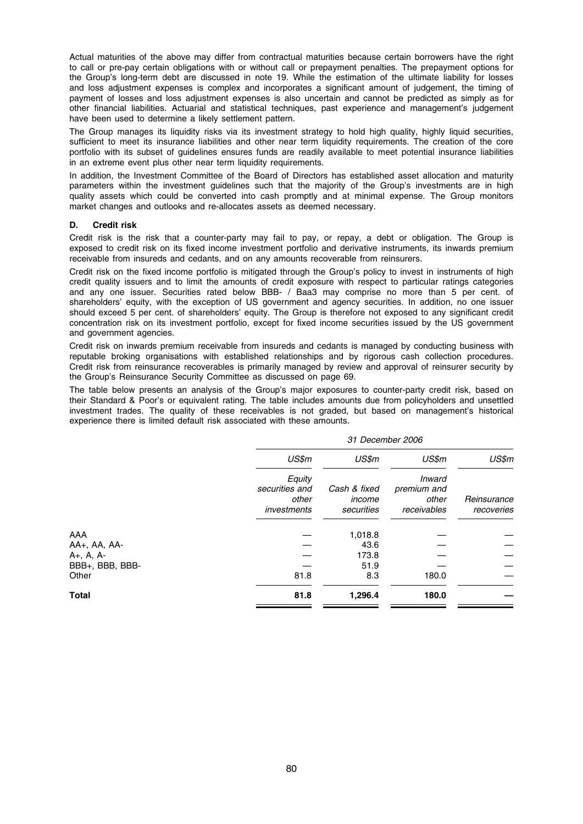Actual maturities of the above may differ from contractual maturities because certain borrowers have the right to call or pre-pay certain obligations with or without call or prepayment penalties. The prepayment options for the Group's long-term debt are discussed in note 19. While the estimation of the ultimate liability for losses and loss adjustment expenses is complex and incorporates a significant amount of judgement, the timing of payment of losses and loss adjustment expenses is also uncertain and cannot be predicted as simply as for other financial liabilities. Actuarial and statistical techniques, past experience and management's judgement have been used to determine a likely settlement pattern.

The Group manages its liquidity risks via its investment strategy to hold high quality, highly liquid securities, sufficient to meet its insurance liabilities and other near term liquidity requirements. The creation of the core portfolio with its subset of guidelines ensures funds are readily available to meet potential insurance liabilities in an extreme event plus other near term liquidity requirements.

In addition, the Investment Committee of the Board of Directors has established asset allocation and maturity parameters within the investment guidelines such that the majority of the Group's investments are in high quality assets which could be converted into cash promptly and at minimal expense. The Group monitors market changes and outlooks and re-allocates assets as deemed necessary.

# D. Credit risk

Credit risk is the risk that a counter-party may fail to pay, or repay, a debt or obligation. The Group is exposed to credit risk on its fixed income investment portfolio and derivative instruments, its inwards premium receivable from insureds and cedants, and on any amounts recoverable from reinsurers.

Credit risk on the fixed income portfolio is mitigated through the Group's policy to invest in instruments of high credit quality issuers and to limit the amounts of credit exposure with respect to particular ratings categories and any one issuer. Securities rated below BBB- / Baa3 may comprise no more than 5 per cent. of shareholders' equity, with the exception of US government and agency securities. In addition, no one issuer should exceed 5 per cent. of shareholders' equity. The Group is therefore not exposed to any significant credit concentration risk on its investment portfolio, except for fixed income securities issued by the US government and government agencies.

Credit risk on inwards premium receivable from insureds and cedants is managed by conducting business with reputable broking organisations with established relationships and by rigorous cash collection procedures. Credit risk from reinsurance recoverables is primarily managed by review and approval of reinsurer security by the Group's Reinsurance Security Committee as discussed on page 69.

The table below presents an analysis of the Group's major exposures to counter-party credit risk, based on their Standard & Poor's or equivalent rating. The table includes amounts due from policyholders and unsettled investment trades. The quality of these receivables is not graded, but based on management's historical experience there is limited default risk associated with these amounts.

|                 |                                                  | 31 December 2006                     |                                               |                           |  |  |
|-----------------|--------------------------------------------------|--------------------------------------|-----------------------------------------------|---------------------------|--|--|
|                 | US\$m                                            | US\$m                                | US\$m                                         | US\$m                     |  |  |
|                 | Equity<br>securities and<br>other<br>investments | Cash & fixed<br>income<br>securities | Inward<br>premium and<br>other<br>receivables | Reinsurance<br>recoveries |  |  |
| AAA             |                                                  | 1,018.8                              |                                               |                           |  |  |
| AA+, AA, AA-    |                                                  | 43.6                                 |                                               |                           |  |  |
| $A+, A, A-$     |                                                  | 173.8                                |                                               |                           |  |  |
| BBB+, BBB, BBB- |                                                  | 51.9                                 |                                               |                           |  |  |
| Other           | 81.8                                             | 8.3                                  | 180.0                                         |                           |  |  |
| <b>Total</b>    | 81.8                                             | 1,296.4                              | 180.0                                         |                           |  |  |
|                 |                                                  |                                      |                                               |                           |  |  |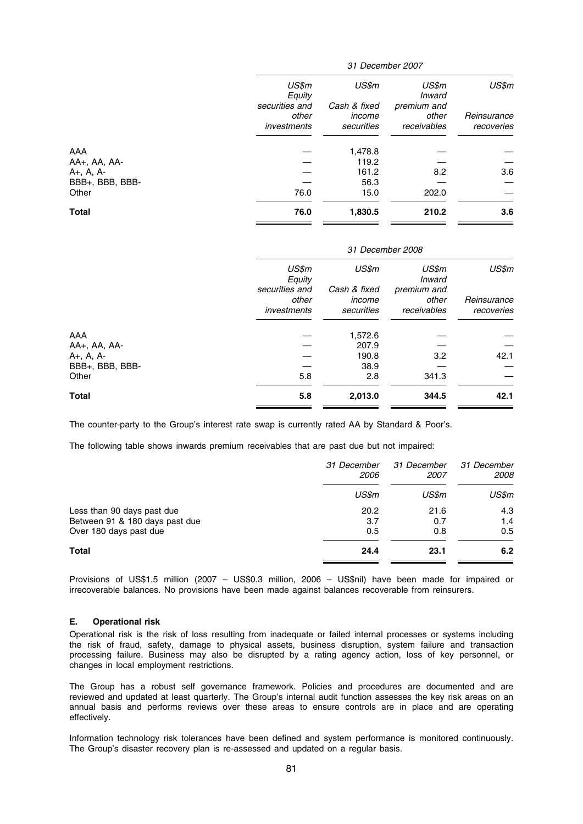|                             | 31 December 2007 |              |                 |             |  |
|-----------------------------|------------------|--------------|-----------------|-------------|--|
|                             | US\$m<br>Equity  | US\$m        | US\$m<br>Inward | US\$m       |  |
|                             | securities and   | Cash & fixed | premium and     |             |  |
|                             | other            | income       | other           | Reinsurance |  |
|                             | investments      | securities   | receivables     | recoveries  |  |
|                             |                  |              |                 |             |  |
| AAA                         |                  | 1,478.8      |                 |             |  |
| AA+, AA, AA-                |                  | 119.2        |                 |             |  |
| $A_{+}$ , $A_{+}$ , $A_{-}$ |                  | 161.2        | 8.2             | 3.6         |  |
| BBB+, BBB, BBB-             |                  | 56.3         |                 |             |  |
| Other                       | 76.0             | 15.0         | 202.0           |             |  |
| <b>Total</b>                | 76.0             | 1,830.5      | 210.2           | 3.6         |  |
|                             |                  |              |                 |             |  |

| 31 December 2008     |                      |                               |                           |  |
|----------------------|----------------------|-------------------------------|---------------------------|--|
| US\$m<br>Equity      | US\$m                | US\$m<br><i><b>Inward</b></i> | US\$m                     |  |
| other<br>investments | income<br>securities | other<br>receivables          | Reinsurance<br>recoveries |  |
|                      | 1,572.6              |                               |                           |  |
|                      | 207.9                |                               |                           |  |
|                      | 190.8                | 3.2                           | 42.1                      |  |
|                      | 38.9                 |                               |                           |  |
| 5.8                  | 2.8                  | 341.3                         |                           |  |
| 5.8                  | 2,013.0              | 344.5                         | 42.1                      |  |
|                      | securities and       | Cash & fixed                  | premium and               |  |

The counter-party to the Group's interest rate swap is currently rated AA by Standard & Poor's.

The following table shows inwards premium receivables that are past due but not impaired:

|                                | 31 December<br><i>2006</i> | 31 December<br>2007 | 31 December<br><i>2008</i> |
|--------------------------------|----------------------------|---------------------|----------------------------|
|                                | US\$m                      | US\$m               | US\$m                      |
| Less than 90 days past due     | 20.2                       | 21.6                | 4.3                        |
| Between 91 & 180 days past due | 3.7                        | 0.7                 | 1.4                        |
| Over 180 days past due         | 0.5                        | 0.8                 | 0.5                        |
| Total                          | 24.4                       | 23.1                | 6.2                        |

Provisions of US\$1.5 million (2007 – US\$0.3 million, 2006 – US\$nil) have been made for impaired or irrecoverable balances. No provisions have been made against balances recoverable from reinsurers.

#### E. Operational risk

Operational risk is the risk of loss resulting from inadequate or failed internal processes or systems including the risk of fraud, safety, damage to physical assets, business disruption, system failure and transaction processing failure. Business may also be disrupted by a rating agency action, loss of key personnel, or changes in local employment restrictions.

The Group has a robust self governance framework. Policies and procedures are documented and are reviewed and updated at least quarterly. The Group's internal audit function assesses the key risk areas on an annual basis and performs reviews over these areas to ensure controls are in place and are operating effectively.

Information technology risk tolerances have been defined and system performance is monitored continuously. The Group's disaster recovery plan is re-assessed and updated on a regular basis.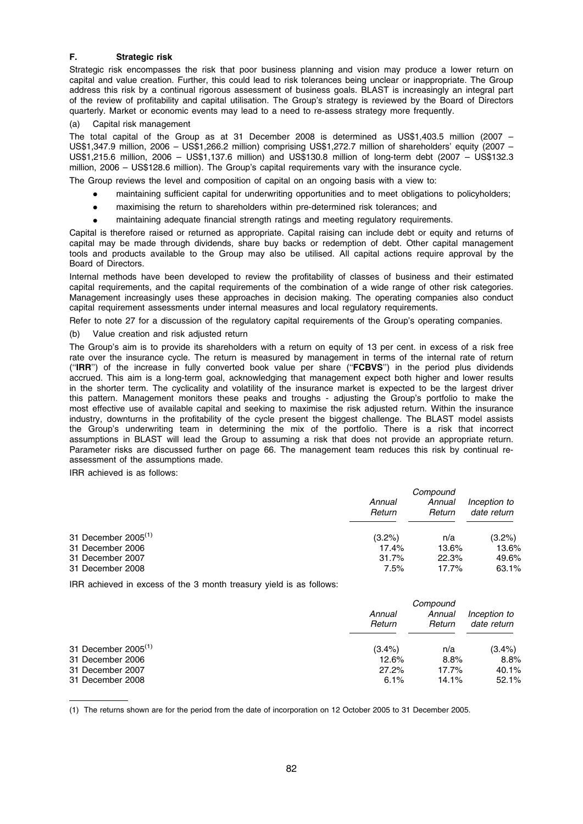# F. Strategic risk

Strategic risk encompasses the risk that poor business planning and vision may produce a lower return on capital and value creation. Further, this could lead to risk tolerances being unclear or inappropriate. The Group address this risk by a continual rigorous assessment of business goals. BLAST is increasingly an integral part of the review of profitability and capital utilisation. The Group's strategy is reviewed by the Board of Directors quarterly. Market or economic events may lead to a need to re-assess strategy more frequently.

# (a) Capital risk management

The total capital of the Group as at 31 December 2008 is determined as US\$1,403.5 million (2007 – US\$1,347.9 million, 2006 – US\$1,266.2 million) comprising US\$1,272.7 million of shareholders' equity (2007 – US\$1,215.6 million, 2006 – US\$1,137.6 million) and US\$130.8 million of long-term debt (2007 – US\$132.3 million, 2006 – US\$128.6 million). The Group's capital requirements vary with the insurance cycle.

The Group reviews the level and composition of capital on an ongoing basis with a view to:

- maintaining sufficient capital for underwriting opportunities and to meet obligations to policyholders;
- maximising the return to shareholders within pre-determined risk tolerances; and
- maintaining adequate financial strength ratings and meeting regulatory requirements.

Capital is therefore raised or returned as appropriate. Capital raising can include debt or equity and returns of capital may be made through dividends, share buy backs or redemption of debt. Other capital management tools and products available to the Group may also be utilised. All capital actions require approval by the Board of Directors.

Internal methods have been developed to review the profitability of classes of business and their estimated capital requirements, and the capital requirements of the combination of a wide range of other risk categories. Management increasingly uses these approaches in decision making. The operating companies also conduct capital requirement assessments under internal measures and local regulatory requirements.

Refer to note 27 for a discussion of the regulatory capital requirements of the Group's operating companies.

(b) Value creation and risk adjusted return

The Group's aim is to provide its shareholders with a return on equity of 13 per cent. in excess of a risk free rate over the insurance cycle. The return is measured by management in terms of the internal rate of return (''IRR'') of the increase in fully converted book value per share (''FCBVS'') in the period plus dividends accrued. This aim is a long-term goal, acknowledging that management expect both higher and lower results in the shorter term. The cyclicality and volatility of the insurance market is expected to be the largest driver this pattern. Management monitors these peaks and troughs - adjusting the Group's portfolio to make the most effective use of available capital and seeking to maximise the risk adjusted return. Within the insurance industry, downturns in the profitability of the cycle present the biggest challenge. The BLAST model assists the Group's underwriting team in determining the mix of the portfolio. There is a risk that incorrect assumptions in BLAST will lead the Group to assuming a risk that does not provide an appropriate return. Parameter risks are discussed further on page 66. The management team reduces this risk by continual reassessment of the assumptions made.

IRR achieved is as follows:

|                          | Compound         |                  |                             |
|--------------------------|------------------|------------------|-----------------------------|
|                          | Annual<br>Return | Annual<br>Return | Inception to<br>date return |
| 31 December $2005^{(1)}$ | $(3.2\%)$        | n/a              | $(3.2\%)$                   |
| 31 December 2006         | 17.4%            | 13.6%            | 13.6%                       |
| 31 December 2007         | 31.7%            | 22.3%            | 49.6%                       |
| 31 December 2008         | 7.5%             | $17.7\%$         | 63.1%                       |

IRR achieved in excess of the 3 month treasury yield is as follows:

|                          | Compound         |                  |                             |
|--------------------------|------------------|------------------|-----------------------------|
|                          | Annual<br>Return | Annual<br>Return | Inception to<br>date return |
| 31 December $2005^{(1)}$ | $(3.4\%)$        | n/a              | $(3.4\%)$                   |
| 31 December 2006         | 12.6%            | 8.8%             | 8.8%                        |
| 31 December 2007         | 27.2%            | 17.7%            | 40.1%                       |
| 31 December 2008         | 6.1%             | 14.1%            | 52.1%                       |

(1) The returns shown are for the period from the date of incorporation on 12 October 2005 to 31 December 2005.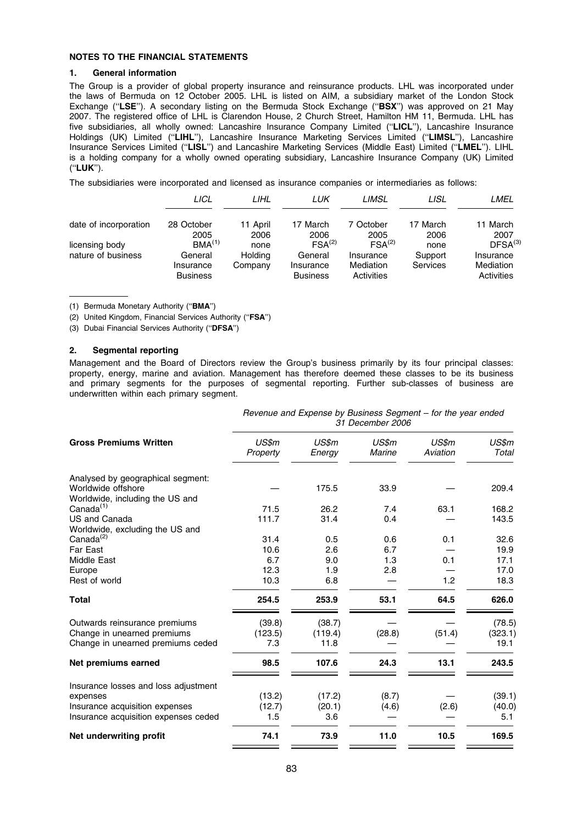# NOTES TO THE FINANCIAL STATEMENTS

# 1. General information

The Group is a provider of global property insurance and reinsurance products. LHL was incorporated under the laws of Bermuda on 12 October 2005. LHL is listed on AIM, a subsidiary market of the London Stock Exchange ("LSE"). A secondary listing on the Bermuda Stock Exchange ("BSX") was approved on 21 May 2007. The registered office of LHL is Clarendon House, 2 Church Street, Hamilton HM 11, Bermuda. LHL has five subsidiaries, all wholly owned: Lancashire Insurance Company Limited (''LICL''), Lancashire Insurance Holdings (UK) Limited (''LIHL''), Lancashire Insurance Marketing Services Limited (''LIMSL''), Lancashire Insurance Services Limited (''LISL'') and Lancashire Marketing Services (Middle East) Limited (''LMEL''). LIHL is a holding company for a wholly owned operating subsidiary, Lancashire Insurance Company (UK) Limited (''LUK'').

The subsidiaries were incorporated and licensed as insurance companies or intermediaries as follows:

|                       | LICL                         | LIHL     | LUK                          | LIMSL                   | LISL     | LMEL                    |
|-----------------------|------------------------------|----------|------------------------------|-------------------------|----------|-------------------------|
| date of incorporation | 28 October                   | 11 April | 17 March                     | 7 October               | 17 March | 11 March                |
|                       | 2005                         | 2006     | 2006                         | 2005                    | 2006     | 2007                    |
| licensing body        | BMA <sup>(1)</sup>           | none     | FSA <sup>(2)</sup>           | $FSA^{(2)}$             | none     | DFSA <sup>(3)</sup>     |
| nature of business    | General                      | Holding  | General                      | Insurance               | Support  | Insurance               |
|                       | Insurance<br><b>Business</b> | Company  | Insurance<br><b>Business</b> | Mediation<br>Activities | Services | Mediation<br>Activities |
|                       |                              |          |                              |                         |          |                         |

(1) Bermuda Monetary Authority (''BMA'')

(2) United Kingdom, Financial Services Authority (''FSA'')

(3) Dubai Financial Services Authority (''DFSA'')

# 2. Segmental reporting

Management and the Board of Directors review the Group's business primarily by its four principal classes: property, energy, marine and aviation. Management has therefore deemed these classes to be its business and primary segments for the purposes of segmental reporting. Further sub-classes of business are underwritten within each primary segment.

|                                      | Revenue and Expense by Business Segment - for the year ended<br>31 December 2006 |                 |                        |                   |                |  |
|--------------------------------------|----------------------------------------------------------------------------------|-----------------|------------------------|-------------------|----------------|--|
| <b>Gross Premiums Written</b>        | US\$m<br>Property                                                                | US\$m<br>Energy | US\$m<br><b>Marine</b> | US\$m<br>Aviation | US\$m<br>Total |  |
| Analysed by geographical segment:    |                                                                                  |                 |                        |                   |                |  |
| Worldwide offshore                   |                                                                                  | 175.5           | 33.9                   |                   | 209.4          |  |
| Worldwide, including the US and      |                                                                                  |                 |                        |                   |                |  |
| Canada $(1)$                         | 71.5                                                                             | 26.2            | 7.4                    | 63.1              | 168.2          |  |
| US and Canada                        | 111.7                                                                            | 31.4            | 0.4                    |                   | 143.5          |  |
| Worldwide, excluding the US and      |                                                                                  |                 |                        |                   |                |  |
| Canada <sup>(2)</sup>                | 31.4                                                                             | 0.5             | 0.6                    | 0.1               | 32.6           |  |
| Far East                             | 10.6                                                                             | 2.6             | 6.7                    |                   | 19.9           |  |
| Middle East                          | 6.7                                                                              | 9.0             | 1.3                    | 0.1               | 17.1           |  |
| Europe                               | 12.3                                                                             | 1.9             | 2.8                    |                   | 17.0           |  |
| Rest of world                        | 10.3                                                                             | 6.8             |                        | 1.2               | 18.3           |  |
| <b>Total</b>                         | 254.5                                                                            | 253.9           | 53.1                   | 64.5              | 626.0          |  |
| Outwards reinsurance premiums        | (39.8)                                                                           | (38.7)          |                        |                   | (78.5)         |  |
| Change in unearned premiums          | (123.5)                                                                          | (119.4)         | (28.8)                 | (51.4)            | (323.1)        |  |
| Change in unearned premiums ceded    | 7.3                                                                              | 11.8            |                        |                   | 19.1           |  |
| Net premiums earned                  | 98.5                                                                             | 107.6           | 24.3                   | 13.1              | 243.5          |  |
| Insurance losses and loss adjustment |                                                                                  |                 |                        |                   |                |  |
| expenses                             | (13.2)                                                                           | (17.2)          | (8.7)                  |                   | (39.1)         |  |
| Insurance acquisition expenses       | (12.7)                                                                           | (20.1)          | (4.6)                  | (2.6)             | (40.0)         |  |
| Insurance acquisition expenses ceded | 1.5                                                                              | 3.6             |                        |                   | 5.1            |  |
| Net underwriting profit              | 74.1                                                                             | 73.9            | 11.0                   | 10.5              | 169.5          |  |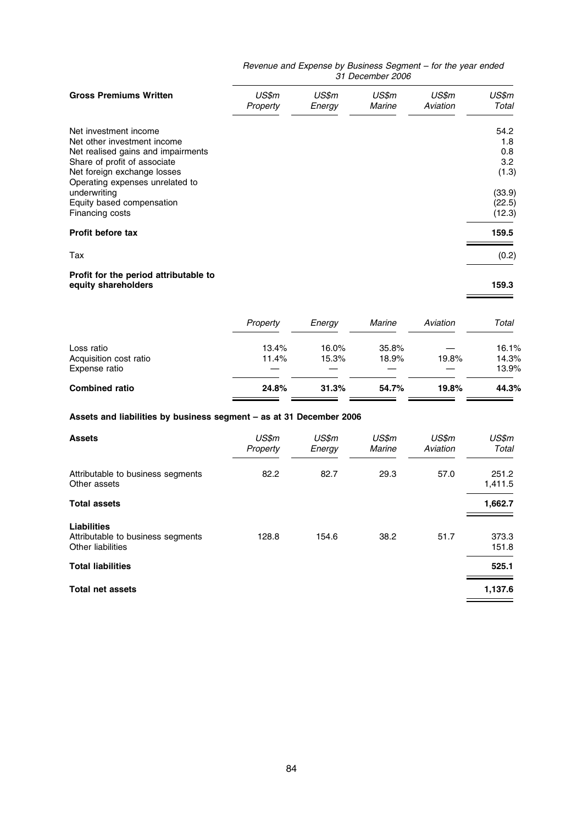#### Revenue and Expense by Business Segment – for the year ended 31 December 2006

| <b>Gross Premiums Written</b>                                                                                                        | US\$m<br>Property | US\$m<br>Eneray | US\$m<br>Marine | US\$m<br>Aviation | US\$m<br>Total             |
|--------------------------------------------------------------------------------------------------------------------------------------|-------------------|-----------------|-----------------|-------------------|----------------------------|
| Net investment income<br>Net other investment income                                                                                 |                   |                 |                 |                   | 54.2<br>1.8<br>0.8         |
| Net realised gains and impairments<br>Share of profit of associate<br>Net foreign exchange losses<br>Operating expenses unrelated to |                   |                 |                 |                   | 3.2<br>(1.3)               |
| underwriting<br>Equity based compensation<br>Financing costs                                                                         |                   |                 |                 |                   | (33.9)<br>(22.5)<br>(12.3) |
| <b>Profit before tax</b>                                                                                                             |                   |                 |                 |                   | 159.5                      |
| Tax                                                                                                                                  |                   |                 |                 |                   | (0.2)                      |
| Profit for the period attributable to<br>equity shareholders                                                                         |                   |                 |                 |                   | 159.3                      |

 $\overline{\phantom{0}}$ 

|                        | Property | Energy | Marine | Aviation | Total |
|------------------------|----------|--------|--------|----------|-------|
| Loss ratio             | 13.4%    | 16.0%  | 35.8%  |          | 16.1% |
| Acquisition cost ratio | 11.4%    | 15.3%  | 18.9%  | 19.8%    | 14.3% |
| Expense ratio          |          |        |        |          | 13.9% |
| <b>Combined ratio</b>  | 24.8%    | 31.3%  | 54.7%  | 19.8%    | 44.3% |
|                        |          |        |        |          |       |

# Assets and liabilities by business segment – as at 31 December 2006

| <b>Assets</b>                                                                | US\$m<br>Property | US\$m<br>Energy | US\$m<br>Marine | US\$m<br>Aviation | US\$m<br>Total   |
|------------------------------------------------------------------------------|-------------------|-----------------|-----------------|-------------------|------------------|
| Attributable to business segments<br>Other assets                            | 82.2              | 82.7            | 29.3            | 57.0              | 251.2<br>1,411.5 |
| <b>Total assets</b>                                                          |                   |                 |                 |                   | 1,662.7          |
| <b>Liabilities</b><br>Attributable to business segments<br>Other liabilities | 128.8             | 154.6           | 38.2            | 51.7              | 373.3<br>151.8   |
| <b>Total liabilities</b>                                                     |                   |                 |                 |                   | 525.1            |
| <b>Total net assets</b>                                                      |                   |                 |                 |                   | 1,137.6          |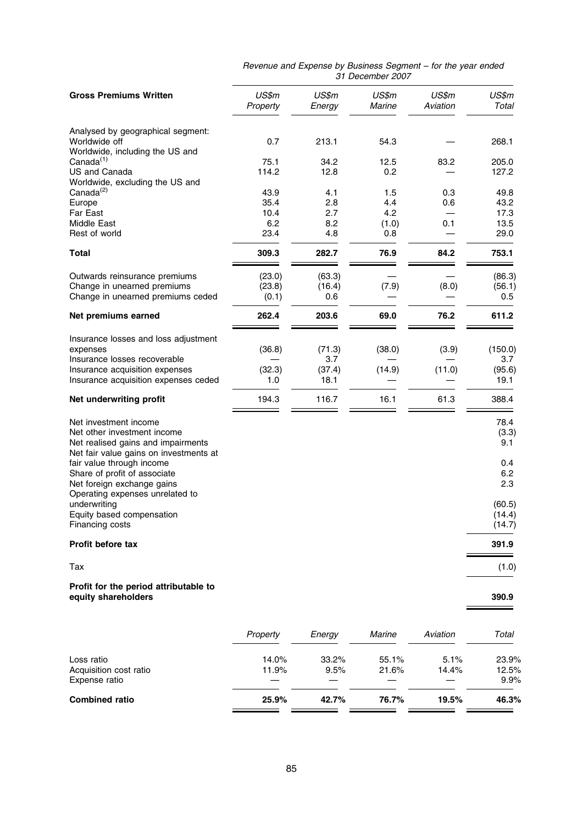|                                                                              | ricvenue and Expense by Business Ocyment<br>31 December 2007 |                 |                        |                   |                |
|------------------------------------------------------------------------------|--------------------------------------------------------------|-----------------|------------------------|-------------------|----------------|
| <b>Gross Premiums Written</b>                                                | US\$m<br>Property                                            | US\$m<br>Energy | US\$m<br><b>Marine</b> | US\$m<br>Aviation | US\$m<br>Total |
| Analysed by geographical segment:                                            |                                                              |                 |                        |                   |                |
| Worldwide off<br>Worldwide, including the US and                             | 0.7                                                          | 213.1           | 54.3                   |                   | 268.1          |
| Canada <sup>(1)</sup>                                                        | 75.1                                                         | 34.2            | 12.5                   | 83.2              | 205.0          |
| US and Canada                                                                | 114.2                                                        | 12.8            | 0.2                    |                   | 127.2          |
| Worldwide, excluding the US and<br>Canada <sup>(2)</sup>                     | 43.9                                                         | 4.1             | 1.5                    | 0.3               | 49.8           |
| Europe                                                                       | 35.4                                                         | 2.8             | 4.4                    | 0.6               | 43.2           |
| Far East                                                                     | 10.4                                                         | 2.7             | 4.2                    |                   | 17.3           |
| Middle East                                                                  | 6.2                                                          | 8.2             | (1.0)                  | 0.1               | 13.5           |
| Rest of world                                                                | 23.4                                                         | 4.8             | 0.8                    |                   | 29.0           |
| <b>Total</b>                                                                 | 309.3                                                        | 282.7           | 76.9                   | 84.2              | 753.1          |
| Outwards reinsurance premiums                                                | (23.0)                                                       | (63.3)          |                        |                   | (86.3)         |
| Change in unearned premiums                                                  | (23.8)                                                       | (16.4)          | (7.9)                  | (8.0)             | (56.1)         |
| Change in unearned premiums ceded                                            | (0.1)                                                        | 0.6             |                        |                   | 0.5            |
| Net premiums earned                                                          | 262.4                                                        | 203.6           | 69.0                   | 76.2              | 611.2          |
| Insurance losses and loss adjustment                                         |                                                              |                 |                        |                   |                |
| expenses                                                                     | (36.8)                                                       | (71.3)          | (38.0)                 | (3.9)             | (150.0)        |
| Insurance losses recoverable<br>Insurance acquisition expenses               | (32.3)                                                       | 3.7<br>(37.4)   | (14.9)                 | (11.0)            | 3.7<br>(95.6)  |
| Insurance acquisition expenses ceded                                         | 1.0                                                          | 18.1            |                        |                   | 19.1           |
| Net underwriting profit                                                      | 194.3                                                        | 116.7           | 16.1                   | 61.3              | 388.4          |
| Net investment income                                                        |                                                              |                 |                        |                   | 78.4           |
| Net other investment income                                                  |                                                              |                 |                        |                   | (3.3)          |
| Net realised gains and impairments<br>Net fair value gains on investments at |                                                              |                 |                        |                   | 9.1            |
| fair value through income                                                    |                                                              |                 |                        |                   | 0.4            |
| Share of profit of associate                                                 |                                                              |                 |                        |                   | 6.2            |
| Net foreign exchange gains                                                   |                                                              |                 |                        |                   | 2.3            |
| Operating expenses unrelated to<br>underwritina                              |                                                              |                 |                        |                   | (60.5)         |
| Equity based compensation                                                    |                                                              |                 |                        |                   | (14.4)         |
| Financing costs                                                              |                                                              |                 |                        |                   | (14.7)         |
| Profit before tax                                                            |                                                              |                 |                        |                   | 391.9          |
| Tax                                                                          |                                                              |                 |                        |                   | (1.0)          |
| Profit for the period attributable to<br>equity shareholders                 |                                                              |                 |                        |                   | 390.9          |

| Revenue and Expense by Business Segment – for the year ended |                  |  |
|--------------------------------------------------------------|------------------|--|
|                                                              | 31 December 2007 |  |

|                        | Property | Eneray   | Marine | Aviation | Total |
|------------------------|----------|----------|--------|----------|-------|
| Loss ratio             | 14.0%    | $33.2\%$ | 55.1%  | 5.1%     | 23.9% |
| Acquisition cost ratio | 11.9%    | 9.5%     | 21.6%  | 14.4%    | 12.5% |
| Expense ratio          |          |          |        |          | 9.9%  |
| <b>Combined ratio</b>  | 25.9%    | 42.7%    | 76.7%  | 19.5%    | 46.3% |
|                        |          |          |        |          |       |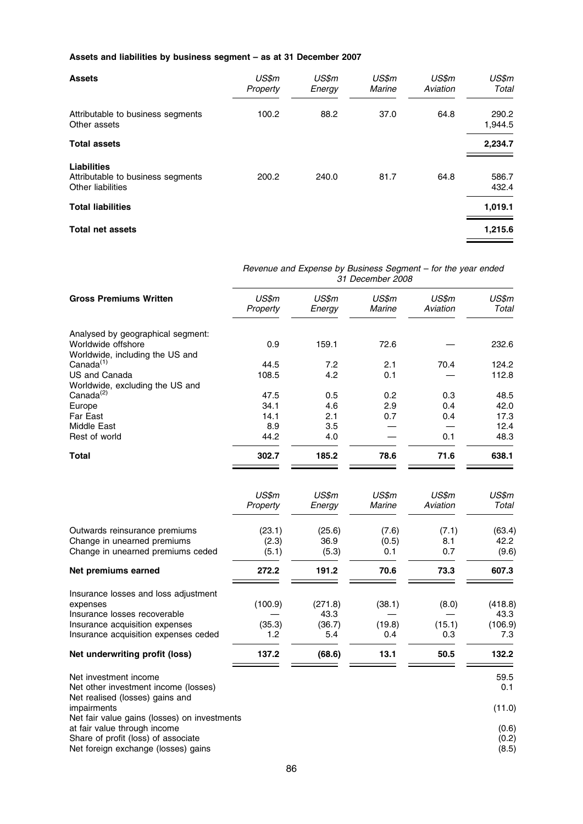# Assets and liabilities by business segment – as at 31 December 2007

| <b>Assets</b>                                                         | US\$m<br>Property | US\$m<br>Energy | US\$m<br>Marine | US\$m<br>Aviation | US\$m<br>Total   |
|-----------------------------------------------------------------------|-------------------|-----------------|-----------------|-------------------|------------------|
| Attributable to business segments<br>Other assets                     | 100.2             | 88.2            | 37.0            | 64.8              | 290.2<br>1,944.5 |
| <b>Total assets</b>                                                   |                   |                 |                 |                   | 2,234.7          |
| Liabilities<br>Attributable to business segments<br>Other liabilities | 200.2             | 240.0           | 81.7            | 64.8              | 586.7<br>432.4   |
| <b>Total liabilities</b>                                              |                   |                 |                 |                   | 1,019.1          |
| <b>Total net assets</b>                                               |                   |                 |                 |                   | 1,215.6          |

|                                                                                                | Revenue and Expense by Business Segment - for the year ended<br>31 December 2008 |                 |                 |                   |                |
|------------------------------------------------------------------------------------------------|----------------------------------------------------------------------------------|-----------------|-----------------|-------------------|----------------|
| <b>Gross Premiums Written</b>                                                                  | US\$m<br>Property                                                                | US\$m<br>Energy | US\$m<br>Marine | US\$m<br>Aviation | US\$m<br>Total |
| Analysed by geographical segment:                                                              |                                                                                  |                 |                 |                   |                |
| Worldwide offshore<br>Worldwide, including the US and                                          | 0.9                                                                              | 159.1           | 72.6            |                   | 232.6          |
| Canada <sup>(1)</sup>                                                                          | 44.5                                                                             | 7.2             | 2.1             | 70.4              | 124.2          |
| US and Canada                                                                                  | 108.5                                                                            | 4.2             | 0.1             |                   | 112.8          |
| Worldwide, excluding the US and<br>Canada <sup>(2)</sup>                                       | 47.5                                                                             | 0.5             | 0.2             | 0.3               | 48.5           |
| Europe                                                                                         | 34.1                                                                             | 4.6             | 2.9             | 0.4               | 42.0           |
| Far East                                                                                       | 14.1                                                                             | 2.1             | 0.7             | 0.4               | 17.3           |
| Middle East                                                                                    | 8.9                                                                              | 3.5             |                 |                   | 12.4           |
| Rest of world                                                                                  | 44.2                                                                             | 4.0             |                 | 0.1               | 48.3           |
| <b>Total</b>                                                                                   | 302.7                                                                            | 185.2           | 78.6            | 71.6              | 638.1          |
|                                                                                                | US\$m<br>Property                                                                | US\$m<br>Energy | US\$m<br>Marine | US\$m<br>Aviation | US\$m<br>Total |
| Outwards reinsurance premiums<br>Change in unearned premiums                                   | (23.1)<br>(2.3)                                                                  | (25.6)<br>36.9  | (7.6)<br>(0.5)  | (7.1)<br>8.1      | (63.4)<br>42.2 |
| Change in unearned premiums ceded                                                              | (5.1)                                                                            | (5.3)           | 0.1             | 0.7               | (9.6)          |
| Net premiums earned                                                                            | 272.2                                                                            | 191.2           | 70.6            | 73.3              | 607.3          |
| Insurance losses and loss adjustment<br>expenses                                               | (100.9)                                                                          | (271.8)         | (38.1)          | (8.0)             | (418.8)        |
| Insurance losses recoverable                                                                   |                                                                                  | 43.3            |                 |                   | 43.3           |
| Insurance acquisition expenses                                                                 | (35.3)                                                                           | (36.7)          | (19.8)          | (15.1)            | (106.9)        |
| Insurance acquisition expenses ceded                                                           | 1.2                                                                              | 5.4             | 0.4             | 0.3               | 7.3            |
| Net underwriting profit (loss)                                                                 | 137.2                                                                            | (68.6)          | 13.1            | 50.5              | 132.2          |
| Net investment income<br>Net other investment income (losses)                                  |                                                                                  |                 |                 |                   | 59.5<br>0.1    |
| Net realised (losses) gains and<br>impairments<br>Net fair value gains (losses) on investments |                                                                                  |                 |                 |                   | (11.0)         |
| at fair value through income                                                                   |                                                                                  |                 |                 |                   | (0.6)          |
| Share of profit (loss) of associate<br>Net foreign exchange (losses) gains                     |                                                                                  |                 |                 |                   | (0.2)<br>(8.5) |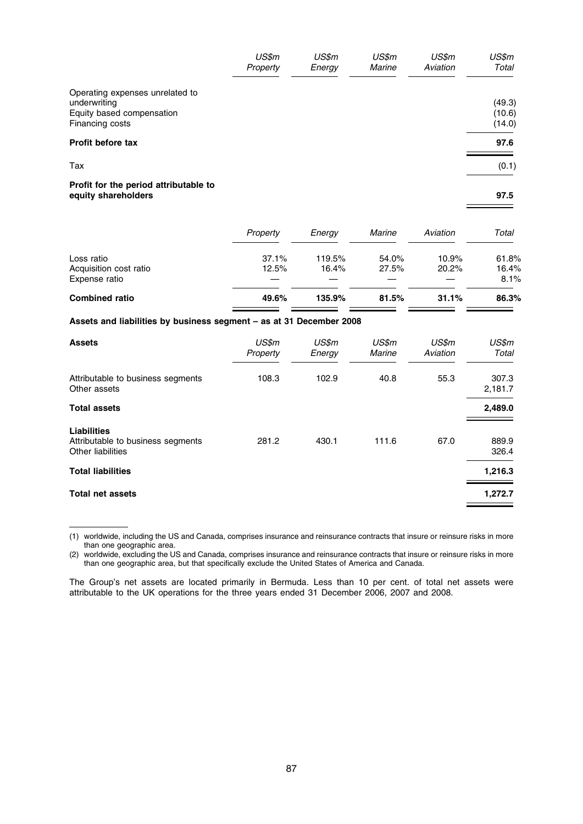|                                                                                                 | US\$m<br>Property | US\$m<br>Energy | US\$m<br>Marine | US\$m<br>Aviation | US\$m<br>Total             |
|-------------------------------------------------------------------------------------------------|-------------------|-----------------|-----------------|-------------------|----------------------------|
| Operating expenses unrelated to<br>underwriting<br>Equity based compensation<br>Financing costs |                   |                 |                 |                   | (49.3)<br>(10.6)<br>(14.0) |
| <b>Profit before tax</b>                                                                        |                   |                 |                 |                   | 97.6                       |
| Tax                                                                                             |                   |                 |                 |                   | (0.1)                      |
| Profit for the period attributable to<br>equity shareholders                                    |                   |                 |                 |                   | 97.5                       |

|                        | Property | Eneray | Marine | Aviation | Total |
|------------------------|----------|--------|--------|----------|-------|
| Loss ratio             | 37.1%    | 119.5% | 54.0%  | 10.9%    | 61.8% |
| Acquisition cost ratio | 12.5%    | 16.4%  | 27.5%  | 20.2%    | 16.4% |
| Expense ratio          |          |        |        |          | 8.1%  |
| <b>Combined ratio</b>  | 49.6%    | 135.9% | 81.5%  | 31.1%    | 86.3% |
|                        |          |        |        |          |       |

# Assets and liabilities by business segment – as at 31 December 2008

| <b>Assets</b>                                                                | US\$m<br>Property | US\$m<br>Energy | US\$m<br>Marine | US\$m<br>Aviation | US\$m<br>Total   |
|------------------------------------------------------------------------------|-------------------|-----------------|-----------------|-------------------|------------------|
| Attributable to business segments<br>Other assets                            | 108.3             | 102.9           | 40.8            | 55.3              | 307.3<br>2,181.7 |
| <b>Total assets</b>                                                          |                   |                 |                 |                   | 2,489.0          |
| <b>Liabilities</b><br>Attributable to business segments<br>Other liabilities | 281.2             | 430.1           | 111.6           | 67.0              | 889.9<br>326.4   |
| <b>Total liabilities</b>                                                     |                   |                 |                 |                   | 1,216.3          |
| <b>Total net assets</b>                                                      |                   |                 |                 |                   | 1,272.7          |

<sup>(1)</sup> worldwide, including the US and Canada, comprises insurance and reinsurance contracts that insure or reinsure risks in more than one geographic area.

(2) worldwide, excluding the US and Canada, comprises insurance and reinsurance contracts that insure or reinsure risks in more than one geographic area, but that specifically exclude the United States of America and Canada.

The Group's net assets are located primarily in Bermuda. Less than 10 per cent. of total net assets were attributable to the UK operations for the three years ended 31 December 2006, 2007 and 2008.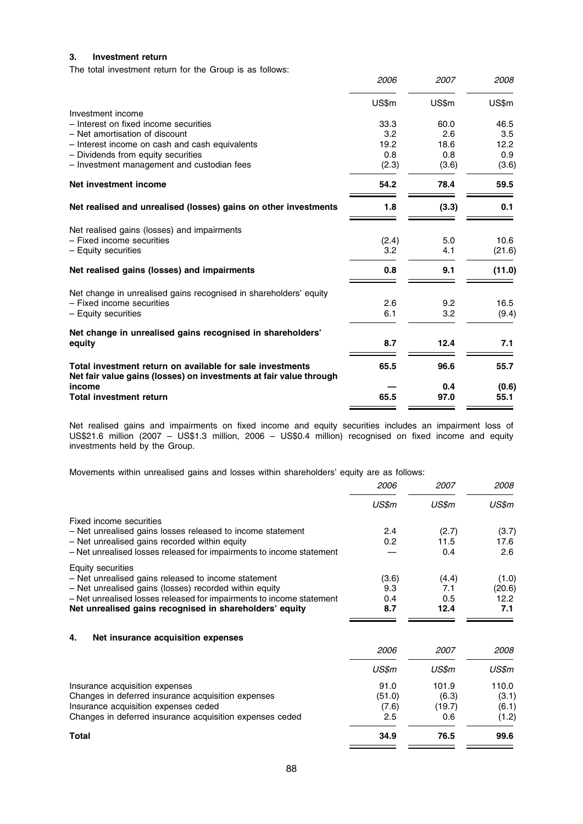# 3. Investment return

The total investment return for the Group is as follows:

|                                                                                                                                 | 2006  | 2007  | 2008   |
|---------------------------------------------------------------------------------------------------------------------------------|-------|-------|--------|
|                                                                                                                                 | US\$m | US\$m | US\$m  |
| Investment income                                                                                                               |       |       |        |
| - Interest on fixed income securities                                                                                           | 33.3  | 60.0  | 46.5   |
| - Net amortisation of discount                                                                                                  | 3.2   | 2.6   | 3.5    |
| - Interest income on cash and cash equivalents                                                                                  | 19.2  | 18.6  | 12.2   |
| - Dividends from equity securities                                                                                              | 0.8   | 0.8   | 0.9    |
| - Investment management and custodian fees                                                                                      | (2.3) | (3.6) | (3.6)  |
| Net investment income                                                                                                           | 54.2  | 78.4  | 59.5   |
| Net realised and unrealised (losses) gains on other investments                                                                 | 1.8   | (3.3) | 0.1    |
| Net realised gains (losses) and impairments                                                                                     |       |       |        |
| - Fixed income securities                                                                                                       | (2.4) | 5.0   | 10.6   |
| - Equity securities                                                                                                             | 3.2   | 4.1   | (21.6) |
| Net realised gains (losses) and impairments                                                                                     | 0.8   | 9.1   | (11.0) |
| Net change in unrealised gains recognised in shareholders' equity                                                               |       |       |        |
| - Fixed income securities                                                                                                       | 2.6   | 9.2   | 16.5   |
| - Equity securities                                                                                                             | 6.1   | 3.2   | (9.4)  |
| Net change in unrealised gains recognised in shareholders'                                                                      |       |       |        |
| equity                                                                                                                          | 8.7   | 12.4  | 7.1    |
| Total investment return on available for sale investments<br>Net fair value gains (losses) on investments at fair value through | 65.5  | 96.6  | 55.7   |
| income                                                                                                                          |       | 0.4   | (0.6)  |
| <b>Total investment return</b>                                                                                                  | 65.5  | 97.0  | 55.1   |
|                                                                                                                                 |       |       |        |

Net realised gains and impairments on fixed income and equity securities includes an impairment loss of US\$21.6 million (2007 – US\$1.3 million, 2006 – US\$0.4 million) recognised on fixed income and equity investments held by the Group.

Movements within unrealised gains and losses within shareholders' equity are as follows:

| <i>2006</i> | <i>2007</i> | <i>2008</i> |
|-------------|-------------|-------------|
| US\$m       | US\$m       | US\$m       |
|             |             |             |
| 2.4         | (2.7)       | (3.7)       |
| 0.2         | 11.5        | 17.6        |
|             | 0.4         | 2.6         |
|             |             |             |
| (3.6)       | (4.4)       | (1.0)       |
| 9.3         | 7.1         | (20.6)      |
| 0.4         | 0.5         | 12.2        |
| 8.7         | 12.4        | 7.1         |
|             |             |             |
|             |             |             |
|             | 2007        | <i>2008</i> |
| US\$m       | US\$m       | US\$m       |
| 91.0        | 101.9       | 110.0       |
| (51.0)      | (6.3)       | (3.1)       |
| (7.6)       | (19.7)      | (6.1)       |
| 2.5         | 0.6         | (1.2)       |
| 34.9        | 76.5        | 99.6        |
|             | 2006        |             |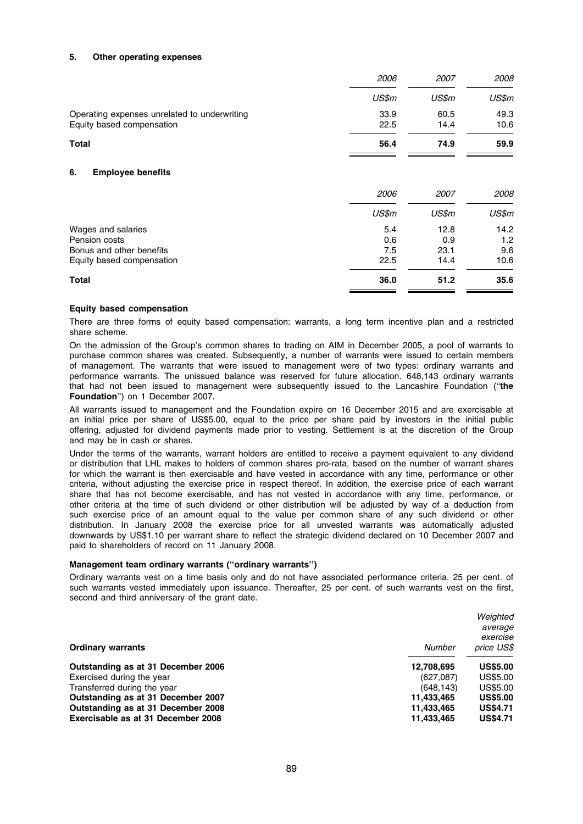#### 5. Other operating expenses

|                                                                           | 2006         | <i>2007</i>  | 2008         |
|---------------------------------------------------------------------------|--------------|--------------|--------------|
|                                                                           | US\$m        | US\$m        | US\$m        |
| Operating expenses unrelated to underwriting<br>Equity based compensation | 33.9<br>22.5 | 60.5<br>14.4 | 49.3<br>10.6 |
| Total                                                                     | 56.4         | 74.9         | 59.9         |
|                                                                           |              |              |              |

#### 6. Employee benefits

|                           | 2006  | <i>2007</i> | 2008  |
|---------------------------|-------|-------------|-------|
|                           | US\$m | US\$m       | US\$m |
| Wages and salaries        | 5.4   | 12.8        | 14.2  |
| Pension costs             | 0.6   | 0.9         | 1.2   |
| Bonus and other benefits  | 7.5   | 23.1        | 9.6   |
| Equity based compensation | 22.5  | 14.4        | 10.6  |
| <b>Total</b>              | 36.0  | 51.2        | 35.6  |

#### Equity based compensation

There are three forms of equity based compensation: warrants, a long term incentive plan and a restricted share scheme.

On the admission of the Group's common shares to trading on AIM in December 2005, a pool of warrants to purchase common shares was created. Subsequently, a number of warrants were issued to certain members of management. The warrants that were issued to management were of two types: ordinary warrants and performance warrants. The unissued balance was reserved for future allocation. 648,143 ordinary warrants that had not been issued to management were subsequently issued to the Lancashire Foundation (''the Foundation'') on 1 December 2007.

All warrants issued to management and the Foundation expire on 16 December 2015 and are exercisable at an initial price per share of US\$5.00, equal to the price per share paid by investors in the initial public offering, adjusted for dividend payments made prior to vesting. Settlement is at the discretion of the Group and may be in cash or shares.

Under the terms of the warrants, warrant holders are entitled to receive a payment equivalent to any dividend or distribution that LHL makes to holders of common shares pro-rata, based on the number of warrant shares for which the warrant is then exercisable and have vested in accordance with any time, performance or other criteria, without adjusting the exercise price in respect thereof. In addition, the exercise price of each warrant share that has not become exercisable, and has not vested in accordance with any time, performance, or other criteria at the time of such dividend or other distribution will be adjusted by way of a deduction from such exercise price of an amount equal to the value per common share of any such dividend or other distribution. In January 2008 the exercise price for all unvested warrants was automatically adjusted downwards by US\$1.10 per warrant share to reflect the strategic dividend declared on 10 December 2007 and paid to shareholders of record on 11 January 2008.

#### Management team ordinary warrants (''ordinary warrants'')

Ordinary warrants vest on a time basis only and do not have associated performance criteria. 25 per cent. of such warrants vested immediately upon issuance. Thereafter, 25 per cent. of such warrants vest on the first, second and third anniversary of the grant date.

|                                    |            | Weighted        |
|------------------------------------|------------|-----------------|
|                                    |            | average         |
|                                    |            | exercise        |
| <b>Ordinary warrants</b>           | Number     | price US\$      |
| Outstanding as at 31 December 2006 | 12,708,695 | <b>US\$5.00</b> |
| Exercised during the year          | (627,087)  | US\$5.00        |
| Transferred during the year        | (648, 143) | US\$5.00        |
| Outstanding as at 31 December 2007 | 11,433,465 | <b>US\$5.00</b> |
| Outstanding as at 31 December 2008 | 11,433,465 | <b>US\$4.71</b> |
| Exercisable as at 31 December 2008 | 11,433,465 | <b>US\$4.71</b> |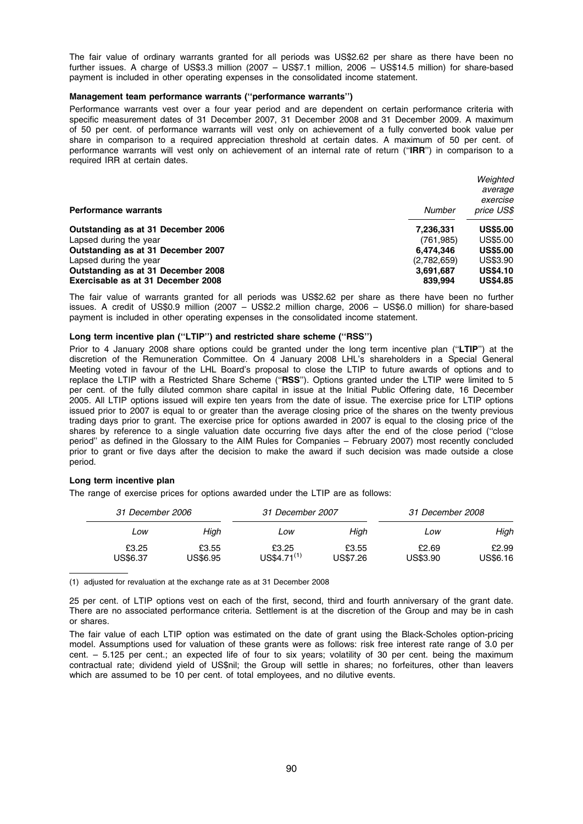The fair value of ordinary warrants granted for all periods was US\$2.62 per share as there have been no further issues. A charge of US\$3.3 million (2007 – US\$7.1 million, 2006 – US\$14.5 million) for share-based payment is included in other operating expenses in the consolidated income statement.

#### Management team performance warrants (''performance warrants'')

Performance warrants vest over a four year period and are dependent on certain performance criteria with specific measurement dates of 31 December 2007, 31 December 2008 and 31 December 2009. A maximum of 50 per cent. of performance warrants will vest only on achievement of a fully converted book value per share in comparison to a required appreciation threshold at certain dates. A maximum of 50 per cent. of performance warrants will vest only on achievement of an internal rate of return ("IRR") in comparison to a required IRR at certain dates.

|                                    |             | Weighted        |
|------------------------------------|-------------|-----------------|
|                                    |             | average         |
|                                    |             | exercise        |
| <b>Performance warrants</b>        | Number      | price US\$      |
| Outstanding as at 31 December 2006 | 7,236,331   | <b>US\$5.00</b> |
| Lapsed during the year             | (761, 985)  | US\$5.00        |
| Outstanding as at 31 December 2007 | 6.474.346   | <b>US\$5.00</b> |
| Lapsed during the year             | (2,782,659) | US\$3.90        |
| Outstanding as at 31 December 2008 | 3,691,687   | <b>US\$4.10</b> |
| Exercisable as at 31 December 2008 | 839.994     | <b>US\$4.85</b> |

The fair value of warrants granted for all periods was US\$2.62 per share as there have been no further issues. A credit of US\$0.9 million (2007 – US\$2.2 million charge, 2006 – US\$6.0 million) for share-based payment is included in other operating expenses in the consolidated income statement.

# Long term incentive plan ("LTIP") and restricted share scheme ("RSS")

Prior to 4 January 2008 share options could be granted under the long term incentive plan ("LTIP") at the discretion of the Remuneration Committee. On 4 January 2008 LHL's shareholders in a Special General Meeting voted in favour of the LHL Board's proposal to close the LTIP to future awards of options and to replace the LTIP with a Restricted Share Scheme ("RSS"). Options granted under the LTIP were limited to 5 per cent. of the fully diluted common share capital in issue at the Initial Public Offering date, 16 December 2005. All LTIP options issued will expire ten years from the date of issue. The exercise price for LTIP options issued prior to 2007 is equal to or greater than the average closing price of the shares on the twenty previous trading days prior to grant. The exercise price for options awarded in 2007 is equal to the closing price of the shares by reference to a single valuation date occurring five days after the end of the close period (''close period'' as defined in the Glossary to the AIM Rules for Companies – February 2007) most recently concluded prior to grant or five days after the decision to make the award if such decision was made outside a close period.

# Long term incentive plan

The range of exercise prices for options awarded under the LTIP are as follows:

| 31 December 2006  |                   | 31 December 2007         |                   | 31 December 2008  |                          |
|-------------------|-------------------|--------------------------|-------------------|-------------------|--------------------------|
| Low               | High              | Low                      | High              | Low               | High                     |
| £3.25<br>US\$6.37 | £3.55<br>US\$6.95 | £3.25<br>$US$4.71^{(1)}$ | £3.55<br>US\$7.26 | £2.69<br>US\$3.90 | £2.99<br><b>US\$6.16</b> |

(1) adjusted for revaluation at the exchange rate as at 31 December 2008

25 per cent. of LTIP options vest on each of the first, second, third and fourth anniversary of the grant date. There are no associated performance criteria. Settlement is at the discretion of the Group and may be in cash or shares.

The fair value of each LTIP option was estimated on the date of grant using the Black-Scholes option-pricing model. Assumptions used for valuation of these grants were as follows: risk free interest rate range of 3.0 per cent. – 5.125 per cent.; an expected life of four to six years; volatility of 30 per cent. being the maximum contractual rate; dividend yield of US\$nil; the Group will settle in shares; no forfeitures, other than leavers which are assumed to be 10 per cent. of total employees, and no dilutive events.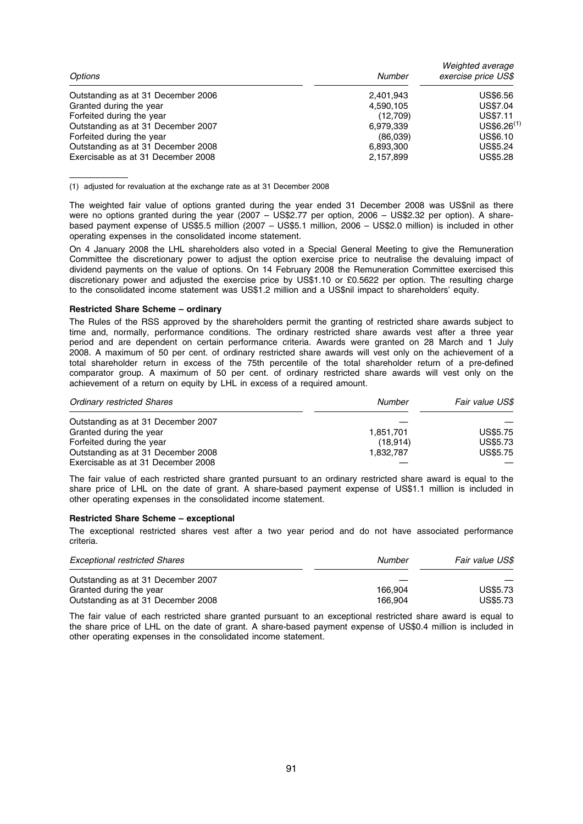| Number    | Weighted average<br>exercise price US\$ |
|-----------|-----------------------------------------|
| 2,401,943 | US\$6.56                                |
| 4,590,105 | US\$7.04                                |
| (12,709)  | US\$7.11                                |
| 6.979.339 | US\$6.26 <sup>(1)</sup>                 |
| (86,039)  | US\$6.10                                |
| 6,893,300 | US\$5.24                                |
| 2,157,899 | <b>US\$5.28</b>                         |
|           |                                         |

(1) adjusted for revaluation at the exchange rate as at 31 December 2008

The weighted fair value of options granted during the year ended 31 December 2008 was US\$nil as there were no options granted during the year (2007 – US\$2.77 per option, 2006 – US\$2.32 per option). A sharebased payment expense of US\$5.5 million (2007 – US\$5.1 million, 2006 – US\$2.0 million) is included in other operating expenses in the consolidated income statement.

On 4 January 2008 the LHL shareholders also voted in a Special General Meeting to give the Remuneration Committee the discretionary power to adjust the option exercise price to neutralise the devaluing impact of dividend payments on the value of options. On 14 February 2008 the Remuneration Committee exercised this discretionary power and adjusted the exercise price by US\$1.10 or £0.5622 per option. The resulting charge to the consolidated income statement was US\$1.2 million and a US\$nil impact to shareholders' equity.

#### Restricted Share Scheme – ordinary

The Rules of the RSS approved by the shareholders permit the granting of restricted share awards subject to time and, normally, performance conditions. The ordinary restricted share awards vest after a three year period and are dependent on certain performance criteria. Awards were granted on 28 March and 1 July 2008. A maximum of 50 per cent. of ordinary restricted share awards will vest only on the achievement of a total shareholder return in excess of the 75th percentile of the total shareholder return of a pre-defined comparator group. A maximum of 50 per cent. of ordinary restricted share awards will vest only on the achievement of a return on equity by LHL in excess of a required amount.

| <b>Ordinary restricted Shares</b>  | Number    | Fair value US\$ |
|------------------------------------|-----------|-----------------|
| Outstanding as at 31 December 2007 |           |                 |
| Granted during the year            | 1.851.701 | <b>US\$5.75</b> |
| Forfeited during the year          | (18.914)  | US\$5.73        |
| Outstanding as at 31 December 2008 | 1.832.787 | <b>US\$5.75</b> |
| Exercisable as at 31 December 2008 |           |                 |

The fair value of each restricted share granted pursuant to an ordinary restricted share award is equal to the share price of LHL on the date of grant. A share-based payment expense of US\$1.1 million is included in other operating expenses in the consolidated income statement.

#### Restricted Share Scheme – exceptional

The exceptional restricted shares vest after a two year period and do not have associated performance criteria.

| <b>Exceptional restricted Shares</b> | Number  | Fair value US\$ |
|--------------------------------------|---------|-----------------|
| Outstanding as at 31 December 2007   |         |                 |
| Granted during the year              | 166.904 | <b>US\$5.73</b> |
| Outstanding as at 31 December 2008   | 166.904 | <b>US\$5.73</b> |

The fair value of each restricted share granted pursuant to an exceptional restricted share award is equal to the share price of LHL on the date of grant. A share-based payment expense of US\$0.4 million is included in other operating expenses in the consolidated income statement.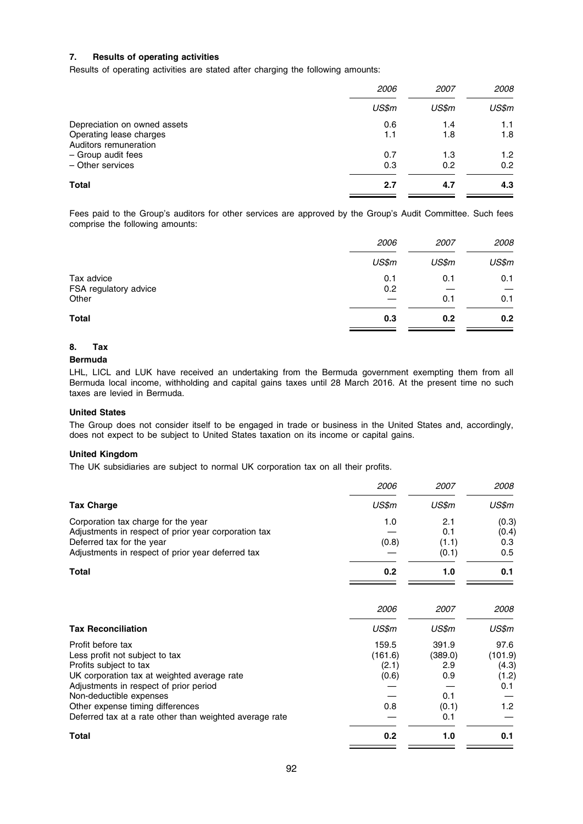# 7. Results of operating activities

Results of operating activities are stated after charging the following amounts:

|                              | 2006  | <i>2007</i> | 2008             |
|------------------------------|-------|-------------|------------------|
|                              | US\$m | US\$m       | US\$m            |
| Depreciation on owned assets | 0.6   | 1.4         | 1.1              |
| Operating lease charges      | 1.1   | 1.8         | 1.8              |
| Auditors remuneration        |       |             |                  |
| - Group audit fees           | 0.7   | 1.3         | 1.2 <sub>1</sub> |
| - Other services             | 0.3   | 0.2         | 0.2              |
| <b>Total</b>                 | 2.7   | 4.7         | 4.3              |

Fees paid to the Group's auditors for other services are approved by the Group's Audit Committee. Such fees comprise the following amounts:

|                                | 2006  | 2007  | 2008  |
|--------------------------------|-------|-------|-------|
|                                | US\$m | US\$m | US\$m |
| Tax advice                     | 0.1   | 0.1   | 0.1   |
| FSA regulatory advice<br>Other | 0.2   | 0.1   | 0.1   |
| <b>Total</b>                   | 0.3   | 0.2   | 0.2   |

# 8. Tax

# Bermuda

LHL, LICL and LUK have received an undertaking from the Bermuda government exempting them from all Bermuda local income, withholding and capital gains taxes until 28 March 2016. At the present time no such taxes are levied in Bermuda.

# United States

The Group does not consider itself to be engaged in trade or business in the United States and, accordingly, does not expect to be subject to United States taxation on its income or capital gains.

# United Kingdom

The UK subsidiaries are subject to normal UK corporation tax on all their profits.

|                                                                                                                                                                                                                                                                                                  | 2006                                      | 2007                                                  | 2008                                                         |
|--------------------------------------------------------------------------------------------------------------------------------------------------------------------------------------------------------------------------------------------------------------------------------------------------|-------------------------------------------|-------------------------------------------------------|--------------------------------------------------------------|
| <b>Tax Charge</b>                                                                                                                                                                                                                                                                                | US\$m                                     | US\$m                                                 | US\$m                                                        |
| Corporation tax charge for the year<br>Adjustments in respect of prior year corporation tax<br>Deferred tax for the year<br>Adjustments in respect of prior year deferred tax                                                                                                                    | 1.0<br>(0.8)                              | 2.1<br>0.1<br>(1.1)<br>(0.1)                          | (0.3)<br>(0.4)<br>0.3<br>0.5                                 |
| Total                                                                                                                                                                                                                                                                                            | 0.2                                       | 1.0                                                   | 0.1                                                          |
|                                                                                                                                                                                                                                                                                                  | 2006                                      | 2007                                                  | 2008                                                         |
| <b>Tax Reconciliation</b>                                                                                                                                                                                                                                                                        | US\$m                                     | US\$m                                                 | US\$m                                                        |
| Profit before tax<br>Less profit not subject to tax<br>Profits subject to tax<br>UK corporation tax at weighted average rate<br>Adjustments in respect of prior period<br>Non-deductible expenses<br>Other expense timing differences<br>Deferred tax at a rate other than weighted average rate | 159.5<br>(161.6)<br>(2.1)<br>(0.6)<br>0.8 | 391.9<br>(389.0)<br>2.9<br>0.9<br>0.1<br>(0.1)<br>0.1 | 97.6<br>(101.9)<br>(4.3)<br>(1.2)<br>0.1<br>1.2 <sub>2</sub> |
| <b>Total</b>                                                                                                                                                                                                                                                                                     | 0.2                                       | 1.0                                                   | 0.1                                                          |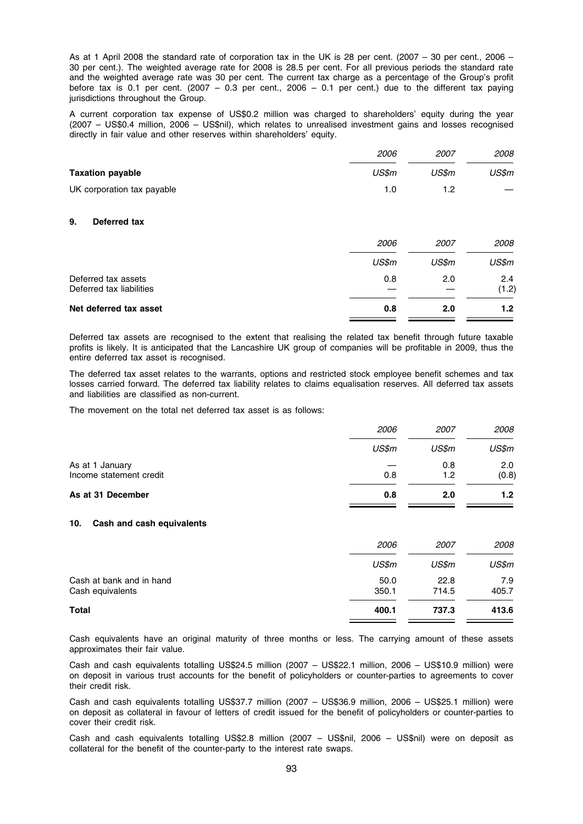As at 1 April 2008 the standard rate of corporation tax in the UK is 28 per cent. (2007 – 30 per cent., 2006 – 30 per cent.). The weighted average rate for 2008 is 28.5 per cent. For all previous periods the standard rate and the weighted average rate was 30 per cent. The current tax charge as a percentage of the Group's profit before tax is 0.1 per cent. (2007 – 0.3 per cent., 2006 – 0.1 per cent.) due to the different tax paying jurisdictions throughout the Group.

A current corporation tax expense of US\$0.2 million was charged to shareholders' equity during the year (2007 – US\$0.4 million, 2006 – US\$nil), which relates to unrealised investment gains and losses recognised directly in fair value and other reserves within shareholders' equity.

|                            | 2006  | 2007  | <i>2008</i> |
|----------------------------|-------|-------|-------------|
| <b>Taxation payable</b>    | US\$m | US\$m | US\$m       |
| UK corporation tax payable | 1.0   | 1.2   |             |

# 9. Deferred tax

| Net deferred tax asset   | 0.8   | 2.0   | 1.2 <sub>1</sub> |
|--------------------------|-------|-------|------------------|
| Deferred tax liabilities |       |       | (1.2)            |
| Deferred tax assets      | 0.8   | 2.0   | 2.4              |
|                          | US\$m | US\$m | US\$m            |
|                          | 2006  | 2007  | <i>2008</i>      |

Deferred tax assets are recognised to the extent that realising the related tax benefit through future taxable profits is likely. It is anticipated that the Lancashire UK group of companies will be profitable in 2009, thus the entire deferred tax asset is recognised.

The deferred tax asset relates to the warrants, options and restricted stock employee benefit schemes and tax losses carried forward. The deferred tax liability relates to claims equalisation reserves. All deferred tax assets and liabilities are classified as non-current.

The movement on the total net deferred tax asset is as follows:

| As at 31 December                          | 0.8   | 2.0         | 1.2          |
|--------------------------------------------|-------|-------------|--------------|
| As at 1 January<br>Income statement credit | 0.8   | 0.8<br>1.2  | 2.0<br>(0.8) |
|                                            | US\$m | US\$m       | US\$m        |
|                                            | 2006  | <i>2007</i> | <i>2008</i>  |

#### 10. Cash and cash equivalents

|                                              | <i>2006</i>   | <i>2007</i>   | <i>2008</i>  |
|----------------------------------------------|---------------|---------------|--------------|
|                                              | US\$m         | US\$m         | US\$m        |
| Cash at bank and in hand<br>Cash equivalents | 50.0<br>350.1 | 22.8<br>714.5 | 7.9<br>405.7 |
| <b>Total</b>                                 | 400.1         | 737.3         | 413.6        |

Cash equivalents have an original maturity of three months or less. The carrying amount of these assets approximates their fair value.

Cash and cash equivalents totalling US\$24.5 million (2007 – US\$22.1 million, 2006 – US\$10.9 million) were on deposit in various trust accounts for the benefit of policyholders or counter-parties to agreements to cover their credit risk.

Cash and cash equivalents totalling US\$37.7 million (2007 – US\$36.9 million, 2006 – US\$25.1 million) were on deposit as collateral in favour of letters of credit issued for the benefit of policyholders or counter-parties to cover their credit risk.

Cash and cash equivalents totalling US\$2.8 million (2007 – US\$nil, 2006 – US\$nil) were on deposit as collateral for the benefit of the counter-party to the interest rate swaps.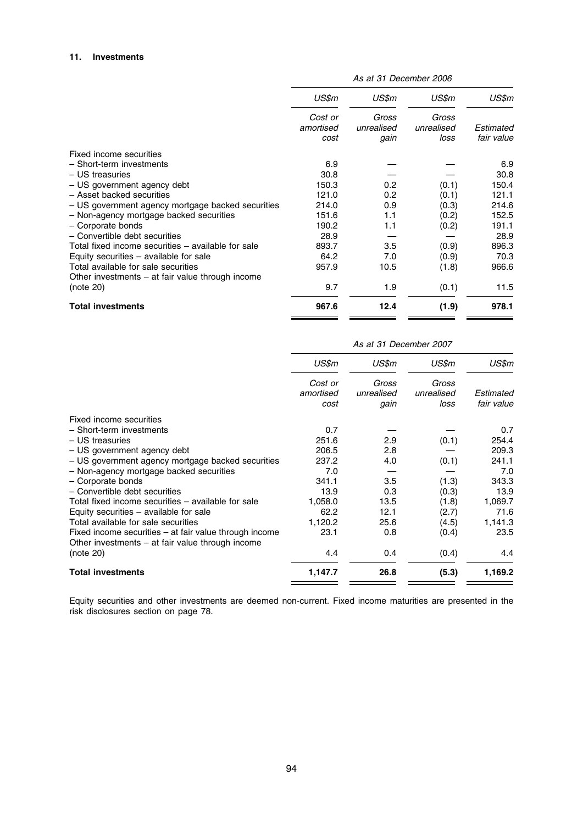|                                                    | US\$m     | US\$m      | US\$m      | US\$m      |
|----------------------------------------------------|-----------|------------|------------|------------|
|                                                    | Cost or   | Gross      | Gross      |            |
|                                                    | amortised | unrealised | unrealised | Estimated  |
|                                                    | cost      | gain       | loss       | fair value |
| Fixed income securities                            |           |            |            |            |
| - Short-term investments                           | 6.9       |            |            | 6.9        |
| - US treasuries                                    | 30.8      |            |            | 30.8       |
| - US government agency debt                        | 150.3     | 0.2        | (0.1)      | 150.4      |
| - Asset backed securities                          | 121.0     | 0.2        | (0.1)      | 121.1      |
| - US government agency mortgage backed securities  | 214.0     | 0.9        | (0.3)      | 214.6      |
| - Non-agency mortgage backed securities            | 151.6     | 1.1        | (0.2)      | 152.5      |
| - Corporate bonds                                  | 190.2     | 1.1        | (0.2)      | 191.1      |
| - Convertible debt securities                      | 28.9      |            |            | 28.9       |
| Total fixed income securities - available for sale | 893.7     | 3.5        | (0.9)      | 896.3      |
| Equity securities $-$ available for sale           | 64.2      | 7.0        | (0.9)      | 70.3       |
| Total available for sale securities                | 957.9     | 10.5       | (1.8)      | 966.6      |
| Other investments $-$ at fair value through income |           |            |            |            |
| (note 20)                                          | 9.7       | 1.9        | (0.1)      | 11.5       |
| <b>Total investments</b>                           | 967.6     | 12.4       | (1.9)      | 978.1      |

As at 31 December 2006

|                                                                                                              | As at 31 December 2007       |                             |                             |                         |
|--------------------------------------------------------------------------------------------------------------|------------------------------|-----------------------------|-----------------------------|-------------------------|
|                                                                                                              | US\$m                        | US\$m                       | US\$m                       | US\$m                   |
|                                                                                                              | Cost or<br>amortised<br>cost | Gross<br>unrealised<br>gain | Gross<br>unrealised<br>loss | Estimated<br>fair value |
| Fixed income securities                                                                                      |                              |                             |                             |                         |
| - Short-term investments                                                                                     | 0.7                          |                             |                             | 0.7                     |
| - US treasuries                                                                                              | 251.6                        | 2.9                         | (0.1)                       | 254.4                   |
| - US government agency debt                                                                                  | 206.5                        | 2.8                         |                             | 209.3                   |
| - US government agency mortgage backed securities                                                            | 237.2                        | 4.0                         | (0.1)                       | 241.1                   |
| - Non-agency mortgage backed securities                                                                      | 7.0                          |                             |                             | 7.0                     |
| - Corporate bonds                                                                                            | 341.1                        | 3.5                         | (1.3)                       | 343.3                   |
| - Convertible debt securities                                                                                | 13.9                         | 0.3                         | (0.3)                       | 13.9                    |
| Total fixed income securities – available for sale                                                           | 1,058.0                      | 13.5                        | (1.8)                       | 1,069.7                 |
| Equity securities $-$ available for sale                                                                     | 62.2                         | 12.1                        | (2.7)                       | 71.6                    |
| Total available for sale securities                                                                          | 1,120.2                      | 25.6                        | (4.5)                       | 1,141.3                 |
| Fixed income securities – at fair value through income<br>Other investments $-$ at fair value through income | 23.1                         | 0.8                         | (0.4)                       | 23.5                    |
| (note 20)                                                                                                    | 4.4                          | 0.4                         | (0.4)                       | 4.4                     |
| <b>Total investments</b>                                                                                     | 1,147.7                      | 26.8                        | (5.3)                       | 1,169.2                 |

Equity securities and other investments are deemed non-current. Fixed income maturities are presented in the risk disclosures section on page 78.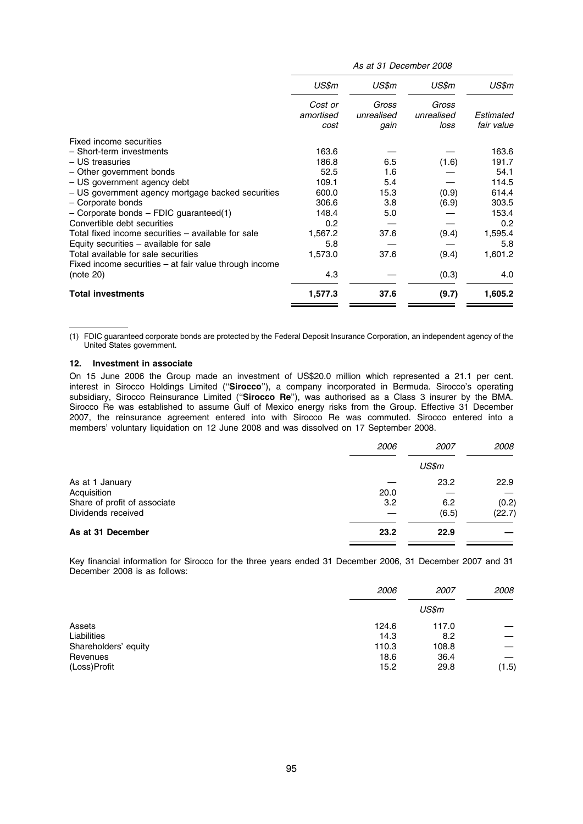|                                                                     | As at 31 December 2008       |                             |                             |                         |
|---------------------------------------------------------------------|------------------------------|-----------------------------|-----------------------------|-------------------------|
|                                                                     | US\$m                        | US\$m                       | US\$m                       | US\$m                   |
|                                                                     | Cost or<br>amortised<br>cost | Gross<br>unrealised<br>gain | Gross<br>unrealised<br>loss | Estimated<br>fair value |
| Fixed income securities                                             |                              |                             |                             |                         |
| - Short-term investments                                            | 163.6                        |                             |                             | 163.6                   |
| - US treasuries                                                     | 186.8                        | 6.5                         | (1.6)                       | 191.7                   |
| - Other government bonds                                            | 52.5                         | 1.6                         |                             | 54.1                    |
| - US government agency debt                                         | 109.1                        | 5.4                         |                             | 114.5                   |
| - US government agency mortgage backed securities                   | 600.0                        | 15.3                        | (0.9)                       | 614.4                   |
| - Corporate bonds                                                   | 306.6                        | 3.8                         | (6.9)                       | 303.5                   |
| $-$ Corporate bonds $-$ FDIC guaranteed(1)                          | 148.4                        | 5.0                         |                             | 153.4                   |
| Convertible debt securities                                         | 0.2                          |                             |                             | 0.2                     |
| Total fixed income securities - available for sale                  | 1,567.2                      | 37.6                        | (9.4)                       | 1,595.4                 |
| Equity securities $-$ available for sale                            | 5.8                          |                             |                             | 5.8                     |
| Total available for sale securities                                 | 1,573.0                      | 37.6                        | (9.4)                       | 1,601.2                 |
| Fixed income securities - at fair value through income<br>(note 20) | 4.3                          |                             | (0.3)                       | 4.0                     |
| <b>Total investments</b>                                            | 1,577.3                      | 37.6                        | (9.7)                       | 1,605.2                 |

(1) FDIC guaranteed corporate bonds are protected by the Federal Deposit Insurance Corporation, an independent agency of the United States government.

#### 12. Investment in associate

On 15 June 2006 the Group made an investment of US\$20.0 million which represented a 21.1 per cent. interest in Sirocco Holdings Limited (''Sirocco''), a company incorporated in Bermuda. Sirocco's operating subsidiary, Sirocco Reinsurance Limited ("Sirocco Re"), was authorised as a Class 3 insurer by the BMA. Sirocco Re was established to assume Gulf of Mexico energy risks from the Group. Effective 31 December 2007, the reinsurance agreement entered into with Sirocco Re was commuted. Sirocco entered into a members' voluntary liquidation on 12 June 2008 and was dissolved on 17 September 2008.

|                              | 2006 | <i>2007</i> | 2008   |
|------------------------------|------|-------------|--------|
|                              |      | US\$m       |        |
| As at 1 January              |      | 23.2        | 22.9   |
| Acquisition                  | 20.0 |             |        |
| Share of profit of associate | 3.2  | 6.2         | (0.2)  |
| Dividends received           |      | (6.5)       | (22.7) |
| As at 31 December            | 23.2 | 22.9        |        |

Key financial information for Sirocco for the three years ended 31 December 2006, 31 December 2007 and 31 December 2008 is as follows:

|                      | 2006  | <i>2007</i> | 2008  |
|----------------------|-------|-------------|-------|
|                      |       | US\$m       |       |
| Assets               | 124.6 | 117.0       |       |
| Liabilities          | 14.3  | 8.2         |       |
| Shareholders' equity | 110.3 | 108.8       |       |
| Revenues             | 18.6  | 36.4        |       |
| (Loss)Profit         | 15.2  | 29.8        | (1.5) |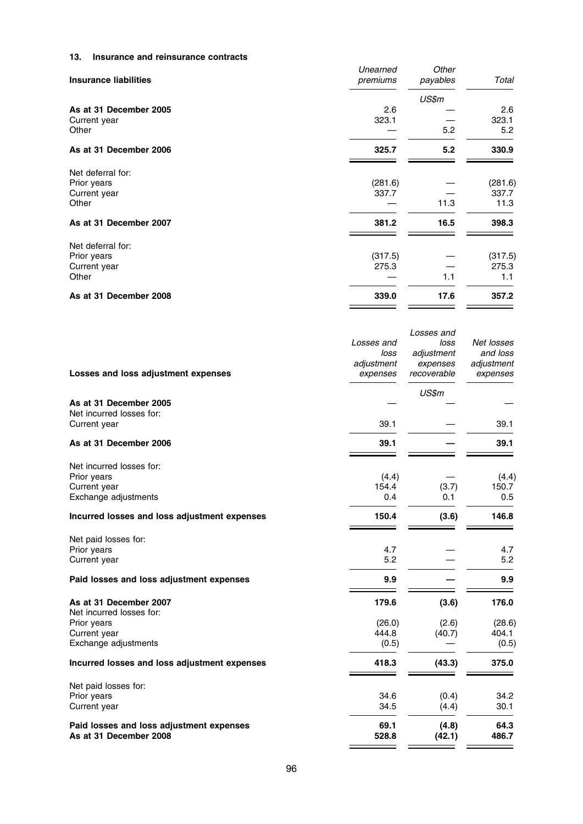# 13. Insurance and reinsurance contracts

| <b>Insurance liabilities</b>                              | Unearned<br>premiums | Other<br>payables | Total                    |
|-----------------------------------------------------------|----------------------|-------------------|--------------------------|
| As at 31 December 2005                                    | 2.6                  | US\$m             | 2.6                      |
| Current year<br>Other                                     | 323.1                | 5.2               | 323.1<br>5.2             |
| As at 31 December 2006                                    | 325.7                | 5.2               | 330.9                    |
| Net deferral for:<br>Prior years<br>Current year<br>Other | (281.6)<br>337.7     | 11.3              | (281.6)<br>337.7<br>11.3 |
| As at 31 December 2007                                    | 381.2                | 16.5              | 398.3                    |
| Net deferral for:<br>Prior years<br>Current year<br>Other | (317.5)<br>275.3     | 1.1               | (317.5)<br>275.3<br>1.1  |
| As at 31 December 2008                                    | 339.0                | 17.6              | 357.2                    |
|                                                           |                      | Losses and        |                          |

|                                                    | Losses and<br>loss | loss<br>adjustment | Net losses<br>and loss |
|----------------------------------------------------|--------------------|--------------------|------------------------|
|                                                    | adjustment         | expenses           | adjustment             |
| Losses and loss adjustment expenses                | expenses           | recoverable        | expenses               |
|                                                    |                    | US\$m              |                        |
| As at 31 December 2005<br>Net incurred losses for: |                    |                    |                        |
| Current year                                       | 39.1               |                    | 39.1                   |
| As at 31 December 2006                             | 39.1               |                    | 39.1                   |
| Net incurred losses for:                           |                    |                    |                        |
| Prior years                                        | (4.4)              |                    | (4.4)                  |
| Current year                                       | 154.4              | (3.7)              | 150.7                  |
| Exchange adjustments                               | 0.4                | 0.1                | 0.5                    |
| Incurred losses and loss adjustment expenses       | 150.4              | (3.6)              | 146.8                  |
| Net paid losses for:                               |                    |                    |                        |
| Prior years                                        | 4.7                |                    | 4.7                    |
| Current year                                       | 5.2                |                    | 5.2                    |
| Paid losses and loss adjustment expenses           | 9.9                |                    | 9.9                    |
| As at 31 December 2007                             | 179.6              | (3.6)              | 176.0                  |
| Net incurred losses for:                           |                    |                    |                        |
| Prior years                                        | (26.0)             | (2.6)              | (28.6)                 |
| Current year                                       | 444.8              | (40.7)             | 404.1                  |
| Exchange adjustments                               | (0.5)              |                    | (0.5)                  |
| Incurred losses and loss adjustment expenses       | 418.3              | (43.3)             | 375.0                  |
| Net paid losses for:                               |                    |                    |                        |
| Prior years                                        | 34.6               | (0.4)              | 34.2                   |
| Current year                                       | 34.5               | (4.4)              | 30.1                   |
| Paid losses and loss adjustment expenses           | 69.1               | (4.8)              | 64.3                   |
| As at 31 December 2008                             | 528.8              | (42.1)             | 486.7                  |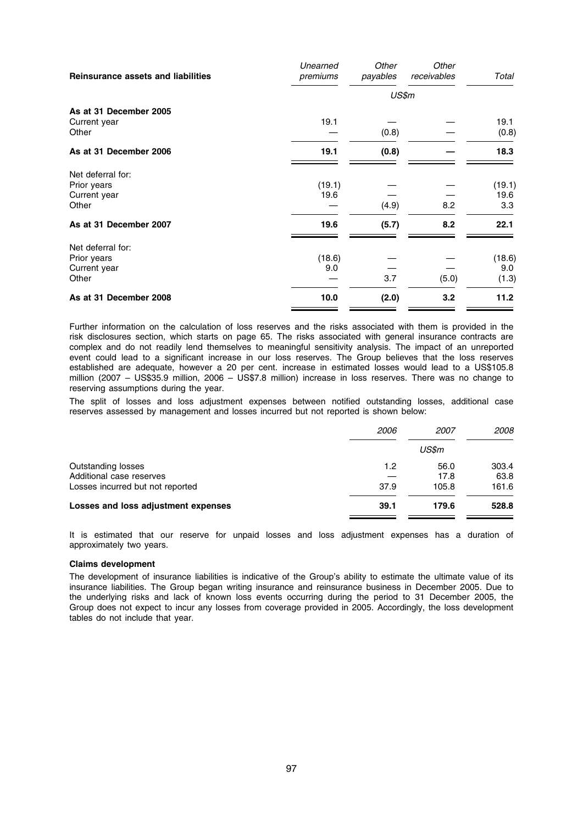| <b>Reinsurance assets and liabilities</b>                 | Unearned<br>premiums | Other<br>payables | Other<br>receivables | Total                  |
|-----------------------------------------------------------|----------------------|-------------------|----------------------|------------------------|
|                                                           |                      | US\$m             |                      |                        |
| As at 31 December 2005<br>Current year<br>Other           | 19.1                 | (0.8)             |                      | 19.1<br>(0.8)          |
| As at 31 December 2006                                    | 19.1                 | (0.8)             |                      | 18.3                   |
| Net deferral for:<br>Prior years<br>Current year<br>Other | (19.1)<br>19.6       | (4.9)             | 8.2                  | (19.1)<br>19.6<br>3.3  |
| As at 31 December 2007                                    | 19.6                 | (5.7)             | 8.2                  | 22.1                   |
| Net deferral for:<br>Prior years<br>Current year<br>Other | (18.6)<br>9.0        | 3.7               | (5.0)                | (18.6)<br>9.0<br>(1.3) |
| As at 31 December 2008                                    | 10.0                 | (2.0)             | 3.2                  | 11.2                   |

Further information on the calculation of loss reserves and the risks associated with them is provided in the risk disclosures section, which starts on page 65. The risks associated with general insurance contracts are complex and do not readily lend themselves to meaningful sensitivity analysis. The impact of an unreported event could lead to a significant increase in our loss reserves. The Group believes that the loss reserves established are adequate, however a 20 per cent. increase in estimated losses would lead to a US\$105.8 million (2007 – US\$35.9 million, 2006 – US\$7.8 million) increase in loss reserves. There was no change to reserving assumptions during the year.

The split of losses and loss adjustment expenses between notified outstanding losses, additional case reserves assessed by management and losses incurred but not reported is shown below:

|                                     | <i>2006</i> | <i>2007</i> | <i>2008</i> |
|-------------------------------------|-------------|-------------|-------------|
|                                     |             | US\$m       |             |
| Outstanding losses                  | 1.2         | 56.0        | 303.4       |
| Additional case reserves            |             | 17.8        | 63.8        |
| Losses incurred but not reported    | 37.9        | 105.8       | 161.6       |
| Losses and loss adjustment expenses | 39.1        | 179.6       | 528.8       |
|                                     |             |             |             |

It is estimated that our reserve for unpaid losses and loss adjustment expenses has a duration of approximately two years.

# Claims development

The development of insurance liabilities is indicative of the Group's ability to estimate the ultimate value of its insurance liabilities. The Group began writing insurance and reinsurance business in December 2005. Due to the underlying risks and lack of known loss events occurring during the period to 31 December 2005, the Group does not expect to incur any losses from coverage provided in 2005. Accordingly, the loss development tables do not include that year.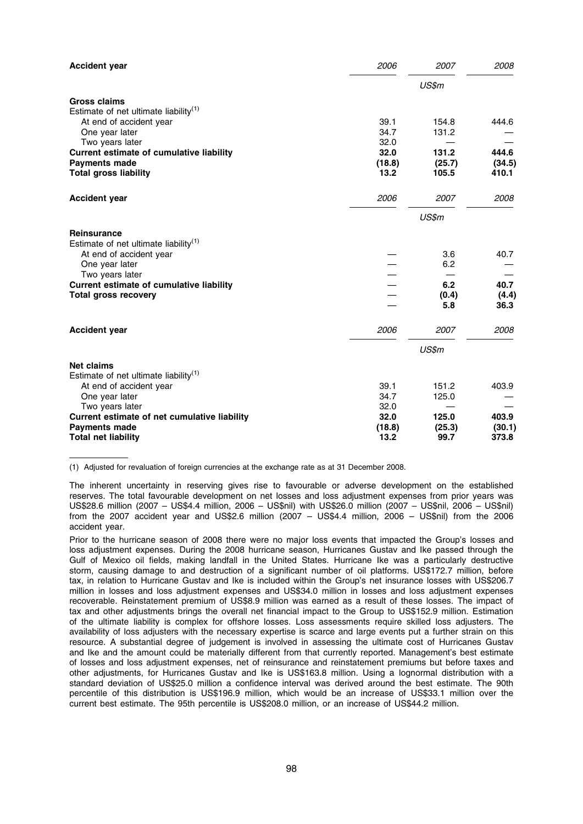| 2006           | 2007                                                 | 2008                                                                     |
|----------------|------------------------------------------------------|--------------------------------------------------------------------------|
|                | US\$m                                                |                                                                          |
|                |                                                      |                                                                          |
|                |                                                      | 444.6                                                                    |
|                |                                                      |                                                                          |
|                |                                                      |                                                                          |
| 32.0           | 131.2                                                | 444.6                                                                    |
| (18.8)         | (25.7)                                               | (34.5)                                                                   |
| 13.2           | 105.5                                                | 410.1                                                                    |
| 2006           | 2007                                                 | 2008                                                                     |
|                | US\$m                                                |                                                                          |
|                |                                                      |                                                                          |
|                |                                                      |                                                                          |
|                | 3.6                                                  | 40.7                                                                     |
|                |                                                      |                                                                          |
|                |                                                      | 40.7                                                                     |
|                |                                                      | (4.4)                                                                    |
|                | 5.8                                                  | 36.3                                                                     |
|                |                                                      | 2008                                                                     |
|                |                                                      |                                                                          |
|                |                                                      |                                                                          |
|                |                                                      |                                                                          |
|                |                                                      |                                                                          |
| 39.1           | 151.2                                                | 403.9                                                                    |
|                |                                                      |                                                                          |
|                |                                                      |                                                                          |
| (18.8)<br>13.2 | (25.3)<br>99.7                                       | 403.9<br>(30.1)<br>373.8                                                 |
|                | 39.1<br>34.7<br>32.0<br>2006<br>34.7<br>32.0<br>32.0 | 154.8<br>131.2<br>6.2<br>6.2<br>(0.4)<br>2007<br>US\$m<br>125.0<br>125.0 |

(1) Adjusted for revaluation of foreign currencies at the exchange rate as at 31 December 2008.

The inherent uncertainty in reserving gives rise to favourable or adverse development on the established reserves. The total favourable development on net losses and loss adjustment expenses from prior years was US\$28.6 million (2007 – US\$4.4 million, 2006 – US\$nil) with US\$26.0 million (2007 – US\$nil, 2006 – US\$nil) from the 2007 accident year and US\$2.6 million (2007 – US\$4.4 million, 2006 – US\$nil) from the 2006 accident year.

Prior to the hurricane season of 2008 there were no major loss events that impacted the Group's losses and loss adjustment expenses. During the 2008 hurricane season, Hurricanes Gustav and Ike passed through the Gulf of Mexico oil fields, making landfall in the United States. Hurricane Ike was a particularly destructive storm, causing damage to and destruction of a significant number of oil platforms. US\$172.7 million, before tax, in relation to Hurricane Gustav and Ike is included within the Group's net insurance losses with US\$206.7 million in losses and loss adjustment expenses and US\$34.0 million in losses and loss adjustment expenses recoverable. Reinstatement premium of US\$8.9 million was earned as a result of these losses. The impact of tax and other adjustments brings the overall net financial impact to the Group to US\$152.9 million. Estimation of the ultimate liability is complex for offshore losses. Loss assessments require skilled loss adjusters. The availability of loss adjusters with the necessary expertise is scarce and large events put a further strain on this resource. A substantial degree of judgement is involved in assessing the ultimate cost of Hurricanes Gustav and Ike and the amount could be materially different from that currently reported. Management's best estimate of losses and loss adjustment expenses, net of reinsurance and reinstatement premiums but before taxes and other adjustments, for Hurricanes Gustav and Ike is US\$163.8 million. Using a lognormal distribution with a standard deviation of US\$25.0 million a confidence interval was derived around the best estimate. The 90th percentile of this distribution is US\$196.9 million, which would be an increase of US\$33.1 million over the current best estimate. The 95th percentile is US\$208.0 million, or an increase of US\$44.2 million.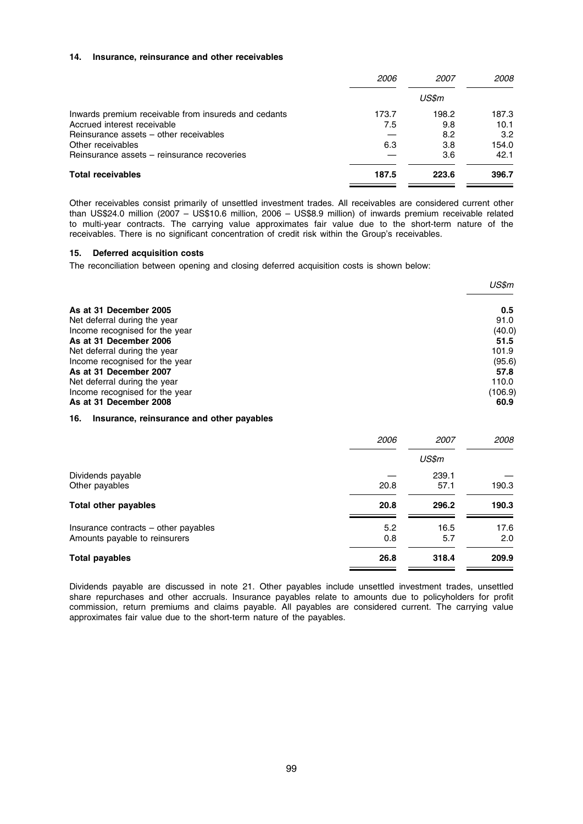#### 14. Insurance, reinsurance and other receivables

|                                                      | <i>2006</i> | <i>2007</i> | <i>2008</i> |
|------------------------------------------------------|-------------|-------------|-------------|
|                                                      |             | US\$m       |             |
| Inwards premium receivable from insureds and cedants | 173.7       | 198.2       | 187.3       |
| Accrued interest receivable                          | 7.5         | 9.8         | 10.1        |
| Reinsurance assets – other receivables               |             | 8.2         | 3.2         |
| Other receivables                                    | 6.3         | 3.8         | 154.0       |
| Reinsurance assets – reinsurance recoveries          |             | 3.6         | 42.1        |
| <b>Total receivables</b>                             | 187.5       | 223.6       | 396.7       |

Other receivables consist primarily of unsettled investment trades. All receivables are considered current other than US\$24.0 million (2007 – US\$10.6 million, 2006 – US\$8.9 million) of inwards premium receivable related to multi-year contracts. The carrying value approximates fair value due to the short-term nature of the receivables. There is no significant concentration of credit risk within the Group's receivables.

# 15. Deferred acquisition costs

The reconciliation between opening and closing deferred acquisition costs is shown below:

|                                | US\$m   |
|--------------------------------|---------|
| As at 31 December 2005         | 0.5     |
| Net deferral during the year   | 91.0    |
| Income recognised for the year | (40.0)  |
| As at 31 December 2006         | 51.5    |
| Net deferral during the year   | 101.9   |
| Income recognised for the year | (95.6)  |
| As at 31 December 2007         | 57.8    |
| Net deferral during the year   | 110.0   |
| Income recognised for the year | (106.9) |
| As at 31 December 2008         | 60.9    |

# 16. Insurance, reinsurance and other payables

| 2006       | 2007        | 2008        |
|------------|-------------|-------------|
|            | US\$m       |             |
|            | 239.1       |             |
| 20.8       | 57.1        | 190.3       |
| 20.8       | 296.2       | 190.3       |
| 5.2<br>0.8 | 16.5<br>5.7 | 17.6<br>2.0 |
| 26.8       | 318.4       | 209.9       |
|            |             |             |

Dividends payable are discussed in note 21. Other payables include unsettled investment trades, unsettled share repurchases and other accruals. Insurance payables relate to amounts due to policyholders for profit commission, return premiums and claims payable. All payables are considered current. The carrying value approximates fair value due to the short-term nature of the payables.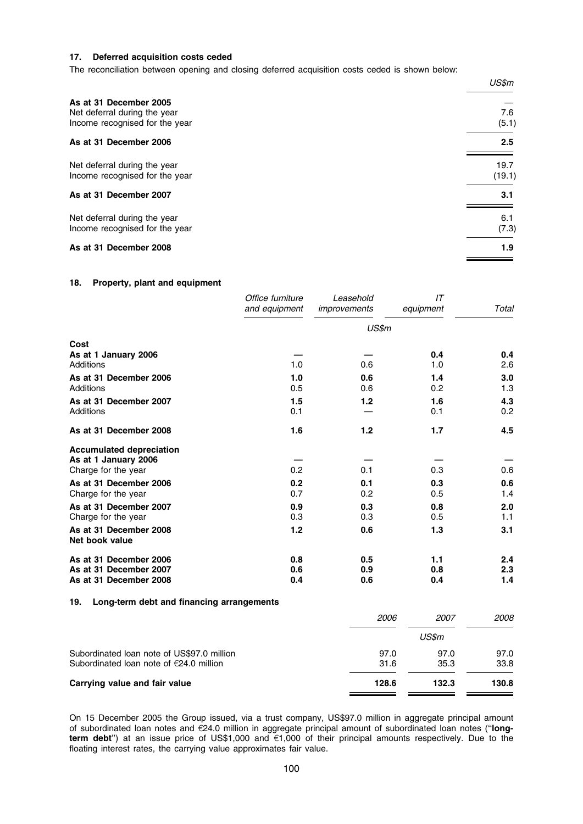# 17. Deferred acquisition costs ceded

The reconciliation between opening and closing deferred acquisition costs ceded is shown below:

|                                                                                          | US\$m            |
|------------------------------------------------------------------------------------------|------------------|
| As at 31 December 2005<br>Net deferral during the year<br>Income recognised for the year | 7.6<br>(5.1)     |
| As at 31 December 2006                                                                   | $2.5\phantom{0}$ |
| Net deferral during the year<br>Income recognised for the year                           | 19.7<br>(19.1)   |
| As at 31 December 2007                                                                   | 3.1              |
| Net deferral during the year<br>Income recognised for the year                           | 6.1<br>(7.3)     |
| As at 31 December 2008                                                                   | 1.9              |

# 18. Property, plant and equipment

|                                                   | Office furniture<br>and equipment | Leasehold<br>improvements | IT<br>equipment | Total      |
|---------------------------------------------------|-----------------------------------|---------------------------|-----------------|------------|
|                                                   |                                   | US\$m                     |                 |            |
| Cost                                              |                                   |                           |                 |            |
| As at 1 January 2006                              |                                   |                           | 0.4             | 0.4        |
| Additions                                         | 1.0                               | 0.6                       | 1.0             | 2.6        |
| As at 31 December 2006<br>Additions               | 1.0<br>0.5                        | 0.6<br>0.6                | 1.4<br>0.2      | 3.0<br>1.3 |
| As at 31 December 2007                            | 1.5                               | 1.2                       | 1.6             | 4.3        |
| <b>Additions</b>                                  | 0.1                               |                           | 0.1             | 0.2        |
| As at 31 December 2008                            | 1.6                               | 1.2                       | 1.7             | 4.5        |
| <b>Accumulated depreciation</b>                   |                                   |                           |                 |            |
| As at 1 January 2006<br>Charge for the year       | 0.2                               | 0.1                       | 0.3             | 0.6        |
| As at 31 December 2006                            | 0.2                               | 0.1                       | 0.3             | 0.6        |
| Charge for the year                               | 0.7                               | 0.2                       | 0.5             | 1.4        |
| As at 31 December 2007                            | 0.9                               | 0.3                       | 0.8             | 2.0        |
| Charge for the year                               | 0.3                               | 0.3                       | 0.5             | 1.1        |
| As at 31 December 2008<br>Net book value          | 1.2                               | 0.6                       | $1.3$           | 3.1        |
| As at 31 December 2006                            | 0.8                               | 0.5                       | 1.1             | 2.4        |
| As at 31 December 2007                            | 0.6                               | 0.9                       | 0.8             | 2.3        |
| As at 31 December 2008                            | 0.4                               | 0.6                       | 0.4             | 1.4        |
| 19.<br>Long-term debt and financing arrangements  |                                   |                           |                 |            |
|                                                   |                                   | 2006                      | 2007            | 2008       |
|                                                   |                                   |                           | US\$m           |            |
| Subordinated Ioan note of US\$97.0 million        |                                   | 97.0                      | 97.0            | 97.0       |
| Subordinated loan note of $\epsilon$ 24.0 million |                                   | 31.6                      | 35.3            | 33.8       |
| Carrying value and fair value                     |                                   | 128.6                     | 132.3           | 130.8      |

On 15 December 2005 the Group issued, via a trust company, US\$97.0 million in aggregate principal amount of subordinated loan notes and  $E24.0$  million in aggregate principal amount of subordinated loan notes ("longterm debt") at an issue price of US\$1,000 and €1,000 of their principal amounts respectively. Due to the floating interest rates, the carrying value approximates fair value.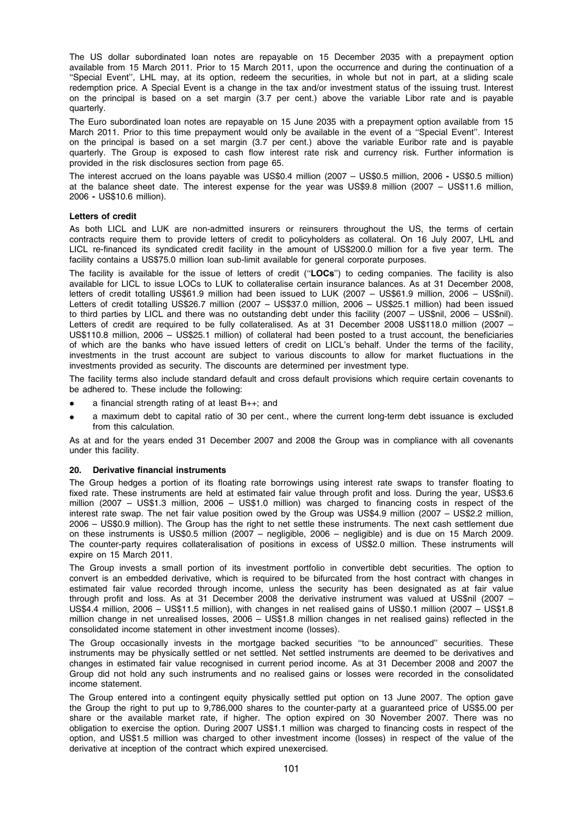The US dollar subordinated loan notes are repayable on 15 December 2035 with a prepayment option available from 15 March 2011. Prior to 15 March 2011, upon the occurrence and during the continuation of a ''Special Event'', LHL may, at its option, redeem the securities, in whole but not in part, at a sliding scale redemption price. A Special Event is a change in the tax and/or investment status of the issuing trust. Interest on the principal is based on a set margin (3.7 per cent.) above the variable Libor rate and is payable quarterly.

The Euro subordinated loan notes are repayable on 15 June 2035 with a prepayment option available from 15 March 2011. Prior to this time prepayment would only be available in the event of a ''Special Event''. Interest on the principal is based on a set margin (3.7 per cent.) above the variable Euribor rate and is payable quarterly. The Group is exposed to cash flow interest rate risk and currency risk. Further information is provided in the risk disclosures section from page 65.

The interest accrued on the loans payable was US\$0.4 million (2007 – US\$0.5 million, 2006 - US\$0.5 million) at the balance sheet date. The interest expense for the year was US\$9.8 million (2007 – US\$11.6 million, 2006 - US\$10.6 million).

# Letters of credit

As both LICL and LUK are non-admitted insurers or reinsurers throughout the US, the terms of certain contracts require them to provide letters of credit to policyholders as collateral. On 16 July 2007, LHL and LICL re-financed its syndicated credit facility in the amount of US\$200.0 million for a five year term. The facility contains a US\$75.0 million loan sub-limit available for general corporate purposes.

The facility is available for the issue of letters of credit ("LOCs") to ceding companies. The facility is also available for LICL to issue LOCs to LUK to collateralise certain insurance balances. As at 31 December 2008, letters of credit totalling US\$61.9 million had been issued to LUK (2007 – US\$61.9 million, 2006 – US\$nil). Letters of credit totalling US\$26.7 million (2007 – US\$37.0 million, 2006 – US\$25.1 million) had been issued to third parties by LICL and there was no outstanding debt under this facility (2007 – US\$nil, 2006 – US\$nil). Letters of credit are required to be fully collateralised. As at 31 December 2008 US\$118.0 million (2007 – US\$110.8 million, 2006 – US\$25.1 million) of collateral had been posted to a trust account, the beneficiaries of which are the banks who have issued letters of credit on LICL's behalf. Under the terms of the facility, investments in the trust account are subject to various discounts to allow for market fluctuations in the investments provided as security. The discounts are determined per investment type.

The facility terms also include standard default and cross default provisions which require certain covenants to be adhered to. These include the following:

- a financial strength rating of at least  $B_{++}$ ; and
- a maximum debt to capital ratio of 30 per cent., where the current long-term debt issuance is excluded from this calculation.

As at and for the years ended 31 December 2007 and 2008 the Group was in compliance with all covenants under this facility.

#### 20. Derivative financial instruments

The Group hedges a portion of its floating rate borrowings using interest rate swaps to transfer floating to fixed rate. These instruments are held at estimated fair value through profit and loss. During the year, US\$3.6 million (2007 – US\$1.3 million, 2006 – US\$1.0 million) was charged to financing costs in respect of the interest rate swap. The net fair value position owed by the Group was US\$4.9 million (2007 – US\$2.2 million, 2006 – US\$0.9 million). The Group has the right to net settle these instruments. The next cash settlement due on these instruments is US\$0.5 million (2007 – negligible, 2006 – negligible) and is due on 15 March 2009. The counter-party requires collateralisation of positions in excess of US\$2.0 million. These instruments will expire on 15 March 2011.

The Group invests a small portion of its investment portfolio in convertible debt securities. The option to convert is an embedded derivative, which is required to be bifurcated from the host contract with changes in estimated fair value recorded through income, unless the security has been designated as at fair value through profit and loss. As at 31 December 2008 the derivative instrument was valued at US\$nil (2007 – US\$4.4 million, 2006 – US\$11.5 million), with changes in net realised gains of US\$0.1 million (2007 – US\$1.8 million change in net unrealised losses, 2006 – US\$1.8 million changes in net realised gains) reflected in the consolidated income statement in other investment income (losses).

The Group occasionally invests in the mortgage backed securities ''to be announced'' securities. These instruments may be physically settled or net settled. Net settled instruments are deemed to be derivatives and changes in estimated fair value recognised in current period income. As at 31 December 2008 and 2007 the Group did not hold any such instruments and no realised gains or losses were recorded in the consolidated income statement.

The Group entered into a contingent equity physically settled put option on 13 June 2007. The option gave the Group the right to put up to 9,786,000 shares to the counter-party at a guaranteed price of US\$5.00 per share or the available market rate, if higher. The option expired on 30 November 2007. There was no obligation to exercise the option. During 2007 US\$1.1 million was charged to financing costs in respect of the option, and US\$1.5 million was charged to other investment income (losses) in respect of the value of the derivative at inception of the contract which expired unexercised.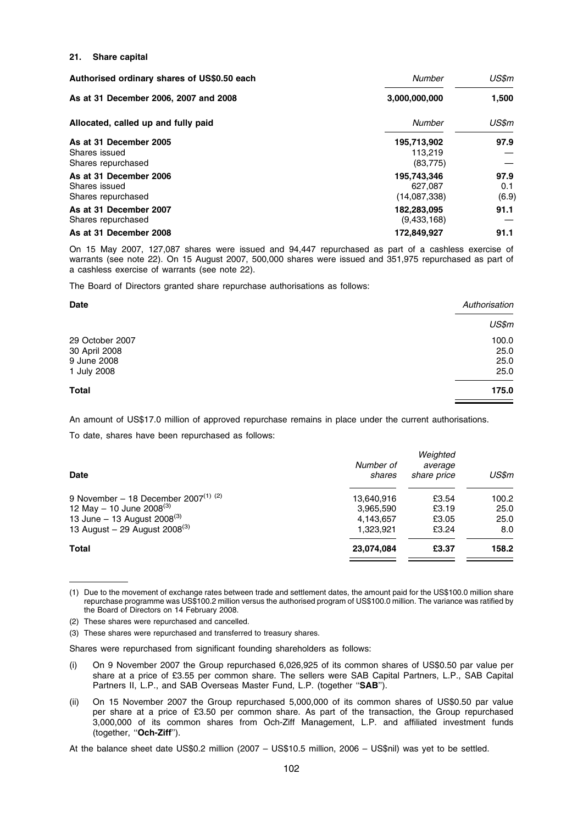#### 21. Share capital

| Authorised ordinary shares of US\$0.50 each                   | <b>Number</b>                          | US\$m                |
|---------------------------------------------------------------|----------------------------------------|----------------------|
| As at 31 December 2006, 2007 and 2008                         | 3,000,000,000                          | 1,500                |
| Allocated, called up and fully paid                           | Number                                 | US\$m                |
| As at 31 December 2005<br>Shares issued<br>Shares repurchased | 195,713,902<br>113.219<br>(83, 775)    | 97.9                 |
| As at 31 December 2006<br>Shares issued<br>Shares repurchased | 195,743,346<br>627.087<br>(14,087,338) | 97.9<br>0.1<br>(6.9) |
| As at 31 December 2007<br>Shares repurchased                  | 182,283,095<br>(9,433,168)             | 91.1                 |
| As at 31 December 2008                                        | 172.849.927                            | 91.1                 |

On 15 May 2007, 127,087 shares were issued and 94,447 repurchased as part of a cashless exercise of warrants (see note 22). On 15 August 2007, 500,000 shares were issued and 351,975 repurchased as part of a cashless exercise of warrants (see note 22).

The Board of Directors granted share repurchase authorisations as follows:

| <b>Date</b>     | Authorisation |
|-----------------|---------------|
|                 | US\$m         |
| 29 October 2007 | 100.0         |
| 30 April 2008   | 25.0          |
| 9 June 2008     | 25.0          |
| 1 July 2008     | 25.0          |
| <b>Total</b>    | 175.0         |
|                 |               |

An amount of US\$17.0 million of approved repurchase remains in place under the current authorisations.

To date, shares have been repurchased as follows:

| Number of<br>shares | Weighted<br>average<br>share price | US\$m |
|---------------------|------------------------------------|-------|
| 13,640,916          | £3.54                              | 100.2 |
| 3,965,590           | £3.19                              | 25.0  |
| 4,143,657           | £3.05                              | 25.0  |
| 1.323.921           | £3.24                              | 8.0   |
| 23,074,084          | £3.37                              | 158.2 |
|                     |                                    |       |

<sup>(1)</sup> Due to the movement of exchange rates between trade and settlement dates, the amount paid for the US\$100.0 million share repurchase programme was US\$100.2 million versus the authorised program of US\$100.0 million. The variance was ratified by the Board of Directors on 14 February 2008.

(2) These shares were repurchased and cancelled.

(3) These shares were repurchased and transferred to treasury shares.

Shares were repurchased from significant founding shareholders as follows:

- (i) On 9 November 2007 the Group repurchased 6,026,925 of its common shares of US\$0.50 par value per share at a price of £3.55 per common share. The sellers were SAB Capital Partners, L.P., SAB Capital Partners II, L.P., and SAB Overseas Master Fund, L.P. (together "SAB").
- (ii) On 15 November 2007 the Group repurchased 5,000,000 of its common shares of US\$0.50 par value per share at a price of £3.50 per common share. As part of the transaction, the Group repurchased 3,000,000 of its common shares from Och-Ziff Management, L.P. and affiliated investment funds (together, "Och-Ziff").

At the balance sheet date US\$0.2 million (2007 – US\$10.5 million, 2006 – US\$nil) was yet to be settled.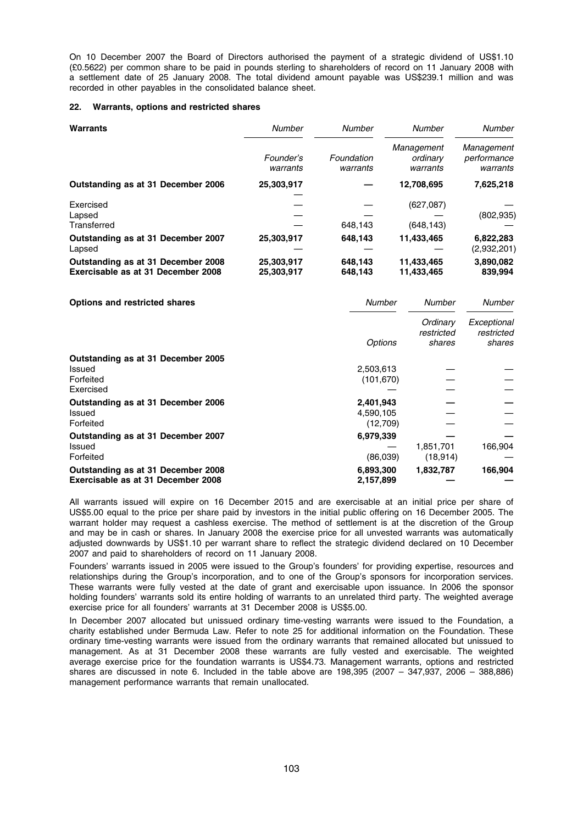On 10 December 2007 the Board of Directors authorised the payment of a strategic dividend of US\$1.10 (£0.5622) per common share to be paid in pounds sterling to shareholders of record on 11 January 2008 with a settlement date of 25 January 2008. The total dividend amount payable was US\$239.1 million and was recorded in other payables in the consolidated balance sheet.

#### 22. Warrants, options and restricted shares

| Warrants                                                                 | <b>Number</b>            | Number                 | <b>Number</b>                      | Number                                |
|--------------------------------------------------------------------------|--------------------------|------------------------|------------------------------------|---------------------------------------|
|                                                                          | Founder's<br>warrants    | Foundation<br>warrants | Management<br>ordinary<br>warrants | Management<br>performance<br>warrants |
| Outstanding as at 31 December 2006                                       | 25,303,917               |                        | 12,708,695                         | 7,625,218                             |
| Exercised<br>Lapsed<br>Transferred                                       |                          | 648,143                | (627,087)<br>(648, 143)            | (802, 935)                            |
| Outstanding as at 31 December 2007<br>Lapsed                             | 25,303,917               | 648,143                | 11,433,465                         | 6,822,283<br>(2,932,201)              |
| Outstanding as at 31 December 2008<br>Exercisable as at 31 December 2008 | 25,303,917<br>25,303,917 | 648,143<br>648,143     | 11,433,465<br>11,433,465           | 3,890,082<br>839,994                  |

| <b>Options and restricted shares</b> | <b>Number</b>  | Number                           | Number                              |
|--------------------------------------|----------------|----------------------------------|-------------------------------------|
|                                      | <b>Options</b> | Ordinary<br>restricted<br>shares | Exceptional<br>restricted<br>shares |
| Outstanding as at 31 December 2005   |                |                                  |                                     |
| Issued                               | 2,503,613      |                                  |                                     |
| Forfeited                            | (101, 670)     |                                  |                                     |
| Exercised                            |                |                                  |                                     |
| Outstanding as at 31 December 2006   | 2,401,943      |                                  |                                     |
| Issued                               | 4.590.105      |                                  |                                     |
| Forfeited                            | (12,709)       |                                  |                                     |
| Outstanding as at 31 December 2007   | 6,979,339      |                                  |                                     |
| Issued                               |                | 1,851,701                        | 166.904                             |
| Forfeited                            | (86,039)       | (18, 914)                        |                                     |
| Outstanding as at 31 December 2008   | 6,893,300      | 1,832,787                        | 166,904                             |
| Exercisable as at 31 December 2008   | 2,157,899      |                                  |                                     |

All warrants issued will expire on 16 December 2015 and are exercisable at an initial price per share of US\$5.00 equal to the price per share paid by investors in the initial public offering on 16 December 2005. The warrant holder may request a cashless exercise. The method of settlement is at the discretion of the Group and may be in cash or shares. In January 2008 the exercise price for all unvested warrants was automatically adjusted downwards by US\$1.10 per warrant share to reflect the strategic dividend declared on 10 December 2007 and paid to shareholders of record on 11 January 2008.

Founders' warrants issued in 2005 were issued to the Group's founders' for providing expertise, resources and relationships during the Group's incorporation, and to one of the Group's sponsors for incorporation services. These warrants were fully vested at the date of grant and exercisable upon issuance. In 2006 the sponsor holding founders' warrants sold its entire holding of warrants to an unrelated third party. The weighted average exercise price for all founders' warrants at 31 December 2008 is US\$5.00.

In December 2007 allocated but unissued ordinary time-vesting warrants were issued to the Foundation, a charity established under Bermuda Law. Refer to note 25 for additional information on the Foundation. These ordinary time-vesting warrants were issued from the ordinary warrants that remained allocated but unissued to management. As at 31 December 2008 these warrants are fully vested and exercisable. The weighted average exercise price for the foundation warrants is US\$4.73. Management warrants, options and restricted shares are discussed in note 6. Included in the table above are 198,395 (2007 – 347,937, 2006 – 388,886) management performance warrants that remain unallocated.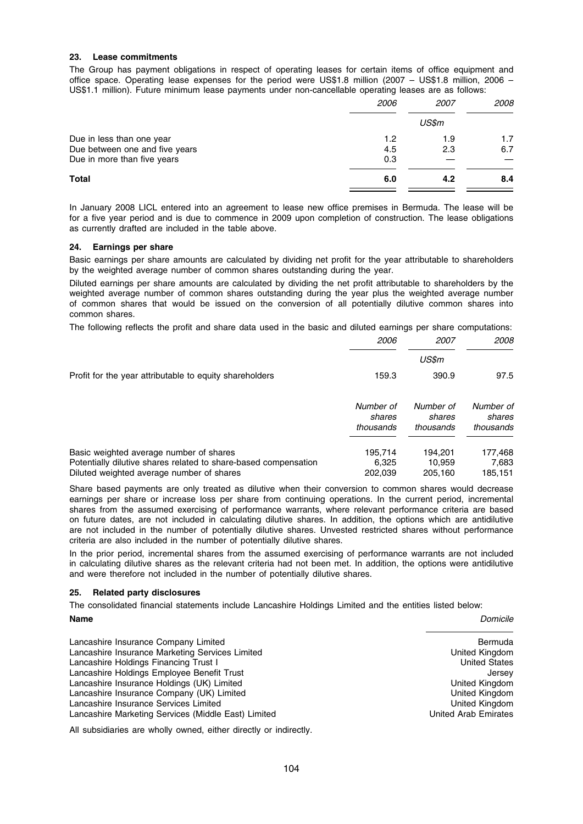# 23. Lease commitments

The Group has payment obligations in respect of operating leases for certain items of office equipment and office space. Operating lease expenses for the period were US\$1.8 million (2007 – US\$1.8 million, 2006 – US\$1.1 million). Future minimum lease payments under non-cancellable operating leases are as follows:

| 2006 | <i>2007</i> | <i>2008</i> |
|------|-------------|-------------|
|      | US\$m       |             |
| 1.2  | 1.9         | 1.7         |
| 4.5  | 2.3         | 6.7         |
| 0.3  |             |             |
| 6.0  | 4.2         | 8.4         |
|      |             |             |

In January 2008 LICL entered into an agreement to lease new office premises in Bermuda. The lease will be for a five year period and is due to commence in 2009 upon completion of construction. The lease obligations as currently drafted are included in the table above.

# 24. Earnings per share

Basic earnings per share amounts are calculated by dividing net profit for the year attributable to shareholders by the weighted average number of common shares outstanding during the year.

Diluted earnings per share amounts are calculated by dividing the net profit attributable to shareholders by the weighted average number of common shares outstanding during the year plus the weighted average number of common shares that would be issued on the conversion of all potentially dilutive common shares into common shares.

The following reflects the profit and share data used in the basic and diluted earnings per share computations:

|                                                                                                                                                         | 2006                             | 2007                             | 2008                             |
|---------------------------------------------------------------------------------------------------------------------------------------------------------|----------------------------------|----------------------------------|----------------------------------|
|                                                                                                                                                         |                                  | US\$m                            |                                  |
| Profit for the year attributable to equity shareholders                                                                                                 | 159.3                            | 390.9                            | 97.5                             |
|                                                                                                                                                         | Number of<br>shares<br>thousands | Number of<br>shares<br>thousands | Number of<br>shares<br>thousands |
| Basic weighted average number of shares<br>Potentially dilutive shares related to share-based compensation<br>Diluted weighted average number of shares | 195,714<br>6.325<br>202.039      | 194.201<br>10.959<br>205.160     | 177,468<br>7.683<br>185.151      |

Share based payments are only treated as dilutive when their conversion to common shares would decrease earnings per share or increase loss per share from continuing operations. In the current period, incremental shares from the assumed exercising of performance warrants, where relevant performance criteria are based on future dates, are not included in calculating dilutive shares. In addition, the options which are antidilutive are not included in the number of potentially dilutive shares. Unvested restricted shares without performance criteria are also included in the number of potentially dilutive shares.

In the prior period, incremental shares from the assumed exercising of performance warrants are not included in calculating dilutive shares as the relevant criteria had not been met. In addition, the options were antidilutive and were therefore not included in the number of potentially dilutive shares.

# 25. Related party disclosures

The consolidated financial statements include Lancashire Holdings Limited and the entities listed below: **Name** Domicile **Name** Domicile **Name** Domicile **Name Domicile** *Domicile* 

| Lancashire Insurance Company Limited                | Bermuda              |
|-----------------------------------------------------|----------------------|
| Lancashire Insurance Marketing Services Limited     | United Kingdom       |
| Lancashire Holdings Financing Trust I               | <b>United States</b> |
| Lancashire Holdings Employee Benefit Trust          | Jersey               |
| Lancashire Insurance Holdings (UK) Limited          | United Kingdom       |
| Lancashire Insurance Company (UK) Limited           | United Kingdom       |
| Lancashire Insurance Services Limited               | United Kingdom       |
| Lancashire Marketing Services (Middle East) Limited | United Arab Emirates |
|                                                     |                      |

All subsidiaries are wholly owned, either directly or indirectly.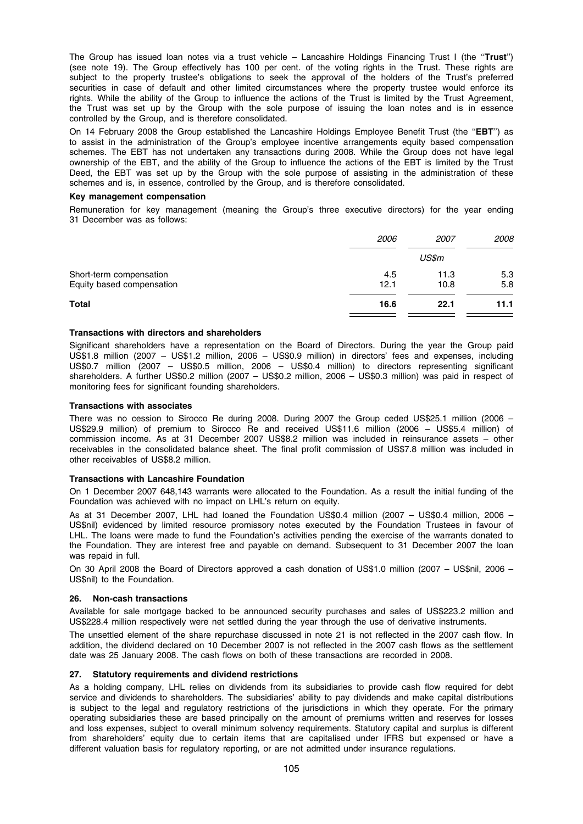The Group has issued loan notes via a trust vehicle - Lancashire Holdings Financing Trust I (the "Trust") (see note 19). The Group effectively has 100 per cent. of the voting rights in the Trust. These rights are subject to the property trustee's obligations to seek the approval of the holders of the Trust's preferred securities in case of default and other limited circumstances where the property trustee would enforce its rights. While the ability of the Group to influence the actions of the Trust is limited by the Trust Agreement, the Trust was set up by the Group with the sole purpose of issuing the loan notes and is in essence controlled by the Group, and is therefore consolidated.

On 14 February 2008 the Group established the Lancashire Holdings Employee Benefit Trust (the ''EBT'') as to assist in the administration of the Group's employee incentive arrangements equity based compensation schemes. The EBT has not undertaken any transactions during 2008. While the Group does not have legal ownership of the EBT, and the ability of the Group to influence the actions of the EBT is limited by the Trust Deed, the EBT was set up by the Group with the sole purpose of assisting in the administration of these schemes and is, in essence, controlled by the Group, and is therefore consolidated.

#### Key management compensation

Remuneration for key management (meaning the Group's three executive directors) for the year ending 31 December was as follows:

|                                                      | 2006        | <i>2007</i>  | <i>2008</i> |
|------------------------------------------------------|-------------|--------------|-------------|
|                                                      |             | US\$m        |             |
| Short-term compensation<br>Equity based compensation | 4.5<br>12.1 | 11.3<br>10.8 | 5.3<br>5.8  |
| <b>Total</b>                                         | 16.6        | 22.1         | 11.1        |

# Transactions with directors and shareholders

Significant shareholders have a representation on the Board of Directors. During the year the Group paid US\$1.8 million (2007 – US\$1.2 million, 2006 – US\$0.9 million) in directors' fees and expenses, including US\$0.7 million (2007 - US\$0.5 million, 2006 - US\$0.4 million) to directors representing significant shareholders. A further US\$0.2 million (2007 – US\$0.2 million, 2006 – US\$0.3 million) was paid in respect of monitoring fees for significant founding shareholders.

# Transactions with associates

There was no cession to Sirocco Re during 2008. During 2007 the Group ceded US\$25.1 million (2006 – US\$29.9 million) of premium to Sirocco Re and received US\$11.6 million (2006 – US\$5.4 million) of commission income. As at 31 December 2007 US\$8.2 million was included in reinsurance assets – other receivables in the consolidated balance sheet. The final profit commission of US\$7.8 million was included in other receivables of US\$8.2 million.

# Transactions with Lancashire Foundation

On 1 December 2007 648,143 warrants were allocated to the Foundation. As a result the initial funding of the Foundation was achieved with no impact on LHL's return on equity.

As at 31 December 2007, LHL had loaned the Foundation US\$0.4 million (2007 – US\$0.4 million, 2006 – US\$nil) evidenced by limited resource promissory notes executed by the Foundation Trustees in favour of LHL. The loans were made to fund the Foundation's activities pending the exercise of the warrants donated to the Foundation. They are interest free and payable on demand. Subsequent to 31 December 2007 the loan was repaid in full.

On 30 April 2008 the Board of Directors approved a cash donation of US\$1.0 million (2007 – US\$nil, 2006 – US\$nil) to the Foundation.

# 26. Non-cash transactions

Available for sale mortgage backed to be announced security purchases and sales of US\$223.2 million and US\$228.4 million respectively were net settled during the year through the use of derivative instruments.

The unsettled element of the share repurchase discussed in note 21 is not reflected in the 2007 cash flow. In addition, the dividend declared on 10 December 2007 is not reflected in the 2007 cash flows as the settlement date was 25 January 2008. The cash flows on both of these transactions are recorded in 2008.

# 27. Statutory requirements and dividend restrictions

As a holding company, LHL relies on dividends from its subsidiaries to provide cash flow required for debt service and dividends to shareholders. The subsidiaries' ability to pay dividends and make capital distributions is subject to the legal and regulatory restrictions of the jurisdictions in which they operate. For the primary operating subsidiaries these are based principally on the amount of premiums written and reserves for losses and loss expenses, subject to overall minimum solvency requirements. Statutory capital and surplus is different from shareholders' equity due to certain items that are capitalised under IFRS but expensed or have a different valuation basis for regulatory reporting, or are not admitted under insurance regulations.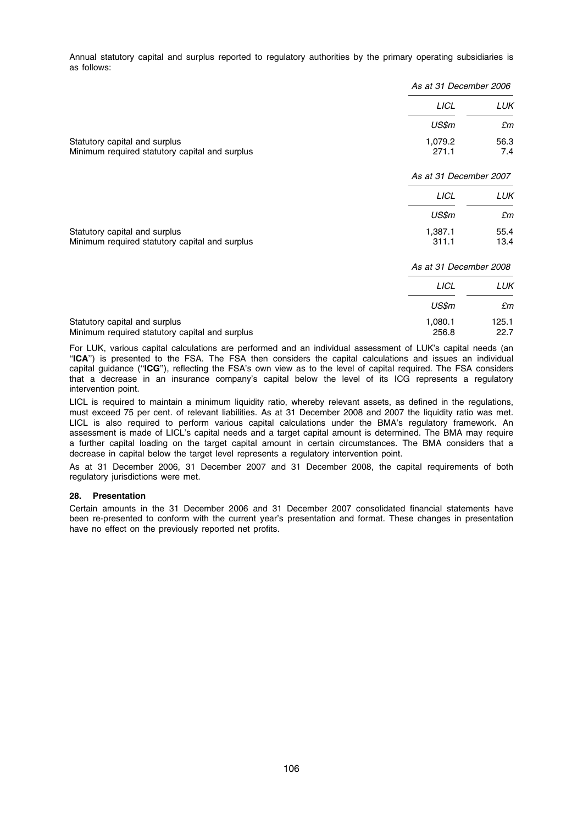Annual statutory capital and surplus reported to regulatory authorities by the primary operating subsidiaries is as follows:

|                                                                                 |                        | As at 31 December 2006 |  |
|---------------------------------------------------------------------------------|------------------------|------------------------|--|
|                                                                                 | <b>LICL</b>            | LUK                    |  |
|                                                                                 | US\$m                  | £m                     |  |
| Statutory capital and surplus<br>Minimum required statutory capital and surplus | 1,079.2<br>271.1       | 56.3<br>7.4            |  |
|                                                                                 | As at 31 December 2007 |                        |  |
|                                                                                 | <b>LICL</b>            | LUK                    |  |
|                                                                                 | US\$m                  | £m                     |  |
| Statutory capital and surplus<br>Minimum required statutory capital and surplus | 1,387.1<br>311.1       | 55.4<br>13.4           |  |
|                                                                                 | As at 31 December 2008 |                        |  |
|                                                                                 | <b>LICL</b>            | LUK                    |  |
|                                                                                 | US\$m                  | £m                     |  |
| Statutory capital and surplus                                                   | 1,080.1                | 125.1                  |  |

Minimum required statutory capital and surplus 256.8 22.7

For LUK, various capital calculations are performed and an individual assessment of LUK's capital needs (an "ICA") is presented to the FSA. The FSA then considers the capital calculations and issues an individual capital guidance ("ICG"), reflecting the FSA's own view as to the level of capital required. The FSA considers that a decrease in an insurance company's capital below the level of its ICG represents a regulatory intervention point.

LICL is required to maintain a minimum liquidity ratio, whereby relevant assets, as defined in the regulations, must exceed 75 per cent. of relevant liabilities. As at 31 December 2008 and 2007 the liquidity ratio was met. LICL is also required to perform various capital calculations under the BMA's regulatory framework. An assessment is made of LICL's capital needs and a target capital amount is determined. The BMA may require a further capital loading on the target capital amount in certain circumstances. The BMA considers that a decrease in capital below the target level represents a regulatory intervention point.

As at 31 December 2006, 31 December 2007 and 31 December 2008, the capital requirements of both regulatory jurisdictions were met.

# 28. Presentation

Certain amounts in the 31 December 2006 and 31 December 2007 consolidated financial statements have been re-presented to conform with the current year's presentation and format. These changes in presentation have no effect on the previously reported net profits.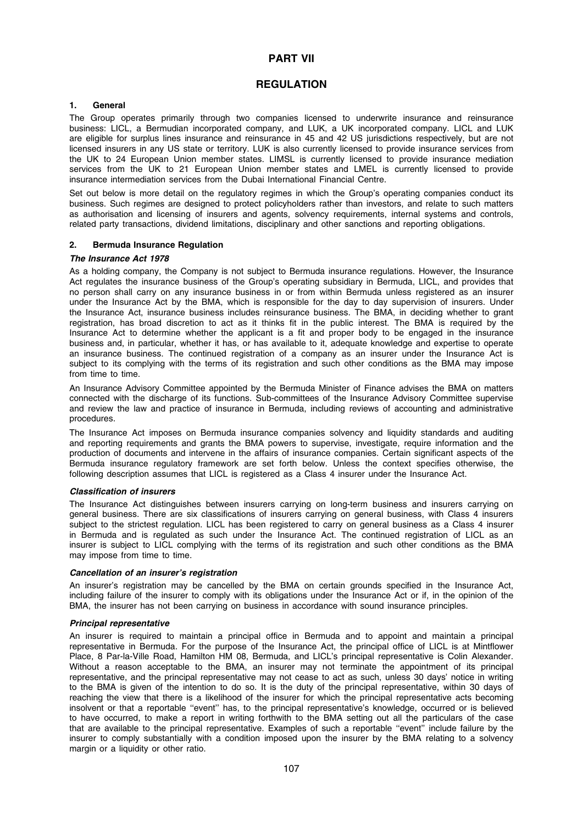# PART VII

# **REGULATION**

# 1. General

The Group operates primarily through two companies licensed to underwrite insurance and reinsurance business: LICL, a Bermudian incorporated company, and LUK, a UK incorporated company. LICL and LUK are eligible for surplus lines insurance and reinsurance in 45 and 42 US jurisdictions respectively, but are not licensed insurers in any US state or territory. LUK is also currently licensed to provide insurance services from the UK to 24 European Union member states. LIMSL is currently licensed to provide insurance mediation services from the UK to 21 European Union member states and LMEL is currently licensed to provide insurance intermediation services from the Dubai International Financial Centre.

Set out below is more detail on the regulatory regimes in which the Group's operating companies conduct its business. Such regimes are designed to protect policyholders rather than investors, and relate to such matters as authorisation and licensing of insurers and agents, solvency requirements, internal systems and controls, related party transactions, dividend limitations, disciplinary and other sanctions and reporting obligations.

# 2. Bermuda Insurance Regulation

# The Insurance Act 1978

As a holding company, the Company is not subject to Bermuda insurance regulations. However, the Insurance Act regulates the insurance business of the Group's operating subsidiary in Bermuda, LICL, and provides that no person shall carry on any insurance business in or from within Bermuda unless registered as an insurer under the Insurance Act by the BMA, which is responsible for the day to day supervision of insurers. Under the Insurance Act, insurance business includes reinsurance business. The BMA, in deciding whether to grant registration, has broad discretion to act as it thinks fit in the public interest. The BMA is required by the Insurance Act to determine whether the applicant is a fit and proper body to be engaged in the insurance business and, in particular, whether it has, or has available to it, adequate knowledge and expertise to operate an insurance business. The continued registration of a company as an insurer under the Insurance Act is subject to its complying with the terms of its registration and such other conditions as the BMA may impose from time to time.

An Insurance Advisory Committee appointed by the Bermuda Minister of Finance advises the BMA on matters connected with the discharge of its functions. Sub-committees of the Insurance Advisory Committee supervise and review the law and practice of insurance in Bermuda, including reviews of accounting and administrative procedures.

The Insurance Act imposes on Bermuda insurance companies solvency and liquidity standards and auditing and reporting requirements and grants the BMA powers to supervise, investigate, require information and the production of documents and intervene in the affairs of insurance companies. Certain significant aspects of the Bermuda insurance regulatory framework are set forth below. Unless the context specifies otherwise, the following description assumes that LICL is registered as a Class 4 insurer under the Insurance Act.

# Classification of insurers

The Insurance Act distinguishes between insurers carrying on long-term business and insurers carrying on general business. There are six classifications of insurers carrying on general business, with Class 4 insurers subject to the strictest regulation. LICL has been registered to carry on general business as a Class 4 insurer in Bermuda and is regulated as such under the Insurance Act. The continued registration of LICL as an insurer is subject to LICL complying with the terms of its registration and such other conditions as the BMA may impose from time to time.

# Cancellation of an insurer's registration

An insurer's registration may be cancelled by the BMA on certain grounds specified in the Insurance Act, including failure of the insurer to comply with its obligations under the Insurance Act or if, in the opinion of the BMA, the insurer has not been carrying on business in accordance with sound insurance principles.

# Principal representative

An insurer is required to maintain a principal office in Bermuda and to appoint and maintain a principal representative in Bermuda. For the purpose of the Insurance Act, the principal office of LICL is at Mintflower Place, 8 Par-la-Ville Road, Hamilton HM 08, Bermuda, and LICL's principal representative is Colin Alexander. Without a reason acceptable to the BMA, an insurer may not terminate the appointment of its principal representative, and the principal representative may not cease to act as such, unless 30 days' notice in writing to the BMA is given of the intention to do so. It is the duty of the principal representative, within 30 days of reaching the view that there is a likelihood of the insurer for which the principal representative acts becoming insolvent or that a reportable ''event'' has, to the principal representative's knowledge, occurred or is believed to have occurred, to make a report in writing forthwith to the BMA setting out all the particulars of the case that are available to the principal representative. Examples of such a reportable ''event'' include failure by the insurer to comply substantially with a condition imposed upon the insurer by the BMA relating to a solvency margin or a liquidity or other ratio.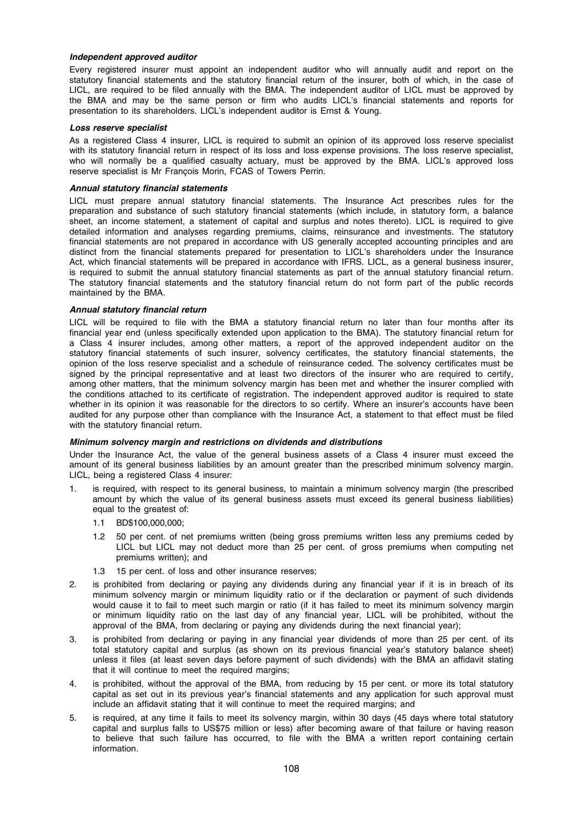# Independent approved auditor

Every registered insurer must appoint an independent auditor who will annually audit and report on the statutory financial statements and the statutory financial return of the insurer, both of which, in the case of LICL, are required to be filed annually with the BMA. The independent auditor of LICL must be approved by the BMA and may be the same person or firm who audits LICL's financial statements and reports for presentation to its shareholders. LICL's independent auditor is Ernst & Young.

#### Loss reserve specialist

As a registered Class 4 insurer, LICL is required to submit an opinion of its approved loss reserve specialist with its statutory financial return in respect of its loss and loss expense provisions. The loss reserve specialist, who will normally be a qualified casualty actuary, must be approved by the BMA. LICL's approved loss reserve specialist is Mr Francois Morin, FCAS of Towers Perrin.

### Annual statutory financial statements

LICL must prepare annual statutory financial statements. The Insurance Act prescribes rules for the preparation and substance of such statutory financial statements (which include, in statutory form, a balance sheet, an income statement, a statement of capital and surplus and notes thereto). LICL is required to give detailed information and analyses regarding premiums, claims, reinsurance and investments. The statutory financial statements are not prepared in accordance with US generally accepted accounting principles and are distinct from the financial statements prepared for presentation to LICL's shareholders under the Insurance Act, which financial statements will be prepared in accordance with IFRS. LICL, as a general business insurer, is required to submit the annual statutory financial statements as part of the annual statutory financial return. The statutory financial statements and the statutory financial return do not form part of the public records maintained by the BMA.

# Annual statutory financial return

LICL will be required to file with the BMA a statutory financial return no later than four months after its financial year end (unless specifically extended upon application to the BMA). The statutory financial return for a Class 4 insurer includes, among other matters, a report of the approved independent auditor on the statutory financial statements of such insurer, solvency certificates, the statutory financial statements, the opinion of the loss reserve specialist and a schedule of reinsurance ceded. The solvency certificates must be signed by the principal representative and at least two directors of the insurer who are required to certify, among other matters, that the minimum solvency margin has been met and whether the insurer complied with the conditions attached to its certificate of registration. The independent approved auditor is required to state whether in its opinion it was reasonable for the directors to so certify. Where an insurer's accounts have been audited for any purpose other than compliance with the Insurance Act, a statement to that effect must be filed with the statutory financial return.

# Minimum solvency margin and restrictions on dividends and distributions

Under the Insurance Act, the value of the general business assets of a Class 4 insurer must exceed the amount of its general business liabilities by an amount greater than the prescribed minimum solvency margin. LICL, being a registered Class 4 insurer:

- 1. is required, with respect to its general business, to maintain a minimum solvency margin (the prescribed amount by which the value of its general business assets must exceed its general business liabilities) equal to the greatest of:
	- 1.1 BD\$100,000,000;
	- 1.2 50 per cent. of net premiums written (being gross premiums written less any premiums ceded by LICL but LICL may not deduct more than 25 per cent. of gross premiums when computing net premiums written); and
	- 1.3 15 per cent. of loss and other insurance reserves;
- 2. is prohibited from declaring or paying any dividends during any financial year if it is in breach of its minimum solvency margin or minimum liquidity ratio or if the declaration or payment of such dividends would cause it to fail to meet such margin or ratio (if it has failed to meet its minimum solvency margin or minimum liquidity ratio on the last day of any financial year, LICL will be prohibited, without the approval of the BMA, from declaring or paying any dividends during the next financial year);
- 3. is prohibited from declaring or paying in any financial year dividends of more than 25 per cent. of its total statutory capital and surplus (as shown on its previous financial year's statutory balance sheet) unless it files (at least seven days before payment of such dividends) with the BMA an affidavit stating that it will continue to meet the required margins;
- 4. is prohibited, without the approval of the BMA, from reducing by 15 per cent. or more its total statutory capital as set out in its previous year's financial statements and any application for such approval must include an affidavit stating that it will continue to meet the required margins; and
- 5. is required, at any time it fails to meet its solvency margin, within 30 days (45 days where total statutory capital and surplus falls to US\$75 million or less) after becoming aware of that failure or having reason to believe that such failure has occurred, to file with the BMA a written report containing certain information.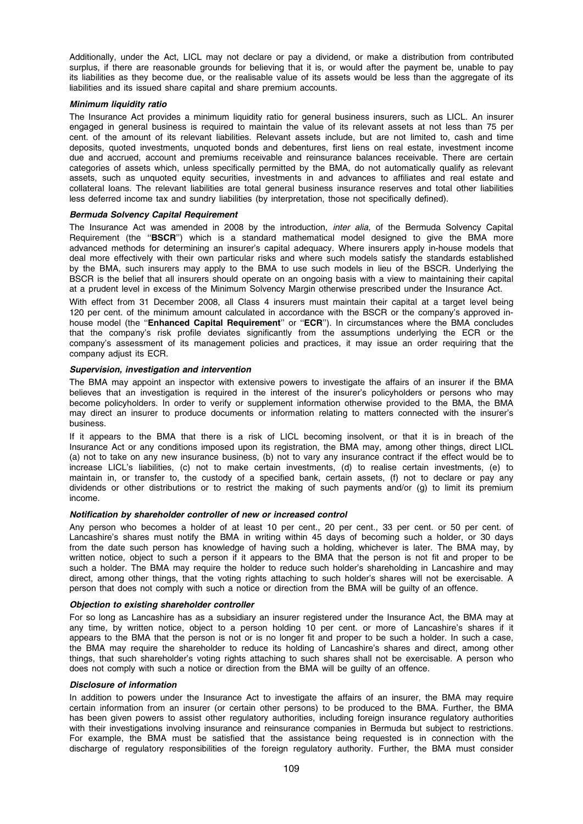Additionally, under the Act, LICL may not declare or pay a dividend, or make a distribution from contributed surplus, if there are reasonable grounds for believing that it is, or would after the payment be, unable to pay its liabilities as they become due, or the realisable value of its assets would be less than the aggregate of its liabilities and its issued share capital and share premium accounts.

# Minimum liquidity ratio

The Insurance Act provides a minimum liquidity ratio for general business insurers, such as LICL. An insurer engaged in general business is required to maintain the value of its relevant assets at not less than 75 per cent. of the amount of its relevant liabilities. Relevant assets include, but are not limited to, cash and time deposits, quoted investments, unquoted bonds and debentures, first liens on real estate, investment income due and accrued, account and premiums receivable and reinsurance balances receivable. There are certain categories of assets which, unless specifically permitted by the BMA, do not automatically qualify as relevant assets, such as unquoted equity securities, investments in and advances to affiliates and real estate and collateral loans. The relevant liabilities are total general business insurance reserves and total other liabilities less deferred income tax and sundry liabilities (by interpretation, those not specifically defined).

#### Bermuda Solvency Capital Requirement

The Insurance Act was amended in 2008 by the introduction, *inter alia*, of the Bermuda Solvency Capital Requirement (the "BSCR") which is a standard mathematical model designed to give the BMA more advanced methods for determining an insurer's capital adequacy. Where insurers apply in-house models that deal more effectively with their own particular risks and where such models satisfy the standards established by the BMA, such insurers may apply to the BMA to use such models in lieu of the BSCR. Underlying the BSCR is the belief that all insurers should operate on an ongoing basis with a view to maintaining their capital at a prudent level in excess of the Minimum Solvency Margin otherwise prescribed under the Insurance Act.

With effect from 31 December 2008, all Class 4 insurers must maintain their capital at a target level being 120 per cent. of the minimum amount calculated in accordance with the BSCR or the company's approved inhouse model (the "Enhanced Capital Requirement" or "ECR"). In circumstances where the BMA concludes that the company's risk profile deviates significantly from the assumptions underlying the ECR or the company's assessment of its management policies and practices, it may issue an order requiring that the company adjust its ECR.

#### Supervision, investigation and intervention

The BMA may appoint an inspector with extensive powers to investigate the affairs of an insurer if the BMA believes that an investigation is required in the interest of the insurer's policyholders or persons who may become policyholders. In order to verify or supplement information otherwise provided to the BMA, the BMA may direct an insurer to produce documents or information relating to matters connected with the insurer's business.

If it appears to the BMA that there is a risk of LICL becoming insolvent, or that it is in breach of the Insurance Act or any conditions imposed upon its registration, the BMA may, among other things, direct LICL (a) not to take on any new insurance business, (b) not to vary any insurance contract if the effect would be to increase LICL's liabilities, (c) not to make certain investments, (d) to realise certain investments, (e) to maintain in, or transfer to, the custody of a specified bank, certain assets, (f) not to declare or pay any dividends or other distributions or to restrict the making of such payments and/or (g) to limit its premium income.

### Notification by shareholder controller of new or increased control

Any person who becomes a holder of at least 10 per cent., 20 per cent., 33 per cent. or 50 per cent. of Lancashire's shares must notify the BMA in writing within 45 days of becoming such a holder, or 30 days from the date such person has knowledge of having such a holding, whichever is later. The BMA may, by written notice, object to such a person if it appears to the BMA that the person is not fit and proper to be such a holder. The BMA may require the holder to reduce such holder's shareholding in Lancashire and may direct, among other things, that the voting rights attaching to such holder's shares will not be exercisable. A person that does not comply with such a notice or direction from the BMA will be guilty of an offence.

# Objection to existing shareholder controller

For so long as Lancashire has as a subsidiary an insurer registered under the Insurance Act, the BMA may at any time, by written notice, object to a person holding 10 per cent. or more of Lancashire's shares if it appears to the BMA that the person is not or is no longer fit and proper to be such a holder. In such a case, the BMA may require the shareholder to reduce its holding of Lancashire's shares and direct, among other things, that such shareholder's voting rights attaching to such shares shall not be exercisable. A person who does not comply with such a notice or direction from the BMA will be guilty of an offence.

### Disclosure of information

In addition to powers under the Insurance Act to investigate the affairs of an insurer, the BMA may require certain information from an insurer (or certain other persons) to be produced to the BMA. Further, the BMA has been given powers to assist other regulatory authorities, including foreign insurance regulatory authorities with their investigations involving insurance and reinsurance companies in Bermuda but subject to restrictions. For example, the BMA must be satisfied that the assistance being requested is in connection with the discharge of regulatory responsibilities of the foreign regulatory authority. Further, the BMA must consider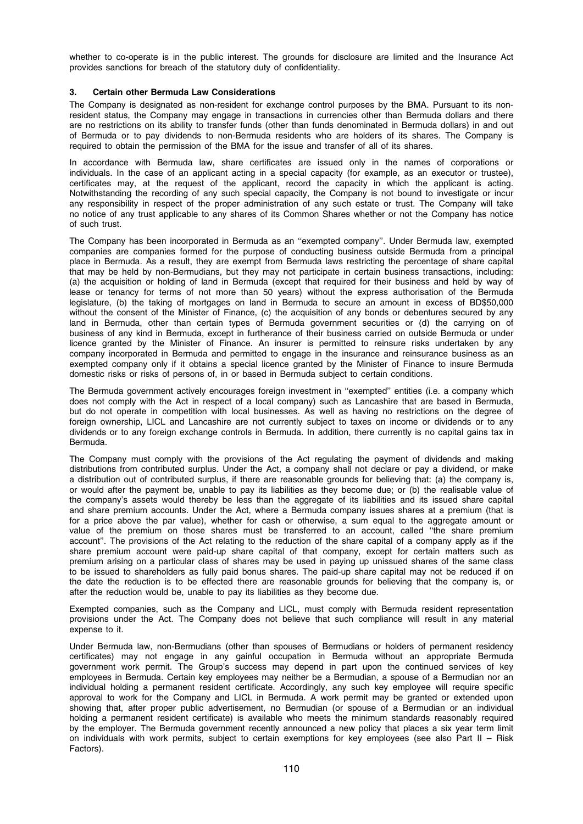whether to co-operate is in the public interest. The grounds for disclosure are limited and the Insurance Act provides sanctions for breach of the statutory duty of confidentiality.

# 3. Certain other Bermuda Law Considerations

The Company is designated as non-resident for exchange control purposes by the BMA. Pursuant to its nonresident status, the Company may engage in transactions in currencies other than Bermuda dollars and there are no restrictions on its ability to transfer funds (other than funds denominated in Bermuda dollars) in and out of Bermuda or to pay dividends to non-Bermuda residents who are holders of its shares. The Company is required to obtain the permission of the BMA for the issue and transfer of all of its shares.

In accordance with Bermuda law, share certificates are issued only in the names of corporations or individuals. In the case of an applicant acting in a special capacity (for example, as an executor or trustee), certificates may, at the request of the applicant, record the capacity in which the applicant is acting. Notwithstanding the recording of any such special capacity, the Company is not bound to investigate or incur any responsibility in respect of the proper administration of any such estate or trust. The Company will take no notice of any trust applicable to any shares of its Common Shares whether or not the Company has notice of such trust.

The Company has been incorporated in Bermuda as an ''exempted company''. Under Bermuda law, exempted companies are companies formed for the purpose of conducting business outside Bermuda from a principal place in Bermuda. As a result, they are exempt from Bermuda laws restricting the percentage of share capital that may be held by non-Bermudians, but they may not participate in certain business transactions, including: (a) the acquisition or holding of land in Bermuda (except that required for their business and held by way of lease or tenancy for terms of not more than 50 years) without the express authorisation of the Bermuda legislature, (b) the taking of mortgages on land in Bermuda to secure an amount in excess of BD\$50,000 without the consent of the Minister of Finance, (c) the acquisition of any bonds or debentures secured by any land in Bermuda, other than certain types of Bermuda government securities or (d) the carrying on of business of any kind in Bermuda, except in furtherance of their business carried on outside Bermuda or under licence granted by the Minister of Finance. An insurer is permitted to reinsure risks undertaken by any company incorporated in Bermuda and permitted to engage in the insurance and reinsurance business as an exempted company only if it obtains a special licence granted by the Minister of Finance to insure Bermuda domestic risks or risks of persons of, in or based in Bermuda subject to certain conditions.

The Bermuda government actively encourages foreign investment in ''exempted'' entities (i.e. a company which does not comply with the Act in respect of a local company) such as Lancashire that are based in Bermuda, but do not operate in competition with local businesses. As well as having no restrictions on the degree of foreign ownership, LICL and Lancashire are not currently subject to taxes on income or dividends or to any dividends or to any foreign exchange controls in Bermuda. In addition, there currently is no capital gains tax in Bermuda.

The Company must comply with the provisions of the Act regulating the payment of dividends and making distributions from contributed surplus. Under the Act, a company shall not declare or pay a dividend, or make a distribution out of contributed surplus, if there are reasonable grounds for believing that: (a) the company is, or would after the payment be, unable to pay its liabilities as they become due; or (b) the realisable value of the company's assets would thereby be less than the aggregate of its liabilities and its issued share capital and share premium accounts. Under the Act, where a Bermuda company issues shares at a premium (that is for a price above the par value), whether for cash or otherwise, a sum equal to the aggregate amount or value of the premium on those shares must be transferred to an account, called ''the share premium account''. The provisions of the Act relating to the reduction of the share capital of a company apply as if the share premium account were paid-up share capital of that company, except for certain matters such as premium arising on a particular class of shares may be used in paying up unissued shares of the same class to be issued to shareholders as fully paid bonus shares. The paid-up share capital may not be reduced if on the date the reduction is to be effected there are reasonable grounds for believing that the company is, or after the reduction would be, unable to pay its liabilities as they become due.

Exempted companies, such as the Company and LICL, must comply with Bermuda resident representation provisions under the Act. The Company does not believe that such compliance will result in any material expense to it.

Under Bermuda law, non-Bermudians (other than spouses of Bermudians or holders of permanent residency certificates) may not engage in any gainful occupation in Bermuda without an appropriate Bermuda government work permit. The Group's success may depend in part upon the continued services of key employees in Bermuda. Certain key employees may neither be a Bermudian, a spouse of a Bermudian nor an individual holding a permanent resident certificate. Accordingly, any such key employee will require specific approval to work for the Company and LICL in Bermuda. A work permit may be granted or extended upon showing that, after proper public advertisement, no Bermudian (or spouse of a Bermudian or an individual holding a permanent resident certificate) is available who meets the minimum standards reasonably required by the employer. The Bermuda government recently announced a new policy that places a six year term limit on individuals with work permits, subject to certain exemptions for key employees (see also Part II – Risk Factors).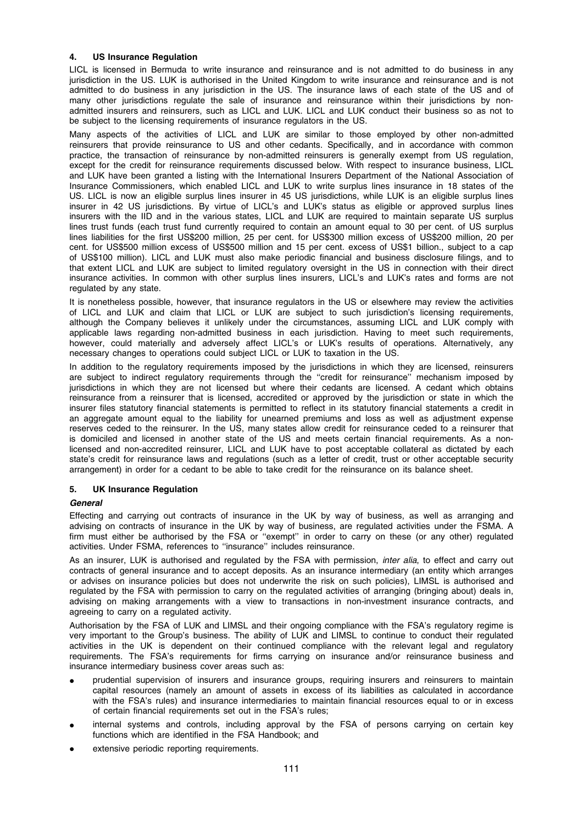# 4. US Insurance Regulation

LICL is licensed in Bermuda to write insurance and reinsurance and is not admitted to do business in any jurisdiction in the US. LUK is authorised in the United Kingdom to write insurance and reinsurance and is not admitted to do business in any jurisdiction in the US. The insurance laws of each state of the US and of many other jurisdictions regulate the sale of insurance and reinsurance within their jurisdictions by nonadmitted insurers and reinsurers, such as LICL and LUK. LICL and LUK conduct their business so as not to be subject to the licensing requirements of insurance regulators in the US.

Many aspects of the activities of LICL and LUK are similar to those employed by other non-admitted reinsurers that provide reinsurance to US and other cedants. Specifically, and in accordance with common practice, the transaction of reinsurance by non-admitted reinsurers is generally exempt from US regulation, except for the credit for reinsurance requirements discussed below. With respect to insurance business, LICL and LUK have been granted a listing with the International Insurers Department of the National Association of Insurance Commissioners, which enabled LICL and LUK to write surplus lines insurance in 18 states of the US. LICL is now an eligible surplus lines insurer in 45 US jurisdictions, while LUK is an eligible surplus lines insurer in 42 US jurisdictions. By virtue of LICL's and LUK's status as eligible or approved surplus lines insurers with the IID and in the various states, LICL and LUK are required to maintain separate US surplus lines trust funds (each trust fund currently required to contain an amount equal to 30 per cent. of US surplus lines liabilities for the first US\$200 million, 25 per cent. for US\$300 million excess of US\$200 million, 20 per cent. for US\$500 million excess of US\$500 million and 15 per cent. excess of US\$1 billion., subject to a cap of US\$100 million). LICL and LUK must also make periodic financial and business disclosure filings, and to that extent LICL and LUK are subject to limited regulatory oversight in the US in connection with their direct insurance activities. In common with other surplus lines insurers, LICL's and LUK's rates and forms are not regulated by any state.

It is nonetheless possible, however, that insurance regulators in the US or elsewhere may review the activities of LICL and LUK and claim that LICL or LUK are subject to such jurisdiction's licensing requirements, although the Company believes it unlikely under the circumstances, assuming LICL and LUK comply with applicable laws regarding non-admitted business in each jurisdiction. Having to meet such requirements, however, could materially and adversely affect LICL's or LUK's results of operations. Alternatively, any necessary changes to operations could subject LICL or LUK to taxation in the US.

In addition to the regulatory requirements imposed by the jurisdictions in which they are licensed, reinsurers are subject to indirect regulatory requirements through the ''credit for reinsurance'' mechanism imposed by jurisdictions in which they are not licensed but where their cedants are licensed. A cedant which obtains reinsurance from a reinsurer that is licensed, accredited or approved by the jurisdiction or state in which the insurer files statutory financial statements is permitted to reflect in its statutory financial statements a credit in an aggregate amount equal to the liability for unearned premiums and loss as well as adjustment expense reserves ceded to the reinsurer. In the US, many states allow credit for reinsurance ceded to a reinsurer that is domiciled and licensed in another state of the US and meets certain financial requirements. As a nonlicensed and non-accredited reinsurer, LICL and LUK have to post acceptable collateral as dictated by each state's credit for reinsurance laws and regulations (such as a letter of credit, trust or other acceptable security arrangement) in order for a cedant to be able to take credit for the reinsurance on its balance sheet.

# 5. UK Insurance Regulation

# **General**

Effecting and carrying out contracts of insurance in the UK by way of business, as well as arranging and advising on contracts of insurance in the UK by way of business, are regulated activities under the FSMA. A firm must either be authorised by the FSA or ''exempt'' in order to carry on these (or any other) regulated activities. Under FSMA, references to ''insurance'' includes reinsurance.

As an insurer, LUK is authorised and regulated by the FSA with permission, *inter alia*, to effect and carry out contracts of general insurance and to accept deposits. As an insurance intermediary (an entity which arranges or advises on insurance policies but does not underwrite the risk on such policies), LIMSL is authorised and regulated by the FSA with permission to carry on the regulated activities of arranging (bringing about) deals in, advising on making arrangements with a view to transactions in non-investment insurance contracts, and agreeing to carry on a regulated activity.

Authorisation by the FSA of LUK and LIMSL and their ongoing compliance with the FSA's regulatory regime is very important to the Group's business. The ability of LUK and LIMSL to continue to conduct their regulated activities in the UK is dependent on their continued compliance with the relevant legal and regulatory requirements. The FSA's requirements for firms carrying on insurance and/or reinsurance business and insurance intermediary business cover areas such as:

- prudential supervision of insurers and insurance groups, requiring insurers and reinsurers to maintain capital resources (namely an amount of assets in excess of its liabilities as calculated in accordance with the FSA's rules) and insurance intermediaries to maintain financial resources equal to or in excess of certain financial requirements set out in the FSA's rules;
- internal systems and controls, including approval by the FSA of persons carrying on certain key functions which are identified in the FSA Handbook; and
- extensive periodic reporting requirements.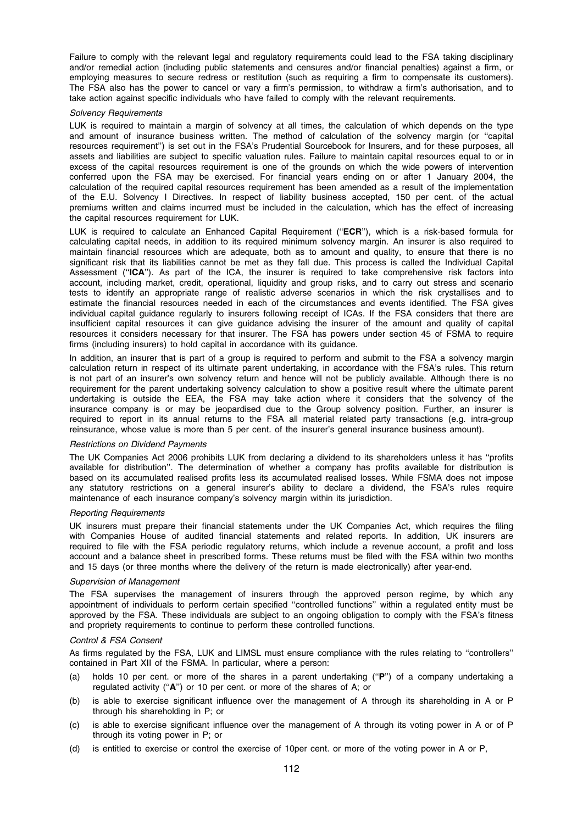Failure to comply with the relevant legal and regulatory requirements could lead to the FSA taking disciplinary and/or remedial action (including public statements and censures and/or financial penalties) against a firm, or employing measures to secure redress or restitution (such as requiring a firm to compensate its customers). The FSA also has the power to cancel or vary a firm's permission, to withdraw a firm's authorisation, and to take action against specific individuals who have failed to comply with the relevant requirements.

## Solvency Requirements

LUK is required to maintain a margin of solvency at all times, the calculation of which depends on the type and amount of insurance business written. The method of calculation of the solvency margin (or ''capital resources requirement'') is set out in the FSA's Prudential Sourcebook for Insurers, and for these purposes, all assets and liabilities are subject to specific valuation rules. Failure to maintain capital resources equal to or in excess of the capital resources requirement is one of the grounds on which the wide powers of intervention conferred upon the FSA may be exercised. For financial years ending on or after 1 January 2004, the calculation of the required capital resources requirement has been amended as a result of the implementation of the E.U. Solvency I Directives. In respect of liability business accepted, 150 per cent. of the actual premiums written and claims incurred must be included in the calculation, which has the effect of increasing the capital resources requirement for LUK.

LUK is required to calculate an Enhanced Capital Requirement ("ECR"), which is a risk-based formula for calculating capital needs, in addition to its required minimum solvency margin. An insurer is also required to maintain financial resources which are adequate, both as to amount and quality, to ensure that there is no significant risk that its liabilities cannot be met as they fall due. This process is called the Individual Capital Assessment ("ICA"). As part of the ICA, the insurer is required to take comprehensive risk factors into account, including market, credit, operational, liquidity and group risks, and to carry out stress and scenario tests to identify an appropriate range of realistic adverse scenarios in which the risk crystallises and to estimate the financial resources needed in each of the circumstances and events identified. The FSA gives individual capital guidance regularly to insurers following receipt of ICAs. If the FSA considers that there are insufficient capital resources it can give guidance advising the insurer of the amount and quality of capital resources it considers necessary for that insurer. The FSA has powers under section 45 of FSMA to require firms (including insurers) to hold capital in accordance with its guidance.

In addition, an insurer that is part of a group is required to perform and submit to the FSA a solvency margin calculation return in respect of its ultimate parent undertaking, in accordance with the FSA's rules. This return is not part of an insurer's own solvency return and hence will not be publicly available. Although there is no requirement for the parent undertaking solvency calculation to show a positive result where the ultimate parent undertaking is outside the EEA, the FSA may take action where it considers that the solvency of the insurance company is or may be jeopardised due to the Group solvency position. Further, an insurer is required to report in its annual returns to the FSA all material related party transactions (e.g. intra-group reinsurance, whose value is more than 5 per cent. of the insurer's general insurance business amount).

#### Restrictions on Dividend Payments

The UK Companies Act 2006 prohibits LUK from declaring a dividend to its shareholders unless it has ''profits available for distribution''. The determination of whether a company has profits available for distribution is based on its accumulated realised profits less its accumulated realised losses. While FSMA does not impose any statutory restrictions on a general insurer's ability to declare a dividend, the FSA's rules require maintenance of each insurance company's solvency margin within its jurisdiction.

#### Reporting Requirements

UK insurers must prepare their financial statements under the UK Companies Act, which requires the filing with Companies House of audited financial statements and related reports. In addition, UK insurers are required to file with the FSA periodic regulatory returns, which include a revenue account, a profit and loss account and a balance sheet in prescribed forms. These returns must be filed with the FSA within two months and 15 days (or three months where the delivery of the return is made electronically) after year-end.

#### Supervision of Management

The FSA supervises the management of insurers through the approved person regime, by which any appointment of individuals to perform certain specified ''controlled functions'' within a regulated entity must be approved by the FSA. These individuals are subject to an ongoing obligation to comply with the FSA's fitness and propriety requirements to continue to perform these controlled functions.

### Control & FSA Consent

As firms regulated by the FSA, LUK and LIMSL must ensure compliance with the rules relating to ''controllers'' contained in Part XII of the FSMA. In particular, where a person:

- (a) holds 10 per cent. or more of the shares in a parent undertaking (''P'') of a company undertaking a regulated activity ("A") or 10 per cent. or more of the shares of A; or
- (b) is able to exercise significant influence over the management of A through its shareholding in A or P through his shareholding in P; or
- (c) is able to exercise significant influence over the management of A through its voting power in A or of P through its voting power in P; or
- (d) is entitled to exercise or control the exercise of 10per cent. or more of the voting power in A or P,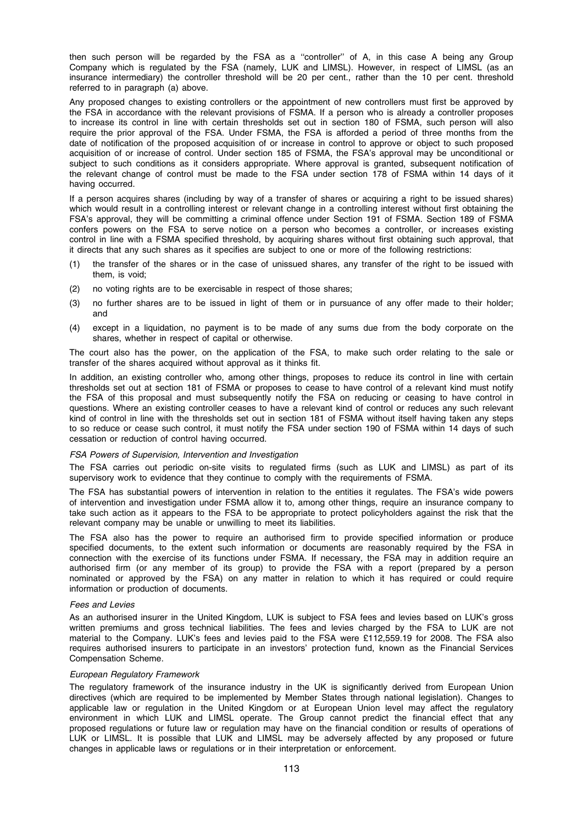then such person will be regarded by the FSA as a ''controller'' of A, in this case A being any Group Company which is regulated by the FSA (namely, LUK and LIMSL). However, in respect of LIMSL (as an insurance intermediary) the controller threshold will be 20 per cent., rather than the 10 per cent. threshold referred to in paragraph (a) above.

Any proposed changes to existing controllers or the appointment of new controllers must first be approved by the FSA in accordance with the relevant provisions of FSMA. If a person who is already a controller proposes to increase its control in line with certain thresholds set out in section 180 of FSMA, such person will also require the prior approval of the FSA. Under FSMA, the FSA is afforded a period of three months from the date of notification of the proposed acquisition of or increase in control to approve or object to such proposed acquisition of or increase of control. Under section 185 of FSMA, the FSA's approval may be unconditional or subject to such conditions as it considers appropriate. Where approval is granted, subsequent notification of the relevant change of control must be made to the FSA under section 178 of FSMA within 14 days of it having occurred.

If a person acquires shares (including by way of a transfer of shares or acquiring a right to be issued shares) which would result in a controlling interest or relevant change in a controlling interest without first obtaining the FSA's approval, they will be committing a criminal offence under Section 191 of FSMA. Section 189 of FSMA confers powers on the FSA to serve notice on a person who becomes a controller, or increases existing control in line with a FSMA specified threshold, by acquiring shares without first obtaining such approval, that it directs that any such shares as it specifies are subject to one or more of the following restrictions:

- (1) the transfer of the shares or in the case of unissued shares, any transfer of the right to be issued with them, is void;
- (2) no voting rights are to be exercisable in respect of those shares;
- (3) no further shares are to be issued in light of them or in pursuance of any offer made to their holder; and
- (4) except in a liquidation, no payment is to be made of any sums due from the body corporate on the shares, whether in respect of capital or otherwise.

The court also has the power, on the application of the FSA, to make such order relating to the sale or transfer of the shares acquired without approval as it thinks fit.

In addition, an existing controller who, among other things, proposes to reduce its control in line with certain thresholds set out at section 181 of FSMA or proposes to cease to have control of a relevant kind must notify the FSA of this proposal and must subsequently notify the FSA on reducing or ceasing to have control in questions. Where an existing controller ceases to have a relevant kind of control or reduces any such relevant kind of control in line with the thresholds set out in section 181 of FSMA without itself having taken any steps to so reduce or cease such control, it must notify the FSA under section 190 of FSMA within 14 days of such cessation or reduction of control having occurred.

#### FSA Powers of Supervision, Intervention and Investigation

The FSA carries out periodic on-site visits to regulated firms (such as LUK and LIMSL) as part of its supervisory work to evidence that they continue to comply with the requirements of FSMA.

The FSA has substantial powers of intervention in relation to the entities it regulates. The FSA's wide powers of intervention and investigation under FSMA allow it to, among other things, require an insurance company to take such action as it appears to the FSA to be appropriate to protect policyholders against the risk that the relevant company may be unable or unwilling to meet its liabilities.

The FSA also has the power to require an authorised firm to provide specified information or produce specified documents, to the extent such information or documents are reasonably required by the FSA in connection with the exercise of its functions under FSMA. If necessary, the FSA may in addition require an authorised firm (or any member of its group) to provide the FSA with a report (prepared by a person nominated or approved by the FSA) on any matter in relation to which it has required or could require information or production of documents.

#### Fees and Levies

As an authorised insurer in the United Kingdom, LUK is subject to FSA fees and levies based on LUK's gross written premiums and gross technical liabilities. The fees and levies charged by the FSA to LUK are not material to the Company. LUK's fees and levies paid to the FSA were £112,559.19 for 2008. The FSA also requires authorised insurers to participate in an investors' protection fund, known as the Financial Services Compensation Scheme.

# European Regulatory Framework

The regulatory framework of the insurance industry in the UK is significantly derived from European Union directives (which are required to be implemented by Member States through national legislation). Changes to applicable law or regulation in the United Kingdom or at European Union level may affect the regulatory environment in which LUK and LIMSL operate. The Group cannot predict the financial effect that any proposed regulations or future law or regulation may have on the financial condition or results of operations of LUK or LIMSL. It is possible that LUK and LIMSL may be adversely affected by any proposed or future changes in applicable laws or regulations or in their interpretation or enforcement.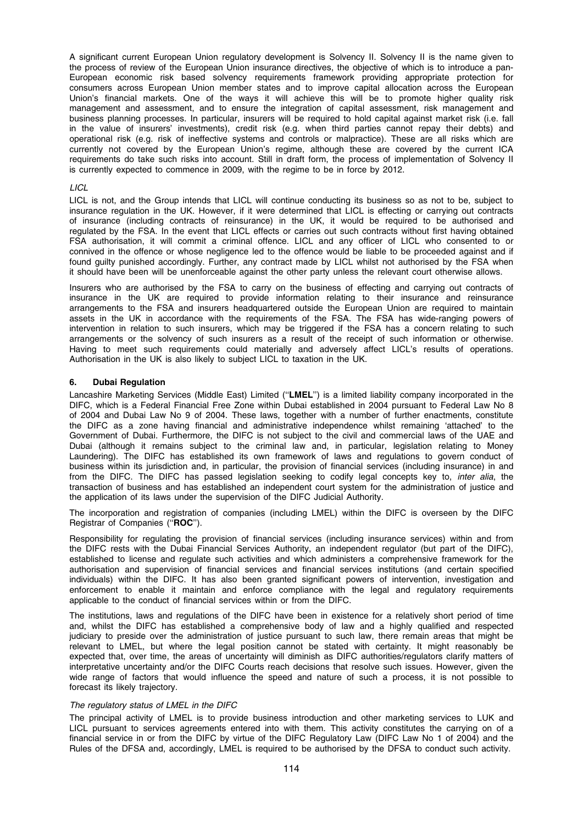A significant current European Union regulatory development is Solvency II. Solvency II is the name given to the process of review of the European Union insurance directives, the objective of which is to introduce a pan-European economic risk based solvency requirements framework providing appropriate protection for consumers across European Union member states and to improve capital allocation across the European Union's financial markets. One of the ways it will achieve this will be to promote higher quality risk management and assessment, and to ensure the integration of capital assessment, risk management and business planning processes. In particular, insurers will be required to hold capital against market risk (i.e. fall in the value of insurers' investments), credit risk (e.g. when third parties cannot repay their debts) and operational risk (e.g. risk of ineffective systems and controls or malpractice). These are all risks which are currently not covered by the European Union's regime, although these are covered by the current ICA requirements do take such risks into account. Still in draft form, the process of implementation of Solvency II is currently expected to commence in 2009, with the regime to be in force by 2012.

# LICL

LICL is not, and the Group intends that LICL will continue conducting its business so as not to be, subject to insurance regulation in the UK. However, if it were determined that LICL is effecting or carrying out contracts of insurance (including contracts of reinsurance) in the UK, it would be required to be authorised and regulated by the FSA. In the event that LICL effects or carries out such contracts without first having obtained FSA authorisation, it will commit a criminal offence. LICL and any officer of LICL who consented to or connived in the offence or whose negligence led to the offence would be liable to be proceeded against and if found guilty punished accordingly. Further, any contract made by LICL whilst not authorised by the FSA when it should have been will be unenforceable against the other party unless the relevant court otherwise allows.

Insurers who are authorised by the FSA to carry on the business of effecting and carrying out contracts of insurance in the UK are required to provide information relating to their insurance and reinsurance arrangements to the FSA and insurers headquartered outside the European Union are required to maintain assets in the UK in accordance with the requirements of the FSA. The FSA has wide-ranging powers of intervention in relation to such insurers, which may be triggered if the FSA has a concern relating to such arrangements or the solvency of such insurers as a result of the receipt of such information or otherwise. Having to meet such requirements could materially and adversely affect LICL's results of operations. Authorisation in the UK is also likely to subject LICL to taxation in the UK.

# 6. Dubai Regulation

Lancashire Marketing Services (Middle East) Limited ("LMEL") is a limited liability company incorporated in the DIFC, which is a Federal Financial Free Zone within Dubai established in 2004 pursuant to Federal Law No 8 of 2004 and Dubai Law No 9 of 2004. These laws, together with a number of further enactments, constitute the DIFC as a zone having financial and administrative independence whilst remaining 'attached' to the Government of Dubai. Furthermore, the DIFC is not subject to the civil and commercial laws of the UAE and Dubai (although it remains subject to the criminal law and, in particular, legislation relating to Money Laundering). The DIFC has established its own framework of laws and regulations to govern conduct of business within its jurisdiction and, in particular, the provision of financial services (including insurance) in and from the DIFC. The DIFC has passed legislation seeking to codify legal concepts key to, inter alia, the transaction of business and has established an independent court system for the administration of justice and the application of its laws under the supervision of the DIFC Judicial Authority.

The incorporation and registration of companies (including LMEL) within the DIFC is overseen by the DIFC Registrar of Companies ("ROC").

Responsibility for regulating the provision of financial services (including insurance services) within and from the DIFC rests with the Dubai Financial Services Authority, an independent regulator (but part of the DIFC), established to license and regulate such activities and which administers a comprehensive framework for the authorisation and supervision of financial services and financial services institutions (and certain specified individuals) within the DIFC. It has also been granted significant powers of intervention, investigation and enforcement to enable it maintain and enforce compliance with the legal and regulatory requirements applicable to the conduct of financial services within or from the DIFC.

The institutions, laws and regulations of the DIFC have been in existence for a relatively short period of time and, whilst the DIFC has established a comprehensive body of law and a highly qualified and respected judiciary to preside over the administration of justice pursuant to such law, there remain areas that might be relevant to LMEL, but where the legal position cannot be stated with certainty. It might reasonably be expected that, over time, the areas of uncertainty will diminish as DIFC authorities/regulators clarify matters of interpretative uncertainty and/or the DIFC Courts reach decisions that resolve such issues. However, given the wide range of factors that would influence the speed and nature of such a process, it is not possible to forecast its likely trajectory.

# The regulatory status of LMEL in the DIFC

The principal activity of LMEL is to provide business introduction and other marketing services to LUK and LICL pursuant to services agreements entered into with them. This activity constitutes the carrying on of a financial service in or from the DIFC by virtue of the DIFC Regulatory Law (DIFC Law No 1 of 2004) and the Rules of the DFSA and, accordingly, LMEL is required to be authorised by the DFSA to conduct such activity.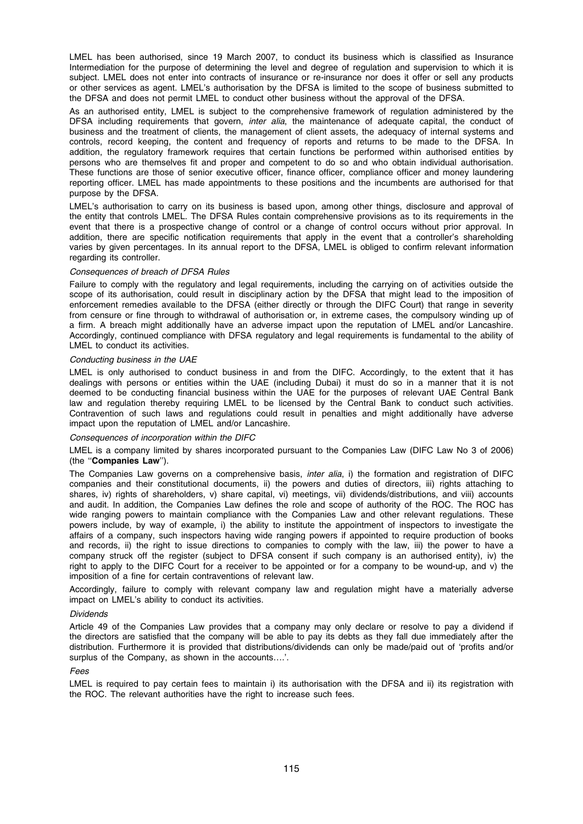LMEL has been authorised, since 19 March 2007, to conduct its business which is classified as Insurance Intermediation for the purpose of determining the level and degree of regulation and supervision to which it is subject. LMEL does not enter into contracts of insurance or re-insurance nor does it offer or sell any products or other services as agent. LMEL's authorisation by the DFSA is limited to the scope of business submitted to the DFSA and does not permit LMEL to conduct other business without the approval of the DFSA.

As an authorised entity, LMEL is subject to the comprehensive framework of regulation administered by the DFSA including requirements that govern, inter alia, the maintenance of adequate capital, the conduct of business and the treatment of clients, the management of client assets, the adequacy of internal systems and controls, record keeping, the content and frequency of reports and returns to be made to the DFSA. In addition, the regulatory framework requires that certain functions be performed within authorised entities by persons who are themselves fit and proper and competent to do so and who obtain individual authorisation. These functions are those of senior executive officer, finance officer, compliance officer and money laundering reporting officer. LMEL has made appointments to these positions and the incumbents are authorised for that purpose by the DFSA.

LMEL's authorisation to carry on its business is based upon, among other things, disclosure and approval of the entity that controls LMEL. The DFSA Rules contain comprehensive provisions as to its requirements in the event that there is a prospective change of control or a change of control occurs without prior approval. In addition, there are specific notification requirements that apply in the event that a controller's shareholding varies by given percentages. In its annual report to the DFSA, LMEL is obliged to confirm relevant information regarding its controller.

#### Consequences of breach of DFSA Rules

Failure to comply with the regulatory and legal requirements, including the carrying on of activities outside the scope of its authorisation, could result in disciplinary action by the DFSA that might lead to the imposition of enforcement remedies available to the DFSA (either directly or through the DIFC Court) that range in severity from censure or fine through to withdrawal of authorisation or, in extreme cases, the compulsory winding up of a firm. A breach might additionally have an adverse impact upon the reputation of LMEL and/or Lancashire. Accordingly, continued compliance with DFSA regulatory and legal requirements is fundamental to the ability of LMEL to conduct its activities.

# Conducting business in the UAE

LMEL is only authorised to conduct business in and from the DIFC. Accordingly, to the extent that it has dealings with persons or entities within the UAE (including Dubai) it must do so in a manner that it is not deemed to be conducting financial business within the UAE for the purposes of relevant UAE Central Bank law and regulation thereby requiring LMEL to be licensed by the Central Bank to conduct such activities. Contravention of such laws and regulations could result in penalties and might additionally have adverse impact upon the reputation of LMEL and/or Lancashire.

#### Consequences of incorporation within the DIFC

LMEL is a company limited by shares incorporated pursuant to the Companies Law (DIFC Law No 3 of 2006) (the ''Companies Law'').

The Companies Law governs on a comprehensive basis, inter alia, i) the formation and registration of DIFC companies and their constitutional documents, ii) the powers and duties of directors, iii) rights attaching to shares, iv) rights of shareholders, v) share capital, vi) meetings, vii) dividends/distributions, and viii) accounts and audit. In addition, the Companies Law defines the role and scope of authority of the ROC. The ROC has wide ranging powers to maintain compliance with the Companies Law and other relevant regulations. These powers include, by way of example, i) the ability to institute the appointment of inspectors to investigate the affairs of a company, such inspectors having wide ranging powers if appointed to require production of books and records, ii) the right to issue directions to companies to comply with the law, iii) the power to have a company struck off the register (subject to DFSA consent if such company is an authorised entity), iv) the right to apply to the DIFC Court for a receiver to be appointed or for a company to be wound-up, and v) the imposition of a fine for certain contraventions of relevant law.

Accordingly, failure to comply with relevant company law and regulation might have a materially adverse impact on LMEL's ability to conduct its activities.

# Dividends

Article 49 of the Companies Law provides that a company may only declare or resolve to pay a dividend if the directors are satisfied that the company will be able to pay its debts as they fall due immediately after the distribution. Furthermore it is provided that distributions/dividends can only be made/paid out of 'profits and/or surplus of the Company, as shown in the accounts….'.

# Fees

LMEL is required to pay certain fees to maintain i) its authorisation with the DFSA and ii) its reqistration with the ROC. The relevant authorities have the right to increase such fees.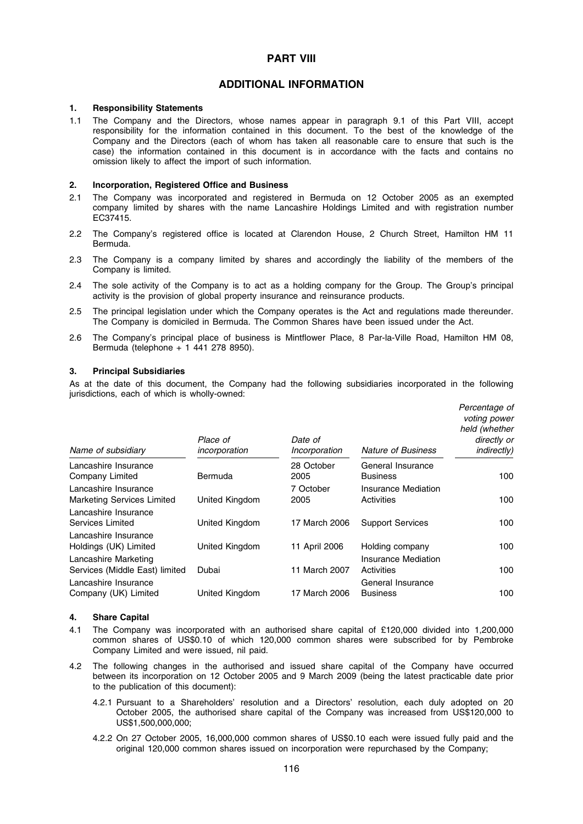# PART VIII

# ADDITIONAL INFORMATION

#### 1. Responsibility Statements

1.1 The Company and the Directors, whose names appear in paragraph 9.1 of this Part VIII, accept responsibility for the information contained in this document. To the best of the knowledge of the Company and the Directors (each of whom has taken all reasonable care to ensure that such is the case) the information contained in this document is in accordance with the facts and contains no omission likely to affect the import of such information.

#### 2. Incorporation, Registered Office and Business

- 2.1 The Company was incorporated and registered in Bermuda on 12 October 2005 as an exempted company limited by shares with the name Lancashire Holdings Limited and with registration number EC37415.
- 2.2 The Company's registered office is located at Clarendon House, 2 Church Street, Hamilton HM 11 Bermuda.
- 2.3 The Company is a company limited by shares and accordingly the liability of the members of the Company is limited.
- 2.4 The sole activity of the Company is to act as a holding company for the Group. The Group's principal activity is the provision of global property insurance and reinsurance products.
- 2.5 The principal legislation under which the Company operates is the Act and regulations made thereunder. The Company is domiciled in Bermuda. The Common Shares have been issued under the Act.
- 2.6 The Company's principal place of business is Mintflower Place, 8 Par-la-Ville Road, Hamilton HM 08, Bermuda (telephone + 1 441 278 8950).

# 3. Principal Subsidiaries

As at the date of this document, the Company had the following subsidiaries incorporated in the following jurisdictions, each of which is wholly-owned:

| Name of subsidiary                                        | Place of<br>incorporation | Date of<br>Incorporation | <b>Nature of Business</b>                | Percentage of<br>voting power<br>held (whether<br>directly or<br><i>indirectly)</i> |
|-----------------------------------------------------------|---------------------------|--------------------------|------------------------------------------|-------------------------------------------------------------------------------------|
| Lancashire Insurance                                      |                           | 28 October               | General Insurance                        |                                                                                     |
| Company Limited                                           | Bermuda                   | 2005                     | <b>Business</b>                          | 100                                                                                 |
| Lancashire Insurance<br><b>Marketing Services Limited</b> | United Kingdom            | 7 October<br>2005        | <b>Insurance Mediation</b><br>Activities | 100                                                                                 |
| Lancashire Insurance<br>Services Limited                  | United Kingdom            | 17 March 2006            | <b>Support Services</b>                  | 100                                                                                 |
| Lancashire Insurance<br>Holdings (UK) Limited             | United Kingdom            | 11 April 2006            | Holding company                          | 100                                                                                 |
| Lancashire Marketing<br>Services (Middle East) limited    | Dubai                     | 11 March 2007            | Insurance Mediation<br>Activities        | 100                                                                                 |
| Lancashire Insurance<br>Company (UK) Limited              | United Kingdom            | 17 March 2006            | General Insurance<br><b>Business</b>     | 100                                                                                 |

#### 4. Share Capital

- 4.1 The Company was incorporated with an authorised share capital of £120,000 divided into 1,200,000 common shares of US\$0.10 of which 120,000 common shares were subscribed for by Pembroke Company Limited and were issued, nil paid.
- 4.2 The following changes in the authorised and issued share capital of the Company have occurred between its incorporation on 12 October 2005 and 9 March 2009 (being the latest practicable date prior to the publication of this document):
	- 4.2.1 Pursuant to a Shareholders' resolution and a Directors' resolution, each duly adopted on 20 October 2005, the authorised share capital of the Company was increased from US\$120,000 to US\$1,500,000,000;
	- 4.2.2 On 27 October 2005, 16,000,000 common shares of US\$0.10 each were issued fully paid and the original 120,000 common shares issued on incorporation were repurchased by the Company;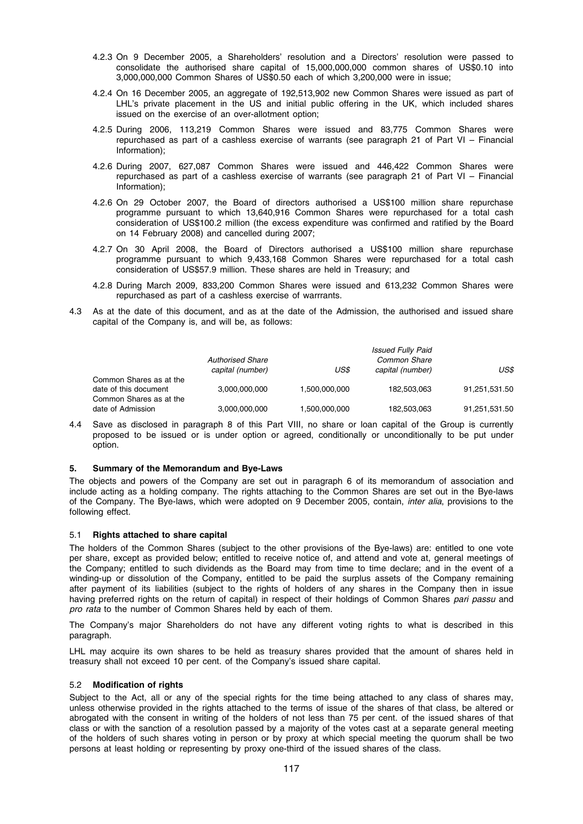- 4.2.3 On 9 December 2005, a Shareholders' resolution and a Directors' resolution were passed to consolidate the authorised share capital of 15,000,000,000 common shares of US\$0.10 into 3,000,000,000 Common Shares of US\$0.50 each of which 3,200,000 were in issue;
- 4.2.4 On 16 December 2005, an aggregate of 192,513,902 new Common Shares were issued as part of LHL's private placement in the US and initial public offering in the UK, which included shares issued on the exercise of an over-allotment option;
- 4.2.5 During 2006, 113,219 Common Shares were issued and 83,775 Common Shares were repurchased as part of a cashless exercise of warrants (see paragraph 21 of Part VI – Financial Information);
- 4.2.6 During 2007, 627,087 Common Shares were issued and 446,422 Common Shares were repurchased as part of a cashless exercise of warrants (see paragraph 21 of Part VI – Financial Information);
- 4.2.6 On 29 October 2007, the Board of directors authorised a US\$100 million share repurchase programme pursuant to which 13,640,916 Common Shares were repurchased for a total cash consideration of US\$100.2 million (the excess expenditure was confirmed and ratified by the Board on 14 February 2008) and cancelled during 2007;
- 4.2.7 On 30 April 2008, the Board of Directors authorised a US\$100 million share repurchase programme pursuant to which 9,433,168 Common Shares were repurchased for a total cash consideration of US\$57.9 million. These shares are held in Treasury; and
- 4.2.8 During March 2009, 833,200 Common Shares were issued and 613,232 Common Shares were repurchased as part of a cashless exercise of warrrants.
- 4.3 As at the date of this document, and as at the date of the Admission, the authorised and issued share capital of the Company is, and will be, as follows:

|                                              | <b>Authorised Share</b> |               | <b>Issued Fully Paid</b><br>Common Share |               |
|----------------------------------------------|-------------------------|---------------|------------------------------------------|---------------|
|                                              | capital (number)        | US\$          | capital (number)                         | US\$          |
| Common Shares as at the                      |                         |               |                                          |               |
| date of this document                        | 3.000.000.000           | 1,500,000,000 | 182,503,063                              | 91,251,531.50 |
| Common Shares as at the<br>date of Admission | 3,000,000,000           | 1,500,000,000 | 182,503,063                              | 91,251,531.50 |

4.4 Save as disclosed in paragraph 8 of this Part VIII, no share or loan capital of the Group is currently proposed to be issued or is under option or agreed, conditionally or unconditionally to be put under option.

# 5. Summary of the Memorandum and Bye-Laws

The objects and powers of the Company are set out in paragraph 6 of its memorandum of association and include acting as a holding company. The rights attaching to the Common Shares are set out in the Bye-laws of the Company. The Bye-laws, which were adopted on 9 December 2005, contain, inter alia, provisions to the following effect.

# 5.1 Rights attached to share capital

The holders of the Common Shares (subject to the other provisions of the Bye-laws) are: entitled to one vote per share, except as provided below; entitled to receive notice of, and attend and vote at, general meetings of the Company; entitled to such dividends as the Board may from time to time declare; and in the event of a winding-up or dissolution of the Company, entitled to be paid the surplus assets of the Company remaining after payment of its liabilities (subject to the rights of holders of any shares in the Company then in issue having preferred rights on the return of capital) in respect of their holdings of Common Shares pari passu and pro rata to the number of Common Shares held by each of them.

The Company's major Shareholders do not have any different voting rights to what is described in this paragraph.

LHL may acquire its own shares to be held as treasury shares provided that the amount of shares held in treasury shall not exceed 10 per cent. of the Company's issued share capital.

# 5.2 Modification of rights

Subject to the Act, all or any of the special rights for the time being attached to any class of shares may, unless otherwise provided in the rights attached to the terms of issue of the shares of that class, be altered or abrogated with the consent in writing of the holders of not less than 75 per cent. of the issued shares of that class or with the sanction of a resolution passed by a majority of the votes cast at a separate general meeting of the holders of such shares voting in person or by proxy at which special meeting the quorum shall be two persons at least holding or representing by proxy one-third of the issued shares of the class.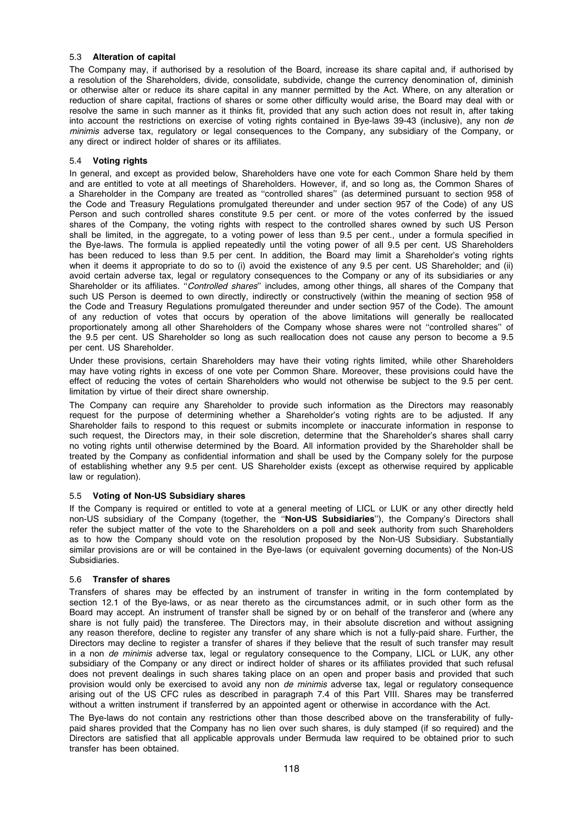# 5.3 Alteration of capital

The Company may, if authorised by a resolution of the Board, increase its share capital and, if authorised by a resolution of the Shareholders, divide, consolidate, subdivide, change the currency denomination of, diminish or otherwise alter or reduce its share capital in any manner permitted by the Act. Where, on any alteration or reduction of share capital, fractions of shares or some other difficulty would arise, the Board may deal with or resolve the same in such manner as it thinks fit, provided that any such action does not result in, after taking into account the restrictions on exercise of voting rights contained in Bye-laws 39-43 (inclusive), any non de minimis adverse tax, regulatory or legal consequences to the Company, any subsidiary of the Company, or any direct or indirect holder of shares or its affiliates.

# 5.4 Voting rights

In general, and except as provided below, Shareholders have one vote for each Common Share held by them and are entitled to vote at all meetings of Shareholders. However, if, and so long as, the Common Shares of a Shareholder in the Company are treated as ''controlled shares'' (as determined pursuant to section 958 of the Code and Treasury Regulations promulgated thereunder and under section 957 of the Code) of any US Person and such controlled shares constitute 9.5 per cent. or more of the votes conferred by the issued shares of the Company, the voting rights with respect to the controlled shares owned by such US Person shall be limited, in the aggregate, to a voting power of less than 9.5 per cent., under a formula specified in the Bye-laws. The formula is applied repeatedly until the voting power of all 9.5 per cent. US Shareholders has been reduced to less than 9.5 per cent. In addition, the Board may limit a Shareholder's voting rights when it deems it appropriate to do so to (i) avoid the existence of any 9.5 per cent. US Shareholder; and (ii) avoid certain adverse tax, legal or regulatory consequences to the Company or any of its subsidiaries or any Shareholder or its affiliates. "Controlled shares" includes, among other things, all shares of the Company that such US Person is deemed to own directly, indirectly or constructively (within the meaning of section 958 of the Code and Treasury Regulations promulgated thereunder and under section 957 of the Code). The amount of any reduction of votes that occurs by operation of the above limitations will generally be reallocated proportionately among all other Shareholders of the Company whose shares were not ''controlled shares'' of the 9.5 per cent. US Shareholder so long as such reallocation does not cause any person to become a 9.5 per cent. US Shareholder.

Under these provisions, certain Shareholders may have their voting rights limited, while other Shareholders may have voting rights in excess of one vote per Common Share. Moreover, these provisions could have the effect of reducing the votes of certain Shareholders who would not otherwise be subject to the 9.5 per cent. limitation by virtue of their direct share ownership.

The Company can require any Shareholder to provide such information as the Directors may reasonably request for the purpose of determining whether a Shareholder's voting rights are to be adjusted. If any Shareholder fails to respond to this request or submits incomplete or inaccurate information in response to such request, the Directors may, in their sole discretion, determine that the Shareholder's shares shall carry no voting rights until otherwise determined by the Board. All information provided by the Shareholder shall be treated by the Company as confidential information and shall be used by the Company solely for the purpose of establishing whether any 9.5 per cent. US Shareholder exists (except as otherwise required by applicable law or regulation).

# 5.5 Voting of Non-US Subsidiary shares

If the Company is required or entitled to vote at a general meeting of LICL or LUK or any other directly held non-US subsidiary of the Company (together, the "Non-US Subsidiaries"), the Company's Directors shall refer the subject matter of the vote to the Shareholders on a poll and seek authority from such Shareholders as to how the Company should vote on the resolution proposed by the Non-US Subsidiary. Substantially similar provisions are or will be contained in the Bye-laws (or equivalent governing documents) of the Non-US Subsidiaries.

# 5.6 Transfer of shares

Transfers of shares may be effected by an instrument of transfer in writing in the form contemplated by section 12.1 of the Bye-laws, or as near thereto as the circumstances admit, or in such other form as the Board may accept. An instrument of transfer shall be signed by or on behalf of the transferor and (where any share is not fully paid) the transferee. The Directors may, in their absolute discretion and without assigning any reason therefore, decline to register any transfer of any share which is not a fully-paid share. Further, the Directors may decline to register a transfer of shares if they believe that the result of such transfer may result in a non de minimis adverse tax, legal or regulatory consequence to the Company, LICL or LUK, any other subsidiary of the Company or any direct or indirect holder of shares or its affiliates provided that such refusal does not prevent dealings in such shares taking place on an open and proper basis and provided that such provision would only be exercised to avoid any non *de minimis* adverse tax, legal or regulatory consequence arising out of the US CFC rules as described in paragraph 7.4 of this Part VIII. Shares may be transferred without a written instrument if transferred by an appointed agent or otherwise in accordance with the Act.

The Bye-laws do not contain any restrictions other than those described above on the transferability of fullypaid shares provided that the Company has no lien over such shares, is duly stamped (if so required) and the Directors are satisfied that all applicable approvals under Bermuda law required to be obtained prior to such transfer has been obtained.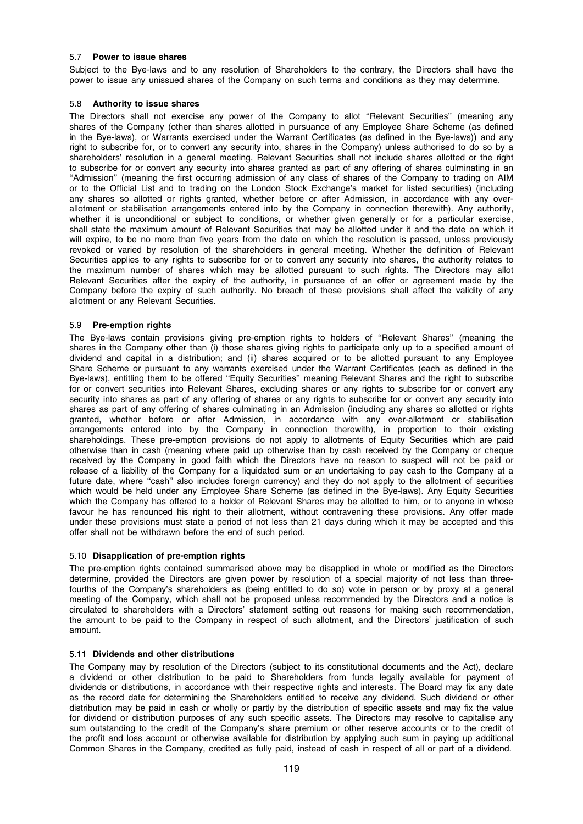# 5.7 Power to issue shares

Subject to the Bye-laws and to any resolution of Shareholders to the contrary, the Directors shall have the power to issue any unissued shares of the Company on such terms and conditions as they may determine.

# 5.8 Authority to issue shares

The Directors shall not exercise any power of the Company to allot ''Relevant Securities'' (meaning any shares of the Company (other than shares allotted in pursuance of any Employee Share Scheme (as defined in the Bye-laws), or Warrants exercised under the Warrant Certificates (as defined in the Bye-laws)) and any right to subscribe for, or to convert any security into, shares in the Company) unless authorised to do so by a shareholders' resolution in a general meeting. Relevant Securities shall not include shares allotted or the right to subscribe for or convert any security into shares granted as part of any offering of shares culminating in an ''Admission'' (meaning the first occurring admission of any class of shares of the Company to trading on AIM or to the Official List and to trading on the London Stock Exchange's market for listed securities) (including any shares so allotted or rights granted, whether before or after Admission, in accordance with any overallotment or stabilisation arrangements entered into by the Company in connection therewith). Any authority, whether it is unconditional or subject to conditions, or whether given generally or for a particular exercise, shall state the maximum amount of Relevant Securities that may be allotted under it and the date on which it will expire, to be no more than five years from the date on which the resolution is passed, unless previously revoked or varied by resolution of the shareholders in general meeting. Whether the definition of Relevant Securities applies to any rights to subscribe for or to convert any security into shares, the authority relates to the maximum number of shares which may be allotted pursuant to such rights. The Directors may allot Relevant Securities after the expiry of the authority, in pursuance of an offer or agreement made by the Company before the expiry of such authority. No breach of these provisions shall affect the validity of any allotment or any Relevant Securities.

# 5.9 Pre-emption rights

The Bye-laws contain provisions giving pre-emption rights to holders of ''Relevant Shares'' (meaning the shares in the Company other than (i) those shares giving rights to participate only up to a specified amount of dividend and capital in a distribution; and (ii) shares acquired or to be allotted pursuant to any Employee Share Scheme or pursuant to any warrants exercised under the Warrant Certificates (each as defined in the Bye-laws), entitling them to be offered ''Equity Securities'' meaning Relevant Shares and the right to subscribe for or convert securities into Relevant Shares, excluding shares or any rights to subscribe for or convert any security into shares as part of any offering of shares or any rights to subscribe for or convert any security into shares as part of any offering of shares culminating in an Admission (including any shares so allotted or rights granted, whether before or after Admission, in accordance with any over-allotment or stabilisation arrangements entered into by the Company in connection therewith), in proportion to their existing shareholdings. These pre-emption provisions do not apply to allotments of Equity Securities which are paid otherwise than in cash (meaning where paid up otherwise than by cash received by the Company or cheque received by the Company in good faith which the Directors have no reason to suspect will not be paid or release of a liability of the Company for a liquidated sum or an undertaking to pay cash to the Company at a future date, where ''cash'' also includes foreign currency) and they do not apply to the allotment of securities which would be held under any Employee Share Scheme (as defined in the Bye-laws). Any Equity Securities which the Company has offered to a holder of Relevant Shares may be allotted to him, or to anyone in whose favour he has renounced his right to their allotment, without contravening these provisions. Any offer made under these provisions must state a period of not less than 21 days during which it may be accepted and this offer shall not be withdrawn before the end of such period.

# 5.10 Disapplication of pre-emption rights

The pre-emption rights contained summarised above may be disapplied in whole or modified as the Directors determine, provided the Directors are given power by resolution of a special majority of not less than threefourths of the Company's shareholders as (being entitled to do so) vote in person or by proxy at a general meeting of the Company, which shall not be proposed unless recommended by the Directors and a notice is circulated to shareholders with a Directors' statement setting out reasons for making such recommendation, the amount to be paid to the Company in respect of such allotment, and the Directors' justification of such amount.

# 5.11 Dividends and other distributions

The Company may by resolution of the Directors (subject to its constitutional documents and the Act), declare a dividend or other distribution to be paid to Shareholders from funds legally available for payment of dividends or distributions, in accordance with their respective rights and interests. The Board may fix any date as the record date for determining the Shareholders entitled to receive any dividend. Such dividend or other distribution may be paid in cash or wholly or partly by the distribution of specific assets and may fix the value for dividend or distribution purposes of any such specific assets. The Directors may resolve to capitalise any sum outstanding to the credit of the Company's share premium or other reserve accounts or to the credit of the profit and loss account or otherwise available for distribution by applying such sum in paying up additional Common Shares in the Company, credited as fully paid, instead of cash in respect of all or part of a dividend.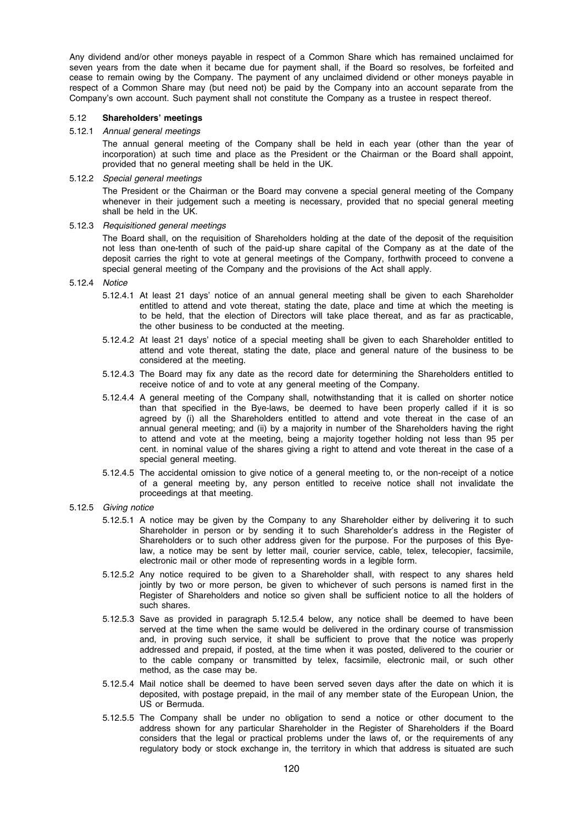Any dividend and/or other moneys payable in respect of a Common Share which has remained unclaimed for seven years from the date when it became due for payment shall, if the Board so resolves, be forfeited and cease to remain owing by the Company. The payment of any unclaimed dividend or other moneys payable in respect of a Common Share may (but need not) be paid by the Company into an account separate from the Company's own account. Such payment shall not constitute the Company as a trustee in respect thereof.

### 5.12 Shareholders' meetings

#### 5.12.1 Annual general meetings

The annual general meeting of the Company shall be held in each year (other than the year of incorporation) at such time and place as the President or the Chairman or the Board shall appoint, provided that no general meeting shall be held in the UK.

# 5.12.2 Special general meetings

The President or the Chairman or the Board may convene a special general meeting of the Company whenever in their judgement such a meeting is necessary, provided that no special general meeting shall be held in the UK.

# 5.12.3 Requisitioned general meetings

The Board shall, on the requisition of Shareholders holding at the date of the deposit of the requisition not less than one-tenth of such of the paid-up share capital of the Company as at the date of the deposit carries the right to vote at general meetings of the Company, forthwith proceed to convene a special general meeting of the Company and the provisions of the Act shall apply.

# 5.12.4 Notice

- 5.12.4.1 At least 21 days' notice of an annual general meeting shall be given to each Shareholder entitled to attend and vote thereat, stating the date, place and time at which the meeting is to be held, that the election of Directors will take place thereat, and as far as practicable, the other business to be conducted at the meeting.
- 5.12.4.2 At least 21 days' notice of a special meeting shall be given to each Shareholder entitled to attend and vote thereat, stating the date, place and general nature of the business to be considered at the meeting.
- 5.12.4.3 The Board may fix any date as the record date for determining the Shareholders entitled to receive notice of and to vote at any general meeting of the Company.
- 5.12.4.4 A general meeting of the Company shall, notwithstanding that it is called on shorter notice than that specified in the Bye-laws, be deemed to have been properly called if it is so agreed by (i) all the Shareholders entitled to attend and vote thereat in the case of an annual general meeting; and (ii) by a majority in number of the Shareholders having the right to attend and vote at the meeting, being a majority together holding not less than 95 per cent. in nominal value of the shares giving a right to attend and vote thereat in the case of a special general meeting.
- 5.12.4.5 The accidental omission to give notice of a general meeting to, or the non-receipt of a notice of a general meeting by, any person entitled to receive notice shall not invalidate the proceedings at that meeting.
- 5.12.5 Giving notice
	- 5.12.5.1 A notice may be given by the Company to any Shareholder either by delivering it to such Shareholder in person or by sending it to such Shareholder's address in the Register of Shareholders or to such other address given for the purpose. For the purposes of this Byelaw, a notice may be sent by letter mail, courier service, cable, telex, telecopier, facsimile, electronic mail or other mode of representing words in a legible form.
	- 5.12.5.2 Any notice required to be given to a Shareholder shall, with respect to any shares held jointly by two or more person, be given to whichever of such persons is named first in the Register of Shareholders and notice so given shall be sufficient notice to all the holders of such shares.
	- 5.12.5.3 Save as provided in paragraph 5.12.5.4 below, any notice shall be deemed to have been served at the time when the same would be delivered in the ordinary course of transmission and, in proving such service, it shall be sufficient to prove that the notice was properly addressed and prepaid, if posted, at the time when it was posted, delivered to the courier or to the cable company or transmitted by telex, facsimile, electronic mail, or such other method, as the case may be.
	- 5.12.5.4 Mail notice shall be deemed to have been served seven days after the date on which it is deposited, with postage prepaid, in the mail of any member state of the European Union, the US or Bermuda.
	- 5.12.5.5 The Company shall be under no obligation to send a notice or other document to the address shown for any particular Shareholder in the Register of Shareholders if the Board considers that the legal or practical problems under the laws of, or the requirements of any regulatory body or stock exchange in, the territory in which that address is situated are such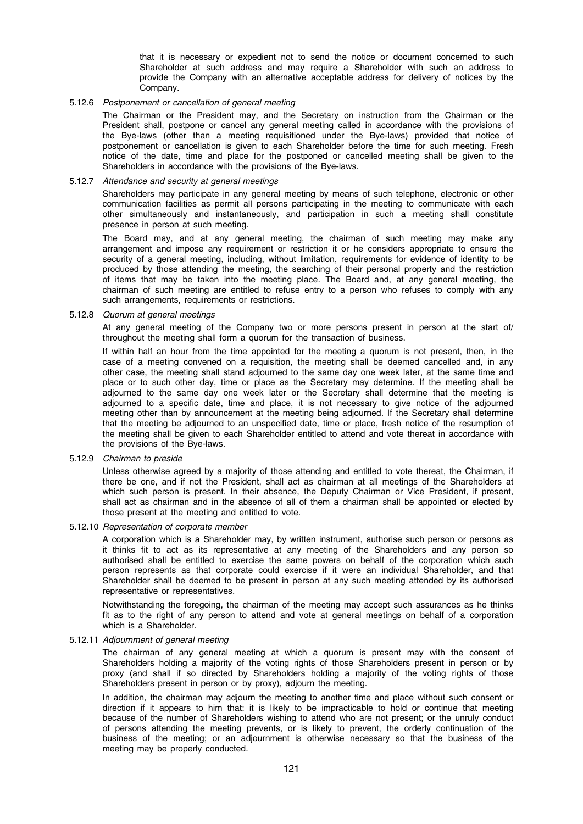that it is necessary or expedient not to send the notice or document concerned to such Shareholder at such address and may require a Shareholder with such an address to provide the Company with an alternative acceptable address for delivery of notices by the Company.

# 5.12.6 Postponement or cancellation of general meeting

The Chairman or the President may, and the Secretary on instruction from the Chairman or the President shall, postpone or cancel any general meeting called in accordance with the provisions of the Bye-laws (other than a meeting requisitioned under the Bye-laws) provided that notice of postponement or cancellation is given to each Shareholder before the time for such meeting. Fresh notice of the date, time and place for the postponed or cancelled meeting shall be given to the Shareholders in accordance with the provisions of the Bye-laws.

#### 5.12.7 Attendance and security at general meetings

Shareholders may participate in any general meeting by means of such telephone, electronic or other communication facilities as permit all persons participating in the meeting to communicate with each other simultaneously and instantaneously, and participation in such a meeting shall constitute presence in person at such meeting.

The Board may, and at any general meeting, the chairman of such meeting may make any arrangement and impose any requirement or restriction it or he considers appropriate to ensure the security of a general meeting, including, without limitation, requirements for evidence of identity to be produced by those attending the meeting, the searching of their personal property and the restriction of items that may be taken into the meeting place. The Board and, at any general meeting, the chairman of such meeting are entitled to refuse entry to a person who refuses to comply with any such arrangements, requirements or restrictions.

# 5.12.8 Quorum at general meetings

At any general meeting of the Company two or more persons present in person at the start of/ throughout the meeting shall form a quorum for the transaction of business.

If within half an hour from the time appointed for the meeting a quorum is not present, then, in the case of a meeting convened on a requisition, the meeting shall be deemed cancelled and, in any other case, the meeting shall stand adjourned to the same day one week later, at the same time and place or to such other day, time or place as the Secretary may determine. If the meeting shall be adjourned to the same day one week later or the Secretary shall determine that the meeting is adjourned to a specific date, time and place, it is not necessary to give notice of the adjourned meeting other than by announcement at the meeting being adjourned. If the Secretary shall determine that the meeting be adjourned to an unspecified date, time or place, fresh notice of the resumption of the meeting shall be given to each Shareholder entitled to attend and vote thereat in accordance with the provisions of the Bye-laws.

#### 5.12.9 Chairman to preside

Unless otherwise agreed by a majority of those attending and entitled to vote thereat, the Chairman, if there be one, and if not the President, shall act as chairman at all meetings of the Shareholders at which such person is present. In their absence, the Deputy Chairman or Vice President, if present, shall act as chairman and in the absence of all of them a chairman shall be appointed or elected by those present at the meeting and entitled to vote.

#### 5.12.10 Representation of corporate member

A corporation which is a Shareholder may, by written instrument, authorise such person or persons as it thinks fit to act as its representative at any meeting of the Shareholders and any person so authorised shall be entitled to exercise the same powers on behalf of the corporation which such person represents as that corporate could exercise if it were an individual Shareholder, and that Shareholder shall be deemed to be present in person at any such meeting attended by its authorised representative or representatives.

Notwithstanding the foregoing, the chairman of the meeting may accept such assurances as he thinks fit as to the right of any person to attend and vote at general meetings on behalf of a corporation which is a Shareholder.

#### 5.12.11 Adjournment of general meeting

The chairman of any general meeting at which a quorum is present may with the consent of Shareholders holding a majority of the voting rights of those Shareholders present in person or by proxy (and shall if so directed by Shareholders holding a majority of the voting rights of those Shareholders present in person or by proxy), adjourn the meeting.

In addition, the chairman may adjourn the meeting to another time and place without such consent or direction if it appears to him that: it is likely to be impracticable to hold or continue that meeting because of the number of Shareholders wishing to attend who are not present; or the unruly conduct of persons attending the meeting prevents, or is likely to prevent, the orderly continuation of the business of the meeting; or an adjournment is otherwise necessary so that the business of the meeting may be properly conducted.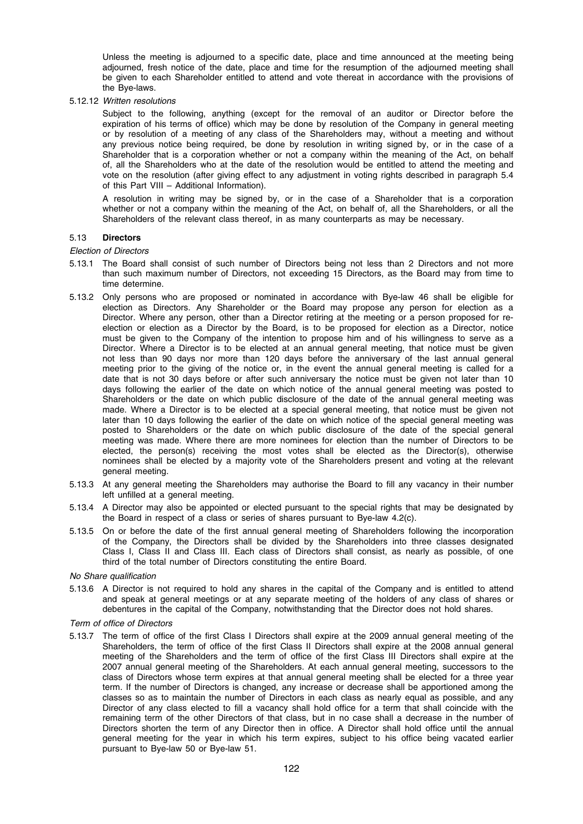Unless the meeting is adjourned to a specific date, place and time announced at the meeting being adjourned, fresh notice of the date, place and time for the resumption of the adjourned meeting shall be given to each Shareholder entitled to attend and vote thereat in accordance with the provisions of the Bye-laws.

5.12.12 Written resolutions

Subject to the following, anything (except for the removal of an auditor or Director before the expiration of his terms of office) which may be done by resolution of the Company in general meeting or by resolution of a meeting of any class of the Shareholders may, without a meeting and without any previous notice being required, be done by resolution in writing signed by, or in the case of a Shareholder that is a corporation whether or not a company within the meaning of the Act, on behalf of, all the Shareholders who at the date of the resolution would be entitled to attend the meeting and vote on the resolution (after giving effect to any adjustment in voting rights described in paragraph 5.4 of this Part VIII – Additional Information).

A resolution in writing may be signed by, or in the case of a Shareholder that is a corporation whether or not a company within the meaning of the Act, on behalf of, all the Shareholders, or all the Shareholders of the relevant class thereof, in as many counterparts as may be necessary.

# 5.13 Directors

#### Election of Directors

- 5.13.1 The Board shall consist of such number of Directors being not less than 2 Directors and not more than such maximum number of Directors, not exceeding 15 Directors, as the Board may from time to time determine.
- 5.13.2 Only persons who are proposed or nominated in accordance with Bye-law 46 shall be eligible for election as Directors. Any Shareholder or the Board may propose any person for election as a Director. Where any person, other than a Director retiring at the meeting or a person proposed for reelection or election as a Director by the Board, is to be proposed for election as a Director, notice must be given to the Company of the intention to propose him and of his willingness to serve as a Director. Where a Director is to be elected at an annual general meeting, that notice must be given not less than 90 days nor more than 120 days before the anniversary of the last annual general meeting prior to the giving of the notice or, in the event the annual general meeting is called for a date that is not 30 days before or after such anniversary the notice must be given not later than 10 days following the earlier of the date on which notice of the annual general meeting was posted to Shareholders or the date on which public disclosure of the date of the annual general meeting was made. Where a Director is to be elected at a special general meeting, that notice must be given not later than 10 days following the earlier of the date on which notice of the special general meeting was posted to Shareholders or the date on which public disclosure of the date of the special general meeting was made. Where there are more nominees for election than the number of Directors to be elected, the person(s) receiving the most votes shall be elected as the Director(s), otherwise nominees shall be elected by a majority vote of the Shareholders present and voting at the relevant general meeting.
- 5.13.3 At any general meeting the Shareholders may authorise the Board to fill any vacancy in their number left unfilled at a general meeting.
- 5.13.4 A Director may also be appointed or elected pursuant to the special rights that may be designated by the Board in respect of a class or series of shares pursuant to Bye-law 4.2(c).
- 5.13.5 On or before the date of the first annual general meeting of Shareholders following the incorporation of the Company, the Directors shall be divided by the Shareholders into three classes designated Class I, Class II and Class III. Each class of Directors shall consist, as nearly as possible, of one third of the total number of Directors constituting the entire Board.

No Share qualification

5.13.6 A Director is not required to hold any shares in the capital of the Company and is entitled to attend and speak at general meetings or at any separate meeting of the holders of any class of shares or debentures in the capital of the Company, notwithstanding that the Director does not hold shares.

# Term of office of Directors

5.13.7 The term of office of the first Class I Directors shall expire at the 2009 annual general meeting of the Shareholders, the term of office of the first Class II Directors shall expire at the 2008 annual general meeting of the Shareholders and the term of office of the first Class III Directors shall expire at the 2007 annual general meeting of the Shareholders. At each annual general meeting, successors to the class of Directors whose term expires at that annual general meeting shall be elected for a three year term. If the number of Directors is changed, any increase or decrease shall be apportioned among the classes so as to maintain the number of Directors in each class as nearly equal as possible, and any Director of any class elected to fill a vacancy shall hold office for a term that shall coincide with the remaining term of the other Directors of that class, but in no case shall a decrease in the number of Directors shorten the term of any Director then in office. A Director shall hold office until the annual general meeting for the year in which his term expires, subject to his office being vacated earlier pursuant to Bye-law 50 or Bye-law 51.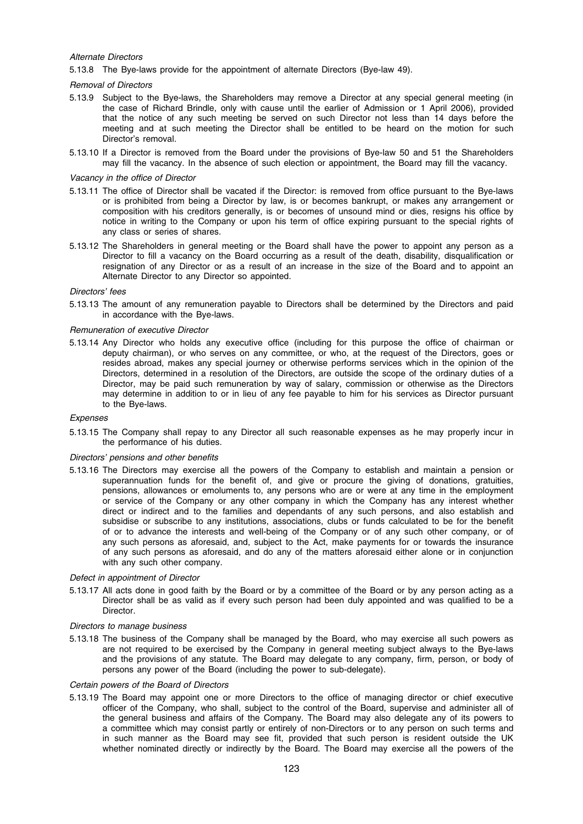## Alternate Directors

5.13.8 The Bye-laws provide for the appointment of alternate Directors (Bye-law 49).

#### Removal of Directors

- 5.13.9 Subject to the Bye-laws, the Shareholders may remove a Director at any special general meeting (in the case of Richard Brindle, only with cause until the earlier of Admission or 1 April 2006), provided that the notice of any such meeting be served on such Director not less than 14 days before the meeting and at such meeting the Director shall be entitled to be heard on the motion for such Director's removal.
- 5.13.10 If a Director is removed from the Board under the provisions of Bye-law 50 and 51 the Shareholders may fill the vacancy. In the absence of such election or appointment, the Board may fill the vacancy.

### Vacancy in the office of Director

- 5.13.11 The office of Director shall be vacated if the Director: is removed from office pursuant to the Bye-laws or is prohibited from being a Director by law, is or becomes bankrupt, or makes any arrangement or composition with his creditors generally, is or becomes of unsound mind or dies, resigns his office by notice in writing to the Company or upon his term of office expiring pursuant to the special rights of any class or series of shares.
- 5.13.12 The Shareholders in general meeting or the Board shall have the power to appoint any person as a Director to fill a vacancy on the Board occurring as a result of the death, disability, disqualification or resignation of any Director or as a result of an increase in the size of the Board and to appoint an Alternate Director to any Director so appointed.

#### Directors' fees

5.13.13 The amount of any remuneration payable to Directors shall be determined by the Directors and paid in accordance with the Bye-laws.

#### Remuneration of executive Director

5.13.14 Any Director who holds any executive office (including for this purpose the office of chairman or deputy chairman), or who serves on any committee, or who, at the request of the Directors, goes or resides abroad, makes any special journey or otherwise performs services which in the opinion of the Directors, determined in a resolution of the Directors, are outside the scope of the ordinary duties of a Director, may be paid such remuneration by way of salary, commission or otherwise as the Directors may determine in addition to or in lieu of any fee payable to him for his services as Director pursuant to the Bye-laws.

#### Expenses

5.13.15 The Company shall repay to any Director all such reasonable expenses as he may properly incur in the performance of his duties.

#### Directors' pensions and other benefits

5.13.16 The Directors may exercise all the powers of the Company to establish and maintain a pension or superannuation funds for the benefit of, and give or procure the giving of donations, gratuities, pensions, allowances or emoluments to, any persons who are or were at any time in the employment or service of the Company or any other company in which the Company has any interest whether direct or indirect and to the families and dependants of any such persons, and also establish and subsidise or subscribe to any institutions, associations, clubs or funds calculated to be for the benefit of or to advance the interests and well-being of the Company or of any such other company, or of any such persons as aforesaid, and, subject to the Act, make payments for or towards the insurance of any such persons as aforesaid, and do any of the matters aforesaid either alone or in conjunction with any such other company.

# Defect in appointment of Director

5.13.17 All acts done in good faith by the Board or by a committee of the Board or by any person acting as a Director shall be as valid as if every such person had been duly appointed and was qualified to be a Director.

#### Directors to manage business

5.13.18 The business of the Company shall be managed by the Board, who may exercise all such powers as are not required to be exercised by the Company in general meeting subject always to the Bye-laws and the provisions of any statute. The Board may delegate to any company, firm, person, or body of persons any power of the Board (including the power to sub-delegate).

#### Certain powers of the Board of Directors

5.13.19 The Board may appoint one or more Directors to the office of managing director or chief executive officer of the Company, who shall, subject to the control of the Board, supervise and administer all of the general business and affairs of the Company. The Board may also delegate any of its powers to a committee which may consist partly or entirely of non-Directors or to any person on such terms and in such manner as the Board may see fit, provided that such person is resident outside the UK whether nominated directly or indirectly by the Board. The Board may exercise all the powers of the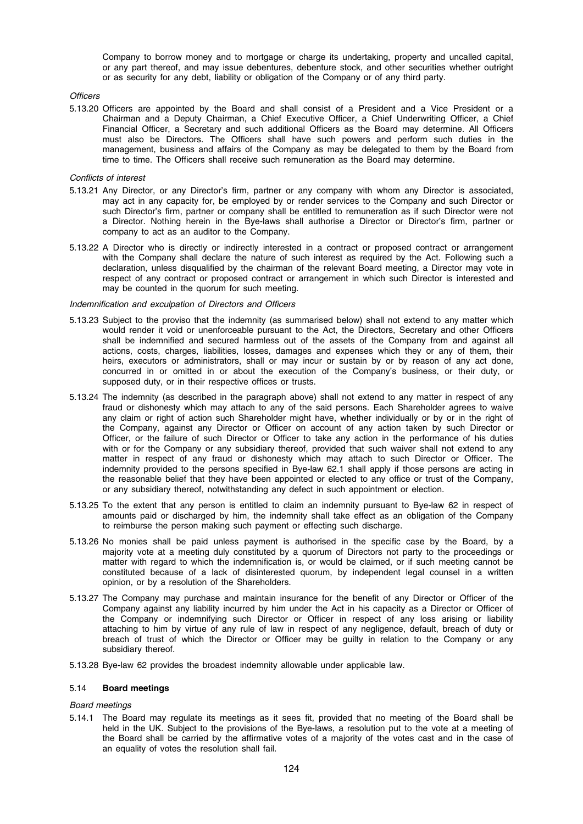Company to borrow money and to mortgage or charge its undertaking, property and uncalled capital, or any part thereof, and may issue debentures, debenture stock, and other securities whether outright or as security for any debt, liability or obligation of the Company or of any third party.

#### **Officers**

5.13.20 Officers are appointed by the Board and shall consist of a President and a Vice President or a Chairman and a Deputy Chairman, a Chief Executive Officer, a Chief Underwriting Officer, a Chief Financial Officer, a Secretary and such additional Officers as the Board may determine. All Officers must also be Directors. The Officers shall have such powers and perform such duties in the management, business and affairs of the Company as may be delegated to them by the Board from time to time. The Officers shall receive such remuneration as the Board may determine.

### Conflicts of interest

- 5.13.21 Any Director, or any Director's firm, partner or any company with whom any Director is associated, may act in any capacity for, be employed by or render services to the Company and such Director or such Director's firm, partner or company shall be entitled to remuneration as if such Director were not a Director. Nothing herein in the Bye-laws shall authorise a Director or Director's firm, partner or company to act as an auditor to the Company.
- 5.13.22 A Director who is directly or indirectly interested in a contract or proposed contract or arrangement with the Company shall declare the nature of such interest as required by the Act. Following such a declaration, unless disqualified by the chairman of the relevant Board meeting, a Director may vote in respect of any contract or proposed contract or arrangement in which such Director is interested and may be counted in the quorum for such meeting.

#### Indemnification and exculpation of Directors and Officers

- 5.13.23 Subject to the proviso that the indemnity (as summarised below) shall not extend to any matter which would render it void or unenforceable pursuant to the Act, the Directors, Secretary and other Officers shall be indemnified and secured harmless out of the assets of the Company from and against all actions, costs, charges, liabilities, losses, damages and expenses which they or any of them, their heirs, executors or administrators, shall or may incur or sustain by or by reason of any act done, concurred in or omitted in or about the execution of the Company's business, or their duty, or supposed duty, or in their respective offices or trusts.
- 5.13.24 The indemnity (as described in the paragraph above) shall not extend to any matter in respect of any fraud or dishonesty which may attach to any of the said persons. Each Shareholder agrees to waive any claim or right of action such Shareholder might have, whether individually or by or in the right of the Company, against any Director or Officer on account of any action taken by such Director or Officer, or the failure of such Director or Officer to take any action in the performance of his duties with or for the Company or any subsidiary thereof, provided that such waiver shall not extend to any matter in respect of any fraud or dishonesty which may attach to such Director or Officer. The indemnity provided to the persons specified in Bye-law 62.1 shall apply if those persons are acting in the reasonable belief that they have been appointed or elected to any office or trust of the Company, or any subsidiary thereof, notwithstanding any defect in such appointment or election.
- 5.13.25 To the extent that any person is entitled to claim an indemnity pursuant to Bye-law 62 in respect of amounts paid or discharged by him, the indemnity shall take effect as an obligation of the Company to reimburse the person making such payment or effecting such discharge.
- 5.13.26 No monies shall be paid unless payment is authorised in the specific case by the Board, by a majority vote at a meeting duly constituted by a quorum of Directors not party to the proceedings or matter with regard to which the indemnification is, or would be claimed, or if such meeting cannot be constituted because of a lack of disinterested quorum, by independent legal counsel in a written opinion, or by a resolution of the Shareholders.
- 5.13.27 The Company may purchase and maintain insurance for the benefit of any Director or Officer of the Company against any liability incurred by him under the Act in his capacity as a Director or Officer of the Company or indemnifying such Director or Officer in respect of any loss arising or liability attaching to him by virtue of any rule of law in respect of any negligence, default, breach of duty or breach of trust of which the Director or Officer may be guilty in relation to the Company or any subsidiary thereof.
- 5.13.28 Bye-law 62 provides the broadest indemnity allowable under applicable law.

#### 5.14 Board meetings

# Board meetings

5.14.1 The Board may regulate its meetings as it sees fit, provided that no meeting of the Board shall be held in the UK. Subject to the provisions of the Bye-laws, a resolution put to the vote at a meeting of the Board shall be carried by the affirmative votes of a majority of the votes cast and in the case of an equality of votes the resolution shall fail.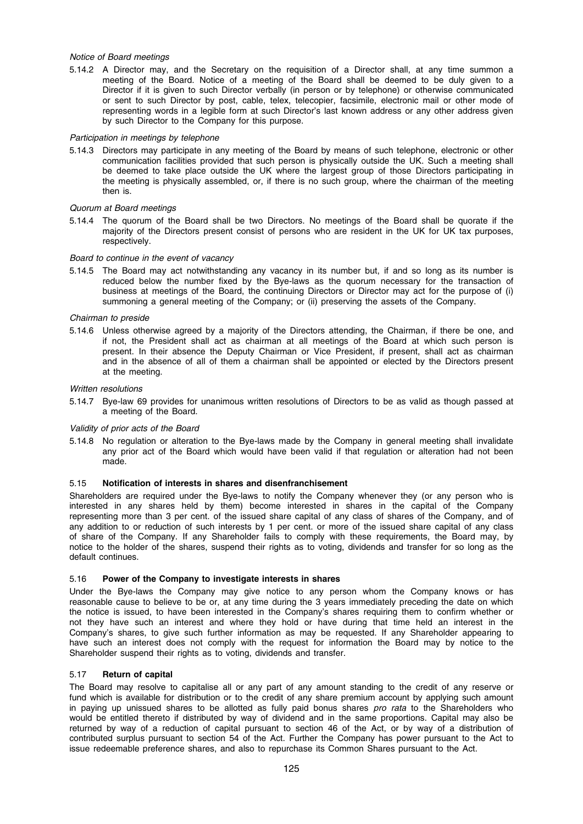# Notice of Board meetings

5.14.2 A Director may, and the Secretary on the requisition of a Director shall, at any time summon a meeting of the Board. Notice of a meeting of the Board shall be deemed to be duly given to a Director if it is given to such Director verbally (in person or by telephone) or otherwise communicated or sent to such Director by post, cable, telex, telecopier, facsimile, electronic mail or other mode of representing words in a legible form at such Director's last known address or any other address given by such Director to the Company for this purpose.

# Participation in meetings by telephone

5.14.3 Directors may participate in any meeting of the Board by means of such telephone, electronic or other communication facilities provided that such person is physically outside the UK. Such a meeting shall be deemed to take place outside the UK where the largest group of those Directors participating in the meeting is physically assembled, or, if there is no such group, where the chairman of the meeting then is.

# Quorum at Board meetings

5.14.4 The quorum of the Board shall be two Directors. No meetings of the Board shall be quorate if the majority of the Directors present consist of persons who are resident in the UK for UK tax purposes, respectively.

# Board to continue in the event of vacancy

5.14.5 The Board may act notwithstanding any vacancy in its number but, if and so long as its number is reduced below the number fixed by the Bye-laws as the quorum necessary for the transaction of business at meetings of the Board, the continuing Directors or Director may act for the purpose of (i) summoning a general meeting of the Company; or (ii) preserving the assets of the Company.

# Chairman to preside

5.14.6 Unless otherwise agreed by a majority of the Directors attending, the Chairman, if there be one, and if not, the President shall act as chairman at all meetings of the Board at which such person is present. In their absence the Deputy Chairman or Vice President, if present, shall act as chairman and in the absence of all of them a chairman shall be appointed or elected by the Directors present at the meeting.

# Written resolutions

5.14.7 Bye-law 69 provides for unanimous written resolutions of Directors to be as valid as though passed at a meeting of the Board.

# Validity of prior acts of the Board

5.14.8 No regulation or alteration to the Bye-laws made by the Company in general meeting shall invalidate any prior act of the Board which would have been valid if that regulation or alteration had not been made.

# 5.15 Notification of interests in shares and disenfranchisement

Shareholders are required under the Bye-laws to notify the Company whenever they (or any person who is interested in any shares held by them) become interested in shares in the capital of the Company representing more than 3 per cent. of the issued share capital of any class of shares of the Company, and of any addition to or reduction of such interests by 1 per cent. or more of the issued share capital of any class of share of the Company. If any Shareholder fails to comply with these requirements, the Board may, by notice to the holder of the shares, suspend their rights as to voting, dividends and transfer for so long as the default continues.

# 5.16 Power of the Company to investigate interests in shares

Under the Bye-laws the Company may give notice to any person whom the Company knows or has reasonable cause to believe to be or, at any time during the 3 years immediately preceding the date on which the notice is issued, to have been interested in the Company's shares requiring them to confirm whether or not they have such an interest and where they hold or have during that time held an interest in the Company's shares, to give such further information as may be requested. If any Shareholder appearing to have such an interest does not comply with the request for information the Board may by notice to the Shareholder suspend their rights as to voting, dividends and transfer.

# 5.17 Return of capital

The Board may resolve to capitalise all or any part of any amount standing to the credit of any reserve or fund which is available for distribution or to the credit of any share premium account by applying such amount in paying up unissued shares to be allotted as fully paid bonus shares pro rata to the Shareholders who would be entitled thereto if distributed by way of dividend and in the same proportions. Capital may also be returned by way of a reduction of capital pursuant to section 46 of the Act, or by way of a distribution of contributed surplus pursuant to section 54 of the Act. Further the Company has power pursuant to the Act to issue redeemable preference shares, and also to repurchase its Common Shares pursuant to the Act.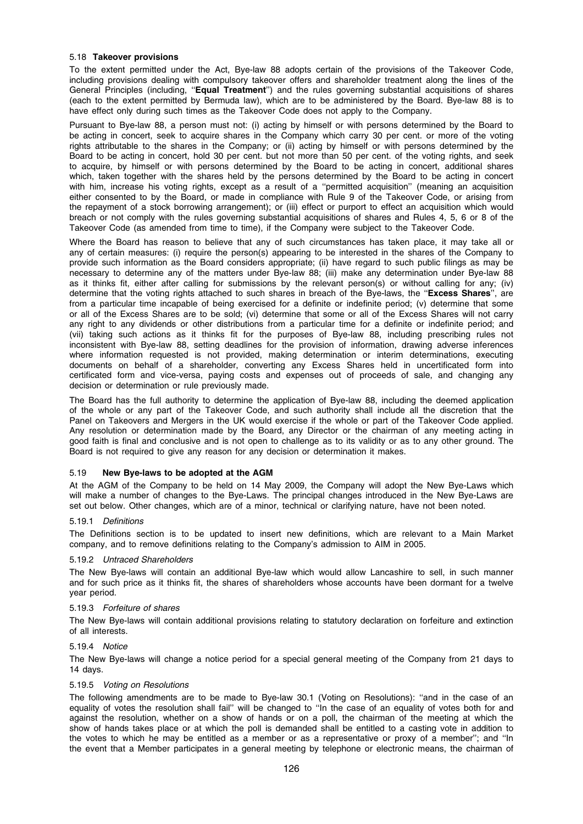### 5.18 Takeover provisions

To the extent permitted under the Act, Bye-law 88 adopts certain of the provisions of the Takeover Code, including provisions dealing with compulsory takeover offers and shareholder treatment along the lines of the General Principles (including, "Equal Treatment") and the rules governing substantial acquisitions of shares (each to the extent permitted by Bermuda law), which are to be administered by the Board. Bye-law 88 is to have effect only during such times as the Takeover Code does not apply to the Company.

Pursuant to Bye-law 88, a person must not: (i) acting by himself or with persons determined by the Board to be acting in concert, seek to acquire shares in the Company which carry 30 per cent. or more of the voting rights attributable to the shares in the Company; or (ii) acting by himself or with persons determined by the Board to be acting in concert, hold 30 per cent. but not more than 50 per cent. of the voting rights, and seek to acquire, by himself or with persons determined by the Board to be acting in concert, additional shares which, taken together with the shares held by the persons determined by the Board to be acting in concert with him, increase his voting rights, except as a result of a ''permitted acquisition'' (meaning an acquisition either consented to by the Board, or made in compliance with Rule 9 of the Takeover Code, or arising from the repayment of a stock borrowing arrangement); or (iii) effect or purport to effect an acquisition which would breach or not comply with the rules governing substantial acquisitions of shares and Rules 4, 5, 6 or 8 of the Takeover Code (as amended from time to time), if the Company were subject to the Takeover Code.

Where the Board has reason to believe that any of such circumstances has taken place, it may take all or any of certain measures: (i) require the person(s) appearing to be interested in the shares of the Company to provide such information as the Board considers appropriate; (ii) have regard to such public filings as may be necessary to determine any of the matters under Bye-law 88; (iii) make any determination under Bye-law 88 as it thinks fit, either after calling for submissions by the relevant person(s) or without calling for any; (iv) determine that the voting rights attached to such shares in breach of the Bye-laws, the "Excess Shares", are from a particular time incapable of being exercised for a definite or indefinite period; (v) determine that some or all of the Excess Shares are to be sold; (vi) determine that some or all of the Excess Shares will not carry any right to any dividends or other distributions from a particular time for a definite or indefinite period; and (vii) taking such actions as it thinks fit for the purposes of Bye-law 88, including prescribing rules not inconsistent with Bye-law 88, setting deadlines for the provision of information, drawing adverse inferences where information requested is not provided, making determination or interim determinations, executing documents on behalf of a shareholder, converting any Excess Shares held in uncertificated form into certificated form and vice-versa, paying costs and expenses out of proceeds of sale, and changing any decision or determination or rule previously made.

The Board has the full authority to determine the application of Bye-law 88, including the deemed application of the whole or any part of the Takeover Code, and such authority shall include all the discretion that the Panel on Takeovers and Mergers in the UK would exercise if the whole or part of the Takeover Code applied. Any resolution or determination made by the Board, any Director or the chairman of any meeting acting in good faith is final and conclusive and is not open to challenge as to its validity or as to any other ground. The Board is not required to give any reason for any decision or determination it makes.

#### 5.19 New Bye-laws to be adopted at the AGM

At the AGM of the Company to be held on 14 May 2009, the Company will adopt the New Bye-Laws which will make a number of changes to the Bye-Laws. The principal changes introduced in the New Bye-Laws are set out below. Other changes, which are of a minor, technical or clarifying nature, have not been noted.

#### 5.19.1 Definitions

The Definitions section is to be updated to insert new definitions, which are relevant to a Main Market company, and to remove definitions relating to the Company's admission to AIM in 2005.

#### 5.19.2 Untraced Shareholders

The New Bye-laws will contain an additional Bye-law which would allow Lancashire to sell, in such manner and for such price as it thinks fit, the shares of shareholders whose accounts have been dormant for a twelve year period.

#### 5.19.3 Forfeiture of shares

The New Bye-laws will contain additional provisions relating to statutory declaration on forfeiture and extinction of all interests.

#### 5.19.4 Notice

The New Bye-laws will change a notice period for a special general meeting of the Company from 21 days to 14 days.

#### 5.19.5 Voting on Resolutions

The following amendments are to be made to Bye-law 30.1 (Voting on Resolutions): ''and in the case of an equality of votes the resolution shall fail'' will be changed to ''In the case of an equality of votes both for and against the resolution, whether on a show of hands or on a poll, the chairman of the meeting at which the show of hands takes place or at which the poll is demanded shall be entitled to a casting vote in addition to the votes to which he may be entitled as a member or as a representative or proxy of a member''; and ''In the event that a Member participates in a general meeting by telephone or electronic means, the chairman of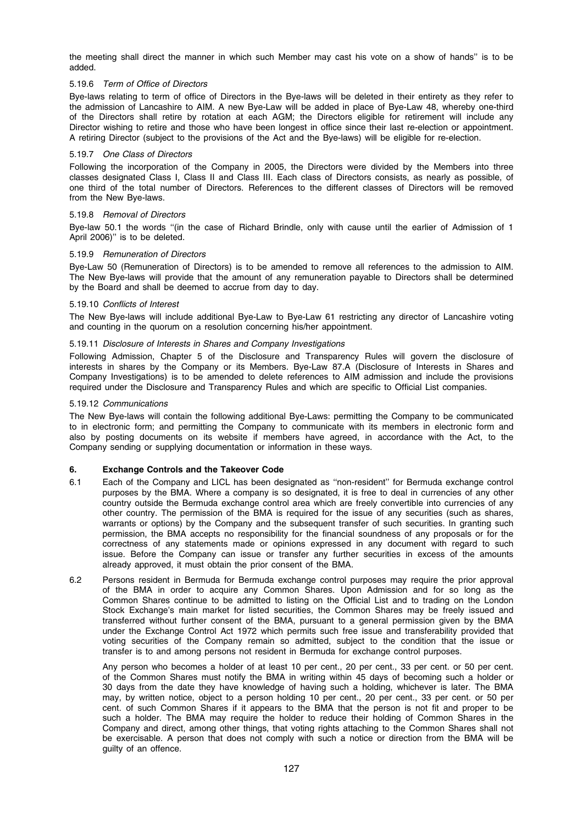the meeting shall direct the manner in which such Member may cast his vote on a show of hands'' is to be added.

## 5.19.6 Term of Office of Directors

Bye-laws relating to term of office of Directors in the Bye-laws will be deleted in their entirety as they refer to the admission of Lancashire to AIM. A new Bye-Law will be added in place of Bye-Law 48, whereby one-third of the Directors shall retire by rotation at each AGM; the Directors eligible for retirement will include any Director wishing to retire and those who have been longest in office since their last re-election or appointment. A retiring Director (subject to the provisions of the Act and the Bye-laws) will be eligible for re-election.

# 5.19.7 One Class of Directors

Following the incorporation of the Company in 2005, the Directors were divided by the Members into three classes designated Class I, Class II and Class III. Each class of Directors consists, as nearly as possible, of one third of the total number of Directors. References to the different classes of Directors will be removed from the New Bye-laws.

#### 5.19.8 Removal of Directors

Bye-law 50.1 the words "(in the case of Richard Brindle, only with cause until the earlier of Admission of 1 April 2006)'' is to be deleted.

#### 5.19.9 Remuneration of Directors

Bye-Law 50 (Remuneration of Directors) is to be amended to remove all references to the admission to AIM. The New Bye-laws will provide that the amount of any remuneration payable to Directors shall be determined by the Board and shall be deemed to accrue from day to day.

#### 5.19.10 Conflicts of Interest

The New Bye-laws will include additional Bye-Law to Bye-Law 61 restricting any director of Lancashire voting and counting in the quorum on a resolution concerning his/her appointment.

#### 5.19.11 Disclosure of Interests in Shares and Company Investigations

Following Admission, Chapter 5 of the Disclosure and Transparency Rules will govern the disclosure of interests in shares by the Company or its Members. Bye-Law 87.A (Disclosure of Interests in Shares and Company Investigations) is to be amended to delete references to AIM admission and include the provisions required under the Disclosure and Transparency Rules and which are specific to Official List companies.

#### 5.19.12 Communications

The New Bye-laws will contain the following additional Bye-Laws: permitting the Company to be communicated to in electronic form; and permitting the Company to communicate with its members in electronic form and also by posting documents on its website if members have agreed, in accordance with the Act, to the Company sending or supplying documentation or information in these ways.

# 6. Exchange Controls and the Takeover Code

- 6.1 Each of the Company and LICL has been designated as ''non-resident'' for Bermuda exchange control purposes by the BMA. Where a company is so designated, it is free to deal in currencies of any other country outside the Bermuda exchange control area which are freely convertible into currencies of any other country. The permission of the BMA is required for the issue of any securities (such as shares, warrants or options) by the Company and the subsequent transfer of such securities. In granting such permission, the BMA accepts no responsibility for the financial soundness of any proposals or for the correctness of any statements made or opinions expressed in any document with regard to such issue. Before the Company can issue or transfer any further securities in excess of the amounts already approved, it must obtain the prior consent of the BMA.
- 6.2 Persons resident in Bermuda for Bermuda exchange control purposes may require the prior approval of the BMA in order to acquire any Common Shares. Upon Admission and for so long as the Common Shares continue to be admitted to listing on the Official List and to trading on the London Stock Exchange's main market for listed securities, the Common Shares may be freely issued and transferred without further consent of the BMA, pursuant to a general permission given by the BMA under the Exchange Control Act 1972 which permits such free issue and transferability provided that voting securities of the Company remain so admitted, subject to the condition that the issue or transfer is to and among persons not resident in Bermuda for exchange control purposes.

Any person who becomes a holder of at least 10 per cent., 20 per cent., 33 per cent. or 50 per cent. of the Common Shares must notify the BMA in writing within 45 days of becoming such a holder or 30 days from the date they have knowledge of having such a holding, whichever is later. The BMA may, by written notice, object to a person holding 10 per cent., 20 per cent., 33 per cent. or 50 per cent. of such Common Shares if it appears to the BMA that the person is not fit and proper to be such a holder. The BMA may require the holder to reduce their holding of Common Shares in the Company and direct, among other things, that voting rights attaching to the Common Shares shall not be exercisable. A person that does not comply with such a notice or direction from the BMA will be guilty of an offence.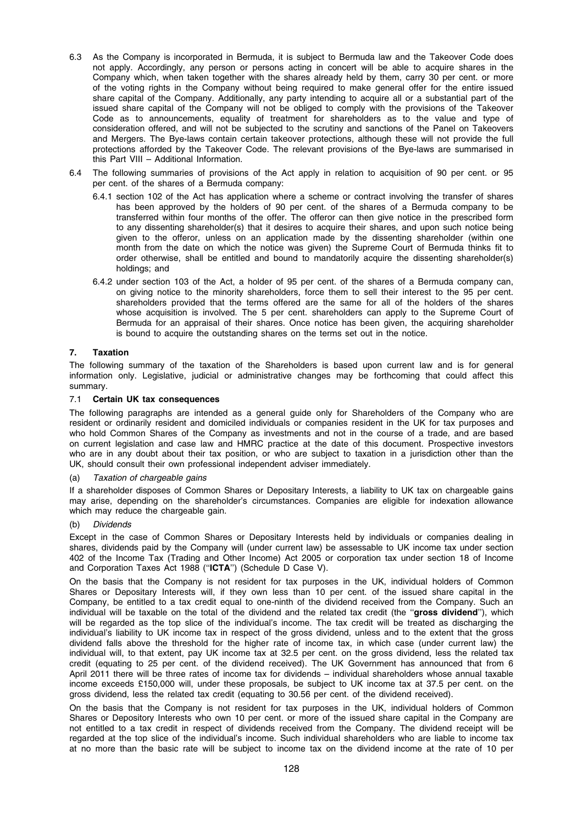- 6.3 As the Company is incorporated in Bermuda, it is subject to Bermuda law and the Takeover Code does not apply. Accordingly, any person or persons acting in concert will be able to acquire shares in the Company which, when taken together with the shares already held by them, carry 30 per cent. or more of the voting rights in the Company without being required to make general offer for the entire issued share capital of the Company. Additionally, any party intending to acquire all or a substantial part of the issued share capital of the Company will not be obliged to comply with the provisions of the Takeover Code as to announcements, equality of treatment for shareholders as to the value and type of consideration offered, and will not be subjected to the scrutiny and sanctions of the Panel on Takeovers and Mergers. The Bye-laws contain certain takeover protections, although these will not provide the full protections afforded by the Takeover Code. The relevant provisions of the Bye-laws are summarised in this Part VIII – Additional Information.
- 6.4 The following summaries of provisions of the Act apply in relation to acquisition of 90 per cent. or 95 per cent. of the shares of a Bermuda company:
	- 6.4.1 section 102 of the Act has application where a scheme or contract involving the transfer of shares has been approved by the holders of 90 per cent. of the shares of a Bermuda company to be transferred within four months of the offer. The offeror can then give notice in the prescribed form to any dissenting shareholder(s) that it desires to acquire their shares, and upon such notice being given to the offeror, unless on an application made by the dissenting shareholder (within one month from the date on which the notice was given) the Supreme Court of Bermuda thinks fit to order otherwise, shall be entitled and bound to mandatorily acquire the dissenting shareholder(s) holdings; and
	- 6.4.2 under section 103 of the Act, a holder of 95 per cent. of the shares of a Bermuda company can, on giving notice to the minority shareholders, force them to sell their interest to the 95 per cent. shareholders provided that the terms offered are the same for all of the holders of the shares whose acquisition is involved. The 5 per cent. shareholders can apply to the Supreme Court of Bermuda for an appraisal of their shares. Once notice has been given, the acquiring shareholder is bound to acquire the outstanding shares on the terms set out in the notice.

# 7. Taxation

The following summary of the taxation of the Shareholders is based upon current law and is for general information only. Legislative, judicial or administrative changes may be forthcoming that could affect this summary.

# 7.1 Certain UK tax consequences

The following paragraphs are intended as a general guide only for Shareholders of the Company who are resident or ordinarily resident and domiciled individuals or companies resident in the UK for tax purposes and who hold Common Shares of the Company as investments and not in the course of a trade, and are based on current legislation and case law and HMRC practice at the date of this document. Prospective investors who are in any doubt about their tax position, or who are subject to taxation in a jurisdiction other than the UK, should consult their own professional independent adviser immediately.

# (a) Taxation of chargeable gains

If a shareholder disposes of Common Shares or Depositary Interests, a liability to UK tax on chargeable gains may arise, depending on the shareholder's circumstances. Companies are eligible for indexation allowance which may reduce the chargeable gain.

# (b) Dividends

Except in the case of Common Shares or Depositary Interests held by individuals or companies dealing in shares, dividends paid by the Company will (under current law) be assessable to UK income tax under section 402 of the Income Tax (Trading and Other Income) Act 2005 or corporation tax under section 18 of Income and Corporation Taxes Act 1988 ("ICTA") (Schedule D Case V).

On the basis that the Company is not resident for tax purposes in the UK, individual holders of Common Shares or Depositary Interests will, if they own less than 10 per cent. of the issued share capital in the Company, be entitled to a tax credit equal to one-ninth of the dividend received from the Company. Such an individual will be taxable on the total of the dividend and the related tax credit (the "gross dividend"), which will be regarded as the top slice of the individual's income. The tax credit will be treated as discharging the individual's liability to UK income tax in respect of the gross dividend, unless and to the extent that the gross dividend falls above the threshold for the higher rate of income tax, in which case (under current law) the individual will, to that extent, pay UK income tax at 32.5 per cent. on the gross dividend, less the related tax credit (equating to 25 per cent. of the dividend received). The UK Government has announced that from 6 April 2011 there will be three rates of income tax for dividends – individual shareholders whose annual taxable income exceeds £150,000 will, under these proposals, be subject to UK income tax at 37.5 per cent. on the gross dividend, less the related tax credit (equating to 30.56 per cent. of the dividend received).

On the basis that the Company is not resident for tax purposes in the UK, individual holders of Common Shares or Depository Interests who own 10 per cent. or more of the issued share capital in the Company are not entitled to a tax credit in respect of dividends received from the Company. The dividend receipt will be regarded at the top slice of the individual's income. Such individual shareholders who are liable to income tax at no more than the basic rate will be subject to income tax on the dividend income at the rate of 10 per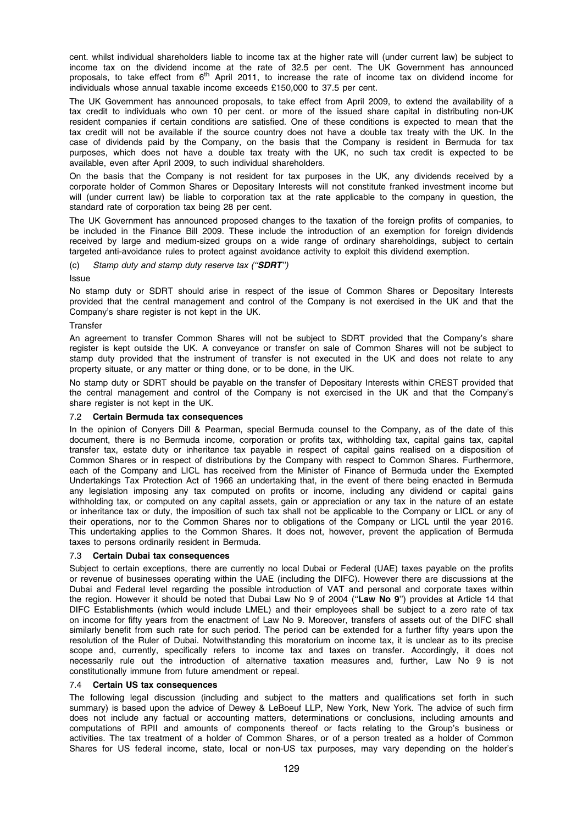cent. whilst individual shareholders liable to income tax at the higher rate will (under current law) be subject to income tax on the dividend income at the rate of 32.5 per cent. The UK Government has announced proposals, to take effect from 6<sup>th</sup> April 2011, to increase the rate of income tax on dividend income for individuals whose annual taxable income exceeds £150,000 to 37.5 per cent.

The UK Government has announced proposals, to take effect from April 2009, to extend the availability of a tax credit to individuals who own 10 per cent. or more of the issued share capital in distributing non-UK resident companies if certain conditions are satisfied. One of these conditions is expected to mean that the tax credit will not be available if the source country does not have a double tax treaty with the UK. In the case of dividends paid by the Company, on the basis that the Company is resident in Bermuda for tax purposes, which does not have a double tax treaty with the UK, no such tax credit is expected to be available, even after April 2009, to such individual shareholders.

On the basis that the Company is not resident for tax purposes in the UK, any dividends received by a corporate holder of Common Shares or Depositary Interests will not constitute franked investment income but will (under current law) be liable to corporation tax at the rate applicable to the company in question, the standard rate of corporation tax being 28 per cent.

The UK Government has announced proposed changes to the taxation of the foreign profits of companies, to be included in the Finance Bill 2009. These include the introduction of an exemption for foreign dividends received by large and medium-sized groups on a wide range of ordinary shareholdings, subject to certain targeted anti-avoidance rules to protect against avoidance activity to exploit this dividend exemption.

(c) Stamp duty and stamp duty reserve tax (''SDRT'')

Issue

No stamp duty or SDRT should arise in respect of the issue of Common Shares or Depositary Interests provided that the central management and control of the Company is not exercised in the UK and that the Company's share register is not kept in the UK.

# **Transfer**

An agreement to transfer Common Shares will not be subject to SDRT provided that the Company's share register is kept outside the UK. A conveyance or transfer on sale of Common Shares will not be subject to stamp duty provided that the instrument of transfer is not executed in the UK and does not relate to any property situate, or any matter or thing done, or to be done, in the UK.

No stamp duty or SDRT should be payable on the transfer of Depositary Interests within CREST provided that the central management and control of the Company is not exercised in the UK and that the Company's share register is not kept in the UK.

# 7.2 Certain Bermuda tax consequences

In the opinion of Conyers Dill & Pearman, special Bermuda counsel to the Company, as of the date of this document, there is no Bermuda income, corporation or profits tax, withholding tax, capital gains tax, capital transfer tax, estate duty or inheritance tax payable in respect of capital gains realised on a disposition of Common Shares or in respect of distributions by the Company with respect to Common Shares. Furthermore, each of the Company and LICL has received from the Minister of Finance of Bermuda under the Exempted Undertakings Tax Protection Act of 1966 an undertaking that, in the event of there being enacted in Bermuda any legislation imposing any tax computed on profits or income, including any dividend or capital gains withholding tax, or computed on any capital assets, gain or appreciation or any tax in the nature of an estate or inheritance tax or duty, the imposition of such tax shall not be applicable to the Company or LICL or any of their operations, nor to the Common Shares nor to obligations of the Company or LICL until the year 2016. This undertaking applies to the Common Shares. It does not, however, prevent the application of Bermuda taxes to persons ordinarily resident in Bermuda.

# 7.3 Certain Dubai tax consequences

Subject to certain exceptions, there are currently no local Dubai or Federal (UAE) taxes payable on the profits or revenue of businesses operating within the UAE (including the DIFC). However there are discussions at the Dubai and Federal level regarding the possible introduction of VAT and personal and corporate taxes within the region. However it should be noted that Dubai Law No 9 of 2004 ("Law No 9") provides at Article 14 that DIFC Establishments (which would include LMEL) and their employees shall be subject to a zero rate of tax on income for fifty years from the enactment of Law No 9. Moreover, transfers of assets out of the DIFC shall similarly benefit from such rate for such period. The period can be extended for a further fifty years upon the resolution of the Ruler of Dubai. Notwithstanding this moratorium on income tax, it is unclear as to its precise scope and, currently, specifically refers to income tax and taxes on transfer. Accordingly, it does not necessarily rule out the introduction of alternative taxation measures and, further, Law No 9 is not constitutionally immune from future amendment or repeal.

# 7.4 Certain US tax consequences

The following legal discussion (including and subject to the matters and qualifications set forth in such summary) is based upon the advice of Dewey & LeBoeuf LLP, New York, New York. The advice of such firm does not include any factual or accounting matters, determinations or conclusions, including amounts and computations of RPII and amounts of components thereof or facts relating to the Group's business or activities. The tax treatment of a holder of Common Shares, or of a person treated as a holder of Common Shares for US federal income, state, local or non-US tax purposes, may vary depending on the holder's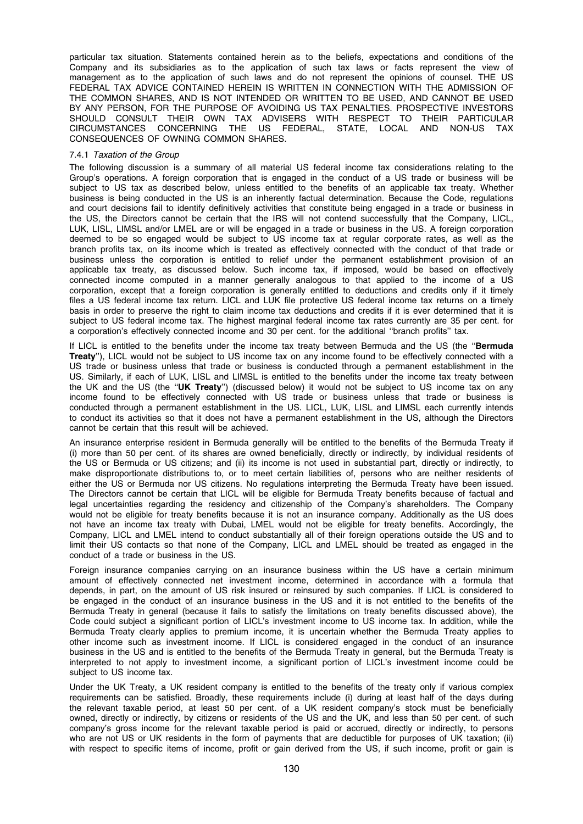particular tax situation. Statements contained herein as to the beliefs, expectations and conditions of the Company and its subsidiaries as to the application of such tax laws or facts represent the view of management as to the application of such laws and do not represent the opinions of counsel. THE US FEDERAL TAX ADVICE CONTAINED HEREIN IS WRITTEN IN CONNECTION WITH THE ADMISSION OF THE COMMON SHARES, AND IS NOT INTENDED OR WRITTEN TO BE USED, AND CANNOT BE USED BY ANY PERSON, FOR THE PURPOSE OF AVOIDING US TAX PENALTIES. PROSPECTIVE INVESTORS SHOULD CONSULT THEIR OWN TAX ADVISERS WITH RESPECT TO THEIR PARTICULAR CIRCUMSTANCES CONCERNING THE US FEDERAL, STATE, LOCAL AND NON-US TAX CONSEQUENCES OF OWNING COMMON SHARES.

### 7.4.1 Taxation of the Group

The following discussion is a summary of all material US federal income tax considerations relating to the Group's operations. A foreign corporation that is engaged in the conduct of a US trade or business will be subject to US tax as described below, unless entitled to the benefits of an applicable tax treaty. Whether business is being conducted in the US is an inherently factual determination. Because the Code, regulations and court decisions fail to identify definitively activities that constitute being engaged in a trade or business in the US, the Directors cannot be certain that the IRS will not contend successfully that the Company, LICL, LUK, LISL, LIMSL and/or LMEL are or will be engaged in a trade or business in the US. A foreign corporation deemed to be so engaged would be subject to US income tax at regular corporate rates, as well as the branch profits tax, on its income which is treated as effectively connected with the conduct of that trade or business unless the corporation is entitled to relief under the permanent establishment provision of an applicable tax treaty, as discussed below. Such income tax, if imposed, would be based on effectively connected income computed in a manner generally analogous to that applied to the income of a US corporation, except that a foreign corporation is generally entitled to deductions and credits only if it timely files a US federal income tax return. LICL and LUK file protective US federal income tax returns on a timely basis in order to preserve the right to claim income tax deductions and credits if it is ever determined that it is subject to US federal income tax. The highest marginal federal income tax rates currently are 35 per cent. for a corporation's effectively connected income and 30 per cent. for the additional ''branch profits'' tax.

If LICL is entitled to the benefits under the income tax treaty between Bermuda and the US (the "Bermuda Treaty''), LICL would not be subject to US income tax on any income found to be effectively connected with a US trade or business unless that trade or business is conducted through a permanent establishment in the US. Similarly, if each of LUK, LISL and LIMSL is entitled to the benefits under the income tax treaty between the UK and the US (the "UK Treaty") (discussed below) it would not be subject to US income tax on any income found to be effectively connected with US trade or business unless that trade or business is conducted through a permanent establishment in the US. LICL, LUK, LISL and LIMSL each currently intends to conduct its activities so that it does not have a permanent establishment in the US, although the Directors cannot be certain that this result will be achieved.

An insurance enterprise resident in Bermuda generally will be entitled to the benefits of the Bermuda Treaty if (i) more than 50 per cent. of its shares are owned beneficially, directly or indirectly, by individual residents of the US or Bermuda or US citizens; and (ii) its income is not used in substantial part, directly or indirectly, to make disproportionate distributions to, or to meet certain liabilities of, persons who are neither residents of either the US or Bermuda nor US citizens. No regulations interpreting the Bermuda Treaty have been issued. The Directors cannot be certain that LICL will be eligible for Bermuda Treaty benefits because of factual and legal uncertainties regarding the residency and citizenship of the Company's shareholders. The Company would not be eligible for treaty benefits because it is not an insurance company. Additionally as the US does not have an income tax treaty with Dubai, LMEL would not be eligible for treaty benefits. Accordingly, the Company, LICL and LMEL intend to conduct substantially all of their foreign operations outside the US and to limit their US contacts so that none of the Company, LICL and LMEL should be treated as engaged in the conduct of a trade or business in the US.

Foreign insurance companies carrying on an insurance business within the US have a certain minimum amount of effectively connected net investment income, determined in accordance with a formula that depends, in part, on the amount of US risk insured or reinsured by such companies. If LICL is considered to be engaged in the conduct of an insurance business in the US and it is not entitled to the benefits of the Bermuda Treaty in general (because it fails to satisfy the limitations on treaty benefits discussed above), the Code could subject a significant portion of LICL's investment income to US income tax. In addition, while the Bermuda Treaty clearly applies to premium income, it is uncertain whether the Bermuda Treaty applies to other income such as investment income. If LICL is considered engaged in the conduct of an insurance business in the US and is entitled to the benefits of the Bermuda Treaty in general, but the Bermuda Treaty is interpreted to not apply to investment income, a significant portion of LICL's investment income could be subject to US income tax.

Under the UK Treaty, a UK resident company is entitled to the benefits of the treaty only if various complex requirements can be satisfied. Broadly, these requirements include (i) during at least half of the days during the relevant taxable period, at least 50 per cent. of a UK resident company's stock must be beneficially owned, directly or indirectly, by citizens or residents of the US and the UK, and less than 50 per cent. of such company's gross income for the relevant taxable period is paid or accrued, directly or indirectly, to persons who are not US or UK residents in the form of payments that are deductible for purposes of UK taxation; (ii) with respect to specific items of income, profit or gain derived from the US, if such income, profit or gain is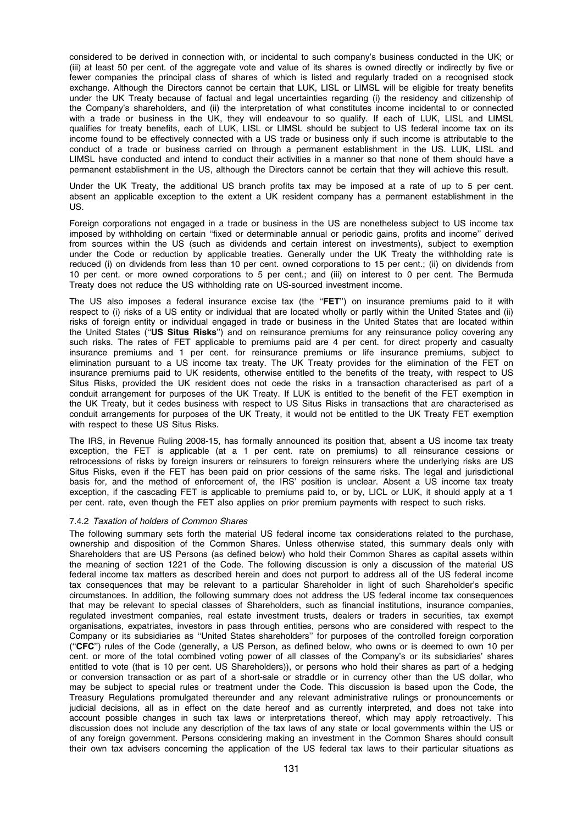considered to be derived in connection with, or incidental to such company's business conducted in the UK; or (iii) at least 50 per cent. of the aggregate vote and value of its shares is owned directly or indirectly by five or fewer companies the principal class of shares of which is listed and regularly traded on a recognised stock exchange. Although the Directors cannot be certain that LUK, LISL or LIMSL will be eligible for treaty benefits under the UK Treaty because of factual and legal uncertainties regarding (i) the residency and citizenship of the Company's shareholders, and (ii) the interpretation of what constitutes income incidental to or connected with a trade or business in the UK, they will endeavour to so qualify. If each of LUK, LISL and LIMSL qualifies for treaty benefits, each of LUK, LISL or LIMSL should be subject to US federal income tax on its income found to be effectively connected with a US trade or business only if such income is attributable to the conduct of a trade or business carried on through a permanent establishment in the US. LUK, LISL and LIMSL have conducted and intend to conduct their activities in a manner so that none of them should have a permanent establishment in the US, although the Directors cannot be certain that they will achieve this result.

Under the UK Treaty, the additional US branch profits tax may be imposed at a rate of up to 5 per cent. absent an applicable exception to the extent a UK resident company has a permanent establishment in the US.

Foreign corporations not engaged in a trade or business in the US are nonetheless subject to US income tax imposed by withholding on certain ''fixed or determinable annual or periodic gains, profits and income'' derived from sources within the US (such as dividends and certain interest on investments), subject to exemption under the Code or reduction by applicable treaties. Generally under the UK Treaty the withholding rate is reduced (i) on dividends from less than 10 per cent. owned corporations to 15 per cent.; (ii) on dividends from 10 per cent. or more owned corporations to 5 per cent.; and (iii) on interest to 0 per cent. The Bermuda Treaty does not reduce the US withholding rate on US-sourced investment income.

The US also imposes a federal insurance excise tax (the "FET") on insurance premiums paid to it with respect to (i) risks of a US entity or individual that are located wholly or partly within the United States and (ii) risks of foreign entity or individual engaged in trade or business in the United States that are located within the United States ("US Situs Risks") and on reinsurance premiums for any reinsurance policy covering any such risks. The rates of FET applicable to premiums paid are 4 per cent. for direct property and casualty insurance premiums and 1 per cent. for reinsurance premiums or life insurance premiums, subject to elimination pursuant to a US income tax treaty. The UK Treaty provides for the elimination of the FET on insurance premiums paid to UK residents, otherwise entitled to the benefits of the treaty, with respect to US Situs Risks, provided the UK resident does not cede the risks in a transaction characterised as part of a conduit arrangement for purposes of the UK Treaty. If LUK is entitled to the benefit of the FET exemption in the UK Treaty, but it cedes business with respect to US Situs Risks in transactions that are characterised as conduit arrangements for purposes of the UK Treaty, it would not be entitled to the UK Treaty FET exemption with respect to these US Situs Risks.

The IRS, in Revenue Ruling 2008-15, has formally announced its position that, absent a US income tax treaty exception, the FET is applicable (at a 1 per cent. rate on premiums) to all reinsurance cessions or retrocessions of risks by foreign insurers or reinsurers to foreign reinsurers where the underlying risks are US Situs Risks, even if the FET has been paid on prior cessions of the same risks. The legal and jurisdictional basis for, and the method of enforcement of, the IRS' position is unclear. Absent a US income tax treaty exception, if the cascading FET is applicable to premiums paid to, or by, LICL or LUK, it should apply at a 1 per cent. rate, even though the FET also applies on prior premium payments with respect to such risks.

# 7.4.2 Taxation of holders of Common Shares

The following summary sets forth the material US federal income tax considerations related to the purchase, ownership and disposition of the Common Shares. Unless otherwise stated, this summary deals only with Shareholders that are US Persons (as defined below) who hold their Common Shares as capital assets within the meaning of section 1221 of the Code. The following discussion is only a discussion of the material US federal income tax matters as described herein and does not purport to address all of the US federal income tax consequences that may be relevant to a particular Shareholder in light of such Shareholder's specific circumstances. In addition, the following summary does not address the US federal income tax consequences that may be relevant to special classes of Shareholders, such as financial institutions, insurance companies, regulated investment companies, real estate investment trusts, dealers or traders in securities, tax exempt organisations, expatriates, investors in pass through entities, persons who are considered with respect to the Company or its subsidiaries as ''United States shareholders'' for purposes of the controlled foreign corporation (''CFC'') rules of the Code (generally, a US Person, as defined below, who owns or is deemed to own 10 per cent. or more of the total combined voting power of all classes of the Company's or its subsidiaries' shares entitled to vote (that is 10 per cent. US Shareholders)), or persons who hold their shares as part of a hedging or conversion transaction or as part of a short-sale or straddle or in currency other than the US dollar, who may be subject to special rules or treatment under the Code. This discussion is based upon the Code, the Treasury Regulations promulgated thereunder and any relevant administrative rulings or pronouncements or judicial decisions, all as in effect on the date hereof and as currently interpreted, and does not take into account possible changes in such tax laws or interpretations thereof, which may apply retroactively. This discussion does not include any description of the tax laws of any state or local governments within the US or of any foreign government. Persons considering making an investment in the Common Shares should consult their own tax advisers concerning the application of the US federal tax laws to their particular situations as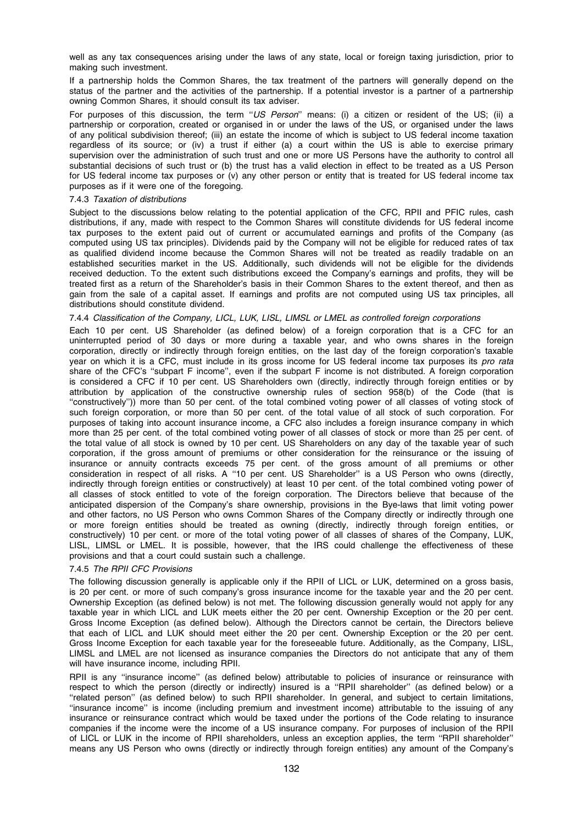well as any tax consequences arising under the laws of any state, local or foreign taxing jurisdiction, prior to making such investment.

If a partnership holds the Common Shares, the tax treatment of the partners will generally depend on the status of the partner and the activities of the partnership. If a potential investor is a partner of a partnership owning Common Shares, it should consult its tax adviser.

For purposes of this discussion, the term "US Person" means: (i) a citizen or resident of the US; (ii) a partnership or corporation, created or organised in or under the laws of the US, or organised under the laws of any political subdivision thereof; (iii) an estate the income of which is subject to US federal income taxation regardless of its source; or (iv) a trust if either (a) a court within the US is able to exercise primary supervision over the administration of such trust and one or more US Persons have the authority to control all substantial decisions of such trust or (b) the trust has a valid election in effect to be treated as a US Person for US federal income tax purposes or (v) any other person or entity that is treated for US federal income tax purposes as if it were one of the foregoing.

## 7.4.3 Taxation of distributions

Subject to the discussions below relating to the potential application of the CFC, RPII and PFIC rules, cash distributions, if any, made with respect to the Common Shares will constitute dividends for US federal income tax purposes to the extent paid out of current or accumulated earnings and profits of the Company (as computed using US tax principles). Dividends paid by the Company will not be eligible for reduced rates of tax as qualified dividend income because the Common Shares will not be treated as readily tradable on an established securities market in the US. Additionally, such dividends will not be eligible for the dividends received deduction. To the extent such distributions exceed the Company's earnings and profits, they will be treated first as a return of the Shareholder's basis in their Common Shares to the extent thereof, and then as gain from the sale of a capital asset. If earnings and profits are not computed using US tax principles, all distributions should constitute dividend.

#### 7.4.4 Classification of the Company, LICL, LUK, LISL, LIMSL or LMEL as controlled foreign corporations

Each 10 per cent. US Shareholder (as defined below) of a foreign corporation that is a CFC for an uninterrupted period of 30 days or more during a taxable year, and who owns shares in the foreign corporation, directly or indirectly through foreign entities, on the last day of the foreign corporation's taxable year on which it is a CFC, must include in its gross income for US federal income tax purposes its pro rata share of the CFC's ''subpart F income'', even if the subpart F income is not distributed. A foreign corporation is considered a CFC if 10 per cent. US Shareholders own (directly, indirectly through foreign entities or by attribution by application of the constructive ownership rules of section 958(b) of the Code (that is ''constructively'')) more than 50 per cent. of the total combined voting power of all classes of voting stock of such foreign corporation, or more than 50 per cent. of the total value of all stock of such corporation. For purposes of taking into account insurance income, a CFC also includes a foreign insurance company in which more than 25 per cent. of the total combined voting power of all classes of stock or more than 25 per cent. of the total value of all stock is owned by 10 per cent. US Shareholders on any day of the taxable year of such corporation, if the gross amount of premiums or other consideration for the reinsurance or the issuing of insurance or annuity contracts exceeds 75 per cent. of the gross amount of all premiums or other consideration in respect of all risks. A ''10 per cent. US Shareholder'' is a US Person who owns (directly, indirectly through foreign entities or constructively) at least 10 per cent. of the total combined voting power of all classes of stock entitled to vote of the foreign corporation. The Directors believe that because of the anticipated dispersion of the Company's share ownership, provisions in the Bye-laws that limit voting power and other factors, no US Person who owns Common Shares of the Company directly or indirectly through one or more foreign entities should be treated as owning (directly, indirectly through foreign entities, or constructively) 10 per cent. or more of the total voting power of all classes of shares of the Company, LUK, LISL, LIMSL or LMEL. It is possible, however, that the IRS could challenge the effectiveness of these provisions and that a court could sustain such a challenge.

# 7.4.5 The RPII CFC Provisions

The following discussion generally is applicable only if the RPII of LICL or LUK, determined on a gross basis, is 20 per cent. or more of such company's gross insurance income for the taxable year and the 20 per cent. Ownership Exception (as defined below) is not met. The following discussion generally would not apply for any taxable year in which LICL and LUK meets either the 20 per cent. Ownership Exception or the 20 per cent. Gross Income Exception (as defined below). Although the Directors cannot be certain, the Directors believe that each of LICL and LUK should meet either the 20 per cent. Ownership Exception or the 20 per cent. Gross Income Exception for each taxable year for the foreseeable future. Additionally, as the Company, LISL, LIMSL and LMEL are not licensed as insurance companies the Directors do not anticipate that any of them will have insurance income, including RPII.

RPII is any ''insurance income'' (as defined below) attributable to policies of insurance or reinsurance with respect to which the person (directly or indirectly) insured is a ''RPII shareholder'' (as defined below) or a ''related person'' (as defined below) to such RPII shareholder. In general, and subject to certain limitations, ''insurance income'' is income (including premium and investment income) attributable to the issuing of any insurance or reinsurance contract which would be taxed under the portions of the Code relating to insurance companies if the income were the income of a US insurance company. For purposes of inclusion of the RPII of LICL or LUK in the income of RPII shareholders, unless an exception applies, the term ''RPII shareholder'' means any US Person who owns (directly or indirectly through foreign entities) any amount of the Company's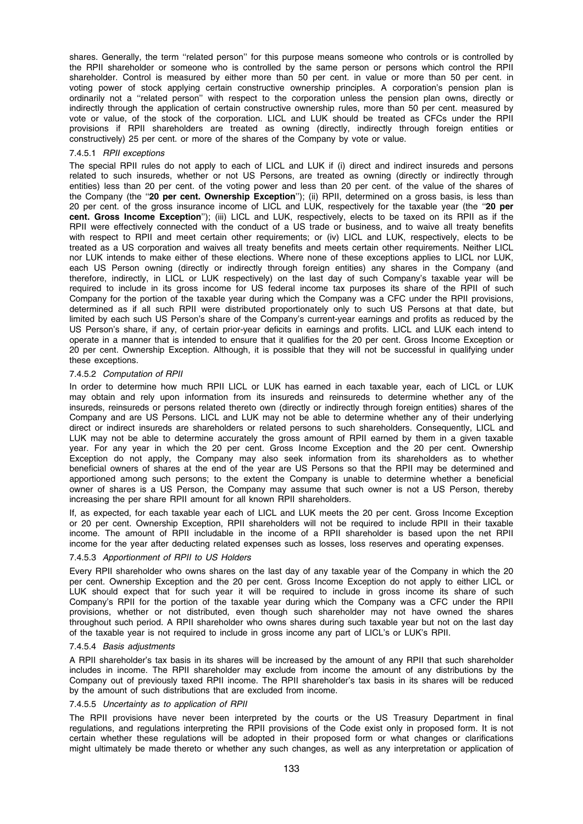shares. Generally, the term ''related person'' for this purpose means someone who controls or is controlled by the RPII shareholder or someone who is controlled by the same person or persons which control the RPII shareholder. Control is measured by either more than 50 per cent. in value or more than 50 per cent. in voting power of stock applying certain constructive ownership principles. A corporation's pension plan is ordinarily not a ''related person'' with respect to the corporation unless the pension plan owns, directly or indirectly through the application of certain constructive ownership rules, more than 50 per cent. measured by vote or value, of the stock of the corporation. LICL and LUK should be treated as CFCs under the RPII provisions if RPII shareholders are treated as owning (directly, indirectly through foreign entities or constructively) 25 per cent. or more of the shares of the Company by vote or value.

### 7.4.5.1 RPII exceptions

The special RPII rules do not apply to each of LICL and LUK if (i) direct and indirect insureds and persons related to such insureds, whether or not US Persons, are treated as owning (directly or indirectly through entities) less than 20 per cent. of the voting power and less than 20 per cent. of the value of the shares of the Company (the "20 per cent. Ownership Exception"); (ii) RPII, determined on a gross basis, is less than 20 per cent. of the gross insurance income of LICL and LUK, respectively for the taxable year (the "20 per cent. Gross Income Exception''); (iii) LICL and LUK, respectively, elects to be taxed on its RPII as if the RPII were effectively connected with the conduct of a US trade or business, and to waive all treaty benefits with respect to RPII and meet certain other requirements; or (iv) LICL and LUK, respectively, elects to be treated as a US corporation and waives all treaty benefits and meets certain other requirements. Neither LICL nor LUK intends to make either of these elections. Where none of these exceptions applies to LICL nor LUK, each US Person owning (directly or indirectly through foreign entities) any shares in the Company (and therefore, indirectly, in LICL or LUK respectively) on the last day of such Company's taxable year will be required to include in its gross income for US federal income tax purposes its share of the RPII of such Company for the portion of the taxable year during which the Company was a CFC under the RPII provisions, determined as if all such RPII were distributed proportionately only to such US Persons at that date, but limited by each such US Person's share of the Company's current-year earnings and profits as reduced by the US Person's share, if any, of certain prior-year deficits in earnings and profits. LICL and LUK each intend to operate in a manner that is intended to ensure that it qualifies for the 20 per cent. Gross Income Exception or 20 per cent. Ownership Exception. Although, it is possible that they will not be successful in qualifying under these exceptions.

#### 7.4.5.2 Computation of RPII

In order to determine how much RPII LICL or LUK has earned in each taxable year, each of LICL or LUK may obtain and rely upon information from its insureds and reinsureds to determine whether any of the insureds, reinsureds or persons related thereto own (directly or indirectly through foreign entities) shares of the Company and are US Persons. LICL and LUK may not be able to determine whether any of their underlying direct or indirect insureds are shareholders or related persons to such shareholders. Consequently, LICL and LUK may not be able to determine accurately the gross amount of RPII earned by them in a given taxable year. For any year in which the 20 per cent. Gross Income Exception and the 20 per cent. Ownership Exception do not apply, the Company may also seek information from its shareholders as to whether beneficial owners of shares at the end of the year are US Persons so that the RPII may be determined and apportioned among such persons; to the extent the Company is unable to determine whether a beneficial owner of shares is a US Person, the Company may assume that such owner is not a US Person, thereby increasing the per share RPII amount for all known RPII shareholders.

If, as expected, for each taxable year each of LICL and LUK meets the 20 per cent. Gross Income Exception or 20 per cent. Ownership Exception, RPII shareholders will not be required to include RPII in their taxable income. The amount of RPII includable in the income of a RPII shareholder is based upon the net RPII income for the year after deducting related expenses such as losses, loss reserves and operating expenses.

#### 7.4.5.3 Apportionment of RPII to US Holders

Every RPII shareholder who owns shares on the last day of any taxable year of the Company in which the 20 per cent. Ownership Exception and the 20 per cent. Gross Income Exception do not apply to either LICL or LUK should expect that for such year it will be required to include in gross income its share of such Company's RPII for the portion of the taxable year during which the Company was a CFC under the RPII provisions, whether or not distributed, even though such shareholder may not have owned the shares throughout such period. A RPII shareholder who owns shares during such taxable year but not on the last day of the taxable year is not required to include in gross income any part of LICL's or LUK's RPII.

#### 7.4.5.4 Basis adjustments

A RPII shareholder's tax basis in its shares will be increased by the amount of any RPII that such shareholder includes in income. The RPII shareholder may exclude from income the amount of any distributions by the Company out of previously taxed RPII income. The RPII shareholder's tax basis in its shares will be reduced by the amount of such distributions that are excluded from income.

#### 7.4.5.5 Uncertainty as to application of RPII

The RPII provisions have never been interpreted by the courts or the US Treasury Department in final regulations, and regulations interpreting the RPII provisions of the Code exist only in proposed form. It is not certain whether these regulations will be adopted in their proposed form or what changes or clarifications might ultimately be made thereto or whether any such changes, as well as any interpretation or application of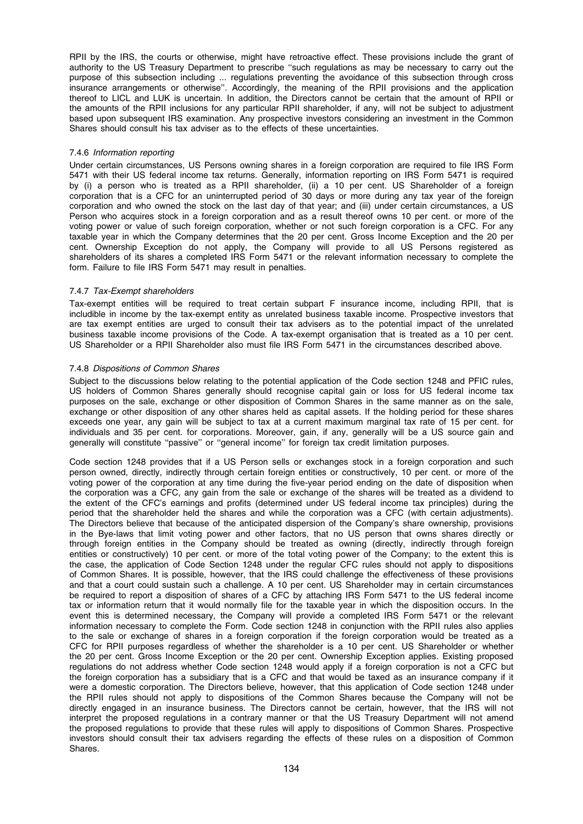RPII by the IRS, the courts or otherwise, might have retroactive effect. These provisions include the grant of authority to the US Treasury Department to prescribe ''such regulations as may be necessary to carry out the purpose of this subsection including ... regulations preventing the avoidance of this subsection through cross insurance arrangements or otherwise''. Accordingly, the meaning of the RPII provisions and the application thereof to LICL and LUK is uncertain. In addition, the Directors cannot be certain that the amount of RPII or the amounts of the RPII inclusions for any particular RPII shareholder, if any, will not be subject to adjustment based upon subsequent IRS examination. Any prospective investors considering an investment in the Common Shares should consult his tax adviser as to the effects of these uncertainties.

# 7.4.6 Information reporting

Under certain circumstances, US Persons owning shares in a foreign corporation are required to file IRS Form 5471 with their US federal income tax returns. Generally, information reporting on IRS Form 5471 is required by (i) a person who is treated as a RPII shareholder, (ii) a 10 per cent. US Shareholder of a foreign corporation that is a CFC for an uninterrupted period of 30 days or more during any tax year of the foreign corporation and who owned the stock on the last day of that year; and (iii) under certain circumstances, a US Person who acquires stock in a foreign corporation and as a result thereof owns 10 per cent. or more of the voting power or value of such foreign corporation, whether or not such foreign corporation is a CFC. For any taxable year in which the Company determines that the 20 per cent. Gross Income Exception and the 20 per cent. Ownership Exception do not apply, the Company will provide to all US Persons registered as shareholders of its shares a completed IRS Form 5471 or the relevant information necessary to complete the form. Failure to file IRS Form 5471 may result in penalties.

#### 7.4.7 Tax-Exempt shareholders

Tax-exempt entities will be required to treat certain subpart F insurance income, including RPII, that is includible in income by the tax-exempt entity as unrelated business taxable income. Prospective investors that are tax exempt entities are urged to consult their tax advisers as to the potential impact of the unrelated business taxable income provisions of the Code. A tax-exempt organisation that is treated as a 10 per cent. US Shareholder or a RPII Shareholder also must file IRS Form 5471 in the circumstances described above.

#### 7.4.8 Dispositions of Common Shares

Subject to the discussions below relating to the potential application of the Code section 1248 and PFIC rules, US holders of Common Shares generally should recognise capital gain or loss for US federal income tax purposes on the sale, exchange or other disposition of Common Shares in the same manner as on the sale, exchange or other disposition of any other shares held as capital assets. If the holding period for these shares exceeds one year, any gain will be subject to tax at a current maximum marginal tax rate of 15 per cent. for individuals and 35 per cent. for corporations. Moreover, gain, if any, generally will be a US source gain and generally will constitute ''passive'' or ''general income'' for foreign tax credit limitation purposes.

Code section 1248 provides that if a US Person sells or exchanges stock in a foreign corporation and such person owned, directly, indirectly through certain foreign entities or constructively, 10 per cent. or more of the voting power of the corporation at any time during the five-year period ending on the date of disposition when the corporation was a CFC, any gain from the sale or exchange of the shares will be treated as a dividend to the extent of the CFC's earnings and profits (determined under US federal income tax principles) during the period that the shareholder held the shares and while the corporation was a CFC (with certain adjustments). The Directors believe that because of the anticipated dispersion of the Company's share ownership, provisions in the Bye-laws that limit voting power and other factors, that no US person that owns shares directly or through foreign entities in the Company should be treated as owning (directly, indirectly through foreign entities or constructively) 10 per cent. or more of the total voting power of the Company; to the extent this is the case, the application of Code Section 1248 under the regular CFC rules should not apply to dispositions of Common Shares. It is possible, however, that the IRS could challenge the effectiveness of these provisions and that a court could sustain such a challenge. A 10 per cent. US Shareholder may in certain circumstances be required to report a disposition of shares of a CFC by attaching IRS Form 5471 to the US federal income tax or information return that it would normally file for the taxable year in which the disposition occurs. In the event this is determined necessary, the Company will provide a completed IRS Form 5471 or the relevant information necessary to complete the Form. Code section 1248 in conjunction with the RPII rules also applies to the sale or exchange of shares in a foreign corporation if the foreign corporation would be treated as a CFC for RPII purposes regardless of whether the shareholder is a 10 per cent. US Shareholder or whether the 20 per cent. Gross Income Exception or the 20 per cent. Ownership Exception applies. Existing proposed regulations do not address whether Code section 1248 would apply if a foreign corporation is not a CFC but the foreign corporation has a subsidiary that is a CFC and that would be taxed as an insurance company if it were a domestic corporation. The Directors believe, however, that this application of Code section 1248 under the RPII rules should not apply to dispositions of the Common Shares because the Company will not be directly engaged in an insurance business. The Directors cannot be certain, however, that the IRS will not interpret the proposed regulations in a contrary manner or that the US Treasury Department will not amend the proposed regulations to provide that these rules will apply to dispositions of Common Shares. Prospective investors should consult their tax advisers regarding the effects of these rules on a disposition of Common Shares.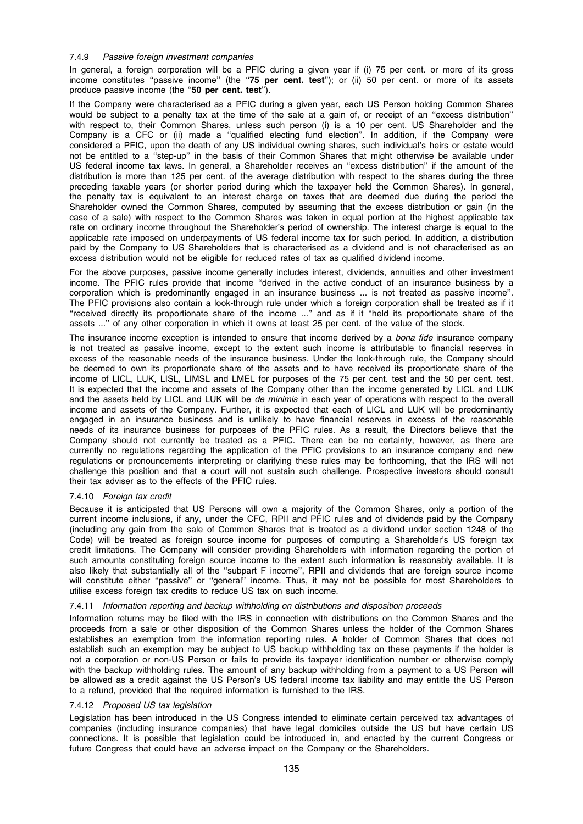# 7.4.9 Passive foreign investment companies

In general, a foreign corporation will be a PFIC during a given year if (i) 75 per cent. or more of its gross income constitutes "passive income" (the "75 per cent. test"); or (ii) 50 per cent. or more of its assets produce passive income (the "50 per cent. test").

If the Company were characterised as a PFIC during a given year, each US Person holding Common Shares would be subject to a penalty tax at the time of the sale at a gain of, or receipt of an "excess distribution" with respect to, their Common Shares, unless such person (i) is a 10 per cent. US Shareholder and the Company is a CFC or (ii) made a ''qualified electing fund election''. In addition, if the Company were considered a PFIC, upon the death of any US individual owning shares, such individual's heirs or estate would not be entitled to a ''step-up'' in the basis of their Common Shares that might otherwise be available under US federal income tax laws. In general, a Shareholder receives an ''excess distribution'' if the amount of the distribution is more than 125 per cent. of the average distribution with respect to the shares during the three preceding taxable years (or shorter period during which the taxpayer held the Common Shares). In general, the penalty tax is equivalent to an interest charge on taxes that are deemed due during the period the Shareholder owned the Common Shares, computed by assuming that the excess distribution or gain (in the case of a sale) with respect to the Common Shares was taken in equal portion at the highest applicable tax rate on ordinary income throughout the Shareholder's period of ownership. The interest charge is equal to the applicable rate imposed on underpayments of US federal income tax for such period. In addition, a distribution paid by the Company to US Shareholders that is characterised as a dividend and is not characterised as an excess distribution would not be eligible for reduced rates of tax as qualified dividend income.

For the above purposes, passive income generally includes interest, dividends, annuities and other investment income. The PFIC rules provide that income ''derived in the active conduct of an insurance business by a corporation which is predominantly engaged in an insurance business ... is not treated as passive income''. The PFIC provisions also contain a look-through rule under which a foreign corporation shall be treated as if it ''received directly its proportionate share of the income ...'' and as if it ''held its proportionate share of the assets ...'' of any other corporation in which it owns at least 25 per cent. of the value of the stock.

The insurance income exception is intended to ensure that income derived by a *bona fide* insurance company is not treated as passive income, except to the extent such income is attributable to financial reserves in excess of the reasonable needs of the insurance business. Under the look-through rule, the Company should be deemed to own its proportionate share of the assets and to have received its proportionate share of the income of LICL, LUK, LISL, LIMSL and LMEL for purposes of the 75 per cent. test and the 50 per cent. test. It is expected that the income and assets of the Company other than the income generated by LICL and LUK and the assets held by LICL and LUK will be de minimis in each year of operations with respect to the overall income and assets of the Company. Further, it is expected that each of LICL and LUK will be predominantly engaged in an insurance business and is unlikely to have financial reserves in excess of the reasonable needs of its insurance business for purposes of the PFIC rules. As a result, the Directors believe that the Company should not currently be treated as a PFIC. There can be no certainty, however, as there are currently no regulations regarding the application of the PFIC provisions to an insurance company and new regulations or pronouncements interpreting or clarifying these rules may be forthcoming, that the IRS will not challenge this position and that a court will not sustain such challenge. Prospective investors should consult their tax adviser as to the effects of the PFIC rules.

# 7.4.10 Foreign tax credit

Because it is anticipated that US Persons will own a majority of the Common Shares, only a portion of the current income inclusions, if any, under the CFC, RPII and PFIC rules and of dividends paid by the Company (including any gain from the sale of Common Shares that is treated as a dividend under section 1248 of the Code) will be treated as foreign source income for purposes of computing a Shareholder's US foreign tax credit limitations. The Company will consider providing Shareholders with information regarding the portion of such amounts constituting foreign source income to the extent such information is reasonably available. It is also likely that substantially all of the ''subpart F income'', RPII and dividends that are foreign source income will constitute either "passive" or "general" income. Thus, it may not be possible for most Shareholders to utilise excess foreign tax credits to reduce US tax on such income.

# 7.4.11 Information reporting and backup withholding on distributions and disposition proceeds

Information returns may be filed with the IRS in connection with distributions on the Common Shares and the proceeds from a sale or other disposition of the Common Shares unless the holder of the Common Shares establishes an exemption from the information reporting rules. A holder of Common Shares that does not establish such an exemption may be subject to US backup withholding tax on these payments if the holder is not a corporation or non-US Person or fails to provide its taxpayer identification number or otherwise comply with the backup withholding rules. The amount of any backup withholding from a payment to a US Person will be allowed as a credit against the US Person's US federal income tax liability and may entitle the US Person to a refund, provided that the required information is furnished to the IRS.

# 7.4.12 Proposed US tax legislation

Legislation has been introduced in the US Congress intended to eliminate certain perceived tax advantages of companies (including insurance companies) that have legal domiciles outside the US but have certain US connections. It is possible that legislation could be introduced in, and enacted by the current Congress or future Congress that could have an adverse impact on the Company or the Shareholders.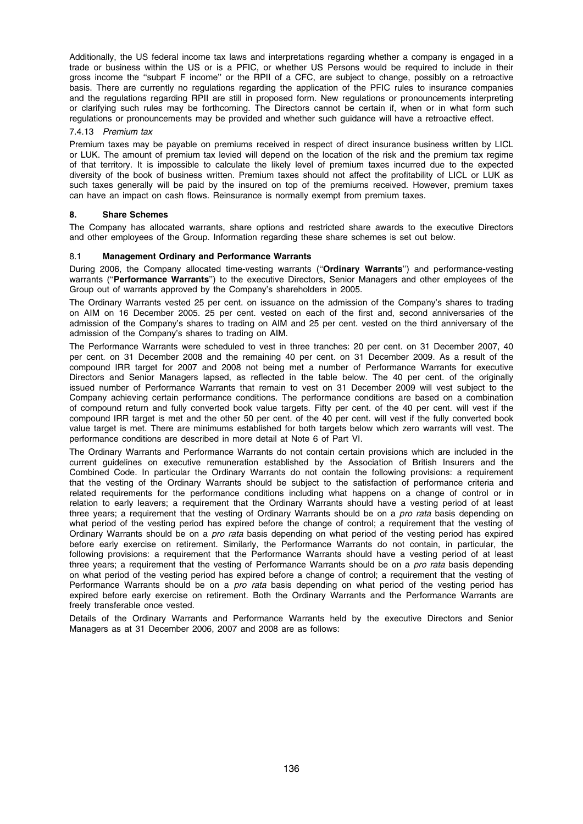Additionally, the US federal income tax laws and interpretations regarding whether a company is engaged in a trade or business within the US or is a PFIC, or whether US Persons would be required to include in their gross income the ''subpart F income'' or the RPII of a CFC, are subject to change, possibly on a retroactive basis. There are currently no regulations regarding the application of the PFIC rules to insurance companies and the regulations regarding RPII are still in proposed form. New regulations or pronouncements interpreting or clarifying such rules may be forthcoming. The Directors cannot be certain if, when or in what form such regulations or pronouncements may be provided and whether such guidance will have a retroactive effect.

# 7.4.13 Premium tax

Premium taxes may be payable on premiums received in respect of direct insurance business written by LICL or LUK. The amount of premium tax levied will depend on the location of the risk and the premium tax regime of that territory. It is impossible to calculate the likely level of premium taxes incurred due to the expected diversity of the book of business written. Premium taxes should not affect the profitability of LICL or LUK as such taxes generally will be paid by the insured on top of the premiums received. However, premium taxes can have an impact on cash flows. Reinsurance is normally exempt from premium taxes.

# 8. Share Schemes

The Company has allocated warrants, share options and restricted share awards to the executive Directors and other employees of the Group. Information regarding these share schemes is set out below.

# 8.1 Management Ordinary and Performance Warrants

During 2006, the Company allocated time-vesting warrants ("Ordinary Warrants") and performance-vesting warrants ("Performance Warrants") to the executive Directors, Senior Managers and other employees of the Group out of warrants approved by the Company's shareholders in 2005.

The Ordinary Warrants vested 25 per cent. on issuance on the admission of the Company's shares to trading on AIM on 16 December 2005. 25 per cent. vested on each of the first and, second anniversaries of the admission of the Company's shares to trading on AIM and 25 per cent. vested on the third anniversary of the admission of the Company's shares to trading on AIM.

The Performance Warrants were scheduled to vest in three tranches: 20 per cent. on 31 December 2007, 40 per cent. on 31 December 2008 and the remaining 40 per cent. on 31 December 2009. As a result of the compound IRR target for 2007 and 2008 not being met a number of Performance Warrants for executive Directors and Senior Managers lapsed, as reflected in the table below. The 40 per cent. of the originally issued number of Performance Warrants that remain to vest on 31 December 2009 will vest subject to the Company achieving certain performance conditions. The performance conditions are based on a combination of compound return and fully converted book value targets. Fifty per cent. of the 40 per cent. will vest if the compound IRR target is met and the other 50 per cent. of the 40 per cent. will vest if the fully converted book value target is met. There are minimums established for both targets below which zero warrants will vest. The performance conditions are described in more detail at Note 6 of Part VI.

The Ordinary Warrants and Performance Warrants do not contain certain provisions which are included in the current guidelines on executive remuneration established by the Association of British Insurers and the Combined Code. In particular the Ordinary Warrants do not contain the following provisions: a requirement that the vesting of the Ordinary Warrants should be subject to the satisfaction of performance criteria and related requirements for the performance conditions including what happens on a change of control or in relation to early leavers; a requirement that the Ordinary Warrants should have a vesting period of at least three years; a requirement that the vesting of Ordinary Warrants should be on a pro rata basis depending on what period of the vesting period has expired before the change of control; a requirement that the vesting of Ordinary Warrants should be on a *pro rata* basis depending on what period of the vesting period has expired before early exercise on retirement. Similarly, the Performance Warrants do not contain, in particular, the following provisions: a requirement that the Performance Warrants should have a vesting period of at least three years; a requirement that the vesting of Performance Warrants should be on a *pro rata* basis depending on what period of the vesting period has expired before a change of control; a requirement that the vesting of Performance Warrants should be on a *pro rata* basis depending on what period of the vesting period has expired before early exercise on retirement. Both the Ordinary Warrants and the Performance Warrants are freely transferable once vested.

Details of the Ordinary Warrants and Performance Warrants held by the executive Directors and Senior Managers as at 31 December 2006, 2007 and 2008 are as follows: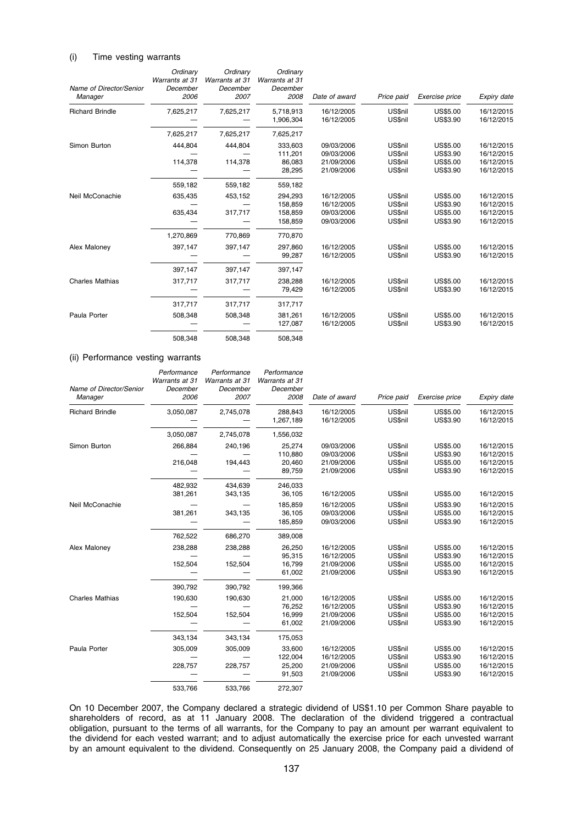#### (i) Time vesting warrants

| Name of Director/Senior<br>Manager | Ordinary<br>Warrants at 31<br>December<br>2006 | Ordinary<br>Warrants at 31<br>December<br>2007 | Ordinary<br>Warrants at 31<br>December<br>2008 | Date of award                                        | Price paid                               | Exercise price                                                    | Expiry date                                          |
|------------------------------------|------------------------------------------------|------------------------------------------------|------------------------------------------------|------------------------------------------------------|------------------------------------------|-------------------------------------------------------------------|------------------------------------------------------|
| <b>Richard Brindle</b>             | 7,625,217                                      | 7,625,217                                      | 5,718,913<br>1,906,304                         | 16/12/2005<br>16/12/2005                             | US\$nil<br>US\$nil                       | <b>US\$5.00</b><br>US\$3.90                                       | 16/12/2015<br>16/12/2015                             |
|                                    | 7,625,217                                      | 7,625,217                                      | 7,625,217                                      |                                                      |                                          |                                                                   |                                                      |
| Simon Burton                       | 444.804<br>114,378                             | 444.804<br>114,378                             | 333.603<br>111,201<br>86.083<br>28,295         | 09/03/2006<br>09/03/2006<br>21/09/2006<br>21/09/2006 | US\$nil<br>US\$nil<br>US\$nil<br>US\$nil | US\$5.00<br>US\$3.90<br>US\$5.00<br>US\$3.90                      | 16/12/2015<br>16/12/2015<br>16/12/2015<br>16/12/2015 |
|                                    | 559,182                                        | 559,182                                        | 559,182                                        |                                                      |                                          |                                                                   |                                                      |
| Neil McConachie                    | 635,435<br>635,434                             | 453,152<br>317,717                             | 294.293<br>158,859<br>158,859<br>158,859       | 16/12/2005<br>16/12/2005<br>09/03/2006<br>09/03/2006 | US\$nil<br>US\$nil<br>US\$nil<br>US\$nil | <b>US\$5.00</b><br>US\$3.90<br><b>US\$5.00</b><br><b>US\$3.90</b> | 16/12/2015<br>16/12/2015<br>16/12/2015<br>16/12/2015 |
|                                    | 1,270,869                                      | 770,869                                        | 770,870                                        |                                                      |                                          |                                                                   |                                                      |
| Alex Maloney                       | 397,147                                        | 397,147                                        | 297.860<br>99,287                              | 16/12/2005<br>16/12/2005                             | US\$nil<br>US\$nil                       | US\$5.00<br><b>US\$3.90</b>                                       | 16/12/2015<br>16/12/2015                             |
|                                    | 397,147                                        | 397,147                                        | 397,147                                        |                                                      |                                          |                                                                   |                                                      |
| <b>Charles Mathias</b>             | 317,717                                        | 317,717                                        | 238,288<br>79,429                              | 16/12/2005<br>16/12/2005                             | US\$nil<br>US\$nil                       | US\$5.00<br><b>US\$3.90</b>                                       | 16/12/2015<br>16/12/2015                             |
|                                    | 317,717                                        | 317.717                                        | 317,717                                        |                                                      |                                          |                                                                   |                                                      |
| Paula Porter                       | 508,348                                        | 508,348                                        | 381.261<br>127,087                             | 16/12/2005<br>16/12/2005                             | US\$nil<br>US\$nil                       | US\$5.00<br><b>US\$3.90</b>                                       | 16/12/2015<br>16/12/2015                             |
|                                    | 508,348                                        | 508,348                                        | 508,348                                        |                                                      |                                          |                                                                   |                                                      |

# (ii) Performance vesting warrants

| Name of Director/Senior<br>Manager | Performance<br>Warrants at 31<br>December<br>2006 | Performance<br>Warrants at 31<br>December<br>2007 | Performance<br>Warrants at 31<br>December<br>2008 | Date of award                                        | Price paid                                      | Exercise price                                      | Expiry date                                          |
|------------------------------------|---------------------------------------------------|---------------------------------------------------|---------------------------------------------------|------------------------------------------------------|-------------------------------------------------|-----------------------------------------------------|------------------------------------------------------|
| <b>Richard Brindle</b>             | 3,050,087                                         | 2,745,078                                         | 288,843<br>1,267,189                              | 16/12/2005<br>16/12/2005                             | US\$nil<br>US\$nil                              | US\$5.00<br>US\$3.90                                | 16/12/2015<br>16/12/2015                             |
|                                    | 3,050,087                                         | 2,745,078                                         | 1,556,032                                         |                                                      |                                                 |                                                     |                                                      |
| Simon Burton                       | 266,884<br>216,048                                | 240,196<br>194,443                                | 25,274<br>110,880<br>20,460<br>89,759             | 09/03/2006<br>09/03/2006<br>21/09/2006<br>21/09/2006 | <b>US\$nil</b><br>US\$nil<br>US\$nil<br>US\$nil | <b>US\$5.00</b><br>US\$3.90<br>US\$5.00<br>US\$3.90 | 16/12/2015<br>16/12/2015<br>16/12/2015<br>16/12/2015 |
|                                    | 482,932<br>381,261                                | 434,639<br>343,135                                | 246,033<br>36,105                                 | 16/12/2005                                           | US\$nil                                         | US\$5.00                                            | 16/12/2015                                           |
| Neil McConachie                    | 381,261                                           | 343,135                                           | 185,859<br>36,105<br>185,859                      | 16/12/2005<br>09/03/2006<br>09/03/2006               | US\$nil<br>US\$nil<br>US\$nil                   | US\$3.90<br>US\$5.00<br>US\$3.90                    | 16/12/2015<br>16/12/2015<br>16/12/2015               |
|                                    | 762,522                                           | 686,270                                           | 389,008                                           |                                                      |                                                 |                                                     |                                                      |
| Alex Maloney                       | 238,288<br>152,504                                | 238,288<br>152,504                                | 26,250<br>95,315<br>16,799<br>61,002              | 16/12/2005<br>16/12/2005<br>21/09/2006<br>21/09/2006 | US\$nil<br>US\$nil<br>US\$nil<br>US\$nil        | US\$5.00<br>US\$3.90<br>US\$5.00<br>US\$3.90        | 16/12/2015<br>16/12/2015<br>16/12/2015<br>16/12/2015 |
|                                    | 390,792                                           | 390,792                                           | 199,366                                           |                                                      |                                                 |                                                     |                                                      |
| <b>Charles Mathias</b>             | 190,630<br>152,504                                | 190,630<br>152,504                                | 21,000<br>76,252<br>16,999<br>61,002              | 16/12/2005<br>16/12/2005<br>21/09/2006<br>21/09/2006 | US\$nil<br>US\$nil<br>US\$nil<br>US\$nil        | US\$5.00<br>US\$3.90<br>US\$5.00<br>US\$3.90        | 16/12/2015<br>16/12/2015<br>16/12/2015<br>16/12/2015 |
|                                    | 343,134                                           | 343,134                                           | 175,053                                           |                                                      |                                                 |                                                     |                                                      |
| Paula Porter                       | 305,009<br>228,757                                | 305,009<br>228,757                                | 33,600<br>122,004<br>25.200<br>91,503             | 16/12/2005<br>16/12/2005<br>21/09/2006<br>21/09/2006 | US\$nil<br>US\$nil<br>US\$nil<br>US\$nil        | US\$5.00<br>US\$3.90<br>US\$5.00<br>US\$3.90        | 16/12/2015<br>16/12/2015<br>16/12/2015<br>16/12/2015 |
|                                    | 533,766                                           | 533,766                                           | 272,307                                           |                                                      |                                                 |                                                     |                                                      |

On 10 December 2007, the Company declared a strategic dividend of US\$1.10 per Common Share payable to shareholders of record, as at 11 January 2008. The declaration of the dividend triggered a contractual obligation, pursuant to the terms of all warrants, for the Company to pay an amount per warrant equivalent to the dividend for each vested warrant; and to adjust automatically the exercise price for each unvested warrant by an amount equivalent to the dividend. Consequently on 25 January 2008, the Company paid a dividend of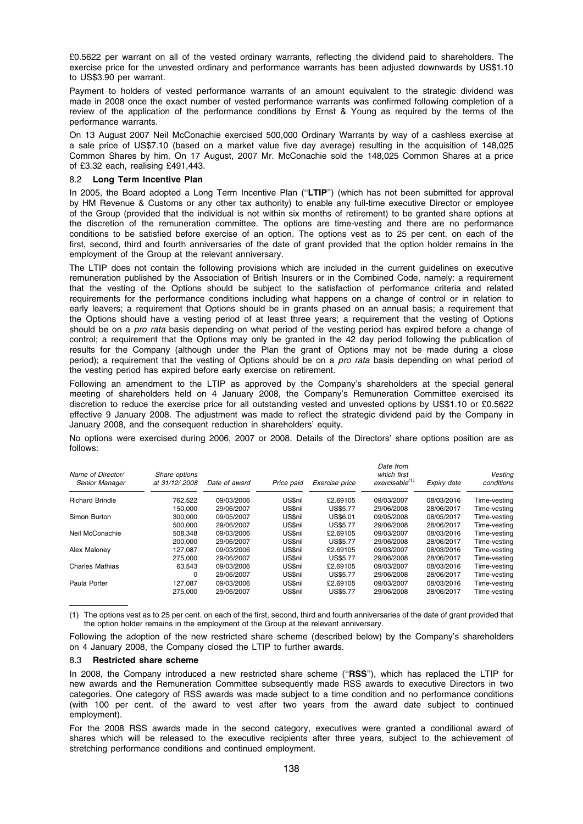£0.5622 per warrant on all of the vested ordinary warrants, reflecting the dividend paid to shareholders. The exercise price for the unvested ordinary and performance warrants has been adjusted downwards by US\$1.10 to US\$3.90 per warrant.

Payment to holders of vested performance warrants of an amount equivalent to the strategic dividend was made in 2008 once the exact number of vested performance warrants was confirmed following completion of a review of the application of the performance conditions by Ernst & Young as required by the terms of the performance warrants.

On 13 August 2007 Neil McConachie exercised 500,000 Ordinary Warrants by way of a cashless exercise at a sale price of US\$7.10 (based on a market value five day average) resulting in the acquisition of 148,025 Common Shares by him. On 17 August, 2007 Mr. McConachie sold the 148,025 Common Shares at a price of £3.32 each, realising £491,443.

### 8.2 Long Term Incentive Plan

In 2005, the Board adopted a Long Term Incentive Plan ("LTIP") (which has not been submitted for approval by HM Revenue & Customs or any other tax authority) to enable any full-time executive Director or employee of the Group (provided that the individual is not within six months of retirement) to be granted share options at the discretion of the remuneration committee. The options are time-vesting and there are no performance conditions to be satisfied before exercise of an option. The options vest as to 25 per cent. on each of the first, second, third and fourth anniversaries of the date of grant provided that the option holder remains in the employment of the Group at the relevant anniversary.

The LTIP does not contain the following provisions which are included in the current guidelines on executive remuneration published by the Association of British Insurers or in the Combined Code, namely: a requirement that the vesting of the Options should be subject to the satisfaction of performance criteria and related requirements for the performance conditions including what happens on a change of control or in relation to early leavers; a requirement that Options should be in grants phased on an annual basis; a requirement that the Options should have a vesting period of at least three years; a requirement that the vesting of Options should be on a *pro rata* basis depending on what period of the vesting period has expired before a change of control; a requirement that the Options may only be granted in the 42 day period following the publication of results for the Company (although under the Plan the grant of Options may not be made during a close period); a requirement that the vesting of Options should be on a *pro rata* basis depending on what period of the vesting period has expired before early exercise on retirement.

Following an amendment to the LTIP as approved by the Company's shareholders at the special general meeting of shareholders held on 4 January 2008, the Company's Remuneration Committee exercised its discretion to reduce the exercise price for all outstanding vested and unvested options by US\$1.10 or £0.5622 effective 9 January 2008. The adjustment was made to reflect the strategic dividend paid by the Company in January 2008, and the consequent reduction in shareholders' equity.

No options were exercised during 2006, 2007 or 2008. Details of the Directors' share options position are as follows:

| Name of Director/<br>Senior Manager | Share options<br>at 31/12/2008 | Date of award | Price paid     | Exercise price  | Date from<br>which first<br>exercisable <sup>(1)</sup> | Expiry date | Vesting<br>conditions |
|-------------------------------------|--------------------------------|---------------|----------------|-----------------|--------------------------------------------------------|-------------|-----------------------|
| <b>Richard Brindle</b>              | 762.522                        | 09/03/2006    | US\$nil        | £2.69105        | 09/03/2007                                             | 08/03/2016  | Time-vesting          |
|                                     | 150.000                        | 29/06/2007    | <b>US\$nil</b> | <b>US\$5.77</b> | 29/06/2008                                             | 28/06/2017  | Time-vesting          |
| Simon Burton                        | 300.000                        | 09/05/2007    | <b>US\$nil</b> | <b>US\$6.01</b> | 09/05/2008                                             | 08/05/2017  | Time-vesting          |
|                                     | 500.000                        | 29/06/2007    | <b>US\$nil</b> | <b>US\$5.77</b> | 29/06/2008                                             | 28/06/2017  | Time-vesting          |
| Neil McConachie                     | 508.348                        | 09/03/2006    | US\$nil        | £2.69105        | 09/03/2007                                             | 08/03/2016  | Time-vesting          |
|                                     | 200.000                        | 29/06/2007    | US\$nil        | <b>US\$5.77</b> | 29/06/2008                                             | 28/06/2017  | Time-vesting          |
| Alex Maloney                        | 127.087                        | 09/03/2006    | <b>US\$nil</b> | £2.69105        | 09/03/2007                                             | 08/03/2016  | Time-vesting          |
|                                     | 275.000                        | 29/06/2007    | US\$nil        | <b>US\$5.77</b> | 29/06/2008                                             | 28/06/2017  | Time-vesting          |
| <b>Charles Mathias</b>              | 63.543                         | 09/03/2006    | US\$nil        | £2.69105        | 09/03/2007                                             | 08/03/2016  | Time-vesting          |
|                                     | 0                              | 29/06/2007    | <b>US\$nil</b> | <b>US\$5.77</b> | 29/06/2008                                             | 28/06/2017  | Time-vesting          |
| Paula Porter                        | 127.087                        | 09/03/2006    | US\$nil        | £2.69105        | 09/03/2007                                             | 08/03/2016  | Time-vesting          |
|                                     | 275.000                        | 29/06/2007    | <b>US\$nil</b> | US\$5.77        | 29/06/2008                                             | 28/06/2017  | Time-vesting          |

(1) The options vest as to 25 per cent. on each of the first, second, third and fourth anniversaries of the date of grant provided that the option holder remains in the employment of the Group at the relevant anniversary.

Following the adoption of the new restricted share scheme (described below) by the Company's shareholders on 4 January 2008, the Company closed the LTIP to further awards.

#### 8.3 Restricted share scheme

In 2008, the Company introduced a new restricted share scheme ("RSS"), which has replaced the LTIP for new awards and the Remuneration Committee subsequently made RSS awards to executive Directors in two categories. One category of RSS awards was made subject to a time condition and no performance conditions (with 100 per cent. of the award to vest after two years from the award date subject to continued employment).

For the 2008 RSS awards made in the second category, executives were granted a conditional award of shares which will be released to the executive recipients after three years, subject to the achievement of stretching performance conditions and continued employment.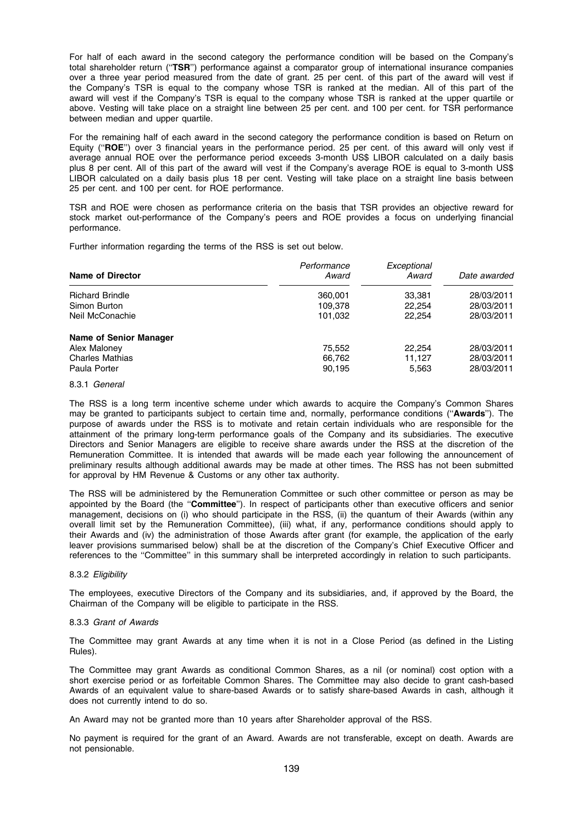For half of each award in the second category the performance condition will be based on the Company's total shareholder return ("TSR") performance against a comparator group of international insurance companies over a three year period measured from the date of grant. 25 per cent. of this part of the award will vest if the Company's TSR is equal to the company whose TSR is ranked at the median. All of this part of the award will vest if the Company's TSR is equal to the company whose TSR is ranked at the upper quartile or above. Vesting will take place on a straight line between 25 per cent. and 100 per cent. for TSR performance between median and upper quartile.

For the remaining half of each award in the second category the performance condition is based on Return on Equity (''ROE'') over 3 financial years in the performance period. 25 per cent. of this award will only vest if average annual ROE over the performance period exceeds 3-month US\$ LIBOR calculated on a daily basis plus 8 per cent. All of this part of the award will vest if the Company's average ROE is equal to 3-month US\$ LIBOR calculated on a daily basis plus 18 per cent. Vesting will take place on a straight line basis between 25 per cent. and 100 per cent. for ROE performance.

TSR and ROE were chosen as performance criteria on the basis that TSR provides an objective reward for stock market out-performance of the Company's peers and ROE provides a focus on underlying financial performance.

Further information regarding the terms of the RSS is set out below.

| <b>Name of Director</b>       | Performance<br>Award | Exceptional<br>Award | Date awarded |
|-------------------------------|----------------------|----------------------|--------------|
| <b>Richard Brindle</b>        | 360,001              | 33,381               | 28/03/2011   |
| Simon Burton                  | 109,378              | 22,254               | 28/03/2011   |
| Neil McConachie               | 101,032              | 22.254               | 28/03/2011   |
| <b>Name of Senior Manager</b> |                      |                      |              |
| Alex Maloney                  | 75,552               | 22,254               | 28/03/2011   |
| <b>Charles Mathias</b>        | 66,762               | 11.127               | 28/03/2011   |
| Paula Porter                  | 90,195               | 5.563                | 28/03/2011   |

#### 8.3.1 General

The RSS is a long term incentive scheme under which awards to acquire the Company's Common Shares may be granted to participants subject to certain time and, normally, performance conditions ("Awards"). The purpose of awards under the RSS is to motivate and retain certain individuals who are responsible for the attainment of the primary long-term performance goals of the Company and its subsidiaries. The executive Directors and Senior Managers are eligible to receive share awards under the RSS at the discretion of the Remuneration Committee. It is intended that awards will be made each year following the announcement of preliminary results although additional awards may be made at other times. The RSS has not been submitted for approval by HM Revenue & Customs or any other tax authority.

The RSS will be administered by the Remuneration Committee or such other committee or person as may be appointed by the Board (the ''Committee''). In respect of participants other than executive officers and senior management, decisions on (i) who should participate in the RSS, (ii) the quantum of their Awards (within any overall limit set by the Remuneration Committee), (iii) what, if any, performance conditions should apply to their Awards and (iv) the administration of those Awards after grant (for example, the application of the early leaver provisions summarised below) shall be at the discretion of the Company's Chief Executive Officer and references to the ''Committee'' in this summary shall be interpreted accordingly in relation to such participants.

### 8.3.2 Eligibility

The employees, executive Directors of the Company and its subsidiaries, and, if approved by the Board, the Chairman of the Company will be eligible to participate in the RSS.

# 8.3.3 Grant of Awards

The Committee may grant Awards at any time when it is not in a Close Period (as defined in the Listing Rules).

The Committee may grant Awards as conditional Common Shares, as a nil (or nominal) cost option with a short exercise period or as forfeitable Common Shares. The Committee may also decide to grant cash-based Awards of an equivalent value to share-based Awards or to satisfy share-based Awards in cash, although it does not currently intend to do so.

An Award may not be granted more than 10 years after Shareholder approval of the RSS.

No payment is required for the grant of an Award. Awards are not transferable, except on death. Awards are not pensionable.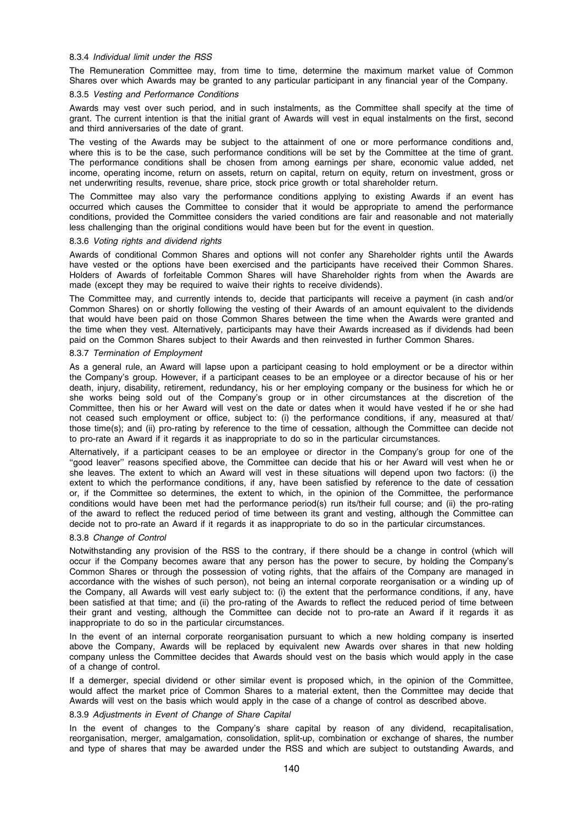#### 8.3.4 Individual limit under the RSS

The Remuneration Committee may, from time to time, determine the maximum market value of Common Shares over which Awards may be granted to any particular participant in any financial year of the Company.

# 8.3.5 Vesting and Performance Conditions

Awards may vest over such period, and in such instalments, as the Committee shall specify at the time of grant. The current intention is that the initial grant of Awards will vest in equal instalments on the first, second and third anniversaries of the date of grant.

The vesting of the Awards may be subject to the attainment of one or more performance conditions and, where this is to be the case, such performance conditions will be set by the Committee at the time of grant. The performance conditions shall be chosen from among earnings per share, economic value added, net income, operating income, return on assets, return on capital, return on equity, return on investment, gross or net underwriting results, revenue, share price, stock price growth or total shareholder return.

The Committee may also vary the performance conditions applying to existing Awards if an event has occurred which causes the Committee to consider that it would be appropriate to amend the performance conditions, provided the Committee considers the varied conditions are fair and reasonable and not materially less challenging than the original conditions would have been but for the event in question.

#### 8.3.6 Voting rights and dividend rights

Awards of conditional Common Shares and options will not confer any Shareholder rights until the Awards have vested or the options have been exercised and the participants have received their Common Shares. Holders of Awards of forfeitable Common Shares will have Shareholder rights from when the Awards are made (except they may be required to waive their rights to receive dividends).

The Committee may, and currently intends to, decide that participants will receive a payment (in cash and/or Common Shares) on or shortly following the vesting of their Awards of an amount equivalent to the dividends that would have been paid on those Common Shares between the time when the Awards were granted and the time when they vest. Alternatively, participants may have their Awards increased as if dividends had been paid on the Common Shares subject to their Awards and then reinvested in further Common Shares.

#### 8.3.7 Termination of Employment

As a general rule, an Award will lapse upon a participant ceasing to hold employment or be a director within the Company's group. However, if a participant ceases to be an employee or a director because of his or her death, injury, disability, retirement, redundancy, his or her employing company or the business for which he or she works being sold out of the Company's group or in other circumstances at the discretion of the Committee, then his or her Award will vest on the date or dates when it would have vested if he or she had not ceased such employment or office, subject to: (i) the performance conditions, if any, measured at that/ those time(s); and (ii) pro-rating by reference to the time of cessation, although the Committee can decide not to pro-rate an Award if it regards it as inappropriate to do so in the particular circumstances.

Alternatively, if a participant ceases to be an employee or director in the Company's group for one of the ''good leaver'' reasons specified above, the Committee can decide that his or her Award will vest when he or she leaves. The extent to which an Award will vest in these situations will depend upon two factors: (i) the extent to which the performance conditions, if any, have been satisfied by reference to the date of cessation or, if the Committee so determines, the extent to which, in the opinion of the Committee, the performance conditions would have been met had the performance period(s) run its/their full course; and (ii) the pro-rating of the award to reflect the reduced period of time between its grant and vesting, although the Committee can decide not to pro-rate an Award if it regards it as inappropriate to do so in the particular circumstances.

#### 8.3.8 Change of Control

Notwithstanding any provision of the RSS to the contrary, if there should be a change in control (which will occur if the Company becomes aware that any person has the power to secure, by holding the Company's Common Shares or through the possession of voting rights, that the affairs of the Company are managed in accordance with the wishes of such person), not being an internal corporate reorganisation or a winding up of the Company, all Awards will vest early subject to: (i) the extent that the performance conditions, if any, have been satisfied at that time; and (ii) the pro-rating of the Awards to reflect the reduced period of time between their grant and vesting, although the Committee can decide not to pro-rate an Award if it regards it as inappropriate to do so in the particular circumstances.

In the event of an internal corporate reorganisation pursuant to which a new holding company is inserted above the Company, Awards will be replaced by equivalent new Awards over shares in that new holding company unless the Committee decides that Awards should vest on the basis which would apply in the case of a change of control.

If a demerger, special dividend or other similar event is proposed which, in the opinion of the Committee, would affect the market price of Common Shares to a material extent, then the Committee may decide that Awards will vest on the basis which would apply in the case of a change of control as described above.

# 8.3.9 Adjustments in Event of Change of Share Capital

In the event of changes to the Company's share capital by reason of any dividend, recapitalisation, reorganisation, merger, amalgamation, consolidation, split-up, combination or exchange of shares, the number and type of shares that may be awarded under the RSS and which are subject to outstanding Awards, and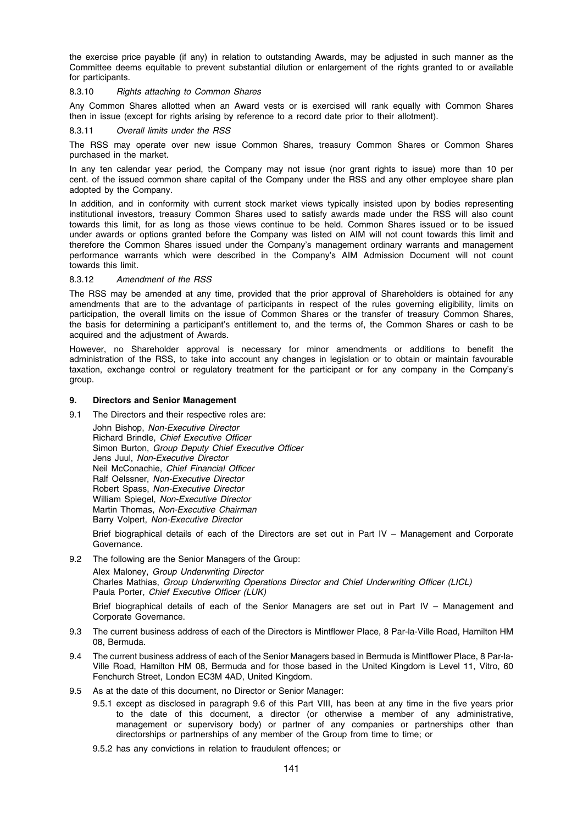the exercise price payable (if any) in relation to outstanding Awards, may be adjusted in such manner as the Committee deems equitable to prevent substantial dilution or enlargement of the rights granted to or available for participants.

# 8.3.10 Rights attaching to Common Shares

Any Common Shares allotted when an Award vests or is exercised will rank equally with Common Shares then in issue (except for rights arising by reference to a record date prior to their allotment).

8.3.11 Overall limits under the RSS

The RSS may operate over new issue Common Shares, treasury Common Shares or Common Shares purchased in the market.

In any ten calendar year period, the Company may not issue (nor grant rights to issue) more than 10 per cent. of the issued common share capital of the Company under the RSS and any other employee share plan adopted by the Company.

In addition, and in conformity with current stock market views typically insisted upon by bodies representing institutional investors, treasury Common Shares used to satisfy awards made under the RSS will also count towards this limit, for as long as those views continue to be held. Common Shares issued or to be issued under awards or options granted before the Company was listed on AIM will not count towards this limit and therefore the Common Shares issued under the Company's management ordinary warrants and management performance warrants which were described in the Company's AIM Admission Document will not count towards this limit.

#### 8.3.12 Amendment of the RSS

The RSS may be amended at any time, provided that the prior approval of Shareholders is obtained for any amendments that are to the advantage of participants in respect of the rules governing eligibility, limits on participation, the overall limits on the issue of Common Shares or the transfer of treasury Common Shares, the basis for determining a participant's entitlement to, and the terms of, the Common Shares or cash to be acquired and the adjustment of Awards.

However, no Shareholder approval is necessary for minor amendments or additions to benefit the administration of the RSS, to take into account any changes in legislation or to obtain or maintain favourable taxation, exchange control or regulatory treatment for the participant or for any company in the Company's group.

#### 9. Directors and Senior Management

9.1 The Directors and their respective roles are:

John Bishop, Non-Executive Director Richard Brindle, Chief Executive Officer Simon Burton, Group Deputy Chief Executive Officer Jens Juul, Non-Executive Director Neil McConachie, Chief Financial Officer Ralf Oelssner, Non-Executive Director Robert Spass, Non-Executive Director William Spiegel, Non-Executive Director Martin Thomas, Non-Executive Chairman Barry Volpert, Non-Executive Director

Brief biographical details of each of the Directors are set out in Part IV – Management and Corporate Governance.

9.2 The following are the Senior Managers of the Group: Alex Maloney, Group Underwriting Director Charles Mathias, Group Underwriting Operations Director and Chief Underwriting Officer (LICL) Paula Porter, Chief Executive Officer (LUK)

Brief biographical details of each of the Senior Managers are set out in Part IV – Management and Corporate Governance.

- 9.3 The current business address of each of the Directors is Mintflower Place, 8 Par-la-Ville Road, Hamilton HM 08, Bermuda.
- 9.4 The current business address of each of the Senior Managers based in Bermuda is Mintflower Place, 8 Par-la-Ville Road, Hamilton HM 08, Bermuda and for those based in the United Kingdom is Level 11, Vitro, 60 Fenchurch Street, London EC3M 4AD, United Kingdom.
- 9.5 As at the date of this document, no Director or Senior Manager:
	- 9.5.1 except as disclosed in paragraph 9.6 of this Part VIII, has been at any time in the five years prior to the date of this document, a director (or otherwise a member of any administrative, management or supervisory body) or partner of any companies or partnerships other than directorships or partnerships of any member of the Group from time to time; or
	- 9.5.2 has any convictions in relation to fraudulent offences; or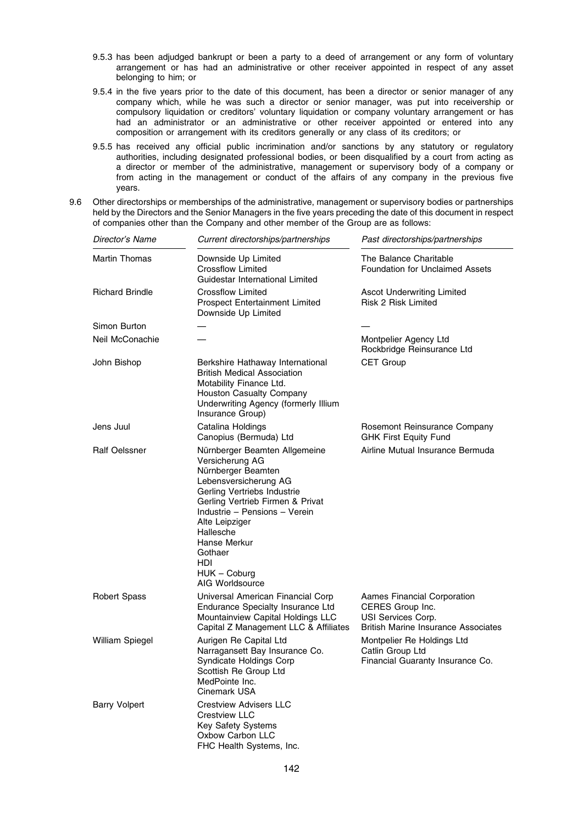- 9.5.3 has been adjudged bankrupt or been a party to a deed of arrangement or any form of voluntary arrangement or has had an administrative or other receiver appointed in respect of any asset belonging to him; or
- 9.5.4 in the five years prior to the date of this document, has been a director or senior manager of any company which, while he was such a director or senior manager, was put into receivership or compulsory liquidation or creditors' voluntary liquidation or company voluntary arrangement or has had an administrator or an administrative or other receiver appointed or entered into any composition or arrangement with its creditors generally or any class of its creditors; or
- 9.5.5 has received any official public incrimination and/or sanctions by any statutory or regulatory authorities, including designated professional bodies, or been disqualified by a court from acting as a director or member of the administrative, management or supervisory body of a company or from acting in the management or conduct of the affairs of any company in the previous five years.
- 9.6 Other directorships or memberships of the administrative, management or supervisory bodies or partnerships held by the Directors and the Senior Managers in the five years preceding the date of this document in respect of companies other than the Company and other member of the Group are as follows:

| Director's Name        | Current directorships/partnerships                                                                                                                                                                                                                                                                        | Past directorships/partnerships                                                                                     |
|------------------------|-----------------------------------------------------------------------------------------------------------------------------------------------------------------------------------------------------------------------------------------------------------------------------------------------------------|---------------------------------------------------------------------------------------------------------------------|
| <b>Martin Thomas</b>   | Downside Up Limited<br>Crossflow Limited<br>Guidestar International Limited                                                                                                                                                                                                                               | The Balance Charitable<br><b>Foundation for Unclaimed Assets</b>                                                    |
| <b>Richard Brindle</b> | Crossflow Limited<br>Prospect Entertainment Limited<br>Downside Up Limited                                                                                                                                                                                                                                | <b>Ascot Underwriting Limited</b><br><b>Risk 2 Risk Limited</b>                                                     |
| Simon Burton           |                                                                                                                                                                                                                                                                                                           |                                                                                                                     |
| Neil McConachie        |                                                                                                                                                                                                                                                                                                           | Montpelier Agency Ltd<br>Rockbridge Reinsurance Ltd                                                                 |
| John Bishop            | Berkshire Hathaway International<br><b>British Medical Association</b><br>Motability Finance Ltd.<br><b>Houston Casualty Company</b><br>Underwriting Agency (formerly Illium<br>Insurance Group)                                                                                                          | <b>CET Group</b>                                                                                                    |
| Jens Juul              | Catalina Holdings<br>Canopius (Bermuda) Ltd                                                                                                                                                                                                                                                               | Rosemont Reinsurance Company<br><b>GHK First Equity Fund</b>                                                        |
| Ralf Oelssner          | Nürnberger Beamten Allgemeine<br>Versicherung AG<br>Nürnberger Beamten<br>Lebensversicherung AG<br>Gerling Vertriebs Industrie<br>Gerling Vertrieb Firmen & Privat<br>Industrie – Pensions – Verein<br>Alte Leipziger<br>Hallesche<br>Hanse Merkur<br>Gothaer<br>HDI<br>$HUK - Coburg$<br>AIG Worldsource | Airline Mutual Insurance Bermuda                                                                                    |
| <b>Robert Spass</b>    | Universal American Financial Corp<br>Endurance Specialty Insurance Ltd<br>Mountainview Capital Holdings LLC<br>Capital Z Management LLC & Affiliates                                                                                                                                                      | Aames Financial Corporation<br>CERES Group Inc.<br>USI Services Corp.<br><b>British Marine Insurance Associates</b> |
| William Spiegel        | Aurigen Re Capital Ltd<br>Narragansett Bay Insurance Co.<br>Syndicate Holdings Corp<br>Scottish Re Group Ltd<br>MedPointe Inc.<br>Cinemark USA                                                                                                                                                            | Montpelier Re Holdings Ltd<br>Catlin Group Ltd<br>Financial Guaranty Insurance Co.                                  |
| <b>Barry Volpert</b>   | <b>Crestview Advisers LLC</b><br><b>Crestview LLC</b><br><b>Key Safety Systems</b><br>Oxbow Carbon LLC<br>FHC Health Systems, Inc.                                                                                                                                                                        |                                                                                                                     |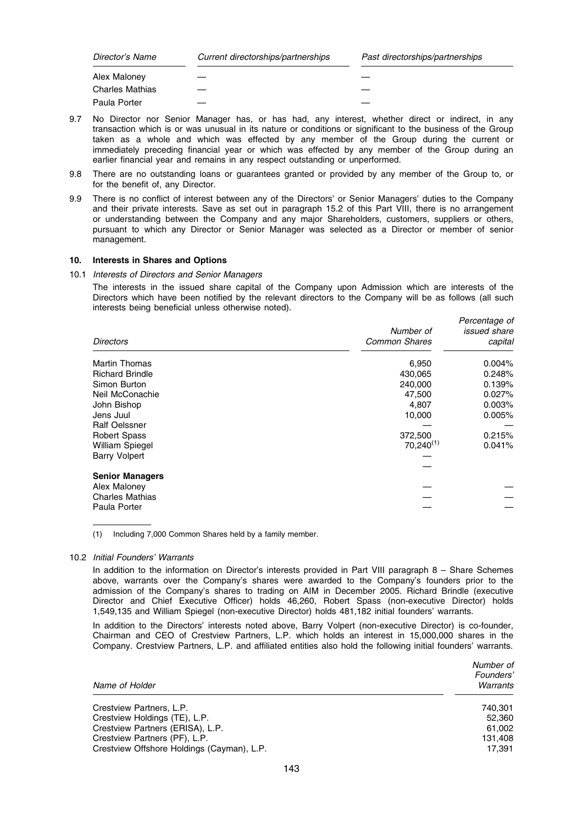| Director's Name        | Current directorships/partnerships | Past directorships/partnerships |
|------------------------|------------------------------------|---------------------------------|
| Alex Maloney           |                                    |                                 |
| <b>Charles Mathias</b> |                                    |                                 |
| Paula Porter           |                                    |                                 |

- 9.7 No Director nor Senior Manager has, or has had, any interest, whether direct or indirect, in any transaction which is or was unusual in its nature or conditions or significant to the business of the Group taken as a whole and which was effected by any member of the Group during the current or immediately preceding financial year or which was effected by any member of the Group during an earlier financial year and remains in any respect outstanding or unperformed.
- 9.8 There are no outstanding loans or guarantees granted or provided by any member of the Group to, or for the benefit of, any Director.
- 9.9 There is no conflict of interest between any of the Directors' or Senior Managers' duties to the Company and their private interests. Save as set out in paragraph 15.2 of this Part VIII, there is no arrangement or understanding between the Company and any major Shareholders, customers, suppliers or others, pursuant to which any Director or Senior Manager was selected as a Director or member of senior management.

# 10. Interests in Shares and Options

10.1 Interests of Directors and Senior Managers

The interests in the issued share capital of the Company upon Admission which are interests of the Directors which have been notified by the relevant directors to the Company will be as follows (all such interests being beneficial unless otherwise noted).

| <b>Directors</b>       | Number of<br><b>Common Shares</b> | Percentage of<br><i>issued share</i><br>capital |
|------------------------|-----------------------------------|-------------------------------------------------|
| Martin Thomas          | 6,950                             | $0.004\%$                                       |
| <b>Richard Brindle</b> | 430,065                           | 0.248%                                          |
| Simon Burton           | 240,000                           | 0.139%                                          |
| Neil McConachie        | 47,500                            | 0.027%                                          |
| John Bishop            | 4,807                             | 0.003%                                          |
| Jens Juul              | 10,000                            | 0.005%                                          |
| <b>Ralf Oelssner</b>   |                                   |                                                 |
| <b>Robert Spass</b>    | 372,500                           | 0.215%                                          |
| William Spiegel        | $70,240^{(1)}$                    | 0.041%                                          |
| <b>Barry Volpert</b>   |                                   |                                                 |
|                        |                                   |                                                 |
| <b>Senior Managers</b> |                                   |                                                 |
| Alex Maloney           |                                   |                                                 |
| <b>Charles Mathias</b> |                                   |                                                 |
| Paula Porter           |                                   |                                                 |

(1) Including 7,000 Common Shares held by a family member.

#### 10.2 Initial Founders' Warrants

In addition to the information on Director's interests provided in Part VIII paragraph 8 – Share Schemes above, warrants over the Company's shares were awarded to the Company's founders prior to the admission of the Company's shares to trading on AIM in December 2005. Richard Brindle (executive Director and Chief Executive Officer) holds 46,260, Robert Spass (non-executive Director) holds 1,549,135 and William Spiegel (non-executive Director) holds 481,182 initial founders' warrants.

In addition to the Directors' interests noted above, Barry Volpert (non-executive Director) is co-founder, Chairman and CEO of Crestview Partners, L.P. which holds an interest in 15,000,000 shares in the Company. Crestview Partners, L.P. and affiliated entities also hold the following initial founders' warrants.

| Name of Holder                             | Number of<br>Founders'<br>Warrants |
|--------------------------------------------|------------------------------------|
| Crestview Partners, L.P.                   | 740.301                            |
| Crestview Holdings (TE), L.P.              | 52,360                             |
| Crestview Partners (ERISA), L.P.           | 61.002                             |
| Crestview Partners (PF), L.P.              | 131,408                            |
| Crestview Offshore Holdings (Cayman), L.P. | 17.391                             |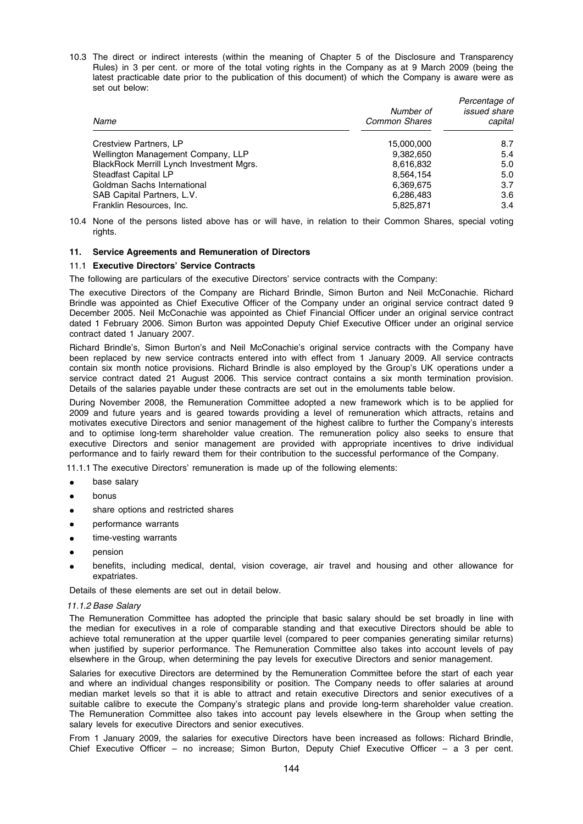10.3 The direct or indirect interests (within the meaning of Chapter 5 of the Disclosure and Transparency Rules) in 3 per cent. or more of the total voting rights in the Company as at 9 March 2009 (being the latest practicable date prior to the publication of this document) of which the Company is aware were as set out below:

| Name                                     | Number of<br><b>Common Shares</b> | Percentage of<br><i>issued</i> share<br>capital |
|------------------------------------------|-----------------------------------|-------------------------------------------------|
| Crestview Partners, LP                   | 15.000.000                        | 8.7                                             |
| Wellington Management Company, LLP       | 9,382,650                         | 5.4                                             |
| BlackRock Merrill Lynch Investment Mgrs. | 8,616,832                         | 5.0                                             |
| Steadfast Capital LP                     | 8.564.154                         | 5.0                                             |
| Goldman Sachs International              | 6,369,675                         | 3.7                                             |
| SAB Capital Partners, L.V.               | 6,286,483                         | 3.6                                             |
| Franklin Resources, Inc.                 | 5,825,871                         | 3.4                                             |

10.4 None of the persons listed above has or will have, in relation to their Common Shares, special voting rights.

# 11. Service Agreements and Remuneration of Directors

#### 11.1 Executive Directors' Service Contracts

The following are particulars of the executive Directors' service contracts with the Company:

The executive Directors of the Company are Richard Brindle, Simon Burton and Neil McConachie. Richard Brindle was appointed as Chief Executive Officer of the Company under an original service contract dated 9 December 2005. Neil McConachie was appointed as Chief Financial Officer under an original service contract dated 1 February 2006. Simon Burton was appointed Deputy Chief Executive Officer under an original service contract dated 1 January 2007.

Richard Brindle's, Simon Burton's and Neil McConachie's original service contracts with the Company have been replaced by new service contracts entered into with effect from 1 January 2009. All service contracts contain six month notice provisions. Richard Brindle is also employed by the Group's UK operations under a service contract dated 21 August 2006. This service contract contains a six month termination provision. Details of the salaries payable under these contracts are set out in the emoluments table below.

During November 2008, the Remuneration Committee adopted a new framework which is to be applied for 2009 and future years and is geared towards providing a level of remuneration which attracts, retains and motivates executive Directors and senior management of the highest calibre to further the Company's interests and to optimise long-term shareholder value creation. The remuneration policy also seeks to ensure that executive Directors and senior management are provided with appropriate incentives to drive individual performance and to fairly reward them for their contribution to the successful performance of the Company.

11.1.1 The executive Directors' remuneration is made up of the following elements:

- base salary
- \* bonus
- share options and restricted shares
- performance warrants
- time-vesting warrants
- **pension**
- benefits, including medical, dental, vision coverage, air travel and housing and other allowance for expatriates.

Details of these elements are set out in detail below.

#### 11.1.2 Base Salary

The Remuneration Committee has adopted the principle that basic salary should be set broadly in line with the median for executives in a role of comparable standing and that executive Directors should be able to achieve total remuneration at the upper quartile level (compared to peer companies generating similar returns) when justified by superior performance. The Remuneration Committee also takes into account levels of pay elsewhere in the Group, when determining the pay levels for executive Directors and senior management.

Salaries for executive Directors are determined by the Remuneration Committee before the start of each year and where an individual changes responsibility or position. The Company needs to offer salaries at around median market levels so that it is able to attract and retain executive Directors and senior executives of a suitable calibre to execute the Company's strategic plans and provide long-term shareholder value creation. The Remuneration Committee also takes into account pay levels elsewhere in the Group when setting the salary levels for executive Directors and senior executives.

From 1 January 2009, the salaries for executive Directors have been increased as follows: Richard Brindle, Chief Executive Officer – no increase; Simon Burton, Deputy Chief Executive Officer – a 3 per cent.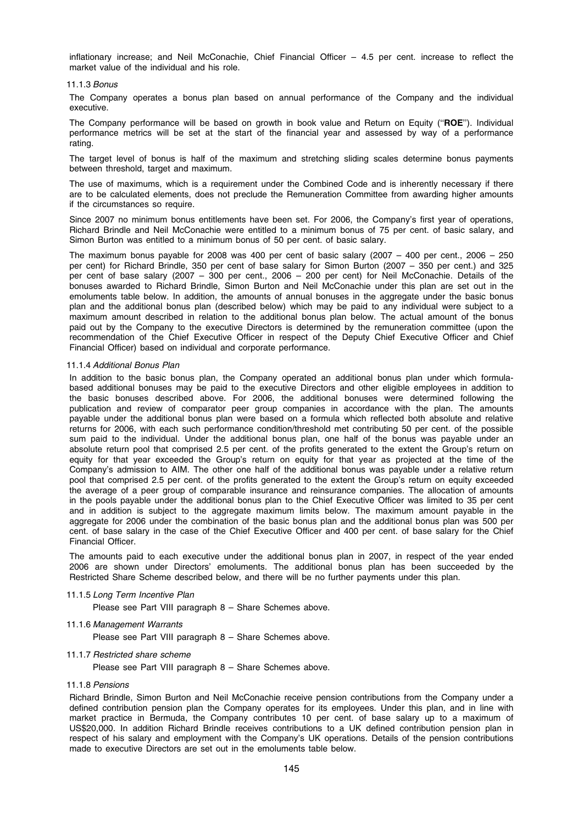inflationary increase; and Neil McConachie, Chief Financial Officer – 4.5 per cent. increase to reflect the market value of the individual and his role.

#### 11.1.3 Bonus

The Company operates a bonus plan based on annual performance of the Company and the individual executive.

The Company performance will be based on growth in book value and Return on Equity ("ROE"). Individual performance metrics will be set at the start of the financial year and assessed by way of a performance rating.

The target level of bonus is half of the maximum and stretching sliding scales determine bonus payments between threshold, target and maximum.

The use of maximums, which is a requirement under the Combined Code and is inherently necessary if there are to be calculated elements, does not preclude the Remuneration Committee from awarding higher amounts if the circumstances so require.

Since 2007 no minimum bonus entitlements have been set. For 2006, the Company's first year of operations, Richard Brindle and Neil McConachie were entitled to a minimum bonus of 75 per cent. of basic salary, and Simon Burton was entitled to a minimum bonus of 50 per cent. of basic salary.

The maximum bonus payable for 2008 was 400 per cent of basic salary  $(2007 - 400$  per cent., 2006 – 250 per cent) for Richard Brindle, 350 per cent of base salary for Simon Burton (2007 – 350 per cent.) and 325 per cent of base salary (2007 – 300 per cent., 2006 – 200 per cent) for Neil McConachie. Details of the bonuses awarded to Richard Brindle, Simon Burton and Neil McConachie under this plan are set out in the emoluments table below. In addition, the amounts of annual bonuses in the aggregate under the basic bonus plan and the additional bonus plan (described below) which may be paid to any individual were subject to a maximum amount described in relation to the additional bonus plan below. The actual amount of the bonus paid out by the Company to the executive Directors is determined by the remuneration committee (upon the recommendation of the Chief Executive Officer in respect of the Deputy Chief Executive Officer and Chief Financial Officer) based on individual and corporate performance.

## 11.1.4 Additional Bonus Plan

In addition to the basic bonus plan, the Company operated an additional bonus plan under which formulabased additional bonuses may be paid to the executive Directors and other eligible employees in addition to the basic bonuses described above. For 2006, the additional bonuses were determined following the publication and review of comparator peer group companies in accordance with the plan. The amounts payable under the additional bonus plan were based on a formula which reflected both absolute and relative returns for 2006, with each such performance condition/threshold met contributing 50 per cent. of the possible sum paid to the individual. Under the additional bonus plan, one half of the bonus was payable under an absolute return pool that comprised 2.5 per cent. of the profits generated to the extent the Group's return on equity for that year exceeded the Group's return on equity for that year as projected at the time of the Company's admission to AIM. The other one half of the additional bonus was payable under a relative return pool that comprised 2.5 per cent. of the profits generated to the extent the Group's return on equity exceeded the average of a peer group of comparable insurance and reinsurance companies. The allocation of amounts in the pools payable under the additional bonus plan to the Chief Executive Officer was limited to 35 per cent and in addition is subject to the aggregate maximum limits below. The maximum amount payable in the aggregate for 2006 under the combination of the basic bonus plan and the additional bonus plan was 500 per cent. of base salary in the case of the Chief Executive Officer and 400 per cent. of base salary for the Chief Financial Officer.

The amounts paid to each executive under the additional bonus plan in 2007, in respect of the year ended 2006 are shown under Directors' emoluments. The additional bonus plan has been succeeded by the Restricted Share Scheme described below, and there will be no further payments under this plan.

## 11.1.5 Long Term Incentive Plan

Please see Part VIII paragraph 8 – Share Schemes above.

## 11.1.6 Management Warrants

Please see Part VIII paragraph 8 – Share Schemes above.

## 11.1.7 Restricted share scheme

Please see Part VIII paragraph 8 – Share Schemes above.

#### 11.1.8 Pensions

Richard Brindle, Simon Burton and Neil McConachie receive pension contributions from the Company under a defined contribution pension plan the Company operates for its employees. Under this plan, and in line with market practice in Bermuda, the Company contributes 10 per cent. of base salary up to a maximum of US\$20,000. In addition Richard Brindle receives contributions to a UK defined contribution pension plan in respect of his salary and employment with the Company's UK operations. Details of the pension contributions made to executive Directors are set out in the emoluments table below.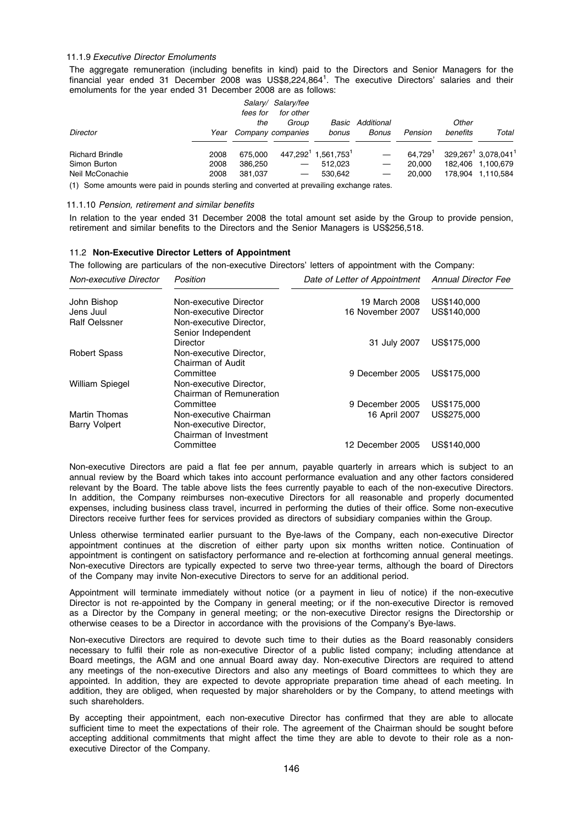#### 11.1.9 Executive Director Emoluments

The aggregate remuneration (including benefits in kind) paid to the Directors and Senior Managers for the financial year ended 31 December 2008 was US\$8,224,864<sup>1</sup>. The executive Directors' salaries and their emoluments for the year ended 31 December 2008 are as follows:

|                        |      | fees for | Salary/ Salary/fee<br>for other |                                             |                         |         |          |                                                |
|------------------------|------|----------|---------------------------------|---------------------------------------------|-------------------------|---------|----------|------------------------------------------------|
|                        |      | the      | Group                           |                                             | <b>Basic Additional</b> |         | Other    |                                                |
| <b>Director</b>        | Year |          | Company companies               | bonus                                       | Bonus                   | Pension | benefits | Total                                          |
| <b>Richard Brindle</b> | 2008 | 675.000  |                                 | 447,292 <sup>1</sup> 1,561,753 <sup>1</sup> |                         | 64.7291 |          | 329, 267 <sup>1</sup> 3, 078, 041 <sup>1</sup> |
| Simon Burton           | 2008 | 386.250  | $\hspace{0.05cm}$               | 512.023                                     |                         | 20,000  |          | 182.406 1.100.679                              |
| Neil McConachie        | 2008 | 381.037  | $\overline{\phantom{m}}$        | 530.642                                     |                         | 20,000  |          | 178.904 1.110.584                              |
|                        | .    | .        |                                 |                                             |                         |         |          |                                                |

(1) Some amounts were paid in pounds sterling and converted at prevailing exchange rates.

#### 11.1.10 Pension, retirement and similar benefits

In relation to the year ended 31 December 2008 the total amount set aside by the Group to provide pension, retirement and similar benefits to the Directors and the Senior Managers is US\$256,518.

#### 11.2 Non-Executive Director Letters of Appointment

The following are particulars of the non-executive Directors' letters of appointment with the Company:

| Non-executive Director                       | Position                                                                    | Date of Letter of Appointment | <b>Annual Director Fee</b> |
|----------------------------------------------|-----------------------------------------------------------------------------|-------------------------------|----------------------------|
| John Bishop                                  | Non-executive Director                                                      | 19 March 2008                 | US\$140,000                |
| Jens Juul                                    | Non-executive Director                                                      | 16 November 2007              | US\$140,000                |
| <b>Ralf Oelssner</b>                         | Non-executive Director,<br>Senior Independent                               |                               |                            |
|                                              | Director                                                                    | 31 July 2007                  | US\$175,000                |
| <b>Robert Spass</b>                          | Non-executive Director,<br>Chairman of Audit                                |                               |                            |
| <b>William Spiegel</b>                       | Committee<br>Non-executive Director,<br>Chairman of Remuneration            | 9 December 2005               | US\$175,000                |
|                                              | Committee                                                                   | 9 December 2005               | US\$175,000                |
| <b>Martin Thomas</b><br><b>Barry Volpert</b> | Non-executive Chairman<br>Non-executive Director,<br>Chairman of Investment | 16 April 2007                 | US\$275,000                |
|                                              | Committee                                                                   | 12 December 2005              | US\$140,000                |

Non-executive Directors are paid a flat fee per annum, payable quarterly in arrears which is subject to an annual review by the Board which takes into account performance evaluation and any other factors considered relevant by the Board. The table above lists the fees currently payable to each of the non-executive Directors. In addition, the Company reimburses non-executive Directors for all reasonable and properly documented expenses, including business class travel, incurred in performing the duties of their office. Some non-executive Directors receive further fees for services provided as directors of subsidiary companies within the Group.

Unless otherwise terminated earlier pursuant to the Bye-laws of the Company, each non-executive Director appointment continues at the discretion of either party upon six months written notice. Continuation of appointment is contingent on satisfactory performance and re-election at forthcoming annual general meetings. Non-executive Directors are typically expected to serve two three-year terms, although the board of Directors of the Company may invite Non-executive Directors to serve for an additional period.

Appointment will terminate immediately without notice (or a payment in lieu of notice) if the non-executive Director is not re-appointed by the Company in general meeting; or if the non-executive Director is removed as a Director by the Company in general meeting; or the non-executive Director resigns the Directorship or otherwise ceases to be a Director in accordance with the provisions of the Company's Bye-laws.

Non-executive Directors are required to devote such time to their duties as the Board reasonably considers necessary to fulfil their role as non-executive Director of a public listed company; including attendance at Board meetings, the AGM and one annual Board away day. Non-executive Directors are required to attend any meetings of the non-executive Directors and also any meetings of Board committees to which they are appointed. In addition, they are expected to devote appropriate preparation time ahead of each meeting. In addition, they are obliged, when requested by major shareholders or by the Company, to attend meetings with such shareholders.

By accepting their appointment, each non-executive Director has confirmed that they are able to allocate sufficient time to meet the expectations of their role. The agreement of the Chairman should be sought before accepting additional commitments that might affect the time they are able to devote to their role as a nonexecutive Director of the Company.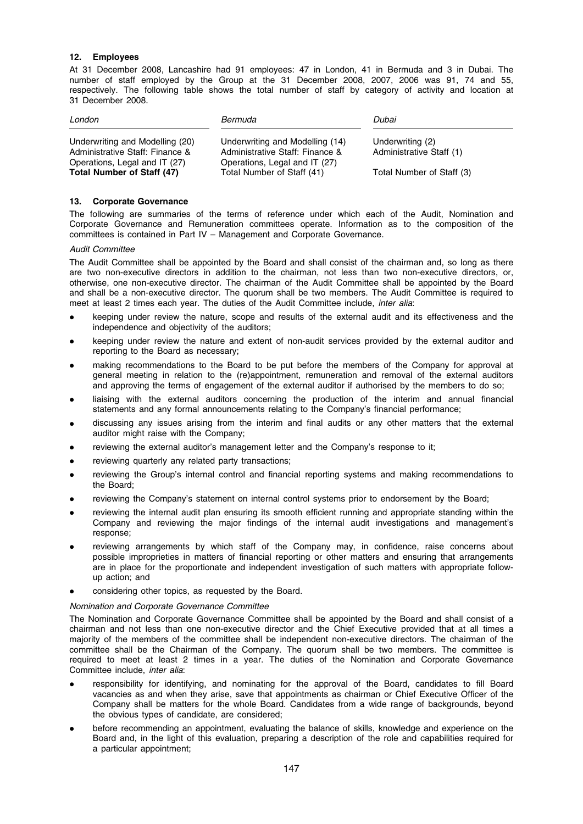## 12. Employees

At 31 December 2008, Lancashire had 91 employees: 47 in London, 41 in Bermuda and 3 in Dubai. The number of staff employed by the Group at the 31 December 2008, 2007, 2006 was 91, 74 and 55, respectively. The following table shows the total number of staff by category of activity and location at 31 December 2008.

| London                                                                                                                            | Bermuda                                                                                                                           | Dubai                                                                     |
|-----------------------------------------------------------------------------------------------------------------------------------|-----------------------------------------------------------------------------------------------------------------------------------|---------------------------------------------------------------------------|
| Underwriting and Modelling (20)<br>Administrative Staff: Finance &<br>Operations, Legal and IT (27)<br>Total Number of Staff (47) | Underwriting and Modelling (14)<br>Administrative Staff: Finance &<br>Operations, Legal and IT (27)<br>Total Number of Staff (41) | Underwriting (2)<br>Administrative Staff (1)<br>Total Number of Staff (3) |

## 13. Corporate Governance

The following are summaries of the terms of reference under which each of the Audit, Nomination and Corporate Governance and Remuneration committees operate. Information as to the composition of the committees is contained in Part IV – Management and Corporate Governance.

## Audit Committee

The Audit Committee shall be appointed by the Board and shall consist of the chairman and, so long as there are two non-executive directors in addition to the chairman, not less than two non-executive directors, or, otherwise, one non-executive director. The chairman of the Audit Committee shall be appointed by the Board and shall be a non-executive director. The quorum shall be two members. The Audit Committee is required to meet at least 2 times each year. The duties of the Audit Committee include, *inter alia*:

- keeping under review the nature, scope and results of the external audit and its effectiveness and the independence and objectivity of the auditors;
- keeping under review the nature and extent of non-audit services provided by the external auditor and reporting to the Board as necessary;
- making recommendations to the Board to be put before the members of the Company for approval at general meeting in relation to the (re)appointment, remuneration and removal of the external auditors and approving the terms of engagement of the external auditor if authorised by the members to do so;
- liaising with the external auditors concerning the production of the interim and annual financial statements and any formal announcements relating to the Company's financial performance;
- discussing any issues arising from the interim and final audits or any other matters that the external auditor might raise with the Company;
- reviewing the external auditor's management letter and the Company's response to it;
- reviewing quarterly any related party transactions;
- reviewing the Group's internal control and financial reporting systems and making recommendations to the Board;
- reviewing the Company's statement on internal control systems prior to endorsement by the Board;
- reviewing the internal audit plan ensuring its smooth efficient running and appropriate standing within the Company and reviewing the major findings of the internal audit investigations and management's response;
- reviewing arrangements by which staff of the Company may, in confidence, raise concerns about possible improprieties in matters of financial reporting or other matters and ensuring that arrangements are in place for the proportionate and independent investigation of such matters with appropriate followup action; and
- considering other topics, as requested by the Board.

## Nomination and Corporate Governance Committee

The Nomination and Corporate Governance Committee shall be appointed by the Board and shall consist of a chairman and not less than one non-executive director and the Chief Executive provided that at all times a majority of the members of the committee shall be independent non-executive directors. The chairman of the committee shall be the Chairman of the Company. The quorum shall be two members. The committee is required to meet at least 2 times in a year. The duties of the Nomination and Corporate Governance Committee include, inter alia:

- responsibility for identifying, and nominating for the approval of the Board, candidates to fill Board vacancies as and when they arise, save that appointments as chairman or Chief Executive Officer of the Company shall be matters for the whole Board. Candidates from a wide range of backgrounds, beyond the obvious types of candidate, are considered;
- before recommending an appointment, evaluating the balance of skills, knowledge and experience on the Board and, in the light of this evaluation, preparing a description of the role and capabilities required for a particular appointment;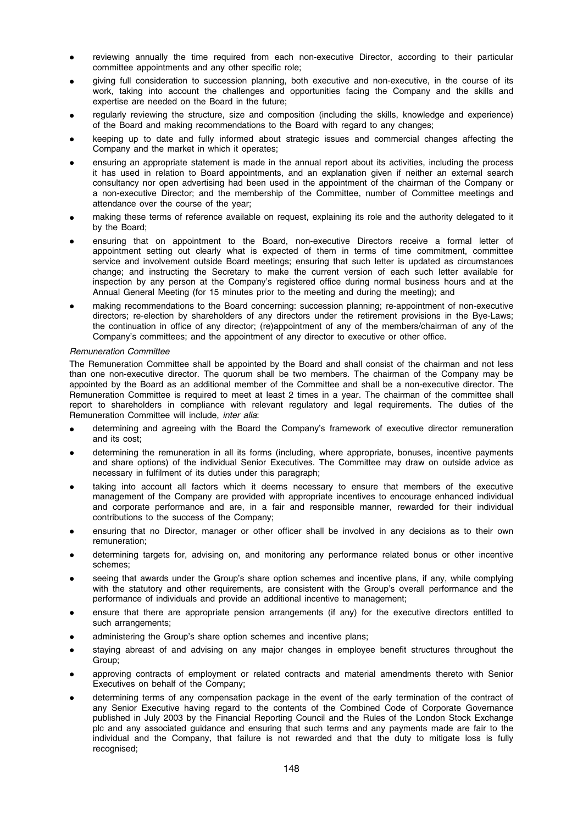- reviewing annually the time required from each non-executive Director, according to their particular committee appointments and any other specific role;
- giving full consideration to succession planning, both executive and non-executive, in the course of its work, taking into account the challenges and opportunities facing the Company and the skills and expertise are needed on the Board in the future;
- regularly reviewing the structure, size and composition (including the skills, knowledge and experience) of the Board and making recommendations to the Board with regard to any changes;
- keeping up to date and fully informed about strategic issues and commercial changes affecting the Company and the market in which it operates;
- ensuring an appropriate statement is made in the annual report about its activities, including the process it has used in relation to Board appointments, and an explanation given if neither an external search consultancy nor open advertising had been used in the appointment of the chairman of the Company or a non-executive Director; and the membership of the Committee, number of Committee meetings and attendance over the course of the year;
- making these terms of reference available on request, explaining its role and the authority delegated to it by the Board;
- ensuring that on appointment to the Board, non-executive Directors receive a formal letter of appointment setting out clearly what is expected of them in terms of time commitment, committee service and involvement outside Board meetings; ensuring that such letter is updated as circumstances change; and instructing the Secretary to make the current version of each such letter available for inspection by any person at the Company's registered office during normal business hours and at the Annual General Meeting (for 15 minutes prior to the meeting and during the meeting); and
- making recommendations to the Board concerning: succession planning; re-appointment of non-executive directors; re-election by shareholders of any directors under the retirement provisions in the Bye-Laws; the continuation in office of any director; (re)appointment of any of the members/chairman of any of the Company's committees; and the appointment of any director to executive or other office.

## Remuneration Committee

The Remuneration Committee shall be appointed by the Board and shall consist of the chairman and not less than one non-executive director. The quorum shall be two members. The chairman of the Company may be appointed by the Board as an additional member of the Committee and shall be a non-executive director. The Remuneration Committee is required to meet at least 2 times in a year. The chairman of the committee shall report to shareholders in compliance with relevant regulatory and legal requirements. The duties of the Remuneration Committee will include, inter alia:

- determining and agreeing with the Board the Company's framework of executive director remuneration and its cost;
- determining the remuneration in all its forms (including, where appropriate, bonuses, incentive payments and share options) of the individual Senior Executives. The Committee may draw on outside advice as necessary in fulfilment of its duties under this paragraph;
- taking into account all factors which it deems necessary to ensure that members of the executive management of the Company are provided with appropriate incentives to encourage enhanced individual and corporate performance and are, in a fair and responsible manner, rewarded for their individual contributions to the success of the Company;
- ensuring that no Director, manager or other officer shall be involved in any decisions as to their own remuneration;
- determining targets for, advising on, and monitoring any performance related bonus or other incentive schemes;
- seeing that awards under the Group's share option schemes and incentive plans, if any, while complying with the statutory and other requirements, are consistent with the Group's overall performance and the performance of individuals and provide an additional incentive to management;
- ensure that there are appropriate pension arrangements (if any) for the executive directors entitled to such arrangements;
- administering the Group's share option schemes and incentive plans;
- staying abreast of and advising on any major changes in employee benefit structures throughout the Group;
- approving contracts of employment or related contracts and material amendments thereto with Senior Executives on behalf of the Company;
- determining terms of any compensation package in the event of the early termination of the contract of any Senior Executive having regard to the contents of the Combined Code of Corporate Governance published in July 2003 by the Financial Reporting Council and the Rules of the London Stock Exchange plc and any associated guidance and ensuring that such terms and any payments made are fair to the individual and the Company, that failure is not rewarded and that the duty to mitigate loss is fully recognised;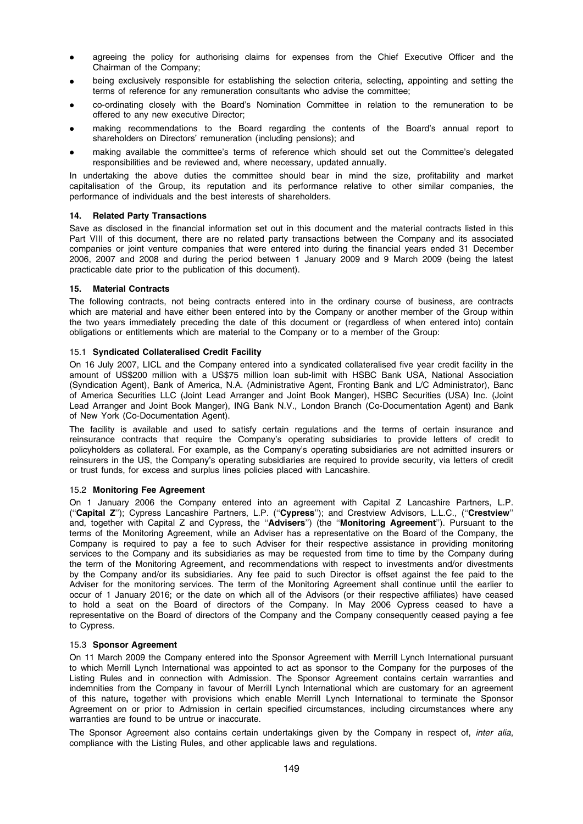- agreeing the policy for authorising claims for expenses from the Chief Executive Officer and the Chairman of the Company;
- being exclusively responsible for establishing the selection criteria, selecting, appointing and setting the terms of reference for any remuneration consultants who advise the committee;
- \* co-ordinating closely with the Board's Nomination Committee in relation to the remuneration to be offered to any new executive Director;
- making recommendations to the Board regarding the contents of the Board's annual report to shareholders on Directors' remuneration (including pensions); and
- making available the committee's terms of reference which should set out the Committee's delegated responsibilities and be reviewed and, where necessary, updated annually.

In undertaking the above duties the committee should bear in mind the size, profitability and market capitalisation of the Group, its reputation and its performance relative to other similar companies, the performance of individuals and the best interests of shareholders.

## 14. Related Party Transactions

Save as disclosed in the financial information set out in this document and the material contracts listed in this Part VIII of this document, there are no related party transactions between the Company and its associated companies or joint venture companies that were entered into during the financial years ended 31 December 2006, 2007 and 2008 and during the period between 1 January 2009 and 9 March 2009 (being the latest practicable date prior to the publication of this document).

## 15. Material Contracts

The following contracts, not being contracts entered into in the ordinary course of business, are contracts which are material and have either been entered into by the Company or another member of the Group within the two years immediately preceding the date of this document or (regardless of when entered into) contain obligations or entitlements which are material to the Company or to a member of the Group:

## 15.1 Syndicated Collateralised Credit Facility

On 16 July 2007, LICL and the Company entered into a syndicated collateralised five year credit facility in the amount of US\$200 million with a US\$75 million loan sub-limit with HSBC Bank USA, National Association (Syndication Agent), Bank of America, N.A. (Administrative Agent, Fronting Bank and L/C Administrator), Banc of America Securities LLC (Joint Lead Arranger and Joint Book Manger), HSBC Securities (USA) Inc. (Joint Lead Arranger and Joint Book Manger), ING Bank N.V., London Branch (Co-Documentation Agent) and Bank of New York (Co-Documentation Agent).

The facility is available and used to satisfy certain regulations and the terms of certain insurance and reinsurance contracts that require the Company's operating subsidiaries to provide letters of credit to policyholders as collateral. For example, as the Company's operating subsidiaries are not admitted insurers or reinsurers in the US, the Company's operating subsidiaries are required to provide security, via letters of credit or trust funds, for excess and surplus lines policies placed with Lancashire.

# 15.2 Monitoring Fee Agreement

On 1 January 2006 the Company entered into an agreement with Capital Z Lancashire Partners, L.P. (''Capital Z''); Cypress Lancashire Partners, L.P. (''Cypress''); and Crestview Advisors, L.L.C., (''Crestview'' and, together with Capital Z and Cypress, the "Advisers") (the "Monitoring Agreement"). Pursuant to the terms of the Monitoring Agreement, while an Adviser has a representative on the Board of the Company, the Company is required to pay a fee to such Adviser for their respective assistance in providing monitoring services to the Company and its subsidiaries as may be requested from time to time by the Company during the term of the Monitoring Agreement, and recommendations with respect to investments and/or divestments by the Company and/or its subsidiaries. Any fee paid to such Director is offset against the fee paid to the Adviser for the monitoring services. The term of the Monitoring Agreement shall continue until the earlier to occur of 1 January 2016; or the date on which all of the Advisors (or their respective affiliates) have ceased to hold a seat on the Board of directors of the Company. In May 2006 Cypress ceased to have a representative on the Board of directors of the Company and the Company consequently ceased paying a fee to Cypress.

## 15.3 Sponsor Agreement

On 11 March 2009 the Company entered into the Sponsor Agreement with Merrill Lynch International pursuant to which Merrill Lynch International was appointed to act as sponsor to the Company for the purposes of the Listing Rules and in connection with Admission. The Sponsor Agreement contains certain warranties and indemnities from the Company in favour of Merrill Lynch International which are customary for an agreement of this nature, together with provisions which enable Merrill Lynch International to terminate the Sponsor Agreement on or prior to Admission in certain specified circumstances, including circumstances where any warranties are found to be untrue or inaccurate.

The Sponsor Agreement also contains certain undertakings given by the Company in respect of, inter alia, compliance with the Listing Rules, and other applicable laws and regulations.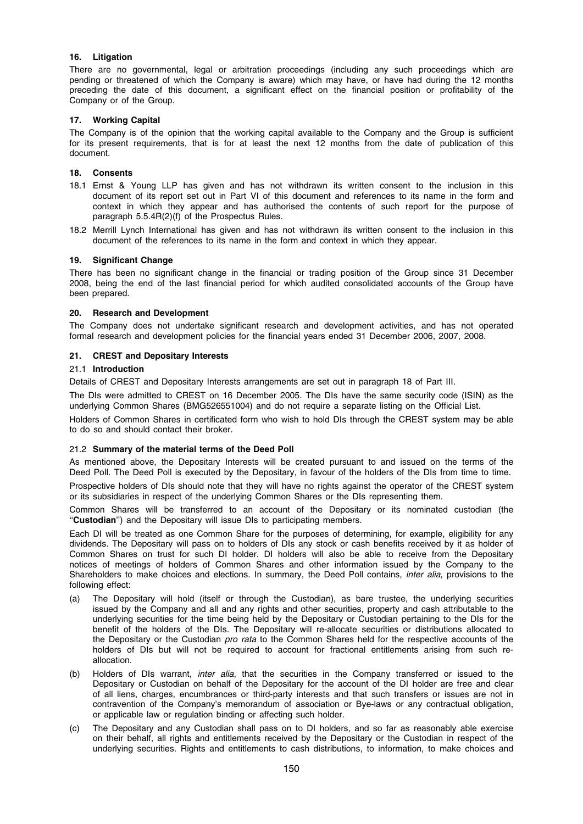## 16. Litigation

There are no governmental, legal or arbitration proceedings (including any such proceedings which are pending or threatened of which the Company is aware) which may have, or have had during the 12 months preceding the date of this document, a significant effect on the financial position or profitability of the Company or of the Group.

## 17. Working Capital

The Company is of the opinion that the working capital available to the Company and the Group is sufficient for its present requirements, that is for at least the next 12 months from the date of publication of this document.

## 18. Consents

- 18.1 Ernst & Young LLP has given and has not withdrawn its written consent to the inclusion in this document of its report set out in Part VI of this document and references to its name in the form and context in which they appear and has authorised the contents of such report for the purpose of paragraph 5.5.4R(2)(f) of the Prospectus Rules.
- 18.2 Merrill Lynch International has given and has not withdrawn its written consent to the inclusion in this document of the references to its name in the form and context in which they appear.

# 19. Significant Change

There has been no significant change in the financial or trading position of the Group since 31 December 2008, being the end of the last financial period for which audited consolidated accounts of the Group have been prepared.

## 20. Research and Development

The Company does not undertake significant research and development activities, and has not operated formal research and development policies for the financial years ended 31 December 2006, 2007, 2008.

## 21. CREST and Depositary Interests

## 21.1 Introduction

Details of CREST and Depositary Interests arrangements are set out in paragraph 18 of Part III.

The DIs were admitted to CREST on 16 December 2005. The DIs have the same security code (ISIN) as the underlying Common Shares (BMG526551004) and do not require a separate listing on the Official List.

Holders of Common Shares in certificated form who wish to hold DIs through the CREST system may be able to do so and should contact their broker.

## 21.2 Summary of the material terms of the Deed Poll

As mentioned above, the Depositary Interests will be created pursuant to and issued on the terms of the Deed Poll. The Deed Poll is executed by the Depositary, in favour of the holders of the DIs from time to time.

Prospective holders of DIs should note that they will have no rights against the operator of the CREST system or its subsidiaries in respect of the underlying Common Shares or the DIs representing them.

Common Shares will be transferred to an account of the Depositary or its nominated custodian (the "Custodian") and the Depositary will issue DIs to participating members.

Each DI will be treated as one Common Share for the purposes of determining, for example, eligibility for any dividends. The Depositary will pass on to holders of DIs any stock or cash benefits received by it as holder of Common Shares on trust for such DI holder. DI holders will also be able to receive from the Depositary notices of meetings of holders of Common Shares and other information issued by the Company to the Shareholders to make choices and elections. In summary, the Deed Poll contains, *inter alia*, provisions to the following effect:

- (a) The Depositary will hold (itself or through the Custodian), as bare trustee, the underlying securities issued by the Company and all and any rights and other securities, property and cash attributable to the underlying securities for the time being held by the Depositary or Custodian pertaining to the DIs for the benefit of the holders of the DIs. The Depositary will re-allocate securities or distributions allocated to the Depositary or the Custodian *pro rata* to the Common Shares held for the respective accounts of the holders of DIs but will not be required to account for fractional entitlements arising from such reallocation.
- (b) Holders of DIs warrant, inter alia, that the securities in the Company transferred or issued to the Depositary or Custodian on behalf of the Depositary for the account of the DI holder are free and clear of all liens, charges, encumbrances or third-party interests and that such transfers or issues are not in contravention of the Company's memorandum of association or Bye-laws or any contractual obligation, or applicable law or regulation binding or affecting such holder.
- (c) The Depositary and any Custodian shall pass on to DI holders, and so far as reasonably able exercise on their behalf, all rights and entitlements received by the Depositary or the Custodian in respect of the underlying securities. Rights and entitlements to cash distributions, to information, to make choices and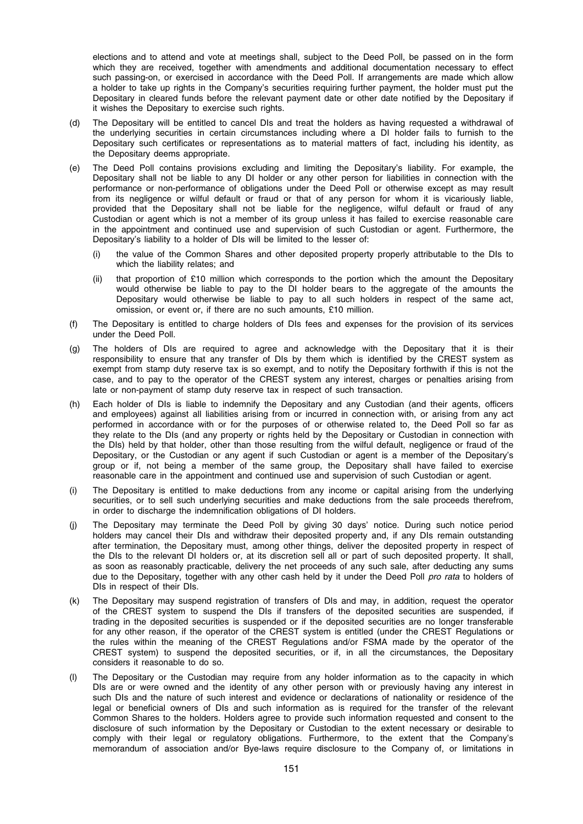elections and to attend and vote at meetings shall, subject to the Deed Poll, be passed on in the form which they are received, together with amendments and additional documentation necessary to effect such passing-on, or exercised in accordance with the Deed Poll. If arrangements are made which allow a holder to take up rights in the Company's securities requiring further payment, the holder must put the Depositary in cleared funds before the relevant payment date or other date notified by the Depositary if it wishes the Depositary to exercise such rights.

- (d) The Depositary will be entitled to cancel DIs and treat the holders as having requested a withdrawal of the underlying securities in certain circumstances including where a DI holder fails to furnish to the Depositary such certificates or representations as to material matters of fact, including his identity, as the Depositary deems appropriate.
- (e) The Deed Poll contains provisions excluding and limiting the Depositary's liability. For example, the Depositary shall not be liable to any DI holder or any other person for liabilities in connection with the performance or non-performance of obligations under the Deed Poll or otherwise except as may result from its negligence or wilful default or fraud or that of any person for whom it is vicariously liable, provided that the Depositary shall not be liable for the negligence, wilful default or fraud of any Custodian or agent which is not a member of its group unless it has failed to exercise reasonable care in the appointment and continued use and supervision of such Custodian or agent. Furthermore, the Depositary's liability to a holder of DIs will be limited to the lesser of:
	- (i) the value of the Common Shares and other deposited property properly attributable to the DIs to which the liability relates; and
	- (ii) that proportion of £10 million which corresponds to the portion which the amount the Depositary would otherwise be liable to pay to the DI holder bears to the aggregate of the amounts the Depositary would otherwise be liable to pay to all such holders in respect of the same act, omission, or event or, if there are no such amounts, £10 million.
- (f) The Depositary is entitled to charge holders of DIs fees and expenses for the provision of its services under the Deed Poll.
- (g) The holders of DIs are required to agree and acknowledge with the Depositary that it is their responsibility to ensure that any transfer of DIs by them which is identified by the CREST system as exempt from stamp duty reserve tax is so exempt, and to notify the Depositary forthwith if this is not the case, and to pay to the operator of the CREST system any interest, charges or penalties arising from late or non-payment of stamp duty reserve tax in respect of such transaction.
- (h) Each holder of DIs is liable to indemnify the Depositary and any Custodian (and their agents, officers and employees) against all liabilities arising from or incurred in connection with, or arising from any act performed in accordance with or for the purposes of or otherwise related to, the Deed Poll so far as they relate to the DIs (and any property or rights held by the Depositary or Custodian in connection with the DIs) held by that holder, other than those resulting from the wilful default, negligence or fraud of the Depositary, or the Custodian or any agent if such Custodian or agent is a member of the Depositary's group or if, not being a member of the same group, the Depositary shall have failed to exercise reasonable care in the appointment and continued use and supervision of such Custodian or agent.
- (i) The Depositary is entitled to make deductions from any income or capital arising from the underlying securities, or to sell such underlying securities and make deductions from the sale proceeds therefrom, in order to discharge the indemnification obligations of DI holders.
- (j) The Depositary may terminate the Deed Poll by giving 30 days' notice. During such notice period holders may cancel their DIs and withdraw their deposited property and, if any DIs remain outstanding after termination, the Depositary must, among other things, deliver the deposited property in respect of the DIs to the relevant DI holders or, at its discretion sell all or part of such deposited property. It shall, as soon as reasonably practicable, delivery the net proceeds of any such sale, after deducting any sums due to the Depositary, together with any other cash held by it under the Deed Poll pro rata to holders of DIs in respect of their DIs.
- (k) The Depositary may suspend registration of transfers of DIs and may, in addition, request the operator of the CREST system to suspend the DIs if transfers of the deposited securities are suspended, if trading in the deposited securities is suspended or if the deposited securities are no longer transferable for any other reason, if the operator of the CREST system is entitled (under the CREST Regulations or the rules within the meaning of the CREST Regulations and/or FSMA made by the operator of the CREST system) to suspend the deposited securities, or if, in all the circumstances, the Depositary considers it reasonable to do so.
- (l) The Depositary or the Custodian may require from any holder information as to the capacity in which DIs are or were owned and the identity of any other person with or previously having any interest in such DIs and the nature of such interest and evidence or declarations of nationality or residence of the legal or beneficial owners of DIs and such information as is required for the transfer of the relevant Common Shares to the holders. Holders agree to provide such information requested and consent to the disclosure of such information by the Depositary or Custodian to the extent necessary or desirable to comply with their legal or regulatory obligations. Furthermore, to the extent that the Company's memorandum of association and/or Bye-laws require disclosure to the Company of, or limitations in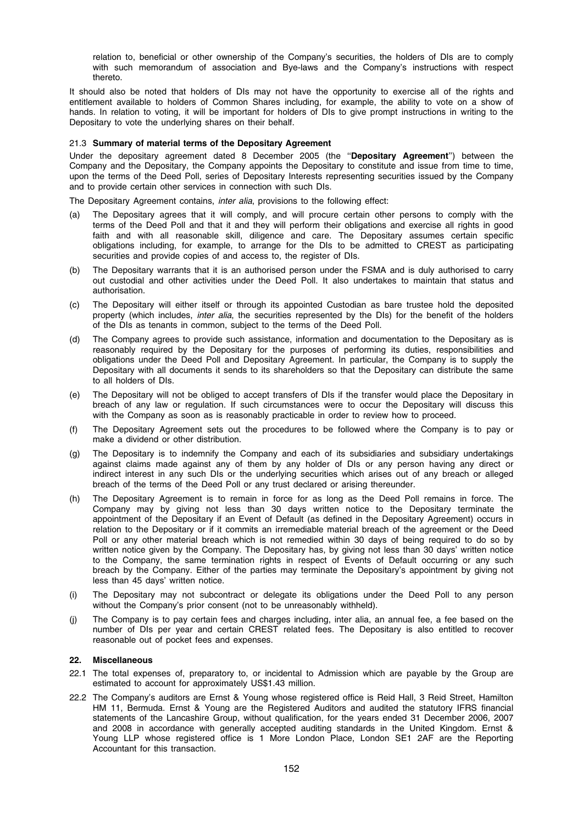relation to, beneficial or other ownership of the Company's securities, the holders of DIs are to comply with such memorandum of association and Bye-laws and the Company's instructions with respect thereto.

It should also be noted that holders of DIs may not have the opportunity to exercise all of the rights and entitlement available to holders of Common Shares including, for example, the ability to vote on a show of hands. In relation to voting, it will be important for holders of DIs to give prompt instructions in writing to the Depositary to vote the underlying shares on their behalf.

#### 21.3 Summary of material terms of the Depositary Agreement

Under the depositary agreement dated 8 December 2005 (the "Depositary Agreement") between the Company and the Depositary, the Company appoints the Depositary to constitute and issue from time to time, upon the terms of the Deed Poll, series of Depositary Interests representing securities issued by the Company and to provide certain other services in connection with such DIs.

The Depositary Agreement contains, inter alia, provisions to the following effect:

- (a) The Depositary agrees that it will comply, and will procure certain other persons to comply with the terms of the Deed Poll and that it and they will perform their obligations and exercise all rights in good faith and with all reasonable skill, diligence and care. The Depositary assumes certain specific obligations including, for example, to arrange for the DIs to be admitted to CREST as participating securities and provide copies of and access to, the register of DIs.
- (b) The Depositary warrants that it is an authorised person under the FSMA and is duly authorised to carry out custodial and other activities under the Deed Poll. It also undertakes to maintain that status and authorisation.
- (c) The Depositary will either itself or through its appointed Custodian as bare trustee hold the deposited property (which includes, inter alia, the securities represented by the DIs) for the benefit of the holders of the DIs as tenants in common, subject to the terms of the Deed Poll.
- (d) The Company agrees to provide such assistance, information and documentation to the Depositary as is reasonably required by the Depositary for the purposes of performing its duties, responsibilities and obligations under the Deed Poll and Depositary Agreement. In particular, the Company is to supply the Depositary with all documents it sends to its shareholders so that the Depositary can distribute the same to all holders of DIs.
- (e) The Depositary will not be obliged to accept transfers of DIs if the transfer would place the Depositary in breach of any law or regulation. If such circumstances were to occur the Depositary will discuss this with the Company as soon as is reasonably practicable in order to review how to proceed.
- (f) The Depositary Agreement sets out the procedures to be followed where the Company is to pay or make a dividend or other distribution.
- (g) The Depositary is to indemnify the Company and each of its subsidiaries and subsidiary undertakings against claims made against any of them by any holder of DIs or any person having any direct or indirect interest in any such DIs or the underlying securities which arises out of any breach or alleged breach of the terms of the Deed Poll or any trust declared or arising thereunder.
- (h) The Depositary Agreement is to remain in force for as long as the Deed Poll remains in force. The Company may by giving not less than 30 days written notice to the Depositary terminate the appointment of the Depositary if an Event of Default (as defined in the Depositary Agreement) occurs in relation to the Depositary or if it commits an irremediable material breach of the agreement or the Deed Poll or any other material breach which is not remedied within 30 days of being required to do so by written notice given by the Company. The Depositary has, by giving not less than 30 days' written notice to the Company, the same termination rights in respect of Events of Default occurring or any such breach by the Company. Either of the parties may terminate the Depositary's appointment by giving not less than 45 days' written notice.
- (i) The Depositary may not subcontract or delegate its obligations under the Deed Poll to any person without the Company's prior consent (not to be unreasonably withheld).
- (j) The Company is to pay certain fees and charges including, inter alia, an annual fee, a fee based on the number of DIs per year and certain CREST related fees. The Depositary is also entitled to recover reasonable out of pocket fees and expenses.

## 22. Miscellaneous

- 22.1 The total expenses of, preparatory to, or incidental to Admission which are payable by the Group are estimated to account for approximately US\$1.43 million.
- 22.2 The Company's auditors are Ernst & Young whose registered office is Reid Hall, 3 Reid Street, Hamilton HM 11, Bermuda. Ernst & Young are the Registered Auditors and audited the statutory IFRS financial statements of the Lancashire Group, without qualification, for the years ended 31 December 2006, 2007 and 2008 in accordance with generally accepted auditing standards in the United Kingdom. Ernst & Young LLP whose registered office is 1 More London Place, London SE1 2AF are the Reporting Accountant for this transaction.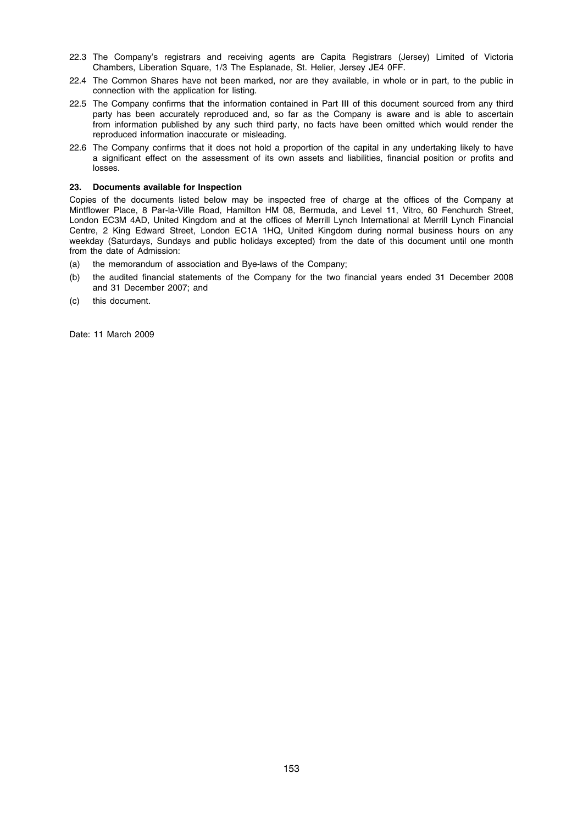- 22.3 The Company's registrars and receiving agents are Capita Registrars (Jersey) Limited of Victoria Chambers, Liberation Square, 1/3 The Esplanade, St. Helier, Jersey JE4 0FF.
- 22.4 The Common Shares have not been marked, nor are they available, in whole or in part, to the public in connection with the application for listing.
- 22.5 The Company confirms that the information contained in Part III of this document sourced from any third party has been accurately reproduced and, so far as the Company is aware and is able to ascertain from information published by any such third party, no facts have been omitted which would render the reproduced information inaccurate or misleading.
- 22.6 The Company confirms that it does not hold a proportion of the capital in any undertaking likely to have a significant effect on the assessment of its own assets and liabilities, financial position or profits and losses.

## 23. Documents available for Inspection

Copies of the documents listed below may be inspected free of charge at the offices of the Company at Mintflower Place, 8 Par-la-Ville Road, Hamilton HM 08, Bermuda, and Level 11, Vitro, 60 Fenchurch Street, London EC3M 4AD, United Kingdom and at the offices of Merrill Lynch International at Merrill Lynch Financial Centre, 2 King Edward Street, London EC1A 1HQ, United Kingdom during normal business hours on any weekday (Saturdays, Sundays and public holidays excepted) from the date of this document until one month from the date of Admission:

- (a) the memorandum of association and Bye-laws of the Company;
- (b) the audited financial statements of the Company for the two financial years ended 31 December 2008 and 31 December 2007; and
- (c) this document.

Date: 11 March 2009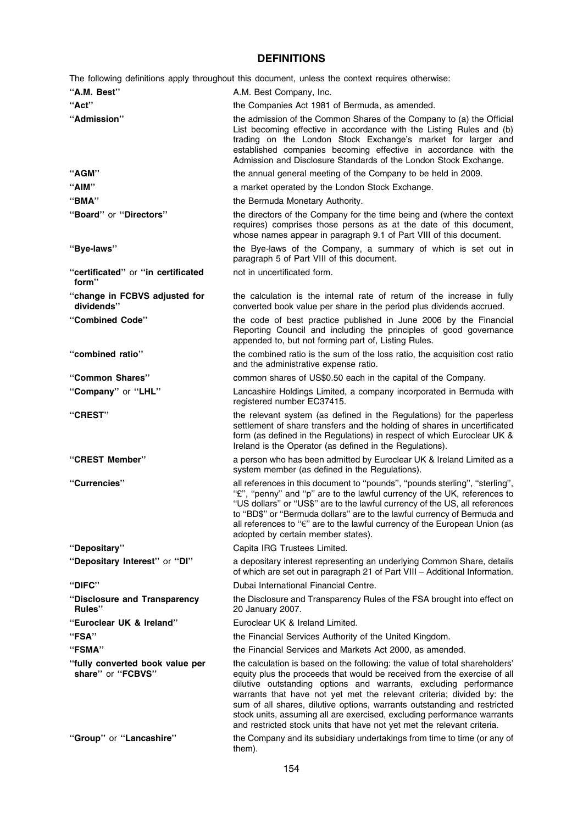# DEFINITIONS

The following definitions apply throughout this document, unless the context requires otherwise:

| "A.M. Best"                                          | A.M. Best Company, Inc.                                                                                                                                                                                                                                                                                                                                                                                                                                                                                                                |
|------------------------------------------------------|----------------------------------------------------------------------------------------------------------------------------------------------------------------------------------------------------------------------------------------------------------------------------------------------------------------------------------------------------------------------------------------------------------------------------------------------------------------------------------------------------------------------------------------|
| "Act"                                                | the Companies Act 1981 of Bermuda, as amended.                                                                                                                                                                                                                                                                                                                                                                                                                                                                                         |
| "Admission"                                          | the admission of the Common Shares of the Company to (a) the Official<br>List becoming effective in accordance with the Listing Rules and (b)<br>trading on the London Stock Exchange's market for larger and<br>established companies becoming effective in accordance with the<br>Admission and Disclosure Standards of the London Stock Exchange.                                                                                                                                                                                   |
| "AGM"                                                | the annual general meeting of the Company to be held in 2009.                                                                                                                                                                                                                                                                                                                                                                                                                                                                          |
| "AIM"                                                | a market operated by the London Stock Exchange.                                                                                                                                                                                                                                                                                                                                                                                                                                                                                        |
| "BMA"                                                | the Bermuda Monetary Authority.                                                                                                                                                                                                                                                                                                                                                                                                                                                                                                        |
| "Board" or "Directors"                               | the directors of the Company for the time being and (where the context<br>requires) comprises those persons as at the date of this document,<br>whose names appear in paragraph 9.1 of Part VIII of this document.                                                                                                                                                                                                                                                                                                                     |
| "Bye-laws"                                           | the Bye-laws of the Company, a summary of which is set out in<br>paragraph 5 of Part VIII of this document.                                                                                                                                                                                                                                                                                                                                                                                                                            |
| "certificated" or "in certificated<br>form"          | not in uncertificated form.                                                                                                                                                                                                                                                                                                                                                                                                                                                                                                            |
| "change in FCBVS adjusted for<br>dividends"          | the calculation is the internal rate of return of the increase in fully<br>converted book value per share in the period plus dividends accrued.                                                                                                                                                                                                                                                                                                                                                                                        |
| "Combined Code"                                      | the code of best practice published in June 2006 by the Financial<br>Reporting Council and including the principles of good governance<br>appended to, but not forming part of, Listing Rules.                                                                                                                                                                                                                                                                                                                                         |
| "combined ratio"                                     | the combined ratio is the sum of the loss ratio, the acquisition cost ratio<br>and the administrative expense ratio.                                                                                                                                                                                                                                                                                                                                                                                                                   |
| "Common Shares"                                      | common shares of US\$0.50 each in the capital of the Company.                                                                                                                                                                                                                                                                                                                                                                                                                                                                          |
| "Company" or "LHL"                                   | Lancashire Holdings Limited, a company incorporated in Bermuda with<br>registered number EC37415.                                                                                                                                                                                                                                                                                                                                                                                                                                      |
| "CREST"                                              | the relevant system (as defined in the Regulations) for the paperless<br>settlement of share transfers and the holding of shares in uncertificated<br>form (as defined in the Regulations) in respect of which Euroclear UK &<br>Ireland is the Operator (as defined in the Regulations).                                                                                                                                                                                                                                              |
| "CREST Member"                                       | a person who has been admitted by Euroclear UK & Ireland Limited as a<br>system member (as defined in the Regulations).                                                                                                                                                                                                                                                                                                                                                                                                                |
| "Currencies"                                         | all references in this document to "pounds", "pounds sterling", "sterling",<br>"£", "penny" and "p" are to the lawful currency of the UK, references to<br>"US dollars" or "US\$" are to the lawful currency of the US, all references<br>to "BD\$" or "Bermuda dollars" are to the lawful currency of Bermuda and<br>all references to "€" are to the lawful currency of the European Union (as<br>adopted by certain member states).                                                                                                 |
| "Depositary"                                         | Capita IRG Trustees Limited.                                                                                                                                                                                                                                                                                                                                                                                                                                                                                                           |
| "Depositary Interest" or "DI"                        | a depositary interest representing an underlying Common Share, details<br>of which are set out in paragraph 21 of Part VIII - Additional Information.                                                                                                                                                                                                                                                                                                                                                                                  |
| "DIFC"                                               | Dubai International Financial Centre.                                                                                                                                                                                                                                                                                                                                                                                                                                                                                                  |
| "Disclosure and Transparency<br>Rules"               | the Disclosure and Transparency Rules of the FSA brought into effect on<br>20 January 2007.                                                                                                                                                                                                                                                                                                                                                                                                                                            |
| "Euroclear UK & Ireland"                             | Euroclear UK & Ireland Limited.                                                                                                                                                                                                                                                                                                                                                                                                                                                                                                        |
| "FSA"                                                | the Financial Services Authority of the United Kingdom.                                                                                                                                                                                                                                                                                                                                                                                                                                                                                |
| "FSMA"                                               | the Financial Services and Markets Act 2000, as amended.                                                                                                                                                                                                                                                                                                                                                                                                                                                                               |
| "fully converted book value per<br>share" or "FCBVS" | the calculation is based on the following: the value of total shareholders'<br>equity plus the proceeds that would be received from the exercise of all<br>dilutive outstanding options and warrants, excluding performance<br>warrants that have not yet met the relevant criteria; divided by: the<br>sum of all shares, dilutive options, warrants outstanding and restricted<br>stock units, assuming all are exercised, excluding performance warrants<br>and restricted stock units that have not yet met the relevant criteria. |
| "Group" or "Lancashire"                              | the Company and its subsidiary undertakings from time to time (or any of<br>them).                                                                                                                                                                                                                                                                                                                                                                                                                                                     |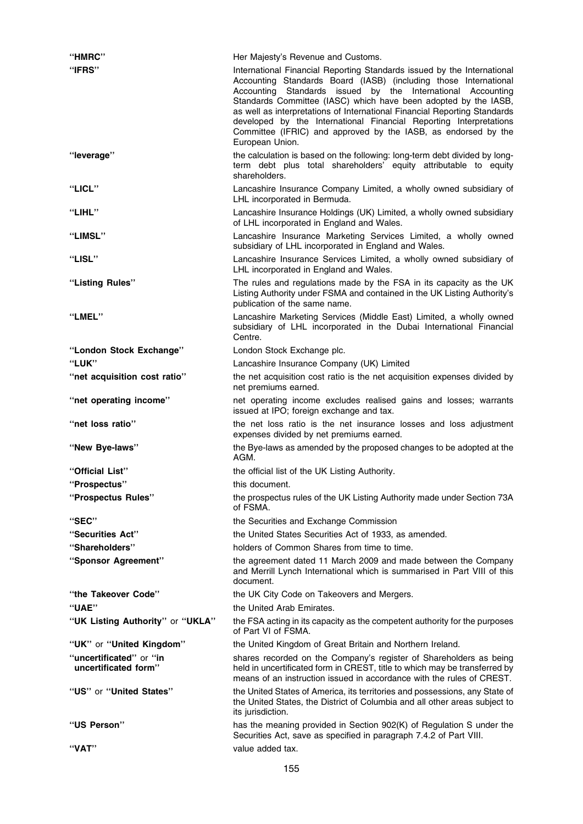| "HMRC"                                          | Her Majesty's Revenue and Customs.                                                                                                                                                                                                                                                                                                                                                                                                                                                                                    |
|-------------------------------------------------|-----------------------------------------------------------------------------------------------------------------------------------------------------------------------------------------------------------------------------------------------------------------------------------------------------------------------------------------------------------------------------------------------------------------------------------------------------------------------------------------------------------------------|
| "IFRS"                                          | International Financial Reporting Standards issued by the International<br>Accounting Standards Board (IASB) (including those International<br>Accounting Standards issued by the International Accounting<br>Standards Committee (IASC) which have been adopted by the IASB,<br>as well as interpretations of International Financial Reporting Standards<br>developed by the International Financial Reporting Interpretations<br>Committee (IFRIC) and approved by the IASB, as endorsed by the<br>European Union. |
| "leverage"                                      | the calculation is based on the following: long-term debt divided by long-<br>term debt plus total shareholders' equity attributable to equity<br>shareholders.                                                                                                                                                                                                                                                                                                                                                       |
| "LICL"                                          | Lancashire Insurance Company Limited, a wholly owned subsidiary of<br>LHL incorporated in Bermuda.                                                                                                                                                                                                                                                                                                                                                                                                                    |
| "LIHL"                                          | Lancashire Insurance Holdings (UK) Limited, a wholly owned subsidiary<br>of LHL incorporated in England and Wales.                                                                                                                                                                                                                                                                                                                                                                                                    |
| "LIMSL"                                         | Lancashire Insurance Marketing Services Limited, a wholly owned<br>subsidiary of LHL incorporated in England and Wales.                                                                                                                                                                                                                                                                                                                                                                                               |
| "LISL"                                          | Lancashire Insurance Services Limited, a wholly owned subsidiary of<br>LHL incorporated in England and Wales.                                                                                                                                                                                                                                                                                                                                                                                                         |
| "Listing Rules"                                 | The rules and regulations made by the FSA in its capacity as the UK<br>Listing Authority under FSMA and contained in the UK Listing Authority's<br>publication of the same name.                                                                                                                                                                                                                                                                                                                                      |
| "LMEL"                                          | Lancashire Marketing Services (Middle East) Limited, a wholly owned<br>subsidiary of LHL incorporated in the Dubai International Financial<br>Centre.                                                                                                                                                                                                                                                                                                                                                                 |
| "London Stock Exchange"                         | London Stock Exchange plc.                                                                                                                                                                                                                                                                                                                                                                                                                                                                                            |
| "LUK"                                           | Lancashire Insurance Company (UK) Limited                                                                                                                                                                                                                                                                                                                                                                                                                                                                             |
| "net acquisition cost ratio"                    | the net acquisition cost ratio is the net acquisition expenses divided by<br>net premiums earned.                                                                                                                                                                                                                                                                                                                                                                                                                     |
| "net operating income"                          | net operating income excludes realised gains and losses; warrants<br>issued at IPO; foreign exchange and tax.                                                                                                                                                                                                                                                                                                                                                                                                         |
| "net loss ratio"                                | the net loss ratio is the net insurance losses and loss adjustment<br>expenses divided by net premiums earned.                                                                                                                                                                                                                                                                                                                                                                                                        |
| "New Bye-laws"                                  | the Bye-laws as amended by the proposed changes to be adopted at the<br>AGM.                                                                                                                                                                                                                                                                                                                                                                                                                                          |
| "Official List"                                 | the official list of the UK Listing Authority.                                                                                                                                                                                                                                                                                                                                                                                                                                                                        |
| "Prospectus"                                    | this document.                                                                                                                                                                                                                                                                                                                                                                                                                                                                                                        |
| "Prospectus Rules"                              | the prospectus rules of the UK Listing Authority made under Section 73A<br>of FSMA.                                                                                                                                                                                                                                                                                                                                                                                                                                   |
| "SEC"                                           | the Securities and Exchange Commission                                                                                                                                                                                                                                                                                                                                                                                                                                                                                |
| "Securities Act"                                | the United States Securities Act of 1933, as amended.                                                                                                                                                                                                                                                                                                                                                                                                                                                                 |
| "Shareholders"                                  | holders of Common Shares from time to time.                                                                                                                                                                                                                                                                                                                                                                                                                                                                           |
| "Sponsor Agreement"                             | the agreement dated 11 March 2009 and made between the Company<br>and Merrill Lynch International which is summarised in Part VIII of this<br>document.                                                                                                                                                                                                                                                                                                                                                               |
| "the Takeover Code"                             | the UK City Code on Takeovers and Mergers.                                                                                                                                                                                                                                                                                                                                                                                                                                                                            |
| "UAE"                                           | the United Arab Emirates.                                                                                                                                                                                                                                                                                                                                                                                                                                                                                             |
| "UK Listing Authority" or "UKLA"                | the FSA acting in its capacity as the competent authority for the purposes<br>of Part VI of FSMA.                                                                                                                                                                                                                                                                                                                                                                                                                     |
| "UK" or "United Kingdom"                        | the United Kingdom of Great Britain and Northern Ireland.                                                                                                                                                                                                                                                                                                                                                                                                                                                             |
| "uncertificated" or "in<br>uncertificated form" | shares recorded on the Company's register of Shareholders as being<br>held in uncertificated form in CREST, title to which may be transferred by<br>means of an instruction issued in accordance with the rules of CREST.                                                                                                                                                                                                                                                                                             |
| "US" or "United States"                         | the United States of America, its territories and possessions, any State of<br>the United States, the District of Columbia and all other areas subject to<br>its jurisdiction.                                                                                                                                                                                                                                                                                                                                        |
| "US Person"                                     | has the meaning provided in Section 902(K) of Regulation S under the<br>Securities Act, save as specified in paragraph 7.4.2 of Part VIII.                                                                                                                                                                                                                                                                                                                                                                            |
| "VAT"                                           | value added tax.                                                                                                                                                                                                                                                                                                                                                                                                                                                                                                      |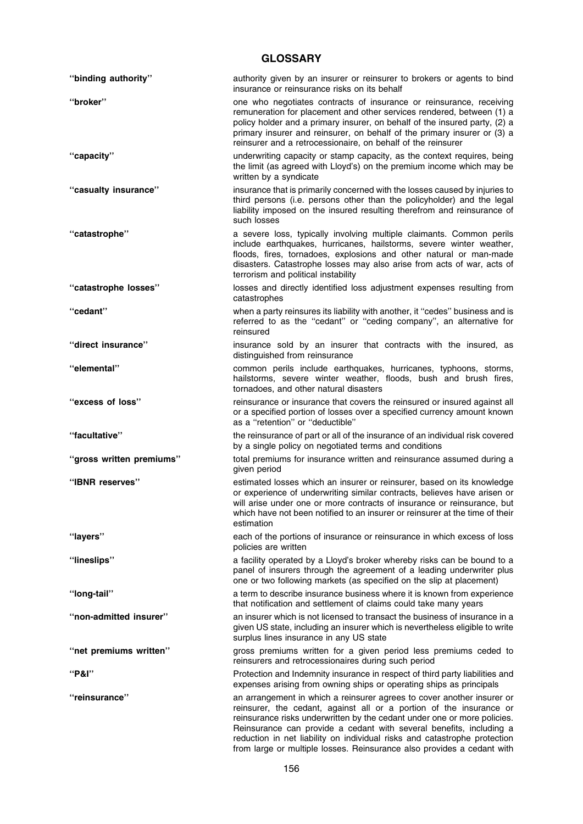# **GLOSSARY**

| "binding authority"      | authority given by an insurer or reinsurer to brokers or agents to bind<br>insurance or reinsurance risks on its behalf                                                                                                                                                                                                                                                       |
|--------------------------|-------------------------------------------------------------------------------------------------------------------------------------------------------------------------------------------------------------------------------------------------------------------------------------------------------------------------------------------------------------------------------|
| "broker"                 | one who negotiates contracts of insurance or reinsurance, receiving<br>remuneration for placement and other services rendered, between (1) a<br>policy holder and a primary insurer, on behalf of the insured party, (2) a<br>primary insurer and reinsurer, on behalf of the primary insurer or (3) a<br>reinsurer and a retrocessionaire, on behalf of the reinsurer        |
| "capacity"               | underwriting capacity or stamp capacity, as the context requires, being<br>the limit (as agreed with Lloyd's) on the premium income which may be<br>written by a syndicate                                                                                                                                                                                                    |
| "casualty insurance"     | insurance that is primarily concerned with the losses caused by injuries to<br>third persons (i.e. persons other than the policyholder) and the legal<br>liability imposed on the insured resulting therefrom and reinsurance of<br>such losses                                                                                                                               |
| "catastrophe"            | a severe loss, typically involving multiple claimants. Common perils<br>include earthquakes, hurricanes, hailstorms, severe winter weather,<br>floods, fires, tornadoes, explosions and other natural or man-made<br>disasters. Catastrophe losses may also arise from acts of war, acts of<br>terrorism and political instability                                            |
| "catastrophe losses"     | losses and directly identified loss adjustment expenses resulting from<br>catastrophes                                                                                                                                                                                                                                                                                        |
| "cedant"                 | when a party reinsures its liability with another, it "cedes" business and is<br>referred to as the "cedant" or "ceding company", an alternative for<br>reinsured                                                                                                                                                                                                             |
| "direct insurance"       | insurance sold by an insurer that contracts with the insured, as<br>distinguished from reinsurance                                                                                                                                                                                                                                                                            |
| "elemental"              | common perils include earthquakes, hurricanes, typhoons, storms,<br>hailstorms, severe winter weather, floods, bush and brush fires,<br>tornadoes, and other natural disasters                                                                                                                                                                                                |
| "excess of loss"         | reinsurance or insurance that covers the reinsured or insured against all<br>or a specified portion of losses over a specified currency amount known<br>as a "retention" or "deductible"                                                                                                                                                                                      |
| "facultative"            | the reinsurance of part or all of the insurance of an individual risk covered<br>by a single policy on negotiated terms and conditions                                                                                                                                                                                                                                        |
| "gross written premiums" | total premiums for insurance written and reinsurance assumed during a<br>given period                                                                                                                                                                                                                                                                                         |
| "IBNR reserves"          | estimated losses which an insurer or reinsurer, based on its knowledge<br>or experience of underwriting similar contracts, believes have arisen or<br>will arise under one or more contracts of insurance or reinsurance, but<br>which have not been notified to an insurer or reinsurer at the time of their<br>estimation                                                   |
| "layers"                 | each of the portions of insurance or reinsurance in which excess of loss<br>policies are written                                                                                                                                                                                                                                                                              |
| "lineslips"              | a facility operated by a Lloyd's broker whereby risks can be bound to a<br>panel of insurers through the agreement of a leading underwriter plus<br>one or two following markets (as specified on the slip at placement)                                                                                                                                                      |
| "long-tail"              | a term to describe insurance business where it is known from experience<br>that notification and settlement of claims could take many years                                                                                                                                                                                                                                   |
| "non-admitted insurer"   | an insurer which is not licensed to transact the business of insurance in a<br>given US state, including an insurer which is nevertheless eligible to write<br>surplus lines insurance in any US state                                                                                                                                                                        |
| "net premiums written"   | gross premiums written for a given period less premiums ceded to<br>reinsurers and retrocessionaires during such period                                                                                                                                                                                                                                                       |
| "P&l"                    | Protection and Indemnity insurance in respect of third party liabilities and<br>expenses arising from owning ships or operating ships as principals                                                                                                                                                                                                                           |
| "reinsurance"            | an arrangement in which a reinsurer agrees to cover another insurer or<br>reinsurer, the cedant, against all or a portion of the insurance or<br>reinsurance risks underwritten by the cedant under one or more policies.<br>Reinsurance can provide a cedant with several benefits, including a<br>reduction in net liability on individual risks and catastrophe protection |

from large or multiple losses. Reinsurance also provides a cedant with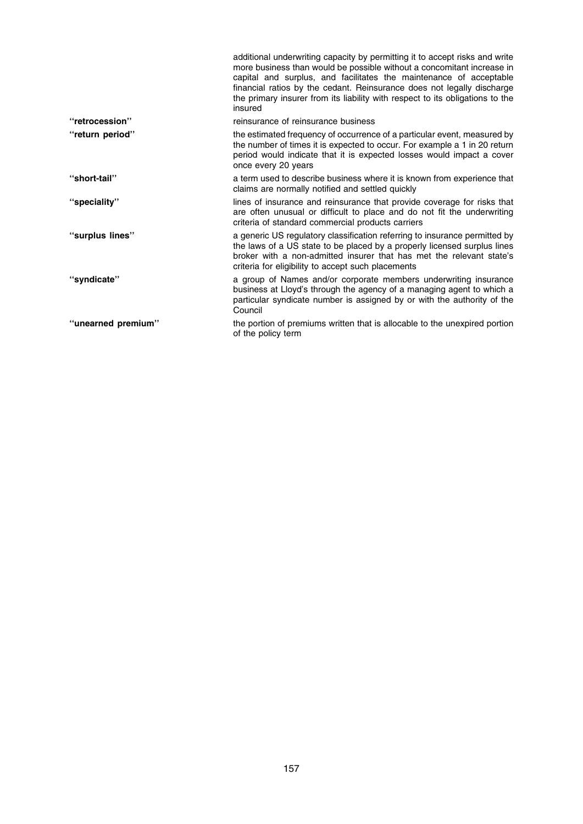|                    | additional underwriting capacity by permitting it to accept risks and write<br>more business than would be possible without a concomitant increase in<br>capital and surplus, and facilitates the maintenance of acceptable<br>financial ratios by the cedant. Reinsurance does not legally discharge<br>the primary insurer from its liability with respect to its obligations to the<br>insured |
|--------------------|---------------------------------------------------------------------------------------------------------------------------------------------------------------------------------------------------------------------------------------------------------------------------------------------------------------------------------------------------------------------------------------------------|
| "retrocession"     | reinsurance of reinsurance business                                                                                                                                                                                                                                                                                                                                                               |
| "return period"    | the estimated frequency of occurrence of a particular event, measured by<br>the number of times it is expected to occur. For example a 1 in 20 return<br>period would indicate that it is expected losses would impact a cover<br>once every 20 years                                                                                                                                             |
| "short-tail"       | a term used to describe business where it is known from experience that<br>claims are normally notified and settled quickly                                                                                                                                                                                                                                                                       |
| "speciality"       | lines of insurance and reinsurance that provide coverage for risks that<br>are often unusual or difficult to place and do not fit the underwriting<br>criteria of standard commercial products carriers                                                                                                                                                                                           |
| "surplus lines"    | a generic US regulatory classification referring to insurance permitted by<br>the laws of a US state to be placed by a properly licensed surplus lines<br>broker with a non-admitted insurer that has met the relevant state's<br>criteria for eligibility to accept such placements                                                                                                              |
| "syndicate"        | a group of Names and/or corporate members underwriting insurance<br>business at Lloyd's through the agency of a managing agent to which a<br>particular syndicate number is assigned by or with the authority of the<br>Council                                                                                                                                                                   |
| "unearned premium" | the portion of premiums written that is allocable to the unexpired portion<br>of the policy term                                                                                                                                                                                                                                                                                                  |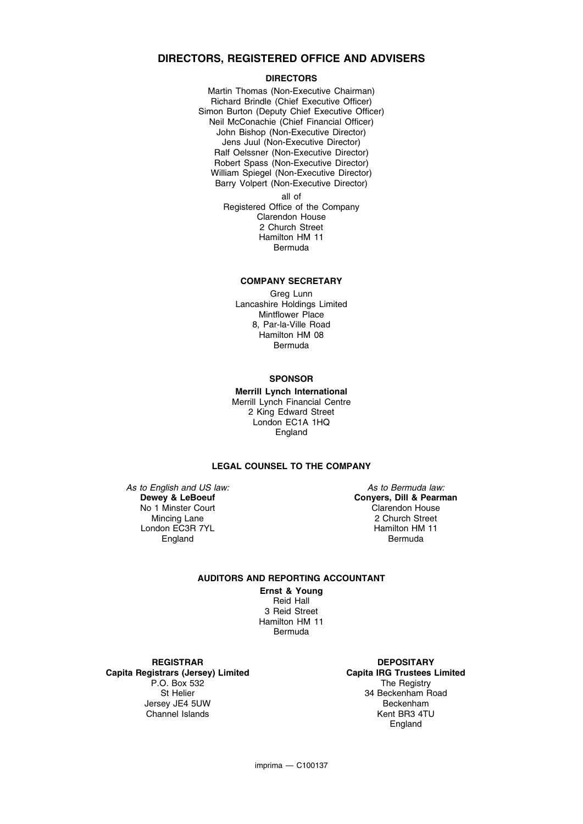# DIRECTORS, REGISTERED OFFICE AND ADVISERS

## DIRECTORS

Martin Thomas (Non-Executive Chairman) Richard Brindle (Chief Executive Officer) Simon Burton (Deputy Chief Executive Officer) Neil McConachie (Chief Financial Officer) John Bishop (Non-Executive Director) Jens Juul (Non-Executive Director) Ralf Oelssner (Non-Executive Director) Robert Spass (Non-Executive Director) William Spiegel (Non-Executive Director) Barry Volpert (Non-Executive Director)

all of Registered Office of the Company Clarendon House 2 Church Street Hamilton HM 11 Bermuda

#### COMPANY SECRETARY

Greg Lunn Lancashire Holdings Limited Mintflower Place 8, Par-la-Ville Road Hamilton HM 08 Bermuda

#### **SPONSOR**

Merrill Lynch International Merrill Lynch Financial Centre 2 King Edward Street London EC1A 1HQ England

## LEGAL COUNSEL TO THE COMPANY

As to English and US law: Dewey & LeBoeuf No 1 Minster Court Mincing Lane London EC3R 7YL England

As to Bermuda law: Conyers, Dill & Pearman Clarendon House 2 Church Street Hamilton HM 11 Bermuda

# AUDITORS AND REPORTING ACCOUNTANT

Ernst & Young Reid Hall 3 Reid Street Hamilton HM 11 Bermuda

**REGISTRAR** Capita Registrars (Jersey) Limited P.O. Box 532 St Helier Jersey JE4 5UW Channel Islands

**DEPOSITARY** Capita IRG Trustees Limited The Registry 34 Beckenham Road Beckenham Kent BR3 4TU England